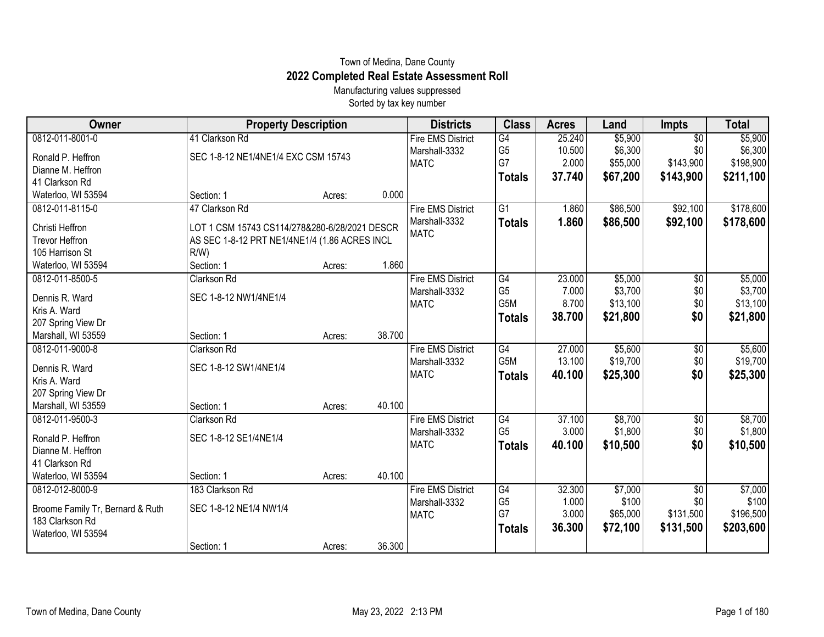## Town of Medina, Dane County **2022 Completed Real Estate Assessment Roll**

Manufacturing values suppressed Sorted by tax key number

| Owner                            | <b>Property Description</b>                   |        |        | <b>Districts</b>             | <b>Class</b>         | <b>Acres</b>   | Land              | <b>Impts</b>     | <b>Total</b>       |
|----------------------------------|-----------------------------------------------|--------|--------|------------------------------|----------------------|----------------|-------------------|------------------|--------------------|
| 0812-011-8001-0                  | 41 Clarkson Rd                                |        |        | <b>Fire EMS District</b>     | $\overline{G4}$      | 25.240         | \$5,900           | $\overline{50}$  | \$5,900            |
| Ronald P. Heffron                | SEC 1-8-12 NE1/4NE1/4 EXC CSM 15743           |        |        | Marshall-3332                | G <sub>5</sub>       | 10.500         | \$6,300           | \$0              | \$6,300            |
| Dianne M. Heffron                |                                               |        |        | <b>MATC</b>                  | G7                   | 2.000          | \$55,000          | \$143,900        | \$198,900          |
| 41 Clarkson Rd                   |                                               |        |        |                              | <b>Totals</b>        | 37.740         | \$67,200          | \$143,900        | \$211,100          |
| Waterloo, WI 53594               | Section: 1                                    | Acres: | 0.000  |                              |                      |                |                   |                  |                    |
| 0812-011-8115-0                  | 47 Clarkson Rd                                |        |        | <b>Fire EMS District</b>     | G1                   | 1.860          | \$86,500          | \$92,100         | \$178,600          |
| Christi Heffron                  | LOT 1 CSM 15743 CS114/278&280-6/28/2021 DESCR |        |        | Marshall-3332                | <b>Totals</b>        | 1.860          | \$86,500          | \$92,100         | \$178,600          |
| <b>Trevor Heffron</b>            | AS SEC 1-8-12 PRT NE1/4NE1/4 (1.86 ACRES INCL |        |        | <b>MATC</b>                  |                      |                |                   |                  |                    |
| 105 Harrison St                  | R/W                                           |        |        |                              |                      |                |                   |                  |                    |
| Waterloo, WI 53594               | Section: 1                                    | Acres: | 1.860  |                              |                      |                |                   |                  |                    |
| 0812-011-8500-5                  | Clarkson Rd                                   |        |        | <b>Fire EMS District</b>     | G4                   | 23.000         | \$5,000           | $\overline{50}$  | \$5,000            |
| Dennis R. Ward                   | SEC 1-8-12 NW1/4NE1/4                         |        |        | Marshall-3332                | G <sub>5</sub>       | 7.000          | \$3,700           | \$0              | \$3,700            |
| Kris A. Ward                     |                                               |        |        | <b>MATC</b>                  | G5M                  | 8.700          | \$13,100          | \$0              | \$13,100           |
| 207 Spring View Dr               |                                               |        |        |                              | <b>Totals</b>        | 38.700         | \$21,800          | \$0              | \$21,800           |
| Marshall, WI 53559               | Section: 1                                    | Acres: | 38.700 |                              |                      |                |                   |                  |                    |
| 0812-011-9000-8                  | Clarkson Rd                                   |        |        | <b>Fire EMS District</b>     | G4                   | 27.000         | \$5,600           | \$0              | \$5,600            |
| Dennis R. Ward                   | SEC 1-8-12 SW1/4NE1/4                         |        |        | Marshall-3332                | G5M                  | 13.100         | \$19,700          | \$0              | \$19,700           |
| Kris A. Ward                     |                                               |        |        | <b>MATC</b>                  | <b>Totals</b>        | 40.100         | \$25,300          | \$0              | \$25,300           |
| 207 Spring View Dr               |                                               |        |        |                              |                      |                |                   |                  |                    |
| Marshall, WI 53559               | Section: 1                                    | Acres: | 40.100 |                              |                      |                |                   |                  |                    |
| 0812-011-9500-3                  | Clarkson Rd                                   |        |        | <b>Fire EMS District</b>     | G4                   | 37.100         | \$8,700           | \$0              | \$8,700            |
|                                  |                                               |        |        | Marshall-3332                | G <sub>5</sub>       | 3.000          | \$1,800           | \$0              | \$1,800            |
| Ronald P. Heffron                | SEC 1-8-12 SE1/4NE1/4                         |        |        | <b>MATC</b>                  | <b>Totals</b>        | 40.100         | \$10,500          | \$0              | \$10,500           |
| Dianne M. Heffron                |                                               |        |        |                              |                      |                |                   |                  |                    |
| 41 Clarkson Rd                   |                                               |        |        |                              |                      |                |                   |                  |                    |
| Waterloo, WI 53594               | Section: 1                                    | Acres: | 40.100 |                              |                      |                |                   |                  |                    |
| 0812-012-8000-9                  | 183 Clarkson Rd                               |        |        | <b>Fire EMS District</b>     | G4                   | 32.300         | \$7,000           | \$0              | \$7,000            |
| Broome Family Tr, Bernard & Ruth | SEC 1-8-12 NE1/4 NW1/4                        |        |        | Marshall-3332<br><b>MATC</b> | G <sub>5</sub><br>G7 | 1.000<br>3.000 | \$100<br>\$65,000 | \$0<br>\$131,500 | \$100<br>\$196,500 |
| 183 Clarkson Rd                  |                                               |        |        |                              |                      | 36.300         |                   |                  |                    |
| Waterloo, WI 53594               |                                               |        |        |                              | <b>Totals</b>        |                | \$72,100          | \$131,500        | \$203,600          |
|                                  | Section: 1                                    | Acres: | 36.300 |                              |                      |                |                   |                  |                    |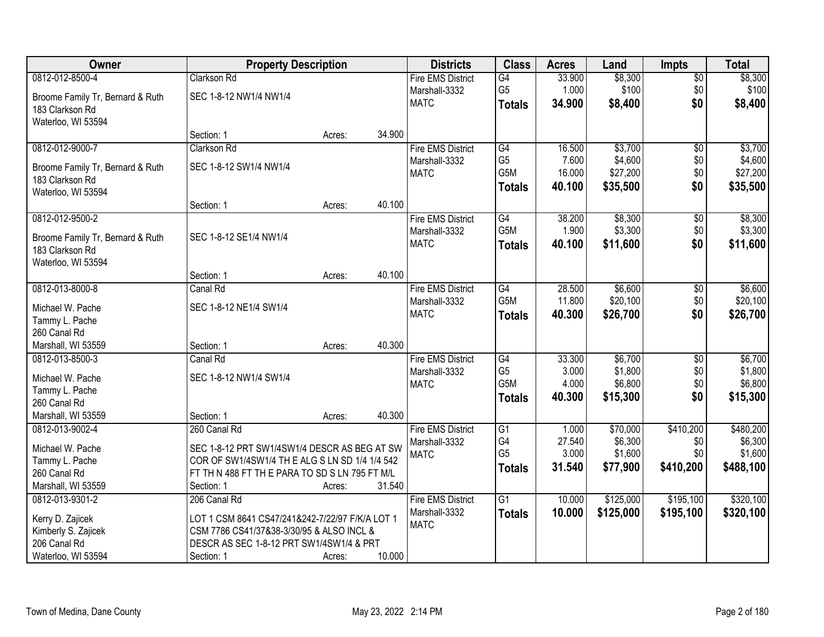| Owner                            | <b>Property Description</b>                     |        |        | <b>Districts</b>             | <b>Class</b>     | <b>Acres</b> | Land      | <b>Impts</b>    | <b>Total</b> |
|----------------------------------|-------------------------------------------------|--------|--------|------------------------------|------------------|--------------|-----------|-----------------|--------------|
| 0812-012-8500-4                  | Clarkson Rd                                     |        |        | <b>Fire EMS District</b>     | G4               | 33.900       | \$8,300   | $\overline{$0}$ | \$8,300      |
| Broome Family Tr, Bernard & Ruth | SEC 1-8-12 NW1/4 NW1/4                          |        |        | Marshall-3332                | G <sub>5</sub>   | 1.000        | \$100     | \$0             | \$100        |
| 183 Clarkson Rd                  |                                                 |        |        | <b>MATC</b>                  | <b>Totals</b>    | 34.900       | \$8,400   | \$0             | \$8,400      |
| Waterloo, WI 53594               |                                                 |        |        |                              |                  |              |           |                 |              |
|                                  | Section: 1                                      | Acres: | 34.900 |                              |                  |              |           |                 |              |
| 0812-012-9000-7                  | Clarkson Rd                                     |        |        | <b>Fire EMS District</b>     | G4               | 16.500       | \$3,700   | $\overline{50}$ | \$3,700      |
| Broome Family Tr, Bernard & Ruth | SEC 1-8-12 SW1/4 NW1/4                          |        |        | Marshall-3332                | G <sub>5</sub>   | 7.600        | \$4,600   | \$0             | \$4,600      |
| 183 Clarkson Rd                  |                                                 |        |        | <b>MATC</b>                  | G5M              | 16.000       | \$27,200  | \$0             | \$27,200     |
| Waterloo, WI 53594               |                                                 |        |        |                              | <b>Totals</b>    | 40.100       | \$35,500  | \$0             | \$35,500     |
|                                  | Section: 1                                      | Acres: | 40.100 |                              |                  |              |           |                 |              |
| 0812-012-9500-2                  |                                                 |        |        | <b>Fire EMS District</b>     | G4               | 38.200       | \$8,300   | $\overline{60}$ | \$8,300      |
| Broome Family Tr, Bernard & Ruth | SEC 1-8-12 SE1/4 NW1/4                          |        |        | Marshall-3332                | G5M              | 1.900        | \$3,300   | \$0             | \$3,300      |
| 183 Clarkson Rd                  |                                                 |        |        | <b>MATC</b>                  | <b>Totals</b>    | 40.100       | \$11,600  | \$0             | \$11,600     |
| Waterloo, WI 53594               |                                                 |        |        |                              |                  |              |           |                 |              |
|                                  | Section: 1                                      | Acres: | 40.100 |                              |                  |              |           |                 |              |
| 0812-013-8000-8                  | <b>Canal Rd</b>                                 |        |        | <b>Fire EMS District</b>     | G4               | 28.500       | \$6,600   | \$0             | \$6,600      |
| Michael W. Pache                 | SEC 1-8-12 NE1/4 SW1/4                          |        |        | Marshall-3332                | G5M              | 11.800       | \$20,100  | \$0             | \$20,100     |
| Tammy L. Pache                   |                                                 |        |        | <b>MATC</b>                  | <b>Totals</b>    | 40.300       | \$26,700  | \$0             | \$26,700     |
| 260 Canal Rd                     |                                                 |        |        |                              |                  |              |           |                 |              |
| Marshall, WI 53559               | Section: 1                                      | Acres: | 40.300 |                              |                  |              |           |                 |              |
| 0812-013-8500-3                  | Canal Rd                                        |        |        | <b>Fire EMS District</b>     | G4               | 33.300       | \$6,700   | $\overline{50}$ | \$6,700      |
|                                  |                                                 |        |        | Marshall-3332                | G <sub>5</sub>   | 3.000        | \$1,800   | \$0             | \$1,800      |
| Michael W. Pache                 | SEC 1-8-12 NW1/4 SW1/4                          |        |        | <b>MATC</b>                  | G <sub>5</sub> M | 4.000        | \$6,800   | \$0             | \$6,800      |
| Tammy L. Pache<br>260 Canal Rd   |                                                 |        |        |                              | <b>Totals</b>    | 40.300       | \$15,300  | \$0             | \$15,300     |
| Marshall, WI 53559               | Section: 1                                      | Acres: | 40.300 |                              |                  |              |           |                 |              |
| 0812-013-9002-4                  | 260 Canal Rd                                    |        |        | <b>Fire EMS District</b>     | G1               | 1.000        | \$70,000  | \$410,200       | \$480,200    |
|                                  |                                                 |        |        | Marshall-3332                | G4               | 27.540       | \$6,300   | \$0             | \$6,300      |
| Michael W. Pache                 | SEC 1-8-12 PRT SW1/4SW1/4 DESCR AS BEG AT SW    |        |        | <b>MATC</b>                  | G <sub>5</sub>   | 3.000        | \$1,600   | \$0             | \$1,600      |
| Tammy L. Pache                   | COR OF SW1/4SW1/4 TH E ALG S LN SD 1/4 1/4 542  |        |        |                              | <b>Totals</b>    | 31.540       | \$77,900  | \$410,200       | \$488,100    |
| 260 Canal Rd                     | FT TH N 488 FT TH E PARA TO SD S LN 795 FT M/L  |        |        |                              |                  |              |           |                 |              |
| Marshall, WI 53559               | Section: 1                                      | Acres: | 31.540 |                              |                  |              |           |                 |              |
| 0812-013-9301-2                  | 206 Canal Rd                                    |        |        | <b>Fire EMS District</b>     | $\overline{G1}$  | 10.000       | \$125,000 | \$195,100       | \$320,100    |
| Kerry D. Zajicek                 | LOT 1 CSM 8641 CS47/241&242-7/22/97 F/K/A LOT 1 |        |        | Marshall-3332<br><b>MATC</b> | <b>Totals</b>    | 10.000       | \$125,000 | \$195,100       | \$320,100    |
| Kimberly S. Zajicek              | CSM 7786 CS41/37&38-3/30/95 & ALSO INCL &       |        |        |                              |                  |              |           |                 |              |
| 206 Canal Rd                     | DESCR AS SEC 1-8-12 PRT SW1/4SW1/4 & PRT        |        |        |                              |                  |              |           |                 |              |
| Waterloo, WI 53594               | Section: 1                                      | Acres: | 10.000 |                              |                  |              |           |                 |              |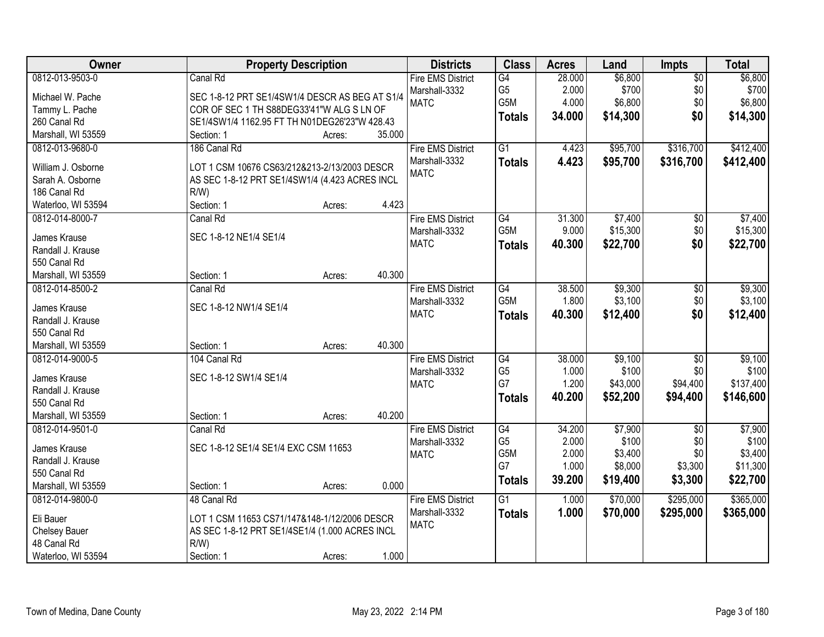| Owner              | <b>Property Description</b>                    |        |        | <b>Districts</b>         | <b>Class</b>    | <b>Acres</b> | Land     | <b>Impts</b>    | <b>Total</b> |
|--------------------|------------------------------------------------|--------|--------|--------------------------|-----------------|--------------|----------|-----------------|--------------|
| 0812-013-9503-0    | Canal Rd                                       |        |        | <b>Fire EMS District</b> | G4              | 28.000       | \$6,800  | $\overline{50}$ | \$6,800      |
| Michael W. Pache   | SEC 1-8-12 PRT SE1/4SW1/4 DESCR AS BEG AT S1/4 |        |        | Marshall-3332            | G <sub>5</sub>  | 2.000        | \$700    | \$0             | \$700        |
| Tammy L. Pache     | COR OF SEC 1 TH S88DEG33'41"W ALG S LN OF      |        |        | <b>MATC</b>              | G5M             | 4.000        | \$6,800  | \$0             | \$6,800      |
| 260 Canal Rd       | SE1/4SW1/4 1162.95 FT TH N01DEG26'23"W 428.43  |        |        |                          | Totals          | 34.000       | \$14,300 | \$0             | \$14,300     |
| Marshall, WI 53559 | Section: 1                                     | Acres: | 35.000 |                          |                 |              |          |                 |              |
| 0812-013-9680-0    | 186 Canal Rd                                   |        |        | <b>Fire EMS District</b> | $\overline{G1}$ | 4.423        | \$95,700 | \$316,700       | \$412,400    |
|                    |                                                |        |        | Marshall-3332            | <b>Totals</b>   | 4.423        | \$95,700 | \$316,700       | \$412,400    |
| William J. Osborne | LOT 1 CSM 10676 CS63/212&213-2/13/2003 DESCR   |        |        | <b>MATC</b>              |                 |              |          |                 |              |
| Sarah A. Osborne   | AS SEC 1-8-12 PRT SE1/4SW1/4 (4.423 ACRES INCL |        |        |                          |                 |              |          |                 |              |
| 186 Canal Rd       | $R/W$ )                                        |        |        |                          |                 |              |          |                 |              |
| Waterloo, WI 53594 | Section: 1                                     | Acres: | 4.423  |                          |                 |              |          |                 |              |
| 0812-014-8000-7    | Canal Rd                                       |        |        | <b>Fire EMS District</b> | G4              | 31.300       | \$7,400  | \$0             | \$7,400      |
| James Krause       | SEC 1-8-12 NE1/4 SE1/4                         |        |        | Marshall-3332            | G5M             | 9.000        | \$15,300 | $$0$$           | \$15,300     |
| Randall J. Krause  |                                                |        |        | <b>MATC</b>              | <b>Totals</b>   | 40.300       | \$22,700 | \$0             | \$22,700     |
| 550 Canal Rd       |                                                |        |        |                          |                 |              |          |                 |              |
| Marshall, WI 53559 | Section: 1                                     | Acres: | 40.300 |                          |                 |              |          |                 |              |
| 0812-014-8500-2    | Canal Rd                                       |        |        | <b>Fire EMS District</b> | G4              | 38.500       | \$9,300  | \$0             | \$9,300      |
|                    |                                                |        |        | Marshall-3332            | G5M             | 1.800        | \$3,100  | \$0             | \$3,100      |
| James Krause       | SEC 1-8-12 NW1/4 SE1/4                         |        |        | <b>MATC</b>              | <b>Totals</b>   | 40.300       | \$12,400 | \$0             | \$12,400     |
| Randall J. Krause  |                                                |        |        |                          |                 |              |          |                 |              |
| 550 Canal Rd       |                                                |        |        |                          |                 |              |          |                 |              |
| Marshall, WI 53559 | Section: 1                                     | Acres: | 40.300 |                          |                 |              |          |                 |              |
| 0812-014-9000-5    | 104 Canal Rd                                   |        |        | <b>Fire EMS District</b> | G4              | 38.000       | \$9,100  | $\overline{30}$ | \$9,100      |
| James Krause       | SEC 1-8-12 SW1/4 SE1/4                         |        |        | Marshall-3332            | G <sub>5</sub>  | 1.000        | \$100    | \$0             | \$100        |
| Randall J. Krause  |                                                |        |        | <b>MATC</b>              | G7              | 1.200        | \$43,000 | \$94,400        | \$137,400    |
| 550 Canal Rd       |                                                |        |        |                          | <b>Totals</b>   | 40.200       | \$52,200 | \$94,400        | \$146,600    |
| Marshall, WI 53559 | Section: 1                                     | Acres: | 40.200 |                          |                 |              |          |                 |              |
| 0812-014-9501-0    | Canal Rd                                       |        |        | <b>Fire EMS District</b> | G4              | 34.200       | \$7,900  | $\overline{50}$ | \$7,900      |
|                    |                                                |        |        | Marshall-3332            | G <sub>5</sub>  | 2.000        | \$100    | \$0             | \$100        |
| James Krause       | SEC 1-8-12 SE1/4 SE1/4 EXC CSM 11653           |        |        | <b>MATC</b>              | G5M             | 2.000        | \$3,400  | \$0             | \$3,400      |
| Randall J. Krause  |                                                |        |        |                          | G7              | 1.000        | \$8,000  | \$3,300         | \$11,300     |
| 550 Canal Rd       |                                                |        |        |                          | <b>Totals</b>   | 39.200       | \$19,400 | \$3,300         | \$22,700     |
| Marshall, WI 53559 | Section: 1                                     | Acres: | 0.000  |                          |                 |              |          |                 |              |
| 0812-014-9800-0    | 48 Canal Rd                                    |        |        | <b>Fire EMS District</b> | $\overline{G1}$ | 1.000        | \$70,000 | \$295,000       | \$365,000    |
| Eli Bauer          | LOT 1 CSM 11653 CS71/147&148-1/12/2006 DESCR   |        |        | Marshall-3332            | <b>Totals</b>   | 1.000        | \$70,000 | \$295,000       | \$365,000    |
| Chelsey Bauer      | AS SEC 1-8-12 PRT SE1/4SE1/4 (1.000 ACRES INCL |        |        | <b>MATC</b>              |                 |              |          |                 |              |
| 48 Canal Rd        | $R/W$ )                                        |        |        |                          |                 |              |          |                 |              |
| Waterloo, WI 53594 | Section: 1                                     | Acres: | 1.000  |                          |                 |              |          |                 |              |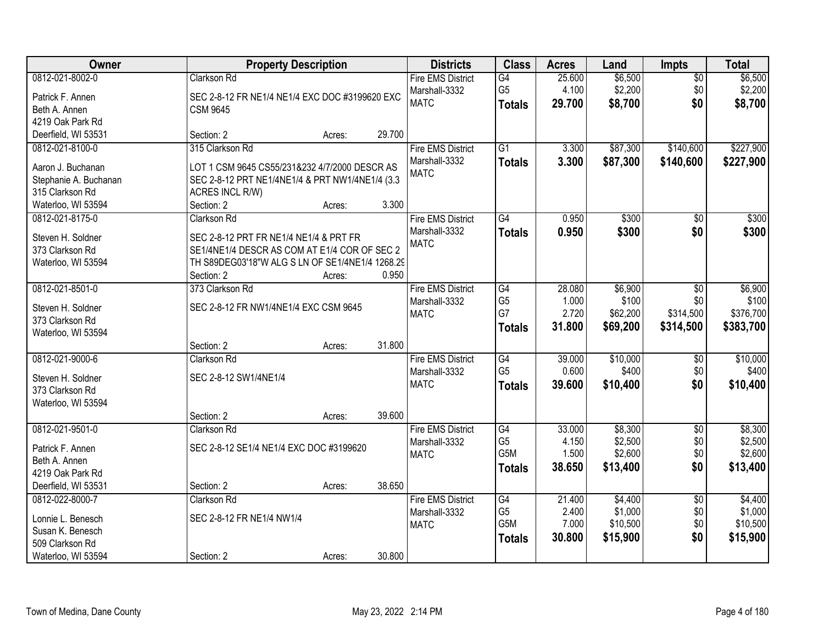| Owner                               | <b>Property Description</b>                                   |        |        | <b>Districts</b>                          | <b>Class</b>         | <b>Acres</b>    | Land               | <b>Impts</b>       | <b>Total</b>       |
|-------------------------------------|---------------------------------------------------------------|--------|--------|-------------------------------------------|----------------------|-----------------|--------------------|--------------------|--------------------|
| 0812-021-8002-0<br>Patrick F. Annen | Clarkson Rd<br>SEC 2-8-12 FR NE1/4 NE1/4 EXC DOC #3199620 EXC |        |        | <b>Fire EMS District</b><br>Marshall-3332 | G4<br>G <sub>5</sub> | 25.600<br>4.100 | \$6,500<br>\$2,200 | $\sqrt{$0}$<br>\$0 | \$6,500<br>\$2,200 |
| Beth A. Annen                       | <b>CSM 9645</b>                                               |        |        | <b>MATC</b>                               | <b>Totals</b>        | 29.700          | \$8,700            | \$0                | \$8,700            |
| 4219 Oak Park Rd                    |                                                               |        |        |                                           |                      |                 |                    |                    |                    |
| Deerfield, WI 53531                 | Section: 2                                                    | Acres: | 29.700 |                                           |                      |                 |                    |                    |                    |
| 0812-021-8100-0                     | 315 Clarkson Rd                                               |        |        | <b>Fire EMS District</b>                  | $\overline{G1}$      | 3.300           | \$87,300           | \$140,600          | \$227,900          |
|                                     |                                                               |        |        | Marshall-3332                             |                      | 3.300           | \$87,300           | \$140,600          | \$227,900          |
| Aaron J. Buchanan                   | LOT 1 CSM 9645 CS55/231&232 4/7/2000 DESCR AS                 |        |        | <b>MATC</b>                               | <b>Totals</b>        |                 |                    |                    |                    |
| Stephanie A. Buchanan               | SEC 2-8-12 PRT NE1/4NE1/4 & PRT NW1/4NE1/4 (3.3               |        |        |                                           |                      |                 |                    |                    |                    |
| 315 Clarkson Rd                     | ACRES INCL R/W)                                               |        |        |                                           |                      |                 |                    |                    |                    |
| Waterloo, WI 53594                  | Section: 2                                                    | Acres: | 3.300  |                                           |                      |                 |                    |                    |                    |
| 0812-021-8175-0                     | Clarkson Rd                                                   |        |        | <b>Fire EMS District</b>                  | G4                   | 0.950           | \$300              | \$0                | \$300              |
| Steven H. Soldner                   | SEC 2-8-12 PRT FR NE1/4 NE1/4 & PRT FR                        |        |        | Marshall-3332                             | <b>Totals</b>        | 0.950           | \$300              | \$0                | \$300              |
| 373 Clarkson Rd                     | SE1/4NE1/4 DESCR AS COM AT E1/4 COR OF SEC 2                  |        |        | <b>MATC</b>                               |                      |                 |                    |                    |                    |
| Waterloo, WI 53594                  | TH S89DEG03'18"W ALG S LN OF SE1/4NE1/4 1268.29               |        |        |                                           |                      |                 |                    |                    |                    |
|                                     | Section: 2                                                    | Acres: | 0.950  |                                           |                      |                 |                    |                    |                    |
| 0812-021-8501-0                     | 373 Clarkson Rd                                               |        |        | <b>Fire EMS District</b>                  | G4                   | 28.080          | \$6,900            | $\sqrt[6]{3}$      | \$6,900            |
|                                     |                                                               |        |        | Marshall-3332                             | G <sub>5</sub>       | 1.000           | \$100              | \$0                | \$100              |
| Steven H. Soldner                   | SEC 2-8-12 FR NW1/4NE1/4 EXC CSM 9645                         |        |        | <b>MATC</b>                               | G7                   | 2.720           | \$62,200           | \$314,500          | \$376,700          |
| 373 Clarkson Rd                     |                                                               |        |        |                                           | <b>Totals</b>        | 31.800          | \$69,200           | \$314,500          | \$383,700          |
| Waterloo, WI 53594                  |                                                               |        |        |                                           |                      |                 |                    |                    |                    |
|                                     | Section: 2                                                    | Acres: | 31.800 |                                           |                      |                 |                    |                    |                    |
| 0812-021-9000-6                     | Clarkson Rd                                                   |        |        | <b>Fire EMS District</b>                  | G4                   | 39.000          | \$10,000           | \$0                | \$10,000           |
| Steven H. Soldner                   | SEC 2-8-12 SW1/4NE1/4                                         |        |        | Marshall-3332                             | G <sub>5</sub>       | 0.600           | \$400              | \$0                | \$400              |
| 373 Clarkson Rd                     |                                                               |        |        | <b>MATC</b>                               | <b>Totals</b>        | 39.600          | \$10,400           | \$0                | \$10,400           |
| Waterloo, WI 53594                  |                                                               |        |        |                                           |                      |                 |                    |                    |                    |
|                                     | Section: 2                                                    | Acres: | 39.600 |                                           |                      |                 |                    |                    |                    |
| 0812-021-9501-0                     | Clarkson Rd                                                   |        |        | <b>Fire EMS District</b>                  | G4                   | 33.000          | \$8,300            | $\sqrt{6}$         | \$8,300            |
| Patrick F. Annen                    | SEC 2-8-12 SE1/4 NE1/4 EXC DOC #3199620                       |        |        | Marshall-3332                             | G <sub>5</sub>       | 4.150           | \$2,500            | \$0                | \$2,500            |
| Beth A. Annen                       |                                                               |        |        | <b>MATC</b>                               | G5M                  | 1.500           | \$2,600            | \$0                | \$2,600            |
| 4219 Oak Park Rd                    |                                                               |        |        |                                           | <b>Totals</b>        | 38.650          | \$13,400           | \$0                | \$13,400           |
| Deerfield, WI 53531                 | Section: 2                                                    | Acres: | 38.650 |                                           |                      |                 |                    |                    |                    |
| 0812-022-8000-7                     | Clarkson Rd                                                   |        |        | <b>Fire EMS District</b>                  | G4                   | 21.400          | \$4,400            | $\overline{50}$    | \$4,400            |
|                                     |                                                               |        |        | Marshall-3332                             | G <sub>5</sub>       | 2.400           | \$1,000            | \$0                | \$1,000            |
| Lonnie L. Benesch                   | SEC 2-8-12 FR NE1/4 NW1/4                                     |        |        | <b>MATC</b>                               | G5M                  | 7.000           | \$10,500           | \$0                | \$10,500           |
| Susan K. Benesch                    |                                                               |        |        |                                           | <b>Totals</b>        | 30.800          | \$15,900           | \$0                | \$15,900           |
| 509 Clarkson Rd                     |                                                               |        |        |                                           |                      |                 |                    |                    |                    |
| Waterloo, WI 53594                  | Section: 2                                                    | Acres: | 30.800 |                                           |                      |                 |                    |                    |                    |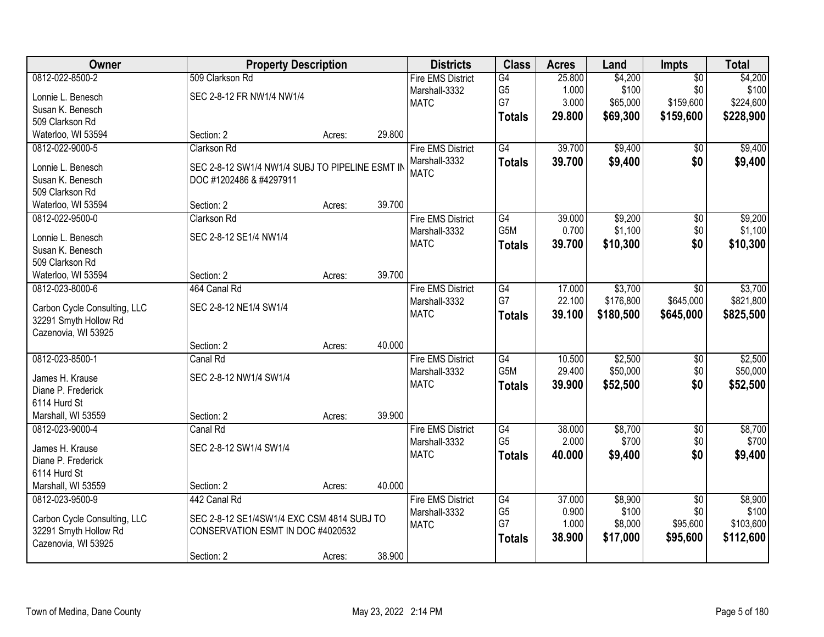| Owner                        | <b>Property Description</b>                     |        |        | <b>Districts</b>         | <b>Class</b>     | <b>Acres</b> | Land      | <b>Impts</b>    | <b>Total</b> |
|------------------------------|-------------------------------------------------|--------|--------|--------------------------|------------------|--------------|-----------|-----------------|--------------|
| 0812-022-8500-2              | 509 Clarkson Rd                                 |        |        | <b>Fire EMS District</b> | G4               | 25.800       | \$4,200   | $\overline{50}$ | \$4,200      |
| Lonnie L. Benesch            | SEC 2-8-12 FR NW1/4 NW1/4                       |        |        | Marshall-3332            | G <sub>5</sub>   | 1.000        | \$100     | \$0             | \$100        |
| Susan K. Benesch             |                                                 |        |        | <b>MATC</b>              | G7               | 3.000        | \$65,000  | \$159,600       | \$224,600    |
| 509 Clarkson Rd              |                                                 |        |        |                          | <b>Totals</b>    | 29.800       | \$69,300  | \$159,600       | \$228,900    |
| Waterloo, WI 53594           | Section: 2                                      | Acres: | 29.800 |                          |                  |              |           |                 |              |
| 0812-022-9000-5              | Clarkson Rd                                     |        |        | <b>Fire EMS District</b> | G4               | 39.700       | \$9,400   | \$0             | \$9,400      |
|                              |                                                 |        |        | Marshall-3332            | <b>Totals</b>    | 39.700       | \$9,400   | \$0             | \$9,400      |
| Lonnie L. Benesch            | SEC 2-8-12 SW1/4 NW1/4 SUBJ TO PIPELINE ESMT IN |        |        | <b>MATC</b>              |                  |              |           |                 |              |
| Susan K. Benesch             | DOC #1202486 & #4297911                         |        |        |                          |                  |              |           |                 |              |
| 509 Clarkson Rd              |                                                 |        |        |                          |                  |              |           |                 |              |
| Waterloo, WI 53594           | Section: 2                                      | Acres: | 39.700 |                          |                  |              |           |                 |              |
| 0812-022-9500-0              | Clarkson Rd                                     |        |        | <b>Fire EMS District</b> | G4               | 39.000       | \$9,200   | $\overline{50}$ | \$9,200      |
| Lonnie L. Benesch            | SEC 2-8-12 SE1/4 NW1/4                          |        |        | Marshall-3332            | G5M              | 0.700        | \$1,100   | \$0             | \$1,100      |
| Susan K. Benesch             |                                                 |        |        | <b>MATC</b>              | <b>Totals</b>    | 39.700       | \$10,300  | \$0             | \$10,300     |
| 509 Clarkson Rd              |                                                 |        |        |                          |                  |              |           |                 |              |
| Waterloo, WI 53594           | Section: 2                                      | Acres: | 39.700 |                          |                  |              |           |                 |              |
| 0812-023-8000-6              | 464 Canal Rd                                    |        |        | <b>Fire EMS District</b> | G4               | 17.000       | \$3,700   | \$0             | \$3,700      |
|                              |                                                 |        |        | Marshall-3332            | G7               | 22.100       | \$176,800 | \$645,000       | \$821,800    |
| Carbon Cycle Consulting, LLC | SEC 2-8-12 NE1/4 SW1/4                          |        |        | <b>MATC</b>              | <b>Totals</b>    | 39.100       | \$180,500 | \$645,000       | \$825,500    |
| 32291 Smyth Hollow Rd        |                                                 |        |        |                          |                  |              |           |                 |              |
| Cazenovia, WI 53925          |                                                 |        |        |                          |                  |              |           |                 |              |
|                              | Section: 2                                      | Acres: | 40.000 |                          |                  |              |           |                 |              |
| 0812-023-8500-1              | Canal Rd                                        |        |        | <b>Fire EMS District</b> | G4               | 10.500       | \$2,500   | \$0             | \$2,500      |
| James H. Krause              | SEC 2-8-12 NW1/4 SW1/4                          |        |        | Marshall-3332            | G <sub>5</sub> M | 29.400       | \$50,000  | \$0             | \$50,000     |
| Diane P. Frederick           |                                                 |        |        | <b>MATC</b>              | <b>Totals</b>    | 39.900       | \$52,500  | \$0             | \$52,500     |
| 6114 Hurd St                 |                                                 |        |        |                          |                  |              |           |                 |              |
| Marshall, WI 53559           | Section: 2                                      | Acres: | 39.900 |                          |                  |              |           |                 |              |
| 0812-023-9000-4              | Canal Rd                                        |        |        | <b>Fire EMS District</b> | G4               | 38.000       | \$8,700   | $\sqrt{$0}$     | \$8,700      |
|                              |                                                 |        |        | Marshall-3332            | G <sub>5</sub>   | 2.000        | \$700     | \$0             | \$700        |
| James H. Krause              | SEC 2-8-12 SW1/4 SW1/4                          |        |        | <b>MATC</b>              | <b>Totals</b>    | 40.000       | \$9,400   | \$0             | \$9,400      |
| Diane P. Frederick           |                                                 |        |        |                          |                  |              |           |                 |              |
| 6114 Hurd St                 |                                                 |        |        |                          |                  |              |           |                 |              |
| Marshall, WI 53559           | Section: 2                                      | Acres: | 40.000 |                          |                  |              |           |                 |              |
| 0812-023-9500-9              | 442 Canal Rd                                    |        |        | <b>Fire EMS District</b> | G4               | 37.000       | \$8,900   | $\overline{50}$ | \$8,900      |
| Carbon Cycle Consulting, LLC | SEC 2-8-12 SE1/4SW1/4 EXC CSM 4814 SUBJ TO      |        |        | Marshall-3332            | G <sub>5</sub>   | 0.900        | \$100     | \$0             | \$100        |
| 32291 Smyth Hollow Rd        | CONSERVATION ESMT IN DOC #4020532               |        |        | <b>MATC</b>              | G7               | 1.000        | \$8,000   | \$95,600        | \$103,600    |
| Cazenovia, WI 53925          |                                                 |        |        |                          | <b>Totals</b>    | 38.900       | \$17,000  | \$95,600        | \$112,600    |
|                              | Section: 2                                      | Acres: | 38.900 |                          |                  |              |           |                 |              |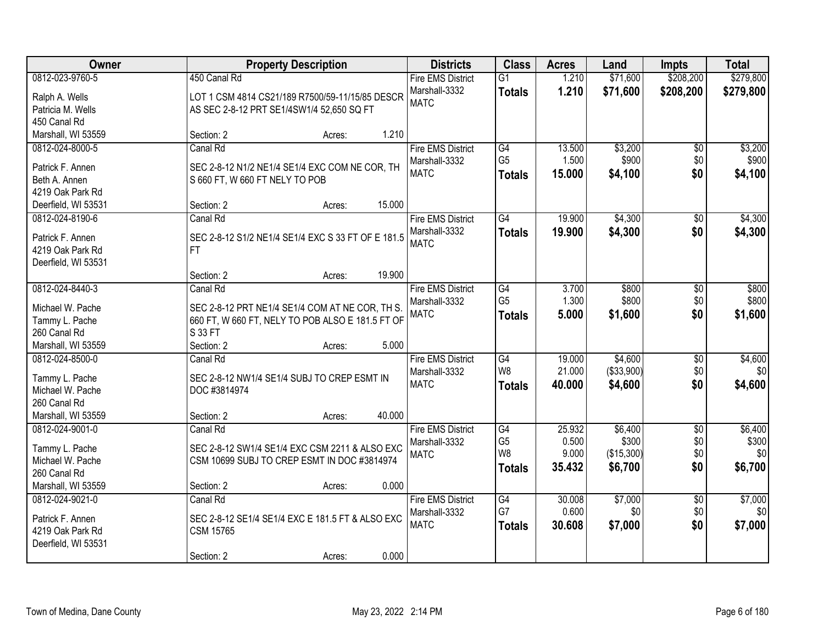| Owner               | <b>Property Description</b>                        |        | <b>Districts</b>         | <b>Class</b>    | <b>Acres</b> | Land       | <b>Impts</b>    | <b>Total</b> |
|---------------------|----------------------------------------------------|--------|--------------------------|-----------------|--------------|------------|-----------------|--------------|
| 0812-023-9760-5     | 450 Canal Rd                                       |        | <b>Fire EMS District</b> | $\overline{G1}$ | 1.210        | \$71,600   | \$208,200       | \$279,800    |
| Ralph A. Wells      | LOT 1 CSM 4814 CS21/189 R7500/59-11/15/85 DESCR    |        | Marshall-3332            | <b>Totals</b>   | 1.210        | \$71,600   | \$208,200       | \$279,800    |
| Patricia M. Wells   | AS SEC 2-8-12 PRT SE1/4SW1/4 52,650 SQ FT          |        | <b>MATC</b>              |                 |              |            |                 |              |
| 450 Canal Rd        |                                                    |        |                          |                 |              |            |                 |              |
| Marshall, WI 53559  | Section: 2<br>Acres:                               | 1.210  |                          |                 |              |            |                 |              |
| 0812-024-8000-5     | Canal Rd                                           |        | <b>Fire EMS District</b> | G4              | 13.500       | \$3,200    | $\overline{50}$ | \$3,200      |
| Patrick F. Annen    | SEC 2-8-12 N1/2 NE1/4 SE1/4 EXC COM NE COR, TH     |        | Marshall-3332            | G <sub>5</sub>  | 1.500        | \$900      | \$0             | \$900        |
| Beth A. Annen       | S 660 FT, W 660 FT NELY TO POB                     |        | <b>MATC</b>              | <b>Totals</b>   | 15.000       | \$4,100    | \$0             | \$4,100      |
| 4219 Oak Park Rd    |                                                    |        |                          |                 |              |            |                 |              |
| Deerfield, WI 53531 | Section: 2<br>Acres:                               | 15.000 |                          |                 |              |            |                 |              |
| 0812-024-8190-6     | Canal Rd                                           |        | <b>Fire EMS District</b> | G4              | 19.900       | \$4,300    | \$0             | \$4,300      |
|                     |                                                    |        | Marshall-3332            | <b>Totals</b>   | 19.900       | \$4,300    | \$0             | \$4,300      |
| Patrick F. Annen    | SEC 2-8-12 S1/2 NE1/4 SE1/4 EXC S 33 FT OF E 181.5 |        | <b>MATC</b>              |                 |              |            |                 |              |
| 4219 Oak Park Rd    | FT.                                                |        |                          |                 |              |            |                 |              |
| Deerfield, WI 53531 |                                                    |        |                          |                 |              |            |                 |              |
|                     | Section: 2<br>Acres:                               | 19.900 |                          |                 |              |            |                 |              |
| 0812-024-8440-3     | Canal Rd                                           |        | <b>Fire EMS District</b> | $\overline{G4}$ | 3.700        | \$800      | \$0             | \$800        |
| Michael W. Pache    | SEC 2-8-12 PRT NE1/4 SE1/4 COM AT NE COR, TH S.    |        | Marshall-3332            | G <sub>5</sub>  | 1.300        | \$800      | \$0             | \$800        |
| Tammy L. Pache      | 660 FT, W 660 FT, NELY TO POB ALSO E 181.5 FT OF   |        | <b>MATC</b>              | <b>Totals</b>   | 5.000        | \$1,600    | \$0             | \$1,600      |
| 260 Canal Rd        | S 33 FT                                            |        |                          |                 |              |            |                 |              |
| Marshall, WI 53559  | Section: 2<br>Acres:                               | 5.000  |                          |                 |              |            |                 |              |
| 0812-024-8500-0     | Canal Rd                                           |        | <b>Fire EMS District</b> | $\overline{G4}$ | 19.000       | \$4,600    | \$0             | \$4,600      |
| Tammy L. Pache      | SEC 2-8-12 NW1/4 SE1/4 SUBJ TO CREP ESMT IN        |        | Marshall-3332            | W <sub>8</sub>  | 21.000       | (\$33,900) | \$0             | \$0          |
| Michael W. Pache    | DOC #3814974                                       |        | <b>MATC</b>              | <b>Totals</b>   | 40.000       | \$4,600    | \$0             | \$4,600      |
| 260 Canal Rd        |                                                    |        |                          |                 |              |            |                 |              |
| Marshall, WI 53559  | Section: 2<br>Acres:                               | 40.000 |                          |                 |              |            |                 |              |
| 0812-024-9001-0     | Canal Rd                                           |        | <b>Fire EMS District</b> | G4              | 25.932       | \$6,400    | $\overline{60}$ | \$6,400      |
|                     |                                                    |        | Marshall-3332            | G <sub>5</sub>  | 0.500        | \$300      | \$0             | \$300        |
| Tammy L. Pache      | SEC 2-8-12 SW1/4 SE1/4 EXC CSM 2211 & ALSO EXC     |        | <b>MATC</b>              | W <sub>8</sub>  | 9.000        | (\$15,300) | \$0             | \$0          |
| Michael W. Pache    | CSM 10699 SUBJ TO CREP ESMT IN DOC #3814974        |        |                          | <b>Totals</b>   | 35.432       | \$6,700    | \$0             | \$6,700      |
| 260 Canal Rd        |                                                    |        |                          |                 |              |            |                 |              |
| Marshall, WI 53559  | Section: 2<br>Acres:                               | 0.000  |                          |                 |              |            |                 |              |
| 0812-024-9021-0     | Canal Rd                                           |        | <b>Fire EMS District</b> | G4              | 30.008       | \$7,000    | $\overline{50}$ | \$7,000      |
| Patrick F. Annen    | SEC 2-8-12 SE1/4 SE1/4 EXC E 181.5 FT & ALSO EXC   |        | Marshall-3332            | G7              | 0.600        | \$0        | \$0             | \$0          |
| 4219 Oak Park Rd    | <b>CSM 15765</b>                                   |        | <b>MATC</b>              | <b>Totals</b>   | 30.608       | \$7,000    | \$0             | \$7,000      |
| Deerfield, WI 53531 |                                                    |        |                          |                 |              |            |                 |              |
|                     | Section: 2<br>Acres:                               | 0.000  |                          |                 |              |            |                 |              |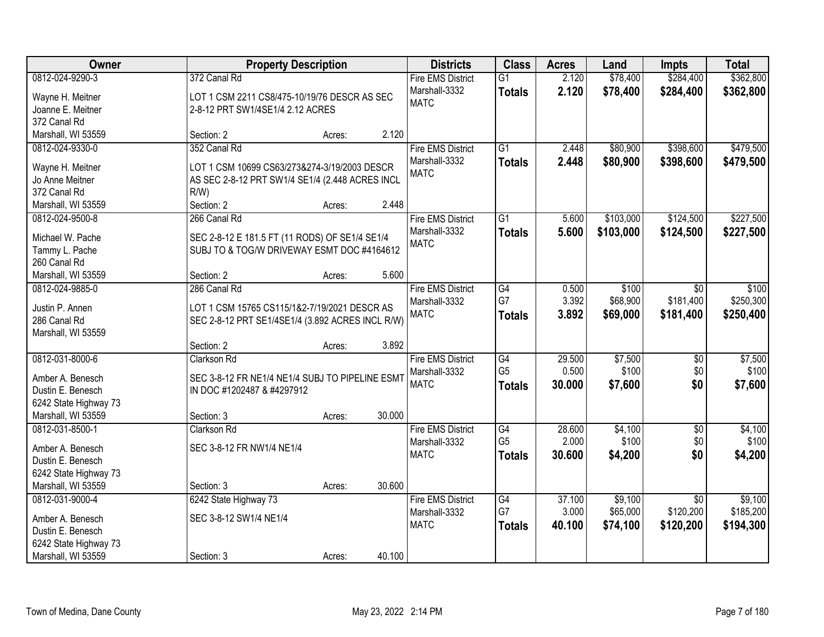| Owner                 |                                                  | <b>Property Description</b> |        | <b>Districts</b>         | <b>Class</b>    | <b>Acres</b> | Land      | <b>Impts</b>    | <b>Total</b> |
|-----------------------|--------------------------------------------------|-----------------------------|--------|--------------------------|-----------------|--------------|-----------|-----------------|--------------|
| 0812-024-9290-3       | 372 Canal Rd                                     |                             |        | <b>Fire EMS District</b> | $\overline{G1}$ | 2.120        | \$78,400  | \$284,400       | \$362,800    |
| Wayne H. Meitner      | LOT 1 CSM 2211 CS8/475-10/19/76 DESCR AS SEC     |                             |        | Marshall-3332            | <b>Totals</b>   | 2.120        | \$78,400  | \$284,400       | \$362,800    |
| Joanne E. Meitner     | 2-8-12 PRT SW1/4SE1/4 2.12 ACRES                 |                             |        | <b>MATC</b>              |                 |              |           |                 |              |
| 372 Canal Rd          |                                                  |                             |        |                          |                 |              |           |                 |              |
| Marshall, WI 53559    | Section: 2                                       | Acres:                      | 2.120  |                          |                 |              |           |                 |              |
| 0812-024-9330-0       | 352 Canal Rd                                     |                             |        | <b>Fire EMS District</b> | $\overline{G1}$ | 2.448        | \$80,900  | \$398,600       | \$479,500    |
|                       |                                                  |                             |        | Marshall-3332            | <b>Totals</b>   | 2.448        | \$80,900  | \$398,600       | \$479,500    |
| Wayne H. Meitner      | LOT 1 CSM 10699 CS63/273&274-3/19/2003 DESCR     |                             |        | <b>MATC</b>              |                 |              |           |                 |              |
| Jo Anne Meitner       | AS SEC 2-8-12 PRT SW1/4 SE1/4 (2.448 ACRES INCL  |                             |        |                          |                 |              |           |                 |              |
| 372 Canal Rd          | R/W                                              |                             |        |                          |                 |              |           |                 |              |
| Marshall, WI 53559    | Section: 2                                       | Acres:                      | 2.448  |                          |                 |              |           |                 |              |
| 0812-024-9500-8       | 266 Canal Rd                                     |                             |        | <b>Fire EMS District</b> | $\overline{G1}$ | 5.600        | \$103,000 | \$124,500       | \$227,500    |
| Michael W. Pache      | SEC 2-8-12 E 181.5 FT (11 RODS) OF SE1/4 SE1/4   |                             |        | Marshall-3332            | <b>Totals</b>   | 5.600        | \$103,000 | \$124,500       | \$227,500    |
| Tammy L. Pache        | SUBJ TO & TOG/W DRIVEWAY ESMT DOC #4164612       |                             |        | <b>MATC</b>              |                 |              |           |                 |              |
| 260 Canal Rd          |                                                  |                             |        |                          |                 |              |           |                 |              |
| Marshall, WI 53559    | Section: 2                                       | Acres:                      | 5.600  |                          |                 |              |           |                 |              |
| 0812-024-9885-0       | 286 Canal Rd                                     |                             |        | <b>Fire EMS District</b> | G4              | 0.500        | \$100     | \$0             | \$100        |
|                       |                                                  |                             |        | Marshall-3332            | G7              | 3.392        | \$68,900  | \$181,400       | \$250,300    |
| Justin P. Annen       | LOT 1 CSM 15765 CS115/1&2-7/19/2021 DESCR AS     |                             |        | <b>MATC</b>              | <b>Totals</b>   | 3.892        | \$69,000  | \$181,400       | \$250,400    |
| 286 Canal Rd          | SEC 2-8-12 PRT SE1/4SE1/4 (3.892 ACRES INCL R/W) |                             |        |                          |                 |              |           |                 |              |
| Marshall, WI 53559    |                                                  |                             |        |                          |                 |              |           |                 |              |
|                       | Section: 2                                       | Acres:                      | 3.892  |                          |                 |              |           |                 |              |
| 0812-031-8000-6       | Clarkson Rd                                      |                             |        | <b>Fire EMS District</b> | G4              | 29.500       | \$7,500   | $\overline{50}$ | \$7,500      |
| Amber A. Benesch      | SEC 3-8-12 FR NE1/4 NE1/4 SUBJ TO PIPELINE ESMT  |                             |        | Marshall-3332            | G <sub>5</sub>  | 0.500        | \$100     | \$0             | \$100        |
| Dustin E. Benesch     | IN DOC #1202487 & #4297912                       |                             |        | <b>MATC</b>              | <b>Totals</b>   | 30.000       | \$7,600   | \$0             | \$7,600      |
| 6242 State Highway 73 |                                                  |                             |        |                          |                 |              |           |                 |              |
| Marshall, WI 53559    | Section: 3                                       | Acres:                      | 30.000 |                          |                 |              |           |                 |              |
| 0812-031-8500-1       | Clarkson Rd                                      |                             |        | <b>Fire EMS District</b> | G4              | 28.600       | \$4,100   | $\overline{50}$ | \$4,100      |
|                       |                                                  |                             |        | Marshall-3332            | G <sub>5</sub>  | 2.000        | \$100     | \$0             | \$100        |
| Amber A. Benesch      | SEC 3-8-12 FR NW1/4 NE1/4                        |                             |        | <b>MATC</b>              | <b>Totals</b>   | 30.600       | \$4,200   | \$0             | \$4,200      |
| Dustin E. Benesch     |                                                  |                             |        |                          |                 |              |           |                 |              |
| 6242 State Highway 73 |                                                  |                             |        |                          |                 |              |           |                 |              |
| Marshall, WI 53559    | Section: 3                                       | Acres:                      | 30.600 |                          |                 |              |           |                 |              |
| 0812-031-9000-4       | 6242 State Highway 73                            |                             |        | <b>Fire EMS District</b> | G4              | 37.100       | \$9,100   | $\overline{50}$ | \$9,100      |
| Amber A. Benesch      | SEC 3-8-12 SW1/4 NE1/4                           |                             |        | Marshall-3332            | G7              | 3.000        | \$65,000  | \$120,200       | \$185,200    |
| Dustin E. Benesch     |                                                  |                             |        | <b>MATC</b>              | <b>Totals</b>   | 40.100       | \$74,100  | \$120,200       | \$194,300    |
| 6242 State Highway 73 |                                                  |                             |        |                          |                 |              |           |                 |              |
| Marshall, WI 53559    | Section: 3                                       | Acres:                      | 40.100 |                          |                 |              |           |                 |              |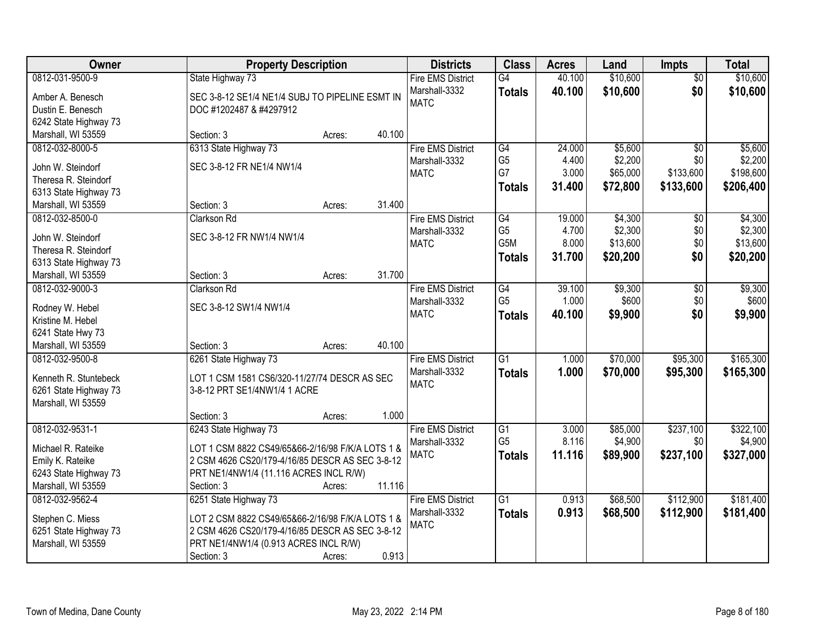| Owner                                       | <b>Property Description</b>                      |        |        | <b>Districts</b>             | <b>Class</b>     | <b>Acres</b> | Land     | <b>Impts</b>    | <b>Total</b> |
|---------------------------------------------|--------------------------------------------------|--------|--------|------------------------------|------------------|--------------|----------|-----------------|--------------|
| 0812-031-9500-9                             | State Highway 73                                 |        |        | <b>Fire EMS District</b>     | $\overline{G4}$  | 40.100       | \$10,600 | $\overline{50}$ | \$10,600     |
| Amber A. Benesch                            | SEC 3-8-12 SE1/4 NE1/4 SUBJ TO PIPELINE ESMT IN  |        |        | Marshall-3332                | <b>Totals</b>    | 40.100       | \$10,600 | \$0             | \$10,600     |
| Dustin E. Benesch                           | DOC #1202487 & #4297912                          |        |        | <b>MATC</b>                  |                  |              |          |                 |              |
| 6242 State Highway 73                       |                                                  |        |        |                              |                  |              |          |                 |              |
| Marshall, WI 53559                          | Section: 3                                       | Acres: | 40.100 |                              |                  |              |          |                 |              |
| 0812-032-8000-5                             | 6313 State Highway 73                            |        |        | <b>Fire EMS District</b>     | G4               | 24,000       | \$5,600  | $\overline{50}$ | \$5,600      |
|                                             | SEC 3-8-12 FR NE1/4 NW1/4                        |        |        | Marshall-3332                | G <sub>5</sub>   | 4.400        | \$2,200  | \$0             | \$2,200      |
| John W. Steindorf<br>Theresa R. Steindorf   |                                                  |        |        | <b>MATC</b>                  | G7               | 3.000        | \$65,000 | \$133,600       | \$198,600    |
|                                             |                                                  |        |        |                              | <b>Totals</b>    | 31.400       | \$72,800 | \$133,600       | \$206,400    |
| 6313 State Highway 73<br>Marshall, WI 53559 | Section: 3                                       |        | 31.400 |                              |                  |              |          |                 |              |
| 0812-032-8500-0                             | <b>Clarkson Rd</b>                               | Acres: |        | <b>Fire EMS District</b>     | $\overline{G4}$  | 19.000       | \$4,300  |                 | \$4,300      |
|                                             |                                                  |        |        |                              | G <sub>5</sub>   | 4.700        | \$2,300  | \$0             | \$2,300      |
| John W. Steindorf                           | SEC 3-8-12 FR NW1/4 NW1/4                        |        |        | Marshall-3332<br><b>MATC</b> | G <sub>5</sub> M | 8.000        | \$13,600 | \$0<br>\$0      | \$13,600     |
| Theresa R. Steindorf                        |                                                  |        |        |                              |                  |              |          |                 |              |
| 6313 State Highway 73                       |                                                  |        |        |                              | <b>Totals</b>    | 31.700       | \$20,200 | \$0             | \$20,200     |
| Marshall, WI 53559                          | Section: 3                                       | Acres: | 31.700 |                              |                  |              |          |                 |              |
| 0812-032-9000-3                             | <b>Clarkson Rd</b>                               |        |        | <b>Fire EMS District</b>     | G4               | 39.100       | \$9,300  | \$0             | \$9,300      |
| Rodney W. Hebel                             | SEC 3-8-12 SW1/4 NW1/4                           |        |        | Marshall-3332                | G <sub>5</sub>   | 1.000        | \$600    | \$0             | \$600        |
| Kristine M. Hebel                           |                                                  |        |        | <b>MATC</b>                  | <b>Totals</b>    | 40.100       | \$9,900  | \$0             | \$9,900      |
| 6241 State Hwy 73                           |                                                  |        |        |                              |                  |              |          |                 |              |
| Marshall, WI 53559                          | Section: 3                                       | Acres: | 40.100 |                              |                  |              |          |                 |              |
| 0812-032-9500-8                             | 6261 State Highway 73                            |        |        | <b>Fire EMS District</b>     | $\overline{G1}$  | 1.000        | \$70,000 | \$95,300        | \$165,300    |
|                                             |                                                  |        |        | Marshall-3332                |                  | 1.000        | \$70,000 | \$95,300        | \$165,300    |
| Kenneth R. Stuntebeck                       | LOT 1 CSM 1581 CS6/320-11/27/74 DESCR AS SEC     |        |        | <b>MATC</b>                  | <b>Totals</b>    |              |          |                 |              |
| 6261 State Highway 73                       | 3-8-12 PRT SE1/4NW1/4 1 ACRE                     |        |        |                              |                  |              |          |                 |              |
| Marshall, WI 53559                          |                                                  |        |        |                              |                  |              |          |                 |              |
|                                             | Section: 3                                       | Acres: | 1.000  |                              |                  |              |          |                 |              |
| 0812-032-9531-1                             | 6243 State Highway 73                            |        |        | <b>Fire EMS District</b>     | G1               | 3.000        | \$85,000 | \$237,100       | \$322,100    |
| Michael R. Rateike                          | LOT 1 CSM 8822 CS49/65&66-2/16/98 F/K/A LOTS 1 & |        |        | Marshall-3332                | G <sub>5</sub>   | 8.116        | \$4,900  | \$0             | \$4,900      |
| Emily K. Rateike                            | 2 CSM 4626 CS20/179-4/16/85 DESCR AS SEC 3-8-12  |        |        | <b>MATC</b>                  | <b>Totals</b>    | 11.116       | \$89,900 | \$237,100       | \$327,000    |
| 6243 State Highway 73                       | PRT NE1/4NW1/4 (11.116 ACRES INCL R/W)           |        |        |                              |                  |              |          |                 |              |
| Marshall, WI 53559                          | Section: 3                                       | Acres: | 11.116 |                              |                  |              |          |                 |              |
| 0812-032-9562-4                             | 6251 State Highway 73                            |        |        | <b>Fire EMS District</b>     | $\overline{G1}$  | 0.913        | \$68,500 | \$112,900       | \$181,400    |
|                                             |                                                  |        |        | Marshall-3332                | <b>Totals</b>    | 0.913        | \$68,500 | \$112,900       | \$181,400    |
| Stephen C. Miess                            | LOT 2 CSM 8822 CS49/65&66-2/16/98 F/K/A LOTS 1 & |        |        | <b>MATC</b>                  |                  |              |          |                 |              |
| 6251 State Highway 73                       | 2 CSM 4626 CS20/179-4/16/85 DESCR AS SEC 3-8-12  |        |        |                              |                  |              |          |                 |              |
| Marshall, WI 53559                          | PRT NE1/4NW1/4 (0.913 ACRES INCL R/W)            |        |        |                              |                  |              |          |                 |              |
|                                             | Section: 3                                       | Acres: | 0.913  |                              |                  |              |          |                 |              |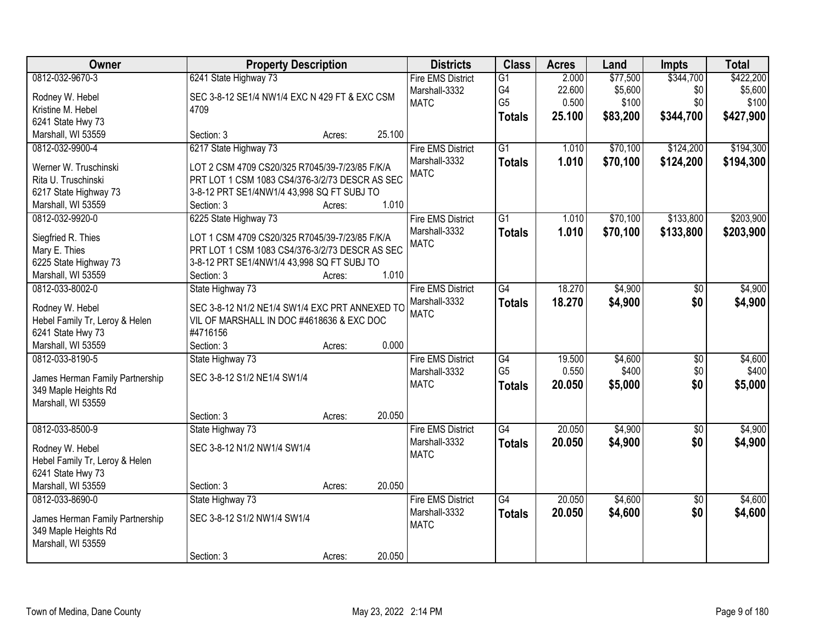| Owner                               | <b>Property Description</b>                                                                      |        |        | <b>Districts</b>                                         | <b>Class</b>                            | <b>Acres</b>             | Land                         | <b>Impts</b>            | <b>Total</b>                  |
|-------------------------------------|--------------------------------------------------------------------------------------------------|--------|--------|----------------------------------------------------------|-----------------------------------------|--------------------------|------------------------------|-------------------------|-------------------------------|
| 0812-032-9670-3<br>Rodney W. Hebel  | 6241 State Highway 73<br>SEC 3-8-12 SE1/4 NW1/4 EXC N 429 FT & EXC CSM                           |        |        | <b>Fire EMS District</b><br>Marshall-3332<br><b>MATC</b> | $\overline{G1}$<br>G4<br>G <sub>5</sub> | 2.000<br>22.600<br>0.500 | \$77,500<br>\$5,600<br>\$100 | \$344,700<br>\$0<br>\$0 | \$422,200<br>\$5,600<br>\$100 |
| Kristine M. Hebel                   | 4709                                                                                             |        |        |                                                          | <b>Totals</b>                           | 25.100                   | \$83,200                     | \$344,700               | \$427,900                     |
| 6241 State Hwy 73                   |                                                                                                  |        |        |                                                          |                                         |                          |                              |                         |                               |
| Marshall, WI 53559                  | Section: 3                                                                                       | Acres: | 25.100 |                                                          |                                         |                          |                              |                         |                               |
| 0812-032-9900-4                     | 6217 State Highway 73                                                                            |        |        | <b>Fire EMS District</b>                                 | $\overline{G1}$                         | 1.010                    | \$70,100                     | \$124,200               | \$194,300                     |
| Werner W. Truschinski               | LOT 2 CSM 4709 CS20/325 R7045/39-7/23/85 F/K/A                                                   |        |        | Marshall-3332                                            | <b>Totals</b>                           | 1.010                    | \$70,100                     | \$124,200               | \$194,300                     |
| Rita U. Truschinski                 | PRT LOT 1 CSM 1083 CS4/376-3/2/73 DESCR AS SEC                                                   |        |        | <b>MATC</b>                                              |                                         |                          |                              |                         |                               |
| 6217 State Highway 73               | 3-8-12 PRT SE1/4NW1/4 43,998 SQ FT SUBJ TO                                                       |        |        |                                                          |                                         |                          |                              |                         |                               |
| Marshall, WI 53559                  | Section: 3                                                                                       | Acres: | 1.010  |                                                          |                                         |                          |                              |                         |                               |
| 0812-032-9920-0                     | 6225 State Highway 73                                                                            |        |        | <b>Fire EMS District</b>                                 | G1                                      | 1.010                    | \$70,100                     | \$133,800               | \$203,900                     |
|                                     |                                                                                                  |        |        | Marshall-3332                                            | <b>Totals</b>                           | 1.010                    | \$70,100                     | \$133,800               | \$203,900                     |
| Siegfried R. Thies<br>Mary E. Thies | LOT 1 CSM 4709 CS20/325 R7045/39-7/23/85 F/K/A<br>PRT LOT 1 CSM 1083 CS4/376-3/2/73 DESCR AS SEC |        |        | <b>MATC</b>                                              |                                         |                          |                              |                         |                               |
| 6225 State Highway 73               | 3-8-12 PRT SE1/4NW1/4 43,998 SQ FT SUBJ TO                                                       |        |        |                                                          |                                         |                          |                              |                         |                               |
| Marshall, WI 53559                  | Section: 3                                                                                       | Acres: | 1.010  |                                                          |                                         |                          |                              |                         |                               |
| 0812-033-8002-0                     | State Highway 73                                                                                 |        |        | <b>Fire EMS District</b>                                 | $\overline{G4}$                         | 18.270                   | \$4,900                      | $\sqrt[6]{}$            | \$4,900                       |
|                                     |                                                                                                  |        |        | Marshall-3332                                            | <b>Totals</b>                           | 18.270                   | \$4,900                      | \$0                     | \$4,900                       |
| Rodney W. Hebel                     | SEC 3-8-12 N1/2 NE1/4 SW1/4 EXC PRT ANNEXED TO                                                   |        |        | <b>MATC</b>                                              |                                         |                          |                              |                         |                               |
| Hebel Family Tr, Leroy & Helen      | VIL OF MARSHALL IN DOC #4618636 & EXC DOC                                                        |        |        |                                                          |                                         |                          |                              |                         |                               |
| 6241 State Hwy 73                   | #4716156                                                                                         |        |        |                                                          |                                         |                          |                              |                         |                               |
| Marshall, WI 53559                  | Section: 3                                                                                       | Acres: | 0.000  |                                                          |                                         |                          |                              |                         |                               |
| 0812-033-8190-5                     | State Highway 73                                                                                 |        |        | <b>Fire EMS District</b>                                 | $\overline{G4}$                         | 19.500                   | \$4,600                      | $\overline{50}$         | \$4,600                       |
| James Herman Family Partnership     | SEC 3-8-12 S1/2 NE1/4 SW1/4                                                                      |        |        | Marshall-3332                                            | G <sub>5</sub>                          | 0.550                    | \$400                        | \$0                     | \$400                         |
| 349 Maple Heights Rd                |                                                                                                  |        |        | <b>MATC</b>                                              | <b>Totals</b>                           | 20.050                   | \$5,000                      | \$0                     | \$5,000                       |
| Marshall, WI 53559                  |                                                                                                  |        |        |                                                          |                                         |                          |                              |                         |                               |
|                                     | Section: 3                                                                                       | Acres: | 20.050 |                                                          |                                         |                          |                              |                         |                               |
| 0812-033-8500-9                     | State Highway 73                                                                                 |        |        | <b>Fire EMS District</b>                                 | $\overline{G4}$                         | 20.050                   | \$4,900                      | $\overline{50}$         | \$4,900                       |
| Rodney W. Hebel                     | SEC 3-8-12 N1/2 NW1/4 SW1/4                                                                      |        |        | Marshall-3332                                            | <b>Totals</b>                           | 20.050                   | \$4,900                      | \$0                     | \$4,900                       |
| Hebel Family Tr, Leroy & Helen      |                                                                                                  |        |        | <b>MATC</b>                                              |                                         |                          |                              |                         |                               |
| 6241 State Hwy 73                   |                                                                                                  |        |        |                                                          |                                         |                          |                              |                         |                               |
| Marshall, WI 53559                  | Section: 3                                                                                       | Acres: | 20.050 |                                                          |                                         |                          |                              |                         |                               |
| 0812-033-8690-0                     | State Highway 73                                                                                 |        |        | <b>Fire EMS District</b>                                 | $\overline{G4}$                         | 20.050                   | \$4,600                      | $\overline{50}$         | \$4,600                       |
|                                     |                                                                                                  |        |        | Marshall-3332                                            | <b>Totals</b>                           | 20.050                   | \$4,600                      | \$0                     | \$4,600                       |
| James Herman Family Partnership     | SEC 3-8-12 S1/2 NW1/4 SW1/4                                                                      |        |        | <b>MATC</b>                                              |                                         |                          |                              |                         |                               |
| 349 Maple Heights Rd                |                                                                                                  |        |        |                                                          |                                         |                          |                              |                         |                               |
| Marshall, WI 53559                  |                                                                                                  |        |        |                                                          |                                         |                          |                              |                         |                               |
|                                     | Section: 3                                                                                       | Acres: | 20.050 |                                                          |                                         |                          |                              |                         |                               |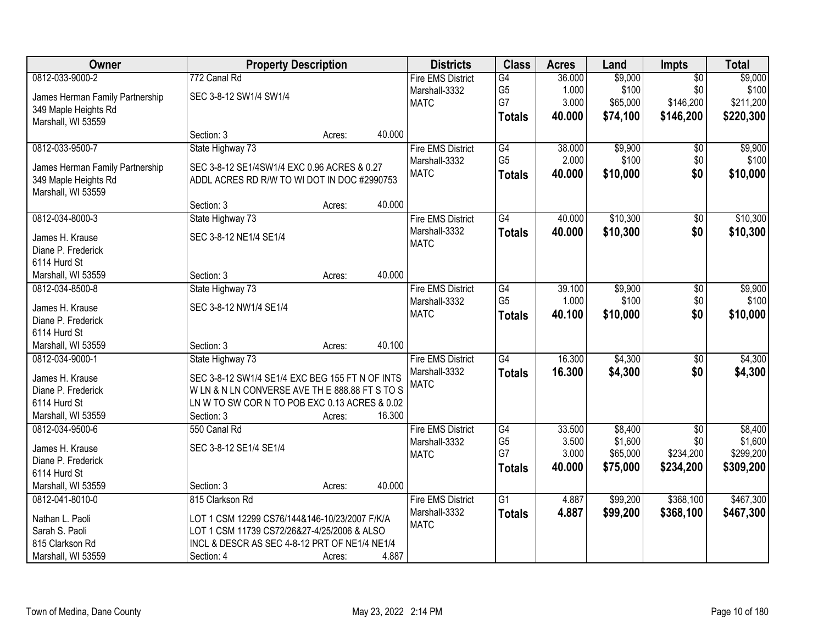| Owner                                      | <b>Property Description</b>                                                                |        |        | <b>Districts</b>         | <b>Class</b>         | <b>Acres</b>   | Land                | <b>Impts</b>     | <b>Total</b>         |
|--------------------------------------------|--------------------------------------------------------------------------------------------|--------|--------|--------------------------|----------------------|----------------|---------------------|------------------|----------------------|
| 0812-033-9000-2                            | 772 Canal Rd                                                                               |        |        | <b>Fire EMS District</b> | $\overline{G4}$      | 36.000         | \$9,000             | $\overline{50}$  | \$9,000              |
| James Herman Family Partnership            | SEC 3-8-12 SW1/4 SW1/4                                                                     |        |        | Marshall-3332            | G <sub>5</sub>       | 1.000          | \$100               | \$0              | \$100                |
| 349 Maple Heights Rd                       |                                                                                            |        |        | <b>MATC</b>              | G7                   | 3.000          | \$65,000            | \$146,200        | \$211,200            |
| Marshall, WI 53559                         |                                                                                            |        |        |                          | <b>Totals</b>        | 40.000         | \$74,100            | \$146,200        | \$220,300            |
|                                            | Section: 3                                                                                 | Acres: | 40.000 |                          |                      |                |                     |                  |                      |
| 0812-033-9500-7                            | State Highway 73                                                                           |        |        | <b>Fire EMS District</b> | G4                   | 38.000         | \$9,900             | \$0              | \$9,900              |
|                                            |                                                                                            |        |        | Marshall-3332            | G <sub>5</sub>       | 2.000          | \$100               | \$0              | \$100                |
| James Herman Family Partnership            | SEC 3-8-12 SE1/4SW1/4 EXC 0.96 ACRES & 0.27<br>ADDL ACRES RD R/W TO WI DOT IN DOC #2990753 |        |        | <b>MATC</b>              | <b>Totals</b>        | 40.000         | \$10,000            | \$0              | \$10,000             |
| 349 Maple Heights Rd<br>Marshall, WI 53559 |                                                                                            |        |        |                          |                      |                |                     |                  |                      |
|                                            | Section: 3                                                                                 | Acres: | 40.000 |                          |                      |                |                     |                  |                      |
| 0812-034-8000-3                            | State Highway 73                                                                           |        |        | <b>Fire EMS District</b> | $\overline{G4}$      | 40.000         | \$10,300            | $\sqrt[6]{}$     | \$10,300             |
|                                            |                                                                                            |        |        | Marshall-3332            |                      | 40.000         | \$10,300            | \$0              | \$10,300             |
| James H. Krause                            | SEC 3-8-12 NE1/4 SE1/4                                                                     |        |        | <b>MATC</b>              | <b>Totals</b>        |                |                     |                  |                      |
| Diane P. Frederick                         |                                                                                            |        |        |                          |                      |                |                     |                  |                      |
| 6114 Hurd St                               |                                                                                            |        |        |                          |                      |                |                     |                  |                      |
| Marshall, WI 53559                         | Section: 3                                                                                 | Acres: | 40.000 |                          |                      |                |                     |                  |                      |
| 0812-034-8500-8                            | State Highway 73                                                                           |        |        | <b>Fire EMS District</b> | G4                   | 39.100         | \$9,900             | \$0              | \$9,900              |
| James H. Krause                            | SEC 3-8-12 NW1/4 SE1/4                                                                     |        |        | Marshall-3332            | G <sub>5</sub>       | 1.000          | \$100               | \$0              | \$100                |
| Diane P. Frederick                         |                                                                                            |        |        | <b>MATC</b>              | <b>Totals</b>        | 40.100         | \$10,000            | \$0              | \$10,000             |
| 6114 Hurd St                               |                                                                                            |        |        |                          |                      |                |                     |                  |                      |
| Marshall, WI 53559                         | Section: 3                                                                                 | Acres: | 40.100 |                          |                      |                |                     |                  |                      |
| 0812-034-9000-1                            | State Highway 73                                                                           |        |        | <b>Fire EMS District</b> | $\overline{G4}$      | 16.300         | \$4,300             | \$0              | \$4,300              |
|                                            |                                                                                            |        |        | Marshall-3332            | <b>Totals</b>        | 16,300         | \$4,300             | \$0              | \$4,300              |
| James H. Krause                            | SEC 3-8-12 SW1/4 SE1/4 EXC BEG 155 FT N OF INTS                                            |        |        | <b>MATC</b>              |                      |                |                     |                  |                      |
| Diane P. Frederick                         | WLN & NLN CONVERSE AVE TH E 888.88 FT S TO S                                               |        |        |                          |                      |                |                     |                  |                      |
| 6114 Hurd St                               | LN W TO SW COR N TO POB EXC 0.13 ACRES & 0.02                                              |        |        |                          |                      |                |                     |                  |                      |
| Marshall, WI 53559                         | Section: 3                                                                                 | Acres: | 16.300 |                          |                      |                |                     |                  |                      |
| 0812-034-9500-6                            | 550 Canal Rd                                                                               |        |        | <b>Fire EMS District</b> | G4                   | 33.500         | \$8,400             | $\overline{50}$  | \$8,400              |
| James H. Krause                            | SEC 3-8-12 SE1/4 SE1/4                                                                     |        |        | Marshall-3332            | G <sub>5</sub><br>G7 | 3.500<br>3.000 | \$1,600<br>\$65,000 | \$0<br>\$234,200 | \$1,600<br>\$299,200 |
| Diane P. Frederick                         |                                                                                            |        |        | <b>MATC</b>              |                      |                |                     |                  |                      |
| 6114 Hurd St                               |                                                                                            |        |        |                          | <b>Totals</b>        | 40.000         | \$75,000            | \$234,200        | \$309,200            |
| Marshall, WI 53559                         | Section: 3                                                                                 | Acres: | 40.000 |                          |                      |                |                     |                  |                      |
| 0812-041-8010-0                            | 815 Clarkson Rd                                                                            |        |        | <b>Fire EMS District</b> | G1                   | 4.887          | \$99,200            | \$368,100        | \$467,300            |
| Nathan L. Paoli                            | LOT 1 CSM 12299 CS76/144&146-10/23/2007 F/K/A                                              |        |        | Marshall-3332            | <b>Totals</b>        | 4.887          | \$99,200            | \$368,100        | \$467,300            |
| Sarah S. Paoli                             | LOT 1 CSM 11739 CS72/26&27-4/25/2006 & ALSO                                                |        |        | <b>MATC</b>              |                      |                |                     |                  |                      |
| 815 Clarkson Rd                            | INCL & DESCR AS SEC 4-8-12 PRT OF NE1/4 NE1/4                                              |        |        |                          |                      |                |                     |                  |                      |
|                                            |                                                                                            |        |        |                          |                      |                |                     |                  |                      |
| Marshall, WI 53559                         | Section: 4                                                                                 | Acres: | 4.887  |                          |                      |                |                     |                  |                      |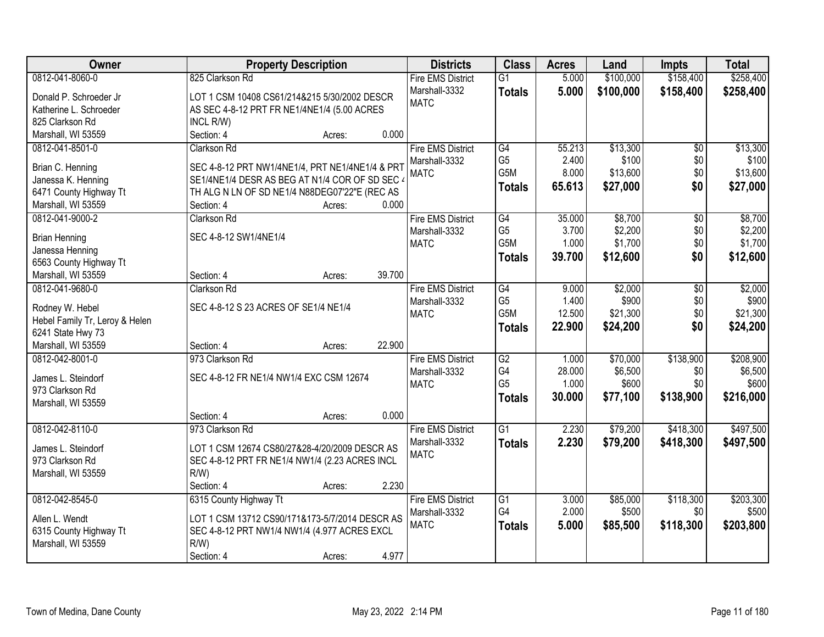| Owner                          | <b>Property Description</b>                     | <b>Districts</b>         | <b>Class</b>     | <b>Acres</b> | Land      | <b>Impts</b>    | <b>Total</b> |
|--------------------------------|-------------------------------------------------|--------------------------|------------------|--------------|-----------|-----------------|--------------|
| 0812-041-8060-0                | 825 Clarkson Rd                                 | <b>Fire EMS District</b> | $\overline{G1}$  | 5.000        | \$100,000 | \$158,400       | \$258,400    |
| Donald P. Schroeder Jr         | LOT 1 CSM 10408 CS61/214&215 5/30/2002 DESCR    | Marshall-3332            | <b>Totals</b>    | 5.000        | \$100,000 | \$158,400       | \$258,400    |
| Katherine L. Schroeder         | AS SEC 4-8-12 PRT FR NE1/4NE1/4 (5.00 ACRES     | <b>MATC</b>              |                  |              |           |                 |              |
| 825 Clarkson Rd                | INCL R/W)                                       |                          |                  |              |           |                 |              |
| Marshall, WI 53559             | 0.000<br>Section: 4<br>Acres:                   |                          |                  |              |           |                 |              |
| 0812-041-8501-0                | <b>Clarkson Rd</b>                              | <b>Fire EMS District</b> | G4               | 55.213       | \$13,300  | $\overline{50}$ | \$13,300     |
|                                |                                                 | Marshall-3332            | G <sub>5</sub>   | 2.400        | \$100     | \$0             | \$100        |
| Brian C. Henning               | SEC 4-8-12 PRT NW1/4NE1/4, PRT NE1/4NE1/4 & PRT | <b>MATC</b>              | G <sub>5</sub> M | 8.000        | \$13,600  | \$0             | \$13,600     |
| Janessa K. Henning             | SE1/4NE1/4 DESR AS BEG AT N1/4 COR OF SD SEC 4  |                          |                  | 65.613       | \$27,000  | \$0             | \$27,000     |
| 6471 County Highway Tt         | TH ALG N LN OF SD NE1/4 N88DEG07'22"E (REC AS   |                          | <b>Totals</b>    |              |           |                 |              |
| Marshall, WI 53559             | 0.000<br>Section: 4<br>Acres:                   |                          |                  |              |           |                 |              |
| 0812-041-9000-2                | Clarkson Rd                                     | <b>Fire EMS District</b> | G4               | 35.000       | \$8,700   | \$0             | \$8,700      |
|                                | SEC 4-8-12 SW1/4NE1/4                           | Marshall-3332            | G <sub>5</sub>   | 3.700        | \$2,200   | \$0             | \$2,200      |
| <b>Brian Henning</b>           |                                                 | <b>MATC</b>              | G5M              | 1.000        | \$1,700   | \$0             | \$1,700      |
| Janessa Henning                |                                                 |                          | <b>Totals</b>    | 39.700       | \$12,600  | \$0             | \$12,600     |
| 6563 County Highway Tt         | 39.700<br>Section: 4                            |                          |                  |              |           |                 |              |
| Marshall, WI 53559             | Acres:                                          |                          |                  |              |           |                 |              |
| 0812-041-9680-0                | Clarkson Rd                                     | <b>Fire EMS District</b> | G4               | 9.000        | \$2,000   | \$0             | \$2,000      |
| Rodney W. Hebel                | SEC 4-8-12 S 23 ACRES OF SE1/4 NE1/4            | Marshall-3332            | G <sub>5</sub>   | 1.400        | \$900     | \$0             | \$900        |
| Hebel Family Tr, Leroy & Helen |                                                 | <b>MATC</b>              | G5M              | 12.500       | \$21,300  | \$0             | \$21,300     |
| 6241 State Hwy 73              |                                                 |                          | <b>Totals</b>    | 22.900       | \$24,200  | \$0             | \$24,200     |
| Marshall, WI 53559             | 22.900<br>Section: 4<br>Acres:                  |                          |                  |              |           |                 |              |
| 0812-042-8001-0                | 973 Clarkson Rd                                 | <b>Fire EMS District</b> | $\overline{G2}$  | 1.000        | \$70,000  | \$138,900       | \$208,900    |
|                                |                                                 | Marshall-3332            | G4               | 28.000       | \$6,500   | \$0             | \$6,500      |
| James L. Steindorf             | SEC 4-8-12 FR NE1/4 NW1/4 EXC CSM 12674         | <b>MATC</b>              | G <sub>5</sub>   | 1.000        | \$600     | \$0             | \$600        |
| 973 Clarkson Rd                |                                                 |                          | <b>Totals</b>    | 30.000       | \$77,100  | \$138,900       | \$216,000    |
| Marshall, WI 53559             | Section: 4<br>0.000                             |                          |                  |              |           |                 |              |
|                                | Acres:                                          |                          | $\overline{G1}$  |              |           |                 |              |
| 0812-042-8110-0                | 973 Clarkson Rd                                 | <b>Fire EMS District</b> |                  | 2.230        | \$79,200  | \$418,300       | \$497,500    |
| James L. Steindorf             | LOT 1 CSM 12674 CS80/27&28-4/20/2009 DESCR AS   | Marshall-3332            | <b>Totals</b>    | 2.230        | \$79,200  | \$418,300       | \$497,500    |
| 973 Clarkson Rd                | SEC 4-8-12 PRT FR NE1/4 NW1/4 (2.23 ACRES INCL  | <b>MATC</b>              |                  |              |           |                 |              |
| Marshall, WI 53559             | $R/W$ )                                         |                          |                  |              |           |                 |              |
|                                | 2.230<br>Section: 4<br>Acres:                   |                          |                  |              |           |                 |              |
| 0812-042-8545-0                | 6315 County Highway Tt                          | <b>Fire EMS District</b> | G1               | 3.000        | \$85,000  | \$118,300       | \$203,300    |
| Allen L. Wendt                 | LOT 1 CSM 13712 CS90/171&173-5/7/2014 DESCR AS  | Marshall-3332            | G4               | 2.000        | \$500     | \$0             | \$500        |
| 6315 County Highway Tt         | SEC 4-8-12 PRT NW1/4 NW1/4 (4.977 ACRES EXCL    | <b>MATC</b>              | <b>Totals</b>    | 5.000        | \$85,500  | \$118,300       | \$203,800    |
| Marshall, WI 53559             | $R/W$ )                                         |                          |                  |              |           |                 |              |
|                                | 4.977<br>Section: 4<br>Acres:                   |                          |                  |              |           |                 |              |
|                                |                                                 |                          |                  |              |           |                 |              |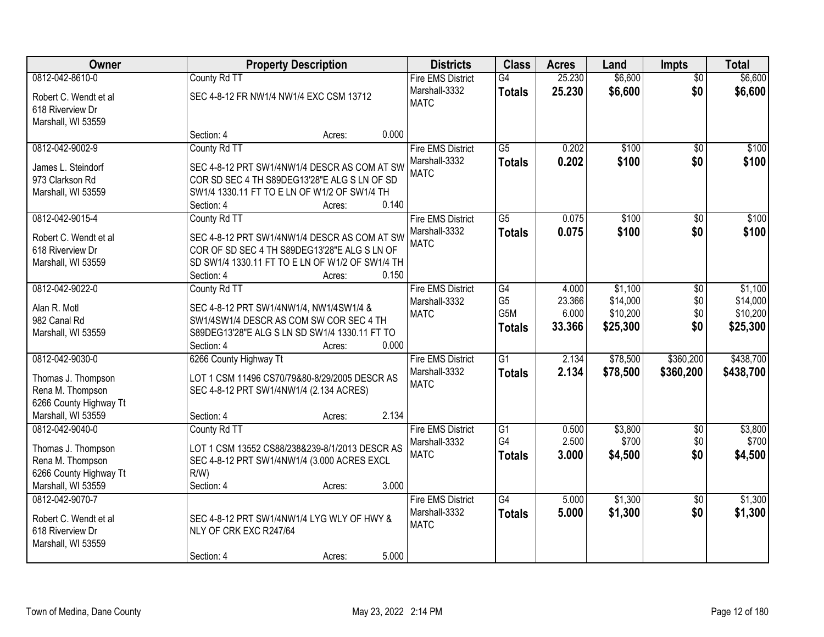| Owner                  |                                         | <b>Property Description</b>                                                                  |       | <b>Districts</b>         | <b>Class</b>    | <b>Acres</b> | Land     | <b>Impts</b>    | <b>Total</b> |
|------------------------|-----------------------------------------|----------------------------------------------------------------------------------------------|-------|--------------------------|-----------------|--------------|----------|-----------------|--------------|
| 0812-042-8610-0        | County Rd TT                            |                                                                                              |       | <b>Fire EMS District</b> | G4              | 25.230       | \$6,600  | $\overline{50}$ | \$6,600      |
| Robert C. Wendt et al  | SEC 4-8-12 FR NW1/4 NW1/4 EXC CSM 13712 |                                                                                              |       | Marshall-3332            | <b>Totals</b>   | 25.230       | \$6,600  | \$0             | \$6,600      |
| 618 Riverview Dr       |                                         |                                                                                              |       | <b>MATC</b>              |                 |              |          |                 |              |
| Marshall, WI 53559     |                                         |                                                                                              |       |                          |                 |              |          |                 |              |
|                        | Section: 4                              | Acres:                                                                                       | 0.000 |                          |                 |              |          |                 |              |
| 0812-042-9002-9        | County Rd TT                            |                                                                                              |       | <b>Fire EMS District</b> | $\overline{G5}$ | 0.202        | \$100    | $\overline{50}$ | \$100        |
| James L. Steindorf     |                                         | SEC 4-8-12 PRT SW1/4NW1/4 DESCR AS COM AT SW                                                 |       | Marshall-3332            | <b>Totals</b>   | 0.202        | \$100    | \$0             | \$100        |
| 973 Clarkson Rd        |                                         | COR SD SEC 4 TH S89DEG13'28"E ALG S LN OF SD                                                 |       | <b>MATC</b>              |                 |              |          |                 |              |
| Marshall, WI 53559     |                                         | SW1/4 1330.11 FT TO E LN OF W1/2 OF SW1/4 TH                                                 |       |                          |                 |              |          |                 |              |
|                        | Section: 4                              | Acres:                                                                                       | 0.140 |                          |                 |              |          |                 |              |
| 0812-042-9015-4        | County Rd TT                            |                                                                                              |       | <b>Fire EMS District</b> | G5              | 0.075        | \$100    | \$0             | \$100        |
|                        |                                         |                                                                                              |       | Marshall-3332            | <b>Totals</b>   | 0.075        | \$100    | \$0             | \$100        |
| Robert C. Wendt et al. |                                         | SEC 4-8-12 PRT SW1/4NW1/4 DESCR AS COM AT SW<br>COR OF SD SEC 4 TH S89DEG13'28"E ALG S LN OF |       | <b>MATC</b>              |                 |              |          |                 |              |
| 618 Riverview Dr       |                                         | SD SW1/4 1330.11 FT TO E LN OF W1/2 OF SW1/4 TH                                              |       |                          |                 |              |          |                 |              |
| Marshall, WI 53559     | Section: 4                              | Acres:                                                                                       | 0.150 |                          |                 |              |          |                 |              |
| 0812-042-9022-0        | County Rd TT                            |                                                                                              |       | <b>Fire EMS District</b> | G4              | 4.000        | \$1,100  | $\sqrt[6]{3}$   | \$1,100      |
|                        |                                         |                                                                                              |       | Marshall-3332            | G <sub>5</sub>  | 23.366       | \$14,000 | \$0             | \$14,000     |
| Alan R. Motl           | SEC 4-8-12 PRT SW1/4NW1/4, NW1/4SW1/4 & |                                                                                              |       | <b>MATC</b>              | G5M             | 6.000        | \$10,200 | \$0             | \$10,200     |
| 982 Canal Rd           |                                         | SW1/4SW1/4 DESCR AS COM SW COR SEC 4 TH                                                      |       |                          | <b>Totals</b>   | 33.366       | \$25,300 | \$0             | \$25,300     |
| Marshall, WI 53559     |                                         | S89DEG13'28"E ALG S LN SD SW1/4 1330.11 FT TO                                                |       |                          |                 |              |          |                 |              |
|                        | Section: 4                              | Acres:                                                                                       | 0.000 |                          |                 |              |          |                 |              |
| 0812-042-9030-0        | 6266 County Highway Tt                  |                                                                                              |       | <b>Fire EMS District</b> | $\overline{G1}$ | 2.134        | \$78,500 | \$360,200       | \$438,700    |
| Thomas J. Thompson     |                                         | LOT 1 CSM 11496 CS70/79&80-8/29/2005 DESCR AS                                                |       | Marshall-3332            | <b>Totals</b>   | 2.134        | \$78,500 | \$360,200       | \$438,700    |
| Rena M. Thompson       | SEC 4-8-12 PRT SW1/4NW1/4 (2.134 ACRES) |                                                                                              |       | <b>MATC</b>              |                 |              |          |                 |              |
| 6266 County Highway Tt |                                         |                                                                                              |       |                          |                 |              |          |                 |              |
| Marshall, WI 53559     | Section: 4                              | Acres:                                                                                       | 2.134 |                          |                 |              |          |                 |              |
| 0812-042-9040-0        | County Rd TT                            |                                                                                              |       | <b>Fire EMS District</b> | $\overline{G1}$ | 0.500        | \$3,800  | $\overline{50}$ | \$3,800      |
| Thomas J. Thompson     |                                         | LOT 1 CSM 13552 CS88/238&239-8/1/2013 DESCR AS                                               |       | Marshall-3332            | G4              | 2.500        | \$700    | \$0             | \$700        |
| Rena M. Thompson       |                                         | SEC 4-8-12 PRT SW1/4NW1/4 (3.000 ACRES EXCL                                                  |       | <b>MATC</b>              | <b>Totals</b>   | 3.000        | \$4,500  | \$0             | \$4,500      |
| 6266 County Highway Tt | $R/W$ )                                 |                                                                                              |       |                          |                 |              |          |                 |              |
| Marshall, WI 53559     | Section: 4                              | Acres:                                                                                       | 3.000 |                          |                 |              |          |                 |              |
| 0812-042-9070-7        |                                         |                                                                                              |       | <b>Fire EMS District</b> | $\overline{G4}$ | 5.000        | \$1,300  | $\overline{50}$ | \$1,300      |
| Robert C. Wendt et al  |                                         | SEC 4-8-12 PRT SW1/4NW1/4 LYG WLY OF HWY &                                                   |       | Marshall-3332            | <b>Totals</b>   | 5.000        | \$1,300  | \$0             | \$1,300      |
| 618 Riverview Dr       | NLY OF CRK EXC R247/64                  |                                                                                              |       | <b>MATC</b>              |                 |              |          |                 |              |
| Marshall, WI 53559     |                                         |                                                                                              |       |                          |                 |              |          |                 |              |
|                        | Section: 4                              | Acres:                                                                                       | 5.000 |                          |                 |              |          |                 |              |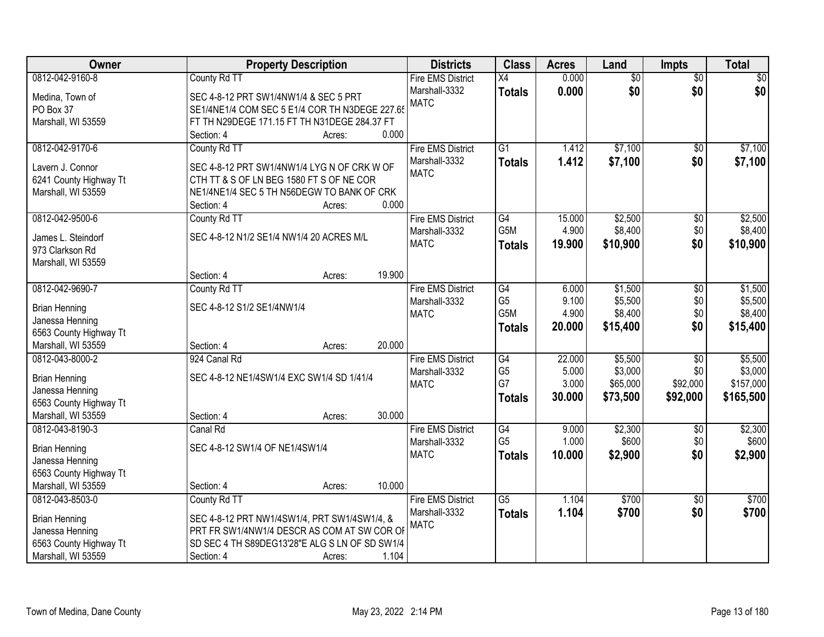| Owner                                        | <b>Property Description</b>                                                             |                  | <b>Districts</b>         | <b>Class</b>     | <b>Acres</b> | Land            | <b>Impts</b>    | <b>Total</b> |
|----------------------------------------------|-----------------------------------------------------------------------------------------|------------------|--------------------------|------------------|--------------|-----------------|-----------------|--------------|
| 0812-042-9160-8                              | County Rd TT                                                                            |                  | <b>Fire EMS District</b> | $\overline{X4}$  | 0.000        | $\overline{50}$ | $\overline{50}$ | $\sqrt{50}$  |
| Medina, Town of                              | SEC 4-8-12 PRT SW1/4NW1/4 & SEC 5 PRT                                                   |                  | Marshall-3332            | <b>Totals</b>    | 0.000        | \$0             | \$0             | \$0          |
| PO Box 37                                    | SE1/4NE1/4 COM SEC 5 E1/4 COR TH N3DEGE 227.65                                          |                  | <b>MATC</b>              |                  |              |                 |                 |              |
| Marshall, WI 53559                           | FT TH N29DEGE 171.15 FT TH N31DEGE 284.37 FT                                            |                  |                          |                  |              |                 |                 |              |
|                                              | Section: 4                                                                              | 0.000<br>Acres:  |                          |                  |              |                 |                 |              |
| 0812-042-9170-6                              | County Rd TT                                                                            |                  | <b>Fire EMS District</b> | $\overline{G1}$  | 1.412        | \$7,100         | $\overline{50}$ | \$7,100      |
|                                              |                                                                                         |                  | Marshall-3332            | <b>Totals</b>    | 1.412        | \$7,100         | \$0             | \$7,100      |
| Lavern J. Connor                             | SEC 4-8-12 PRT SW1/4NW1/4 LYG N OF CRK W OF<br>CTH TT & S OF LN BEG 1580 FT S OF NE COR |                  | <b>MATC</b>              |                  |              |                 |                 |              |
| 6241 County Highway Tt<br>Marshall, WI 53559 | NE1/4NE1/4 SEC 5 TH N56DEGW TO BANK OF CRK                                              |                  |                          |                  |              |                 |                 |              |
|                                              | Section: 4                                                                              | 0.000<br>Acres:  |                          |                  |              |                 |                 |              |
| 0812-042-9500-6                              | County Rd TT                                                                            |                  | <b>Fire EMS District</b> | G4               | 15.000       | \$2,500         | $\overline{50}$ | \$2,500      |
|                                              |                                                                                         |                  | Marshall-3332            | G <sub>5</sub> M | 4.900        | \$8,400         | \$0             | \$8,400      |
| James L. Steindorf                           | SEC 4-8-12 N1/2 SE1/4 NW1/4 20 ACRES M/L                                                |                  | <b>MATC</b>              | <b>Totals</b>    | 19.900       | \$10,900        | \$0             | \$10,900     |
| 973 Clarkson Rd                              |                                                                                         |                  |                          |                  |              |                 |                 |              |
| Marshall, WI 53559                           |                                                                                         |                  |                          |                  |              |                 |                 |              |
|                                              | Section: 4                                                                              | 19.900<br>Acres: |                          |                  |              |                 |                 |              |
| 0812-042-9690-7                              | County Rd TT                                                                            |                  | <b>Fire EMS District</b> | $\overline{G4}$  | 6.000        | \$1,500         | \$0             | \$1,500      |
| <b>Brian Henning</b>                         | SEC 4-8-12 S1/2 SE1/4NW1/4                                                              |                  | Marshall-3332            | G <sub>5</sub>   | 9.100        | \$5,500         | \$0             | \$5,500      |
| Janessa Henning                              |                                                                                         |                  | <b>MATC</b>              | G <sub>5</sub> M | 4.900        | \$8,400         | \$0             | \$8,400      |
| 6563 County Highway Tt                       |                                                                                         |                  |                          | <b>Totals</b>    | 20.000       | \$15,400        | \$0             | \$15,400     |
| Marshall, WI 53559                           | Section: 4                                                                              | 20.000<br>Acres: |                          |                  |              |                 |                 |              |
| 0812-043-8000-2                              | 924 Canal Rd                                                                            |                  | <b>Fire EMS District</b> | G4               | 22.000       | \$5,500         | $\overline{30}$ | \$5,500      |
|                                              |                                                                                         |                  | Marshall-3332            | G <sub>5</sub>   | 5.000        | \$3,000         | \$0             | \$3,000      |
| <b>Brian Henning</b>                         | SEC 4-8-12 NE1/4SW1/4 EXC SW1/4 SD 1/41/4                                               |                  | <b>MATC</b>              | G7               | 3.000        | \$65,000        | \$92,000        | \$157,000    |
| Janessa Henning<br>6563 County Highway Tt    |                                                                                         |                  |                          | <b>Totals</b>    | 30.000       | \$73,500        | \$92,000        | \$165,500    |
| Marshall, WI 53559                           | Section: 4                                                                              | 30.000<br>Acres: |                          |                  |              |                 |                 |              |
| 0812-043-8190-3                              | Canal Rd                                                                                |                  | <b>Fire EMS District</b> | $\overline{G4}$  | 9.000        | \$2,300         | $\overline{60}$ | \$2,300      |
|                                              |                                                                                         |                  | Marshall-3332            | G <sub>5</sub>   | 1.000        | \$600           | \$0             | \$600        |
| <b>Brian Henning</b>                         | SEC 4-8-12 SW1/4 OF NE1/4SW1/4                                                          |                  | <b>MATC</b>              | <b>Totals</b>    | 10.000       | \$2,900         | \$0             | \$2,900      |
| Janessa Henning                              |                                                                                         |                  |                          |                  |              |                 |                 |              |
| 6563 County Highway Tt                       |                                                                                         |                  |                          |                  |              |                 |                 |              |
| Marshall, WI 53559                           | Section: 4                                                                              | 10.000<br>Acres: |                          |                  |              |                 |                 |              |
| 0812-043-8503-0                              | County Rd TT                                                                            |                  | <b>Fire EMS District</b> | $\overline{G5}$  | 1.104        | \$700           | $\overline{50}$ | \$700        |
| <b>Brian Henning</b>                         | SEC 4-8-12 PRT NW1/4SW1/4, PRT SW1/4SW1/4, &                                            |                  | Marshall-3332            | <b>Totals</b>    | 1.104        | \$700           | \$0             | \$700        |
| Janessa Henning                              | PRT FR SW1/4NW1/4 DESCR AS COM AT SW COR OF                                             |                  | <b>MATC</b>              |                  |              |                 |                 |              |
| 6563 County Highway Tt                       | SD SEC 4 TH S89DEG13'28"E ALG S LN OF SD SW1/4                                          |                  |                          |                  |              |                 |                 |              |
| Marshall, WI 53559                           | Section: 4                                                                              | 1.104<br>Acres:  |                          |                  |              |                 |                 |              |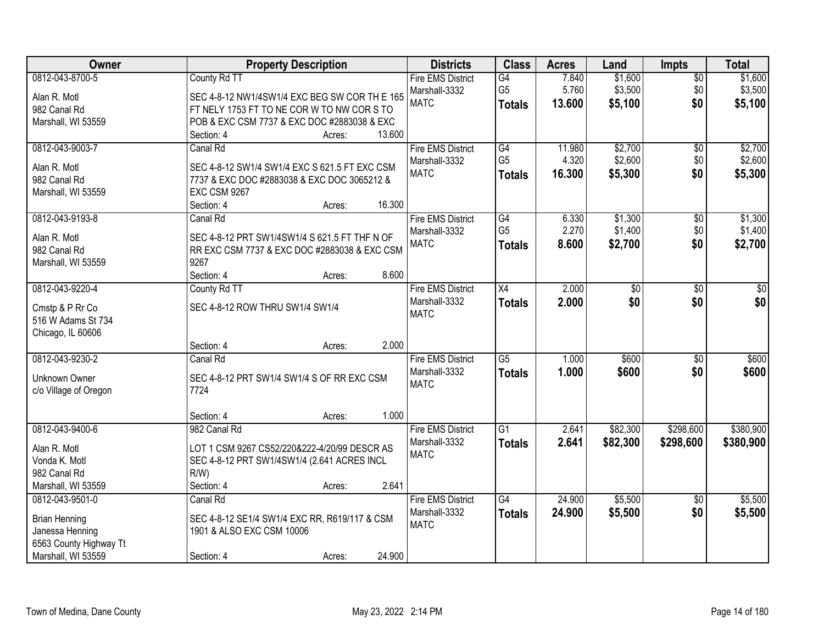| Owner                  | <b>Property Description</b>                   |        |        | <b>Districts</b>         | <b>Class</b>    | <b>Acres</b> | Land     | <b>Impts</b>    | <b>Total</b> |
|------------------------|-----------------------------------------------|--------|--------|--------------------------|-----------------|--------------|----------|-----------------|--------------|
| 0812-043-8700-5        | County Rd TT                                  |        |        | <b>Fire EMS District</b> | G4              | 7.840        | \$1,600  | $\overline{50}$ | \$1,600      |
| Alan R. Motl           | SEC 4-8-12 NW1/4SW1/4 EXC BEG SW COR TH E 165 |        |        | Marshall-3332            | G <sub>5</sub>  | 5.760        | \$3,500  | \$0             | \$3,500      |
| 982 Canal Rd           | FT NELY 1753 FT TO NE COR W TO NW COR S TO    |        |        | <b>MATC</b>              | <b>Totals</b>   | 13.600       | \$5,100  | \$0             | \$5,100      |
| Marshall, WI 53559     | POB & EXC CSM 7737 & EXC DOC #2883038 & EXC   |        |        |                          |                 |              |          |                 |              |
|                        | Section: 4                                    | Acres: | 13.600 |                          |                 |              |          |                 |              |
| 0812-043-9003-7        | Canal Rd                                      |        |        | <b>Fire EMS District</b> | G4              | 11.980       | \$2,700  | \$0             | \$2,700      |
| Alan R. Motl           | SEC 4-8-12 SW1/4 SW1/4 EXC S 621.5 FT EXC CSM |        |        | Marshall-3332            | G <sub>5</sub>  | 4.320        | \$2,600  | \$0             | \$2,600      |
| 982 Canal Rd           | 7737 & EXC DOC #2883038 & EXC DOC 3065212 &   |        |        | <b>MATC</b>              | <b>Totals</b>   | 16.300       | \$5,300  | \$0             | \$5,300      |
| Marshall, WI 53559     | <b>EXC CSM 9267</b>                           |        |        |                          |                 |              |          |                 |              |
|                        | Section: 4                                    | Acres: | 16.300 |                          |                 |              |          |                 |              |
| 0812-043-9193-8        | Canal Rd                                      |        |        | <b>Fire EMS District</b> | G4              | 6.330        | \$1,300  | \$0             | \$1,300      |
|                        |                                               |        |        | Marshall-3332            | G <sub>5</sub>  | 2.270        | \$1,400  | \$0             | \$1,400      |
| Alan R. Motl           | SEC 4-8-12 PRT SW1/4SW1/4 S 621.5 FT THF N OF |        |        | <b>MATC</b>              | <b>Totals</b>   | 8.600        | \$2,700  | \$0             | \$2,700      |
| 982 Canal Rd           | RR EXC CSM 7737 & EXC DOC #2883038 & EXC CSM  |        |        |                          |                 |              |          |                 |              |
| Marshall, WI 53559     | 9267<br>Section: 4                            | Acres: | 8.600  |                          |                 |              |          |                 |              |
| 0812-043-9220-4        | County Rd TT                                  |        |        | <b>Fire EMS District</b> | $\overline{X4}$ | 2.000        | \$0      | \$0             | \$0          |
|                        |                                               |        |        | Marshall-3332            | <b>Totals</b>   | 2.000        | \$0      | \$0             | \$0          |
| Cmstp & P Rr Co        | SEC 4-8-12 ROW THRU SW1/4 SW1/4               |        |        | <b>MATC</b>              |                 |              |          |                 |              |
| 516 W Adams St 734     |                                               |        |        |                          |                 |              |          |                 |              |
| Chicago, IL 60606      |                                               |        |        |                          |                 |              |          |                 |              |
|                        | Section: 4                                    | Acres: | 2.000  |                          |                 |              |          |                 |              |
| 0812-043-9230-2        | Canal Rd                                      |        |        | <b>Fire EMS District</b> | $\overline{G5}$ | 1.000        | \$600    | $\overline{30}$ | \$600        |
| Unknown Owner          | SEC 4-8-12 PRT SW1/4 SW1/4 S OF RR EXC CSM    |        |        | Marshall-3332            | <b>Totals</b>   | 1.000        | \$600    | \$0             | \$600        |
| c/o Village of Oregon  | 7724                                          |        |        | <b>MATC</b>              |                 |              |          |                 |              |
|                        |                                               |        |        |                          |                 |              |          |                 |              |
|                        | Section: 4                                    | Acres: | 1.000  |                          |                 |              |          |                 |              |
| 0812-043-9400-6        | 982 Canal Rd                                  |        |        | <b>Fire EMS District</b> | $\overline{G1}$ | 2.641        | \$82,300 | \$298,600       | \$380,900    |
| Alan R. Motl           | LOT 1 CSM 9267 CS52/220&222-4/20/99 DESCR AS  |        |        | Marshall-3332            | <b>Totals</b>   | 2.641        | \$82,300 | \$298,600       | \$380,900    |
| Vonda K. Motl          | SEC 4-8-12 PRT SW1/4SW1/4 (2.641 ACRES INCL   |        |        | <b>MATC</b>              |                 |              |          |                 |              |
| 982 Canal Rd           | $R/W$ )                                       |        |        |                          |                 |              |          |                 |              |
| Marshall, WI 53559     | Section: 4                                    | Acres: | 2.641  |                          |                 |              |          |                 |              |
| 0812-043-9501-0        | Canal Rd                                      |        |        | <b>Fire EMS District</b> | $\overline{G4}$ | 24.900       | \$5,500  | $\overline{30}$ | \$5,500      |
| <b>Brian Henning</b>   | SEC 4-8-12 SE1/4 SW1/4 EXC RR, R619/117 & CSM |        |        | Marshall-3332            | <b>Totals</b>   | 24.900       | \$5,500  | \$0             | \$5,500      |
| Janessa Henning        | 1901 & ALSO EXC CSM 10006                     |        |        | <b>MATC</b>              |                 |              |          |                 |              |
| 6563 County Highway Tt |                                               |        |        |                          |                 |              |          |                 |              |
| Marshall, WI 53559     | Section: 4                                    | Acres: | 24.900 |                          |                 |              |          |                 |              |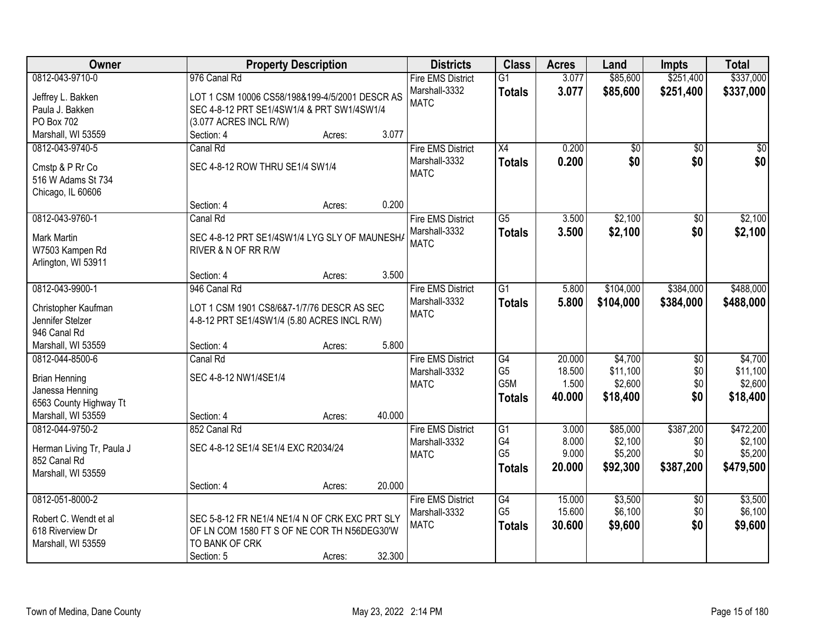| Owner                     | <b>Property Description</b>                    |        |        | <b>Districts</b>             | <b>Class</b>          | <b>Acres</b>   | Land               | <b>Impts</b>    | <b>Total</b>       |
|---------------------------|------------------------------------------------|--------|--------|------------------------------|-----------------------|----------------|--------------------|-----------------|--------------------|
| 0812-043-9710-0           | 976 Canal Rd                                   |        |        | <b>Fire EMS District</b>     | $\overline{G1}$       | 3.077          | \$85,600           | \$251,400       | \$337,000          |
| Jeffrey L. Bakken         | LOT 1 CSM 10006 CS58/198&199-4/5/2001 DESCR AS |        |        | Marshall-3332                | <b>Totals</b>         | 3.077          | \$85,600           | \$251,400       | \$337,000          |
| Paula J. Bakken           | SEC 4-8-12 PRT SE1/4SW1/4 & PRT SW1/4SW1/4     |        |        | <b>MATC</b>                  |                       |                |                    |                 |                    |
| PO Box 702                | (3.077 ACRES INCL R/W)                         |        |        |                              |                       |                |                    |                 |                    |
| Marshall, WI 53559        | Section: 4                                     | Acres: | 3.077  |                              |                       |                |                    |                 |                    |
| 0812-043-9740-5           | Canal Rd                                       |        |        | <b>Fire EMS District</b>     | $\overline{X4}$       | 0.200          | $\overline{50}$    | $\overline{50}$ | $\sqrt{50}$        |
|                           |                                                |        |        | Marshall-3332                | <b>Totals</b>         | 0.200          | \$0                | \$0             | \$0                |
| Cmstp & P Rr Co           | SEC 4-8-12 ROW THRU SE1/4 SW1/4                |        |        | <b>MATC</b>                  |                       |                |                    |                 |                    |
| 516 W Adams St 734        |                                                |        |        |                              |                       |                |                    |                 |                    |
| Chicago, IL 60606         |                                                |        | 0.200  |                              |                       |                |                    |                 |                    |
| 0812-043-9760-1           | Section: 4                                     | Acres: |        |                              |                       |                |                    |                 |                    |
|                           | Canal Rd                                       |        |        | <b>Fire EMS District</b>     | $\overline{G5}$       | 3.500          | \$2,100            | $\overline{50}$ | \$2,100            |
| <b>Mark Martin</b>        | SEC 4-8-12 PRT SE1/4SW1/4 LYG SLY OF MAUNESHA  |        |        | Marshall-3332<br><b>MATC</b> | <b>Totals</b>         | 3.500          | \$2,100            | \$0             | \$2,100            |
| W7503 Kampen Rd           | RIVER & N OF RR R/W                            |        |        |                              |                       |                |                    |                 |                    |
| Arlington, WI 53911       |                                                |        |        |                              |                       |                |                    |                 |                    |
|                           | Section: 4                                     | Acres: | 3.500  |                              |                       |                |                    |                 |                    |
| 0812-043-9900-1           | 946 Canal Rd                                   |        |        | <b>Fire EMS District</b>     | $\overline{G1}$       | 5.800          | \$104,000          | \$384,000       | \$488,000          |
| Christopher Kaufman       | LOT 1 CSM 1901 CS8/6&7-1/7/76 DESCR AS SEC     |        |        | Marshall-3332                | <b>Totals</b>         | 5.800          | \$104,000          | \$384,000       | \$488,000          |
| Jennifer Stelzer          | 4-8-12 PRT SE1/4SW1/4 (5.80 ACRES INCL R/W)    |        |        | <b>MATC</b>                  |                       |                |                    |                 |                    |
| 946 Canal Rd              |                                                |        |        |                              |                       |                |                    |                 |                    |
| Marshall, WI 53559        | Section: 4                                     | Acres: | 5.800  |                              |                       |                |                    |                 |                    |
| 0812-044-8500-6           | Canal Rd                                       |        |        | <b>Fire EMS District</b>     | G4                    | 20.000         | \$4,700            | \$0             | \$4,700            |
|                           |                                                |        |        | Marshall-3332                | G <sub>5</sub>        | 18.500         | \$11,100           | \$0             | \$11,100           |
| <b>Brian Henning</b>      | SEC 4-8-12 NW1/4SE1/4                          |        |        | <b>MATC</b>                  | G <sub>5</sub> M      | 1.500          | \$2,600            | \$0             | \$2,600            |
| Janessa Henning           |                                                |        |        |                              | <b>Totals</b>         | 40.000         | \$18,400           | \$0             | \$18,400           |
| 6563 County Highway Tt    |                                                |        |        |                              |                       |                |                    |                 |                    |
| Marshall, WI 53559        | Section: 4                                     | Acres: | 40.000 |                              |                       |                |                    |                 |                    |
| 0812-044-9750-2           | 852 Canal Rd                                   |        |        | <b>Fire EMS District</b>     | $\overline{G1}$<br>G4 | 3.000<br>8.000 | \$85,000           | \$387,200       | \$472,200          |
| Herman Living Tr, Paula J | SEC 4-8-12 SE1/4 SE1/4 EXC R2034/24            |        |        | Marshall-3332<br><b>MATC</b> | G <sub>5</sub>        | 9.000          | \$2,100<br>\$5,200 | \$0<br>\$0      | \$2,100<br>\$5,200 |
| 852 Canal Rd              |                                                |        |        |                              |                       | 20.000         | \$92,300           | \$387,200       | \$479,500          |
| Marshall, WI 53559        |                                                |        |        |                              | <b>Totals</b>         |                |                    |                 |                    |
|                           | Section: 4                                     | Acres: | 20.000 |                              |                       |                |                    |                 |                    |
| 0812-051-8000-2           |                                                |        |        | <b>Fire EMS District</b>     | G4                    | 15.000         | \$3,500            | $\overline{30}$ | \$3,500            |
| Robert C. Wendt et al     | SEC 5-8-12 FR NE1/4 NE1/4 N OF CRK EXC PRT SLY |        |        | Marshall-3332                | G <sub>5</sub>        | 15.600         | \$6,100            | \$0             | \$6,100            |
| 618 Riverview Dr          | OF LN COM 1580 FT S OF NE COR TH N56DEG30'W    |        |        | <b>MATC</b>                  | <b>Totals</b>         | 30.600         | \$9,600            | \$0             | \$9,600            |
| Marshall, WI 53559        | TO BANK OF CRK                                 |        |        |                              |                       |                |                    |                 |                    |
|                           | Section: 5                                     | Acres: | 32.300 |                              |                       |                |                    |                 |                    |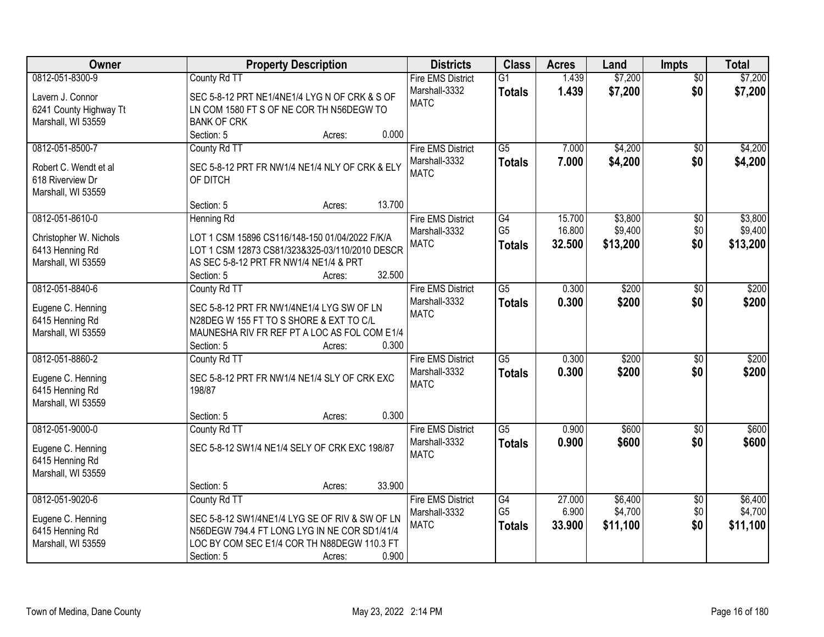| 0812-051-8300-9<br>\$7,200<br>\$7,200<br>County Rd TT<br><b>Fire EMS District</b><br>$\overline{G1}$<br>1.439<br>$\overline{50}$<br>1.439<br>\$7,200<br>\$0<br>Marshall-3332<br>\$7,200<br><b>Totals</b><br>Lavern J. Connor<br>SEC 5-8-12 PRT NE1/4NE1/4 LYG N OF CRK & S OF<br><b>MATC</b><br>6241 County Highway Tt<br>LN COM 1580 FT S OF NE COR TH N56DEGW TO<br>Marshall, WI 53559<br><b>BANK OF CRK</b><br>0.000<br>Section: 5<br>Acres:<br>$\overline{G5}$<br>\$4,200<br>0812-051-8500-7<br>County Rd TT<br><b>Fire EMS District</b><br>7.000<br>$\overline{50}$<br>Marshall-3332<br>7.000<br>\$4,200<br>\$0<br>\$4,200<br><b>Totals</b><br>SEC 5-8-12 PRT FR NW1/4 NE1/4 NLY OF CRK & ELY<br>Robert C. Wendt et al<br><b>MATC</b><br>OF DITCH<br>618 Riverview Dr<br>Marshall, WI 53559<br>13.700<br>Section: 5<br>Acres:<br>0812-051-8610-0<br>\$3,800<br><b>Fire EMS District</b><br>G4<br>15.700<br><b>Henning Rd</b><br>$\sqrt[6]{3}$<br>G <sub>5</sub><br>\$9,400<br>16.800<br>\$0<br>Marshall-3332<br>LOT 1 CSM 15896 CS116/148-150 01/04/2022 F/K/A<br>Christopher W. Nichols<br>\$0<br><b>MATC</b><br>32.500<br>\$13,200<br>\$13,200<br><b>Totals</b><br>LOT 1 CSM 12873 CS81/323&325-03/110/2010 DESCR<br>6413 Henning Rd<br>AS SEC 5-8-12 PRT FR NW1/4 NE1/4 & PRT<br>Marshall, WI 53559<br>32.500<br>Section: 5<br>Acres:<br>0812-051-8840-6<br>$\overline{G5}$<br><b>Fire EMS District</b><br>0.300<br>\$200<br>County Rd TT<br>\$0<br>Marshall-3332<br>0.300<br>\$200<br>\$0<br>\$200<br><b>Totals</b><br>Eugene C. Henning<br>SEC 5-8-12 PRT FR NW1/4NE1/4 LYG SW OF LN<br><b>MATC</b><br>6415 Henning Rd<br>N28DEG W 155 FT TO S SHORE & EXT TO C/L<br>Marshall, WI 53559<br>MAUNESHA RIV FR REF PT A LOC AS FOL COM E1/4<br>0.300<br>Section: 5<br>Acres:<br>$\overline{G5}$<br>0812-051-8860-2<br>0.300<br>\$200<br>County Rd TT<br><b>Fire EMS District</b><br>\$0<br>0.300<br>\$200<br>\$0<br>Marshall-3332<br><b>Totals</b><br>SEC 5-8-12 PRT FR NW1/4 NE1/4 SLY OF CRK EXC<br>Eugene C. Henning<br><b>MATC</b><br>6415 Henning Rd<br>198/87<br>Marshall, WI 53559<br>0.300<br>Section: 5<br>Acres:<br>$\overline{G5}$<br>\$600<br>0812-051-9000-0<br>County Rd TT<br><b>Fire EMS District</b><br>0.900<br>\$0<br>\$0<br>Marshall-3332<br>0.900<br>\$600<br><b>Totals</b><br>SEC 5-8-12 SW1/4 NE1/4 SELY OF CRK EXC 198/87<br>Eugene C. Henning<br><b>MATC</b><br>6415 Henning Rd<br>Marshall, WI 53559 | Owner | <b>Property Description</b> | <b>Districts</b> | <b>Class</b> | <b>Acres</b> | Land | <b>Impts</b> | <b>Total</b> |
|--------------------------------------------------------------------------------------------------------------------------------------------------------------------------------------------------------------------------------------------------------------------------------------------------------------------------------------------------------------------------------------------------------------------------------------------------------------------------------------------------------------------------------------------------------------------------------------------------------------------------------------------------------------------------------------------------------------------------------------------------------------------------------------------------------------------------------------------------------------------------------------------------------------------------------------------------------------------------------------------------------------------------------------------------------------------------------------------------------------------------------------------------------------------------------------------------------------------------------------------------------------------------------------------------------------------------------------------------------------------------------------------------------------------------------------------------------------------------------------------------------------------------------------------------------------------------------------------------------------------------------------------------------------------------------------------------------------------------------------------------------------------------------------------------------------------------------------------------------------------------------------------------------------------------------------------------------------------------------------------------------------------------------------------------------------------------------------------------------------------------------------------------------------------------------------------------------------------------------------------------------------------------------------------------------------------------------------------------------------------------------------------------------------------------------------|-------|-----------------------------|------------------|--------------|--------------|------|--------------|--------------|
|                                                                                                                                                                                                                                                                                                                                                                                                                                                                                                                                                                                                                                                                                                                                                                                                                                                                                                                                                                                                                                                                                                                                                                                                                                                                                                                                                                                                                                                                                                                                                                                                                                                                                                                                                                                                                                                                                                                                                                                                                                                                                                                                                                                                                                                                                                                                                                                                                                      |       |                             |                  |              |              |      |              |              |
|                                                                                                                                                                                                                                                                                                                                                                                                                                                                                                                                                                                                                                                                                                                                                                                                                                                                                                                                                                                                                                                                                                                                                                                                                                                                                                                                                                                                                                                                                                                                                                                                                                                                                                                                                                                                                                                                                                                                                                                                                                                                                                                                                                                                                                                                                                                                                                                                                                      |       |                             |                  |              |              |      |              |              |
| \$4,200<br>\$3,800<br>\$9,400<br>\$200                                                                                                                                                                                                                                                                                                                                                                                                                                                                                                                                                                                                                                                                                                                                                                                                                                                                                                                                                                                                                                                                                                                                                                                                                                                                                                                                                                                                                                                                                                                                                                                                                                                                                                                                                                                                                                                                                                                                                                                                                                                                                                                                                                                                                                                                                                                                                                                               |       |                             |                  |              |              |      |              |              |
|                                                                                                                                                                                                                                                                                                                                                                                                                                                                                                                                                                                                                                                                                                                                                                                                                                                                                                                                                                                                                                                                                                                                                                                                                                                                                                                                                                                                                                                                                                                                                                                                                                                                                                                                                                                                                                                                                                                                                                                                                                                                                                                                                                                                                                                                                                                                                                                                                                      |       |                             |                  |              |              |      |              |              |
|                                                                                                                                                                                                                                                                                                                                                                                                                                                                                                                                                                                                                                                                                                                                                                                                                                                                                                                                                                                                                                                                                                                                                                                                                                                                                                                                                                                                                                                                                                                                                                                                                                                                                                                                                                                                                                                                                                                                                                                                                                                                                                                                                                                                                                                                                                                                                                                                                                      |       |                             |                  |              |              |      |              |              |
|                                                                                                                                                                                                                                                                                                                                                                                                                                                                                                                                                                                                                                                                                                                                                                                                                                                                                                                                                                                                                                                                                                                                                                                                                                                                                                                                                                                                                                                                                                                                                                                                                                                                                                                                                                                                                                                                                                                                                                                                                                                                                                                                                                                                                                                                                                                                                                                                                                      |       |                             |                  |              |              |      |              |              |
|                                                                                                                                                                                                                                                                                                                                                                                                                                                                                                                                                                                                                                                                                                                                                                                                                                                                                                                                                                                                                                                                                                                                                                                                                                                                                                                                                                                                                                                                                                                                                                                                                                                                                                                                                                                                                                                                                                                                                                                                                                                                                                                                                                                                                                                                                                                                                                                                                                      |       |                             |                  |              |              |      |              |              |
|                                                                                                                                                                                                                                                                                                                                                                                                                                                                                                                                                                                                                                                                                                                                                                                                                                                                                                                                                                                                                                                                                                                                                                                                                                                                                                                                                                                                                                                                                                                                                                                                                                                                                                                                                                                                                                                                                                                                                                                                                                                                                                                                                                                                                                                                                                                                                                                                                                      |       |                             |                  |              |              |      |              |              |
|                                                                                                                                                                                                                                                                                                                                                                                                                                                                                                                                                                                                                                                                                                                                                                                                                                                                                                                                                                                                                                                                                                                                                                                                                                                                                                                                                                                                                                                                                                                                                                                                                                                                                                                                                                                                                                                                                                                                                                                                                                                                                                                                                                                                                                                                                                                                                                                                                                      |       |                             |                  |              |              |      |              |              |
|                                                                                                                                                                                                                                                                                                                                                                                                                                                                                                                                                                                                                                                                                                                                                                                                                                                                                                                                                                                                                                                                                                                                                                                                                                                                                                                                                                                                                                                                                                                                                                                                                                                                                                                                                                                                                                                                                                                                                                                                                                                                                                                                                                                                                                                                                                                                                                                                                                      |       |                             |                  |              |              |      |              |              |
|                                                                                                                                                                                                                                                                                                                                                                                                                                                                                                                                                                                                                                                                                                                                                                                                                                                                                                                                                                                                                                                                                                                                                                                                                                                                                                                                                                                                                                                                                                                                                                                                                                                                                                                                                                                                                                                                                                                                                                                                                                                                                                                                                                                                                                                                                                                                                                                                                                      |       |                             |                  |              |              |      |              |              |
|                                                                                                                                                                                                                                                                                                                                                                                                                                                                                                                                                                                                                                                                                                                                                                                                                                                                                                                                                                                                                                                                                                                                                                                                                                                                                                                                                                                                                                                                                                                                                                                                                                                                                                                                                                                                                                                                                                                                                                                                                                                                                                                                                                                                                                                                                                                                                                                                                                      |       |                             |                  |              |              |      |              |              |
|                                                                                                                                                                                                                                                                                                                                                                                                                                                                                                                                                                                                                                                                                                                                                                                                                                                                                                                                                                                                                                                                                                                                                                                                                                                                                                                                                                                                                                                                                                                                                                                                                                                                                                                                                                                                                                                                                                                                                                                                                                                                                                                                                                                                                                                                                                                                                                                                                                      |       |                             |                  |              |              |      |              |              |
|                                                                                                                                                                                                                                                                                                                                                                                                                                                                                                                                                                                                                                                                                                                                                                                                                                                                                                                                                                                                                                                                                                                                                                                                                                                                                                                                                                                                                                                                                                                                                                                                                                                                                                                                                                                                                                                                                                                                                                                                                                                                                                                                                                                                                                                                                                                                                                                                                                      |       |                             |                  |              |              |      |              |              |
|                                                                                                                                                                                                                                                                                                                                                                                                                                                                                                                                                                                                                                                                                                                                                                                                                                                                                                                                                                                                                                                                                                                                                                                                                                                                                                                                                                                                                                                                                                                                                                                                                                                                                                                                                                                                                                                                                                                                                                                                                                                                                                                                                                                                                                                                                                                                                                                                                                      |       |                             |                  |              |              |      |              |              |
|                                                                                                                                                                                                                                                                                                                                                                                                                                                                                                                                                                                                                                                                                                                                                                                                                                                                                                                                                                                                                                                                                                                                                                                                                                                                                                                                                                                                                                                                                                                                                                                                                                                                                                                                                                                                                                                                                                                                                                                                                                                                                                                                                                                                                                                                                                                                                                                                                                      |       |                             |                  |              |              |      |              |              |
|                                                                                                                                                                                                                                                                                                                                                                                                                                                                                                                                                                                                                                                                                                                                                                                                                                                                                                                                                                                                                                                                                                                                                                                                                                                                                                                                                                                                                                                                                                                                                                                                                                                                                                                                                                                                                                                                                                                                                                                                                                                                                                                                                                                                                                                                                                                                                                                                                                      |       |                             |                  |              |              |      |              |              |
|                                                                                                                                                                                                                                                                                                                                                                                                                                                                                                                                                                                                                                                                                                                                                                                                                                                                                                                                                                                                                                                                                                                                                                                                                                                                                                                                                                                                                                                                                                                                                                                                                                                                                                                                                                                                                                                                                                                                                                                                                                                                                                                                                                                                                                                                                                                                                                                                                                      |       |                             |                  |              |              |      |              |              |
| \$200<br>\$200<br>\$600<br>\$600                                                                                                                                                                                                                                                                                                                                                                                                                                                                                                                                                                                                                                                                                                                                                                                                                                                                                                                                                                                                                                                                                                                                                                                                                                                                                                                                                                                                                                                                                                                                                                                                                                                                                                                                                                                                                                                                                                                                                                                                                                                                                                                                                                                                                                                                                                                                                                                                     |       |                             |                  |              |              |      |              |              |
|                                                                                                                                                                                                                                                                                                                                                                                                                                                                                                                                                                                                                                                                                                                                                                                                                                                                                                                                                                                                                                                                                                                                                                                                                                                                                                                                                                                                                                                                                                                                                                                                                                                                                                                                                                                                                                                                                                                                                                                                                                                                                                                                                                                                                                                                                                                                                                                                                                      |       |                             |                  |              |              |      |              |              |
|                                                                                                                                                                                                                                                                                                                                                                                                                                                                                                                                                                                                                                                                                                                                                                                                                                                                                                                                                                                                                                                                                                                                                                                                                                                                                                                                                                                                                                                                                                                                                                                                                                                                                                                                                                                                                                                                                                                                                                                                                                                                                                                                                                                                                                                                                                                                                                                                                                      |       |                             |                  |              |              |      |              |              |
|                                                                                                                                                                                                                                                                                                                                                                                                                                                                                                                                                                                                                                                                                                                                                                                                                                                                                                                                                                                                                                                                                                                                                                                                                                                                                                                                                                                                                                                                                                                                                                                                                                                                                                                                                                                                                                                                                                                                                                                                                                                                                                                                                                                                                                                                                                                                                                                                                                      |       |                             |                  |              |              |      |              |              |
|                                                                                                                                                                                                                                                                                                                                                                                                                                                                                                                                                                                                                                                                                                                                                                                                                                                                                                                                                                                                                                                                                                                                                                                                                                                                                                                                                                                                                                                                                                                                                                                                                                                                                                                                                                                                                                                                                                                                                                                                                                                                                                                                                                                                                                                                                                                                                                                                                                      |       |                             |                  |              |              |      |              |              |
|                                                                                                                                                                                                                                                                                                                                                                                                                                                                                                                                                                                                                                                                                                                                                                                                                                                                                                                                                                                                                                                                                                                                                                                                                                                                                                                                                                                                                                                                                                                                                                                                                                                                                                                                                                                                                                                                                                                                                                                                                                                                                                                                                                                                                                                                                                                                                                                                                                      |       |                             |                  |              |              |      |              |              |
|                                                                                                                                                                                                                                                                                                                                                                                                                                                                                                                                                                                                                                                                                                                                                                                                                                                                                                                                                                                                                                                                                                                                                                                                                                                                                                                                                                                                                                                                                                                                                                                                                                                                                                                                                                                                                                                                                                                                                                                                                                                                                                                                                                                                                                                                                                                                                                                                                                      |       |                             |                  |              |              |      |              |              |
|                                                                                                                                                                                                                                                                                                                                                                                                                                                                                                                                                                                                                                                                                                                                                                                                                                                                                                                                                                                                                                                                                                                                                                                                                                                                                                                                                                                                                                                                                                                                                                                                                                                                                                                                                                                                                                                                                                                                                                                                                                                                                                                                                                                                                                                                                                                                                                                                                                      |       |                             |                  |              |              |      |              |              |
|                                                                                                                                                                                                                                                                                                                                                                                                                                                                                                                                                                                                                                                                                                                                                                                                                                                                                                                                                                                                                                                                                                                                                                                                                                                                                                                                                                                                                                                                                                                                                                                                                                                                                                                                                                                                                                                                                                                                                                                                                                                                                                                                                                                                                                                                                                                                                                                                                                      |       |                             |                  |              |              |      |              |              |
|                                                                                                                                                                                                                                                                                                                                                                                                                                                                                                                                                                                                                                                                                                                                                                                                                                                                                                                                                                                                                                                                                                                                                                                                                                                                                                                                                                                                                                                                                                                                                                                                                                                                                                                                                                                                                                                                                                                                                                                                                                                                                                                                                                                                                                                                                                                                                                                                                                      |       |                             |                  |              |              |      |              |              |
|                                                                                                                                                                                                                                                                                                                                                                                                                                                                                                                                                                                                                                                                                                                                                                                                                                                                                                                                                                                                                                                                                                                                                                                                                                                                                                                                                                                                                                                                                                                                                                                                                                                                                                                                                                                                                                                                                                                                                                                                                                                                                                                                                                                                                                                                                                                                                                                                                                      |       |                             |                  |              |              |      |              |              |
|                                                                                                                                                                                                                                                                                                                                                                                                                                                                                                                                                                                                                                                                                                                                                                                                                                                                                                                                                                                                                                                                                                                                                                                                                                                                                                                                                                                                                                                                                                                                                                                                                                                                                                                                                                                                                                                                                                                                                                                                                                                                                                                                                                                                                                                                                                                                                                                                                                      |       |                             |                  |              |              |      |              |              |
|                                                                                                                                                                                                                                                                                                                                                                                                                                                                                                                                                                                                                                                                                                                                                                                                                                                                                                                                                                                                                                                                                                                                                                                                                                                                                                                                                                                                                                                                                                                                                                                                                                                                                                                                                                                                                                                                                                                                                                                                                                                                                                                                                                                                                                                                                                                                                                                                                                      |       |                             |                  |              |              |      |              |              |
| 33.900<br>Section: 5<br>Acres:                                                                                                                                                                                                                                                                                                                                                                                                                                                                                                                                                                                                                                                                                                                                                                                                                                                                                                                                                                                                                                                                                                                                                                                                                                                                                                                                                                                                                                                                                                                                                                                                                                                                                                                                                                                                                                                                                                                                                                                                                                                                                                                                                                                                                                                                                                                                                                                                       |       |                             |                  |              |              |      |              |              |
| 0812-051-9020-6<br>County Rd TT<br><b>Fire EMS District</b><br>27.000<br>\$6,400<br>\$6,400<br>G4<br>$\overline{60}$                                                                                                                                                                                                                                                                                                                                                                                                                                                                                                                                                                                                                                                                                                                                                                                                                                                                                                                                                                                                                                                                                                                                                                                                                                                                                                                                                                                                                                                                                                                                                                                                                                                                                                                                                                                                                                                                                                                                                                                                                                                                                                                                                                                                                                                                                                                 |       |                             |                  |              |              |      |              |              |
| G <sub>5</sub><br>6.900<br>\$4,700<br>\$0<br>\$4,700<br>Marshall-3332<br>SEC 5-8-12 SW1/4NE1/4 LYG SE OF RIV & SW OF LN<br>Eugene C. Henning                                                                                                                                                                                                                                                                                                                                                                                                                                                                                                                                                                                                                                                                                                                                                                                                                                                                                                                                                                                                                                                                                                                                                                                                                                                                                                                                                                                                                                                                                                                                                                                                                                                                                                                                                                                                                                                                                                                                                                                                                                                                                                                                                                                                                                                                                         |       |                             |                  |              |              |      |              |              |
| \$0<br><b>MATC</b><br>\$11,100<br>33.900<br>\$11,100<br><b>Totals</b><br>6415 Henning Rd<br>N56DEGW 794.4 FT LONG LYG IN NE COR SD1/41/4                                                                                                                                                                                                                                                                                                                                                                                                                                                                                                                                                                                                                                                                                                                                                                                                                                                                                                                                                                                                                                                                                                                                                                                                                                                                                                                                                                                                                                                                                                                                                                                                                                                                                                                                                                                                                                                                                                                                                                                                                                                                                                                                                                                                                                                                                             |       |                             |                  |              |              |      |              |              |
| Marshall, WI 53559<br>LOC BY COM SEC E1/4 COR TH N88DEGW 110.3 FT                                                                                                                                                                                                                                                                                                                                                                                                                                                                                                                                                                                                                                                                                                                                                                                                                                                                                                                                                                                                                                                                                                                                                                                                                                                                                                                                                                                                                                                                                                                                                                                                                                                                                                                                                                                                                                                                                                                                                                                                                                                                                                                                                                                                                                                                                                                                                                    |       |                             |                  |              |              |      |              |              |
| 0.900<br>Section: 5<br>Acres:                                                                                                                                                                                                                                                                                                                                                                                                                                                                                                                                                                                                                                                                                                                                                                                                                                                                                                                                                                                                                                                                                                                                                                                                                                                                                                                                                                                                                                                                                                                                                                                                                                                                                                                                                                                                                                                                                                                                                                                                                                                                                                                                                                                                                                                                                                                                                                                                        |       |                             |                  |              |              |      |              |              |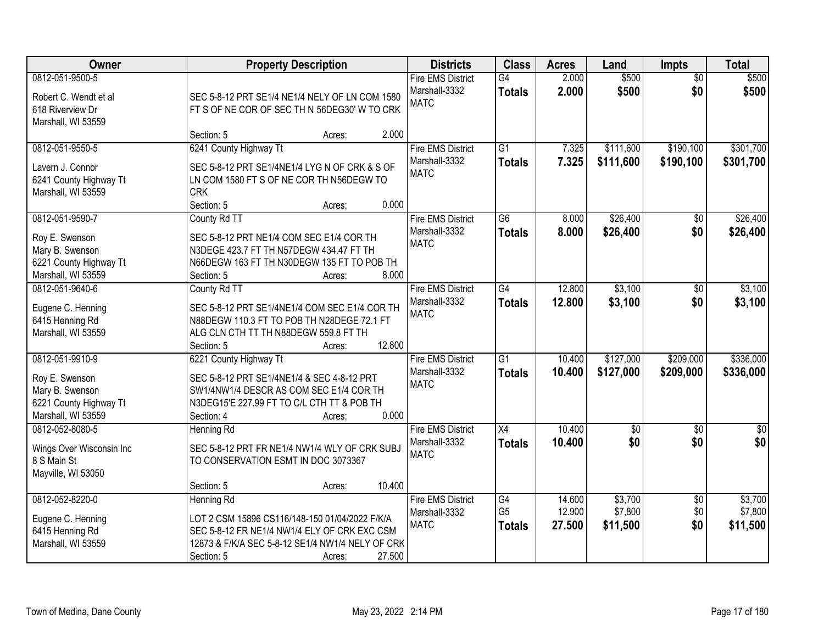| Owner                                                                                                |                                                                                                                                                                                       | <b>Property Description</b> | <b>Districts</b>                                                  | <b>Class</b>                          | <b>Acres</b>               | Land                           | <b>Impts</b>                  | <b>Total</b>                   |
|------------------------------------------------------------------------------------------------------|---------------------------------------------------------------------------------------------------------------------------------------------------------------------------------------|-----------------------------|-------------------------------------------------------------------|---------------------------------------|----------------------------|--------------------------------|-------------------------------|--------------------------------|
| 0812-051-9500-5<br>Robert C. Wendt et al<br>618 Riverview Dr<br>Marshall, WI 53559                   | SEC 5-8-12 PRT SE1/4 NE1/4 NELY OF LN COM 1580<br>FT S OF NE COR OF SEC TH N 56DEG30' W TO CRK                                                                                        |                             | <b>Fire EMS District</b><br>Marshall-3332<br><b>MATC</b>          | G4<br><b>Totals</b>                   | 2.000<br>2.000             | \$500<br>\$500                 | $\overline{50}$<br>\$0        | \$500<br>\$500                 |
|                                                                                                      | Section: 5                                                                                                                                                                            | Acres:                      | 2.000                                                             |                                       |                            |                                |                               |                                |
| 0812-051-9550-5<br>Lavern J. Connor<br>6241 County Highway Tt<br>Marshall, WI 53559                  | 6241 County Highway Tt<br>SEC 5-8-12 PRT SE1/4NE1/4 LYG N OF CRK & S OF<br>LN COM 1580 FT S OF NE COR TH N56DEGW TO<br><b>CRK</b><br>Section: 5                                       | Acres:                      | <b>Fire EMS District</b><br>Marshall-3332<br><b>MATC</b><br>0.000 | $\overline{G1}$<br><b>Totals</b>      | 7.325<br>7.325             | \$111,600<br>\$111,600         | \$190,100<br>\$190,100        | \$301,700<br>\$301,700         |
| 0812-051-9590-7                                                                                      | County Rd TT                                                                                                                                                                          |                             | <b>Fire EMS District</b>                                          | $\overline{G6}$                       | 8.000                      | \$26,400                       | $\sqrt[6]{}$                  | \$26,400                       |
| Roy E. Swenson<br>Mary B. Swenson<br>6221 County Highway Tt<br>Marshall, WI 53559                    | SEC 5-8-12 PRT NE1/4 COM SEC E1/4 COR TH<br>N3DEGE 423.7 FT TH N57DEGW 434.47 FT TH<br>N66DEGW 163 FT TH N30DEGW 135 FT TO POB TH<br>Section: 5                                       | Acres:                      | Marshall-3332<br><b>MATC</b><br>8.000                             | <b>Totals</b>                         | 8.000                      | \$26,400                       | \$0                           | \$26,400                       |
| 0812-051-9640-6                                                                                      | County Rd TT                                                                                                                                                                          |                             | <b>Fire EMS District</b>                                          | $\overline{G4}$                       | 12.800                     | \$3,100                        | $\sqrt[6]{3}$                 | \$3,100                        |
| Eugene C. Henning<br>6415 Henning Rd<br>Marshall, WI 53559                                           | SEC 5-8-12 PRT SE1/4NE1/4 COM SEC E1/4 COR TH<br>N88DEGW 110.3 FT TO POB TH N28DEGE 72.1 FT<br>ALG CLN CTH TT TH N88DEGW 559.8 FT TH<br>Section: 5                                    | 12.800<br>Acres:            | Marshall-3332<br><b>MATC</b>                                      | <b>Totals</b>                         | 12.800                     | \$3,100                        | \$0                           | \$3,100                        |
| 0812-051-9910-9<br>Roy E. Swenson<br>Mary B. Swenson<br>6221 County Highway Tt<br>Marshall, WI 53559 | 6221 County Highway Tt<br>SEC 5-8-12 PRT SE1/4NE1/4 & SEC 4-8-12 PRT<br>SW1/4NW1/4 DESCR AS COM SEC E1/4 COR TH<br>N3DEG15'E 227.99 FT TO C/L CTH TT & POB TH<br>Section: 4           | Acres:                      | <b>Fire EMS District</b><br>Marshall-3332<br><b>MATC</b><br>0.000 | $\overline{G1}$<br><b>Totals</b>      | 10.400<br>10.400           | \$127,000<br>\$127,000         | \$209,000<br>\$209,000        | \$336,000<br>\$336,000         |
| 0812-052-8080-5<br>Wings Over Wisconsin Inc<br>8 S Main St<br>Mayville, WI 53050                     | Henning Rd<br>SEC 5-8-12 PRT FR NE1/4 NW1/4 WLY OF CRK SUBJ<br>TO CONSERVATION ESMT IN DOC 3073367<br>Section: 5                                                                      | 10.400<br>Acres:            | <b>Fire EMS District</b><br>Marshall-3332<br><b>MATC</b>          | X4<br><b>Totals</b>                   | 10.400<br>10.400           | $\overline{50}$<br>\$0         | $\overline{50}$<br>\$0        | $\overline{\$0}$<br>\$0        |
| 0812-052-8220-0<br>Eugene C. Henning<br>6415 Henning Rd<br>Marshall, WI 53559                        | <b>Henning Rd</b><br>LOT 2 CSM 15896 CS116/148-150 01/04/2022 F/K/A<br>SEC 5-8-12 FR NE1/4 NW1/4 ELY OF CRK EXC CSM<br>12873 & F/K/A SEC 5-8-12 SE1/4 NW1/4 NELY OF CRK<br>Section: 5 | 27.500<br>Acres:            | <b>Fire EMS District</b><br>Marshall-3332<br><b>MATC</b>          | G4<br>G <sub>5</sub><br><b>Totals</b> | 14.600<br>12.900<br>27.500 | \$3,700<br>\$7,800<br>\$11,500 | $\overline{60}$<br>\$0<br>\$0 | \$3,700<br>\$7,800<br>\$11,500 |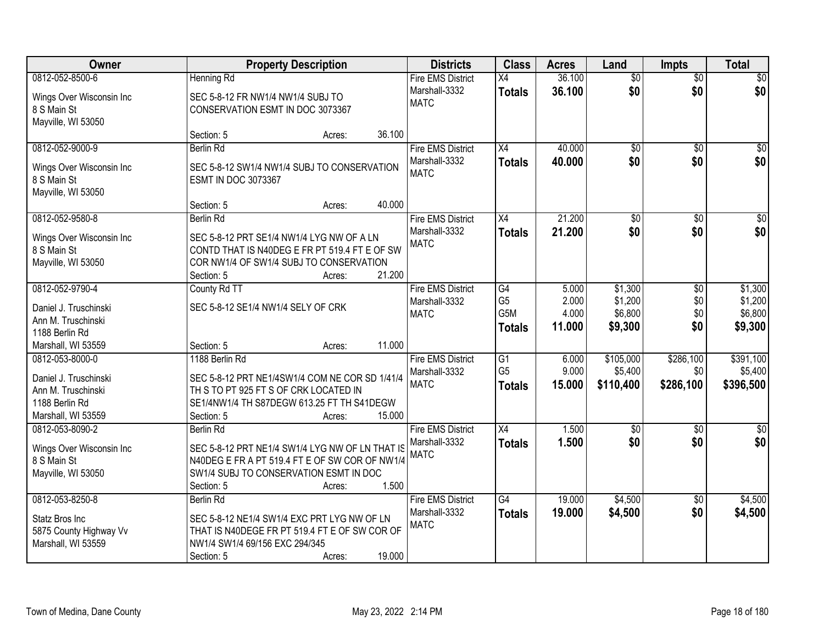| Owner                                                                                                  | <b>Property Description</b>                                                                                                                                                                 | <b>Districts</b>                                         | <b>Class</b>                                       | <b>Acres</b>             | Land                              | <b>Impts</b>                  | <b>Total</b>                      |
|--------------------------------------------------------------------------------------------------------|---------------------------------------------------------------------------------------------------------------------------------------------------------------------------------------------|----------------------------------------------------------|----------------------------------------------------|--------------------------|-----------------------------------|-------------------------------|-----------------------------------|
| 0812-052-8500-6                                                                                        | <b>Henning Rd</b>                                                                                                                                                                           | <b>Fire EMS District</b>                                 | X4                                                 | 36.100                   | $\overline{50}$                   | $\overline{50}$               | \$0                               |
| Wings Over Wisconsin Inc<br>8 S Main St<br>Mayville, WI 53050                                          | SEC 5-8-12 FR NW1/4 NW1/4 SUBJ TO<br>CONSERVATION ESMT IN DOC 3073367                                                                                                                       | Marshall-3332<br><b>MATC</b>                             | <b>Totals</b>                                      | 36.100                   | \$0                               | \$0                           | \$0                               |
|                                                                                                        | 36.100<br>Section: 5<br>Acres:                                                                                                                                                              |                                                          |                                                    |                          |                                   |                               |                                   |
| 0812-052-9000-9<br>Wings Over Wisconsin Inc<br>8 S Main St<br>Mayville, WI 53050                       | <b>Berlin Rd</b><br>SEC 5-8-12 SW1/4 NW1/4 SUBJ TO CONSERVATION<br><b>ESMT IN DOC 3073367</b>                                                                                               | <b>Fire EMS District</b><br>Marshall-3332<br><b>MATC</b> | X4<br><b>Totals</b>                                | 40.000<br>40.000         | $\overline{50}$<br>\$0            | $\overline{50}$<br>\$0        | \$0<br>\$0                        |
|                                                                                                        | 40.000<br>Section: 5<br>Acres:                                                                                                                                                              |                                                          |                                                    |                          |                                   |                               |                                   |
| 0812-052-9580-8<br>Wings Over Wisconsin Inc<br>8 S Main St<br>Mayville, WI 53050                       | <b>Berlin Rd</b><br>SEC 5-8-12 PRT SE1/4 NW1/4 LYG NW OF A LN<br>CONTD THAT IS N40DEG E FR PT 519.4 FT E OF SW<br>COR NW1/4 OF SW1/4 SUBJ TO CONSERVATION<br>21.200<br>Section: 5<br>Acres: | <b>Fire EMS District</b><br>Marshall-3332<br><b>MATC</b> | X4<br><b>Totals</b>                                | 21.200<br>21.200         | \$0<br>\$0                        | \$0<br>\$0                    | $\overline{50}$<br>\$0            |
| 0812-052-9790-4                                                                                        | County Rd TT                                                                                                                                                                                | <b>Fire EMS District</b>                                 | G4                                                 | 5.000                    | \$1,300                           | \$0                           | \$1,300                           |
| Daniel J. Truschinski<br>Ann M. Truschinski<br>1188 Berlin Rd                                          | SEC 5-8-12 SE1/4 NW1/4 SELY OF CRK                                                                                                                                                          | Marshall-3332<br><b>MATC</b>                             | G <sub>5</sub><br>G5M<br><b>Totals</b>             | 2.000<br>4.000<br>11.000 | \$1,200<br>\$6,800<br>\$9,300     | \$0<br>\$0<br>\$0             | \$1,200<br>\$6,800<br>\$9,300     |
| Marshall, WI 53559                                                                                     | 11.000<br>Section: 5<br>Acres:                                                                                                                                                              |                                                          |                                                    |                          |                                   |                               |                                   |
| 0812-053-8000-0<br>Daniel J. Truschinski<br>Ann M. Truschinski<br>1188 Berlin Rd<br>Marshall, WI 53559 | 1188 Berlin Rd<br>SEC 5-8-12 PRT NE1/4SW1/4 COM NE COR SD 1/41/4<br>TH S TO PT 925 FT S OF CRK LOCATED IN<br>SE1/4NW1/4 TH S87DEGW 613.25 FT TH S41DEGW<br>15.000<br>Section: 5<br>Acres:   | <b>Fire EMS District</b><br>Marshall-3332<br><b>MATC</b> | $\overline{G1}$<br>G <sub>5</sub><br><b>Totals</b> | 6.000<br>9.000<br>15.000 | \$105,000<br>\$5,400<br>\$110,400 | \$286,100<br>\$0<br>\$286,100 | \$391,100<br>\$5,400<br>\$396,500 |
| 0812-053-8090-2                                                                                        | <b>Berlin Rd</b>                                                                                                                                                                            | <b>Fire EMS District</b>                                 | X4                                                 | 1.500                    | $\overline{50}$                   | $\overline{50}$               | $\overline{\$0}$                  |
| Wings Over Wisconsin Inc<br>8 S Main St<br>Mayville, WI 53050                                          | SEC 5-8-12 PRT NE1/4 SW1/4 LYG NW OF LN THAT IS<br>N40DEG E FR A PT 519.4 FT E OF SW COR OF NW1/4<br>SW1/4 SUBJ TO CONSERVATION ESMT IN DOC<br>1.500<br>Section: 5<br>Acres:                | Marshall-3332<br><b>MATC</b>                             | <b>Totals</b>                                      | 1.500                    | \$0                               | \$0                           | \$0                               |
| 0812-053-8250-8<br>Statz Bros Inc<br>5875 County Highway Vv<br>Marshall, WI 53559                      | <b>Berlin Rd</b><br>SEC 5-8-12 NE1/4 SW1/4 EXC PRT LYG NW OF LN<br>THAT IS N40DEGE FR PT 519.4 FT E OF SW COR OF<br>NW1/4 SW1/4 69/156 EXC 294/345<br>19.000<br>Section: 5<br>Acres:        | <b>Fire EMS District</b><br>Marshall-3332<br><b>MATC</b> | $\overline{G4}$<br><b>Totals</b>                   | 19.000<br>19.000         | \$4,500<br>\$4,500                | $\overline{50}$<br>\$0        | \$4,500<br>\$4,500                |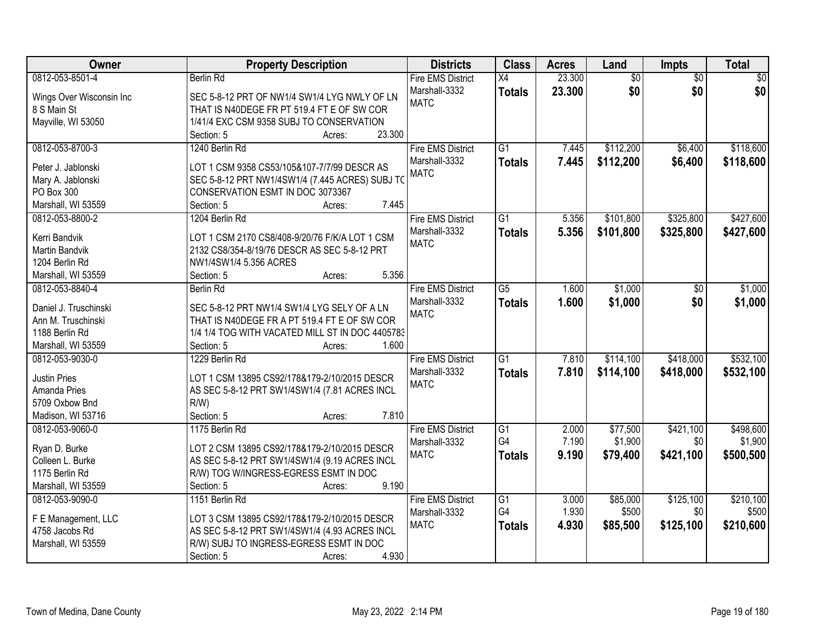| Owner                    | <b>Property Description</b>                     | <b>Districts</b>         | <b>Class</b>    | <b>Acres</b> | Land            | Impts           | <b>Total</b>    |
|--------------------------|-------------------------------------------------|--------------------------|-----------------|--------------|-----------------|-----------------|-----------------|
| 0812-053-8501-4          | <b>Berlin Rd</b>                                | <b>Fire EMS District</b> | $\overline{X4}$ | 23.300       | $\overline{50}$ | $\overline{30}$ | $\overline{50}$ |
| Wings Over Wisconsin Inc | SEC 5-8-12 PRT OF NW1/4 SW1/4 LYG NWLY OF LN    | Marshall-3332            | <b>Totals</b>   | 23.300       | \$0             | \$0             | \$0             |
| 8 S Main St              | THAT IS N40DEGE FR PT 519.4 FT E OF SW COR      | <b>MATC</b>              |                 |              |                 |                 |                 |
| Mayville, WI 53050       | 1/41/4 EXC CSM 9358 SUBJ TO CONSERVATION        |                          |                 |              |                 |                 |                 |
|                          | 23.300<br>Section: 5<br>Acres:                  |                          |                 |              |                 |                 |                 |
| 0812-053-8700-3          | 1240 Berlin Rd                                  | <b>Fire EMS District</b> | $\overline{G1}$ | 7.445        | \$112,200       | \$6,400         | \$118,600       |
|                          |                                                 | Marshall-3332            | <b>Totals</b>   | 7.445        | \$112,200       | \$6,400         | \$118,600       |
| Peter J. Jablonski       | LOT 1 CSM 9358 CS53/105&107-7/7/99 DESCR AS     | <b>MATC</b>              |                 |              |                 |                 |                 |
| Mary A. Jablonski        | SEC 5-8-12 PRT NW1/4SW1/4 (7.445 ACRES) SUBJ TO |                          |                 |              |                 |                 |                 |
| PO Box 300               | CONSERVATION ESMT IN DOC 3073367                |                          |                 |              |                 |                 |                 |
| Marshall, WI 53559       | 7.445<br>Section: 5<br>Acres:                   |                          |                 |              |                 |                 |                 |
| 0812-053-8800-2          | 1204 Berlin Rd                                  | <b>Fire EMS District</b> | $\overline{G1}$ | 5.356        | \$101,800       | \$325,800       | \$427,600       |
| Kerri Bandvik            | LOT 1 CSM 2170 CS8/408-9/20/76 F/K/A LOT 1 CSM  | Marshall-3332            | <b>Totals</b>   | 5.356        | \$101,800       | \$325,800       | \$427,600       |
| Martin Bandvik           | 2132 CS8/354-8/19/76 DESCR AS SEC 5-8-12 PRT    | <b>MATC</b>              |                 |              |                 |                 |                 |
| 1204 Berlin Rd           | NW1/4SW1/4 5.356 ACRES                          |                          |                 |              |                 |                 |                 |
| Marshall, WI 53559       | 5.356<br>Section: 5<br>Acres:                   |                          |                 |              |                 |                 |                 |
| 0812-053-8840-4          | <b>Berlin Rd</b>                                | <b>Fire EMS District</b> | $\overline{G5}$ | 1.600        | \$1,000         | \$0             | \$1,000         |
|                          |                                                 | Marshall-3332            | <b>Totals</b>   | 1.600        | \$1,000         | \$0             | \$1,000         |
| Daniel J. Truschinski    | SEC 5-8-12 PRT NW1/4 SW1/4 LYG SELY OF A LN     | <b>MATC</b>              |                 |              |                 |                 |                 |
| Ann M. Truschinski       | THAT IS N40DEGE FR A PT 519.4 FT E OF SW COR    |                          |                 |              |                 |                 |                 |
| 1188 Berlin Rd           | 1/4 1/4 TOG WITH VACATED MILL ST IN DOC 4405783 |                          |                 |              |                 |                 |                 |
| Marshall, WI 53559       | Section: 5<br>1.600<br>Acres:                   |                          |                 |              |                 |                 |                 |
| 0812-053-9030-0          | 1229 Berlin Rd                                  | <b>Fire EMS District</b> | $\overline{G1}$ | 7.810        | \$114,100       | \$418,000       | \$532,100       |
|                          |                                                 | Marshall-3332            | <b>Totals</b>   | 7.810        | \$114,100       | \$418,000       | \$532,100       |
| <b>Justin Pries</b>      | LOT 1 CSM 13895 CS92/178&179-2/10/2015 DESCR    | <b>MATC</b>              |                 |              |                 |                 |                 |
| Amanda Pries             | AS SEC 5-8-12 PRT SW1/4SW1/4 (7.81 ACRES INCL   |                          |                 |              |                 |                 |                 |
| 5709 Oxbow Bnd           | $R/W$ )                                         |                          |                 |              |                 |                 |                 |
| Madison, WI 53716        | Section: 5<br>7.810<br>Acres:                   |                          |                 |              |                 |                 |                 |
| 0812-053-9060-0          | 1175 Berlin Rd                                  | <b>Fire EMS District</b> | G1              | 2.000        | \$77,500        | \$421,100       | \$498,600       |
| Ryan D. Burke            | LOT 2 CSM 13895 CS92/178&179-2/10/2015 DESCR    | Marshall-3332            | G4              | 7.190        | \$1,900         | \$0             | \$1,900         |
| Colleen L. Burke         | AS SEC 5-8-12 PRT SW1/4SW1/4 (9.19 ACRES INCL   | <b>MATC</b>              | <b>Totals</b>   | 9.190        | \$79,400        | \$421,100       | \$500,500       |
| 1175 Berlin Rd           | R/W) TOG W/INGRESS-EGRESS ESMT IN DOC           |                          |                 |              |                 |                 |                 |
| Marshall, WI 53559       | 9.190<br>Section: 5<br>Acres:                   |                          |                 |              |                 |                 |                 |
| 0812-053-9090-0          | 1151 Berlin Rd                                  | <b>Fire EMS District</b> | $\overline{G1}$ | 3.000        | \$85,000        | \$125,100       | \$210,100       |
|                          |                                                 | Marshall-3332            | G4              | 1.930        | \$500           | \$0             | \$500           |
| F E Management, LLC      | LOT 3 CSM 13895 CS92/178&179-2/10/2015 DESCR    | <b>MATC</b>              | <b>Totals</b>   | 4.930        | \$85,500        | \$125,100       | \$210,600       |
| 4758 Jacobs Rd           | AS SEC 5-8-12 PRT SW1/4SW1/4 (4.93 ACRES INCL   |                          |                 |              |                 |                 |                 |
| Marshall, WI 53559       | R/W) SUBJ TO INGRESS-EGRESS ESMT IN DOC         |                          |                 |              |                 |                 |                 |
|                          | 4.930<br>Section: 5<br>Acres:                   |                          |                 |              |                 |                 |                 |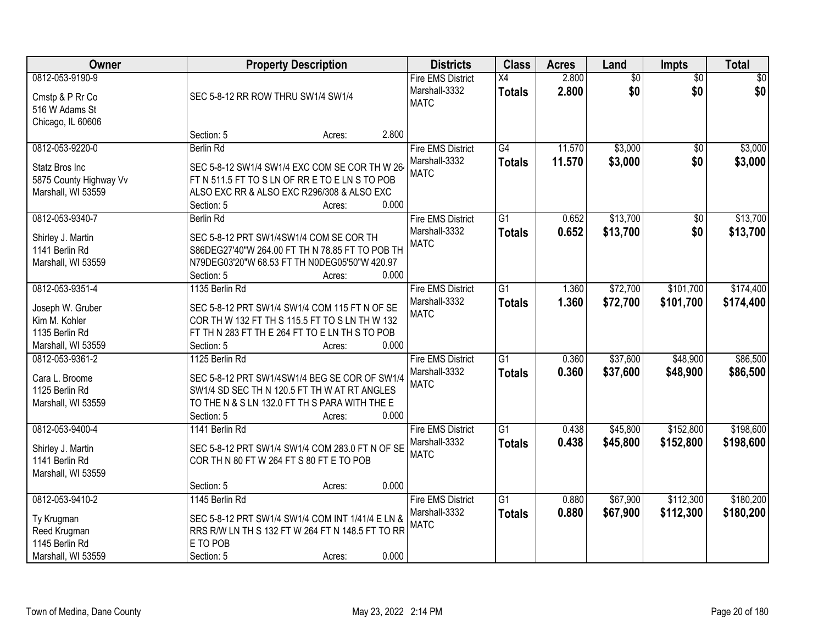| Owner                                                                                        |                                          | <b>Property Description</b>                                                                                                                                 |       | <b>Districts</b>                                         | <b>Class</b>                     | <b>Acres</b>     | Land                   | <b>Impts</b>           | <b>Total</b>           |
|----------------------------------------------------------------------------------------------|------------------------------------------|-------------------------------------------------------------------------------------------------------------------------------------------------------------|-------|----------------------------------------------------------|----------------------------------|------------------|------------------------|------------------------|------------------------|
| 0812-053-9190-9<br>Cmstp & P Rr Co<br>516 W Adams St<br>Chicago, IL 60606                    | SEC 5-8-12 RR ROW THRU SW1/4 SW1/4       |                                                                                                                                                             |       | <b>Fire EMS District</b><br>Marshall-3332<br><b>MATC</b> | X4<br><b>Totals</b>              | 2.800<br>2.800   | $\overline{50}$<br>\$0 | $\overline{50}$<br>\$0 | $\sqrt{50}$<br>\$0     |
|                                                                                              | Section: 5                               | Acres:                                                                                                                                                      | 2.800 |                                                          |                                  |                  |                        |                        |                        |
| 0812-053-9220-0<br>Statz Bros Inc<br>5875 County Highway Vv<br>Marshall, WI 53559            | Berlin Rd<br>Section: 5                  | SEC 5-8-12 SW1/4 SW1/4 EXC COM SE COR TH W 26<br>FT N 511.5 FT TO S LN OF RR E TO E LN S TO POB<br>ALSO EXC RR & ALSO EXC R296/308 & ALSO EXC<br>Acres:     | 0.000 | <b>Fire EMS District</b><br>Marshall-3332<br><b>MATC</b> | G4<br><b>Totals</b>              | 11.570<br>11.570 | \$3,000<br>\$3,000     | $\overline{50}$<br>\$0 | \$3,000<br>\$3,000     |
| 0812-053-9340-7<br>Shirley J. Martin<br>1141 Berlin Rd<br>Marshall, WI 53559                 | <b>Berlin Rd</b><br>Section: 5           | SEC 5-8-12 PRT SW1/4SW1/4 COM SE COR TH<br>S86DEG27'40"W 264.00 FT TH N 78.85 FT TO POB TH<br>N79DEG03'20"W 68.53 FT TH N0DEG05'50"W 420.97<br>Acres:       | 0.000 | <b>Fire EMS District</b><br>Marshall-3332<br><b>MATC</b> | G1<br><b>Totals</b>              | 0.652<br>0.652   | \$13,700<br>\$13,700   | $\sqrt[6]{30}$<br>\$0  | \$13,700<br>\$13,700   |
| 0812-053-9351-4<br>Joseph W. Gruber<br>Kim M. Kohler<br>1135 Berlin Rd<br>Marshall, WI 53559 | 1135 Berlin Rd<br>Section: 5             | SEC 5-8-12 PRT SW1/4 SW1/4 COM 115 FT N OF SE<br>COR TH W 132 FT TH S 115.5 FT TO S LN TH W 132<br>FT TH N 283 FT TH E 264 FT TO E LN TH S TO POB<br>Acres: | 0.000 | <b>Fire EMS District</b><br>Marshall-3332<br><b>MATC</b> | G1<br><b>Totals</b>              | 1.360<br>1.360   | \$72,700<br>\$72,700   | \$101,700<br>\$101,700 | \$174,400<br>\$174,400 |
| 0812-053-9361-2<br>Cara L. Broome<br>1125 Berlin Rd<br>Marshall, WI 53559                    | 1125 Berlin Rd<br>Section: 5             | SEC 5-8-12 PRT SW1/4SW1/4 BEG SE COR OF SW1/4<br>SW1/4 SD SEC TH N 120.5 FT TH W AT RT ANGLES<br>TO THE N & S LN 132.0 FT TH S PARA WITH THE E<br>Acres:    | 0.000 | <b>Fire EMS District</b><br>Marshall-3332<br><b>MATC</b> | $\overline{G1}$<br><b>Totals</b> | 0.360<br>0.360   | \$37,600<br>\$37,600   | \$48,900<br>\$48,900   | \$86,500<br>\$86,500   |
| 0812-053-9400-4<br>Shirley J. Martin<br>1141 Berlin Rd<br>Marshall, WI 53559                 | 1141 Berlin Rd<br>Section: 5             | SEC 5-8-12 PRT SW1/4 SW1/4 COM 283.0 FT N OF SE<br>COR TH N 80 FT W 264 FT S 80 FT E TO POB<br>Acres:                                                       | 0.000 | <b>Fire EMS District</b><br>Marshall-3332<br><b>MATC</b> | $\overline{G1}$<br><b>Totals</b> | 0.438<br>0.438   | \$45,800<br>\$45,800   | \$152,800<br>\$152,800 | \$198,600<br>\$198,600 |
| 0812-053-9410-2<br>Ty Krugman<br>Reed Krugman<br>1145 Berlin Rd<br>Marshall, WI 53559        | 1145 Berlin Rd<br>E TO POB<br>Section: 5 | SEC 5-8-12 PRT SW1/4 SW1/4 COM INT 1/41/4 E LN &<br>RRS R/W LN TH S 132 FT W 264 FT N 148.5 FT TO RR<br>Acres:                                              | 0.000 | <b>Fire EMS District</b><br>Marshall-3332<br><b>MATC</b> | $\overline{G1}$<br><b>Totals</b> | 0.880<br>0.880   | \$67,900<br>\$67,900   | \$112,300<br>\$112,300 | \$180,200<br>\$180,200 |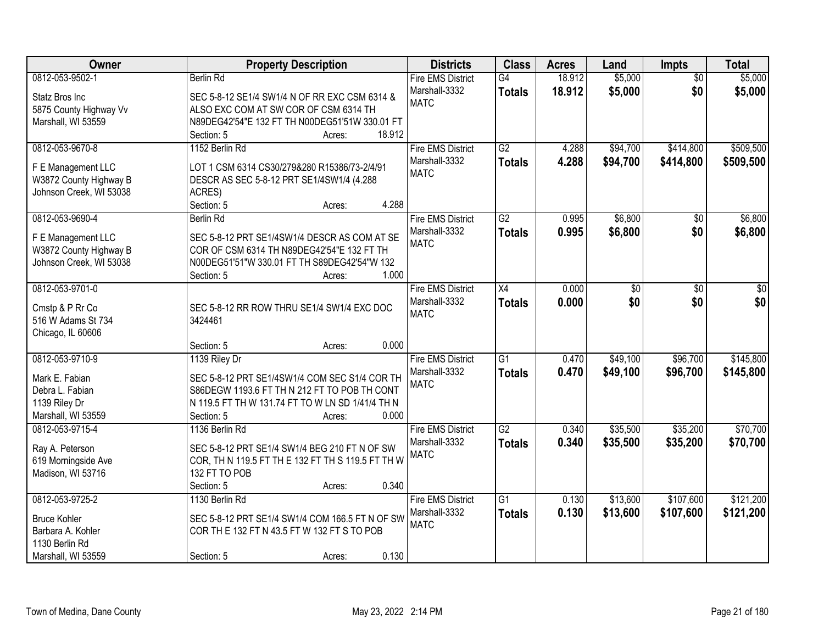| Owner                                 | <b>Property Description</b>                           |        | <b>Districts</b>             | <b>Class</b>    | <b>Acres</b> | Land     | <b>Impts</b>    | <b>Total</b> |
|---------------------------------------|-------------------------------------------------------|--------|------------------------------|-----------------|--------------|----------|-----------------|--------------|
| 0812-053-9502-1                       | Berlin Rd                                             |        | <b>Fire EMS District</b>     | G4              | 18.912       | \$5,000  | $\overline{50}$ | \$5,000      |
| Statz Bros Inc                        | SEC 5-8-12 SE1/4 SW1/4 N OF RR EXC CSM 6314 &         |        | Marshall-3332                | <b>Totals</b>   | 18.912       | \$5,000  | \$0             | \$5,000      |
| 5875 County Highway Vv                | ALSO EXC COM AT SW COR OF CSM 6314 TH                 |        | <b>MATC</b>                  |                 |              |          |                 |              |
| Marshall, WI 53559                    | N89DEG42'54"E 132 FT TH N00DEG51'51W 330.01 FT        |        |                              |                 |              |          |                 |              |
|                                       | Section: 5<br>Acres:                                  | 18.912 |                              |                 |              |          |                 |              |
| 0812-053-9670-8                       | 1152 Berlin Rd                                        |        | <b>Fire EMS District</b>     | $\overline{G2}$ | 4.288        | \$94,700 | \$414,800       | \$509,500    |
|                                       |                                                       |        | Marshall-3332                | <b>Totals</b>   | 4.288        | \$94,700 | \$414,800       | \$509,500    |
| F E Management LLC                    | LOT 1 CSM 6314 CS30/279&280 R15386/73-2/4/91          |        | <b>MATC</b>                  |                 |              |          |                 |              |
| W3872 County Highway B                | DESCR AS SEC 5-8-12 PRT SE1/4SW1/4 (4.288             |        |                              |                 |              |          |                 |              |
| Johnson Creek, WI 53038               | ACRES)                                                | 4.288  |                              |                 |              |          |                 |              |
| 0812-053-9690-4                       | Section: 5<br>Acres:                                  |        |                              | $\overline{G2}$ | 0.995        | \$6,800  |                 | \$6,800      |
|                                       | <b>Berlin Rd</b>                                      |        | <b>Fire EMS District</b>     |                 |              |          | \$0             |              |
| F E Management LLC                    | SEC 5-8-12 PRT SE1/4SW1/4 DESCR AS COM AT SE          |        | Marshall-3332<br><b>MATC</b> | <b>Totals</b>   | 0.995        | \$6,800  | \$0             | \$6,800      |
| W3872 County Highway B                | COR OF CSM 6314 TH N89DEG42'54"E 132 FT TH            |        |                              |                 |              |          |                 |              |
| Johnson Creek, WI 53038               | N00DEG51'51"W 330.01 FT TH S89DEG42'54"W 132          |        |                              |                 |              |          |                 |              |
|                                       | Section: 5<br>Acres:                                  | 1.000  |                              |                 |              |          |                 |              |
| 0812-053-9701-0                       |                                                       |        | <b>Fire EMS District</b>     | $\overline{X4}$ | 0.000        | \$0      | \$0             | \$0          |
|                                       |                                                       |        | Marshall-3332                | <b>Totals</b>   | 0.000        | \$0      | \$0             | \$0          |
| Cmstp & P Rr Co<br>516 W Adams St 734 | SEC 5-8-12 RR ROW THRU SE1/4 SW1/4 EXC DOC<br>3424461 |        | <b>MATC</b>                  |                 |              |          |                 |              |
| Chicago, IL 60606                     |                                                       |        |                              |                 |              |          |                 |              |
|                                       | Section: 5<br>Acres:                                  | 0.000  |                              |                 |              |          |                 |              |
| 0812-053-9710-9                       | 1139 Riley Dr                                         |        | <b>Fire EMS District</b>     | $\overline{G1}$ | 0.470        | \$49,100 | \$96,700        | \$145,800    |
|                                       |                                                       |        | Marshall-3332                | <b>Totals</b>   | 0.470        | \$49,100 | \$96,700        | \$145,800    |
| Mark E. Fabian                        | SEC 5-8-12 PRT SE1/4SW1/4 COM SEC S1/4 COR TH         |        | <b>MATC</b>                  |                 |              |          |                 |              |
| Debra L. Fabian                       | S86DEGW 1193.6 FT TH N 212 FT TO POB TH CONT          |        |                              |                 |              |          |                 |              |
| 1139 Riley Dr                         | N 119.5 FT TH W 131.74 FT TO W LN SD 1/41/4 TH N      |        |                              |                 |              |          |                 |              |
| Marshall, WI 53559                    | Section: 5<br>Acres:                                  | 0.000  |                              |                 |              |          |                 |              |
| 0812-053-9715-4                       | 1136 Berlin Rd                                        |        | <b>Fire EMS District</b>     | $\overline{G2}$ | 0.340        | \$35,500 | \$35,200        | \$70,700     |
| Ray A. Peterson                       | SEC 5-8-12 PRT SE1/4 SW1/4 BEG 210 FT N OF SW         |        | Marshall-3332                | <b>Totals</b>   | 0.340        | \$35,500 | \$35,200        | \$70,700     |
| 619 Morningside Ave                   | COR, TH N 119.5 FT TH E 132 FT TH S 119.5 FT TH W     |        | <b>MATC</b>                  |                 |              |          |                 |              |
| Madison, WI 53716                     | 132 FT TO POB                                         |        |                              |                 |              |          |                 |              |
|                                       | Section: 5<br>Acres:                                  | 0.340  |                              |                 |              |          |                 |              |
| 0812-053-9725-2                       | 1130 Berlin Rd                                        |        | <b>Fire EMS District</b>     | $\overline{G1}$ | 0.130        | \$13,600 | \$107,600       | \$121,200    |
|                                       |                                                       |        | Marshall-3332                | <b>Totals</b>   | 0.130        | \$13,600 | \$107,600       | \$121,200    |
| <b>Bruce Kohler</b>                   | SEC 5-8-12 PRT SE1/4 SW1/4 COM 166.5 FT N OF SW       |        | <b>MATC</b>                  |                 |              |          |                 |              |
| Barbara A. Kohler                     | COR TH E 132 FT N 43.5 FT W 132 FT S TO POB           |        |                              |                 |              |          |                 |              |
| 1130 Berlin Rd                        |                                                       |        |                              |                 |              |          |                 |              |
| Marshall, WI 53559                    | Section: 5<br>Acres:                                  | 0.130  |                              |                 |              |          |                 |              |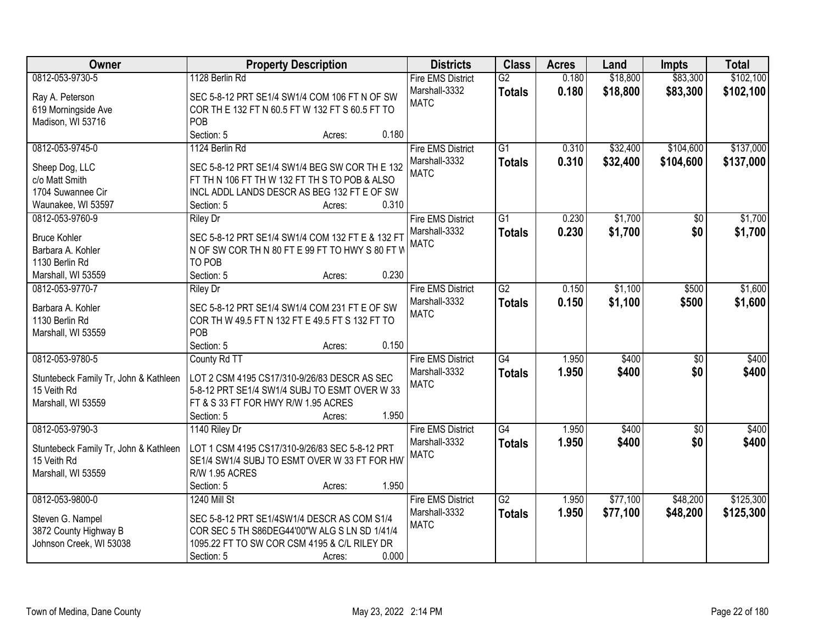| <b>Class</b><br>Owner<br><b>Property Description</b><br><b>Districts</b><br><b>Acres</b><br>Land<br><b>Impts</b>                          | <b>Total</b>               |
|-------------------------------------------------------------------------------------------------------------------------------------------|----------------------------|
| \$83,300<br>0812-053-9730-5<br>1128 Berlin Rd<br>$\overline{G2}$<br>0.180<br>\$18,800<br><b>Fire EMS District</b>                         | \$102,100                  |
| Marshall-3332<br>0.180<br>\$18,800<br>\$83,300<br><b>Totals</b><br>Ray A. Peterson<br>SEC 5-8-12 PRT SE1/4 SW1/4 COM 106 FT N OF SW       | \$102,100                  |
| <b>MATC</b><br>COR TH E 132 FT N 60.5 FT W 132 FT S 60.5 FT TO<br>619 Morningside Ave                                                     |                            |
| POB<br>Madison, WI 53716                                                                                                                  |                            |
| Section: 5<br>0.180<br>Acres:                                                                                                             |                            |
| 0812-053-9745-0<br>1124 Berlin Rd<br><b>Fire EMS District</b><br>$\overline{G1}$<br>0.310<br>\$32,400<br>\$104,600                        | \$137,000                  |
| 0.310<br>Marshall-3332<br>\$32,400<br>\$104,600<br><b>Totals</b>                                                                          | \$137,000                  |
| Sheep Dog, LLC<br>SEC 5-8-12 PRT SE1/4 SW1/4 BEG SW COR TH E 132<br><b>MATC</b>                                                           |                            |
| c/o Matt Smith<br>FT TH N 106 FT TH W 132 FT TH S TO POB & ALSO                                                                           |                            |
| 1704 Suwannee Cir<br>INCL ADDL LANDS DESCR AS BEG 132 FT E OF SW                                                                          |                            |
| 0.310<br>Waunakee, WI 53597<br>Section: 5<br>Acres:                                                                                       |                            |
| \$1,700<br>0812-053-9760-9<br>$\overline{G1}$<br>0.230<br><b>Fire EMS District</b><br><b>Riley Dr</b>                                     | $\overline{50}$<br>\$1,700 |
| \$1,700<br>Marshall-3332<br>0.230<br><b>Totals</b><br><b>Bruce Kohler</b><br>SEC 5-8-12 PRT SE1/4 SW1/4 COM 132 FT E & 132 FT             | \$0<br>\$1,700             |
| <b>MATC</b><br>N OF SW COR TH N 80 FT E 99 FT TO HWY S 80 FT W<br>Barbara A. Kohler                                                       |                            |
| TO POB<br>1130 Berlin Rd                                                                                                                  |                            |
| 0.230<br>Section: 5<br>Marshall, WI 53559<br>Acres:                                                                                       |                            |
| 0812-053-9770-7<br>$\overline{G2}$<br>\$1,100<br><b>Riley Dr</b><br><b>Fire EMS District</b><br>0.150<br>\$500                            | \$1,600                    |
| Marshall-3332<br>0.150<br>\$1,100<br>\$500<br><b>Totals</b>                                                                               | \$1,600                    |
| SEC 5-8-12 PRT SE1/4 SW1/4 COM 231 FT E OF SW<br>Barbara A. Kohler<br><b>MATC</b>                                                         |                            |
| 1130 Berlin Rd<br>COR TH W 49.5 FT N 132 FT E 49.5 FT S 132 FT TO                                                                         |                            |
| POB<br>Marshall, WI 53559                                                                                                                 |                            |
| Section: 5<br>0.150<br>Acres:                                                                                                             |                            |
| 0812-053-9780-5<br>G4<br>\$400<br>1.950<br>County Rd TT<br><b>Fire EMS District</b>                                                       | $\overline{50}$<br>\$400   |
| 1.950<br>Marshall-3332<br>\$400<br><b>Totals</b><br>LOT 2 CSM 4195 CS17/310-9/26/83 DESCR AS SEC<br>Stuntebeck Family Tr, John & Kathleen | \$0<br>\$400               |
| <b>MATC</b><br>15 Veith Rd<br>5-8-12 PRT SE1/4 SW1/4 SUBJ TO ESMT OVER W 33                                                               |                            |
| Marshall, WI 53559<br>FT & S 33 FT FOR HWY R/W 1.95 ACRES                                                                                 |                            |
| Section: 5<br>1.950<br>Acres:                                                                                                             |                            |
| 0812-053-9790-3<br>G4<br>\$400<br>1140 Riley Dr<br><b>Fire EMS District</b><br>1.950                                                      | $\sqrt{6}$<br>\$400        |
| \$400<br>Marshall-3332<br>1.950<br><b>Totals</b>                                                                                          | \$400<br>\$0               |
| LOT 1 CSM 4195 CS17/310-9/26/83 SEC 5-8-12 PRT<br>Stuntebeck Family Tr, John & Kathleen<br><b>MATC</b>                                    |                            |
| SE1/4 SW1/4 SUBJ TO ESMT OVER W 33 FT FOR HW<br>15 Veith Rd                                                                               |                            |
| Marshall, WI 53559<br>R/W 1.95 ACRES                                                                                                      |                            |
| 1.950<br>Section: 5<br>Acres:                                                                                                             |                            |
| \$77,100<br>0812-053-9800-0<br><b>Fire EMS District</b><br>$\overline{G2}$<br>\$48,200<br>1240 Mill St<br>1.950                           | \$125,300                  |
| 1.950<br>Marshall-3332<br>\$77,100<br>\$48,200<br><b>Totals</b><br>Steven G. Nampel<br>SEC 5-8-12 PRT SE1/4SW1/4 DESCR AS COM S1/4        | \$125,300                  |
| <b>MATC</b><br>3872 County Highway B<br>COR SEC 5 TH S86DEG44'00"W ALG S LN SD 1/41/4                                                     |                            |
| Johnson Creek, WI 53038<br>1095.22 FT TO SW COR CSM 4195 & C/L RILEY DR                                                                   |                            |
| 0.000<br>Section: 5<br>Acres:                                                                                                             |                            |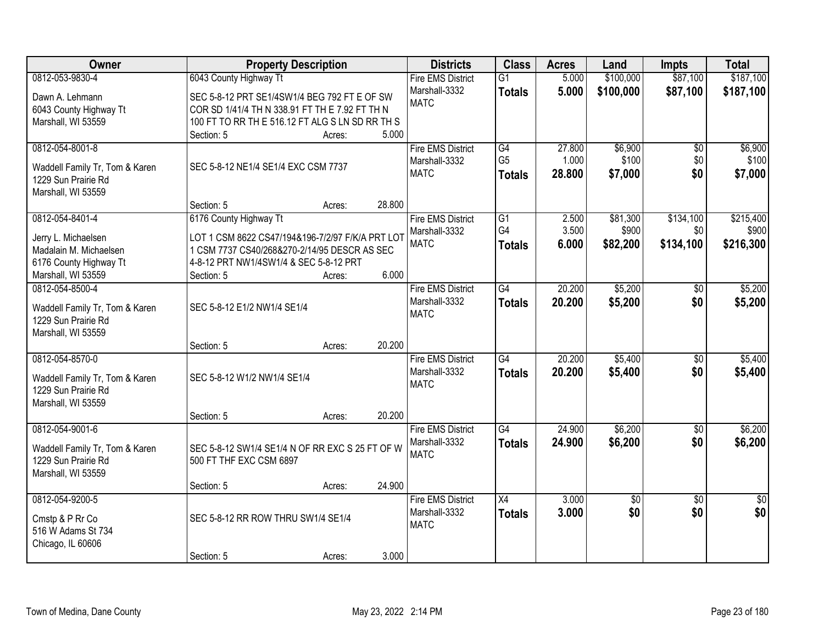| \$87,100<br>0812-053-9830-4<br>6043 County Highway Tt<br>\$100,000<br><b>Fire EMS District</b><br>$\overline{G1}$<br>5.000<br>Marshall-3332<br>5.000<br>\$100,000<br>\$87,100<br><b>Totals</b><br>Dawn A. Lehmann<br>SEC 5-8-12 PRT SE1/4SW1/4 BEG 792 FT E OF SW<br><b>MATC</b><br>6043 County Highway Tt<br>COR SD 1/41/4 TH N 338.91 FT TH E 7.92 FT TH N<br>Marshall, WI 53559<br>100 FT TO RR TH E 516.12 FT ALG S LN SD RR TH S<br>5.000<br>Section: 5<br>Acres:<br>0812-054-8001-8<br>27.800<br>\$6,900<br><b>Fire EMS District</b><br>G4<br>$\overline{50}$<br>G <sub>5</sub><br>\$100<br>1.000<br>\$0<br>Marshall-3332<br>SEC 5-8-12 NE1/4 SE1/4 EXC CSM 7737<br>Waddell Family Tr, Tom & Karen<br><b>MATC</b><br>\$0<br>28,800<br>\$7,000<br><b>Totals</b><br>1229 Sun Prairie Rd<br>Marshall, WI 53559<br>28.800<br>Section: 5<br>Acres:<br>\$134,100<br>0812-054-8401-4<br>G1<br>2.500<br>\$81,300<br>6176 County Highway Tt<br><b>Fire EMS District</b><br>G4<br>\$900<br>3.500<br>\$0<br>Marshall-3332<br>LOT 1 CSM 8622 CS47/194&196-7/2/97 F/K/A PRT LOT<br>Jerry L. Michaelsen<br><b>MATC</b><br>6.000<br>\$82,200<br>\$134,100<br><b>Totals</b><br>1 CSM 7737 CS40/268&270-2/14/95 DESCR AS SEC<br>Madalain M. Michaelsen<br>4-8-12 PRT NW1/4SW1/4 & SEC 5-8-12 PRT<br>6176 County Highway Tt<br>6.000<br>Marshall, WI 53559<br>Section: 5<br>Acres:<br>\$5,200<br>0812-054-8500-4<br><b>Fire EMS District</b><br>20.200<br>G4<br>$\sqrt[6]{}$<br>Marshall-3332<br>20.200<br>\$5,200<br>\$0<br><b>Totals</b><br>SEC 5-8-12 E1/2 NW1/4 SE1/4<br>Waddell Family Tr, Tom & Karen<br><b>MATC</b><br>1229 Sun Prairie Rd<br>Marshall, WI 53559<br>20.200<br>Section: 5<br>Acres:<br>20.200<br>\$5,400<br>0812-054-8570-0<br>$\overline{G4}$<br>$\overline{50}$<br><b>Fire EMS District</b><br>20.200<br>Marshall-3332<br>\$5,400<br>\$0<br><b>Totals</b><br>SEC 5-8-12 W1/2 NW1/4 SE1/4<br>Waddell Family Tr, Tom & Karen<br><b>MATC</b><br>1229 Sun Prairie Rd<br>Marshall, WI 53559<br>20.200<br>Section: 5<br>Acres:<br>G4<br>24.900<br>\$6,200<br>0812-054-9001-6<br><b>Fire EMS District</b><br>$\overline{50}$<br>\$6,200<br>Marshall-3332<br>24.900<br>\$0<br><b>Totals</b><br>Waddell Family Tr, Tom & Karen<br>SEC 5-8-12 SW1/4 SE1/4 N OF RR EXC S 25 FT OF W<br><b>MATC</b><br>1229 Sun Prairie Rd<br>500 FT THF EXC CSM 6897<br>Marshall, WI 53559<br>24.900<br>Section: 5<br>Acres:<br>0812-054-9200-5<br>3.000<br><b>Fire EMS District</b><br>X4<br>\$0<br>$\overline{50}$<br>$\overline{50}$<br>\$0<br>\$0<br>\$0<br>Marshall-3332<br>3.000<br><b>Totals</b><br>SEC 5-8-12 RR ROW THRU SW1/4 SE1/4<br>Cmstp & P Rr Co<br><b>MATC</b><br>516 W Adams St 734<br>Chicago, IL 60606<br>3.000 | <b>Owner</b> | <b>Property Description</b> |        | <b>Districts</b> | <b>Class</b> | <b>Acres</b> | Land | <b>Impts</b> | <b>Total</b> |
|----------------------------------------------------------------------------------------------------------------------------------------------------------------------------------------------------------------------------------------------------------------------------------------------------------------------------------------------------------------------------------------------------------------------------------------------------------------------------------------------------------------------------------------------------------------------------------------------------------------------------------------------------------------------------------------------------------------------------------------------------------------------------------------------------------------------------------------------------------------------------------------------------------------------------------------------------------------------------------------------------------------------------------------------------------------------------------------------------------------------------------------------------------------------------------------------------------------------------------------------------------------------------------------------------------------------------------------------------------------------------------------------------------------------------------------------------------------------------------------------------------------------------------------------------------------------------------------------------------------------------------------------------------------------------------------------------------------------------------------------------------------------------------------------------------------------------------------------------------------------------------------------------------------------------------------------------------------------------------------------------------------------------------------------------------------------------------------------------------------------------------------------------------------------------------------------------------------------------------------------------------------------------------------------------------------------------------------------------------------------------------------------------------------------------------------------------------------------------------------------------------------------------------------------------------------------------------------------------------------------------------------------------------------------------------------------------------------------|--------------|-----------------------------|--------|------------------|--------------|--------------|------|--------------|--------------|
| \$187,100                                                                                                                                                                                                                                                                                                                                                                                                                                                                                                                                                                                                                                                                                                                                                                                                                                                                                                                                                                                                                                                                                                                                                                                                                                                                                                                                                                                                                                                                                                                                                                                                                                                                                                                                                                                                                                                                                                                                                                                                                                                                                                                                                                                                                                                                                                                                                                                                                                                                                                                                                                                                                                                                                                            |              |                             |        |                  |              |              |      |              | \$187,100    |
|                                                                                                                                                                                                                                                                                                                                                                                                                                                                                                                                                                                                                                                                                                                                                                                                                                                                                                                                                                                                                                                                                                                                                                                                                                                                                                                                                                                                                                                                                                                                                                                                                                                                                                                                                                                                                                                                                                                                                                                                                                                                                                                                                                                                                                                                                                                                                                                                                                                                                                                                                                                                                                                                                                                      |              |                             |        |                  |              |              |      |              |              |
| \$6,900<br>\$100<br>\$7,000<br>\$215,400<br>\$900<br>\$216,300<br>\$5,200<br>\$5,200                                                                                                                                                                                                                                                                                                                                                                                                                                                                                                                                                                                                                                                                                                                                                                                                                                                                                                                                                                                                                                                                                                                                                                                                                                                                                                                                                                                                                                                                                                                                                                                                                                                                                                                                                                                                                                                                                                                                                                                                                                                                                                                                                                                                                                                                                                                                                                                                                                                                                                                                                                                                                                 |              |                             |        |                  |              |              |      |              |              |
|                                                                                                                                                                                                                                                                                                                                                                                                                                                                                                                                                                                                                                                                                                                                                                                                                                                                                                                                                                                                                                                                                                                                                                                                                                                                                                                                                                                                                                                                                                                                                                                                                                                                                                                                                                                                                                                                                                                                                                                                                                                                                                                                                                                                                                                                                                                                                                                                                                                                                                                                                                                                                                                                                                                      |              |                             |        |                  |              |              |      |              |              |
|                                                                                                                                                                                                                                                                                                                                                                                                                                                                                                                                                                                                                                                                                                                                                                                                                                                                                                                                                                                                                                                                                                                                                                                                                                                                                                                                                                                                                                                                                                                                                                                                                                                                                                                                                                                                                                                                                                                                                                                                                                                                                                                                                                                                                                                                                                                                                                                                                                                                                                                                                                                                                                                                                                                      |              |                             |        |                  |              |              |      |              |              |
|                                                                                                                                                                                                                                                                                                                                                                                                                                                                                                                                                                                                                                                                                                                                                                                                                                                                                                                                                                                                                                                                                                                                                                                                                                                                                                                                                                                                                                                                                                                                                                                                                                                                                                                                                                                                                                                                                                                                                                                                                                                                                                                                                                                                                                                                                                                                                                                                                                                                                                                                                                                                                                                                                                                      |              |                             |        |                  |              |              |      |              |              |
|                                                                                                                                                                                                                                                                                                                                                                                                                                                                                                                                                                                                                                                                                                                                                                                                                                                                                                                                                                                                                                                                                                                                                                                                                                                                                                                                                                                                                                                                                                                                                                                                                                                                                                                                                                                                                                                                                                                                                                                                                                                                                                                                                                                                                                                                                                                                                                                                                                                                                                                                                                                                                                                                                                                      |              |                             |        |                  |              |              |      |              |              |
|                                                                                                                                                                                                                                                                                                                                                                                                                                                                                                                                                                                                                                                                                                                                                                                                                                                                                                                                                                                                                                                                                                                                                                                                                                                                                                                                                                                                                                                                                                                                                                                                                                                                                                                                                                                                                                                                                                                                                                                                                                                                                                                                                                                                                                                                                                                                                                                                                                                                                                                                                                                                                                                                                                                      |              |                             |        |                  |              |              |      |              |              |
|                                                                                                                                                                                                                                                                                                                                                                                                                                                                                                                                                                                                                                                                                                                                                                                                                                                                                                                                                                                                                                                                                                                                                                                                                                                                                                                                                                                                                                                                                                                                                                                                                                                                                                                                                                                                                                                                                                                                                                                                                                                                                                                                                                                                                                                                                                                                                                                                                                                                                                                                                                                                                                                                                                                      |              |                             |        |                  |              |              |      |              |              |
|                                                                                                                                                                                                                                                                                                                                                                                                                                                                                                                                                                                                                                                                                                                                                                                                                                                                                                                                                                                                                                                                                                                                                                                                                                                                                                                                                                                                                                                                                                                                                                                                                                                                                                                                                                                                                                                                                                                                                                                                                                                                                                                                                                                                                                                                                                                                                                                                                                                                                                                                                                                                                                                                                                                      |              |                             |        |                  |              |              |      |              |              |
|                                                                                                                                                                                                                                                                                                                                                                                                                                                                                                                                                                                                                                                                                                                                                                                                                                                                                                                                                                                                                                                                                                                                                                                                                                                                                                                                                                                                                                                                                                                                                                                                                                                                                                                                                                                                                                                                                                                                                                                                                                                                                                                                                                                                                                                                                                                                                                                                                                                                                                                                                                                                                                                                                                                      |              |                             |        |                  |              |              |      |              |              |
|                                                                                                                                                                                                                                                                                                                                                                                                                                                                                                                                                                                                                                                                                                                                                                                                                                                                                                                                                                                                                                                                                                                                                                                                                                                                                                                                                                                                                                                                                                                                                                                                                                                                                                                                                                                                                                                                                                                                                                                                                                                                                                                                                                                                                                                                                                                                                                                                                                                                                                                                                                                                                                                                                                                      |              |                             |        |                  |              |              |      |              |              |
|                                                                                                                                                                                                                                                                                                                                                                                                                                                                                                                                                                                                                                                                                                                                                                                                                                                                                                                                                                                                                                                                                                                                                                                                                                                                                                                                                                                                                                                                                                                                                                                                                                                                                                                                                                                                                                                                                                                                                                                                                                                                                                                                                                                                                                                                                                                                                                                                                                                                                                                                                                                                                                                                                                                      |              |                             |        |                  |              |              |      |              |              |
|                                                                                                                                                                                                                                                                                                                                                                                                                                                                                                                                                                                                                                                                                                                                                                                                                                                                                                                                                                                                                                                                                                                                                                                                                                                                                                                                                                                                                                                                                                                                                                                                                                                                                                                                                                                                                                                                                                                                                                                                                                                                                                                                                                                                                                                                                                                                                                                                                                                                                                                                                                                                                                                                                                                      |              |                             |        |                  |              |              |      |              |              |
|                                                                                                                                                                                                                                                                                                                                                                                                                                                                                                                                                                                                                                                                                                                                                                                                                                                                                                                                                                                                                                                                                                                                                                                                                                                                                                                                                                                                                                                                                                                                                                                                                                                                                                                                                                                                                                                                                                                                                                                                                                                                                                                                                                                                                                                                                                                                                                                                                                                                                                                                                                                                                                                                                                                      |              |                             |        |                  |              |              |      |              |              |
|                                                                                                                                                                                                                                                                                                                                                                                                                                                                                                                                                                                                                                                                                                                                                                                                                                                                                                                                                                                                                                                                                                                                                                                                                                                                                                                                                                                                                                                                                                                                                                                                                                                                                                                                                                                                                                                                                                                                                                                                                                                                                                                                                                                                                                                                                                                                                                                                                                                                                                                                                                                                                                                                                                                      |              |                             |        |                  |              |              |      |              |              |
|                                                                                                                                                                                                                                                                                                                                                                                                                                                                                                                                                                                                                                                                                                                                                                                                                                                                                                                                                                                                                                                                                                                                                                                                                                                                                                                                                                                                                                                                                                                                                                                                                                                                                                                                                                                                                                                                                                                                                                                                                                                                                                                                                                                                                                                                                                                                                                                                                                                                                                                                                                                                                                                                                                                      |              |                             |        |                  |              |              |      |              |              |
|                                                                                                                                                                                                                                                                                                                                                                                                                                                                                                                                                                                                                                                                                                                                                                                                                                                                                                                                                                                                                                                                                                                                                                                                                                                                                                                                                                                                                                                                                                                                                                                                                                                                                                                                                                                                                                                                                                                                                                                                                                                                                                                                                                                                                                                                                                                                                                                                                                                                                                                                                                                                                                                                                                                      |              |                             |        |                  |              |              |      |              |              |
| \$5,400<br>\$5,400<br>\$6,200<br>\$6,200                                                                                                                                                                                                                                                                                                                                                                                                                                                                                                                                                                                                                                                                                                                                                                                                                                                                                                                                                                                                                                                                                                                                                                                                                                                                                                                                                                                                                                                                                                                                                                                                                                                                                                                                                                                                                                                                                                                                                                                                                                                                                                                                                                                                                                                                                                                                                                                                                                                                                                                                                                                                                                                                             |              |                             |        |                  |              |              |      |              |              |
|                                                                                                                                                                                                                                                                                                                                                                                                                                                                                                                                                                                                                                                                                                                                                                                                                                                                                                                                                                                                                                                                                                                                                                                                                                                                                                                                                                                                                                                                                                                                                                                                                                                                                                                                                                                                                                                                                                                                                                                                                                                                                                                                                                                                                                                                                                                                                                                                                                                                                                                                                                                                                                                                                                                      |              |                             |        |                  |              |              |      |              |              |
|                                                                                                                                                                                                                                                                                                                                                                                                                                                                                                                                                                                                                                                                                                                                                                                                                                                                                                                                                                                                                                                                                                                                                                                                                                                                                                                                                                                                                                                                                                                                                                                                                                                                                                                                                                                                                                                                                                                                                                                                                                                                                                                                                                                                                                                                                                                                                                                                                                                                                                                                                                                                                                                                                                                      |              |                             |        |                  |              |              |      |              |              |
|                                                                                                                                                                                                                                                                                                                                                                                                                                                                                                                                                                                                                                                                                                                                                                                                                                                                                                                                                                                                                                                                                                                                                                                                                                                                                                                                                                                                                                                                                                                                                                                                                                                                                                                                                                                                                                                                                                                                                                                                                                                                                                                                                                                                                                                                                                                                                                                                                                                                                                                                                                                                                                                                                                                      |              |                             |        |                  |              |              |      |              |              |
|                                                                                                                                                                                                                                                                                                                                                                                                                                                                                                                                                                                                                                                                                                                                                                                                                                                                                                                                                                                                                                                                                                                                                                                                                                                                                                                                                                                                                                                                                                                                                                                                                                                                                                                                                                                                                                                                                                                                                                                                                                                                                                                                                                                                                                                                                                                                                                                                                                                                                                                                                                                                                                                                                                                      |              |                             |        |                  |              |              |      |              |              |
|                                                                                                                                                                                                                                                                                                                                                                                                                                                                                                                                                                                                                                                                                                                                                                                                                                                                                                                                                                                                                                                                                                                                                                                                                                                                                                                                                                                                                                                                                                                                                                                                                                                                                                                                                                                                                                                                                                                                                                                                                                                                                                                                                                                                                                                                                                                                                                                                                                                                                                                                                                                                                                                                                                                      |              |                             |        |                  |              |              |      |              |              |
|                                                                                                                                                                                                                                                                                                                                                                                                                                                                                                                                                                                                                                                                                                                                                                                                                                                                                                                                                                                                                                                                                                                                                                                                                                                                                                                                                                                                                                                                                                                                                                                                                                                                                                                                                                                                                                                                                                                                                                                                                                                                                                                                                                                                                                                                                                                                                                                                                                                                                                                                                                                                                                                                                                                      |              |                             |        |                  |              |              |      |              |              |
|                                                                                                                                                                                                                                                                                                                                                                                                                                                                                                                                                                                                                                                                                                                                                                                                                                                                                                                                                                                                                                                                                                                                                                                                                                                                                                                                                                                                                                                                                                                                                                                                                                                                                                                                                                                                                                                                                                                                                                                                                                                                                                                                                                                                                                                                                                                                                                                                                                                                                                                                                                                                                                                                                                                      |              |                             |        |                  |              |              |      |              |              |
|                                                                                                                                                                                                                                                                                                                                                                                                                                                                                                                                                                                                                                                                                                                                                                                                                                                                                                                                                                                                                                                                                                                                                                                                                                                                                                                                                                                                                                                                                                                                                                                                                                                                                                                                                                                                                                                                                                                                                                                                                                                                                                                                                                                                                                                                                                                                                                                                                                                                                                                                                                                                                                                                                                                      |              |                             |        |                  |              |              |      |              |              |
|                                                                                                                                                                                                                                                                                                                                                                                                                                                                                                                                                                                                                                                                                                                                                                                                                                                                                                                                                                                                                                                                                                                                                                                                                                                                                                                                                                                                                                                                                                                                                                                                                                                                                                                                                                                                                                                                                                                                                                                                                                                                                                                                                                                                                                                                                                                                                                                                                                                                                                                                                                                                                                                                                                                      |              |                             |        |                  |              |              |      |              |              |
|                                                                                                                                                                                                                                                                                                                                                                                                                                                                                                                                                                                                                                                                                                                                                                                                                                                                                                                                                                                                                                                                                                                                                                                                                                                                                                                                                                                                                                                                                                                                                                                                                                                                                                                                                                                                                                                                                                                                                                                                                                                                                                                                                                                                                                                                                                                                                                                                                                                                                                                                                                                                                                                                                                                      |              |                             |        |                  |              |              |      |              |              |
|                                                                                                                                                                                                                                                                                                                                                                                                                                                                                                                                                                                                                                                                                                                                                                                                                                                                                                                                                                                                                                                                                                                                                                                                                                                                                                                                                                                                                                                                                                                                                                                                                                                                                                                                                                                                                                                                                                                                                                                                                                                                                                                                                                                                                                                                                                                                                                                                                                                                                                                                                                                                                                                                                                                      |              |                             |        |                  |              |              |      |              |              |
|                                                                                                                                                                                                                                                                                                                                                                                                                                                                                                                                                                                                                                                                                                                                                                                                                                                                                                                                                                                                                                                                                                                                                                                                                                                                                                                                                                                                                                                                                                                                                                                                                                                                                                                                                                                                                                                                                                                                                                                                                                                                                                                                                                                                                                                                                                                                                                                                                                                                                                                                                                                                                                                                                                                      |              |                             |        |                  |              |              |      |              |              |
|                                                                                                                                                                                                                                                                                                                                                                                                                                                                                                                                                                                                                                                                                                                                                                                                                                                                                                                                                                                                                                                                                                                                                                                                                                                                                                                                                                                                                                                                                                                                                                                                                                                                                                                                                                                                                                                                                                                                                                                                                                                                                                                                                                                                                                                                                                                                                                                                                                                                                                                                                                                                                                                                                                                      |              |                             |        |                  |              |              |      |              |              |
|                                                                                                                                                                                                                                                                                                                                                                                                                                                                                                                                                                                                                                                                                                                                                                                                                                                                                                                                                                                                                                                                                                                                                                                                                                                                                                                                                                                                                                                                                                                                                                                                                                                                                                                                                                                                                                                                                                                                                                                                                                                                                                                                                                                                                                                                                                                                                                                                                                                                                                                                                                                                                                                                                                                      |              |                             |        |                  |              |              |      |              |              |
|                                                                                                                                                                                                                                                                                                                                                                                                                                                                                                                                                                                                                                                                                                                                                                                                                                                                                                                                                                                                                                                                                                                                                                                                                                                                                                                                                                                                                                                                                                                                                                                                                                                                                                                                                                                                                                                                                                                                                                                                                                                                                                                                                                                                                                                                                                                                                                                                                                                                                                                                                                                                                                                                                                                      |              |                             |        |                  |              |              |      |              |              |
|                                                                                                                                                                                                                                                                                                                                                                                                                                                                                                                                                                                                                                                                                                                                                                                                                                                                                                                                                                                                                                                                                                                                                                                                                                                                                                                                                                                                                                                                                                                                                                                                                                                                                                                                                                                                                                                                                                                                                                                                                                                                                                                                                                                                                                                                                                                                                                                                                                                                                                                                                                                                                                                                                                                      |              |                             |        |                  |              |              |      |              |              |
|                                                                                                                                                                                                                                                                                                                                                                                                                                                                                                                                                                                                                                                                                                                                                                                                                                                                                                                                                                                                                                                                                                                                                                                                                                                                                                                                                                                                                                                                                                                                                                                                                                                                                                                                                                                                                                                                                                                                                                                                                                                                                                                                                                                                                                                                                                                                                                                                                                                                                                                                                                                                                                                                                                                      |              | Section: 5                  | Acres: |                  |              |              |      |              |              |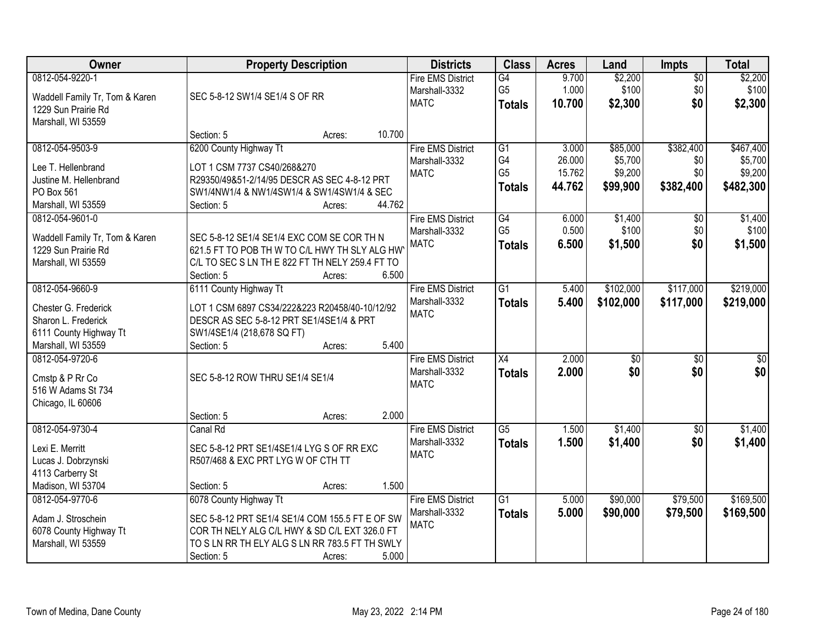| Owner                                                                                                          | <b>Property Description</b>                                                                                                                                                                                   | <b>Districts</b>                                         | <b>Class</b>                                | <b>Acres</b>                        | Land                                       | <b>Impts</b>                         | <b>Total</b>                                 |
|----------------------------------------------------------------------------------------------------------------|---------------------------------------------------------------------------------------------------------------------------------------------------------------------------------------------------------------|----------------------------------------------------------|---------------------------------------------|-------------------------------------|--------------------------------------------|--------------------------------------|----------------------------------------------|
| 0812-054-9220-1<br>Waddell Family Tr, Tom & Karen<br>1229 Sun Prairie Rd<br>Marshall, WI 53559                 | SEC 5-8-12 SW1/4 SE1/4 S OF RR                                                                                                                                                                                | <b>Fire EMS District</b><br>Marshall-3332<br><b>MATC</b> | G4<br>G <sub>5</sub><br><b>Totals</b>       | 9.700<br>1.000<br>10.700            | \$2,200<br>\$100<br>\$2,300                | \$0<br>\$0<br>\$0                    | \$2,200<br>\$100<br>\$2,300                  |
|                                                                                                                | 10.700<br>Section: 5<br>Acres:                                                                                                                                                                                |                                                          |                                             |                                     |                                            |                                      |                                              |
| 0812-054-9503-9<br>Lee T. Hellenbrand<br>Justine M. Hellenbrand<br>PO Box 561<br>Marshall, WI 53559            | 6200 County Highway Tt<br>LOT 1 CSM 7737 CS40/268&270<br>R29350/49&51-2/14/95 DESCR AS SEC 4-8-12 PRT<br>SW1/4NW1/4 & NW1/4SW1/4 & SW1/4SW1/4 & SEC<br>44.762<br>Section: 5<br>Acres:                         | <b>Fire EMS District</b><br>Marshall-3332<br><b>MATC</b> | G1<br>G4<br>G <sub>5</sub><br><b>Totals</b> | 3.000<br>26.000<br>15.762<br>44.762 | \$85,000<br>\$5,700<br>\$9,200<br>\$99,900 | \$382,400<br>\$0<br>\$0<br>\$382,400 | \$467,400<br>\$5,700<br>\$9,200<br>\$482,300 |
| 0812-054-9601-0<br>Waddell Family Tr, Tom & Karen<br>1229 Sun Prairie Rd<br>Marshall, WI 53559                 | SEC 5-8-12 SE1/4 SE1/4 EXC COM SE COR TH N<br>621.5 FT TO POB TH W TO C/L HWY TH SLY ALG HW<br>C/L TO SEC S LN TH E 822 FT TH NELY 259.4 FT TO<br>Section: 5<br>6.500<br>Acres:                               | <b>Fire EMS District</b><br>Marshall-3332<br><b>MATC</b> | G4<br>G <sub>5</sub><br><b>Totals</b>       | 6.000<br>0.500<br>6.500             | \$1,400<br>\$100<br>\$1,500                | \$0<br>\$0<br>\$0                    | \$1,400<br>\$100<br>\$1,500                  |
| 0812-054-9660-9<br>Chester G. Frederick<br>Sharon L. Frederick<br>6111 County Highway Tt<br>Marshall, WI 53559 | 6111 County Highway Tt<br>LOT 1 CSM 6897 CS34/222&223 R20458/40-10/12/92<br>DESCR AS SEC 5-8-12 PRT SE1/4SE1/4 & PRT<br>SW1/4SE1/4 (218,678 SQ FT)<br>5.400<br>Section: 5<br>Acres:                           | <b>Fire EMS District</b><br>Marshall-3332<br><b>MATC</b> | $\overline{G1}$<br><b>Totals</b>            | 5.400<br>5.400                      | \$102,000<br>\$102,000                     | \$117,000<br>\$117,000               | \$219,000<br>\$219,000                       |
| 0812-054-9720-6<br>Cmstp & P Rr Co<br>516 W Adams St 734<br>Chicago, IL 60606                                  | SEC 5-8-12 ROW THRU SE1/4 SE1/4<br>2.000<br>Section: 5<br>Acres:                                                                                                                                              | <b>Fire EMS District</b><br>Marshall-3332<br><b>MATC</b> | $\overline{X4}$<br>Totals                   | 2.000<br>2.000                      | $\overline{50}$<br>\$0                     | $\overline{50}$<br>\$0               | $\overline{50}$<br>\$0                       |
| 0812-054-9730-4<br>Lexi E. Merritt<br>Lucas J. Dobrzynski<br>4113 Carberry St<br>Madison, WI 53704             | Canal Rd<br>SEC 5-8-12 PRT SE1/4SE1/4 LYG S OF RR EXC<br>R507/468 & EXC PRT LYG W OF CTH TT<br>1.500<br>Section: 5<br>Acres:                                                                                  | <b>Fire EMS District</b><br>Marshall-3332<br><b>MATC</b> | $\overline{G5}$<br><b>Totals</b>            | 1.500<br>1.500                      | \$1,400<br>\$1,400                         | \$0<br>\$0                           | \$1,400<br>\$1,400                           |
| 0812-054-9770-6<br>Adam J. Stroschein<br>6078 County Highway Tt<br>Marshall, WI 53559                          | 6078 County Highway Tt<br>SEC 5-8-12 PRT SE1/4 SE1/4 COM 155.5 FT E OF SW<br>COR TH NELY ALG C/L HWY & SD C/L EXT 326.0 FT<br>TO S LN RR TH ELY ALG S LN RR 783.5 FT TH SWLY<br>5.000<br>Section: 5<br>Acres: | <b>Fire EMS District</b><br>Marshall-3332<br><b>MATC</b> | $\overline{G1}$<br><b>Totals</b>            | 5.000<br>5.000                      | \$90,000<br>\$90,000                       | \$79,500<br>\$79,500                 | \$169,500<br>\$169,500                       |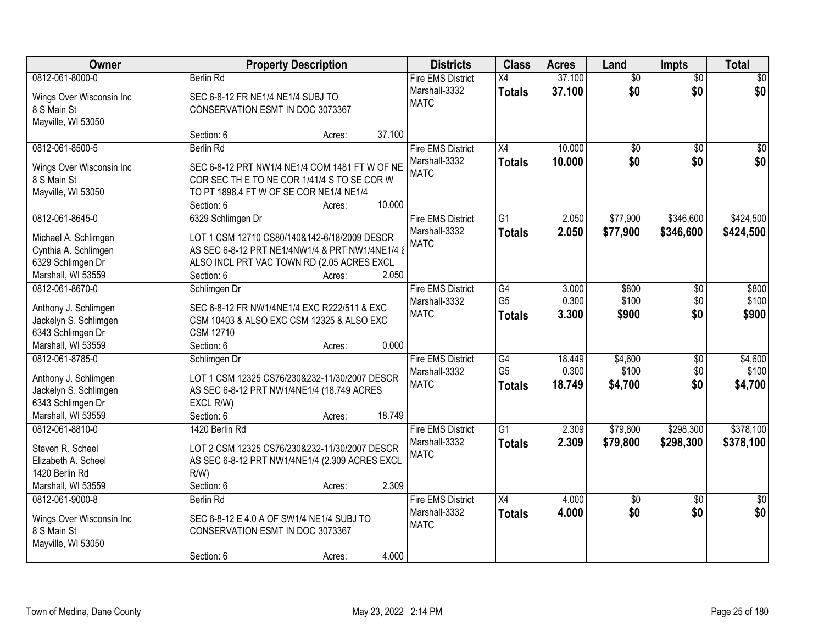| <b>Owner</b>             |                                                 | <b>Property Description</b> |        | <b>Districts</b>                          | <b>Class</b>    | <b>Acres</b> | Land            | <b>Impts</b>    | <b>Total</b>    |
|--------------------------|-------------------------------------------------|-----------------------------|--------|-------------------------------------------|-----------------|--------------|-----------------|-----------------|-----------------|
| 0812-061-8000-0          | <b>Berlin Rd</b>                                |                             |        | <b>Fire EMS District</b>                  | X4              | 37.100       | $\overline{50}$ | $\overline{50}$ | $\sqrt{50}$     |
| Wings Over Wisconsin Inc | SEC 6-8-12 FR NE1/4 NE1/4 SUBJ TO               |                             |        | Marshall-3332                             | <b>Totals</b>   | 37.100       | \$0             | \$0             | \$0             |
| 8 S Main St              | CONSERVATION ESMT IN DOC 3073367                |                             |        | <b>MATC</b>                               |                 |              |                 |                 |                 |
| Mayville, WI 53050       |                                                 |                             |        |                                           |                 |              |                 |                 |                 |
|                          | Section: 6                                      | Acres:                      | 37.100 |                                           |                 |              |                 |                 |                 |
| 0812-061-8500-5          | <b>Berlin Rd</b>                                |                             |        | <b>Fire EMS District</b>                  | X4              | 10.000       | $\overline{50}$ | $\overline{50}$ | $\sqrt{50}$     |
| Wings Over Wisconsin Inc | SEC 6-8-12 PRT NW1/4 NE1/4 COM 1481 FT W OF NE  |                             |        | Marshall-3332                             | <b>Totals</b>   | 10.000       | \$0             | \$0             | \$0             |
| 8 S Main St              | COR SEC THE TO NE COR 1/41/4 S TO SE COR W      |                             |        | <b>MATC</b>                               |                 |              |                 |                 |                 |
| Mayville, WI 53050       | TO PT 1898.4 FT W OF SE COR NE1/4 NE1/4         |                             |        |                                           |                 |              |                 |                 |                 |
|                          | Section: 6                                      | Acres:                      | 10.000 |                                           |                 |              |                 |                 |                 |
| 0812-061-8645-0          | 6329 Schlimgen Dr                               |                             |        | <b>Fire EMS District</b>                  | G1              | 2.050        | \$77,900        | \$346,600       | \$424,500       |
|                          |                                                 |                             |        | Marshall-3332                             | <b>Totals</b>   | 2.050        | \$77,900        | \$346,600       | \$424,500       |
| Michael A. Schlimgen     | LOT 1 CSM 12710 CS80/140&142-6/18/2009 DESCR    |                             |        | <b>MATC</b>                               |                 |              |                 |                 |                 |
| Cynthia A. Schlimgen     | AS SEC 6-8-12 PRT NE1/4NW1/4 & PRT NW1/4NE1/4 & |                             |        |                                           |                 |              |                 |                 |                 |
| 6329 Schlimgen Dr        | ALSO INCL PRT VAC TOWN RD (2.05 ACRES EXCL      |                             |        |                                           |                 |              |                 |                 |                 |
| Marshall, WI 53559       | Section: 6                                      | Acres:                      | 2.050  |                                           |                 |              |                 |                 |                 |
| 0812-061-8670-0          | Schlimgen Dr                                    |                             |        | <b>Fire EMS District</b>                  | $\overline{G4}$ | 3.000        | \$800           | \$0             | \$800           |
| Anthony J. Schlimgen     | SEC 6-8-12 FR NW1/4NE1/4 EXC R222/511 & EXC     |                             |        | Marshall-3332                             | G <sub>5</sub>  | 0.300        | \$100           | \$0             | \$100           |
| Jackelyn S. Schlimgen    | CSM 10403 & ALSO EXC CSM 12325 & ALSO EXC       |                             |        | <b>MATC</b>                               | <b>Totals</b>   | 3.300        | \$900           | \$0             | \$900           |
| 6343 Schlimgen Dr        | <b>CSM 12710</b>                                |                             |        |                                           |                 |              |                 |                 |                 |
| Marshall, WI 53559       | Section: 6                                      | Acres:                      | 0.000  |                                           |                 |              |                 |                 |                 |
| 0812-061-8785-0          | Schlimgen Dr                                    |                             |        | <b>Fire EMS District</b>                  | $\overline{G4}$ | 18.449       | \$4,600         | $\overline{30}$ | \$4,600         |
|                          |                                                 |                             |        | Marshall-3332                             | G <sub>5</sub>  | 0.300        | \$100           | \$0             | \$100           |
| Anthony J. Schlimgen     | LOT 1 CSM 12325 CS76/230&232-11/30/2007 DESCR   |                             |        | <b>MATC</b>                               | <b>Totals</b>   | 18.749       | \$4,700         | \$0             | \$4,700         |
| Jackelyn S. Schlimgen    | AS SEC 6-8-12 PRT NW1/4NE1/4 (18.749 ACRES      |                             |        |                                           |                 |              |                 |                 |                 |
| 6343 Schlimgen Dr        | EXCL R/W)<br>Section: 6                         |                             | 18.749 |                                           |                 |              |                 |                 |                 |
| Marshall, WI 53559       |                                                 | Acres:                      |        |                                           | $\overline{G1}$ |              |                 |                 |                 |
| 0812-061-8810-0          | 1420 Berlin Rd                                  |                             |        | <b>Fire EMS District</b><br>Marshall-3332 |                 | 2.309        | \$79,800        | \$298,300       | \$378,100       |
| Steven R. Scheel         | LOT 2 CSM 12325 CS76/230&232-11/30/2007 DESCR   |                             |        | <b>MATC</b>                               | <b>Totals</b>   | 2.309        | \$79,800        | \$298,300       | \$378,100       |
| Elizabeth A. Scheel      | AS SEC 6-8-12 PRT NW1/4NE1/4 (2.309 ACRES EXCL  |                             |        |                                           |                 |              |                 |                 |                 |
| 1420 Berlin Rd           | $R/W$ )                                         |                             |        |                                           |                 |              |                 |                 |                 |
| Marshall, WI 53559       | Section: 6                                      | Acres:                      | 2.309  |                                           |                 |              |                 |                 |                 |
| 0812-061-9000-8          | <b>Berlin Rd</b>                                |                             |        | <b>Fire EMS District</b>                  | $\overline{X4}$ | 4.000        | $\overline{50}$ | $\overline{50}$ | $\overline{50}$ |
| Wings Over Wisconsin Inc | SEC 6-8-12 E 4.0 A OF SW1/4 NE1/4 SUBJ TO       |                             |        | Marshall-3332                             | <b>Totals</b>   | 4.000        | \$0             | \$0             | \$0             |
| 8 S Main St              | CONSERVATION ESMT IN DOC 3073367                |                             |        | <b>MATC</b>                               |                 |              |                 |                 |                 |
| Mayville, WI 53050       |                                                 |                             |        |                                           |                 |              |                 |                 |                 |
|                          | Section: 6                                      | Acres:                      | 4.000  |                                           |                 |              |                 |                 |                 |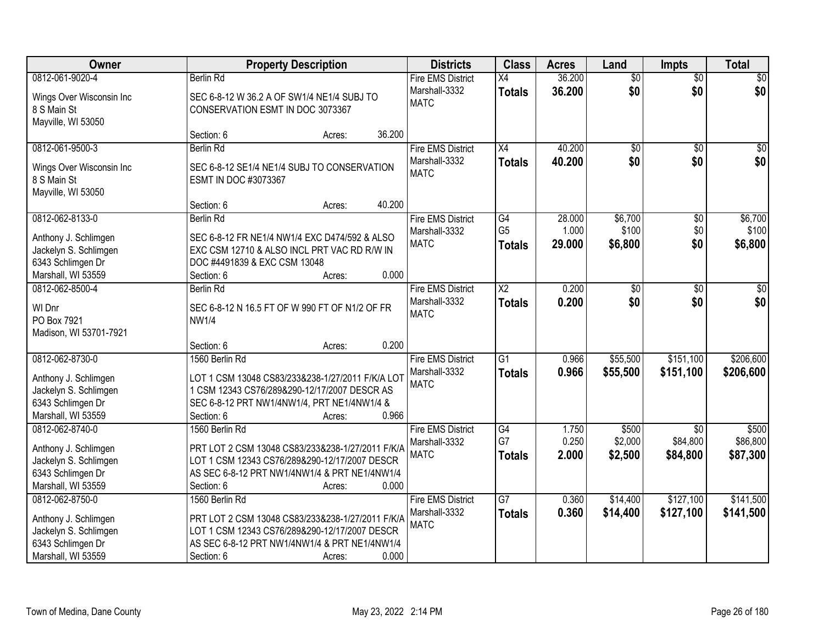| <b>Owner</b>                                                                                                | <b>Property Description</b>                                                                                                                                                                                                         | <b>Districts</b>                                         | <b>Class</b>                           | <b>Acres</b>              | Land                        | <b>Impts</b>                            | <b>Total</b>                  |
|-------------------------------------------------------------------------------------------------------------|-------------------------------------------------------------------------------------------------------------------------------------------------------------------------------------------------------------------------------------|----------------------------------------------------------|----------------------------------------|---------------------------|-----------------------------|-----------------------------------------|-------------------------------|
| 0812-061-9020-4<br>Wings Over Wisconsin Inc<br>8 S Main St<br>Mayville, WI 53050                            | <b>Berlin Rd</b><br>SEC 6-8-12 W 36.2 A OF SW1/4 NE1/4 SUBJ TO<br>CONSERVATION ESMT IN DOC 3073367                                                                                                                                  | <b>Fire EMS District</b><br>Marshall-3332<br><b>MATC</b> | $\overline{X4}$<br><b>Totals</b>       | 36.200<br>36.200          | $\overline{50}$<br>\$0      | $\overline{50}$<br>\$0                  | \$0<br>\$0                    |
|                                                                                                             | 36.200<br>Section: 6<br>Acres:                                                                                                                                                                                                      |                                                          |                                        |                           |                             |                                         |                               |
| 0812-061-9500-3<br>Wings Over Wisconsin Inc<br>8 S Main St<br>Mayville, WI 53050                            | <b>Berlin Rd</b><br>SEC 6-8-12 SE1/4 NE1/4 SUBJ TO CONSERVATION<br>ESMT IN DOC #3073367                                                                                                                                             | <b>Fire EMS District</b><br>Marshall-3332<br><b>MATC</b> | $\overline{X4}$<br><b>Totals</b>       | 40.200<br>40.200          | $\overline{50}$<br>\$0      | $\overline{50}$<br>\$0                  | \$0<br>\$0                    |
| 0812-062-8133-0<br>Anthony J. Schlimgen<br>Jackelyn S. Schlimgen<br>6343 Schlimgen Dr<br>Marshall, WI 53559 | 40.200<br>Section: 6<br>Acres:<br><b>Berlin Rd</b><br>SEC 6-8-12 FR NE1/4 NW1/4 EXC D474/592 & ALSO<br>EXC CSM 12710 & ALSO INCL PRT VAC RD R/W IN<br>DOC #4491839 & EXC CSM 13048<br>0.000<br>Section: 6<br>Acres:                 | <b>Fire EMS District</b><br>Marshall-3332<br><b>MATC</b> | G4<br>G <sub>5</sub><br><b>Totals</b>  | 28.000<br>1.000<br>29.000 | \$6,700<br>\$100<br>\$6,800 | \$0<br>\$0<br>\$0                       | \$6,700<br>\$100<br>\$6,800   |
| 0812-062-8500-4<br>WI Dnr<br>PO Box 7921<br>Madison, WI 53701-7921                                          | <b>Berlin Rd</b><br>SEC 6-8-12 N 16.5 FT OF W 990 FT OF N1/2 OF FR<br><b>NW1/4</b>                                                                                                                                                  | <b>Fire EMS District</b><br>Marshall-3332<br><b>MATC</b> | $\overline{X2}$<br><b>Totals</b>       | 0.200<br>0.200            | $\overline{50}$<br>\$0      | $\sqrt[6]{3}$<br>\$0                    | $\sqrt{50}$<br>\$0            |
| 0812-062-8730-0<br>Anthony J. Schlimgen<br>Jackelyn S. Schlimgen<br>6343 Schlimgen Dr<br>Marshall, WI 53559 | 0.200<br>Section: 6<br>Acres:<br>1560 Berlin Rd<br>LOT 1 CSM 13048 CS83/233&238-1/27/2011 F/K/A LOT<br>1 CSM 12343 CS76/289&290-12/17/2007 DESCR AS<br>SEC 6-8-12 PRT NW1/4NW1/4, PRT NE1/4NW1/4 &<br>0.966<br>Section: 6<br>Acres: | <b>Fire EMS District</b><br>Marshall-3332<br><b>MATC</b> | $\overline{G1}$<br><b>Totals</b>       | 0.966<br>0.966            | \$55,500<br>\$55,500        | \$151,100<br>\$151,100                  | \$206,600<br>\$206,600        |
| 0812-062-8740-0<br>Anthony J. Schlimgen<br>Jackelyn S. Schlimgen<br>6343 Schlimgen Dr<br>Marshall, WI 53559 | 1560 Berlin Rd<br>PRT LOT 2 CSM 13048 CS83/233&238-1/27/2011 F/K/A<br>LOT 1 CSM 12343 CS76/289&290-12/17/2007 DESCR<br>AS SEC 6-8-12 PRT NW1/4NW1/4 & PRT NE1/4NW1/4<br>0.000<br>Section: 6<br>Acres:                               | <b>Fire EMS District</b><br>Marshall-3332<br><b>MATC</b> | $\overline{G4}$<br>G7<br><b>Totals</b> | 1.750<br>0.250<br>2.000   | \$500<br>\$2,000<br>\$2,500 | $\overline{30}$<br>\$84,800<br>\$84,800 | \$500<br>\$86,800<br>\$87,300 |
| 0812-062-8750-0<br>Anthony J. Schlimgen<br>Jackelyn S. Schlimgen<br>6343 Schlimgen Dr<br>Marshall, WI 53559 | 1560 Berlin Rd<br>PRT LOT 2 CSM 13048 CS83/233&238-1/27/2011 F/K/A<br>LOT 1 CSM 12343 CS76/289&290-12/17/2007 DESCR<br>AS SEC 6-8-12 PRT NW1/4NW1/4 & PRT NE1/4NW1/4<br>0.000<br>Section: 6<br>Acres:                               | <b>Fire EMS District</b><br>Marshall-3332<br><b>MATC</b> | $\overline{G7}$<br><b>Totals</b>       | 0.360<br>0.360            | \$14,400<br>\$14,400        | \$127,100<br>\$127,100                  | \$141,500<br>\$141,500        |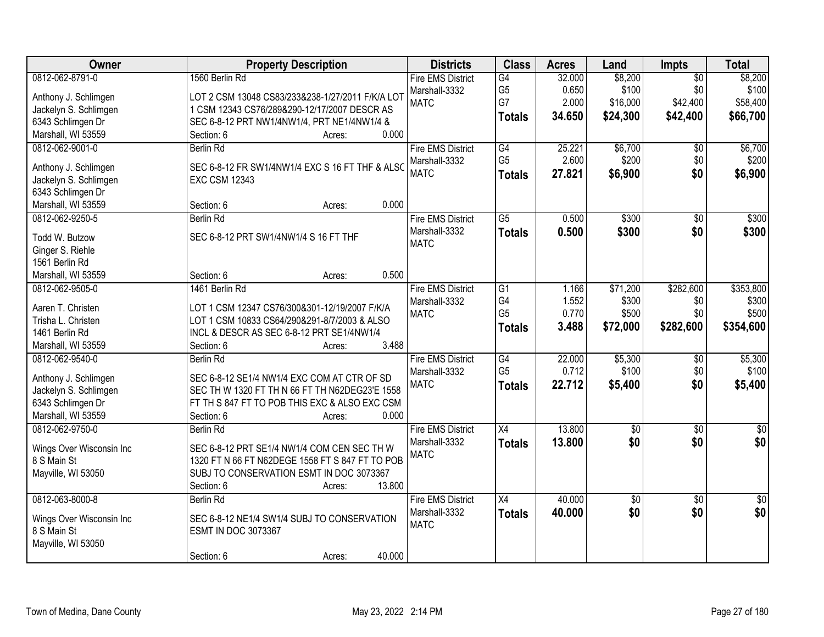| Owner                    | <b>Property Description</b>                      | <b>Districts</b>         | <b>Class</b>    | <b>Acres</b> | Land       | Impts           | <b>Total</b> |
|--------------------------|--------------------------------------------------|--------------------------|-----------------|--------------|------------|-----------------|--------------|
| 0812-062-8791-0          | 1560 Berlin Rd                                   | <b>Fire EMS District</b> | G4              | 32.000       | \$8,200    | $\overline{50}$ | \$8,200      |
| Anthony J. Schlimgen     | LOT 2 CSM 13048 CS83/233&238-1/27/2011 F/K/A LOT | Marshall-3332            | G <sub>5</sub>  | 0.650        | \$100      | \$0             | \$100        |
| Jackelyn S. Schlimgen    | 1 CSM 12343 CS76/289&290-12/17/2007 DESCR AS     | <b>MATC</b>              | G7              | 2.000        | \$16,000   | \$42,400        | \$58,400     |
| 6343 Schlimgen Dr        | SEC 6-8-12 PRT NW1/4NW1/4, PRT NE1/4NW1/4 &      |                          | <b>Totals</b>   | 34.650       | \$24,300   | \$42,400        | \$66,700     |
| Marshall, WI 53559       | 0.000<br>Section: 6<br>Acres:                    |                          |                 |              |            |                 |              |
| 0812-062-9001-0          | <b>Berlin Rd</b>                                 | <b>Fire EMS District</b> | G4              | 25.221       | \$6,700    | \$0             | \$6,700      |
|                          |                                                  | Marshall-3332            | G <sub>5</sub>  | 2.600        | \$200      | \$0             | \$200        |
| Anthony J. Schlimgen     | SEC 6-8-12 FR SW1/4NW1/4 EXC S 16 FT THF & ALSC  | <b>MATC</b>              | <b>Totals</b>   | 27.821       | \$6,900    | \$0             | \$6,900      |
| Jackelyn S. Schlimgen    | <b>EXC CSM 12343</b>                             |                          |                 |              |            |                 |              |
| 6343 Schlimgen Dr        |                                                  |                          |                 |              |            |                 |              |
| Marshall, WI 53559       | 0.000<br>Section: 6<br>Acres:                    |                          |                 |              |            |                 |              |
| 0812-062-9250-5          | <b>Berlin Rd</b>                                 | <b>Fire EMS District</b> | $\overline{G5}$ | 0.500        | \$300      | $\overline{50}$ | \$300        |
| Todd W. Butzow           | SEC 6-8-12 PRT SW1/4NW1/4 S 16 FT THF            | Marshall-3332            | <b>Totals</b>   | 0.500        | \$300      | \$0             | \$300        |
| Ginger S. Riehle         |                                                  | <b>MATC</b>              |                 |              |            |                 |              |
| 1561 Berlin Rd           |                                                  |                          |                 |              |            |                 |              |
| Marshall, WI 53559       | 0.500<br>Section: 6<br>Acres:                    |                          |                 |              |            |                 |              |
| 0812-062-9505-0          | 1461 Berlin Rd                                   | <b>Fire EMS District</b> | G1              | 1.166        | \$71,200   | \$282,600       | \$353,800    |
|                          |                                                  | Marshall-3332            | G4              | 1.552        | \$300      | \$0             | \$300        |
| Aaren T. Christen        | LOT 1 CSM 12347 CS76/300&301-12/19/2007 F/K/A    | <b>MATC</b>              | G <sub>5</sub>  | 0.770        | \$500      | \$0             | \$500        |
| Trisha L. Christen       | LOT 1 CSM 10833 CS64/290&291-8/7/2003 & ALSO     |                          | <b>Totals</b>   | 3.488        | \$72,000   | \$282,600       | \$354,600    |
| 1461 Berlin Rd           | INCL & DESCR AS SEC 6-8-12 PRT SE1/4NW1/4        |                          |                 |              |            |                 |              |
| Marshall, WI 53559       | 3.488<br>Section: 6<br>Acres:                    |                          |                 |              |            |                 |              |
| 0812-062-9540-0          | Berlin Rd                                        | <b>Fire EMS District</b> | $\overline{G4}$ | 22.000       | \$5,300    | $\overline{50}$ | \$5,300      |
| Anthony J. Schlimgen     | SEC 6-8-12 SE1/4 NW1/4 EXC COM AT CTR OF SD      | Marshall-3332            | G <sub>5</sub>  | 0.712        | \$100      | \$0             | \$100        |
| Jackelyn S. Schlimgen    | SEC TH W 1320 FT TH N 66 FT TH N62DEG23'E 1558   | <b>MATC</b>              | <b>Totals</b>   | 22.712       | \$5,400    | \$0             | \$5,400      |
| 6343 Schlimgen Dr        | FT TH S 847 FT TO POB THIS EXC & ALSO EXC CSM    |                          |                 |              |            |                 |              |
| Marshall, WI 53559       | 0.000<br>Section: 6<br>Acres:                    |                          |                 |              |            |                 |              |
| 0812-062-9750-0          | Berlin Rd                                        | <b>Fire EMS District</b> | $\overline{X4}$ | 13.800       | $\sqrt{6}$ | $\sqrt{6}$      | \$0          |
|                          |                                                  | Marshall-3332            | <b>Totals</b>   | 13.800       | \$0        | \$0             | \$0          |
| Wings Over Wisconsin Inc | SEC 6-8-12 PRT SE1/4 NW1/4 COM CEN SEC TH W      | <b>MATC</b>              |                 |              |            |                 |              |
| 8 S Main St              | 1320 FT N 66 FT N62DEGE 1558 FT S 847 FT TO POB  |                          |                 |              |            |                 |              |
| Mayville, WI 53050       | SUBJ TO CONSERVATION ESMT IN DOC 3073367         |                          |                 |              |            |                 |              |
|                          | 13.800<br>Section: 6<br>Acres:                   |                          |                 |              |            |                 |              |
| 0812-063-8000-8          | <b>Berlin Rd</b>                                 | <b>Fire EMS District</b> | X4              | 40.000       | $\sqrt{6}$ | $\overline{30}$ | \$0          |
| Wings Over Wisconsin Inc | SEC 6-8-12 NE1/4 SW1/4 SUBJ TO CONSERVATION      | Marshall-3332            | <b>Totals</b>   | 40.000       | \$0        | \$0             | \$0          |
| 8 S Main St              | <b>ESMT IN DOC 3073367</b>                       | <b>MATC</b>              |                 |              |            |                 |              |
| Mayville, WI 53050       |                                                  |                          |                 |              |            |                 |              |
|                          | 40.000<br>Section: 6<br>Acres:                   |                          |                 |              |            |                 |              |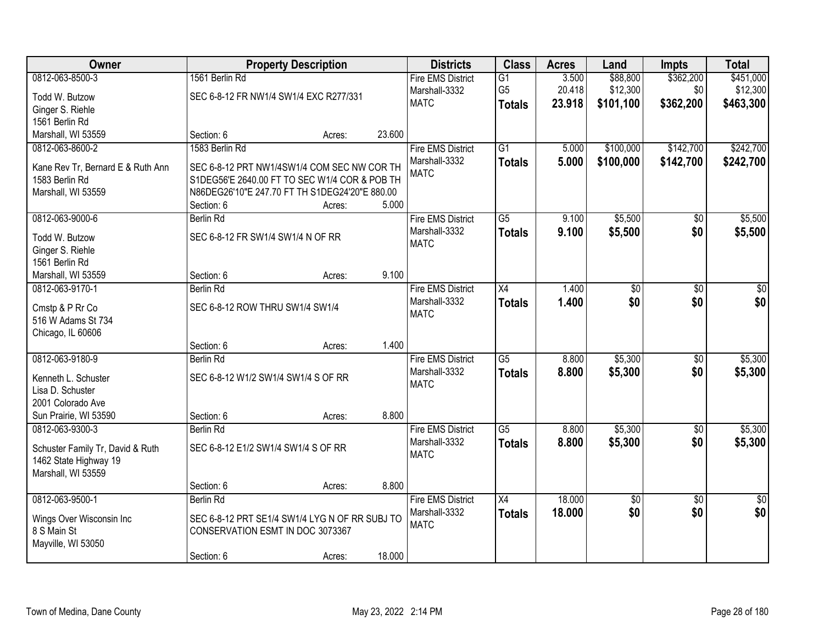| Owner                                               |                                                                                              | <b>Property Description</b> |        | <b>Districts</b>         | <b>Class</b>    | <b>Acres</b> | Land            | <b>Impts</b>    | <b>Total</b>    |
|-----------------------------------------------------|----------------------------------------------------------------------------------------------|-----------------------------|--------|--------------------------|-----------------|--------------|-----------------|-----------------|-----------------|
| 0812-063-8500-3                                     | 1561 Berlin Rd                                                                               |                             |        | <b>Fire EMS District</b> | $\overline{G1}$ | 3.500        | \$88,800        | \$362,200       | \$451,000       |
| Todd W. Butzow                                      | SEC 6-8-12 FR NW1/4 SW1/4 EXC R277/331                                                       |                             |        | Marshall-3332            | G <sub>5</sub>  | 20.418       | \$12,300        | \$0             | \$12,300        |
| Ginger S. Riehle                                    |                                                                                              |                             |        | <b>MATC</b>              | <b>Totals</b>   | 23.918       | \$101,100       | \$362,200       | \$463,300       |
| 1561 Berlin Rd                                      |                                                                                              |                             |        |                          |                 |              |                 |                 |                 |
| Marshall, WI 53559                                  | Section: 6                                                                                   | Acres:                      | 23.600 |                          |                 |              |                 |                 |                 |
| 0812-063-8600-2                                     | 1583 Berlin Rd                                                                               |                             |        | <b>Fire EMS District</b> | $\overline{G1}$ | 5.000        | \$100,000       | \$142,700       | \$242,700       |
|                                                     |                                                                                              |                             |        | Marshall-3332            | <b>Totals</b>   | 5.000        | \$100,000       | \$142,700       | \$242,700       |
| Kane Rev Tr, Bernard E & Ruth Ann<br>1583 Berlin Rd | SEC 6-8-12 PRT NW1/4SW1/4 COM SEC NW COR TH<br>S1DEG56'E 2640.00 FT TO SEC W1/4 COR & POB TH |                             |        | <b>MATC</b>              |                 |              |                 |                 |                 |
| Marshall, WI 53559                                  | N86DEG26'10"E 247.70 FT TH S1DEG24'20"E 880.00                                               |                             |        |                          |                 |              |                 |                 |                 |
|                                                     | Section: 6                                                                                   | Acres:                      | 5.000  |                          |                 |              |                 |                 |                 |
| 0812-063-9000-6                                     | <b>Berlin Rd</b>                                                                             |                             |        | <b>Fire EMS District</b> | $\overline{G5}$ | 9.100        | \$5,500         | $\overline{50}$ | \$5,500         |
|                                                     |                                                                                              |                             |        | Marshall-3332            | <b>Totals</b>   | 9.100        | \$5,500         | \$0             | \$5,500         |
| Todd W. Butzow                                      | SEC 6-8-12 FR SW1/4 SW1/4 N OF RR                                                            |                             |        | <b>MATC</b>              |                 |              |                 |                 |                 |
| Ginger S. Riehle                                    |                                                                                              |                             |        |                          |                 |              |                 |                 |                 |
| 1561 Berlin Rd                                      |                                                                                              |                             |        |                          |                 |              |                 |                 |                 |
| Marshall, WI 53559                                  | Section: 6                                                                                   | Acres:                      | 9.100  |                          |                 |              |                 |                 |                 |
| 0812-063-9170-1                                     | Berlin Rd                                                                                    |                             |        | <b>Fire EMS District</b> | $\overline{X4}$ | 1.400        | $\overline{50}$ | $\overline{50}$ | \$0             |
| Cmstp & P Rr Co                                     | SEC 6-8-12 ROW THRU SW1/4 SW1/4                                                              |                             |        | Marshall-3332            | <b>Totals</b>   | 1.400        | \$0             | \$0             | \$0             |
| 516 W Adams St 734                                  |                                                                                              |                             |        | <b>MATC</b>              |                 |              |                 |                 |                 |
| Chicago, IL 60606                                   |                                                                                              |                             |        |                          |                 |              |                 |                 |                 |
|                                                     | Section: 6                                                                                   | Acres:                      | 1.400  |                          |                 |              |                 |                 |                 |
| 0812-063-9180-9                                     | <b>Berlin Rd</b>                                                                             |                             |        | <b>Fire EMS District</b> | $\overline{G5}$ | 8.800        | \$5,300         | \$0             | \$5,300         |
| Kenneth L. Schuster                                 | SEC 6-8-12 W1/2 SW1/4 SW1/4 S OF RR                                                          |                             |        | Marshall-3332            | <b>Totals</b>   | 8.800        | \$5,300         | \$0             | \$5,300         |
| Lisa D. Schuster                                    |                                                                                              |                             |        | <b>MATC</b>              |                 |              |                 |                 |                 |
| 2001 Colorado Ave                                   |                                                                                              |                             |        |                          |                 |              |                 |                 |                 |
| Sun Prairie, WI 53590                               | Section: 6                                                                                   | Acres:                      | 8.800  |                          |                 |              |                 |                 |                 |
| 0812-063-9300-3                                     | <b>Berlin Rd</b>                                                                             |                             |        | <b>Fire EMS District</b> | $\overline{G5}$ | 8.800        | \$5,300         | $\sqrt{6}$      | \$5,300         |
|                                                     |                                                                                              |                             |        | Marshall-3332            | <b>Totals</b>   | 8.800        | \$5,300         | \$0             | \$5,300         |
| Schuster Family Tr, David & Ruth                    | SEC 6-8-12 E1/2 SW1/4 SW1/4 S OF RR                                                          |                             |        | <b>MATC</b>              |                 |              |                 |                 |                 |
| 1462 State Highway 19                               |                                                                                              |                             |        |                          |                 |              |                 |                 |                 |
| Marshall, WI 53559                                  |                                                                                              |                             |        |                          |                 |              |                 |                 |                 |
|                                                     | Section: 6                                                                                   | Acres:                      | 8.800  |                          |                 |              |                 |                 |                 |
| 0812-063-9500-1                                     | <b>Berlin Rd</b>                                                                             |                             |        | <b>Fire EMS District</b> | $\overline{X4}$ | 18.000       | $\sqrt{6}$      | $\overline{30}$ | $\overline{50}$ |
| Wings Over Wisconsin Inc                            | SEC 6-8-12 PRT SE1/4 SW1/4 LYG N OF RR SUBJ TO                                               |                             |        | Marshall-3332            | <b>Totals</b>   | 18.000       | \$0             | \$0             | \$0             |
| 8 S Main St                                         | CONSERVATION ESMT IN DOC 3073367                                                             |                             |        | <b>MATC</b>              |                 |              |                 |                 |                 |
| Mayville, WI 53050                                  |                                                                                              |                             |        |                          |                 |              |                 |                 |                 |
|                                                     | Section: 6                                                                                   | Acres:                      | 18.000 |                          |                 |              |                 |                 |                 |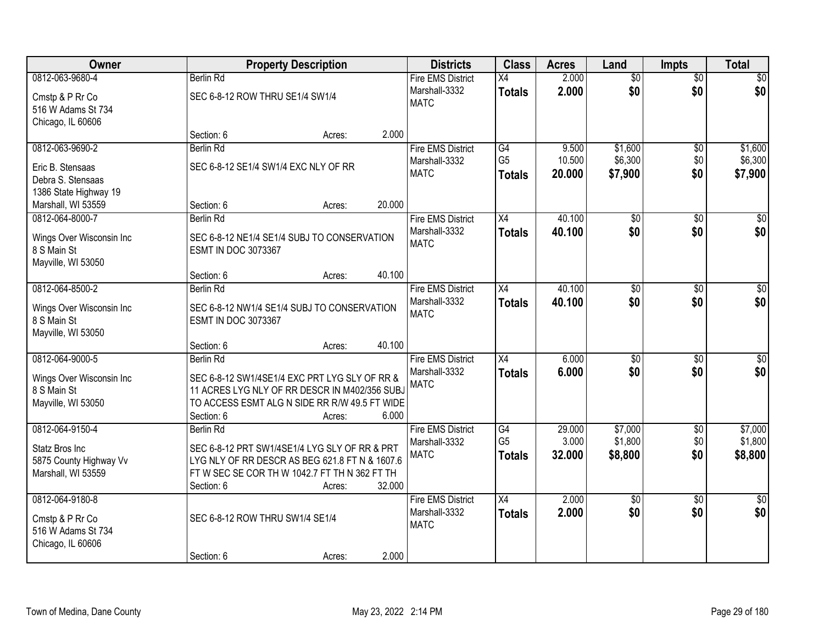| <b>Owner</b>                                                                  |                                               | <b>Property Description</b>                                                                                                                               |        | <b>Districts</b>                                         | <b>Class</b>                     | <b>Acres</b>     | Land                   | <b>Impts</b>           | <b>Total</b>           |
|-------------------------------------------------------------------------------|-----------------------------------------------|-----------------------------------------------------------------------------------------------------------------------------------------------------------|--------|----------------------------------------------------------|----------------------------------|------------------|------------------------|------------------------|------------------------|
| 0812-063-9680-4<br>Cmstp & P Rr Co<br>516 W Adams St 734                      | Berlin Rd<br>SEC 6-8-12 ROW THRU SE1/4 SW1/4  |                                                                                                                                                           |        | <b>Fire EMS District</b><br>Marshall-3332<br><b>MATC</b> | $\overline{X4}$<br><b>Totals</b> | 2.000<br>2.000   | $\overline{50}$<br>\$0 | $\overline{50}$<br>\$0 | \$0<br>\$0             |
| Chicago, IL 60606                                                             | Section: 6                                    | Acres:                                                                                                                                                    | 2.000  |                                                          |                                  |                  |                        |                        |                        |
| 0812-063-9690-2                                                               | <b>Berlin Rd</b>                              |                                                                                                                                                           |        | <b>Fire EMS District</b>                                 | G4                               | 9.500            | \$1,600                | \$0                    | \$1,600                |
| Eric B. Stensaas<br>Debra S. Stensaas<br>1386 State Highway 19                | SEC 6-8-12 SE1/4 SW1/4 EXC NLY OF RR          |                                                                                                                                                           |        | Marshall-3332<br><b>MATC</b>                             | G <sub>5</sub><br><b>Totals</b>  | 10.500<br>20.000 | \$6,300<br>\$7,900     | \$0<br>\$0             | \$6,300<br>\$7,900     |
| Marshall, WI 53559                                                            | Section: 6                                    | Acres:                                                                                                                                                    | 20.000 |                                                          |                                  |                  |                        |                        |                        |
| 0812-064-8000-7                                                               | <b>Berlin Rd</b>                              |                                                                                                                                                           |        | <b>Fire EMS District</b>                                 | X4                               | 40.100           | $\overline{50}$        | \$0                    | $\sqrt{50}$            |
| Wings Over Wisconsin Inc<br>8 S Main St<br>Mayville, WI 53050                 | <b>ESMT IN DOC 3073367</b>                    | SEC 6-8-12 NE1/4 SE1/4 SUBJ TO CONSERVATION                                                                                                               |        | Marshall-3332<br><b>MATC</b>                             | <b>Totals</b>                    | 40.100           | \$0                    | \$0                    | \$0                    |
|                                                                               | Section: 6                                    | Acres:                                                                                                                                                    | 40.100 |                                                          |                                  |                  |                        |                        |                        |
| 0812-064-8500-2                                                               | Berlin Rd                                     |                                                                                                                                                           |        | <b>Fire EMS District</b>                                 | $\overline{X4}$                  | 40.100           | $\overline{50}$        | \$0                    | $\sqrt{50}$            |
| Wings Over Wisconsin Inc<br>8 S Main St<br>Mayville, WI 53050                 | <b>ESMT IN DOC 3073367</b>                    | SEC 6-8-12 NW1/4 SE1/4 SUBJ TO CONSERVATION                                                                                                               |        | Marshall-3332<br><b>MATC</b>                             | <b>Totals</b>                    | 40.100           | \$0                    | \$0                    | \$0                    |
|                                                                               | Section: 6                                    | Acres:                                                                                                                                                    | 40.100 |                                                          |                                  |                  |                        |                        |                        |
| 0812-064-9000-5                                                               | Berlin Rd                                     |                                                                                                                                                           |        | <b>Fire EMS District</b>                                 | $\overline{X4}$                  | 6.000            | $\overline{50}$        | \$0                    | $\sqrt{50}$            |
| Wings Over Wisconsin Inc<br>8 S Main St<br>Mayville, WI 53050                 | Section: 6                                    | SEC 6-8-12 SW1/4SE1/4 EXC PRT LYG SLY OF RR &<br>11 ACRES LYG NLY OF RR DESCR IN M402/356 SUBJ<br>TO ACCESS ESMT ALG N SIDE RR R/W 49.5 FT WIDE<br>Acres: | 6.000  | Marshall-3332<br><b>MATC</b>                             | <b>Totals</b>                    | 6.000            | \$0                    | \$0                    | \$0                    |
| 0812-064-9150-4                                                               | Berlin Rd                                     |                                                                                                                                                           |        | <b>Fire EMS District</b>                                 | G4<br>G <sub>5</sub>             | 29.000<br>3.000  | \$7,000<br>\$1,800     | $\overline{50}$        | \$7,000<br>\$1,800     |
| Statz Bros Inc<br>5875 County Highway Vv<br>Marshall, WI 53559                | Section: 6                                    | SEC 6-8-12 PRT SW1/4SE1/4 LYG SLY OF RR & PRT<br>LYG NLY OF RR DESCR AS BEG 621.8 FT N & 1607.6<br>FTWSECSECORTHW1042.7 FTTHN362 FTTH<br>Acres:           | 32.000 | Marshall-3332<br><b>MATC</b>                             | <b>Totals</b>                    | 32.000           | \$8,800                | \$0<br>\$0             | \$8,800                |
| 0812-064-9180-8<br>Cmstp & P Rr Co<br>516 W Adams St 734<br>Chicago, IL 60606 | SEC 6-8-12 ROW THRU SW1/4 SE1/4<br>Section: 6 | Acres:                                                                                                                                                    | 2.000  | <b>Fire EMS District</b><br>Marshall-3332<br><b>MATC</b> | $\overline{X4}$<br><b>Totals</b> | 2.000<br>2.000   | $\overline{50}$<br>\$0 | $\overline{50}$<br>\$0 | $\overline{30}$<br>\$0 |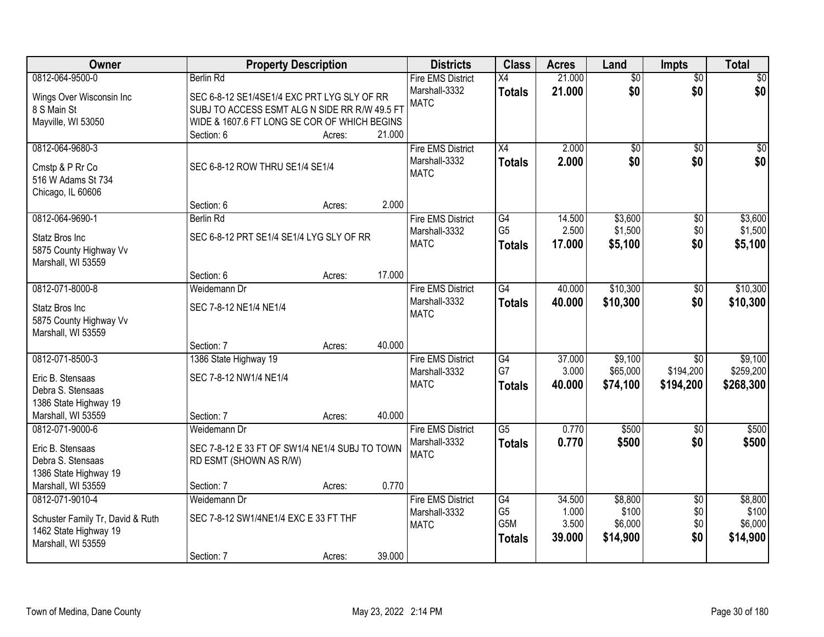| Owner                            |                                                | <b>Property Description</b> |        | <b>Districts</b>         | <b>Class</b>     | <b>Acres</b> | Land            | <b>Impts</b>    | <b>Total</b> |
|----------------------------------|------------------------------------------------|-----------------------------|--------|--------------------------|------------------|--------------|-----------------|-----------------|--------------|
| 0812-064-9500-0                  | <b>Berlin Rd</b>                               |                             |        | <b>Fire EMS District</b> | $\overline{X4}$  | 21.000       | $\overline{50}$ | $\overline{50}$ | \$0          |
| Wings Over Wisconsin Inc         | SEC 6-8-12 SE1/4SE1/4 EXC PRT LYG SLY OF RR    |                             |        | Marshall-3332            | <b>Totals</b>    | 21.000       | \$0             | \$0             | \$0          |
| 8 S Main St                      | SUBJ TO ACCESS ESMT ALG N SIDE RR R/W 49.5 FT  |                             |        | <b>MATC</b>              |                  |              |                 |                 |              |
| Mayville, WI 53050               | WIDE & 1607.6 FT LONG SE COR OF WHICH BEGINS   |                             |        |                          |                  |              |                 |                 |              |
|                                  | Section: 6                                     | Acres:                      | 21.000 |                          |                  |              |                 |                 |              |
| 0812-064-9680-3                  |                                                |                             |        | <b>Fire EMS District</b> | X4               | 2.000        | $\overline{50}$ | $\overline{50}$ | \$0          |
| Cmstp & P Rr Co                  | SEC 6-8-12 ROW THRU SE1/4 SE1/4                |                             |        | Marshall-3332            | <b>Totals</b>    | 2.000        | \$0             | \$0             | \$0          |
| 516 W Adams St 734               |                                                |                             |        | <b>MATC</b>              |                  |              |                 |                 |              |
| Chicago, IL 60606                |                                                |                             |        |                          |                  |              |                 |                 |              |
|                                  | Section: 6                                     | Acres:                      | 2.000  |                          |                  |              |                 |                 |              |
| 0812-064-9690-1                  | <b>Berlin Rd</b>                               |                             |        | <b>Fire EMS District</b> | G4               | 14.500       | \$3,600         | \$0             | \$3,600      |
| Statz Bros Inc                   | SEC 6-8-12 PRT SE1/4 SE1/4 LYG SLY OF RR       |                             |        | Marshall-3332            | G <sub>5</sub>   | 2.500        | \$1,500         | \$0             | \$1,500      |
| 5875 County Highway Vv           |                                                |                             |        | <b>MATC</b>              | <b>Totals</b>    | 17,000       | \$5,100         | \$0             | \$5,100      |
| Marshall, WI 53559               |                                                |                             |        |                          |                  |              |                 |                 |              |
|                                  | Section: 6                                     | Acres:                      | 17.000 |                          |                  |              |                 |                 |              |
| 0812-071-8000-8                  | Weidemann Dr                                   |                             |        | <b>Fire EMS District</b> | $\overline{G4}$  | 40.000       | \$10,300        | $\frac{1}{20}$  | \$10,300     |
| Statz Bros Inc                   | SEC 7-8-12 NE1/4 NE1/4                         |                             |        | Marshall-3332            | <b>Totals</b>    | 40.000       | \$10,300        | \$0             | \$10,300     |
| 5875 County Highway Vv           |                                                |                             |        | <b>MATC</b>              |                  |              |                 |                 |              |
| Marshall, WI 53559               |                                                |                             |        |                          |                  |              |                 |                 |              |
|                                  | Section: 7                                     | Acres:                      | 40.000 |                          |                  |              |                 |                 |              |
| 0812-071-8500-3                  | 1386 State Highway 19                          |                             |        | <b>Fire EMS District</b> | G4               | 37.000       | \$9,100         | $\overline{50}$ | \$9,100      |
| Eric B. Stensaas                 | SEC 7-8-12 NW1/4 NE1/4                         |                             |        | Marshall-3332            | G7               | 3.000        | \$65,000        | \$194,200       | \$259,200    |
| Debra S. Stensaas                |                                                |                             |        | <b>MATC</b>              | <b>Totals</b>    | 40.000       | \$74,100        | \$194,200       | \$268,300    |
| 1386 State Highway 19            |                                                |                             |        |                          |                  |              |                 |                 |              |
| Marshall, WI 53559               | Section: 7                                     | Acres:                      | 40.000 |                          |                  |              |                 |                 |              |
| 0812-071-9000-6                  | Weidemann Dr                                   |                             |        | <b>Fire EMS District</b> | $\overline{G5}$  | 0.770        | \$500           | \$0             | \$500        |
| Eric B. Stensaas                 | SEC 7-8-12 E 33 FT OF SW1/4 NE1/4 SUBJ TO TOWN |                             |        | Marshall-3332            | <b>Totals</b>    | 0.770        | \$500           | \$0             | \$500        |
| Debra S. Stensaas                | RD ESMT (SHOWN AS R/W)                         |                             |        | <b>MATC</b>              |                  |              |                 |                 |              |
| 1386 State Highway 19            |                                                |                             |        |                          |                  |              |                 |                 |              |
| Marshall, WI 53559               | Section: 7                                     | Acres:                      | 0.770  |                          |                  |              |                 |                 |              |
| 0812-071-9010-4                  | Weidemann Dr                                   |                             |        | <b>Fire EMS District</b> | G4               | 34.500       | \$8,800         | $\overline{50}$ | \$8,800      |
| Schuster Family Tr, David & Ruth | SEC 7-8-12 SW1/4NE1/4 EXC E 33 FT THF          |                             |        | Marshall-3332            | G <sub>5</sub>   | 1.000        | \$100           | \$0             | \$100        |
| 1462 State Highway 19            |                                                |                             |        | <b>MATC</b>              | G <sub>5</sub> M | 3.500        | \$6,000         | \$0             | \$6,000      |
| Marshall, WI 53559               |                                                |                             |        |                          | <b>Totals</b>    | 39.000       | \$14,900        | \$0             | \$14,900     |
|                                  | Section: 7                                     | Acres:                      | 39.000 |                          |                  |              |                 |                 |              |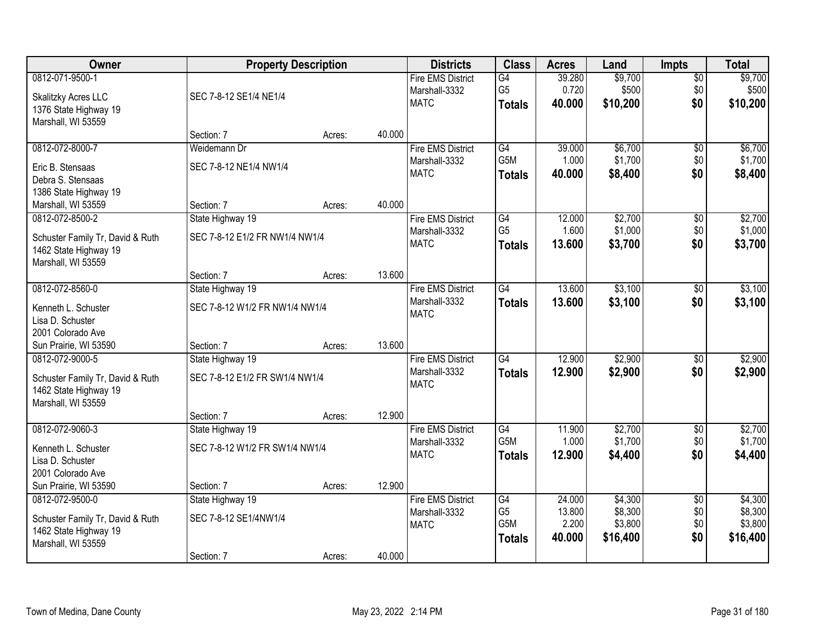| Owner                                                                                              |                                                         | <b>Property Description</b> |        | <b>Districts</b>                                         | <b>Class</b>                                 | <b>Acres</b>                        | Land                                      | <b>Impts</b>                         | <b>Total</b>                              |
|----------------------------------------------------------------------------------------------------|---------------------------------------------------------|-----------------------------|--------|----------------------------------------------------------|----------------------------------------------|-------------------------------------|-------------------------------------------|--------------------------------------|-------------------------------------------|
| 0812-071-9500-1<br>Skalitzky Acres LLC<br>1376 State Highway 19<br>Marshall, WI 53559              | SEC 7-8-12 SE1/4 NE1/4                                  |                             |        | <b>Fire EMS District</b><br>Marshall-3332<br><b>MATC</b> | G4<br>G <sub>5</sub><br><b>Totals</b>        | 39.280<br>0.720<br>40.000           | \$9,700<br>\$500<br>\$10,200              | $\sqrt{$0}$<br>\$0<br>\$0            | \$9,700<br>\$500<br>\$10,200              |
|                                                                                                    | Section: 7                                              | Acres:                      | 40.000 |                                                          |                                              |                                     |                                           |                                      |                                           |
| 0812-072-8000-7<br>Eric B. Stensaas<br>Debra S. Stensaas<br>1386 State Highway 19                  | Weidemann Dr<br>SEC 7-8-12 NE1/4 NW1/4                  |                             |        | <b>Fire EMS District</b><br>Marshall-3332<br><b>MATC</b> | G4<br>G5M<br><b>Totals</b>                   | 39.000<br>1.000<br>40.000           | \$6,700<br>\$1,700<br>\$8,400             | \$0<br>\$0<br>\$0                    | \$6,700<br>\$1,700<br>\$8,400             |
| Marshall, WI 53559                                                                                 | Section: 7                                              | Acres:                      | 40.000 |                                                          |                                              |                                     |                                           |                                      |                                           |
| 0812-072-8500-2<br>Schuster Family Tr, David & Ruth<br>1462 State Highway 19<br>Marshall, WI 53559 | State Highway 19<br>SEC 7-8-12 E1/2 FR NW1/4 NW1/4      |                             |        | <b>Fire EMS District</b><br>Marshall-3332<br><b>MATC</b> | G4<br>G <sub>5</sub><br><b>Totals</b>        | 12.000<br>1.600<br>13,600           | \$2,700<br>\$1,000<br>\$3,700             | \$0<br>\$0<br>\$0                    | \$2,700<br>\$1,000<br>\$3,700             |
|                                                                                                    | Section: 7                                              | Acres:                      | 13.600 |                                                          |                                              |                                     |                                           |                                      |                                           |
| 0812-072-8560-0<br>Kenneth L. Schuster<br>Lisa D. Schuster<br>2001 Colorado Ave                    | State Highway 19<br>SEC 7-8-12 W1/2 FR NW1/4 NW1/4      |                             |        | <b>Fire EMS District</b><br>Marshall-3332<br><b>MATC</b> | $\overline{G4}$<br><b>Totals</b>             | 13.600<br>13.600                    | \$3,100<br>\$3,100                        | $\frac{1}{20}$<br>\$0                | \$3,100<br>\$3,100                        |
| Sun Prairie, WI 53590                                                                              | Section: 7                                              | Acres:                      | 13.600 |                                                          |                                              |                                     |                                           |                                      |                                           |
| 0812-072-9000-5<br>Schuster Family Tr, David & Ruth<br>1462 State Highway 19<br>Marshall, WI 53559 | State Highway 19<br>SEC 7-8-12 E1/2 FR SW1/4 NW1/4      |                             |        | <b>Fire EMS District</b><br>Marshall-3332<br><b>MATC</b> | G4<br><b>Totals</b>                          | 12.900<br>12.900                    | \$2,900<br>\$2,900                        | $\overline{50}$<br>\$0               | \$2,900<br>\$2,900                        |
|                                                                                                    | Section: 7                                              | Acres:                      | 12.900 |                                                          |                                              |                                     |                                           |                                      |                                           |
| 0812-072-9060-3<br>Kenneth L. Schuster<br>Lisa D. Schuster<br>2001 Colorado Ave                    | State Highway 19<br>SEC 7-8-12 W1/2 FR SW1/4 NW1/4      |                             |        | <b>Fire EMS District</b><br>Marshall-3332<br><b>MATC</b> | G4<br>G5M<br><b>Totals</b>                   | 11.900<br>1.000<br>12.900           | \$2,700<br>\$1,700<br>\$4,400             | $\sqrt{6}$<br>\$0<br>\$0             | \$2,700<br>\$1,700<br>\$4,400             |
| Sun Prairie, WI 53590                                                                              | Section: 7                                              | Acres:                      | 12.900 |                                                          |                                              |                                     |                                           |                                      |                                           |
| 0812-072-9500-0<br>Schuster Family Tr, David & Ruth<br>1462 State Highway 19<br>Marshall, WI 53559 | State Highway 19<br>SEC 7-8-12 SE1/4NW1/4<br>Section: 7 | Acres:                      | 40.000 | <b>Fire EMS District</b><br>Marshall-3332<br><b>MATC</b> | G4<br>G <sub>5</sub><br>G5M<br><b>Totals</b> | 24.000<br>13.800<br>2.200<br>40.000 | \$4,300<br>\$8,300<br>\$3,800<br>\$16,400 | $\overline{50}$<br>\$0<br>\$0<br>\$0 | \$4,300<br>\$8,300<br>\$3,800<br>\$16,400 |
|                                                                                                    |                                                         |                             |        |                                                          |                                              |                                     |                                           |                                      |                                           |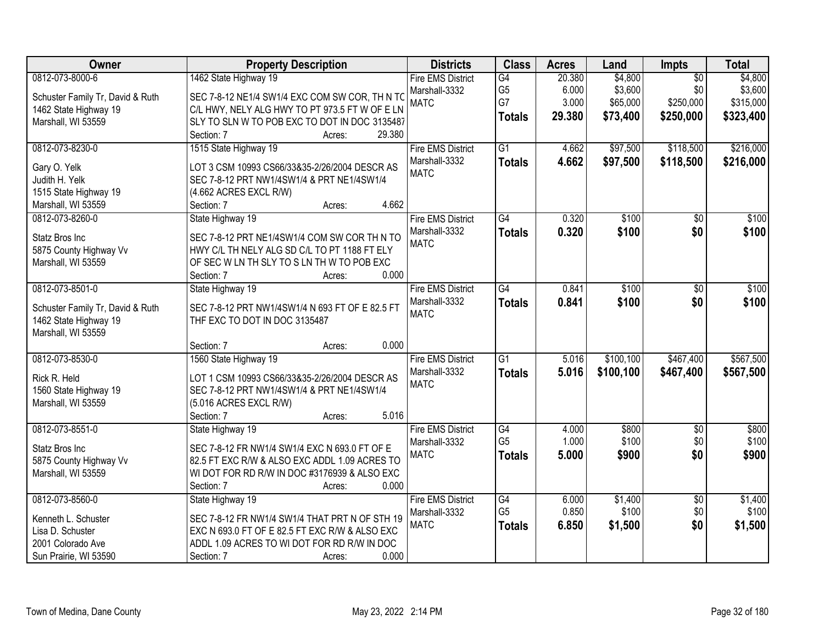| <b>Owner</b>                                                                                             | <b>Property Description</b>                                                                                                                                                                                  | <b>Districts</b>                                         | <b>Class</b>                                       | <b>Acres</b>                       | Land                                       | Impts                                            | <b>Total</b>                                 |
|----------------------------------------------------------------------------------------------------------|--------------------------------------------------------------------------------------------------------------------------------------------------------------------------------------------------------------|----------------------------------------------------------|----------------------------------------------------|------------------------------------|--------------------------------------------|--------------------------------------------------|----------------------------------------------|
| 0812-073-8000-6<br>Schuster Family Tr, David & Ruth<br>1462 State Highway 19<br>Marshall, WI 53559       | 1462 State Highway 19<br>SEC 7-8-12 NE1/4 SW1/4 EXC COM SW COR, TH N TO<br>C/L HWY, NELY ALG HWY TO PT 973.5 FT W OF E LN<br>SLY TO SLN W TO POB EXC TO DOT IN DOC 3135487<br>29.380<br>Section: 7<br>Acres: | <b>Fire EMS District</b><br>Marshall-3332<br><b>MATC</b> | G4<br>G <sub>5</sub><br>G7<br><b>Totals</b>        | 20.380<br>6.000<br>3.000<br>29.380 | \$4,800<br>\$3,600<br>\$65,000<br>\$73,400 | $\overline{50}$<br>\$0<br>\$250,000<br>\$250,000 | \$4,800<br>\$3,600<br>\$315,000<br>\$323,400 |
| 0812-073-8230-0<br>Gary O. Yelk<br>Judith H. Yelk<br>1515 State Highway 19<br>Marshall, WI 53559         | 1515 State Highway 19<br>LOT 3 CSM 10993 CS66/33&35-2/26/2004 DESCR AS<br>SEC 7-8-12 PRT NW1/4SW1/4 & PRT NE1/4SW1/4<br>(4.662 ACRES EXCL R/W)<br>4.662<br>Section: 7<br>Acres:                              | <b>Fire EMS District</b><br>Marshall-3332<br><b>MATC</b> | $\overline{G1}$<br><b>Totals</b>                   | 4.662<br>4.662                     | \$97,500<br>\$97,500                       | \$118,500<br>\$118,500                           | \$216,000<br>\$216,000                       |
| 0812-073-8260-0<br>Statz Bros Inc<br>5875 County Highway Vv<br>Marshall, WI 53559                        | State Highway 19<br>SEC 7-8-12 PRT NE1/4SW1/4 COM SW COR TH N TO<br>HWY C/L TH NELY ALG SD C/L TO PT 1188 FT ELY<br>OF SEC W LN TH SLY TO S LN TH W TO POB EXC<br>0.000<br>Section: 7<br>Acres:              | <b>Fire EMS District</b><br>Marshall-3332<br><b>MATC</b> | $\overline{G4}$<br><b>Totals</b>                   | 0.320<br>0.320                     | \$100<br>\$100                             | \$0<br>\$0                                       | \$100<br>\$100                               |
| 0812-073-8501-0<br>Schuster Family Tr, David & Ruth<br>1462 State Highway 19<br>Marshall, WI 53559       | State Highway 19<br>SEC 7-8-12 PRT NW1/4SW1/4 N 693 FT OF E 82.5 FT<br>THF EXC TO DOT IN DOC 3135487<br>0.000<br>Section: 7<br>Acres:                                                                        | <b>Fire EMS District</b><br>Marshall-3332<br><b>MATC</b> | G4<br><b>Totals</b>                                | 0.841<br>0.841                     | \$100<br>\$100                             | $\sqrt[6]{}$<br>\$0                              | \$100<br>\$100                               |
| 0812-073-8530-0<br>Rick R. Held<br>1560 State Highway 19<br>Marshall, WI 53559                           | 1560 State Highway 19<br>LOT 1 CSM 10993 CS66/33&35-2/26/2004 DESCR AS<br>SEC 7-8-12 PRT NW1/4SW1/4 & PRT NE1/4SW1/4<br>(5.016 ACRES EXCL R/W)<br>5.016<br>Section: 7<br>Acres:                              | <b>Fire EMS District</b><br>Marshall-3332<br><b>MATC</b> | $\overline{G1}$<br><b>Totals</b>                   | 5.016<br>5.016                     | \$100, 100<br>\$100,100                    | \$467,400<br>\$467,400                           | \$567,500<br>\$567,500                       |
| 0812-073-8551-0<br>Statz Bros Inc<br>5875 County Highway Vv<br>Marshall, WI 53559                        | State Highway 19<br>SEC 7-8-12 FR NW1/4 SW1/4 EXC N 693.0 FT OF E<br>82.5 FT EXC R/W & ALSO EXC ADDL 1.09 ACRES TO<br>WI DOT FOR RD R/W IN DOC #3176939 & ALSO EXC<br>Section: 7<br>0.000<br>Acres:          | <b>Fire EMS District</b><br>Marshall-3332<br><b>MATC</b> | G4<br>G <sub>5</sub><br><b>Totals</b>              | 4.000<br>1.000<br>5.000            | \$800<br>\$100<br>\$900                    | $\overline{60}$<br>\$0<br>\$0                    | \$800<br>\$100<br>\$900                      |
| 0812-073-8560-0<br>Kenneth L. Schuster<br>Lisa D. Schuster<br>2001 Colorado Ave<br>Sun Prairie, WI 53590 | State Highway 19<br>SEC 7-8-12 FR NW1/4 SW1/4 THAT PRT N OF STH 19<br>EXC N 693.0 FT OF E 82.5 FT EXC R/W & ALSO EXC<br>ADDL 1.09 ACRES TO WI DOT FOR RD R/W IN DOC<br>0.000<br>Section: 7<br>Acres:         | <b>Fire EMS District</b><br>Marshall-3332<br><b>MATC</b> | $\overline{G4}$<br>G <sub>5</sub><br><b>Totals</b> | 6.000<br>0.850<br>6.850            | \$1,400<br>\$100<br>\$1,500                | $\overline{50}$<br>\$0<br>\$0                    | \$1,400<br>\$100<br>\$1,500                  |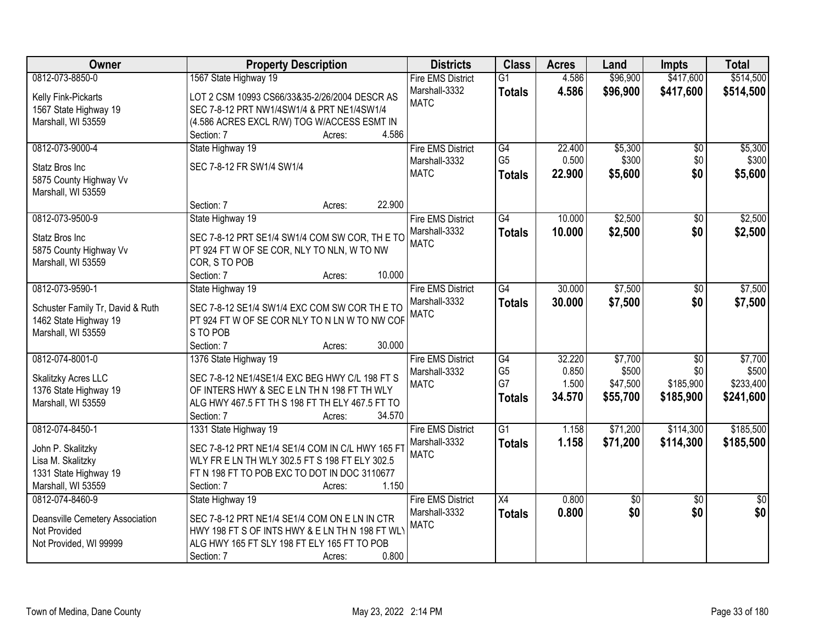| Owner                            | <b>Property Description</b>                      | <b>Districts</b>         | <b>Class</b>    | <b>Acres</b> | Land     | <b>Impts</b>    | <b>Total</b>    |
|----------------------------------|--------------------------------------------------|--------------------------|-----------------|--------------|----------|-----------------|-----------------|
| 0812-073-8850-0                  | 1567 State Highway 19                            | <b>Fire EMS District</b> | $\overline{G1}$ | 4.586        | \$96,900 | \$417,600       | \$514,500       |
| Kelly Fink-Pickarts              | LOT 2 CSM 10993 CS66/33&35-2/26/2004 DESCR AS    | Marshall-3332            | <b>Totals</b>   | 4.586        | \$96,900 | \$417,600       | \$514,500       |
| 1567 State Highway 19            | SEC 7-8-12 PRT NW1/4SW1/4 & PRT NE1/4SW1/4       | <b>MATC</b>              |                 |              |          |                 |                 |
| Marshall, WI 53559               | (4.586 ACRES EXCL R/W) TOG W/ACCESS ESMT IN      |                          |                 |              |          |                 |                 |
|                                  | 4.586<br>Section: 7<br>Acres:                    |                          |                 |              |          |                 |                 |
| 0812-073-9000-4                  | State Highway 19                                 | <b>Fire EMS District</b> | G4              | 22,400       | \$5,300  | $\overline{60}$ | \$5,300         |
| Statz Bros Inc                   | SEC 7-8-12 FR SW1/4 SW1/4                        | Marshall-3332            | G <sub>5</sub>  | 0.500        | \$300    | \$0             | \$300           |
| 5875 County Highway Vv           |                                                  | <b>MATC</b>              | <b>Totals</b>   | 22.900       | \$5,600  | \$0             | \$5,600         |
| Marshall, WI 53559               |                                                  |                          |                 |              |          |                 |                 |
|                                  | 22.900<br>Section: 7<br>Acres:                   |                          |                 |              |          |                 |                 |
| 0812-073-9500-9                  | State Highway 19                                 | <b>Fire EMS District</b> | $\overline{G4}$ | 10.000       | \$2,500  | $\overline{50}$ | \$2,500         |
|                                  |                                                  | Marshall-3332            | <b>Totals</b>   | 10.000       | \$2,500  | \$0             | \$2,500         |
| Statz Bros Inc                   | SEC 7-8-12 PRT SE1/4 SW1/4 COM SW COR, TH E TO   | <b>MATC</b>              |                 |              |          |                 |                 |
| 5875 County Highway Vv           | PT 924 FT W OF SE COR, NLY TO NLN, W TO NW       |                          |                 |              |          |                 |                 |
| Marshall, WI 53559               | COR, S TO POB                                    |                          |                 |              |          |                 |                 |
|                                  | 10.000<br>Section: 7<br>Acres:                   |                          |                 |              |          |                 |                 |
| 0812-073-9590-1                  | State Highway 19                                 | <b>Fire EMS District</b> | $\overline{G4}$ | 30.000       | \$7,500  | \$0             | \$7,500         |
| Schuster Family Tr, David & Ruth | SEC 7-8-12 SE1/4 SW1/4 EXC COM SW COR THE TO     | Marshall-3332            | <b>Totals</b>   | 30.000       | \$7,500  | \$0             | \$7,500         |
| 1462 State Highway 19            | PT 924 FT W OF SE COR NLY TO N LN W TO NW COF    | <b>MATC</b>              |                 |              |          |                 |                 |
| Marshall, WI 53559               | S TO POB                                         |                          |                 |              |          |                 |                 |
|                                  | 30.000<br>Section: 7<br>Acres:                   |                          |                 |              |          |                 |                 |
| 0812-074-8001-0                  | 1376 State Highway 19                            | <b>Fire EMS District</b> | $\overline{G4}$ | 32.220       | \$7,700  | $\overline{50}$ | \$7,700         |
| Skalitzky Acres LLC              | SEC 7-8-12 NE1/4SE1/4 EXC BEG HWY C/L 198 FT S   | Marshall-3332            | G <sub>5</sub>  | 0.850        | \$500    | \$0             | \$500           |
| 1376 State Highway 19            | OF INTERS HWY & SEC E LN TH N 198 FT TH WLY      | <b>MATC</b>              | G7              | 1.500        | \$47,500 | \$185,900       | \$233,400       |
| Marshall, WI 53559               | ALG HWY 467.5 FT TH S 198 FT TH ELY 467.5 FT TO  |                          | <b>Totals</b>   | 34.570       | \$55,700 | \$185,900       | \$241,600       |
|                                  | Section: 7<br>34.570<br>Acres:                   |                          |                 |              |          |                 |                 |
| 0812-074-8450-1                  | 1331 State Highway 19                            | <b>Fire EMS District</b> | G1              | 1.158        | \$71,200 | \$114,300       | \$185,500       |
| John P. Skalitzky                | SEC 7-8-12 PRT NE1/4 SE1/4 COM IN C/L HWY 165 F1 | Marshall-3332            | <b>Totals</b>   | 1.158        | \$71,200 | \$114,300       | \$185,500       |
| Lisa M. Skalitzky                | WLY FR E LN TH WLY 302.5 FT S 198 FT ELY 302.5   | <b>MATC</b>              |                 |              |          |                 |                 |
| 1331 State Highway 19            | FT N 198 FT TO POB EXC TO DOT IN DOC 3110677     |                          |                 |              |          |                 |                 |
| Marshall, WI 53559               | 1.150<br>Section: 7<br>Acres:                    |                          |                 |              |          |                 |                 |
| 0812-074-8460-9                  | State Highway 19                                 | <b>Fire EMS District</b> | $\overline{X4}$ | 0.800        | \$0      | $\overline{50}$ | $\overline{50}$ |
|                                  |                                                  | Marshall-3332            | <b>Totals</b>   | 0.800        | \$0      | \$0             | \$0             |
| Deansville Cemetery Association  | SEC 7-8-12 PRT NE1/4 SE1/4 COM ON E LN IN CTR    | <b>MATC</b>              |                 |              |          |                 |                 |
| Not Provided                     | HWY 198 FT S OF INTS HWY & E LN TH N 198 FT WLY  |                          |                 |              |          |                 |                 |
| Not Provided, WI 99999           | ALG HWY 165 FT SLY 198 FT ELY 165 FT TO POB      |                          |                 |              |          |                 |                 |
|                                  | 0.800<br>Section: 7<br>Acres:                    |                          |                 |              |          |                 |                 |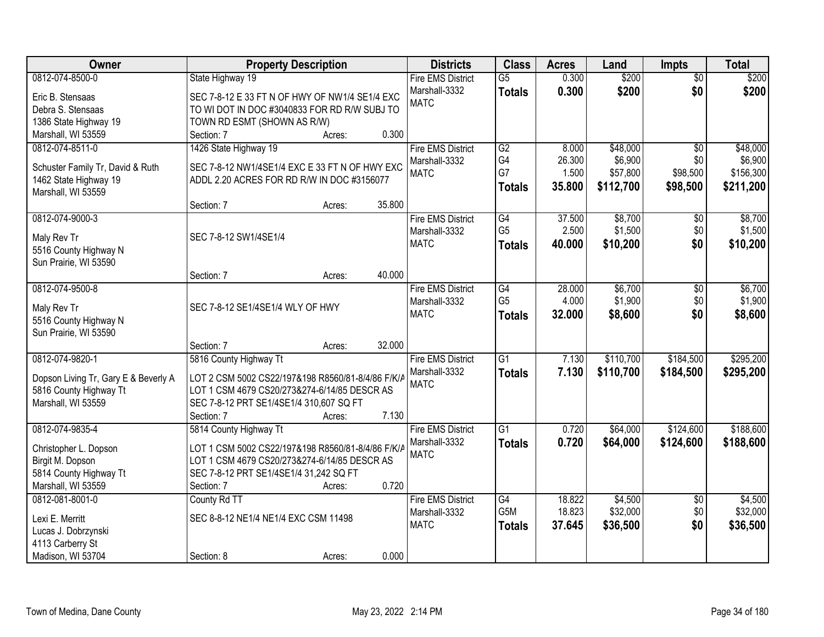| Owner                                | <b>Property Description</b>                       |        |        | <b>Districts</b>         | <b>Class</b>    | <b>Acres</b> | Land      | <b>Impts</b>    | <b>Total</b> |
|--------------------------------------|---------------------------------------------------|--------|--------|--------------------------|-----------------|--------------|-----------|-----------------|--------------|
| 0812-074-8500-0                      | State Highway 19                                  |        |        | <b>Fire EMS District</b> | $\overline{G5}$ | 0.300        | \$200     | $\overline{50}$ | \$200        |
| Eric B. Stensaas                     | SEC 7-8-12 E 33 FT N OF HWY OF NW1/4 SE1/4 EXC    |        |        | Marshall-3332            | <b>Totals</b>   | 0.300        | \$200     | \$0             | \$200        |
| Debra S. Stensaas                    | TO WI DOT IN DOC #3040833 FOR RD R/W SUBJ TO      |        |        | <b>MATC</b>              |                 |              |           |                 |              |
| 1386 State Highway 19                | TOWN RD ESMT (SHOWN AS R/W)                       |        |        |                          |                 |              |           |                 |              |
| Marshall, WI 53559                   | Section: 7                                        | Acres: | 0.300  |                          |                 |              |           |                 |              |
| 0812-074-8511-0                      | 1426 State Highway 19                             |        |        | <b>Fire EMS District</b> | G2              | 8.000        | \$48,000  | $\overline{50}$ | \$48,000     |
| Schuster Family Tr, David & Ruth     | SEC 7-8-12 NW1/4SE1/4 EXC E 33 FT N OF HWY EXC    |        |        | Marshall-3332            | G4              | 26.300       | \$6,900   | \$0             | \$6,900      |
| 1462 State Highway 19                | ADDL 2.20 ACRES FOR RD R/W IN DOC #3156077        |        |        | <b>MATC</b>              | G7              | 1.500        | \$57,800  | \$98,500        | \$156,300    |
| Marshall, WI 53559                   |                                                   |        |        |                          | <b>Totals</b>   | 35.800       | \$112,700 | \$98,500        | \$211,200    |
|                                      | Section: 7                                        | Acres: | 35.800 |                          |                 |              |           |                 |              |
| 0812-074-9000-3                      |                                                   |        |        | <b>Fire EMS District</b> | G4              | 37.500       | \$8,700   | $\overline{50}$ | \$8,700      |
| Maly Rev Tr                          | SEC 7-8-12 SW1/4SE1/4                             |        |        | Marshall-3332            | G <sub>5</sub>  | 2.500        | \$1,500   | \$0             | \$1,500      |
| 5516 County Highway N                |                                                   |        |        | <b>MATC</b>              | <b>Totals</b>   | 40.000       | \$10,200  | \$0             | \$10,200     |
| Sun Prairie, WI 53590                |                                                   |        |        |                          |                 |              |           |                 |              |
|                                      | Section: 7                                        | Acres: | 40.000 |                          |                 |              |           |                 |              |
| 0812-074-9500-8                      |                                                   |        |        | <b>Fire EMS District</b> | G4              | 28.000       | \$6,700   | \$0             | \$6,700      |
|                                      |                                                   |        |        | Marshall-3332            | G <sub>5</sub>  | 4.000        | \$1,900   | \$0             | \$1,900      |
| Maly Rev Tr                          | SEC 7-8-12 SE1/4SE1/4 WLY OF HWY                  |        |        | <b>MATC</b>              | <b>Totals</b>   | 32.000       | \$8,600   | \$0             | \$8,600      |
| 5516 County Highway N                |                                                   |        |        |                          |                 |              |           |                 |              |
| Sun Prairie, WI 53590                | Section: 7                                        | Acres: | 32.000 |                          |                 |              |           |                 |              |
| 0812-074-9820-1                      | 5816 County Highway Tt                            |        |        | <b>Fire EMS District</b> | $\overline{G1}$ | 7.130        | \$110,700 | \$184,500       | \$295,200    |
|                                      |                                                   |        |        | Marshall-3332            | <b>Totals</b>   | 7.130        | \$110,700 | \$184,500       | \$295,200    |
| Dopson Living Tr, Gary E & Beverly A | LOT 2 CSM 5002 CS22/197&198 R8560/81-8/4/86 F/K/A |        |        | <b>MATC</b>              |                 |              |           |                 |              |
| 5816 County Highway Tt               | LOT 1 CSM 4679 CS20/273&274-6/14/85 DESCR AS      |        |        |                          |                 |              |           |                 |              |
| Marshall, WI 53559                   | SEC 7-8-12 PRT SE1/4SE1/4 310,607 SQ FT           |        |        |                          |                 |              |           |                 |              |
|                                      | Section: 7                                        | Acres: | 7.130  |                          |                 |              |           |                 |              |
| 0812-074-9835-4                      | 5814 County Highway Tt                            |        |        | <b>Fire EMS District</b> | $\overline{G1}$ | 0.720        | \$64,000  | \$124,600       | \$188,600    |
| Christopher L. Dopson                | LOT 1 CSM 5002 CS22/197&198 R8560/81-8/4/86 F/K/A |        |        | Marshall-3332            | <b>Totals</b>   | 0.720        | \$64,000  | \$124,600       | \$188,600    |
| Birgit M. Dopson                     | LOT 1 CSM 4679 CS20/273&274-6/14/85 DESCR AS      |        |        | <b>MATC</b>              |                 |              |           |                 |              |
| 5814 County Highway Tt               | SEC 7-8-12 PRT SE1/4SE1/4 31,242 SQ FT            |        |        |                          |                 |              |           |                 |              |
| Marshall, WI 53559                   | Section: 7                                        | Acres: | 0.720  |                          |                 |              |           |                 |              |
| 0812-081-8001-0                      | County Rd TT                                      |        |        | <b>Fire EMS District</b> | G4              | 18.822       | \$4,500   | $\overline{30}$ | \$4,500      |
| Lexi E. Merritt                      | SEC 8-8-12 NE1/4 NE1/4 EXC CSM 11498              |        |        | Marshall-3332            | G5M             | 18.823       | \$32,000  | \$0             | \$32,000     |
| Lucas J. Dobrzynski                  |                                                   |        |        | <b>MATC</b>              | <b>Totals</b>   | 37.645       | \$36,500  | \$0             | \$36,500     |
| 4113 Carberry St                     |                                                   |        |        |                          |                 |              |           |                 |              |
| Madison, WI 53704                    | Section: 8                                        | Acres: | 0.000  |                          |                 |              |           |                 |              |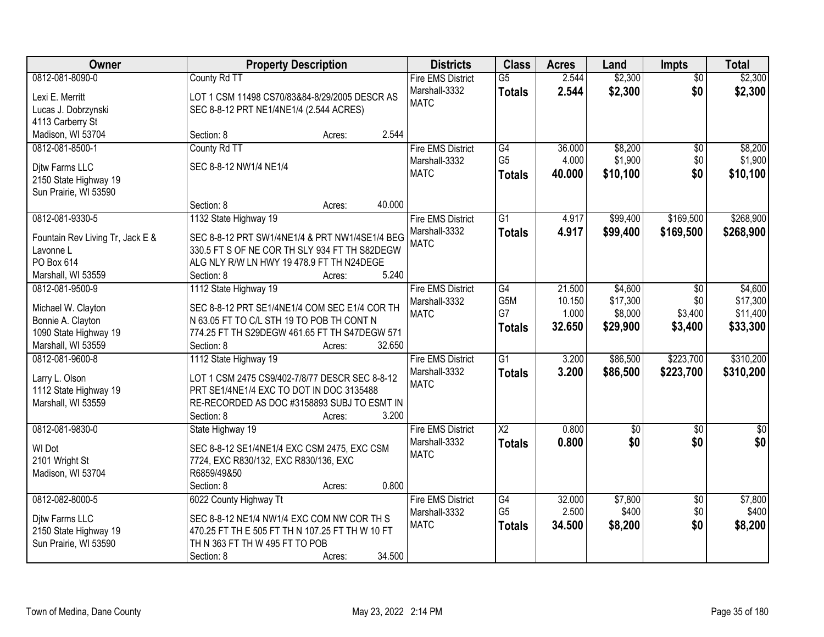| Owner                            | <b>Property Description</b>                                                       | <b>Districts</b>             | <b>Class</b>    | <b>Acres</b> | Land            | <b>Impts</b>    | <b>Total</b>     |
|----------------------------------|-----------------------------------------------------------------------------------|------------------------------|-----------------|--------------|-----------------|-----------------|------------------|
| 0812-081-8090-0                  | County Rd TT                                                                      | <b>Fire EMS District</b>     | $\overline{G5}$ | 2.544        | \$2,300         | $\overline{50}$ | \$2,300          |
| Lexi E. Merritt                  | LOT 1 CSM 11498 CS70/83&84-8/29/2005 DESCR AS                                     | Marshall-3332                | <b>Totals</b>   | 2.544        | \$2,300         | \$0             | \$2,300          |
| Lucas J. Dobrzynski              | SEC 8-8-12 PRT NE1/4NE1/4 (2.544 ACRES)                                           | <b>MATC</b>                  |                 |              |                 |                 |                  |
| 4113 Carberry St                 |                                                                                   |                              |                 |              |                 |                 |                  |
| Madison, WI 53704                | 2.544<br>Section: 8<br>Acres:                                                     |                              |                 |              |                 |                 |                  |
| 0812-081-8500-1                  | County Rd TT                                                                      | <b>Fire EMS District</b>     | G4              | 36.000       | \$8,200         | $\overline{50}$ | \$8,200          |
|                                  |                                                                                   | Marshall-3332                | G <sub>5</sub>  | 4.000        | \$1,900         | \$0             | \$1,900          |
| Ditw Farms LLC                   | SEC 8-8-12 NW1/4 NE1/4                                                            | <b>MATC</b>                  | <b>Totals</b>   | 40.000       | \$10,100        | \$0             | \$10,100         |
| 2150 State Highway 19            |                                                                                   |                              |                 |              |                 |                 |                  |
| Sun Prairie, WI 53590            | 40.000                                                                            |                              |                 |              |                 |                 |                  |
|                                  | Section: 8<br>Acres:                                                              |                              |                 |              |                 |                 |                  |
| 0812-081-9330-5                  | 1132 State Highway 19                                                             | <b>Fire EMS District</b>     | G1              | 4.917        | \$99,400        | \$169,500       | \$268,900        |
| Fountain Rev Living Tr, Jack E & | SEC 8-8-12 PRT SW1/4NE1/4 & PRT NW1/4SE1/4 BEG                                    | Marshall-3332<br><b>MATC</b> | <b>Totals</b>   | 4.917        | \$99,400        | \$169,500       | \$268,900        |
| Lavonne L                        | 330.5 FT S OF NE COR TH SLY 934 FT TH S82DEGW                                     |                              |                 |              |                 |                 |                  |
| PO Box 614                       | ALG NLY R/W LN HWY 19 478.9 FT TH N24DEGE                                         |                              |                 |              |                 |                 |                  |
| Marshall, WI 53559               | Section: 8<br>5.240<br>Acres:                                                     |                              |                 |              |                 |                 |                  |
| 0812-081-9500-9                  | 1112 State Highway 19                                                             | <b>Fire EMS District</b>     | G4              | 21.500       | \$4,600         | $\sqrt{6}$      | \$4,600          |
| Michael W. Clayton               | SEC 8-8-12 PRT SE1/4NE1/4 COM SEC E1/4 COR TH                                     | Marshall-3332                | G5M             | 10.150       | \$17,300        | \$0             | \$17,300         |
| Bonnie A. Clayton                | N 63.05 FT TO C/L STH 19 TO POB TH CONT N                                         | <b>MATC</b>                  | G7              | 1.000        | \$8,000         | \$3,400         | \$11,400         |
| 1090 State Highway 19            | 774.25 FT TH S29DEGW 461.65 FT TH S47DEGW 571                                     |                              | <b>Totals</b>   | 32.650       | \$29,900        | \$3,400         | \$33,300         |
| Marshall, WI 53559               | Section: 8<br>32.650<br>Acres:                                                    |                              |                 |              |                 |                 |                  |
| 0812-081-9600-8                  | 1112 State Highway 19                                                             | <b>Fire EMS District</b>     | $\overline{G1}$ | 3.200        | \$86,500        | \$223,700       | \$310,200        |
|                                  |                                                                                   | Marshall-3332                | <b>Totals</b>   | 3.200        | \$86,500        | \$223,700       | \$310,200        |
| Larry L. Olson                   | LOT 1 CSM 2475 CS9/402-7/8/77 DESCR SEC 8-8-12                                    | <b>MATC</b>                  |                 |              |                 |                 |                  |
| 1112 State Highway 19            | PRT SE1/4NE1/4 EXC TO DOT IN DOC 3135488                                          |                              |                 |              |                 |                 |                  |
| Marshall, WI 53559               | RE-RECORDED AS DOC #3158893 SUBJ TO ESMT IN                                       |                              |                 |              |                 |                 |                  |
|                                  | 3.200<br>Section: 8<br>Acres:                                                     |                              |                 |              |                 |                 |                  |
| 0812-081-9830-0                  | State Highway 19                                                                  | <b>Fire EMS District</b>     | $\overline{X2}$ | 0.800        | $\overline{50}$ | $\overline{50}$ | $\overline{\$0}$ |
| WI Dot                           | SEC 8-8-12 SE1/4NE1/4 EXC CSM 2475, EXC CSM                                       | Marshall-3332                | <b>Totals</b>   | 0.800        | \$0             | \$0             | \$0              |
| 2101 Wright St                   | 7724, EXC R830/132, EXC R830/136, EXC                                             | <b>MATC</b>                  |                 |              |                 |                 |                  |
| Madison, WI 53704                | R6859/49&50                                                                       |                              |                 |              |                 |                 |                  |
|                                  | 0.800<br>Section: 8<br>Acres:                                                     |                              |                 |              |                 |                 |                  |
| 0812-082-8000-5                  | 6022 County Highway Tt                                                            | <b>Fire EMS District</b>     | G4              | 32,000       | \$7,800         | $\overline{50}$ | \$7,800          |
|                                  |                                                                                   | Marshall-3332                | G <sub>5</sub>  | 2.500        | \$400           | \$0             | \$400            |
| Ditw Farms LLC                   | SEC 8-8-12 NE1/4 NW1/4 EXC COM NW COR TH S                                        | <b>MATC</b>                  | <b>Totals</b>   | 34.500       | \$8,200         | \$0             | \$8,200          |
| 2150 State Highway 19            | 470.25 FT TH E 505 FT TH N 107.25 FT TH W 10 FT<br>TH N 363 FT TH W 495 FT TO POB |                              |                 |              |                 |                 |                  |
| Sun Prairie, WI 53590            | 34.500                                                                            |                              |                 |              |                 |                 |                  |
|                                  | Section: 8<br>Acres:                                                              |                              |                 |              |                 |                 |                  |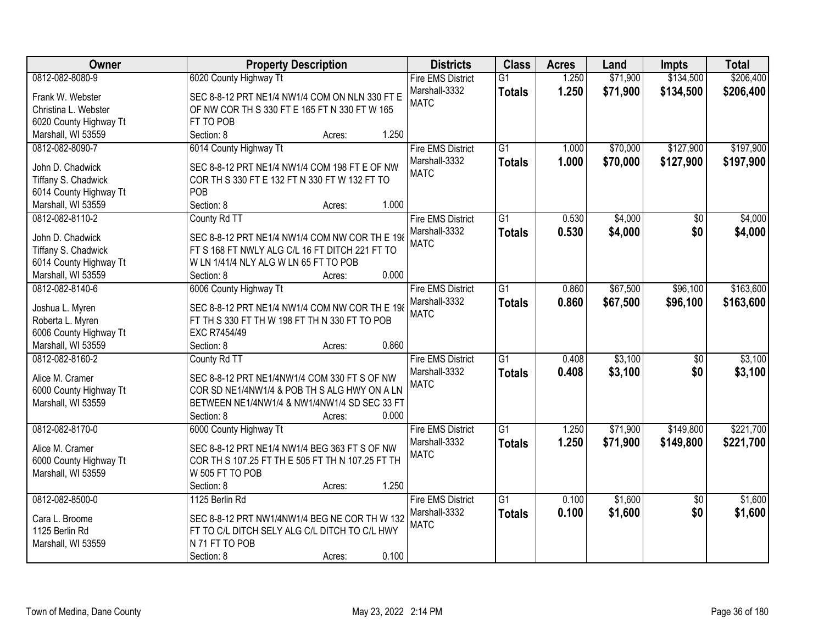| Owner                  | <b>Property Description</b>                      | <b>Districts</b>         | <b>Class</b>    | <b>Acres</b> | Land     | <b>Impts</b>    | <b>Total</b> |
|------------------------|--------------------------------------------------|--------------------------|-----------------|--------------|----------|-----------------|--------------|
| 0812-082-8080-9        | 6020 County Highway Tt                           | <b>Fire EMS District</b> | $\overline{G1}$ | 1.250        | \$71,900 | \$134,500       | \$206,400    |
| Frank W. Webster       | SEC 8-8-12 PRT NE1/4 NW1/4 COM ON NLN 330 FT E   | Marshall-3332            | <b>Totals</b>   | 1.250        | \$71,900 | \$134,500       | \$206,400    |
| Christina L. Webster   | OF NW COR TH S 330 FT E 165 FT N 330 FT W 165    | <b>MATC</b>              |                 |              |          |                 |              |
| 6020 County Highway Tt | FT TO POB                                        |                          |                 |              |          |                 |              |
| Marshall, WI 53559     | 1.250<br>Section: 8<br>Acres:                    |                          |                 |              |          |                 |              |
| 0812-082-8090-7        | 6014 County Highway Tt                           | <b>Fire EMS District</b> | $\overline{G1}$ | 1.000        | \$70,000 | \$127,900       | \$197,900    |
|                        |                                                  | Marshall-3332            | <b>Totals</b>   | 1.000        | \$70,000 | \$127,900       | \$197,900    |
| John D. Chadwick       | SEC 8-8-12 PRT NE1/4 NW1/4 COM 198 FT E OF NW    | <b>MATC</b>              |                 |              |          |                 |              |
| Tiffany S. Chadwick    | COR TH S 330 FT E 132 FT N 330 FT W 132 FT TO    |                          |                 |              |          |                 |              |
| 6014 County Highway Tt | POB                                              |                          |                 |              |          |                 |              |
| Marshall, WI 53559     | 1.000<br>Section: 8<br>Acres:                    |                          |                 |              |          |                 |              |
| 0812-082-8110-2        | County Rd TT                                     | <b>Fire EMS District</b> | G1              | 0.530        | \$4,000  | \$0             | \$4,000      |
| John D. Chadwick       | SEC 8-8-12 PRT NE1/4 NW1/4 COM NW COR TH E 198   | Marshall-3332            | <b>Totals</b>   | 0.530        | \$4,000  | \$0             | \$4,000      |
| Tiffany S. Chadwick    | FT S 168 FT NWLY ALG C/L 16 FT DITCH 221 FT TO   | <b>MATC</b>              |                 |              |          |                 |              |
| 6014 County Highway Tt | W LN 1/41/4 NLY ALG W LN 65 FT TO POB            |                          |                 |              |          |                 |              |
| Marshall, WI 53559     | 0.000<br>Section: 8<br>Acres:                    |                          |                 |              |          |                 |              |
| 0812-082-8140-6        | 6006 County Highway Tt                           | <b>Fire EMS District</b> | $\overline{G1}$ | 0.860        | \$67,500 | \$96,100        | \$163,600    |
|                        |                                                  | Marshall-3332            | <b>Totals</b>   | 0.860        | \$67,500 | \$96,100        | \$163,600    |
| Joshua L. Myren        | SEC 8-8-12 PRT NE1/4 NW1/4 COM NW COR TH E 198   | <b>MATC</b>              |                 |              |          |                 |              |
| Roberta L. Myren       | FT TH S 330 FT TH W 198 FT TH N 330 FT TO POB    |                          |                 |              |          |                 |              |
| 6006 County Highway Tt | EXC R7454/49                                     |                          |                 |              |          |                 |              |
| Marshall, WI 53559     | 0.860<br>Section: 8<br>Acres:                    |                          |                 |              |          |                 |              |
| 0812-082-8160-2        | County Rd TT                                     | <b>Fire EMS District</b> | $\overline{G1}$ | 0.408        | \$3,100  | $\overline{50}$ | \$3,100      |
| Alice M. Cramer        | SEC 8-8-12 PRT NE1/4NW1/4 COM 330 FT S OF NW     | Marshall-3332            | <b>Totals</b>   | 0.408        | \$3,100  | \$0             | \$3,100      |
| 6000 County Highway Tt | COR SD NE1/4NW1/4 & POB TH S ALG HWY ON A LN     | <b>MATC</b>              |                 |              |          |                 |              |
| Marshall, WI 53559     | BETWEEN NE1/4NW1/4 & NW1/4NW1/4 SD SEC 33 FT     |                          |                 |              |          |                 |              |
|                        | 0.000<br>Section: 8<br>Acres:                    |                          |                 |              |          |                 |              |
| 0812-082-8170-0        | 6000 County Highway Tt                           | <b>Fire EMS District</b> | $\overline{G1}$ | 1.250        | \$71,900 | \$149,800       | \$221,700    |
|                        |                                                  | Marshall-3332            |                 | 1.250        | \$71,900 | \$149,800       |              |
| Alice M. Cramer        | SEC 8-8-12 PRT NE1/4 NW1/4 BEG 363 FT S OF NW    | <b>MATC</b>              | <b>Totals</b>   |              |          |                 | \$221,700    |
| 6000 County Highway Tt | COR TH S 107.25 FT TH E 505 FT TH N 107.25 FT TH |                          |                 |              |          |                 |              |
| Marshall, WI 53559     | W 505 FT TO POB                                  |                          |                 |              |          |                 |              |
|                        | 1.250<br>Section: 8<br>Acres:                    |                          |                 |              |          |                 |              |
| 0812-082-8500-0        | 1125 Berlin Rd                                   | <b>Fire EMS District</b> | $\overline{G1}$ | 0.100        | \$1,600  | $\overline{50}$ | \$1,600      |
| Cara L. Broome         | SEC 8-8-12 PRT NW1/4NW1/4 BEG NE COR TH W 132    | Marshall-3332            | <b>Totals</b>   | 0.100        | \$1,600  | \$0             | \$1,600      |
| 1125 Berlin Rd         | FT TO C/L DITCH SELY ALG C/L DITCH TO C/L HWY    | <b>MATC</b>              |                 |              |          |                 |              |
| Marshall, WI 53559     | N 71 FT TO POB                                   |                          |                 |              |          |                 |              |
|                        | 0.100<br>Section: 8                              |                          |                 |              |          |                 |              |
|                        | Acres:                                           |                          |                 |              |          |                 |              |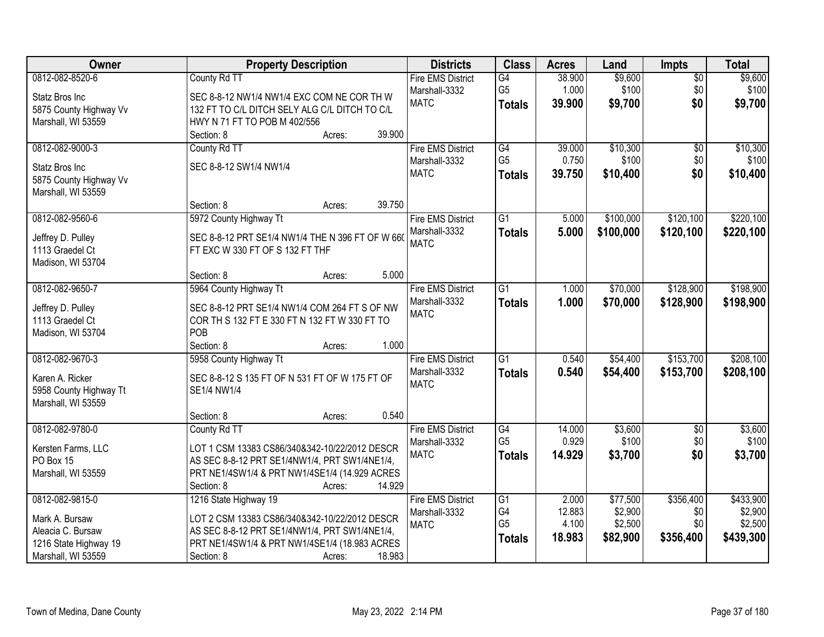| Owner                                | <b>Property Description</b>                          | <b>Districts</b>             | <b>Class</b>                      | <b>Acres</b>    | Land             | <b>Impts</b>           | <b>Total</b>     |
|--------------------------------------|------------------------------------------------------|------------------------------|-----------------------------------|-----------------|------------------|------------------------|------------------|
| 0812-082-8520-6                      | County Rd TT                                         | <b>Fire EMS District</b>     | G4                                | 38.900          | \$9,600          | $\overline{50}$        | \$9,600          |
| Statz Bros Inc                       | SEC 8-8-12 NW1/4 NW1/4 EXC COM NE COR TH W           | Marshall-3332                | G <sub>5</sub>                    | 1.000           | \$100            | \$0                    | \$100            |
| 5875 County Highway Vv               | 132 FT TO C/L DITCH SELY ALG C/L DITCH TO C/L        | <b>MATC</b>                  | <b>Totals</b>                     | 39.900          | \$9,700          | \$0                    | \$9,700          |
| Marshall, WI 53559                   | HWY N 71 FT TO POB M 402/556                         |                              |                                   |                 |                  |                        |                  |
|                                      | Section: 8<br>39.900<br>Acres:                       |                              |                                   |                 |                  |                        |                  |
| 0812-082-9000-3                      | County Rd TT                                         | <b>Fire EMS District</b>     | G4                                | 39.000          | \$10,300         | $\overline{50}$        | \$10,300         |
| Statz Bros Inc                       | SEC 8-8-12 SW1/4 NW1/4                               | Marshall-3332                | G <sub>5</sub>                    | 0.750           | \$100            | \$0                    | \$100            |
| 5875 County Highway Vv               |                                                      | <b>MATC</b>                  | <b>Totals</b>                     | 39.750          | \$10,400         | \$0                    | \$10,400         |
| Marshall, WI 53559                   |                                                      |                              |                                   |                 |                  |                        |                  |
|                                      | 39.750<br>Section: 8<br>Acres:                       |                              |                                   |                 |                  |                        |                  |
| 0812-082-9560-6                      | 5972 County Highway Tt                               | <b>Fire EMS District</b>     | $\overline{G1}$                   | 5.000           | \$100,000        | \$120,100              | \$220,100        |
| Jeffrey D. Pulley                    | SEC 8-8-12 PRT SE1/4 NW1/4 THE N 396 FT OF W 660     | Marshall-3332                | <b>Totals</b>                     | 5.000           | \$100,000        | \$120,100              | \$220,100        |
| 1113 Graedel Ct                      | FT EXC W 330 FT OF S 132 FT THF                      | <b>MATC</b>                  |                                   |                 |                  |                        |                  |
| Madison, WI 53704                    |                                                      |                              |                                   |                 |                  |                        |                  |
|                                      | 5.000<br>Section: 8<br>Acres:                        |                              |                                   |                 |                  |                        |                  |
| 0812-082-9650-7                      | 5964 County Highway Tt                               | <b>Fire EMS District</b>     | $\overline{G1}$                   | 1.000           | \$70,000         | \$128,900              | \$198,900        |
|                                      |                                                      | Marshall-3332                | <b>Totals</b>                     | 1.000           | \$70,000         | \$128,900              | \$198,900        |
| Jeffrey D. Pulley                    | SEC 8-8-12 PRT SE1/4 NW1/4 COM 264 FT S OF NW        | <b>MATC</b>                  |                                   |                 |                  |                        |                  |
| 1113 Graedel Ct<br>Madison, WI 53704 | COR TH S 132 FT E 330 FT N 132 FT W 330 FT TO<br>POB |                              |                                   |                 |                  |                        |                  |
|                                      | Section: 8<br>1.000<br>Acres:                        |                              |                                   |                 |                  |                        |                  |
| 0812-082-9670-3                      | 5958 County Highway Tt                               | <b>Fire EMS District</b>     | $\overline{G1}$                   | 0.540           | \$54,400         | \$153,700              | \$208,100        |
|                                      |                                                      | Marshall-3332                | Totals                            | 0.540           | \$54,400         | \$153,700              | \$208,100        |
| Karen A. Ricker                      | SEC 8-8-12 S 135 FT OF N 531 FT OF W 175 FT OF       | <b>MATC</b>                  |                                   |                 |                  |                        |                  |
| 5958 County Highway Tt               | SE1/4 NW1/4                                          |                              |                                   |                 |                  |                        |                  |
| Marshall, WI 53559                   |                                                      |                              |                                   |                 |                  |                        |                  |
|                                      | 0.540<br>Section: 8<br>Acres:                        |                              |                                   |                 |                  |                        |                  |
| 0812-082-9780-0                      | County Rd TT                                         | <b>Fire EMS District</b>     | $\overline{G4}$<br>G <sub>5</sub> | 14.000<br>0.929 | \$3,600<br>\$100 | $\overline{60}$<br>\$0 | \$3,600<br>\$100 |
| Kersten Farms, LLC                   | LOT 1 CSM 13383 CS86/340&342-10/22/2012 DESCR        | Marshall-3332<br><b>MATC</b> |                                   |                 |                  |                        |                  |
| PO Box 15                            | AS SEC 8-8-12 PRT SE1/4NW1/4, PRT SW1/4NE1/4,        |                              | <b>Totals</b>                     | 14.929          | \$3,700          | \$0                    | \$3,700          |
| Marshall, WI 53559                   | PRT NE1/4SW1/4 & PRT NW1/4SE1/4 (14.929 ACRES        |                              |                                   |                 |                  |                        |                  |
|                                      | Section: 8<br>14.929<br>Acres:                       |                              |                                   |                 |                  |                        |                  |
| 0812-082-9815-0                      | 1216 State Highway 19                                | <b>Fire EMS District</b>     | $\overline{G1}$                   | 2.000           | \$77,500         | \$356,400              | \$433,900        |
| Mark A. Bursaw                       | LOT 2 CSM 13383 CS86/340&342-10/22/2012 DESCR        | Marshall-3332                | G4                                | 12.883          | \$2,900          | \$0                    | \$2,900          |
| Aleacia C. Bursaw                    | AS SEC 8-8-12 PRT SE1/4NW1/4, PRT SW1/4NE1/4,        | <b>MATC</b>                  | G <sub>5</sub>                    | 4.100           | \$2,500          | \$0                    | \$2,500          |
| 1216 State Highway 19                | PRT NE1/4SW1/4 & PRT NW1/4SE1/4 (18.983 ACRES        |                              | <b>Totals</b>                     | 18.983          | \$82,900         | \$356,400              | \$439,300        |
| Marshall, WI 53559                   | 18.983<br>Section: 8<br>Acres:                       |                              |                                   |                 |                  |                        |                  |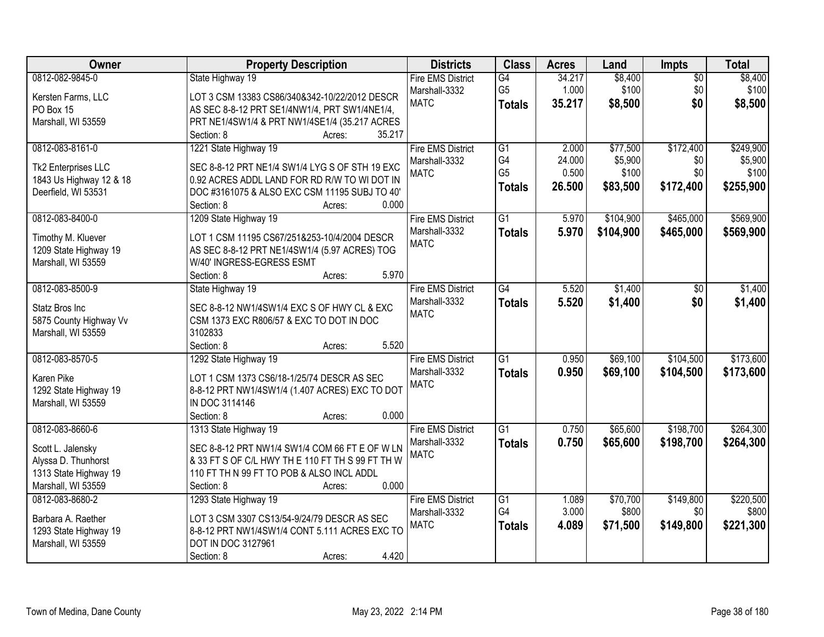| Owner                   | <b>Property Description</b>                      | <b>Districts</b>         | <b>Class</b>    | <b>Acres</b> | Land      | <b>Impts</b>    | <b>Total</b> |
|-------------------------|--------------------------------------------------|--------------------------|-----------------|--------------|-----------|-----------------|--------------|
| 0812-082-9845-0         | State Highway 19                                 | <b>Fire EMS District</b> | G4              | 34.217       | \$8,400   | $\overline{50}$ | \$8,400      |
| Kersten Farms, LLC      | LOT 3 CSM 13383 CS86/340&342-10/22/2012 DESCR    | Marshall-3332            | G <sub>5</sub>  | 1.000        | \$100     | \$0             | \$100        |
| PO Box 15               | AS SEC 8-8-12 PRT SE1/4NW1/4, PRT SW1/4NE1/4,    | <b>MATC</b>              | <b>Totals</b>   | 35.217       | \$8,500   | \$0             | \$8,500      |
| Marshall, WI 53559      | PRT NE1/4SW1/4 & PRT NW1/4SE1/4 (35.217 ACRES    |                          |                 |              |           |                 |              |
|                         | 35.217<br>Section: 8<br>Acres:                   |                          |                 |              |           |                 |              |
| 0812-083-8161-0         | 1221 State Highway 19                            | <b>Fire EMS District</b> | $\overline{G1}$ | 2.000        | \$77,500  | \$172,400       | \$249,900    |
|                         |                                                  | Marshall-3332            | G4              | 24.000       | \$5,900   | \$0             | \$5,900      |
| Tk2 Enterprises LLC     | SEC 8-8-12 PRT NE1/4 SW1/4 LYG S OF STH 19 EXC   | <b>MATC</b>              | G <sub>5</sub>  | 0.500        | \$100     | \$0             | \$100        |
| 1843 Us Highway 12 & 18 | 0.92 ACRES ADDL LAND FOR RD R/W TO WI DOT IN     |                          | <b>Totals</b>   | 26.500       | \$83,500  | \$172,400       | \$255,900    |
| Deerfield, WI 53531     | DOC #3161075 & ALSO EXC CSM 11195 SUBJ TO 40'    |                          |                 |              |           |                 |              |
|                         | 0.000<br>Section: 8<br>Acres:                    |                          |                 |              |           |                 |              |
| 0812-083-8400-0         | 1209 State Highway 19                            | <b>Fire EMS District</b> | G1              | 5.970        | \$104,900 | \$465,000       | \$569,900    |
| Timothy M. Kluever      | LOT 1 CSM 11195 CS67/251&253-10/4/2004 DESCR     | Marshall-3332            | <b>Totals</b>   | 5.970        | \$104,900 | \$465,000       | \$569,900    |
| 1209 State Highway 19   | AS SEC 8-8-12 PRT NE1/4SW1/4 (5.97 ACRES) TOG    | <b>MATC</b>              |                 |              |           |                 |              |
| Marshall, WI 53559      | W/40' INGRESS-EGRESS ESMT                        |                          |                 |              |           |                 |              |
|                         | Section: 8<br>5.970<br>Acres:                    |                          |                 |              |           |                 |              |
| 0812-083-8500-9         | State Highway 19                                 | <b>Fire EMS District</b> | G4              | 5.520        | \$1,400   | $\sqrt[6]{}$    | \$1,400      |
|                         |                                                  | Marshall-3332            | <b>Totals</b>   | 5.520        | \$1,400   | \$0             | \$1,400      |
| Statz Bros Inc          | SEC 8-8-12 NW1/4SW1/4 EXC S OF HWY CL & EXC      | <b>MATC</b>              |                 |              |           |                 |              |
| 5875 County Highway Vv  | CSM 1373 EXC R806/57 & EXC TO DOT IN DOC         |                          |                 |              |           |                 |              |
| Marshall, WI 53559      | 3102833                                          |                          |                 |              |           |                 |              |
|                         | 5.520<br>Section: 8<br>Acres:                    |                          |                 |              |           |                 |              |
| 0812-083-8570-5         | 1292 State Highway 19                            | <b>Fire EMS District</b> | $\overline{G1}$ | 0.950        | \$69,100  | \$104,500       | \$173,600    |
| Karen Pike              | LOT 1 CSM 1373 CS6/18-1/25/74 DESCR AS SEC       | Marshall-3332            | <b>Totals</b>   | 0.950        | \$69,100  | \$104,500       | \$173,600    |
| 1292 State Highway 19   | 8-8-12 PRT NW1/4SW1/4 (1.407 ACRES) EXC TO DOT   | <b>MATC</b>              |                 |              |           |                 |              |
| Marshall, WI 53559      | IN DOC 3114146                                   |                          |                 |              |           |                 |              |
|                         | Section: 8<br>0.000<br>Acres:                    |                          |                 |              |           |                 |              |
| 0812-083-8660-6         | 1313 State Highway 19                            | <b>Fire EMS District</b> | $\overline{G1}$ | 0.750        | \$65,600  | \$198,700       | \$264,300    |
| Scott L. Jalensky       | SEC 8-8-12 PRT NW1/4 SW1/4 COM 66 FT E OF W LN   | Marshall-3332            | <b>Totals</b>   | 0.750        | \$65,600  | \$198,700       | \$264,300    |
| Alyssa D. Thunhorst     | & 33 FT S OF C/L HWY TH E 110 FT TH S 99 FT TH W | <b>MATC</b>              |                 |              |           |                 |              |
| 1313 State Highway 19   | 110 FT TH N 99 FT TO POB & ALSO INCL ADDL        |                          |                 |              |           |                 |              |
| Marshall, WI 53559      | 0.000<br>Section: 8<br>Acres:                    |                          |                 |              |           |                 |              |
| 0812-083-8680-2         | 1293 State Highway 19                            | <b>Fire EMS District</b> | $\overline{G1}$ | 1.089        | \$70,700  | \$149,800       | \$220,500    |
|                         |                                                  | Marshall-3332            | G4              | 3.000        | \$800     | \$0             | \$800        |
| Barbara A. Raether      | LOT 3 CSM 3307 CS13/54-9/24/79 DESCR AS SEC      | <b>MATC</b>              | <b>Totals</b>   | 4.089        | \$71,500  | \$149,800       | \$221,300    |
| 1293 State Highway 19   | 8-8-12 PRT NW1/4SW1/4 CONT 5.111 ACRES EXC TO    |                          |                 |              |           |                 |              |
| Marshall, WI 53559      | DOT IN DOC 3127961                               |                          |                 |              |           |                 |              |
|                         | 4.420<br>Section: 8<br>Acres:                    |                          |                 |              |           |                 |              |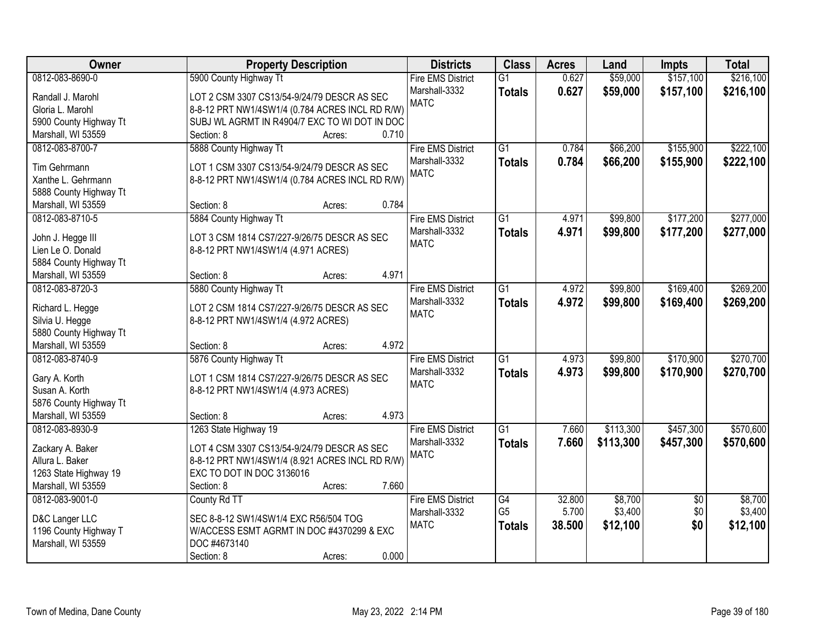| Owner                                   | <b>Property Description</b>                     | <b>Districts</b>         | <b>Class</b>    | <b>Acres</b> | Land      | <b>Impts</b>    | <b>Total</b> |
|-----------------------------------------|-------------------------------------------------|--------------------------|-----------------|--------------|-----------|-----------------|--------------|
| 0812-083-8690-0                         | 5900 County Highway Tt                          | <b>Fire EMS District</b> | $\overline{G1}$ | 0.627        | \$59,000  | \$157,100       | \$216,100    |
| Randall J. Marohl                       | LOT 2 CSM 3307 CS13/54-9/24/79 DESCR AS SEC     | Marshall-3332            | <b>Totals</b>   | 0.627        | \$59,000  | \$157,100       | \$216,100    |
| Gloria L. Marohl                        | 8-8-12 PRT NW1/4SW1/4 (0.784 ACRES INCL RD R/W) | <b>MATC</b>              |                 |              |           |                 |              |
| 5900 County Highway Tt                  | SUBJ WL AGRMT IN R4904/7 EXC TO WI DOT IN DOC   |                          |                 |              |           |                 |              |
| Marshall, WI 53559                      | 0.710<br>Section: 8<br>Acres:                   |                          |                 |              |           |                 |              |
| 0812-083-8700-7                         | 5888 County Highway Tt                          | <b>Fire EMS District</b> | $\overline{G1}$ | 0.784        | \$66,200  | \$155,900       | \$222,100    |
|                                         |                                                 | Marshall-3332            | <b>Totals</b>   | 0.784        | \$66,200  | \$155,900       | \$222,100    |
| Tim Gehrmann                            | LOT 1 CSM 3307 CS13/54-9/24/79 DESCR AS SEC     | <b>MATC</b>              |                 |              |           |                 |              |
| Xanthe L. Gehrmann                      | 8-8-12 PRT NW1/4SW1/4 (0.784 ACRES INCL RD R/W) |                          |                 |              |           |                 |              |
| 5888 County Highway Tt                  |                                                 |                          |                 |              |           |                 |              |
| Marshall, WI 53559                      | 0.784<br>Section: 8<br>Acres:                   |                          |                 |              |           |                 |              |
| 0812-083-8710-5                         | 5884 County Highway Tt                          | <b>Fire EMS District</b> | G1              | 4.971        | \$99,800  | \$177,200       | \$277,000    |
| John J. Hegge III                       | LOT 3 CSM 1814 CS7/227-9/26/75 DESCR AS SEC     | Marshall-3332            | <b>Totals</b>   | 4.971        | \$99,800  | \$177,200       | \$277,000    |
| Lien Le O. Donald                       | 8-8-12 PRT NW1/4SW1/4 (4.971 ACRES)             | <b>MATC</b>              |                 |              |           |                 |              |
| 5884 County Highway Tt                  |                                                 |                          |                 |              |           |                 |              |
| Marshall, WI 53559                      | 4.971<br>Section: 8<br>Acres:                   |                          |                 |              |           |                 |              |
| 0812-083-8720-3                         | 5880 County Highway Tt                          | <b>Fire EMS District</b> | $\overline{G1}$ | 4.972        | \$99,800  | \$169,400       | \$269,200    |
|                                         |                                                 | Marshall-3332            | <b>Totals</b>   | 4.972        | \$99,800  | \$169,400       | \$269,200    |
| Richard L. Hegge                        | LOT 2 CSM 1814 CS7/227-9/26/75 DESCR AS SEC     | <b>MATC</b>              |                 |              |           |                 |              |
| Silvia U. Hegge                         | 8-8-12 PRT NW1/4SW1/4 (4.972 ACRES)             |                          |                 |              |           |                 |              |
| 5880 County Highway Tt                  |                                                 |                          |                 |              |           |                 |              |
| Marshall, WI 53559                      | 4.972<br>Section: 8<br>Acres:                   |                          |                 |              |           |                 |              |
| 0812-083-8740-9                         | 5876 County Highway Tt                          | <b>Fire EMS District</b> | $\overline{G1}$ | 4.973        | \$99,800  | \$170,900       | \$270,700    |
| Gary A. Korth                           | LOT 1 CSM 1814 CS7/227-9/26/75 DESCR AS SEC     | Marshall-3332            | <b>Totals</b>   | 4.973        | \$99,800  | \$170,900       | \$270,700    |
| Susan A. Korth                          | 8-8-12 PRT NW1/4SW1/4 (4.973 ACRES)             | <b>MATC</b>              |                 |              |           |                 |              |
| 5876 County Highway Tt                  |                                                 |                          |                 |              |           |                 |              |
| Marshall, WI 53559                      | 4.973<br>Section: 8<br>Acres:                   |                          |                 |              |           |                 |              |
| 0812-083-8930-9                         | 1263 State Highway 19                           | <b>Fire EMS District</b> | $\overline{G1}$ | 7.660        | \$113,300 | \$457,300       | \$570,600    |
|                                         |                                                 |                          |                 |              |           |                 |              |
| Zackary A. Baker                        | LOT 4 CSM 3307 CS13/54-9/24/79 DESCR AS SEC     | Marshall-3332            | <b>Totals</b>   | 7.660        | \$113,300 | \$457,300       | \$570,600    |
| Allura L. Baker                         | 8-8-12 PRT NW1/4SW1/4 (8.921 ACRES INCL RD R/W) | <b>MATC</b>              |                 |              |           |                 |              |
| 1263 State Highway 19                   | EXC TO DOT IN DOC 3136016                       |                          |                 |              |           |                 |              |
| Marshall, WI 53559                      | 7.660<br>Section: 8<br>Acres:                   |                          |                 |              |           |                 |              |
| 0812-083-9001-0                         | County Rd TT                                    | <b>Fire EMS District</b> | G4              | 32.800       | \$8,700   | $\overline{50}$ | \$8,700      |
|                                         | SEC 8-8-12 SW1/4SW1/4 EXC R56/504 TOG           | Marshall-3332            | G <sub>5</sub>  | 5.700        | \$3,400   | \$0             | \$3,400      |
| D&C Langer LLC<br>1196 County Highway T | W/ACCESS ESMT AGRMT IN DOC #4370299 & EXC       | <b>MATC</b>              | <b>Totals</b>   | 38.500       | \$12,100  | \$0             | \$12,100     |
| Marshall, WI 53559                      | DOC #4673140                                    |                          |                 |              |           |                 |              |
|                                         | 0.000                                           |                          |                 |              |           |                 |              |
|                                         | Section: 8<br>Acres:                            |                          |                 |              |           |                 |              |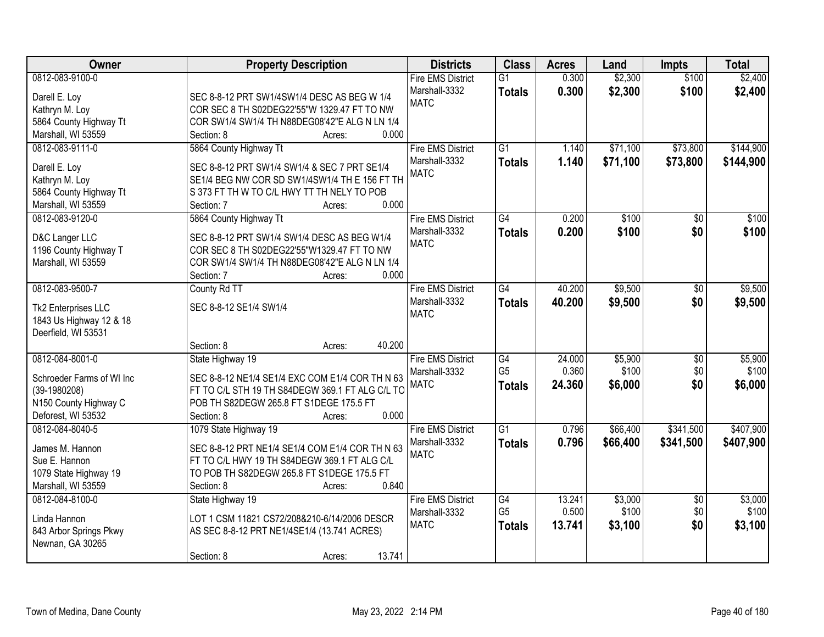| <b>Owner</b>                                | <b>Property Description</b>                                                                 | <b>Districts</b>             | <b>Class</b>         | <b>Acres</b>    | Land             | <b>Impts</b>    | <b>Total</b> |
|---------------------------------------------|---------------------------------------------------------------------------------------------|------------------------------|----------------------|-----------------|------------------|-----------------|--------------|
| 0812-083-9100-0                             |                                                                                             | <b>Fire EMS District</b>     | $\overline{G1}$      | 0.300           | \$2,300          | \$100           | \$2,400      |
| Darell E. Loy                               | SEC 8-8-12 PRT SW1/4SW1/4 DESC AS BEG W 1/4                                                 | Marshall-3332                | <b>Totals</b>        | 0.300           | \$2,300          | \$100           | \$2,400      |
| Kathryn M. Loy                              | COR SEC 8 TH S02DEG22'55"W 1329.47 FT TO NW                                                 | <b>MATC</b>                  |                      |                 |                  |                 |              |
| 5864 County Highway Tt                      | COR SW1/4 SW1/4 TH N88DEG08'42"E ALG N LN 1/4                                               |                              |                      |                 |                  |                 |              |
| Marshall, WI 53559                          | 0.000<br>Section: 8<br>Acres:                                                               |                              |                      |                 |                  |                 |              |
| 0812-083-9111-0                             | 5864 County Highway Tt                                                                      | <b>Fire EMS District</b>     | $\overline{G1}$      | 1.140           | \$71,100         | \$73,800        | \$144,900    |
| Darell E. Loy                               | SEC 8-8-12 PRT SW1/4 SW1/4 & SEC 7 PRT SE1/4                                                | Marshall-3332                | <b>Totals</b>        | 1.140           | \$71,100         | \$73,800        | \$144,900    |
| Kathryn M. Loy                              | SE1/4 BEG NW COR SD SW1/4SW1/4 TH E 156 FT TH                                               | <b>MATC</b>                  |                      |                 |                  |                 |              |
| 5864 County Highway Tt                      | S 373 FT TH W TO C/L HWY TT TH NELY TO POB                                                  |                              |                      |                 |                  |                 |              |
| Marshall, WI 53559                          | 0.000<br>Section: 7<br>Acres:                                                               |                              |                      |                 |                  |                 |              |
| 0812-083-9120-0                             | 5864 County Highway Tt                                                                      | <b>Fire EMS District</b>     | $\overline{G4}$      | 0.200           | \$100            | $\overline{50}$ | \$100        |
|                                             |                                                                                             | Marshall-3332                | <b>Totals</b>        | 0.200           | \$100            | \$0             | \$100        |
| D&C Langer LLC                              | SEC 8-8-12 PRT SW1/4 SW1/4 DESC AS BEG W1/4                                                 | <b>MATC</b>                  |                      |                 |                  |                 |              |
| 1196 County Highway T<br>Marshall, WI 53559 | COR SEC 8 TH S02DEG22'55"W1329.47 FT TO NW<br>COR SW1/4 SW1/4 TH N88DEG08'42"E ALG N LN 1/4 |                              |                      |                 |                  |                 |              |
|                                             | 0.000<br>Section: 7<br>Acres:                                                               |                              |                      |                 |                  |                 |              |
| 0812-083-9500-7                             | County Rd TT                                                                                | <b>Fire EMS District</b>     | $\overline{G4}$      | 40.200          | \$9,500          | \$0             | \$9,500      |
|                                             |                                                                                             | Marshall-3332                | <b>Totals</b>        | 40.200          | \$9,500          | \$0             | \$9,500      |
| Tk2 Enterprises LLC                         | SEC 8-8-12 SE1/4 SW1/4                                                                      | <b>MATC</b>                  |                      |                 |                  |                 |              |
| 1843 Us Highway 12 & 18                     |                                                                                             |                              |                      |                 |                  |                 |              |
| Deerfield, WI 53531                         |                                                                                             |                              |                      |                 |                  |                 |              |
|                                             | 40.200<br>Section: 8<br>Acres:                                                              |                              |                      |                 |                  |                 |              |
| 0812-084-8001-0                             | State Highway 19                                                                            | <b>Fire EMS District</b>     | G4<br>G <sub>5</sub> | 24.000<br>0.360 | \$5,900<br>\$100 | $\overline{50}$ | \$5,900      |
| Schroeder Farms of WI Inc                   | SEC 8-8-12 NE1/4 SE1/4 EXC COM E1/4 COR TH N 63                                             | Marshall-3332<br><b>MATC</b> |                      | 24.360          |                  | \$0<br>\$0      | \$100        |
| $(39-1980208)$                              | FT TO C/L STH 19 TH S84DEGW 369.1 FT ALG C/L TO                                             |                              | <b>Totals</b>        |                 | \$6,000          |                 | \$6,000      |
| N150 County Highway C                       | POB TH S82DEGW 265.8 FT S1DEGE 175.5 FT                                                     |                              |                      |                 |                  |                 |              |
| Deforest, WI 53532                          | 0.000<br>Section: 8<br>Acres:                                                               |                              |                      |                 |                  |                 |              |
| 0812-084-8040-5                             | 1079 State Highway 19                                                                       | <b>Fire EMS District</b>     | $\overline{G1}$      | 0.796           | \$66,400         | \$341,500       | \$407,900    |
| James M. Hannon                             | SEC 8-8-12 PRT NE1/4 SE1/4 COM E1/4 COR TH N 63                                             | Marshall-3332                | <b>Totals</b>        | 0.796           | \$66,400         | \$341,500       | \$407,900    |
| Sue E. Hannon                               | FT TO C/L HWY 19 TH S84DEGW 369.1 FT ALG C/L                                                | <b>MATC</b>                  |                      |                 |                  |                 |              |
| 1079 State Highway 19                       | TO POB TH S82DEGW 265.8 FT S1DEGE 175.5 FT                                                  |                              |                      |                 |                  |                 |              |
| Marshall, WI 53559                          | 0.840<br>Section: 8<br>Acres:                                                               |                              |                      |                 |                  |                 |              |
| 0812-084-8100-0                             | State Highway 19                                                                            | <b>Fire EMS District</b>     | G4                   | 13.241          | \$3,000          | $\overline{50}$ | \$3,000      |
| Linda Hannon                                | LOT 1 CSM 11821 CS72/208&210-6/14/2006 DESCR                                                | Marshall-3332                | G <sub>5</sub>       | 0.500           | \$100            | \$0             | \$100        |
| 843 Arbor Springs Pkwy                      | AS SEC 8-8-12 PRT NE1/4SE1/4 (13.741 ACRES)                                                 | <b>MATC</b>                  | <b>Totals</b>        | 13.741          | \$3,100          | \$0             | \$3,100      |
| Newnan, GA 30265                            |                                                                                             |                              |                      |                 |                  |                 |              |
|                                             | 13.741<br>Section: 8<br>Acres:                                                              |                              |                      |                 |                  |                 |              |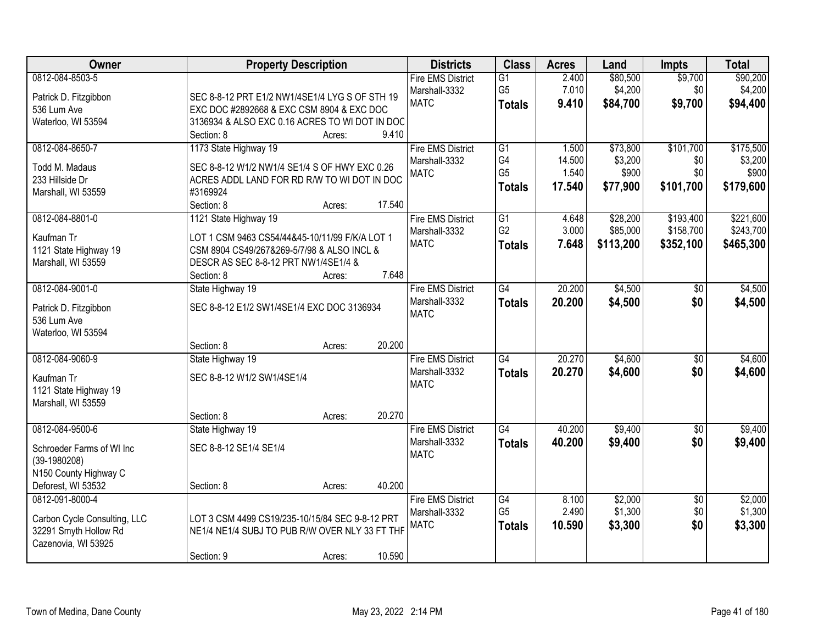| Owner<br><b>Property Description</b><br><b>Districts</b><br><b>Class</b><br><b>Acres</b><br>Land<br><b>Impts</b>                                                            | <b>Total</b>               |
|-----------------------------------------------------------------------------------------------------------------------------------------------------------------------------|----------------------------|
| 0812-084-8503-5<br>\$80,500<br><b>Fire EMS District</b><br>$\overline{G1}$<br>2.400                                                                                         | \$9,700<br>\$90,200        |
| G <sub>5</sub><br>7.010<br>\$4,200<br>Marshall-3332<br>Patrick D. Fitzgibbon<br>SEC 8-8-12 PRT E1/2 NW1/4SE1/4 LYG S OF STH 19                                              | \$4,200<br>\$0             |
| <b>MATC</b><br>\$84,700<br>9.410<br><b>Totals</b><br>536 Lum Ave<br>EXC DOC #2892668 & EXC CSM 8904 & EXC DOC                                                               | \$9,700<br>\$94,400        |
| 3136934 & ALSO EXC 0.16 ACRES TO WI DOT IN DOC<br>Waterloo, WI 53594                                                                                                        |                            |
| 9.410<br>Section: 8<br>Acres:                                                                                                                                               |                            |
| \$73,800<br>0812-084-8650-7<br>1173 State Highway 19<br><b>Fire EMS District</b><br>$\overline{G1}$<br>1.500                                                                | \$101,700<br>\$175,500     |
| G4<br>14.500<br>\$3,200<br>Marshall-3332<br>Todd M. Madaus<br>SEC 8-8-12 W1/2 NW1/4 SE1/4 S OF HWY EXC 0.26                                                                 | \$0<br>\$3,200             |
| G <sub>5</sub><br>1.540<br>\$900<br><b>MATC</b><br>ACRES ADDL LAND FOR RD R/W TO WI DOT IN DOC<br>233 Hillside Dr                                                           | \$900<br>\$0               |
| 17.540<br>\$77,900<br><b>Totals</b><br>Marshall, WI 53559<br>#3169924                                                                                                       | \$101,700<br>\$179,600     |
| Section: 8<br>17.540<br>Acres:                                                                                                                                              |                            |
| 0812-084-8801-0<br>\$28,200<br>1121 State Highway 19<br><b>Fire EMS District</b><br>$\overline{G1}$<br>4.648                                                                | \$193,400<br>\$221,600     |
| G <sub>2</sub><br>3.000<br>\$85,000<br>Marshall-3332<br>Kaufman Tr                                                                                                          | \$158,700<br>\$243,700     |
| LOT 1 CSM 9463 CS54/44&45-10/11/99 F/K/A LOT 1<br><b>MATC</b><br>7.648<br>\$113,200<br><b>Totals</b><br>1121 State Highway 19<br>CSM 8904 CS49/267&269-5/7/98 & ALSO INCL & | \$352,100<br>\$465,300     |
| Marshall, WI 53559<br>DESCR AS SEC 8-8-12 PRT NW1/4SE1/4 &                                                                                                                  |                            |
| 7.648<br>Section: 8<br>Acres:                                                                                                                                               |                            |
| 0812-084-9001-0<br>State Highway 19<br><b>Fire EMS District</b><br>$\overline{G4}$<br>20.200<br>\$4,500                                                                     | \$4,500<br>$\sqrt{6}$      |
| Marshall-3332<br>20.200<br>\$4,500<br><b>Totals</b>                                                                                                                         | \$0<br>\$4,500             |
| SEC 8-8-12 E1/2 SW1/4SE1/4 EXC DOC 3136934<br>Patrick D. Fitzgibbon<br><b>MATC</b>                                                                                          |                            |
| 536 Lum Ave                                                                                                                                                                 |                            |
| Waterloo, WI 53594                                                                                                                                                          |                            |
| 20.200<br>Section: 8<br>Acres:                                                                                                                                              |                            |
| $\overline{G4}$<br>20.270<br>0812-084-9060-9<br>\$4,600<br>State Highway 19<br><b>Fire EMS District</b>                                                                     | \$4,600<br>\$0             |
| 20.270<br>\$4,600<br>Marshall-3332<br><b>Totals</b><br>SEC 8-8-12 W1/2 SW1/4SE1/4<br>Kaufman Tr<br><b>MATC</b>                                                              | \$0<br>\$4,600             |
| 1121 State Highway 19                                                                                                                                                       |                            |
| Marshall, WI 53559                                                                                                                                                          |                            |
| 20.270<br>Section: 8<br>Acres:                                                                                                                                              |                            |
| $\overline{G4}$<br>40.200<br>\$9,400<br>0812-084-9500-6<br><b>Fire EMS District</b><br>State Highway 19                                                                     | \$9,400<br>$\overline{60}$ |
| Marshall-3332<br>40.200<br>\$9,400<br><b>Totals</b><br>SEC 8-8-12 SE1/4 SE1/4<br>Schroeder Farms of WI Inc                                                                  | \$0<br>\$9,400             |
| <b>MATC</b><br>$(39-1980208)$                                                                                                                                               |                            |
| N150 County Highway C                                                                                                                                                       |                            |
| 40.200<br>Deforest, WI 53532<br>Section: 8<br>Acres:                                                                                                                        |                            |
| 0812-091-8000-4<br><b>Fire EMS District</b><br>$\overline{G4}$<br>\$2,000<br>8.100                                                                                          | \$2,000<br>$\overline{50}$ |
| G <sub>5</sub><br>2.490<br>\$1,300<br>Marshall-3332<br>Carbon Cycle Consulting, LLC<br>LOT 3 CSM 4499 CS19/235-10/15/84 SEC 9-8-12 PRT                                      | \$1,300<br>\$0             |
| <b>MATC</b><br>10.590<br>\$3,300<br><b>Totals</b><br>32291 Smyth Hollow Rd<br>NE1/4 NE1/4 SUBJ TO PUB R/W OVER NLY 33 FT THF                                                | \$0<br>\$3,300             |
| Cazenovia, WI 53925                                                                                                                                                         |                            |
| 10.590<br>Section: 9<br>Acres:                                                                                                                                              |                            |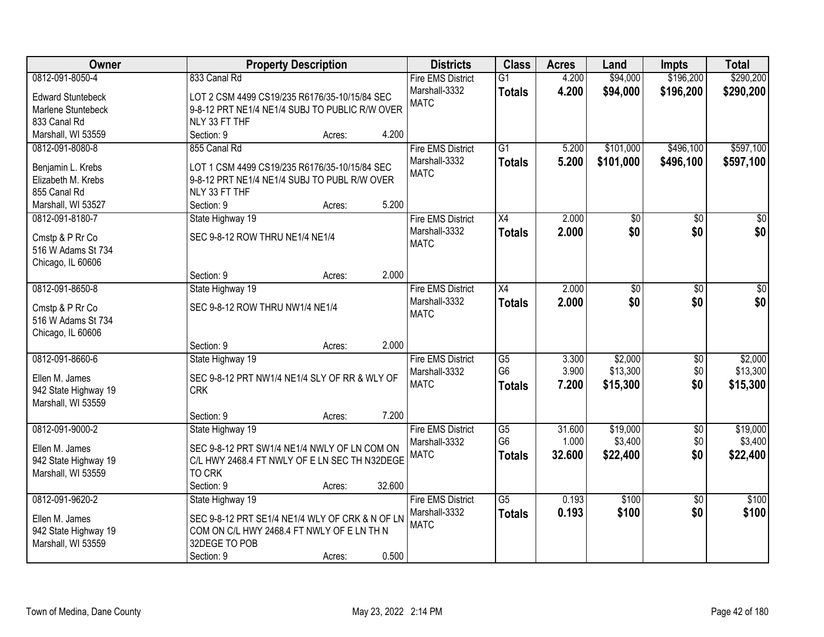| Owner                    | <b>Property Description</b>                     | <b>Districts</b>         | <b>Class</b>    | <b>Acres</b> | Land            | <b>Impts</b>    | <b>Total</b> |
|--------------------------|-------------------------------------------------|--------------------------|-----------------|--------------|-----------------|-----------------|--------------|
| 0812-091-8050-4          | 833 Canal Rd                                    | <b>Fire EMS District</b> | $\overline{G1}$ | 4.200        | \$94,000        | \$196,200       | \$290,200    |
| <b>Edward Stuntebeck</b> | LOT 2 CSM 4499 CS19/235 R6176/35-10/15/84 SEC   | Marshall-3332            | <b>Totals</b>   | 4.200        | \$94,000        | \$196,200       | \$290,200    |
| Marlene Stuntebeck       | 9-8-12 PRT NE1/4 NE1/4 SUBJ TO PUBLIC R/W OVER  | <b>MATC</b>              |                 |              |                 |                 |              |
| 833 Canal Rd             | NLY 33 FT THF                                   |                          |                 |              |                 |                 |              |
| Marshall, WI 53559       | 4.200<br>Section: 9<br>Acres:                   |                          |                 |              |                 |                 |              |
| 0812-091-8080-8          | 855 Canal Rd                                    | <b>Fire EMS District</b> | $\overline{G1}$ | 5.200        | \$101,000       | \$496,100       | \$597,100    |
|                          |                                                 | Marshall-3332            | <b>Totals</b>   | 5.200        | \$101,000       | \$496,100       | \$597,100    |
| Benjamin L. Krebs        | LOT 1 CSM 4499 CS19/235 R6176/35-10/15/84 SEC   | <b>MATC</b>              |                 |              |                 |                 |              |
| Elizabeth M. Krebs       | 9-8-12 PRT NE1/4 NE1/4 SUBJ TO PUBL R/W OVER    |                          |                 |              |                 |                 |              |
| 855 Canal Rd             | NLY 33 FT THF                                   |                          |                 |              |                 |                 |              |
| Marshall, WI 53527       | 5.200<br>Section: 9<br>Acres:                   |                          |                 |              |                 |                 |              |
| 0812-091-8180-7          | State Highway 19                                | <b>Fire EMS District</b> | X4              | 2.000        | \$0             | \$0             | \$0          |
| Cmstp & P Rr Co          | SEC 9-8-12 ROW THRU NE1/4 NE1/4                 | Marshall-3332            | <b>Totals</b>   | 2.000        | \$0             | \$0             | \$0          |
| 516 W Adams St 734       |                                                 | <b>MATC</b>              |                 |              |                 |                 |              |
| Chicago, IL 60606        |                                                 |                          |                 |              |                 |                 |              |
|                          | 2.000<br>Section: 9<br>Acres:                   |                          |                 |              |                 |                 |              |
| 0812-091-8650-8          | State Highway 19                                | <b>Fire EMS District</b> | X4              | 2.000        | $\overline{50}$ | \$0             | \$0          |
|                          |                                                 | Marshall-3332            | <b>Totals</b>   | 2.000        | \$0             | \$0             | \$0          |
| Cmstp & P Rr Co          | SEC 9-8-12 ROW THRU NW1/4 NE1/4                 | <b>MATC</b>              |                 |              |                 |                 |              |
| 516 W Adams St 734       |                                                 |                          |                 |              |                 |                 |              |
| Chicago, IL 60606        |                                                 |                          |                 |              |                 |                 |              |
|                          | 2.000<br>Section: 9<br>Acres:                   |                          |                 |              |                 |                 |              |
| 0812-091-8660-6          | State Highway 19                                | <b>Fire EMS District</b> | $\overline{G5}$ | 3.300        | \$2,000         | \$0             | \$2,000      |
| Ellen M. James           | SEC 9-8-12 PRT NW1/4 NE1/4 SLY OF RR & WLY OF   | Marshall-3332            | G <sub>6</sub>  | 3.900        | \$13,300        | \$0             | \$13,300     |
| 942 State Highway 19     | <b>CRK</b>                                      | <b>MATC</b>              | <b>Totals</b>   | 7.200        | \$15,300        | \$0             | \$15,300     |
| Marshall, WI 53559       |                                                 |                          |                 |              |                 |                 |              |
|                          | Section: 9<br>7.200<br>Acres:                   |                          |                 |              |                 |                 |              |
| 0812-091-9000-2          | State Highway 19                                | <b>Fire EMS District</b> | $\overline{G5}$ | 31.600       | \$19,000        | $\overline{60}$ | \$19,000     |
|                          |                                                 | Marshall-3332            | G6              | 1.000        | \$3,400         | \$0             | \$3,400      |
| Ellen M. James           | SEC 9-8-12 PRT SW1/4 NE1/4 NWLY OF LN COM ON    | <b>MATC</b>              | <b>Totals</b>   | 32.600       | \$22,400        | \$0             | \$22,400     |
| 942 State Highway 19     | C/L HWY 2468.4 FT NWLY OF E LN SEC TH N32DEGE   |                          |                 |              |                 |                 |              |
| Marshall, WI 53559       | <b>TO CRK</b>                                   |                          |                 |              |                 |                 |              |
|                          | 32.600<br>Section: 9<br>Acres:                  |                          |                 |              |                 |                 |              |
| 0812-091-9620-2          | State Highway 19                                | <b>Fire EMS District</b> | $\overline{G5}$ | 0.193        | \$100           | $\overline{50}$ | \$100        |
| Ellen M. James           | SEC 9-8-12 PRT SE1/4 NE1/4 WLY OF CRK & N OF LN | Marshall-3332            | <b>Totals</b>   | 0.193        | \$100           | \$0             | \$100        |
| 942 State Highway 19     | COM ON C/L HWY 2468.4 FT NWLY OF E LN TH N      | <b>MATC</b>              |                 |              |                 |                 |              |
| Marshall, WI 53559       | 32DEGE TO POB                                   |                          |                 |              |                 |                 |              |
|                          | 0.500<br>Section: 9<br>Acres:                   |                          |                 |              |                 |                 |              |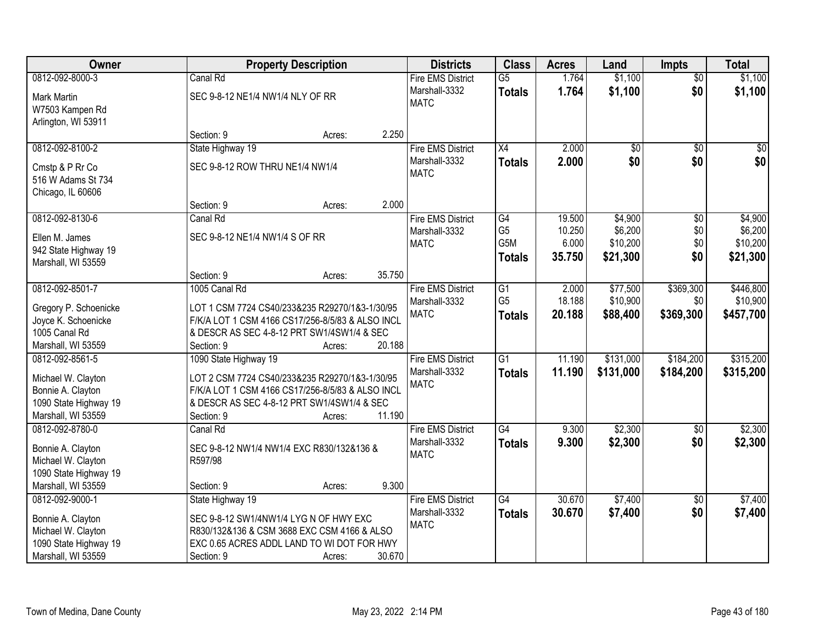| Owner                                                                                                     |                                                                          | <b>Property Description</b>                                                                                                                      |        | <b>Districts</b>                                         | <b>Class</b>                                              | <b>Acres</b>                        | Land                                       | <b>Impts</b>                         | <b>Total</b>                               |
|-----------------------------------------------------------------------------------------------------------|--------------------------------------------------------------------------|--------------------------------------------------------------------------------------------------------------------------------------------------|--------|----------------------------------------------------------|-----------------------------------------------------------|-------------------------------------|--------------------------------------------|--------------------------------------|--------------------------------------------|
| 0812-092-8000-3                                                                                           | Canal Rd                                                                 |                                                                                                                                                  |        | <b>Fire EMS District</b>                                 | $\overline{G5}$                                           | 1.764                               | \$1,100                                    | $\overline{50}$                      | \$1,100                                    |
| <b>Mark Martin</b><br>W7503 Kampen Rd<br>Arlington, WI 53911                                              | SEC 9-8-12 NE1/4 NW1/4 NLY OF RR                                         |                                                                                                                                                  |        | Marshall-3332<br><b>MATC</b>                             | <b>Totals</b>                                             | 1.764                               | \$1,100                                    | \$0                                  | \$1,100                                    |
|                                                                                                           | Section: 9                                                               | Acres:                                                                                                                                           | 2.250  |                                                          |                                                           |                                     |                                            |                                      |                                            |
| 0812-092-8100-2                                                                                           | State Highway 19                                                         |                                                                                                                                                  |        | <b>Fire EMS District</b>                                 | X4                                                        | 2.000                               | $\overline{50}$                            | $\overline{50}$                      | $\sqrt{50}$                                |
| Cmstp & P Rr Co<br>516 W Adams St 734<br>Chicago, IL 60606                                                | SEC 9-8-12 ROW THRU NE1/4 NW1/4                                          |                                                                                                                                                  |        | Marshall-3332<br><b>MATC</b>                             | <b>Totals</b>                                             | 2.000                               | \$0                                        | \$0                                  | \$0                                        |
|                                                                                                           | Section: 9                                                               | Acres:                                                                                                                                           | 2.000  |                                                          |                                                           |                                     |                                            |                                      |                                            |
| 0812-092-8130-6<br>Ellen M. James<br>942 State Highway 19<br>Marshall, WI 53559                           | Canal Rd<br>SEC 9-8-12 NE1/4 NW1/4 S OF RR                               |                                                                                                                                                  |        | <b>Fire EMS District</b><br>Marshall-3332<br><b>MATC</b> | G4<br>G <sub>5</sub><br>G <sub>5</sub> M<br><b>Totals</b> | 19.500<br>10.250<br>6.000<br>35.750 | \$4,900<br>\$6,200<br>\$10,200<br>\$21,300 | $\overline{50}$<br>\$0<br>\$0<br>\$0 | \$4,900<br>\$6,200<br>\$10,200<br>\$21,300 |
|                                                                                                           | Section: 9                                                               | Acres:                                                                                                                                           | 35.750 |                                                          |                                                           |                                     |                                            |                                      |                                            |
| 0812-092-8501-7<br>Gregory P. Schoenicke                                                                  | 1005 Canal Rd                                                            | LOT 1 CSM 7724 CS40/233&235 R29270/1&3-1/30/95                                                                                                   |        | <b>Fire EMS District</b><br>Marshall-3332                | $\overline{G1}$<br>G <sub>5</sub>                         | 2.000<br>18.188                     | \$77,500<br>\$10,900                       | \$369,300<br>\$0                     | \$446,800<br>\$10,900                      |
| Joyce K. Schoenicke                                                                                       |                                                                          | F/K/A LOT 1 CSM 4166 CS17/256-8/5/83 & ALSO INCL                                                                                                 |        | <b>MATC</b>                                              | <b>Totals</b>                                             | 20.188                              | \$88,400                                   | \$369,300                            | \$457,700                                  |
| 1005 Canal Rd                                                                                             |                                                                          | & DESCR AS SEC 4-8-12 PRT SW1/4SW1/4 & SEC                                                                                                       |        |                                                          |                                                           |                                     |                                            |                                      |                                            |
| Marshall, WI 53559                                                                                        | Section: 9                                                               | Acres:                                                                                                                                           | 20.188 |                                                          |                                                           |                                     |                                            |                                      |                                            |
| 0812-092-8561-5<br>Michael W. Clayton<br>Bonnie A. Clayton<br>1090 State Highway 19                       | 1090 State Highway 19                                                    | LOT 2 CSM 7724 CS40/233&235 R29270/1&3-1/30/95<br>F/K/A LOT 1 CSM 4166 CS17/256-8/5/83 & ALSO INCL<br>& DESCR AS SEC 4-8-12 PRT SW1/4SW1/4 & SEC |        | <b>Fire EMS District</b><br>Marshall-3332<br><b>MATC</b> | $\overline{G1}$<br><b>Totals</b>                          | 11.190<br>11.190                    | \$131,000<br>\$131,000                     | \$184,200<br>\$184,200               | \$315,200<br>\$315,200                     |
| Marshall, WI 53559                                                                                        | Section: 9                                                               | Acres:                                                                                                                                           | 11.190 |                                                          |                                                           |                                     |                                            |                                      |                                            |
| 0812-092-8780-0<br>Bonnie A. Clayton<br>Michael W. Clayton<br>1090 State Highway 19                       | Canal Rd<br>R597/98                                                      | SEC 9-8-12 NW1/4 NW1/4 EXC R830/132&136 &                                                                                                        |        | <b>Fire EMS District</b><br>Marshall-3332<br><b>MATC</b> | $\overline{G4}$<br><b>Totals</b>                          | 9.300<br>9.300                      | \$2,300<br>\$2,300                         | $\sqrt{6}$<br>\$0                    | \$2,300<br>\$2,300                         |
| Marshall, WI 53559                                                                                        | Section: 9                                                               | Acres:                                                                                                                                           | 9.300  |                                                          |                                                           |                                     |                                            |                                      |                                            |
| 0812-092-9000-1<br>Bonnie A. Clayton<br>Michael W. Clayton<br>1090 State Highway 19<br>Marshall, WI 53559 | State Highway 19<br>SEC 9-8-12 SW1/4NW1/4 LYG N OF HWY EXC<br>Section: 9 | R830/132&136 & CSM 3688 EXC CSM 4166 & ALSO<br>EXC 0.65 ACRES ADDL LAND TO WI DOT FOR HWY<br>Acres:                                              | 30.670 | <b>Fire EMS District</b><br>Marshall-3332<br><b>MATC</b> | $\overline{G4}$<br><b>Totals</b>                          | 30.670<br>30.670                    | \$7,400<br>\$7,400                         | $\overline{30}$<br>\$0               | \$7,400<br>\$7,400                         |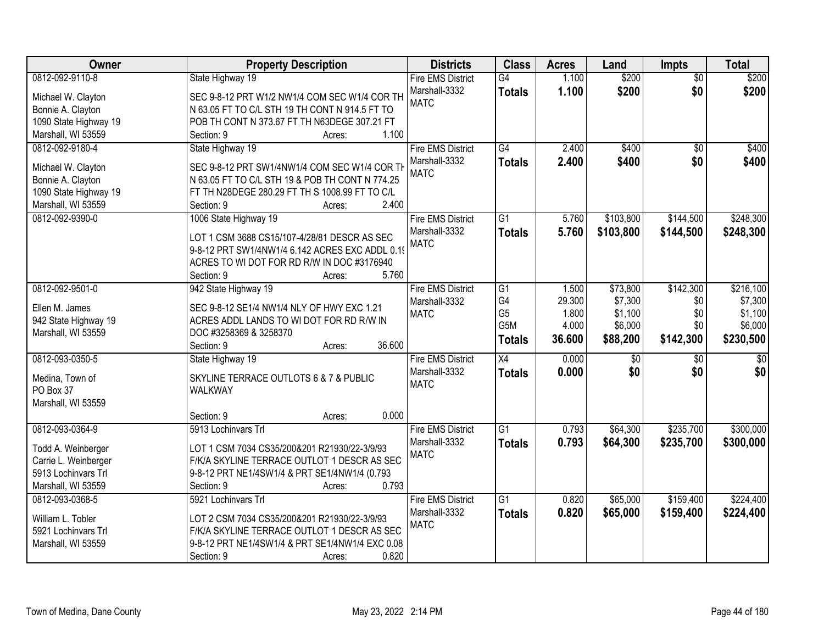| Owner                 | <b>Property Description</b>                     | <b>Districts</b>         | <b>Class</b>     | <b>Acres</b> | Land      | <b>Impts</b>    | <b>Total</b> |
|-----------------------|-------------------------------------------------|--------------------------|------------------|--------------|-----------|-----------------|--------------|
| 0812-092-9110-8       | State Highway 19                                | <b>Fire EMS District</b> | $\overline{G4}$  | 1.100        | \$200     | $\overline{50}$ | \$200        |
| Michael W. Clayton    | SEC 9-8-12 PRT W1/2 NW1/4 COM SEC W1/4 COR TH   | Marshall-3332            | <b>Totals</b>    | 1.100        | \$200     | \$0             | \$200        |
| Bonnie A. Clayton     | N 63.05 FT TO C/L STH 19 TH CONT N 914.5 FT TO  | <b>MATC</b>              |                  |              |           |                 |              |
| 1090 State Highway 19 | POB TH CONT N 373.67 FT TH N63DEGE 307.21 FT    |                          |                  |              |           |                 |              |
| Marshall, WI 53559    | 1.100<br>Section: 9<br>Acres:                   |                          |                  |              |           |                 |              |
| 0812-092-9180-4       | State Highway 19                                | <b>Fire EMS District</b> | $\overline{G4}$  | 2.400        | \$400     | $\overline{50}$ | \$400        |
|                       |                                                 | Marshall-3332            | <b>Totals</b>    | 2.400        | \$400     | \$0             | \$400        |
| Michael W. Clayton    | SEC 9-8-12 PRT SW1/4NW1/4 COM SEC W1/4 COR TH   | <b>MATC</b>              |                  |              |           |                 |              |
| Bonnie A. Clayton     | N 63.05 FT TO C/L STH 19 & POB TH CONT N 774.25 |                          |                  |              |           |                 |              |
| 1090 State Highway 19 | FT TH N28DEGE 280.29 FT TH S 1008.99 FT TO C/L  |                          |                  |              |           |                 |              |
| Marshall, WI 53559    | 2.400<br>Section: 9<br>Acres:                   |                          |                  |              |           |                 |              |
| 0812-092-9390-0       | 1006 State Highway 19                           | <b>Fire EMS District</b> | $\overline{G1}$  | 5.760        | \$103,800 | \$144,500       | \$248,300    |
|                       | LOT 1 CSM 3688 CS15/107-4/28/81 DESCR AS SEC    | Marshall-3332            | <b>Totals</b>    | 5.760        | \$103,800 | \$144,500       | \$248,300    |
|                       | 9-8-12 PRT SW1/4NW1/4 6.142 ACRES EXC ADDL 0.19 | <b>MATC</b>              |                  |              |           |                 |              |
|                       | ACRES TO WI DOT FOR RD R/W IN DOC #3176940      |                          |                  |              |           |                 |              |
|                       | 5.760<br>Section: 9<br>Acres:                   |                          |                  |              |           |                 |              |
| 0812-092-9501-0       | 942 State Highway 19                            | <b>Fire EMS District</b> | $\overline{G1}$  | 1.500        | \$73,800  | \$142,300       | \$216,100    |
|                       |                                                 | Marshall-3332            | G4               | 29.300       | \$7,300   | \$0             | \$7,300      |
| Ellen M. James        | SEC 9-8-12 SE1/4 NW1/4 NLY OF HWY EXC 1.21      | <b>MATC</b>              | G <sub>5</sub>   | 1.800        | \$1,100   | \$0             | \$1,100      |
| 942 State Highway 19  | ACRES ADDL LANDS TO WI DOT FOR RD R/W IN        |                          | G <sub>5</sub> M | 4.000        | \$6,000   | \$0             | \$6,000      |
| Marshall, WI 53559    | DOC #3258369 & 3258370                          |                          | <b>Totals</b>    | 36.600       | \$88,200  | \$142,300       | \$230,500    |
|                       | 36.600<br>Section: 9<br>Acres:                  |                          |                  |              |           |                 |              |
| 0812-093-0350-5       | State Highway 19                                | <b>Fire EMS District</b> | $\overline{X4}$  | 0.000        | \$0       | \$0             | $\sqrt{50}$  |
| Medina, Town of       | SKYLINE TERRACE OUTLOTS 6 & 7 & PUBLIC          | Marshall-3332            | <b>Totals</b>    | 0.000        | \$0       | \$0             | \$0          |
| PO Box 37             | WALKWAY                                         | <b>MATC</b>              |                  |              |           |                 |              |
| Marshall, WI 53559    |                                                 |                          |                  |              |           |                 |              |
|                       | 0.000<br>Section: 9<br>Acres:                   |                          |                  |              |           |                 |              |
| 0812-093-0364-9       | 5913 Lochinvars Trl                             | <b>Fire EMS District</b> | $\overline{G1}$  | 0.793        | \$64,300  | \$235,700       | \$300,000    |
|                       |                                                 | Marshall-3332            | <b>Totals</b>    | 0.793        | \$64,300  | \$235,700       | \$300,000    |
| Todd A. Weinberger    | LOT 1 CSM 7034 CS35/200&201 R21930/22-3/9/93    | <b>MATC</b>              |                  |              |           |                 |              |
| Carrie L. Weinberger  | F/K/A SKYLINE TERRACE OUTLOT 1 DESCR AS SEC     |                          |                  |              |           |                 |              |
| 5913 Lochinvars Trl   | 9-8-12 PRT NE1/4SW1/4 & PRT SE1/4NW1/4 (0.793   |                          |                  |              |           |                 |              |
| Marshall, WI 53559    | 0.793<br>Section: 9<br>Acres:                   |                          |                  |              |           |                 |              |
| 0812-093-0368-5       | 5921 Lochinvars Trl                             | <b>Fire EMS District</b> | $\overline{G1}$  | 0.820        | \$65,000  | \$159,400       | \$224,400    |
| William L. Tobler     | LOT 2 CSM 7034 CS35/200&201 R21930/22-3/9/93    | Marshall-3332            | <b>Totals</b>    | 0.820        | \$65,000  | \$159,400       | \$224,400    |
| 5921 Lochinvars Trl   | F/K/A SKYLINE TERRACE OUTLOT 1 DESCR AS SEC     | <b>MATC</b>              |                  |              |           |                 |              |
| Marshall, WI 53559    | 9-8-12 PRT NE1/4SW1/4 & PRT SE1/4NW1/4 EXC 0.08 |                          |                  |              |           |                 |              |
|                       | 0.820<br>Section: 9<br>Acres:                   |                          |                  |              |           |                 |              |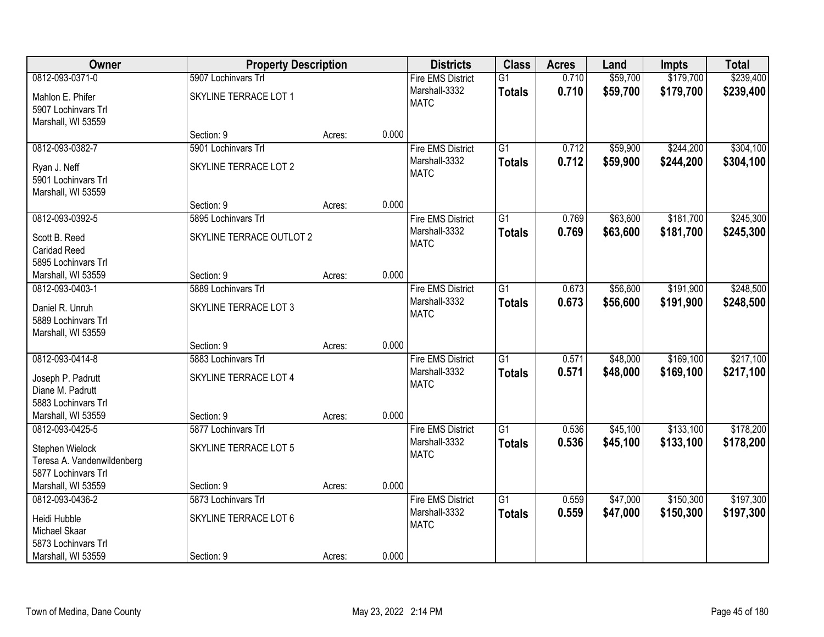| Owner                      | <b>Property Description</b> |        |       | <b>Districts</b>             | <b>Class</b>    | <b>Acres</b> | Land     | <b>Impts</b> | <b>Total</b> |
|----------------------------|-----------------------------|--------|-------|------------------------------|-----------------|--------------|----------|--------------|--------------|
| 0812-093-0371-0            | 5907 Lochinvars Trl         |        |       | <b>Fire EMS District</b>     | $\overline{G1}$ | 0.710        | \$59,700 | \$179,700    | \$239,400    |
| Mahlon E. Phifer           | SKYLINE TERRACE LOT 1       |        |       | Marshall-3332                | <b>Totals</b>   | 0.710        | \$59,700 | \$179,700    | \$239,400    |
| 5907 Lochinvars Trl        |                             |        |       | <b>MATC</b>                  |                 |              |          |              |              |
| Marshall, WI 53559         |                             |        |       |                              |                 |              |          |              |              |
|                            | Section: 9                  | Acres: | 0.000 |                              |                 |              |          |              |              |
| 0812-093-0382-7            | 5901 Lochinvars Trl         |        |       | <b>Fire EMS District</b>     | $\overline{G1}$ | 0.712        | \$59,900 | \$244,200    | \$304,100    |
| Ryan J. Neff               | SKYLINE TERRACE LOT 2       |        |       | Marshall-3332                | <b>Totals</b>   | 0.712        | \$59,900 | \$244,200    | \$304,100    |
| 5901 Lochinvars Trl        |                             |        |       | <b>MATC</b>                  |                 |              |          |              |              |
| Marshall, WI 53559         |                             |        |       |                              |                 |              |          |              |              |
|                            | Section: 9                  | Acres: | 0.000 |                              |                 |              |          |              |              |
| 0812-093-0392-5            | 5895 Lochinvars Trl         |        |       | <b>Fire EMS District</b>     | G1              | 0.769        | \$63,600 | \$181,700    | \$245,300    |
| Scott B. Reed              | SKYLINE TERRACE OUTLOT 2    |        |       | Marshall-3332                | <b>Totals</b>   | 0.769        | \$63,600 | \$181,700    | \$245,300    |
| <b>Caridad Reed</b>        |                             |        |       | <b>MATC</b>                  |                 |              |          |              |              |
| 5895 Lochinvars Trl        |                             |        |       |                              |                 |              |          |              |              |
| Marshall, WI 53559         | Section: 9                  | Acres: | 0.000 |                              |                 |              |          |              |              |
| 0812-093-0403-1            | 5889 Lochinvars Trl         |        |       | <b>Fire EMS District</b>     | $\overline{G1}$ | 0.673        | \$56,600 | \$191,900    | \$248,500    |
| Daniel R. Unruh            | SKYLINE TERRACE LOT 3       |        |       | Marshall-3332                | <b>Totals</b>   | 0.673        | \$56,600 | \$191,900    | \$248,500    |
| 5889 Lochinvars Trl        |                             |        |       | <b>MATC</b>                  |                 |              |          |              |              |
| Marshall, WI 53559         |                             |        |       |                              |                 |              |          |              |              |
|                            | Section: 9                  | Acres: | 0.000 |                              |                 |              |          |              |              |
| 0812-093-0414-8            | 5883 Lochinvars Trl         |        |       | <b>Fire EMS District</b>     | $\overline{G1}$ | 0.571        | \$48,000 | \$169,100    | \$217,100    |
| Joseph P. Padrutt          | SKYLINE TERRACE LOT 4       |        |       | Marshall-3332<br><b>MATC</b> | <b>Totals</b>   | 0.571        | \$48,000 | \$169,100    | \$217,100    |
| Diane M. Padrutt           |                             |        |       |                              |                 |              |          |              |              |
| 5883 Lochinvars Trl        |                             |        |       |                              |                 |              |          |              |              |
| Marshall, WI 53559         | Section: 9                  | Acres: | 0.000 |                              |                 |              |          |              |              |
| 0812-093-0425-5            | 5877 Lochinvars Trl         |        |       | <b>Fire EMS District</b>     | $\overline{G1}$ | 0.536        | \$45,100 | \$133,100    | \$178,200    |
| Stephen Wielock            | SKYLINE TERRACE LOT 5       |        |       | Marshall-3332<br><b>MATC</b> | <b>Totals</b>   | 0.536        | \$45,100 | \$133,100    | \$178,200    |
| Teresa A. Vandenwildenberg |                             |        |       |                              |                 |              |          |              |              |
| 5877 Lochinvars Trl        |                             |        |       |                              |                 |              |          |              |              |
| Marshall, WI 53559         | Section: 9                  | Acres: | 0.000 |                              |                 |              |          |              |              |
| 0812-093-0436-2            | 5873 Lochinvars Trl         |        |       | <b>Fire EMS District</b>     | G1              | 0.559        | \$47,000 | \$150,300    | \$197,300    |
| Heidi Hubble               | SKYLINE TERRACE LOT 6       |        |       | Marshall-3332                | <b>Totals</b>   | 0.559        | \$47,000 | \$150,300    | \$197,300    |
| Michael Skaar              |                             |        |       | <b>MATC</b>                  |                 |              |          |              |              |
| 5873 Lochinvars Trl        |                             |        |       |                              |                 |              |          |              |              |
| Marshall, WI 53559         | Section: 9                  | Acres: | 0.000 |                              |                 |              |          |              |              |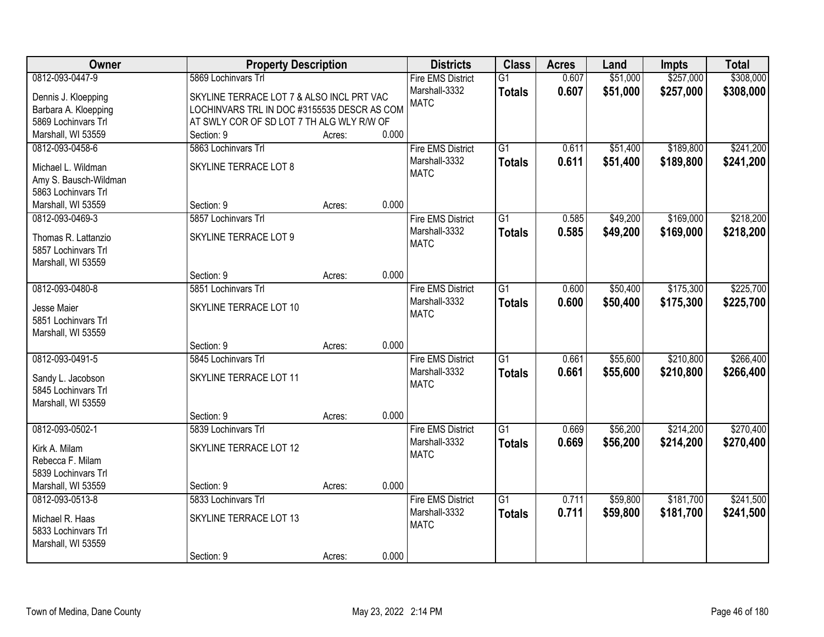| Owner                                     | <b>Property Description</b>                 |        |       | <b>Districts</b>             | <b>Class</b>    | <b>Acres</b> | Land     | <b>Impts</b> | <b>Total</b> |
|-------------------------------------------|---------------------------------------------|--------|-------|------------------------------|-----------------|--------------|----------|--------------|--------------|
| 0812-093-0447-9                           | 5869 Lochinvars Trl                         |        |       | <b>Fire EMS District</b>     | $\overline{G1}$ | 0.607        | \$51,000 | \$257,000    | \$308,000    |
| Dennis J. Kloepping                       | SKYLINE TERRACE LOT 7 & ALSO INCL PRT VAC   |        |       | Marshall-3332                | <b>Totals</b>   | 0.607        | \$51,000 | \$257,000    | \$308,000    |
| Barbara A. Kloepping                      | LOCHINVARS TRL IN DOC #3155535 DESCR AS COM |        |       | <b>MATC</b>                  |                 |              |          |              |              |
| 5869 Lochinvars Trl                       | AT SWLY COR OF SD LOT 7 TH ALG WLY R/W OF   |        |       |                              |                 |              |          |              |              |
| Marshall, WI 53559                        | Section: 9                                  | Acres: | 0.000 |                              |                 |              |          |              |              |
| 0812-093-0458-6                           | 5863 Lochinvars Trl                         |        |       | <b>Fire EMS District</b>     | $\overline{G1}$ | 0.611        | \$51,400 | \$189,800    | \$241,200    |
| Michael L. Wildman                        | SKYLINE TERRACE LOT 8                       |        |       | Marshall-3332                | <b>Totals</b>   | 0.611        | \$51,400 | \$189,800    | \$241,200    |
| Amy S. Bausch-Wildman                     |                                             |        |       | <b>MATC</b>                  |                 |              |          |              |              |
| 5863 Lochinvars Trl                       |                                             |        |       |                              |                 |              |          |              |              |
| Marshall, WI 53559                        | Section: 9                                  | Acres: | 0.000 |                              |                 |              |          |              |              |
| 0812-093-0469-3                           | 5857 Lochinvars Trl                         |        |       | <b>Fire EMS District</b>     | G1              | 0.585        | \$49,200 | \$169,000    | \$218,200    |
|                                           |                                             |        |       | Marshall-3332                | <b>Totals</b>   | 0.585        | \$49,200 | \$169,000    | \$218,200    |
| Thomas R. Lattanzio                       | SKYLINE TERRACE LOT 9                       |        |       | <b>MATC</b>                  |                 |              |          |              |              |
| 5857 Lochinvars Trl<br>Marshall, WI 53559 |                                             |        |       |                              |                 |              |          |              |              |
|                                           | Section: 9                                  | Acres: | 0.000 |                              |                 |              |          |              |              |
| 0812-093-0480-8                           | 5851 Lochinvars Trl                         |        |       | <b>Fire EMS District</b>     | $\overline{G1}$ | 0.600        | \$50,400 | \$175,300    | \$225,700    |
|                                           |                                             |        |       | Marshall-3332                | <b>Totals</b>   | 0.600        | \$50,400 | \$175,300    | \$225,700    |
| Jesse Maier                               | SKYLINE TERRACE LOT 10                      |        |       | <b>MATC</b>                  |                 |              |          |              |              |
| 5851 Lochinvars Trl                       |                                             |        |       |                              |                 |              |          |              |              |
| Marshall, WI 53559                        | Section: 9                                  |        | 0.000 |                              |                 |              |          |              |              |
| 0812-093-0491-5                           | 5845 Lochinvars Trl                         | Acres: |       | <b>Fire EMS District</b>     | $\overline{G1}$ | 0.661        | \$55,600 | \$210,800    | \$266,400    |
|                                           |                                             |        |       | Marshall-3332                |                 | 0.661        | \$55,600 | \$210,800    | \$266,400    |
| Sandy L. Jacobson                         | SKYLINE TERRACE LOT 11                      |        |       | <b>MATC</b>                  | <b>Totals</b>   |              |          |              |              |
| 5845 Lochinvars Trl                       |                                             |        |       |                              |                 |              |          |              |              |
| Marshall, WI 53559                        |                                             |        |       |                              |                 |              |          |              |              |
|                                           | Section: 9                                  | Acres: | 0.000 |                              |                 |              |          |              |              |
| 0812-093-0502-1                           | 5839 Lochinvars Trl                         |        |       | <b>Fire EMS District</b>     | $\overline{G1}$ | 0.669        | \$56,200 | \$214,200    | \$270,400    |
| Kirk A. Milam                             | SKYLINE TERRACE LOT 12                      |        |       | Marshall-3332<br><b>MATC</b> | <b>Totals</b>   | 0.669        | \$56,200 | \$214,200    | \$270,400    |
| Rebecca F. Milam                          |                                             |        |       |                              |                 |              |          |              |              |
| 5839 Lochinvars Trl                       |                                             |        |       |                              |                 |              |          |              |              |
| Marshall, WI 53559                        | Section: 9                                  | Acres: | 0.000 |                              |                 |              |          |              |              |
| 0812-093-0513-8                           | 5833 Lochinvars Trl                         |        |       | <b>Fire EMS District</b>     | $\overline{G1}$ | 0.711        | \$59,800 | \$181,700    | \$241,500    |
| Michael R. Haas                           | SKYLINE TERRACE LOT 13                      |        |       | Marshall-3332                | <b>Totals</b>   | 0.711        | \$59,800 | \$181,700    | \$241,500    |
| 5833 Lochinvars Trl                       |                                             |        |       | <b>MATC</b>                  |                 |              |          |              |              |
| Marshall, WI 53559                        |                                             |        |       |                              |                 |              |          |              |              |
|                                           | Section: 9                                  | Acres: | 0.000 |                              |                 |              |          |              |              |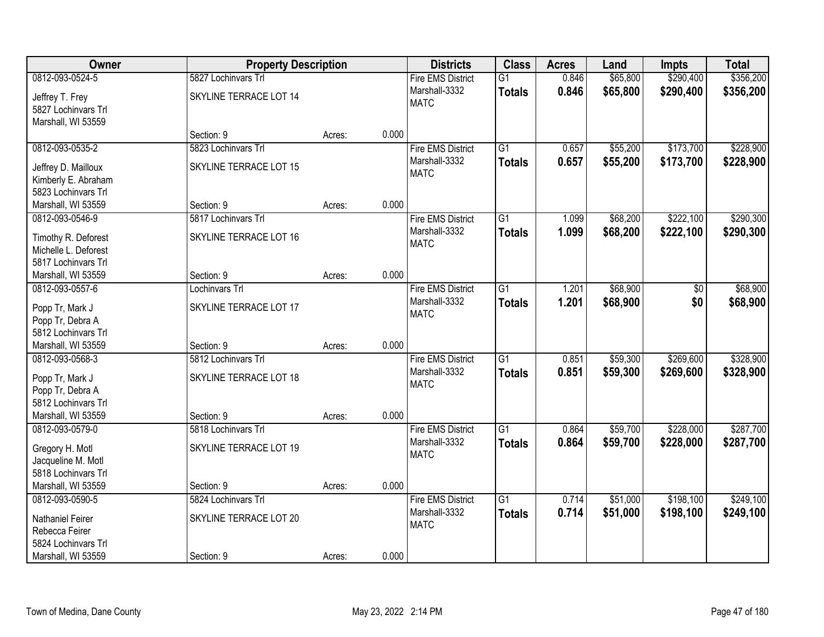| Owner                                                              | <b>Property Description</b>                   |        |       | <b>Districts</b>                                         | <b>Class</b>                     | <b>Acres</b>   | Land                 | <b>Impts</b>           | <b>Total</b>           |
|--------------------------------------------------------------------|-----------------------------------------------|--------|-------|----------------------------------------------------------|----------------------------------|----------------|----------------------|------------------------|------------------------|
| 0812-093-0524-5<br>Jeffrey T. Frey<br>5827 Lochinvars Trl          | 5827 Lochinvars Trl<br>SKYLINE TERRACE LOT 14 |        |       | <b>Fire EMS District</b><br>Marshall-3332<br><b>MATC</b> | $\overline{G1}$<br><b>Totals</b> | 0.846<br>0.846 | \$65,800<br>\$65,800 | \$290,400<br>\$290,400 | \$356,200<br>\$356,200 |
| Marshall, WI 53559                                                 | Section: 9                                    | Acres: | 0.000 |                                                          |                                  |                |                      |                        |                        |
| 0812-093-0535-2                                                    | 5823 Lochinvars Trl                           |        |       | <b>Fire EMS District</b>                                 | $\overline{G1}$                  | 0.657          | \$55,200             | \$173,700              | \$228,900              |
| Jeffrey D. Mailloux<br>Kimberly E. Abraham<br>5823 Lochinvars Trl  | SKYLINE TERRACE LOT 15                        |        |       | Marshall-3332<br><b>MATC</b>                             | <b>Totals</b>                    | 0.657          | \$55,200             | \$173,700              | \$228,900              |
| Marshall, WI 53559                                                 | Section: 9                                    | Acres: | 0.000 |                                                          |                                  |                |                      |                        |                        |
| 0812-093-0546-9                                                    | 5817 Lochinvars Trl                           |        |       | <b>Fire EMS District</b>                                 | $\overline{G1}$                  | 1.099          | \$68,200             | \$222,100              | \$290,300              |
| Timothy R. Deforest<br>Michelle L. Deforest<br>5817 Lochinvars Trl | SKYLINE TERRACE LOT 16                        |        |       | Marshall-3332<br><b>MATC</b>                             | <b>Totals</b>                    | 1.099          | \$68,200             | \$222,100              | \$290,300              |
| Marshall, WI 53559                                                 | Section: 9                                    | Acres: | 0.000 |                                                          |                                  |                |                      |                        |                        |
| 0812-093-0557-6                                                    | Lochinvars Trl                                |        |       | <b>Fire EMS District</b>                                 | $\overline{G1}$                  | 1.201          | \$68,900             | \$0                    | \$68,900               |
| Popp Tr, Mark J<br>Popp Tr, Debra A<br>5812 Lochinvars Trl         | SKYLINE TERRACE LOT 17                        |        |       | Marshall-3332<br><b>MATC</b>                             | <b>Totals</b>                    | 1.201          | \$68,900             | \$0                    | \$68,900               |
| Marshall, WI 53559                                                 | Section: 9                                    | Acres: | 0.000 |                                                          |                                  |                |                      |                        |                        |
| 0812-093-0568-3                                                    | 5812 Lochinvars Trl                           |        |       | <b>Fire EMS District</b><br>Marshall-3332                | $\overline{G1}$<br><b>Totals</b> | 0.851<br>0.851 | \$59,300<br>\$59,300 | \$269,600<br>\$269,600 | \$328,900<br>\$328,900 |
| Popp Tr, Mark J<br>Popp Tr, Debra A<br>5812 Lochinvars Trl         | SKYLINE TERRACE LOT 18                        |        |       | <b>MATC</b>                                              |                                  |                |                      |                        |                        |
| Marshall, WI 53559                                                 | Section: 9                                    | Acres: | 0.000 |                                                          |                                  |                |                      |                        |                        |
| 0812-093-0579-0                                                    | 5818 Lochinvars Trl                           |        |       | <b>Fire EMS District</b>                                 | $\overline{G1}$                  | 0.864          | \$59,700             | \$228,000              | \$287,700              |
| Gregory H. Motl<br>Jacqueline M. Motl<br>5818 Lochinvars Trl       | SKYLINE TERRACE LOT 19                        |        |       | Marshall-3332<br><b>MATC</b>                             | <b>Totals</b>                    | 0.864          | \$59,700             | \$228,000              | \$287,700              |
| Marshall, WI 53559                                                 | Section: 9                                    | Acres: | 0.000 |                                                          |                                  |                |                      |                        |                        |
| 0812-093-0590-5                                                    | 5824 Lochinvars Trl                           |        |       | <b>Fire EMS District</b>                                 | $\overline{G1}$                  | 0.714          | \$51,000             | \$198,100              | \$249,100              |
| Nathaniel Feirer<br>Rebecca Feirer<br>5824 Lochinvars Trl          | SKYLINE TERRACE LOT 20                        |        |       | Marshall-3332<br><b>MATC</b>                             | <b>Totals</b>                    | 0.714          | \$51,000             | \$198,100              | \$249,100              |
| Marshall, WI 53559                                                 | Section: 9                                    | Acres: | 0.000 |                                                          |                                  |                |                      |                        |                        |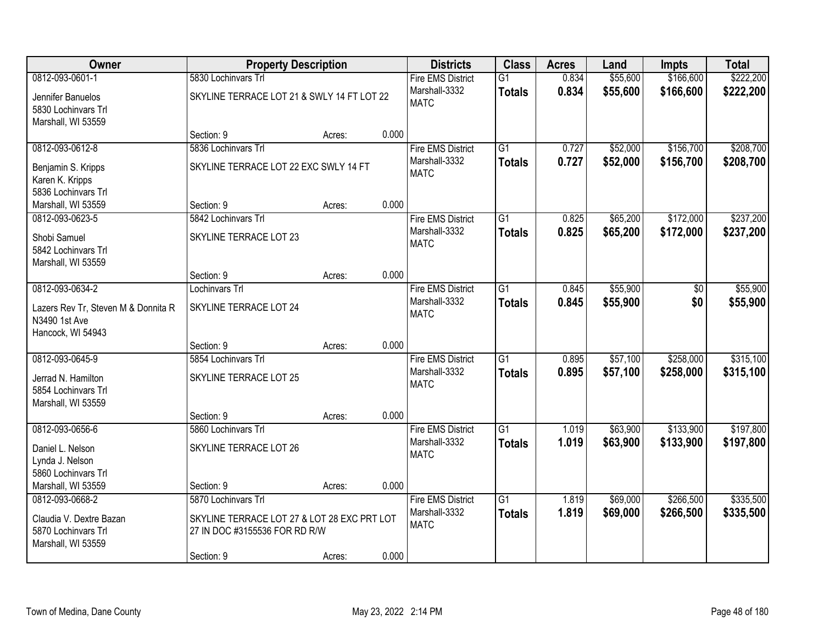| Owner                               | <b>Property Description</b>                 |        |       | <b>Districts</b>             | <b>Class</b>    | <b>Acres</b> | Land     | <b>Impts</b> | <b>Total</b> |
|-------------------------------------|---------------------------------------------|--------|-------|------------------------------|-----------------|--------------|----------|--------------|--------------|
| 0812-093-0601-1                     | 5830 Lochinvars Trl                         |        |       | <b>Fire EMS District</b>     | $\overline{G1}$ | 0.834        | \$55,600 | \$166,600    | \$222,200    |
| Jennifer Banuelos                   | SKYLINE TERRACE LOT 21 & SWLY 14 FT LOT 22  |        |       | Marshall-3332                | <b>Totals</b>   | 0.834        | \$55,600 | \$166,600    | \$222,200    |
| 5830 Lochinvars Trl                 |                                             |        |       | <b>MATC</b>                  |                 |              |          |              |              |
| Marshall, WI 53559                  |                                             |        |       |                              |                 |              |          |              |              |
|                                     | Section: 9                                  | Acres: | 0.000 |                              |                 |              |          |              |              |
| 0812-093-0612-8                     | 5836 Lochinvars Trl                         |        |       | <b>Fire EMS District</b>     | $\overline{G1}$ | 0.727        | \$52,000 | \$156,700    | \$208,700    |
| Benjamin S. Kripps                  | SKYLINE TERRACE LOT 22 EXC SWLY 14 FT       |        |       | Marshall-3332                | <b>Totals</b>   | 0.727        | \$52,000 | \$156,700    | \$208,700    |
| Karen K. Kripps                     |                                             |        |       | <b>MATC</b>                  |                 |              |          |              |              |
| 5836 Lochinvars Trl                 |                                             |        |       |                              |                 |              |          |              |              |
| Marshall, WI 53559                  | Section: 9                                  | Acres: | 0.000 |                              |                 |              |          |              |              |
| 0812-093-0623-5                     | 5842 Lochinvars Trl                         |        |       | <b>Fire EMS District</b>     | $\overline{G1}$ | 0.825        | \$65,200 | \$172,000    | \$237,200    |
| Shobi Samuel                        | SKYLINE TERRACE LOT 23                      |        |       | Marshall-3332                | <b>Totals</b>   | 0.825        | \$65,200 | \$172,000    | \$237,200    |
| 5842 Lochinvars Trl                 |                                             |        |       | <b>MATC</b>                  |                 |              |          |              |              |
| Marshall, WI 53559                  |                                             |        |       |                              |                 |              |          |              |              |
|                                     | Section: 9                                  | Acres: | 0.000 |                              |                 |              |          |              |              |
| 0812-093-0634-2                     | Lochinvars Trl                              |        |       | <b>Fire EMS District</b>     | $\overline{G1}$ | 0.845        | \$55,900 | \$0          | \$55,900     |
| Lazers Rev Tr, Steven M & Donnita R | SKYLINE TERRACE LOT 24                      |        |       | Marshall-3332                | <b>Totals</b>   | 0.845        | \$55,900 | \$0          | \$55,900     |
| N3490 1st Ave                       |                                             |        |       | <b>MATC</b>                  |                 |              |          |              |              |
| Hancock, WI 54943                   |                                             |        |       |                              |                 |              |          |              |              |
|                                     | Section: 9                                  | Acres: | 0.000 |                              |                 |              |          |              |              |
| 0812-093-0645-9                     | 5854 Lochinvars Trl                         |        |       | <b>Fire EMS District</b>     | $\overline{G1}$ | 0.895        | \$57,100 | \$258,000    | \$315,100    |
| Jerrad N. Hamilton                  | SKYLINE TERRACE LOT 25                      |        |       | Marshall-3332                | <b>Totals</b>   | 0.895        | \$57,100 | \$258,000    | \$315,100    |
| 5854 Lochinvars Trl                 |                                             |        |       | <b>MATC</b>                  |                 |              |          |              |              |
| Marshall, WI 53559                  |                                             |        |       |                              |                 |              |          |              |              |
|                                     | Section: 9                                  | Acres: | 0.000 |                              |                 |              |          |              |              |
| 0812-093-0656-6                     | 5860 Lochinvars Trl                         |        |       | <b>Fire EMS District</b>     | $\overline{G1}$ | 1.019        | \$63,900 | \$133,900    | \$197,800    |
| Daniel L. Nelson                    | SKYLINE TERRACE LOT 26                      |        |       | Marshall-3332<br><b>MATC</b> | <b>Totals</b>   | 1.019        | \$63,900 | \$133,900    | \$197,800    |
| Lynda J. Nelson                     |                                             |        |       |                              |                 |              |          |              |              |
| 5860 Lochinvars Trl                 |                                             |        |       |                              |                 |              |          |              |              |
| Marshall, WI 53559                  | Section: 9                                  | Acres: | 0.000 |                              |                 |              |          |              |              |
| 0812-093-0668-2                     | 5870 Lochinvars Trl                         |        |       | <b>Fire EMS District</b>     | $\overline{G1}$ | 1.819        | \$69,000 | \$266,500    | \$335,500    |
| Claudia V. Dextre Bazan             | SKYLINE TERRACE LOT 27 & LOT 28 EXC PRT LOT |        |       | Marshall-3332<br><b>MATC</b> | <b>Totals</b>   | 1.819        | \$69,000 | \$266,500    | \$335,500    |
| 5870 Lochinvars Trl                 | 27 IN DOC #3155536 FOR RD R/W               |        |       |                              |                 |              |          |              |              |
| Marshall, WI 53559                  |                                             |        |       |                              |                 |              |          |              |              |
|                                     | Section: 9                                  | Acres: | 0.000 |                              |                 |              |          |              |              |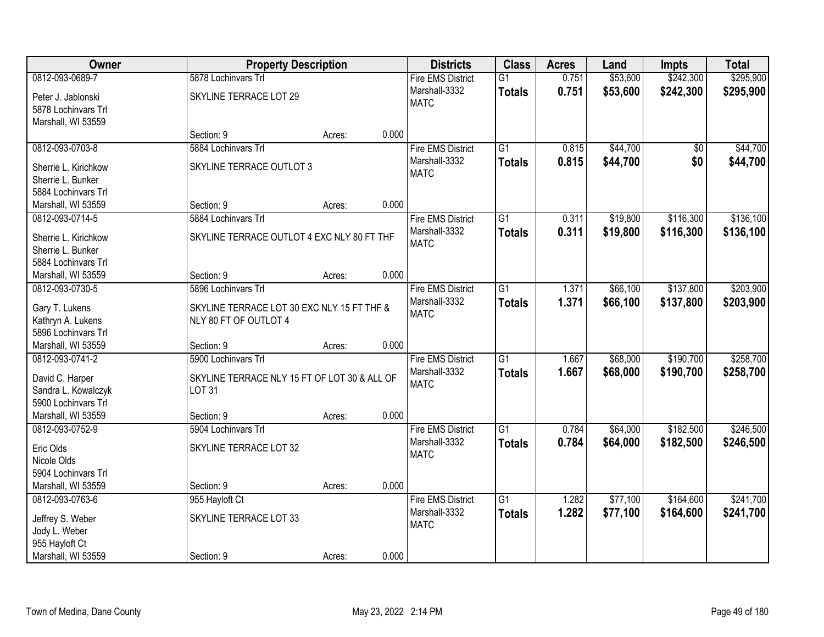| Owner                                    | <b>Property Description</b>                  |        |       | <b>Districts</b>         | <b>Class</b>    | <b>Acres</b> | Land     | <b>Impts</b>    | <b>Total</b> |
|------------------------------------------|----------------------------------------------|--------|-------|--------------------------|-----------------|--------------|----------|-----------------|--------------|
| 0812-093-0689-7                          | 5878 Lochinvars Trl                          |        |       | <b>Fire EMS District</b> | $\overline{G1}$ | 0.751        | \$53,600 | \$242,300       | \$295,900    |
| Peter J. Jablonski                       | SKYLINE TERRACE LOT 29                       |        |       | Marshall-3332            | <b>Totals</b>   | 0.751        | \$53,600 | \$242,300       | \$295,900    |
| 5878 Lochinvars Trl                      |                                              |        |       | <b>MATC</b>              |                 |              |          |                 |              |
| Marshall, WI 53559                       |                                              |        |       |                          |                 |              |          |                 |              |
|                                          | Section: 9                                   | Acres: | 0.000 |                          |                 |              |          |                 |              |
| 0812-093-0703-8                          | 5884 Lochinvars Trl                          |        |       | <b>Fire EMS District</b> | $\overline{G1}$ | 0.815        | \$44,700 | $\overline{50}$ | \$44,700     |
| Sherrie L. Kirichkow                     | SKYLINE TERRACE OUTLOT 3                     |        |       | Marshall-3332            | <b>Totals</b>   | 0.815        | \$44,700 | \$0             | \$44,700     |
| Sherrie L. Bunker                        |                                              |        |       | <b>MATC</b>              |                 |              |          |                 |              |
| 5884 Lochinvars Trl                      |                                              |        |       |                          |                 |              |          |                 |              |
| Marshall, WI 53559                       | Section: 9                                   | Acres: | 0.000 |                          |                 |              |          |                 |              |
| 0812-093-0714-5                          | 5884 Lochinvars Trl                          |        |       | <b>Fire EMS District</b> | $\overline{G1}$ | 0.311        | \$19,800 | \$116,300       | \$136,100    |
|                                          |                                              |        |       | Marshall-3332            | <b>Totals</b>   | 0.311        | \$19,800 | \$116,300       | \$136,100    |
| Sherrie L. Kirichkow                     | SKYLINE TERRACE OUTLOT 4 EXC NLY 80 FT THF   |        |       | <b>MATC</b>              |                 |              |          |                 |              |
| Sherrie L. Bunker<br>5884 Lochinvars Trl |                                              |        |       |                          |                 |              |          |                 |              |
| Marshall, WI 53559                       | Section: 9                                   | Acres: | 0.000 |                          |                 |              |          |                 |              |
| 0812-093-0730-5                          | 5896 Lochinvars Trl                          |        |       | <b>Fire EMS District</b> | $\overline{G1}$ | 1.371        | \$66,100 | \$137,800       | \$203,900    |
|                                          |                                              |        |       | Marshall-3332            | <b>Totals</b>   | 1.371        | \$66,100 | \$137,800       | \$203,900    |
| Gary T. Lukens                           | SKYLINE TERRACE LOT 30 EXC NLY 15 FT THF &   |        |       | <b>MATC</b>              |                 |              |          |                 |              |
| Kathryn A. Lukens                        | NLY 80 FT OF OUTLOT 4                        |        |       |                          |                 |              |          |                 |              |
| 5896 Lochinvars Trl                      |                                              |        |       |                          |                 |              |          |                 |              |
| Marshall, WI 53559                       | Section: 9                                   | Acres: | 0.000 |                          |                 |              |          |                 |              |
| 0812-093-0741-2                          | 5900 Lochinvars Trl                          |        |       | <b>Fire EMS District</b> | $\overline{G1}$ | 1.667        | \$68,000 | \$190,700       | \$258,700    |
| David C. Harper                          | SKYLINE TERRACE NLY 15 FT OF LOT 30 & ALL OF |        |       | Marshall-3332            | <b>Totals</b>   | 1.667        | \$68,000 | \$190,700       | \$258,700    |
| Sandra L. Kowalczyk                      | <b>LOT 31</b>                                |        |       | <b>MATC</b>              |                 |              |          |                 |              |
| 5900 Lochinvars Trl                      |                                              |        |       |                          |                 |              |          |                 |              |
| Marshall, WI 53559                       | Section: 9                                   | Acres: | 0.000 |                          |                 |              |          |                 |              |
| 0812-093-0752-9                          | 5904 Lochinvars Trl                          |        |       | <b>Fire EMS District</b> | $\overline{G1}$ | 0.784        | \$64,000 | \$182,500       | \$246,500    |
| Eric Olds                                | SKYLINE TERRACE LOT 32                       |        |       | Marshall-3332            | <b>Totals</b>   | 0.784        | \$64,000 | \$182,500       | \$246,500    |
| Nicole Olds                              |                                              |        |       | <b>MATC</b>              |                 |              |          |                 |              |
| 5904 Lochinvars Trl                      |                                              |        |       |                          |                 |              |          |                 |              |
| Marshall, WI 53559                       | Section: 9                                   | Acres: | 0.000 |                          |                 |              |          |                 |              |
| 0812-093-0763-6                          | 955 Hayloft Ct                               |        |       | <b>Fire EMS District</b> | $\overline{G1}$ | 1.282        | \$77,100 | \$164,600       | \$241,700    |
|                                          | SKYLINE TERRACE LOT 33                       |        |       | Marshall-3332            | <b>Totals</b>   | 1.282        | \$77,100 | \$164,600       | \$241,700    |
| Jeffrey S. Weber<br>Jody L. Weber        |                                              |        |       | <b>MATC</b>              |                 |              |          |                 |              |
| 955 Hayloft Ct                           |                                              |        |       |                          |                 |              |          |                 |              |
| Marshall, WI 53559                       | Section: 9                                   | Acres: | 0.000 |                          |                 |              |          |                 |              |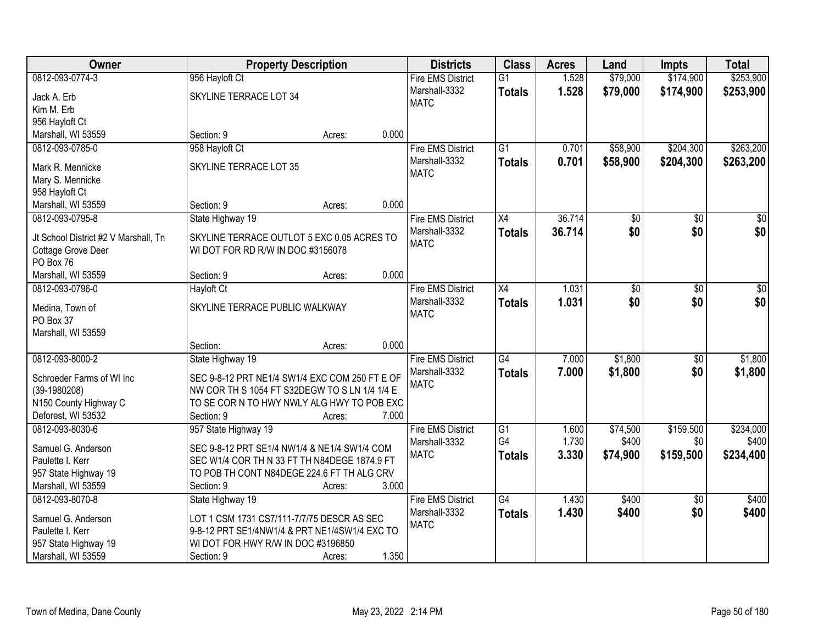| Owner                                 | <b>Property Description</b>                    |        | <b>Districts</b>                          | <b>Class</b>    | <b>Acres</b> | Land            | <b>Impts</b>    | <b>Total</b> |
|---------------------------------------|------------------------------------------------|--------|-------------------------------------------|-----------------|--------------|-----------------|-----------------|--------------|
| 0812-093-0774-3                       | 956 Hayloft Ct                                 |        | <b>Fire EMS District</b>                  | $\overline{G1}$ | 1.528        | \$79,000        | \$174,900       | \$253,900    |
| Jack A. Erb                           | SKYLINE TERRACE LOT 34                         |        | Marshall-3332                             | <b>Totals</b>   | 1.528        | \$79,000        | \$174,900       | \$253,900    |
| Kim M. Erb                            |                                                |        | <b>MATC</b>                               |                 |              |                 |                 |              |
| 956 Hayloft Ct                        |                                                |        |                                           |                 |              |                 |                 |              |
| Marshall, WI 53559                    | Section: 9                                     | Acres: | 0.000                                     |                 |              |                 |                 |              |
| 0812-093-0785-0                       | 958 Hayloft Ct                                 |        | <b>Fire EMS District</b>                  | $\overline{G1}$ | 0.701        | \$58,900        | \$204,300       | \$263,200    |
| Mark R. Mennicke                      | SKYLINE TERRACE LOT 35                         |        | Marshall-3332                             | <b>Totals</b>   | 0.701        | \$58,900        | \$204,300       | \$263,200    |
| Mary S. Mennicke                      |                                                |        | <b>MATC</b>                               |                 |              |                 |                 |              |
| 958 Hayloft Ct                        |                                                |        |                                           |                 |              |                 |                 |              |
| Marshall, WI 53559                    | Section: 9                                     | Acres: | 0.000                                     |                 |              |                 |                 |              |
| 0812-093-0795-8                       | State Highway 19                               |        | <b>Fire EMS District</b>                  | X4              | 36.714       | $\overline{50}$ | \$0             | $\sqrt{50}$  |
|                                       |                                                |        | Marshall-3332                             | <b>Totals</b>   | 36.714       | \$0             | \$0             | \$0          |
| Jt School District #2 V Marshall, Tn  | SKYLINE TERRACE OUTLOT 5 EXC 0.05 ACRES TO     |        | <b>MATC</b>                               |                 |              |                 |                 |              |
| Cottage Grove Deer                    | WI DOT FOR RD R/W IN DOC #3156078              |        |                                           |                 |              |                 |                 |              |
| PO Box 76                             |                                                |        | 0.000                                     |                 |              |                 |                 |              |
| Marshall, WI 53559<br>0812-093-0796-0 | Section: 9                                     | Acres: |                                           |                 |              |                 |                 |              |
|                                       | <b>Hayloft Ct</b>                              |        | <b>Fire EMS District</b><br>Marshall-3332 | X4              | 1.031        | \$0             | \$0             | $\sqrt{50}$  |
| Medina, Town of                       | SKYLINE TERRACE PUBLIC WALKWAY                 |        | <b>MATC</b>                               | <b>Totals</b>   | 1.031        | \$0             | \$0             | \$0          |
| PO Box 37                             |                                                |        |                                           |                 |              |                 |                 |              |
| Marshall, WI 53559                    |                                                |        |                                           |                 |              |                 |                 |              |
|                                       | Section:                                       | Acres: | 0.000                                     |                 |              |                 |                 |              |
| 0812-093-8000-2                       | State Highway 19                               |        | <b>Fire EMS District</b>                  | G4              | 7.000        | \$1,800         | $\overline{50}$ | \$1,800      |
| Schroeder Farms of WI Inc             | SEC 9-8-12 PRT NE1/4 SW1/4 EXC COM 250 FT E OF |        | Marshall-3332                             | Totals          | 7.000        | \$1,800         | \$0             | \$1,800      |
| $(39-1980208)$                        | NW COR TH S 1054 FT S32DEGW TO S LN 1/4 1/4 E  |        | <b>MATC</b>                               |                 |              |                 |                 |              |
| N150 County Highway C                 | TO SE COR N TO HWY NWLY ALG HWY TO POB EXC     |        |                                           |                 |              |                 |                 |              |
| Deforest, WI 53532                    | Section: 9                                     | Acres: | 7.000                                     |                 |              |                 |                 |              |
| 0812-093-8030-6                       | 957 State Highway 19                           |        | <b>Fire EMS District</b>                  | $\overline{G1}$ | 1.600        | \$74,500        | \$159,500       | \$234,000    |
| Samuel G. Anderson                    | SEC 9-8-12 PRT SE1/4 NW1/4 & NE1/4 SW1/4 COM   |        | Marshall-3332                             | G4              | 1.730        | \$400           | \$0             | \$400        |
| Paulette I. Kerr                      | SEC W1/4 COR TH N 33 FT TH N84DEGE 1874.9 FT   |        | <b>MATC</b>                               | <b>Totals</b>   | 3.330        | \$74,900        | \$159,500       | \$234,400    |
| 957 State Highway 19                  | TO POB TH CONT N84DEGE 224.6 FT TH ALG CRV     |        |                                           |                 |              |                 |                 |              |
| Marshall, WI 53559                    | Section: 9                                     | Acres: | 3.000                                     |                 |              |                 |                 |              |
| 0812-093-8070-8                       | State Highway 19                               |        | <b>Fire EMS District</b>                  | G4              | 1.430        | \$400           | $\overline{30}$ | \$400        |
|                                       |                                                |        | Marshall-3332                             | <b>Totals</b>   | 1.430        | \$400           | \$0             | \$400        |
| Samuel G. Anderson                    | LOT 1 CSM 1731 CS7/111-7/7/75 DESCR AS SEC     |        | <b>MATC</b>                               |                 |              |                 |                 |              |
| Paulette I. Kerr                      | 9-8-12 PRT SE1/4NW1/4 & PRT NE1/4SW1/4 EXC TO  |        |                                           |                 |              |                 |                 |              |
| 957 State Highway 19                  | WI DOT FOR HWY R/W IN DOC #3196850             |        | 1.350                                     |                 |              |                 |                 |              |
| Marshall, WI 53559                    | Section: 9                                     | Acres: |                                           |                 |              |                 |                 |              |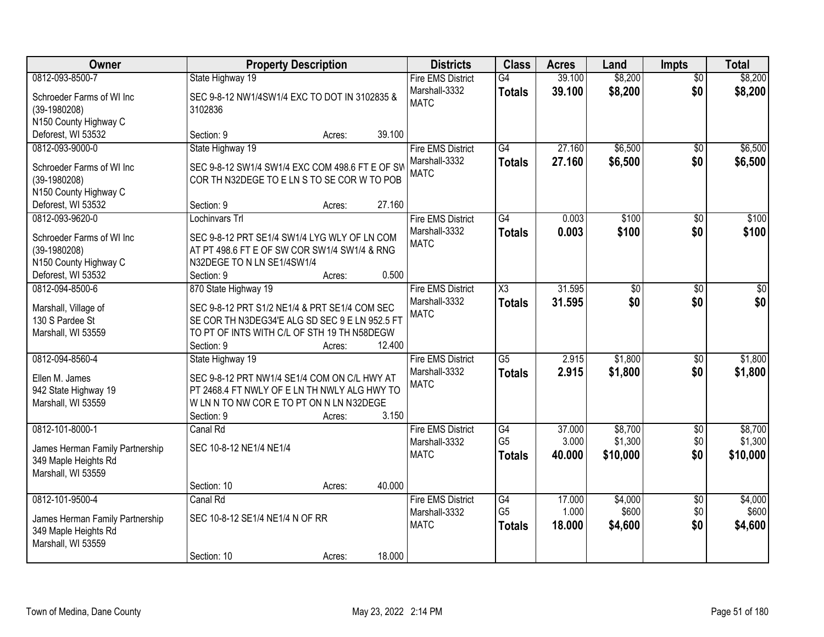| Owner                                                                                                         | <b>Property Description</b>                                                                                                                                                          |                  | <b>Districts</b>                                         | <b>Class</b>                          | <b>Acres</b>              | Land                           | <b>Impts</b>                  | <b>Total</b>                   |
|---------------------------------------------------------------------------------------------------------------|--------------------------------------------------------------------------------------------------------------------------------------------------------------------------------------|------------------|----------------------------------------------------------|---------------------------------------|---------------------------|--------------------------------|-------------------------------|--------------------------------|
| 0812-093-8500-7                                                                                               | State Highway 19                                                                                                                                                                     |                  | <b>Fire EMS District</b>                                 | G4                                    | 39.100                    | \$8,200                        | $\overline{50}$               | \$8,200                        |
| Schroeder Farms of WI Inc<br>$(39-1980208)$<br>N150 County Highway C                                          | SEC 9-8-12 NW1/4SW1/4 EXC TO DOT IN 3102835 &<br>3102836                                                                                                                             |                  | Marshall-3332<br><b>MATC</b>                             | <b>Totals</b>                         | 39.100                    | \$8,200                        | \$0                           | \$8,200                        |
| Deforest, WI 53532                                                                                            | Section: 9                                                                                                                                                                           | 39.100<br>Acres: |                                                          |                                       |                           |                                |                               |                                |
| 0812-093-9000-0<br>Schroeder Farms of WI Inc<br>$(39-1980208)$<br>N150 County Highway C                       | State Highway 19<br>SEC 9-8-12 SW1/4 SW1/4 EXC COM 498.6 FT E OF SW<br>COR TH N32DEGE TO E LN S TO SE COR W TO POB                                                                   |                  | <b>Fire EMS District</b><br>Marshall-3332<br><b>MATC</b> | G4<br><b>Totals</b>                   | 27.160<br>27.160          | \$6,500<br>\$6,500             | $\overline{50}$<br>\$0        | \$6,500<br>\$6,500             |
| Deforest, WI 53532                                                                                            | Section: 9                                                                                                                                                                           | 27.160<br>Acres: |                                                          |                                       |                           |                                |                               |                                |
| 0812-093-9620-0<br>Schroeder Farms of WI Inc<br>$(39-1980208)$<br>N150 County Highway C<br>Deforest, WI 53532 | Lochinvars Trl<br>SEC 9-8-12 PRT SE1/4 SW1/4 LYG WLY OF LN COM<br>AT PT 498.6 FT E OF SW COR SW1/4 SW1/4 & RNG<br>N32DEGE TO N LN SE1/4SW1/4<br>Section: 9                           | 0.500<br>Acres:  | <b>Fire EMS District</b><br>Marshall-3332<br><b>MATC</b> | G4<br><b>Totals</b>                   | 0.003<br>0.003            | \$100<br>\$100                 | \$0<br>\$0                    | \$100<br>\$100                 |
| 0812-094-8500-6<br>Marshall, Village of<br>130 S Pardee St<br>Marshall, WI 53559                              | 870 State Highway 19<br>SEC 9-8-12 PRT S1/2 NE1/4 & PRT SE1/4 COM SEC<br>SE COR TH N3DEG34'E ALG SD SEC 9 E LN 952.5 FT<br>TO PT OF INTS WITH C/L OF STH 19 TH N58DEGW<br>Section: 9 | 12.400<br>Acres: | <b>Fire EMS District</b><br>Marshall-3332<br><b>MATC</b> | X3<br><b>Totals</b>                   | 31.595<br>31.595          | \$0<br>\$0                     | $\sqrt{6}$<br>\$0             | $\sqrt{50}$<br>\$0             |
| 0812-094-8560-4<br>Ellen M. James<br>942 State Highway 19<br>Marshall, WI 53559                               | State Highway 19<br>SEC 9-8-12 PRT NW1/4 SE1/4 COM ON C/L HWY AT<br>PT 2468.4 FT NWLY OF E LN TH NWLY ALG HWY TO<br>W LN N TO NW CORE TO PT ON N LN N32DEGE<br>Section: 9            | 3.150<br>Acres:  | <b>Fire EMS District</b><br>Marshall-3332<br><b>MATC</b> | $\overline{G5}$<br><b>Totals</b>      | 2.915<br>2.915            | \$1,800<br>\$1,800             | $\overline{50}$<br>\$0        | \$1,800<br>\$1,800             |
| 0812-101-8000-1<br>James Herman Family Partnership<br>349 Maple Heights Rd<br>Marshall, WI 53559              | Canal Rd<br>SEC 10-8-12 NE1/4 NE1/4<br>Section: 10                                                                                                                                   | 40.000<br>Acres: | <b>Fire EMS District</b><br>Marshall-3332<br><b>MATC</b> | G4<br>G <sub>5</sub><br><b>Totals</b> | 37.000<br>3.000<br>40,000 | \$8,700<br>\$1,300<br>\$10,000 | $\overline{50}$<br>\$0<br>\$0 | \$8,700<br>\$1,300<br>\$10,000 |
| 0812-101-9500-4<br>James Herman Family Partnership<br>349 Maple Heights Rd<br>Marshall, WI 53559              | Canal Rd<br>SEC 10-8-12 SE1/4 NE1/4 N OF RR<br>Section: 10                                                                                                                           | 18.000<br>Acres: | <b>Fire EMS District</b><br>Marshall-3332<br><b>MATC</b> | G4<br>G <sub>5</sub><br><b>Totals</b> | 17.000<br>1.000<br>18.000 | \$4,000<br>\$600<br>\$4,600    | $\overline{50}$<br>\$0<br>\$0 | \$4,000<br>\$600<br>\$4,600    |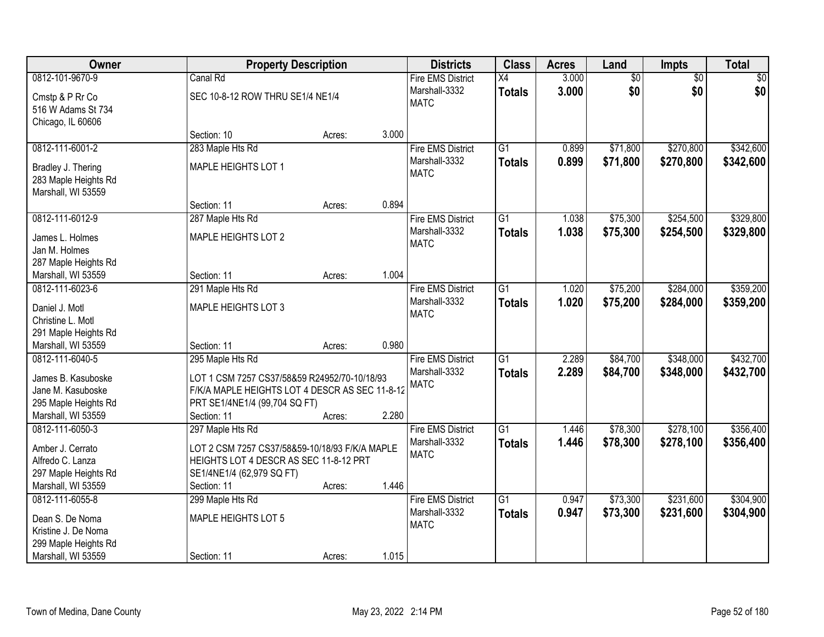| <b>Owner</b>                               | <b>Property Description</b>                    |        |       | <b>Districts</b>         | <b>Class</b>    | <b>Acres</b> | Land            | Impts           | <b>Total</b> |
|--------------------------------------------|------------------------------------------------|--------|-------|--------------------------|-----------------|--------------|-----------------|-----------------|--------------|
| 0812-101-9670-9                            | Canal Rd                                       |        |       | <b>Fire EMS District</b> | X4              | 3.000        | $\overline{60}$ | $\overline{50}$ | \$0          |
| Cmstp & P Rr Co                            | SEC 10-8-12 ROW THRU SE1/4 NE1/4               |        |       | Marshall-3332            | <b>Totals</b>   | 3.000        | \$0             | \$0             | \$0          |
| 516 W Adams St 734                         |                                                |        |       | <b>MATC</b>              |                 |              |                 |                 |              |
| Chicago, IL 60606                          |                                                |        |       |                          |                 |              |                 |                 |              |
|                                            | Section: 10                                    | Acres: | 3.000 |                          |                 |              |                 |                 |              |
| 0812-111-6001-2                            | 283 Maple Hts Rd                               |        |       | <b>Fire EMS District</b> | $\overline{G1}$ | 0.899        | \$71,800        | \$270,800       | \$342,600    |
| Bradley J. Thering                         | MAPLE HEIGHTS LOT 1                            |        |       | Marshall-3332            | <b>Totals</b>   | 0.899        | \$71,800        | \$270,800       | \$342,600    |
| 283 Maple Heights Rd                       |                                                |        |       | <b>MATC</b>              |                 |              |                 |                 |              |
| Marshall, WI 53559                         |                                                |        |       |                          |                 |              |                 |                 |              |
|                                            | Section: 11                                    | Acres: | 0.894 |                          |                 |              |                 |                 |              |
| 0812-111-6012-9                            | 287 Maple Hts Rd                               |        |       | <b>Fire EMS District</b> | G1              | 1.038        | \$75,300        | \$254,500       | \$329,800    |
| James L. Holmes                            | MAPLE HEIGHTS LOT 2                            |        |       | Marshall-3332            | <b>Totals</b>   | 1.038        | \$75,300        | \$254,500       | \$329,800    |
| Jan M. Holmes                              |                                                |        |       | <b>MATC</b>              |                 |              |                 |                 |              |
| 287 Maple Heights Rd                       |                                                |        |       |                          |                 |              |                 |                 |              |
| Marshall, WI 53559                         | Section: 11                                    | Acres: | 1.004 |                          |                 |              |                 |                 |              |
| 0812-111-6023-6                            | 291 Maple Hts Rd                               |        |       | <b>Fire EMS District</b> | $\overline{G1}$ | 1.020        | \$75,200        | \$284,000       | \$359,200    |
|                                            |                                                |        |       | Marshall-3332            | <b>Totals</b>   | 1.020        | \$75,200        | \$284,000       | \$359,200    |
| Daniel J. Motl<br>Christine L. Motl        | MAPLE HEIGHTS LOT 3                            |        |       | <b>MATC</b>              |                 |              |                 |                 |              |
| 291 Maple Heights Rd                       |                                                |        |       |                          |                 |              |                 |                 |              |
| Marshall, WI 53559                         | Section: 11                                    | Acres: | 0.980 |                          |                 |              |                 |                 |              |
| 0812-111-6040-5                            | 295 Maple Hts Rd                               |        |       | <b>Fire EMS District</b> | $\overline{G1}$ | 2.289        | \$84,700        | \$348,000       | \$432,700    |
|                                            |                                                |        |       | Marshall-3332            | <b>Totals</b>   | 2.289        | \$84,700        | \$348,000       | \$432,700    |
| James B. Kasuboske                         | LOT 1 CSM 7257 CS37/58&59 R24952/70-10/18/93   |        |       | <b>MATC</b>              |                 |              |                 |                 |              |
| Jane M. Kasuboske                          | F/K/A MAPLE HEIGHTS LOT 4 DESCR AS SEC 11-8-12 |        |       |                          |                 |              |                 |                 |              |
| 295 Maple Heights Rd<br>Marshall, WI 53559 | PRT SE1/4NE1/4 (99,704 SQ FT)<br>Section: 11   |        | 2.280 |                          |                 |              |                 |                 |              |
| 0812-111-6050-3                            | 297 Maple Hts Rd                               | Acres: |       | <b>Fire EMS District</b> | $\overline{G1}$ | 1.446        | \$78,300        | \$278,100       | \$356,400    |
|                                            |                                                |        |       | Marshall-3332            | <b>Totals</b>   | 1.446        | \$78,300        | \$278,100       | \$356,400    |
| Amber J. Cerrato                           | LOT 2 CSM 7257 CS37/58&59-10/18/93 F/K/A MAPLE |        |       | <b>MATC</b>              |                 |              |                 |                 |              |
| Alfredo C. Lanza                           | HEIGHTS LOT 4 DESCR AS SEC 11-8-12 PRT         |        |       |                          |                 |              |                 |                 |              |
| 297 Maple Heights Rd                       | SE1/4NE1/4 (62,979 SQ FT)                      |        |       |                          |                 |              |                 |                 |              |
| Marshall, WI 53559                         | Section: 11                                    | Acres: | 1.446 |                          |                 |              |                 |                 |              |
| 0812-111-6055-8                            | 299 Maple Hts Rd                               |        |       | <b>Fire EMS District</b> | $\overline{G1}$ | 0.947        | \$73,300        | \$231,600       | \$304,900    |
| Dean S. De Noma                            | MAPLE HEIGHTS LOT 5                            |        |       | Marshall-3332            | <b>Totals</b>   | 0.947        | \$73,300        | \$231,600       | \$304,900    |
| Kristine J. De Noma                        |                                                |        |       | <b>MATC</b>              |                 |              |                 |                 |              |
| 299 Maple Heights Rd                       |                                                |        |       |                          |                 |              |                 |                 |              |
| Marshall, WI 53559                         | Section: 11                                    | Acres: | 1.015 |                          |                 |              |                 |                 |              |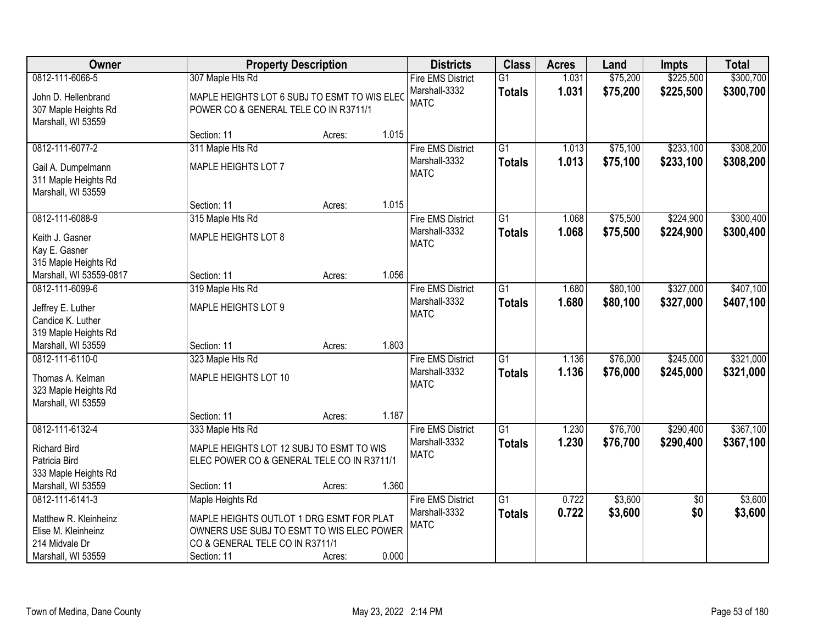| <b>Owner</b>            |                                              | <b>Property Description</b> |       | <b>Districts</b>         | <b>Class</b>    | <b>Acres</b> | Land     | <b>Impts</b>    | <b>Total</b> |
|-------------------------|----------------------------------------------|-----------------------------|-------|--------------------------|-----------------|--------------|----------|-----------------|--------------|
| 0812-111-6066-5         | 307 Maple Hts Rd                             |                             |       | <b>Fire EMS District</b> | $\overline{G1}$ | 1.031        | \$75,200 | \$225,500       | \$300,700    |
| John D. Hellenbrand     | MAPLE HEIGHTS LOT 6 SUBJ TO ESMT TO WIS ELEC |                             |       | Marshall-3332            | <b>Totals</b>   | 1.031        | \$75,200 | \$225,500       | \$300,700    |
| 307 Maple Heights Rd    | POWER CO & GENERAL TELE CO IN R3711/1        |                             |       | <b>MATC</b>              |                 |              |          |                 |              |
| Marshall, WI 53559      |                                              |                             |       |                          |                 |              |          |                 |              |
|                         | Section: 11                                  | Acres:                      | 1.015 |                          |                 |              |          |                 |              |
| 0812-111-6077-2         | 311 Maple Hts Rd                             |                             |       | <b>Fire EMS District</b> | $\overline{G1}$ | 1.013        | \$75,100 | \$233,100       | \$308,200    |
| Gail A. Dumpelmann      | MAPLE HEIGHTS LOT 7                          |                             |       | Marshall-3332            | <b>Totals</b>   | 1.013        | \$75,100 | \$233,100       | \$308,200    |
| 311 Maple Heights Rd    |                                              |                             |       | <b>MATC</b>              |                 |              |          |                 |              |
| Marshall, WI 53559      |                                              |                             |       |                          |                 |              |          |                 |              |
|                         | Section: 11                                  | Acres:                      | 1.015 |                          |                 |              |          |                 |              |
| 0812-111-6088-9         | 315 Maple Hts Rd                             |                             |       | <b>Fire EMS District</b> | G1              | 1.068        | \$75,500 | \$224,900       | \$300,400    |
| Keith J. Gasner         | MAPLE HEIGHTS LOT 8                          |                             |       | Marshall-3332            | <b>Totals</b>   | 1.068        | \$75,500 | \$224,900       | \$300,400    |
| Kay E. Gasner           |                                              |                             |       | <b>MATC</b>              |                 |              |          |                 |              |
| 315 Maple Heights Rd    |                                              |                             |       |                          |                 |              |          |                 |              |
| Marshall, WI 53559-0817 | Section: 11                                  | Acres:                      | 1.056 |                          |                 |              |          |                 |              |
| 0812-111-6099-6         | 319 Maple Hts Rd                             |                             |       | <b>Fire EMS District</b> | $\overline{G1}$ | 1.680        | \$80,100 | \$327,000       | \$407,100    |
| Jeffrey E. Luther       | MAPLE HEIGHTS LOT 9                          |                             |       | Marshall-3332            | <b>Totals</b>   | 1.680        | \$80,100 | \$327,000       | \$407,100    |
| Candice K. Luther       |                                              |                             |       | <b>MATC</b>              |                 |              |          |                 |              |
| 319 Maple Heights Rd    |                                              |                             |       |                          |                 |              |          |                 |              |
| Marshall, WI 53559      | Section: 11                                  | Acres:                      | 1.803 |                          |                 |              |          |                 |              |
| 0812-111-6110-0         | 323 Maple Hts Rd                             |                             |       | <b>Fire EMS District</b> | $\overline{G1}$ | 1.136        | \$76,000 | \$245,000       | \$321,000    |
| Thomas A. Kelman        | MAPLE HEIGHTS LOT 10                         |                             |       | Marshall-3332            | <b>Totals</b>   | 1.136        | \$76,000 | \$245,000       | \$321,000    |
| 323 Maple Heights Rd    |                                              |                             |       | <b>MATC</b>              |                 |              |          |                 |              |
| Marshall, WI 53559      |                                              |                             |       |                          |                 |              |          |                 |              |
|                         | Section: 11                                  | Acres:                      | 1.187 |                          |                 |              |          |                 |              |
| 0812-111-6132-4         | 333 Maple Hts Rd                             |                             |       | <b>Fire EMS District</b> | $\overline{G1}$ | 1.230        | \$76,700 | \$290,400       | \$367,100    |
| <b>Richard Bird</b>     | MAPLE HEIGHTS LOT 12 SUBJ TO ESMT TO WIS     |                             |       | Marshall-3332            | <b>Totals</b>   | 1.230        | \$76,700 | \$290,400       | \$367,100    |
| Patricia Bird           | ELEC POWER CO & GENERAL TELE CO IN R3711/1   |                             |       | <b>MATC</b>              |                 |              |          |                 |              |
| 333 Maple Heights Rd    |                                              |                             |       |                          |                 |              |          |                 |              |
| Marshall, WI 53559      | Section: 11                                  | Acres:                      | 1.360 |                          |                 |              |          |                 |              |
| 0812-111-6141-3         | Maple Heights Rd                             |                             |       | <b>Fire EMS District</b> | $\overline{G1}$ | 0.722        | \$3,600  | $\overline{30}$ | \$3,600      |
| Matthew R. Kleinheinz   | MAPLE HEIGHTS OUTLOT 1 DRG ESMT FOR PLAT     |                             |       | Marshall-3332            | <b>Totals</b>   | 0.722        | \$3,600  | \$0             | \$3,600      |
| Elise M. Kleinheinz     | OWNERS USE SUBJ TO ESMT TO WIS ELEC POWER    |                             |       | <b>MATC</b>              |                 |              |          |                 |              |
| 214 Midvale Dr          | CO & GENERAL TELE CO IN R3711/1              |                             |       |                          |                 |              |          |                 |              |
| Marshall, WI 53559      | Section: 11                                  | Acres:                      | 0.000 |                          |                 |              |          |                 |              |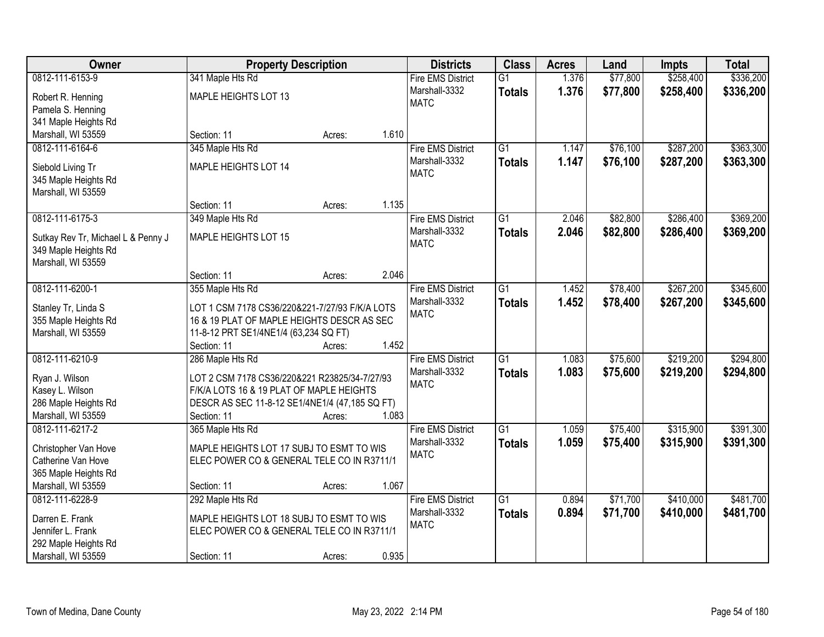| Owner                                      |                                                | <b>Property Description</b> |       | <b>Districts</b>             | <b>Class</b>    | <b>Acres</b> | Land     | <b>Impts</b> | <b>Total</b> |
|--------------------------------------------|------------------------------------------------|-----------------------------|-------|------------------------------|-----------------|--------------|----------|--------------|--------------|
| 0812-111-6153-9                            | 341 Maple Hts Rd                               |                             |       | <b>Fire EMS District</b>     | $\overline{G1}$ | 1.376        | \$77,800 | \$258,400    | \$336,200    |
| Robert R. Henning                          | MAPLE HEIGHTS LOT 13                           |                             |       | Marshall-3332                | <b>Totals</b>   | 1.376        | \$77,800 | \$258,400    | \$336,200    |
| Pamela S. Henning                          |                                                |                             |       | <b>MATC</b>                  |                 |              |          |              |              |
| 341 Maple Heights Rd                       |                                                |                             |       |                              |                 |              |          |              |              |
| Marshall, WI 53559                         | Section: 11                                    | Acres:                      | 1.610 |                              |                 |              |          |              |              |
| 0812-111-6164-6                            | 345 Maple Hts Rd                               |                             |       | <b>Fire EMS District</b>     | $\overline{G1}$ | 1.147        | \$76,100 | \$287,200    | \$363,300    |
|                                            |                                                |                             |       | Marshall-3332                | <b>Totals</b>   | 1.147        | \$76,100 | \$287,200    | \$363,300    |
| Siebold Living Tr                          | MAPLE HEIGHTS LOT 14                           |                             |       | <b>MATC</b>                  |                 |              |          |              |              |
| 345 Maple Heights Rd                       |                                                |                             |       |                              |                 |              |          |              |              |
| Marshall, WI 53559                         |                                                |                             |       |                              |                 |              |          |              |              |
|                                            | Section: 11                                    | Acres:                      | 1.135 |                              |                 |              |          |              |              |
| 0812-111-6175-3                            | 349 Maple Hts Rd                               |                             |       | <b>Fire EMS District</b>     | $\overline{G1}$ | 2.046        | \$82,800 | \$286,400    | \$369,200    |
| Sutkay Rev Tr, Michael L & Penny J         | MAPLE HEIGHTS LOT 15                           |                             |       | Marshall-3332<br><b>MATC</b> | <b>Totals</b>   | 2.046        | \$82,800 | \$286,400    | \$369,200    |
| 349 Maple Heights Rd                       |                                                |                             |       |                              |                 |              |          |              |              |
| Marshall, WI 53559                         |                                                |                             |       |                              |                 |              |          |              |              |
|                                            | Section: 11                                    | Acres:                      | 2.046 |                              |                 |              |          |              |              |
| 0812-111-6200-1                            | 355 Maple Hts Rd                               |                             |       | <b>Fire EMS District</b>     | $\overline{G1}$ | 1.452        | \$78,400 | \$267,200    | \$345,600    |
| Stanley Tr, Linda S                        | LOT 1 CSM 7178 CS36/220&221-7/27/93 F/K/A LOTS |                             |       | Marshall-3332                | <b>Totals</b>   | 1.452        | \$78,400 | \$267,200    | \$345,600    |
| 355 Maple Heights Rd                       | 16 & 19 PLAT OF MAPLE HEIGHTS DESCR AS SEC     |                             |       | <b>MATC</b>                  |                 |              |          |              |              |
| Marshall, WI 53559                         | 11-8-12 PRT SE1/4NE1/4 (63,234 SQ FT)          |                             |       |                              |                 |              |          |              |              |
|                                            | Section: 11                                    | Acres:                      | 1.452 |                              |                 |              |          |              |              |
| 0812-111-6210-9                            | 286 Maple Hts Rd                               |                             |       | <b>Fire EMS District</b>     | $\overline{G1}$ | 1.083        | \$75,600 | \$219,200    | \$294,800    |
|                                            |                                                |                             |       | Marshall-3332                | <b>Totals</b>   | 1.083        | \$75,600 | \$219,200    | \$294,800    |
| Ryan J. Wilson                             | LOT 2 CSM 7178 CS36/220&221 R23825/34-7/27/93  |                             |       | <b>MATC</b>                  |                 |              |          |              |              |
| Kasey L. Wilson                            | F/K/A LOTS 16 & 19 PLAT OF MAPLE HEIGHTS       |                             |       |                              |                 |              |          |              |              |
| 286 Maple Heights Rd                       | DESCR AS SEC 11-8-12 SE1/4NE1/4 (47,185 SQ FT) |                             |       |                              |                 |              |          |              |              |
| Marshall, WI 53559                         | Section: 11                                    | Acres:                      | 1.083 |                              |                 |              |          |              |              |
| 0812-111-6217-2                            | 365 Maple Hts Rd                               |                             |       | <b>Fire EMS District</b>     | $\overline{G1}$ | 1.059        | \$75,400 | \$315,900    | \$391,300    |
| Christopher Van Hove                       | MAPLE HEIGHTS LOT 17 SUBJ TO ESMT TO WIS       |                             |       | Marshall-3332                | <b>Totals</b>   | 1.059        | \$75,400 | \$315,900    | \$391,300    |
| Catherine Van Hove                         | ELEC POWER CO & GENERAL TELE CO IN R3711/1     |                             |       | <b>MATC</b>                  |                 |              |          |              |              |
| 365 Maple Heights Rd                       |                                                |                             |       |                              |                 |              |          |              |              |
| Marshall, WI 53559                         | Section: 11                                    | Acres:                      | 1.067 |                              |                 |              |          |              |              |
| 0812-111-6228-9                            | 292 Maple Hts Rd                               |                             |       | <b>Fire EMS District</b>     | $\overline{G1}$ | 0.894        | \$71,700 | \$410,000    | \$481,700    |
|                                            |                                                |                             |       | Marshall-3332                | <b>Totals</b>   | 0.894        | \$71,700 | \$410,000    | \$481,700    |
| Darren E. Frank                            | MAPLE HEIGHTS LOT 18 SUBJ TO ESMT TO WIS       |                             |       | <b>MATC</b>                  |                 |              |          |              |              |
| Jennifer L. Frank                          | ELEC POWER CO & GENERAL TELE CO IN R3711/1     |                             |       |                              |                 |              |          |              |              |
| 292 Maple Heights Rd<br>Marshall, WI 53559 | Section: 11                                    |                             | 0.935 |                              |                 |              |          |              |              |
|                                            |                                                | Acres:                      |       |                              |                 |              |          |              |              |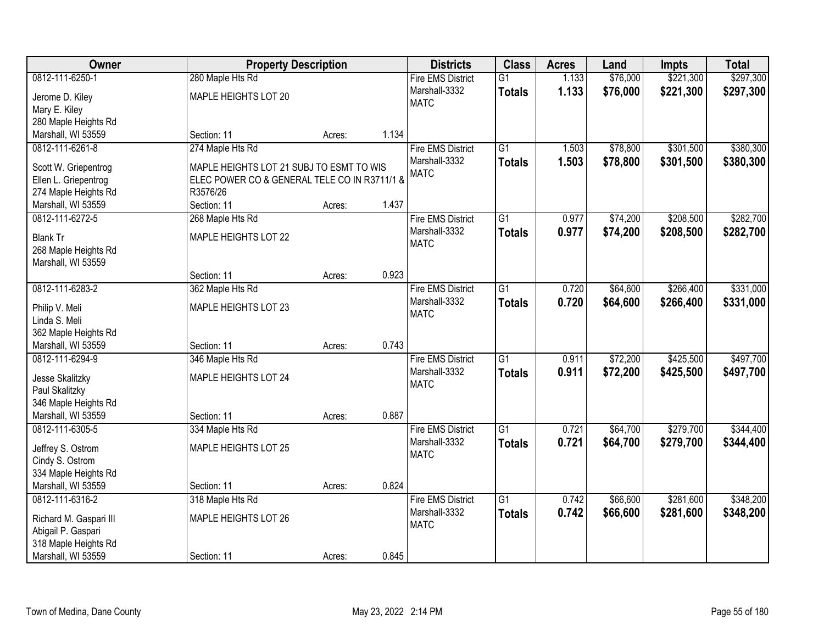| <b>Owner</b>                               | <b>Property Description</b>                  |        |       | <b>Districts</b>             | <b>Class</b>    | <b>Acres</b> | Land     | <b>Impts</b> | <b>Total</b> |
|--------------------------------------------|----------------------------------------------|--------|-------|------------------------------|-----------------|--------------|----------|--------------|--------------|
| 0812-111-6250-1                            | 280 Maple Hts Rd                             |        |       | <b>Fire EMS District</b>     | $\overline{G1}$ | 1.133        | \$76,000 | \$221,300    | \$297,300    |
| Jerome D. Kiley                            | MAPLE HEIGHTS LOT 20                         |        |       | Marshall-3332                | <b>Totals</b>   | 1.133        | \$76,000 | \$221,300    | \$297,300    |
| Mary E. Kiley                              |                                              |        |       | <b>MATC</b>                  |                 |              |          |              |              |
| 280 Maple Heights Rd                       |                                              |        |       |                              |                 |              |          |              |              |
| Marshall, WI 53559                         | Section: 11                                  | Acres: | 1.134 |                              |                 |              |          |              |              |
| 0812-111-6261-8                            | 274 Maple Hts Rd                             |        |       | <b>Fire EMS District</b>     | $\overline{G1}$ | 1.503        | \$78,800 | \$301,500    | \$380,300    |
|                                            |                                              |        |       | Marshall-3332                | <b>Totals</b>   | 1.503        | \$78,800 | \$301,500    | \$380,300    |
| Scott W. Griepentrog                       | MAPLE HEIGHTS LOT 21 SUBJ TO ESMT TO WIS     |        |       | <b>MATC</b>                  |                 |              |          |              |              |
| Ellen L. Griepentrog                       | ELEC POWER CO & GENERAL TELE CO IN R3711/1 & |        |       |                              |                 |              |          |              |              |
| 274 Maple Heights Rd                       | R3576/26                                     |        |       |                              |                 |              |          |              |              |
| Marshall, WI 53559                         | Section: 11                                  | Acres: | 1.437 |                              |                 |              |          |              |              |
| 0812-111-6272-5                            | 268 Maple Hts Rd                             |        |       | <b>Fire EMS District</b>     | G1              | 0.977        | \$74,200 | \$208,500    | \$282,700    |
| <b>Blank Tr</b>                            | <b>MAPLE HEIGHTS LOT 22</b>                  |        |       | Marshall-3332                | <b>Totals</b>   | 0.977        | \$74,200 | \$208,500    | \$282,700    |
| 268 Maple Heights Rd                       |                                              |        |       | <b>MATC</b>                  |                 |              |          |              |              |
| Marshall, WI 53559                         |                                              |        |       |                              |                 |              |          |              |              |
|                                            | Section: 11                                  | Acres: | 0.923 |                              |                 |              |          |              |              |
| 0812-111-6283-2                            | 362 Maple Hts Rd                             |        |       | <b>Fire EMS District</b>     | $\overline{G1}$ | 0.720        | \$64,600 | \$266,400    | \$331,000    |
|                                            |                                              |        |       | Marshall-3332                | <b>Totals</b>   | 0.720        | \$64,600 | \$266,400    | \$331,000    |
| Philip V. Meli<br>Linda S. Meli            | MAPLE HEIGHTS LOT 23                         |        |       | <b>MATC</b>                  |                 |              |          |              |              |
|                                            |                                              |        |       |                              |                 |              |          |              |              |
| 362 Maple Heights Rd<br>Marshall, WI 53559 | Section: 11                                  |        | 0.743 |                              |                 |              |          |              |              |
| 0812-111-6294-9                            |                                              | Acres: |       |                              | $\overline{G1}$ | 0.911        |          | \$425,500    | \$497,700    |
|                                            | 346 Maple Hts Rd                             |        |       | <b>Fire EMS District</b>     |                 |              | \$72,200 |              |              |
| Jesse Skalitzky                            | MAPLE HEIGHTS LOT 24                         |        |       | Marshall-3332<br><b>MATC</b> | <b>Totals</b>   | 0.911        | \$72,200 | \$425,500    | \$497,700    |
| Paul Skalitzky                             |                                              |        |       |                              |                 |              |          |              |              |
| 346 Maple Heights Rd                       |                                              |        |       |                              |                 |              |          |              |              |
| Marshall, WI 53559                         | Section: 11                                  | Acres: | 0.887 |                              |                 |              |          |              |              |
| 0812-111-6305-5                            | 334 Maple Hts Rd                             |        |       | <b>Fire EMS District</b>     | $\overline{G1}$ | 0.721        | \$64,700 | \$279,700    | \$344,400    |
| Jeffrey S. Ostrom                          | MAPLE HEIGHTS LOT 25                         |        |       | Marshall-3332                | <b>Totals</b>   | 0.721        | \$64,700 | \$279,700    | \$344,400    |
| Cindy S. Ostrom                            |                                              |        |       | <b>MATC</b>                  |                 |              |          |              |              |
| 334 Maple Heights Rd                       |                                              |        |       |                              |                 |              |          |              |              |
| Marshall, WI 53559                         | Section: 11                                  | Acres: | 0.824 |                              |                 |              |          |              |              |
| 0812-111-6316-2                            | 318 Maple Hts Rd                             |        |       | <b>Fire EMS District</b>     | $\overline{G1}$ | 0.742        | \$66,600 | \$281,600    | \$348,200    |
|                                            |                                              |        |       | Marshall-3332                | <b>Totals</b>   | 0.742        | \$66,600 | \$281,600    | \$348,200    |
| Richard M. Gaspari III                     | <b>MAPLE HEIGHTS LOT 26</b>                  |        |       | <b>MATC</b>                  |                 |              |          |              |              |
| Abigail P. Gaspari                         |                                              |        |       |                              |                 |              |          |              |              |
| 318 Maple Heights Rd                       |                                              |        |       |                              |                 |              |          |              |              |
| Marshall, WI 53559                         | Section: 11                                  | Acres: | 0.845 |                              |                 |              |          |              |              |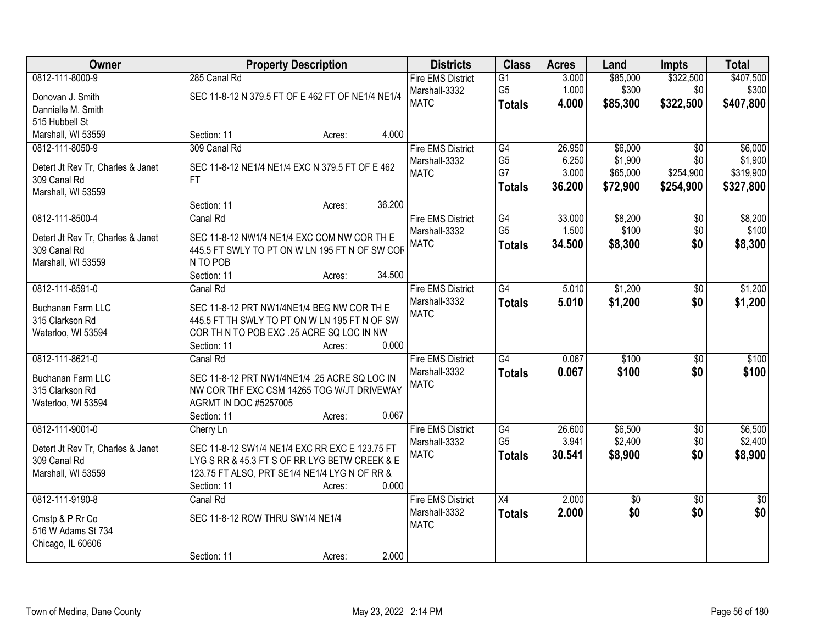| 0812-111-8000-9<br>285 Canal Rd<br><b>Fire EMS District</b><br>G1<br>3.000<br>\$85,000<br>1.000<br>G <sub>5</sub><br>\$300<br>\$300<br>Marshall-3332<br>\$0<br>SEC 11-8-12 N 379.5 FT OF E 462 FT OF NE1/4 NE1/4<br>Donovan J. Smith<br>\$322,500<br><b>MATC</b><br>4.000<br>\$85,300<br>\$407,800<br><b>Totals</b><br>Dannielle M. Smith<br>515 Hubbell St<br>Marshall, WI 53559<br>Section: 11<br>4.000<br>Acres:<br>309 Canal Rd<br>\$6,000<br>0812-111-8050-9<br><b>Fire EMS District</b><br>G4<br>26.950<br>$\overline{50}$<br>G <sub>5</sub><br>6.250<br>\$1,900<br>\$0<br>Marshall-3332<br>Detert Jt Rev Tr, Charles & Janet<br>SEC 11-8-12 NE1/4 NE1/4 EXC N 379.5 FT OF E 462<br>G7<br>3.000<br>\$65,000<br>\$254,900<br>\$319,900<br><b>MATC</b><br>309 Canal Rd<br>FT.<br>36.200<br>\$72,900<br>\$254,900<br><b>Totals</b><br>Marshall, WI 53559<br>36.200<br>Section: 11<br>Acres:<br>\$8,200<br>0812-111-8500-4<br>33.000<br>$\overline{50}$<br>Canal Rd<br><b>Fire EMS District</b><br>G4<br>G <sub>5</sub><br>\$100<br>\$0<br>1.500<br>Marshall-3332<br>Detert Jt Rev Tr, Charles & Janet<br>SEC 11-8-12 NW1/4 NE1/4 EXC COM NW COR TH E<br><b>MATC</b><br>34.500<br>\$8,300<br>\$0<br><b>Totals</b><br>445.5 FT SWLY TO PT ON W LN 195 FT N OF SW COR<br>309 Canal Rd<br>N TO POB<br>Marshall, WI 53559 | <b>Owner</b> | <b>Property Description</b> |        | <b>Districts</b> | <b>Class</b> | <b>Acres</b> | Land | <b>Impts</b> | <b>Total</b>    |
|-------------------------------------------------------------------------------------------------------------------------------------------------------------------------------------------------------------------------------------------------------------------------------------------------------------------------------------------------------------------------------------------------------------------------------------------------------------------------------------------------------------------------------------------------------------------------------------------------------------------------------------------------------------------------------------------------------------------------------------------------------------------------------------------------------------------------------------------------------------------------------------------------------------------------------------------------------------------------------------------------------------------------------------------------------------------------------------------------------------------------------------------------------------------------------------------------------------------------------------------------------------------------------------------------------------------------|--------------|-----------------------------|--------|------------------|--------------|--------------|------|--------------|-----------------|
|                                                                                                                                                                                                                                                                                                                                                                                                                                                                                                                                                                                                                                                                                                                                                                                                                                                                                                                                                                                                                                                                                                                                                                                                                                                                                                                         |              |                             |        |                  |              |              |      | \$322,500    | \$407,500       |
|                                                                                                                                                                                                                                                                                                                                                                                                                                                                                                                                                                                                                                                                                                                                                                                                                                                                                                                                                                                                                                                                                                                                                                                                                                                                                                                         |              |                             |        |                  |              |              |      |              |                 |
|                                                                                                                                                                                                                                                                                                                                                                                                                                                                                                                                                                                                                                                                                                                                                                                                                                                                                                                                                                                                                                                                                                                                                                                                                                                                                                                         |              |                             |        |                  |              |              |      |              |                 |
|                                                                                                                                                                                                                                                                                                                                                                                                                                                                                                                                                                                                                                                                                                                                                                                                                                                                                                                                                                                                                                                                                                                                                                                                                                                                                                                         |              |                             |        |                  |              |              |      |              |                 |
|                                                                                                                                                                                                                                                                                                                                                                                                                                                                                                                                                                                                                                                                                                                                                                                                                                                                                                                                                                                                                                                                                                                                                                                                                                                                                                                         |              |                             |        |                  |              |              |      |              |                 |
|                                                                                                                                                                                                                                                                                                                                                                                                                                                                                                                                                                                                                                                                                                                                                                                                                                                                                                                                                                                                                                                                                                                                                                                                                                                                                                                         |              |                             |        |                  |              |              |      |              | \$6,000         |
|                                                                                                                                                                                                                                                                                                                                                                                                                                                                                                                                                                                                                                                                                                                                                                                                                                                                                                                                                                                                                                                                                                                                                                                                                                                                                                                         |              |                             |        |                  |              |              |      |              | \$1,900         |
|                                                                                                                                                                                                                                                                                                                                                                                                                                                                                                                                                                                                                                                                                                                                                                                                                                                                                                                                                                                                                                                                                                                                                                                                                                                                                                                         |              |                             |        |                  |              |              |      |              |                 |
|                                                                                                                                                                                                                                                                                                                                                                                                                                                                                                                                                                                                                                                                                                                                                                                                                                                                                                                                                                                                                                                                                                                                                                                                                                                                                                                         |              |                             |        |                  |              |              |      |              | \$327,800       |
|                                                                                                                                                                                                                                                                                                                                                                                                                                                                                                                                                                                                                                                                                                                                                                                                                                                                                                                                                                                                                                                                                                                                                                                                                                                                                                                         |              |                             |        |                  |              |              |      |              |                 |
|                                                                                                                                                                                                                                                                                                                                                                                                                                                                                                                                                                                                                                                                                                                                                                                                                                                                                                                                                                                                                                                                                                                                                                                                                                                                                                                         |              |                             |        |                  |              |              |      |              | \$8,200         |
|                                                                                                                                                                                                                                                                                                                                                                                                                                                                                                                                                                                                                                                                                                                                                                                                                                                                                                                                                                                                                                                                                                                                                                                                                                                                                                                         |              |                             |        |                  |              |              |      |              | \$100           |
|                                                                                                                                                                                                                                                                                                                                                                                                                                                                                                                                                                                                                                                                                                                                                                                                                                                                                                                                                                                                                                                                                                                                                                                                                                                                                                                         |              |                             |        |                  |              |              |      |              | \$8,300         |
|                                                                                                                                                                                                                                                                                                                                                                                                                                                                                                                                                                                                                                                                                                                                                                                                                                                                                                                                                                                                                                                                                                                                                                                                                                                                                                                         |              |                             |        |                  |              |              |      |              |                 |
| Section: 11<br>Acres:                                                                                                                                                                                                                                                                                                                                                                                                                                                                                                                                                                                                                                                                                                                                                                                                                                                                                                                                                                                                                                                                                                                                                                                                                                                                                                   |              |                             | 34.500 |                  |              |              |      |              |                 |
| \$1,200<br>0812-111-8591-0<br><b>Fire EMS District</b><br>$\overline{G4}$<br>5.010<br>Canal Rd<br>\$0                                                                                                                                                                                                                                                                                                                                                                                                                                                                                                                                                                                                                                                                                                                                                                                                                                                                                                                                                                                                                                                                                                                                                                                                                   |              |                             |        |                  |              |              |      |              | \$1,200         |
| Marshall-3332<br>5.010<br>\$1,200<br>\$0<br><b>Totals</b><br>SEC 11-8-12 PRT NW1/4NE1/4 BEG NW COR TH E<br>Buchanan Farm LLC                                                                                                                                                                                                                                                                                                                                                                                                                                                                                                                                                                                                                                                                                                                                                                                                                                                                                                                                                                                                                                                                                                                                                                                            |              |                             |        |                  |              |              |      |              | \$1,200         |
| <b>MATC</b><br>315 Clarkson Rd<br>445.5 FT TH SWLY TO PT ON W LN 195 FT N OF SW                                                                                                                                                                                                                                                                                                                                                                                                                                                                                                                                                                                                                                                                                                                                                                                                                                                                                                                                                                                                                                                                                                                                                                                                                                         |              |                             |        |                  |              |              |      |              |                 |
| COR THIN TO POB EXC .25 ACRE SQ LOC IN NW<br>Waterloo, WI 53594                                                                                                                                                                                                                                                                                                                                                                                                                                                                                                                                                                                                                                                                                                                                                                                                                                                                                                                                                                                                                                                                                                                                                                                                                                                         |              |                             |        |                  |              |              |      |              |                 |
| 0.000<br>Section: 11<br>Acres:                                                                                                                                                                                                                                                                                                                                                                                                                                                                                                                                                                                                                                                                                                                                                                                                                                                                                                                                                                                                                                                                                                                                                                                                                                                                                          |              |                             |        |                  |              |              |      |              |                 |
| 0812-111-8621-0<br>G4<br>0.067<br>\$100<br>$\overline{50}$<br>Canal Rd<br><b>Fire EMS District</b>                                                                                                                                                                                                                                                                                                                                                                                                                                                                                                                                                                                                                                                                                                                                                                                                                                                                                                                                                                                                                                                                                                                                                                                                                      |              |                             |        |                  |              |              |      |              | \$100           |
| Marshall-3332<br>0.067<br>\$100<br>\$0<br><b>Totals</b>                                                                                                                                                                                                                                                                                                                                                                                                                                                                                                                                                                                                                                                                                                                                                                                                                                                                                                                                                                                                                                                                                                                                                                                                                                                                 |              |                             |        |                  |              |              |      |              | \$100           |
| Buchanan Farm LLC<br>SEC 11-8-12 PRT NW1/4NE1/4 .25 ACRE SQ LOC IN<br><b>MATC</b><br>NW COR THF EXC CSM 14265 TOG W/JT DRIVEWAY<br>315 Clarkson Rd                                                                                                                                                                                                                                                                                                                                                                                                                                                                                                                                                                                                                                                                                                                                                                                                                                                                                                                                                                                                                                                                                                                                                                      |              |                             |        |                  |              |              |      |              |                 |
| Waterloo, WI 53594<br><b>AGRMT IN DOC #5257005</b>                                                                                                                                                                                                                                                                                                                                                                                                                                                                                                                                                                                                                                                                                                                                                                                                                                                                                                                                                                                                                                                                                                                                                                                                                                                                      |              |                             |        |                  |              |              |      |              |                 |
| 0.067<br>Section: 11<br>Acres:                                                                                                                                                                                                                                                                                                                                                                                                                                                                                                                                                                                                                                                                                                                                                                                                                                                                                                                                                                                                                                                                                                                                                                                                                                                                                          |              |                             |        |                  |              |              |      |              |                 |
| 0812-111-9001-0<br>26.600<br>\$6,500<br><b>Fire EMS District</b><br>G4<br>$\sqrt{6}$<br>Cherry Ln                                                                                                                                                                                                                                                                                                                                                                                                                                                                                                                                                                                                                                                                                                                                                                                                                                                                                                                                                                                                                                                                                                                                                                                                                       |              |                             |        |                  |              |              |      |              | \$6,500         |
| G <sub>5</sub><br>3.941<br>\$2,400<br>\$0 <br>Marshall-3332                                                                                                                                                                                                                                                                                                                                                                                                                                                                                                                                                                                                                                                                                                                                                                                                                                                                                                                                                                                                                                                                                                                                                                                                                                                             |              |                             |        |                  |              |              |      |              | \$2,400         |
| SEC 11-8-12 SW1/4 NE1/4 EXC RR EXC E 123.75 FT<br>Detert Jt Rev Tr, Charles & Janet<br>\$0<br><b>MATC</b><br>30.541<br>\$8,900<br><b>Totals</b><br>LYG S RR & 45.3 FT S OF RR LYG BETW CREEK & E<br>309 Canal Rd                                                                                                                                                                                                                                                                                                                                                                                                                                                                                                                                                                                                                                                                                                                                                                                                                                                                                                                                                                                                                                                                                                        |              |                             |        |                  |              |              |      |              | \$8,900         |
| 123.75 FT ALSO, PRT SE1/4 NE1/4 LYG N OF RR &<br>Marshall, WI 53559                                                                                                                                                                                                                                                                                                                                                                                                                                                                                                                                                                                                                                                                                                                                                                                                                                                                                                                                                                                                                                                                                                                                                                                                                                                     |              |                             |        |                  |              |              |      |              |                 |
| 0.000<br>Section: 11<br>Acres:                                                                                                                                                                                                                                                                                                                                                                                                                                                                                                                                                                                                                                                                                                                                                                                                                                                                                                                                                                                                                                                                                                                                                                                                                                                                                          |              |                             |        |                  |              |              |      |              |                 |
| $\overline{X4}$<br>0812-111-9190-8<br><b>Fire EMS District</b><br>2.000<br>$\overline{50}$<br>Canal Rd<br>\$0                                                                                                                                                                                                                                                                                                                                                                                                                                                                                                                                                                                                                                                                                                                                                                                                                                                                                                                                                                                                                                                                                                                                                                                                           |              |                             |        |                  |              |              |      |              | $\overline{50}$ |
| \$0<br>2.000<br>\$0<br>Marshall-3332<br><b>Totals</b>                                                                                                                                                                                                                                                                                                                                                                                                                                                                                                                                                                                                                                                                                                                                                                                                                                                                                                                                                                                                                                                                                                                                                                                                                                                                   |              |                             |        |                  |              |              |      |              | \$0             |
| SEC 11-8-12 ROW THRU SW1/4 NE1/4<br>Cmstp & P Rr Co<br><b>MATC</b>                                                                                                                                                                                                                                                                                                                                                                                                                                                                                                                                                                                                                                                                                                                                                                                                                                                                                                                                                                                                                                                                                                                                                                                                                                                      |              |                             |        |                  |              |              |      |              |                 |
| 516 W Adams St 734                                                                                                                                                                                                                                                                                                                                                                                                                                                                                                                                                                                                                                                                                                                                                                                                                                                                                                                                                                                                                                                                                                                                                                                                                                                                                                      |              |                             |        |                  |              |              |      |              |                 |
| Chicago, IL 60606<br>2.000<br>Section: 11<br>Acres:                                                                                                                                                                                                                                                                                                                                                                                                                                                                                                                                                                                                                                                                                                                                                                                                                                                                                                                                                                                                                                                                                                                                                                                                                                                                     |              |                             |        |                  |              |              |      |              |                 |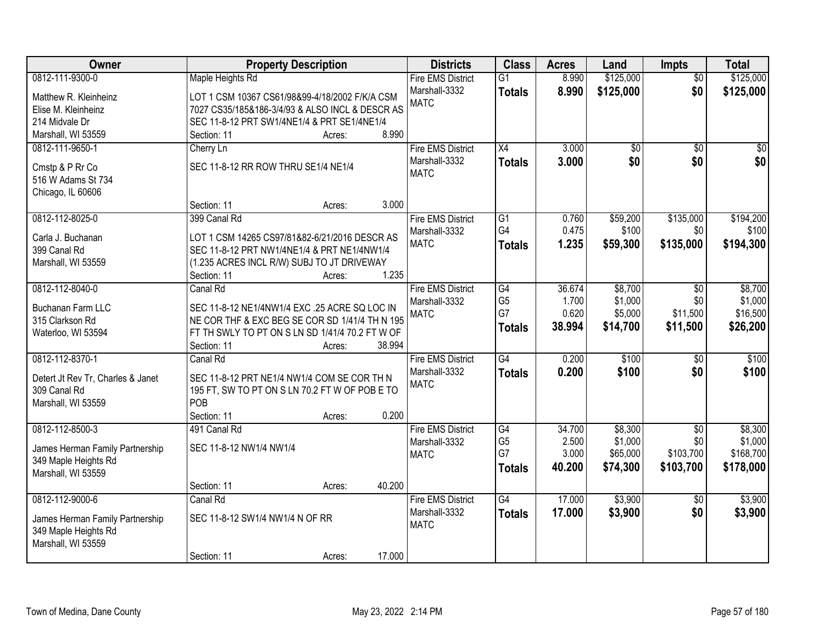| <b>Owner</b>                      |                                                 | <b>Property Description</b> |        | <b>Districts</b>             | <b>Class</b>         | <b>Acres</b>    | Land               | <b>Impts</b>      | <b>Total</b>       |
|-----------------------------------|-------------------------------------------------|-----------------------------|--------|------------------------------|----------------------|-----------------|--------------------|-------------------|--------------------|
| 0812-111-9300-0                   | Maple Heights Rd                                |                             |        | <b>Fire EMS District</b>     | $\overline{G1}$      | 8.990           | \$125,000          | $\overline{30}$   | \$125,000          |
| Matthew R. Kleinheinz             | LOT 1 CSM 10367 CS61/98&99-4/18/2002 F/K/A CSM  |                             |        | Marshall-3332                | <b>Totals</b>        | 8.990           | \$125,000          | \$0               | \$125,000          |
| Elise M. Kleinheinz               | 7027 CS35/185&186-3/4/93 & ALSO INCL & DESCR AS |                             |        | <b>MATC</b>                  |                      |                 |                    |                   |                    |
| 214 Midvale Dr                    | SEC 11-8-12 PRT SW1/4NE1/4 & PRT SE1/4NE1/4     |                             |        |                              |                      |                 |                    |                   |                    |
| Marshall, WI 53559                | Section: 11                                     | Acres:                      | 8.990  |                              |                      |                 |                    |                   |                    |
| 0812-111-9650-1                   | Cherry Ln                                       |                             |        | <b>Fire EMS District</b>     | $\overline{X4}$      | 3.000           | \$0                | $\overline{50}$   | $\overline{50}$    |
|                                   |                                                 |                             |        | Marshall-3332                | <b>Totals</b>        | 3.000           | \$0                | \$0               | \$0                |
| Cmstp & P Rr Co                   | SEC 11-8-12 RR ROW THRU SE1/4 NE1/4             |                             |        | <b>MATC</b>                  |                      |                 |                    |                   |                    |
| 516 W Adams St 734                |                                                 |                             |        |                              |                      |                 |                    |                   |                    |
| Chicago, IL 60606                 | Section: 11                                     |                             | 3.000  |                              |                      |                 |                    |                   |                    |
| 0812-112-8025-0                   | 399 Canal Rd                                    | Acres:                      |        | <b>Fire EMS District</b>     | $\overline{G1}$      | 0.760           | \$59,200           | \$135,000         | \$194,200          |
|                                   |                                                 |                             |        | Marshall-3332                | G4                   | 0.475           | \$100              | \$0               | \$100              |
| Carla J. Buchanan                 | LOT 1 CSM 14265 CS97/81&82-6/21/2016 DESCR AS   |                             |        | <b>MATC</b>                  |                      | 1.235           |                    | \$135,000         |                    |
| 399 Canal Rd                      | SEC 11-8-12 PRT NW1/4NE1/4 & PRT NE1/4NW1/4     |                             |        |                              | <b>Totals</b>        |                 | \$59,300           |                   | \$194,300          |
| Marshall, WI 53559                | (1.235 ACRES INCL R/W) SUBJ TO JT DRIVEWAY      |                             |        |                              |                      |                 |                    |                   |                    |
|                                   | Section: 11                                     | Acres:                      | 1.235  |                              |                      |                 |                    |                   |                    |
| 0812-112-8040-0                   | Canal Rd                                        |                             |        | <b>Fire EMS District</b>     | $\overline{G4}$      | 36.674          | \$8,700            | $\sqrt{6}$        | \$8,700            |
| Buchanan Farm LLC                 | SEC 11-8-12 NE1/4NW1/4 EXC .25 ACRE SQ LOC IN   |                             |        | Marshall-3332                | G <sub>5</sub>       | 1.700           | \$1,000            | \$0               | \$1,000            |
| 315 Clarkson Rd                   | NE COR THF & EXC BEG SE COR SD 1/41/4 TH N 195  |                             |        | <b>MATC</b>                  | G7                   | 0.620           | \$5,000            | \$11,500          | \$16,500           |
| Waterloo, WI 53594                | FT TH SWLY TO PT ON S LN SD 1/41/4 70.2 FT W OF |                             |        |                              | <b>Totals</b>        | 38.994          | \$14,700           | \$11,500          | \$26,200           |
|                                   | Section: 11                                     | Acres:                      | 38.994 |                              |                      |                 |                    |                   |                    |
| 0812-112-8370-1                   | Canal Rd                                        |                             |        | <b>Fire EMS District</b>     | G4                   | 0.200           | \$100              | $\overline{50}$   | \$100              |
|                                   |                                                 |                             |        | Marshall-3332                | <b>Totals</b>        | 0.200           | \$100              | \$0               | \$100              |
| Detert Jt Rev Tr, Charles & Janet | SEC 11-8-12 PRT NE1/4 NW1/4 COM SE COR TH N     |                             |        | <b>MATC</b>                  |                      |                 |                    |                   |                    |
| 309 Canal Rd                      | 195 FT, SW TO PT ON S LN 70.2 FT W OF POB E TO  |                             |        |                              |                      |                 |                    |                   |                    |
| Marshall, WI 53559                | POB                                             |                             | 0.200  |                              |                      |                 |                    |                   |                    |
|                                   | Section: 11                                     | Acres:                      |        |                              |                      |                 |                    |                   |                    |
| 0812-112-8500-3                   | 491 Canal Rd                                    |                             |        | <b>Fire EMS District</b>     | G4<br>G <sub>5</sub> | 34.700<br>2.500 | \$8,300<br>\$1,000 | $\sqrt{6}$<br>\$0 | \$8,300<br>\$1,000 |
| James Herman Family Partnership   | SEC 11-8-12 NW1/4 NW1/4                         |                             |        | Marshall-3332<br><b>MATC</b> | G7                   | 3.000           | \$65,000           | \$103,700         | \$168,700          |
| 349 Maple Heights Rd              |                                                 |                             |        |                              | <b>Totals</b>        | 40.200          | \$74,300           | \$103,700         | \$178,000          |
| Marshall, WI 53559                |                                                 |                             |        |                              |                      |                 |                    |                   |                    |
|                                   | Section: 11                                     | Acres:                      | 40.200 |                              |                      |                 |                    |                   |                    |
| 0812-112-9000-6                   | Canal Rd                                        |                             |        | <b>Fire EMS District</b>     | $\overline{G4}$      | 17.000          | \$3,900            | $\overline{30}$   | \$3,900            |
| James Herman Family Partnership   | SEC 11-8-12 SW1/4 NW1/4 N OF RR                 |                             |        | Marshall-3332                | <b>Totals</b>        | 17.000          | \$3,900            | \$0               | \$3,900            |
| 349 Maple Heights Rd              |                                                 |                             |        | <b>MATC</b>                  |                      |                 |                    |                   |                    |
| Marshall, WI 53559                |                                                 |                             |        |                              |                      |                 |                    |                   |                    |
|                                   | Section: 11                                     | Acres:                      | 17.000 |                              |                      |                 |                    |                   |                    |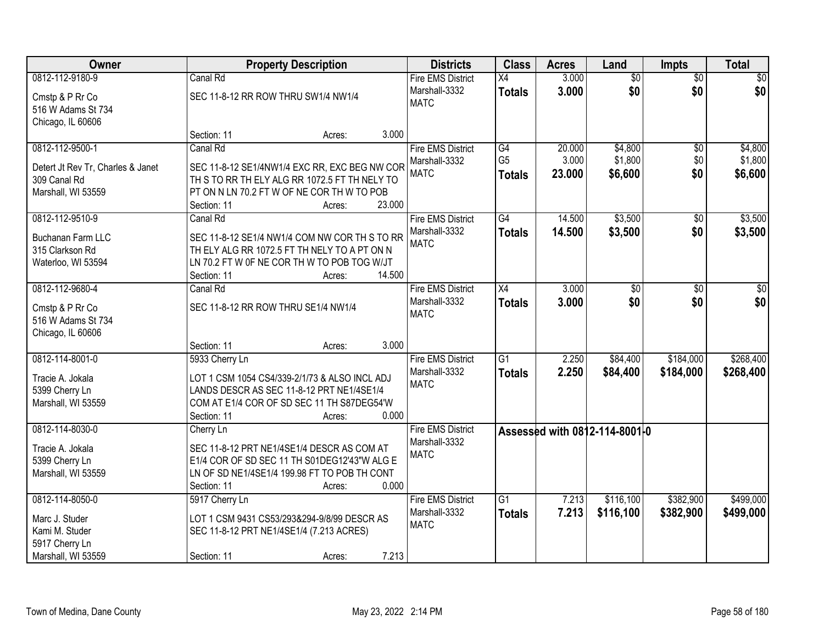| Owner                             |                                          | <b>Property Description</b>                   |        | <b>Districts</b>         | <b>Class</b>    | <b>Acres</b> | Land                          | <b>Impts</b>    | <b>Total</b> |
|-----------------------------------|------------------------------------------|-----------------------------------------------|--------|--------------------------|-----------------|--------------|-------------------------------|-----------------|--------------|
| 0812-112-9180-9                   | Canal Rd                                 |                                               |        | <b>Fire EMS District</b> | X4              | 3.000        | $\overline{60}$               | $\overline{50}$ | \$0          |
| Cmstp & P Rr Co                   | SEC 11-8-12 RR ROW THRU SW1/4 NW1/4      |                                               |        | Marshall-3332            | <b>Totals</b>   | 3.000        | \$0                           | \$0             | \$0          |
| 516 W Adams St 734                |                                          |                                               |        | <b>MATC</b>              |                 |              |                               |                 |              |
| Chicago, IL 60606                 |                                          |                                               |        |                          |                 |              |                               |                 |              |
|                                   | Section: 11                              | Acres:                                        | 3.000  |                          |                 |              |                               |                 |              |
| 0812-112-9500-1                   | Canal Rd                                 |                                               |        | <b>Fire EMS District</b> | G4              | 20.000       | \$4,800                       | $\overline{50}$ | \$4,800      |
| Detert Jt Rev Tr, Charles & Janet |                                          | SEC 11-8-12 SE1/4NW1/4 EXC RR, EXC BEG NW COR |        | Marshall-3332            | G <sub>5</sub>  | 3.000        | \$1,800                       | \$0             | \$1,800      |
| 309 Canal Rd                      |                                          | TH S TO RR TH ELY ALG RR 1072.5 FT TH NELY TO |        | <b>MATC</b>              | <b>Totals</b>   | 23.000       | \$6,600                       | \$0             | \$6,600      |
| Marshall, WI 53559                |                                          | PT ON N LN 70.2 FT W OF NE COR TH W TO POB    |        |                          |                 |              |                               |                 |              |
|                                   | Section: 11                              | Acres:                                        | 23.000 |                          |                 |              |                               |                 |              |
| 0812-112-9510-9                   | Canal Rd                                 |                                               |        | <b>Fire EMS District</b> | G4              | 14.500       | \$3,500                       | \$0             | \$3,500      |
| Buchanan Farm LLC                 |                                          | SEC 11-8-12 SE1/4 NW1/4 COM NW COR TH S TO RR |        | Marshall-3332            | <b>Totals</b>   | 14.500       | \$3,500                       | \$0             | \$3,500      |
| 315 Clarkson Rd                   |                                          | TH ELY ALG RR 1072.5 FT TH NELY TO A PT ON N  |        | <b>MATC</b>              |                 |              |                               |                 |              |
| Waterloo, WI 53594                |                                          | LN 70.2 FT W 0F NE COR TH W TO POB TOG W/JT   |        |                          |                 |              |                               |                 |              |
|                                   | Section: 11                              | Acres:                                        | 14.500 |                          |                 |              |                               |                 |              |
| 0812-112-9680-4                   | Canal Rd                                 |                                               |        | <b>Fire EMS District</b> | $\overline{X4}$ | 3.000        | $\overline{50}$               | \$0             | $\sqrt{50}$  |
| Cmstp & P Rr Co                   | SEC 11-8-12 RR ROW THRU SE1/4 NW1/4      |                                               |        | Marshall-3332            | <b>Totals</b>   | 3.000        | \$0                           | \$0             | \$0          |
| 516 W Adams St 734                |                                          |                                               |        | <b>MATC</b>              |                 |              |                               |                 |              |
| Chicago, IL 60606                 |                                          |                                               |        |                          |                 |              |                               |                 |              |
|                                   | Section: 11                              | Acres:                                        | 3.000  |                          |                 |              |                               |                 |              |
| 0812-114-8001-0                   | 5933 Cherry Ln                           |                                               |        | <b>Fire EMS District</b> | $\overline{G1}$ | 2.250        | \$84,400                      | \$184,000       | \$268,400    |
|                                   |                                          |                                               |        | Marshall-3332            | <b>Totals</b>   | 2.250        | \$84,400                      | \$184,000       | \$268,400    |
| Tracie A. Jokala                  |                                          | LOT 1 CSM 1054 CS4/339-2/1/73 & ALSO INCL ADJ |        | <b>MATC</b>              |                 |              |                               |                 |              |
| 5399 Cherry Ln                    |                                          | LANDS DESCR AS SEC 11-8-12 PRT NE1/4SE1/4     |        |                          |                 |              |                               |                 |              |
| Marshall, WI 53559                | Section: 11                              | COM AT E1/4 COR OF SD SEC 11 TH S87DEG54'W    | 0.000  |                          |                 |              |                               |                 |              |
| 0812-114-8030-0                   | Cherry Ln                                | Acres:                                        |        | <b>Fire EMS District</b> |                 |              |                               |                 |              |
|                                   |                                          |                                               |        | Marshall-3332            |                 |              | Assessed with 0812-114-8001-0 |                 |              |
| Tracie A. Jokala                  |                                          | SEC 11-8-12 PRT NE1/4SE1/4 DESCR AS COM AT    |        | <b>MATC</b>              |                 |              |                               |                 |              |
| 5399 Cherry Ln                    |                                          | E1/4 COR OF SD SEC 11 TH S01DEG12'43"W ALG E  |        |                          |                 |              |                               |                 |              |
| Marshall, WI 53559                |                                          | LN OF SD NE1/4SE1/4 199.98 FT TO POB TH CONT  |        |                          |                 |              |                               |                 |              |
|                                   | Section: 11                              | Acres:                                        | 0.000  |                          |                 |              |                               |                 |              |
| 0812-114-8050-0                   | 5917 Cherry Ln                           |                                               |        | <b>Fire EMS District</b> | $\overline{G1}$ | 7.213        | \$116,100                     | \$382,900       | \$499,000    |
| Marc J. Studer                    |                                          | LOT 1 CSM 9431 CS53/293&294-9/8/99 DESCR AS   |        | Marshall-3332            | <b>Totals</b>   | 7.213        | \$116,100                     | \$382,900       | \$499,000    |
| Kami M. Studer                    | SEC 11-8-12 PRT NE1/4SE1/4 (7.213 ACRES) |                                               |        | <b>MATC</b>              |                 |              |                               |                 |              |
| 5917 Cherry Ln                    |                                          |                                               |        |                          |                 |              |                               |                 |              |
| Marshall, WI 53559                | Section: 11                              | Acres:                                        | 7.213  |                          |                 |              |                               |                 |              |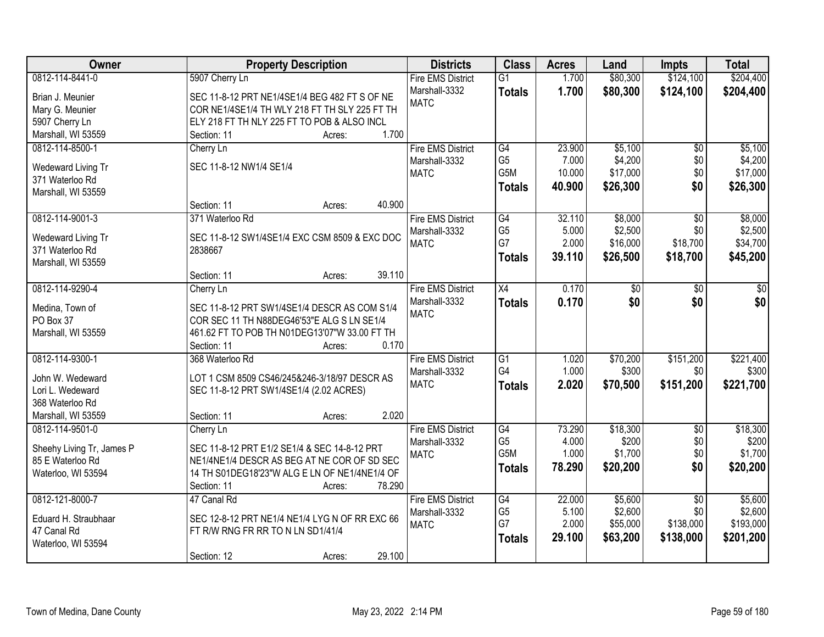| 0812-114-8441-0<br>\$80,300<br>\$124,100<br>\$204,400<br>5907 Cherry Ln<br><b>Fire EMS District</b><br>$\overline{G1}$<br>1.700<br>1.700<br>Marshall-3332<br>\$80,300<br>\$124,100<br>\$204,400<br><b>Totals</b><br>Brian J. Meunier<br>SEC 11-8-12 PRT NE1/4SE1/4 BEG 482 FT S OF NE<br><b>MATC</b><br>COR NE1/4SE1/4 TH WLY 218 FT TH SLY 225 FT TH<br>Mary G. Meunier<br>ELY 218 FT TH NLY 225 FT TO POB & ALSO INCL<br>5907 Cherry Ln<br>Marshall, WI 53559<br>1.700<br>Section: 11<br>Acres:<br>\$5,100<br><b>Fire EMS District</b><br>23.900<br>\$5,100<br>0812-114-8500-1<br>G4<br>$\overline{50}$<br>Cherry Ln<br>G <sub>5</sub><br>7.000<br>\$4,200<br>\$0<br>Marshall-3332<br>SEC 11-8-12 NW1/4 SE1/4<br>Wedeward Living Tr<br>G5M<br>\$17,000<br>\$0<br>10.000<br><b>MATC</b><br>371 Waterloo Rd<br>\$0<br>40.900<br>\$26,300<br>\$26,300<br><b>Totals</b><br>Marshall, WI 53559<br>40.900<br>Section: 11<br>Acres:<br>\$8,000<br>0812-114-9001-3<br>G4<br>32.110<br>371 Waterloo Rd<br><b>Fire EMS District</b><br>\$0<br>G <sub>5</sub><br>\$2,500<br>5.000<br>\$0<br>Marshall-3332<br>SEC 11-8-12 SW1/4SE1/4 EXC CSM 8509 & EXC DOC<br>Wedeward Living Tr<br>G7<br>2.000<br>\$16,000<br>\$18,700<br><b>MATC</b><br>371 Waterloo Rd<br>2838667<br>39.110<br>\$26,500<br>\$18,700<br>\$45,200<br>Totals<br>Marshall, WI 53559<br>39.110<br>Section: 11<br>Acres:<br>0812-114-9290-4<br><b>Fire EMS District</b><br>0.170<br>X4<br>\$0<br>\$0<br>Cherry Ln<br>\$0<br>\$0<br>0.170<br>\$0<br>Marshall-3332<br>\$0<br><b>Totals</b><br>SEC 11-8-12 PRT SW1/4SE1/4 DESCR AS COM S1/4<br>Medina, Town of<br><b>MATC</b><br>COR SEC 11 TH N88DEG46'53"E ALG S LN SE1/4<br>PO Box 37<br>Marshall, WI 53559<br>461.62 FT TO POB TH N01DEG13'07"W 33.00 FT TH<br>0.170<br>Section: 11<br>Acres:<br>\$151,200<br>0812-114-9300-1<br>368 Waterloo Rd<br>$\overline{G1}$<br>1.020<br>\$70,200<br><b>Fire EMS District</b><br>G <sub>4</sub><br>1.000<br>\$300<br>\$0<br>Marshall-3332<br>John W. Wedeward<br>LOT 1 CSM 8509 CS46/245&246-3/18/97 DESCR AS<br>2.020<br>\$151,200<br><b>MATC</b><br>\$70,500<br>\$221,700<br><b>Totals</b><br>Lori L. Wedeward<br>SEC 11-8-12 PRT SW1/4SE1/4 (2.02 ACRES)<br>368 Waterloo Rd<br>2.020<br>Marshall, WI 53559<br>Section: 11<br>Acres: |
|------------------------------------------------------------------------------------------------------------------------------------------------------------------------------------------------------------------------------------------------------------------------------------------------------------------------------------------------------------------------------------------------------------------------------------------------------------------------------------------------------------------------------------------------------------------------------------------------------------------------------------------------------------------------------------------------------------------------------------------------------------------------------------------------------------------------------------------------------------------------------------------------------------------------------------------------------------------------------------------------------------------------------------------------------------------------------------------------------------------------------------------------------------------------------------------------------------------------------------------------------------------------------------------------------------------------------------------------------------------------------------------------------------------------------------------------------------------------------------------------------------------------------------------------------------------------------------------------------------------------------------------------------------------------------------------------------------------------------------------------------------------------------------------------------------------------------------------------------------------------------------------------------------------------------------------------------------------------------------------------------------------------------------------------------------------------------------------------------------------------------------------------------------------------------------------------------------------------------------------------------------------------------------|
|                                                                                                                                                                                                                                                                                                                                                                                                                                                                                                                                                                                                                                                                                                                                                                                                                                                                                                                                                                                                                                                                                                                                                                                                                                                                                                                                                                                                                                                                                                                                                                                                                                                                                                                                                                                                                                                                                                                                                                                                                                                                                                                                                                                                                                                                                    |
|                                                                                                                                                                                                                                                                                                                                                                                                                                                                                                                                                                                                                                                                                                                                                                                                                                                                                                                                                                                                                                                                                                                                                                                                                                                                                                                                                                                                                                                                                                                                                                                                                                                                                                                                                                                                                                                                                                                                                                                                                                                                                                                                                                                                                                                                                    |
|                                                                                                                                                                                                                                                                                                                                                                                                                                                                                                                                                                                                                                                                                                                                                                                                                                                                                                                                                                                                                                                                                                                                                                                                                                                                                                                                                                                                                                                                                                                                                                                                                                                                                                                                                                                                                                                                                                                                                                                                                                                                                                                                                                                                                                                                                    |
|                                                                                                                                                                                                                                                                                                                                                                                                                                                                                                                                                                                                                                                                                                                                                                                                                                                                                                                                                                                                                                                                                                                                                                                                                                                                                                                                                                                                                                                                                                                                                                                                                                                                                                                                                                                                                                                                                                                                                                                                                                                                                                                                                                                                                                                                                    |
|                                                                                                                                                                                                                                                                                                                                                                                                                                                                                                                                                                                                                                                                                                                                                                                                                                                                                                                                                                                                                                                                                                                                                                                                                                                                                                                                                                                                                                                                                                                                                                                                                                                                                                                                                                                                                                                                                                                                                                                                                                                                                                                                                                                                                                                                                    |
| \$4,200<br>\$17,000<br>\$8,000<br>\$2,500<br>\$34,700                                                                                                                                                                                                                                                                                                                                                                                                                                                                                                                                                                                                                                                                                                                                                                                                                                                                                                                                                                                                                                                                                                                                                                                                                                                                                                                                                                                                                                                                                                                                                                                                                                                                                                                                                                                                                                                                                                                                                                                                                                                                                                                                                                                                                              |
|                                                                                                                                                                                                                                                                                                                                                                                                                                                                                                                                                                                                                                                                                                                                                                                                                                                                                                                                                                                                                                                                                                                                                                                                                                                                                                                                                                                                                                                                                                                                                                                                                                                                                                                                                                                                                                                                                                                                                                                                                                                                                                                                                                                                                                                                                    |
|                                                                                                                                                                                                                                                                                                                                                                                                                                                                                                                                                                                                                                                                                                                                                                                                                                                                                                                                                                                                                                                                                                                                                                                                                                                                                                                                                                                                                                                                                                                                                                                                                                                                                                                                                                                                                                                                                                                                                                                                                                                                                                                                                                                                                                                                                    |
|                                                                                                                                                                                                                                                                                                                                                                                                                                                                                                                                                                                                                                                                                                                                                                                                                                                                                                                                                                                                                                                                                                                                                                                                                                                                                                                                                                                                                                                                                                                                                                                                                                                                                                                                                                                                                                                                                                                                                                                                                                                                                                                                                                                                                                                                                    |
|                                                                                                                                                                                                                                                                                                                                                                                                                                                                                                                                                                                                                                                                                                                                                                                                                                                                                                                                                                                                                                                                                                                                                                                                                                                                                                                                                                                                                                                                                                                                                                                                                                                                                                                                                                                                                                                                                                                                                                                                                                                                                                                                                                                                                                                                                    |
|                                                                                                                                                                                                                                                                                                                                                                                                                                                                                                                                                                                                                                                                                                                                                                                                                                                                                                                                                                                                                                                                                                                                                                                                                                                                                                                                                                                                                                                                                                                                                                                                                                                                                                                                                                                                                                                                                                                                                                                                                                                                                                                                                                                                                                                                                    |
|                                                                                                                                                                                                                                                                                                                                                                                                                                                                                                                                                                                                                                                                                                                                                                                                                                                                                                                                                                                                                                                                                                                                                                                                                                                                                                                                                                                                                                                                                                                                                                                                                                                                                                                                                                                                                                                                                                                                                                                                                                                                                                                                                                                                                                                                                    |
|                                                                                                                                                                                                                                                                                                                                                                                                                                                                                                                                                                                                                                                                                                                                                                                                                                                                                                                                                                                                                                                                                                                                                                                                                                                                                                                                                                                                                                                                                                                                                                                                                                                                                                                                                                                                                                                                                                                                                                                                                                                                                                                                                                                                                                                                                    |
|                                                                                                                                                                                                                                                                                                                                                                                                                                                                                                                                                                                                                                                                                                                                                                                                                                                                                                                                                                                                                                                                                                                                                                                                                                                                                                                                                                                                                                                                                                                                                                                                                                                                                                                                                                                                                                                                                                                                                                                                                                                                                                                                                                                                                                                                                    |
|                                                                                                                                                                                                                                                                                                                                                                                                                                                                                                                                                                                                                                                                                                                                                                                                                                                                                                                                                                                                                                                                                                                                                                                                                                                                                                                                                                                                                                                                                                                                                                                                                                                                                                                                                                                                                                                                                                                                                                                                                                                                                                                                                                                                                                                                                    |
|                                                                                                                                                                                                                                                                                                                                                                                                                                                                                                                                                                                                                                                                                                                                                                                                                                                                                                                                                                                                                                                                                                                                                                                                                                                                                                                                                                                                                                                                                                                                                                                                                                                                                                                                                                                                                                                                                                                                                                                                                                                                                                                                                                                                                                                                                    |
|                                                                                                                                                                                                                                                                                                                                                                                                                                                                                                                                                                                                                                                                                                                                                                                                                                                                                                                                                                                                                                                                                                                                                                                                                                                                                                                                                                                                                                                                                                                                                                                                                                                                                                                                                                                                                                                                                                                                                                                                                                                                                                                                                                                                                                                                                    |
|                                                                                                                                                                                                                                                                                                                                                                                                                                                                                                                                                                                                                                                                                                                                                                                                                                                                                                                                                                                                                                                                                                                                                                                                                                                                                                                                                                                                                                                                                                                                                                                                                                                                                                                                                                                                                                                                                                                                                                                                                                                                                                                                                                                                                                                                                    |
|                                                                                                                                                                                                                                                                                                                                                                                                                                                                                                                                                                                                                                                                                                                                                                                                                                                                                                                                                                                                                                                                                                                                                                                                                                                                                                                                                                                                                                                                                                                                                                                                                                                                                                                                                                                                                                                                                                                                                                                                                                                                                                                                                                                                                                                                                    |
| \$221,400<br>\$300                                                                                                                                                                                                                                                                                                                                                                                                                                                                                                                                                                                                                                                                                                                                                                                                                                                                                                                                                                                                                                                                                                                                                                                                                                                                                                                                                                                                                                                                                                                                                                                                                                                                                                                                                                                                                                                                                                                                                                                                                                                                                                                                                                                                                                                                 |
|                                                                                                                                                                                                                                                                                                                                                                                                                                                                                                                                                                                                                                                                                                                                                                                                                                                                                                                                                                                                                                                                                                                                                                                                                                                                                                                                                                                                                                                                                                                                                                                                                                                                                                                                                                                                                                                                                                                                                                                                                                                                                                                                                                                                                                                                                    |
|                                                                                                                                                                                                                                                                                                                                                                                                                                                                                                                                                                                                                                                                                                                                                                                                                                                                                                                                                                                                                                                                                                                                                                                                                                                                                                                                                                                                                                                                                                                                                                                                                                                                                                                                                                                                                                                                                                                                                                                                                                                                                                                                                                                                                                                                                    |
|                                                                                                                                                                                                                                                                                                                                                                                                                                                                                                                                                                                                                                                                                                                                                                                                                                                                                                                                                                                                                                                                                                                                                                                                                                                                                                                                                                                                                                                                                                                                                                                                                                                                                                                                                                                                                                                                                                                                                                                                                                                                                                                                                                                                                                                                                    |
|                                                                                                                                                                                                                                                                                                                                                                                                                                                                                                                                                                                                                                                                                                                                                                                                                                                                                                                                                                                                                                                                                                                                                                                                                                                                                                                                                                                                                                                                                                                                                                                                                                                                                                                                                                                                                                                                                                                                                                                                                                                                                                                                                                                                                                                                                    |
|                                                                                                                                                                                                                                                                                                                                                                                                                                                                                                                                                                                                                                                                                                                                                                                                                                                                                                                                                                                                                                                                                                                                                                                                                                                                                                                                                                                                                                                                                                                                                                                                                                                                                                                                                                                                                                                                                                                                                                                                                                                                                                                                                                                                                                                                                    |
|                                                                                                                                                                                                                                                                                                                                                                                                                                                                                                                                                                                                                                                                                                                                                                                                                                                                                                                                                                                                                                                                                                                                                                                                                                                                                                                                                                                                                                                                                                                                                                                                                                                                                                                                                                                                                                                                                                                                                                                                                                                                                                                                                                                                                                                                                    |
|                                                                                                                                                                                                                                                                                                                                                                                                                                                                                                                                                                                                                                                                                                                                                                                                                                                                                                                                                                                                                                                                                                                                                                                                                                                                                                                                                                                                                                                                                                                                                                                                                                                                                                                                                                                                                                                                                                                                                                                                                                                                                                                                                                                                                                                                                    |
| G4<br><b>Fire EMS District</b><br>73.290<br>\$18,300<br>$\overline{50}$<br>\$18,300<br>0812-114-9501-0<br>Cherry Ln                                                                                                                                                                                                                                                                                                                                                                                                                                                                                                                                                                                                                                                                                                                                                                                                                                                                                                                                                                                                                                                                                                                                                                                                                                                                                                                                                                                                                                                                                                                                                                                                                                                                                                                                                                                                                                                                                                                                                                                                                                                                                                                                                                |
| G <sub>5</sub><br>4.000<br>\$200<br>\$0<br>\$200<br>Marshall-3332                                                                                                                                                                                                                                                                                                                                                                                                                                                                                                                                                                                                                                                                                                                                                                                                                                                                                                                                                                                                                                                                                                                                                                                                                                                                                                                                                                                                                                                                                                                                                                                                                                                                                                                                                                                                                                                                                                                                                                                                                                                                                                                                                                                                                  |
| SEC 11-8-12 PRT E1/2 SE1/4 & SEC 14-8-12 PRT<br>Sheehy Living Tr, James P<br>G <sub>5</sub> M<br>1.000<br>\$1,700<br>\$1,700<br>\$0<br><b>MATC</b>                                                                                                                                                                                                                                                                                                                                                                                                                                                                                                                                                                                                                                                                                                                                                                                                                                                                                                                                                                                                                                                                                                                                                                                                                                                                                                                                                                                                                                                                                                                                                                                                                                                                                                                                                                                                                                                                                                                                                                                                                                                                                                                                 |
| NE1/4NE1/4 DESCR AS BEG AT NE COR OF SD SEC<br>85 E Waterloo Rd<br>\$0<br>78.290<br>\$20,200<br>\$20,200<br><b>Totals</b>                                                                                                                                                                                                                                                                                                                                                                                                                                                                                                                                                                                                                                                                                                                                                                                                                                                                                                                                                                                                                                                                                                                                                                                                                                                                                                                                                                                                                                                                                                                                                                                                                                                                                                                                                                                                                                                                                                                                                                                                                                                                                                                                                          |
| 14 TH S01DEG18'23"W ALG E LN OF NE1/4NE1/4 OF<br>Waterloo, WI 53594                                                                                                                                                                                                                                                                                                                                                                                                                                                                                                                                                                                                                                                                                                                                                                                                                                                                                                                                                                                                                                                                                                                                                                                                                                                                                                                                                                                                                                                                                                                                                                                                                                                                                                                                                                                                                                                                                                                                                                                                                                                                                                                                                                                                                |
| 78.290<br>Section: 11<br>Acres:                                                                                                                                                                                                                                                                                                                                                                                                                                                                                                                                                                                                                                                                                                                                                                                                                                                                                                                                                                                                                                                                                                                                                                                                                                                                                                                                                                                                                                                                                                                                                                                                                                                                                                                                                                                                                                                                                                                                                                                                                                                                                                                                                                                                                                                    |
| 0812-121-8000-7<br>\$5,600<br>\$5,600<br>47 Canal Rd<br><b>Fire EMS District</b><br>G4<br>22.000<br>$\overline{50}$                                                                                                                                                                                                                                                                                                                                                                                                                                                                                                                                                                                                                                                                                                                                                                                                                                                                                                                                                                                                                                                                                                                                                                                                                                                                                                                                                                                                                                                                                                                                                                                                                                                                                                                                                                                                                                                                                                                                                                                                                                                                                                                                                                |
| G <sub>5</sub><br>5.100<br>\$2,600<br>\$0<br>\$2,600<br>Marshall-3332<br>Eduard H. Straubhaar<br>SEC 12-8-12 PRT NE1/4 NE1/4 LYG N OF RR EXC 66                                                                                                                                                                                                                                                                                                                                                                                                                                                                                                                                                                                                                                                                                                                                                                                                                                                                                                                                                                                                                                                                                                                                                                                                                                                                                                                                                                                                                                                                                                                                                                                                                                                                                                                                                                                                                                                                                                                                                                                                                                                                                                                                    |
| G7<br>2.000<br>\$55,000<br>\$193,000<br>\$138,000<br><b>MATC</b><br>47 Canal Rd<br>FT R/W RNG FR RR TO N LN SD1/41/4                                                                                                                                                                                                                                                                                                                                                                                                                                                                                                                                                                                                                                                                                                                                                                                                                                                                                                                                                                                                                                                                                                                                                                                                                                                                                                                                                                                                                                                                                                                                                                                                                                                                                                                                                                                                                                                                                                                                                                                                                                                                                                                                                               |
| 29.100<br>\$63,200<br>\$138,000<br>\$201,200<br><b>Totals</b><br>Waterloo, WI 53594                                                                                                                                                                                                                                                                                                                                                                                                                                                                                                                                                                                                                                                                                                                                                                                                                                                                                                                                                                                                                                                                                                                                                                                                                                                                                                                                                                                                                                                                                                                                                                                                                                                                                                                                                                                                                                                                                                                                                                                                                                                                                                                                                                                                |
| 29.100<br>Section: 12<br>Acres:                                                                                                                                                                                                                                                                                                                                                                                                                                                                                                                                                                                                                                                                                                                                                                                                                                                                                                                                                                                                                                                                                                                                                                                                                                                                                                                                                                                                                                                                                                                                                                                                                                                                                                                                                                                                                                                                                                                                                                                                                                                                                                                                                                                                                                                    |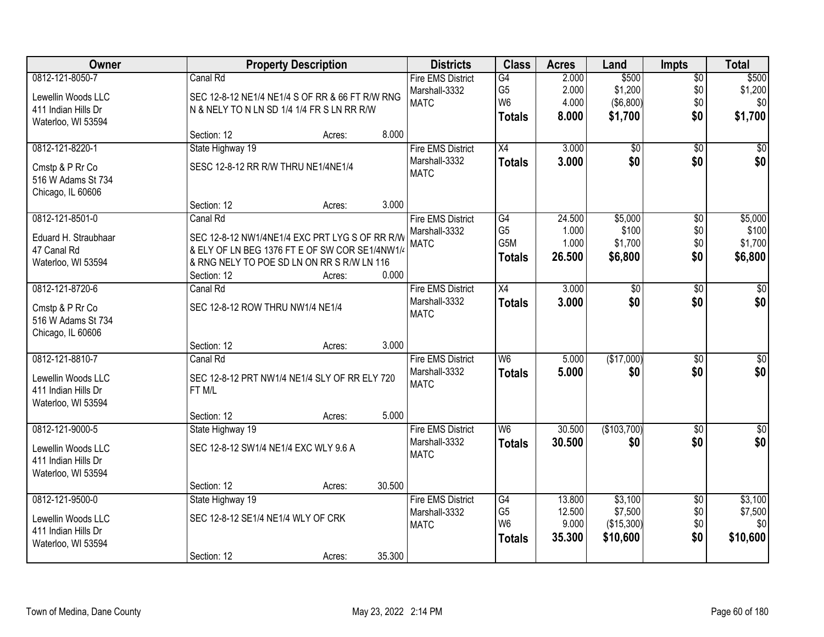| Owner                |                                                 | <b>Property Description</b> |        | <b>Districts</b>         | <b>Class</b>   | <b>Acres</b> | Land             | <b>Impts</b>    | <b>Total</b> |
|----------------------|-------------------------------------------------|-----------------------------|--------|--------------------------|----------------|--------------|------------------|-----------------|--------------|
| 0812-121-8050-7      | Canal Rd                                        |                             |        | <b>Fire EMS District</b> | G4             | 2.000        | \$500            | $\sqrt{$0}$     | \$500        |
| Lewellin Woods LLC   | SEC 12-8-12 NE1/4 NE1/4 S OF RR & 66 FT R/W RNG |                             |        | Marshall-3332            | G <sub>5</sub> | 2.000        | \$1,200          | \$0             | \$1,200      |
| 411 Indian Hills Dr  | N & NELY TO N LN SD 1/4 1/4 FR S LN RR R/W      |                             |        | <b>MATC</b>              | W <sub>6</sub> | 4.000        | $($ \$6,800) $ $ | \$0             | \$0          |
| Waterloo, WI 53594   |                                                 |                             |        |                          | <b>Totals</b>  | 8.000        | \$1,700          | \$0             | \$1,700      |
|                      | Section: 12                                     | Acres:                      | 8.000  |                          |                |              |                  |                 |              |
| 0812-121-8220-1      | State Highway 19                                |                             |        | <b>Fire EMS District</b> | X4             | 3.000        | $\overline{50}$  | $\overline{30}$ | \$0          |
| Cmstp & P Rr Co      | SESC 12-8-12 RR R/W THRU NE1/4NE1/4             |                             |        | Marshall-3332            | <b>Totals</b>  | 3.000        | \$0              | \$0             | \$0          |
| 516 W Adams St 734   |                                                 |                             |        | <b>MATC</b>              |                |              |                  |                 |              |
| Chicago, IL 60606    |                                                 |                             |        |                          |                |              |                  |                 |              |
|                      | Section: 12                                     | Acres:                      | 3.000  |                          |                |              |                  |                 |              |
| 0812-121-8501-0      | Canal Rd                                        |                             |        | <b>Fire EMS District</b> | G4             | 24.500       | \$5,000          | \$0             | \$5,000      |
| Eduard H. Straubhaar | SEC 12-8-12 NW1/4NE1/4 EXC PRT LYG S OF RR R/W  |                             |        | Marshall-3332            | G <sub>5</sub> | 1.000        | \$100            | \$0             | \$100        |
| 47 Canal Rd          | & ELY OF LN BEG 1376 FT E OF SW COR SE1/4NW1/4  |                             |        | <b>MATC</b>              | G5M            | 1.000        | \$1,700          | \$0             | \$1,700      |
| Waterloo, WI 53594   | & RNG NELY TO POE SD LN ON RR S R/W LN 116      |                             |        |                          | <b>Totals</b>  | 26.500       | \$6,800          | \$0             | \$6,800      |
|                      | Section: 12                                     | Acres:                      | 0.000  |                          |                |              |                  |                 |              |
| 0812-121-8720-6      | Canal Rd                                        |                             |        | <b>Fire EMS District</b> | X4             | 3.000        | \$0              | $\frac{1}{20}$  | \$0          |
| Cmstp & P Rr Co      | SEC 12-8-12 ROW THRU NW1/4 NE1/4                |                             |        | Marshall-3332            | <b>Totals</b>  | 3.000        | \$0              | \$0             | \$0          |
| 516 W Adams St 734   |                                                 |                             |        | <b>MATC</b>              |                |              |                  |                 |              |
| Chicago, IL 60606    |                                                 |                             |        |                          |                |              |                  |                 |              |
|                      | Section: 12                                     | Acres:                      | 3.000  |                          |                |              |                  |                 |              |
| 0812-121-8810-7      | Canal Rd                                        |                             |        | <b>Fire EMS District</b> | W <sub>6</sub> | 5.000        | (\$17,000)       | $\overline{50}$ | $\sqrt{50}$  |
| Lewellin Woods LLC   | SEC 12-8-12 PRT NW1/4 NE1/4 SLY OF RR ELY 720   |                             |        | Marshall-3332            | Totals         | 5.000        | \$0              | \$0             | \$0          |
| 411 Indian Hills Dr  | FT M/L                                          |                             |        | <b>MATC</b>              |                |              |                  |                 |              |
| Waterloo, WI 53594   |                                                 |                             |        |                          |                |              |                  |                 |              |
|                      | Section: 12                                     | Acres:                      | 5.000  |                          |                |              |                  |                 |              |
| 0812-121-9000-5      | State Highway 19                                |                             |        | <b>Fire EMS District</b> | W <sub>6</sub> | 30.500       | (\$103,700)      | \$0             | \$0          |
| Lewellin Woods LLC   | SEC 12-8-12 SW1/4 NE1/4 EXC WLY 9.6 A           |                             |        | Marshall-3332            | <b>Totals</b>  | 30.500       | \$0              | \$0             | \$0          |
| 411 Indian Hills Dr  |                                                 |                             |        | <b>MATC</b>              |                |              |                  |                 |              |
| Waterloo, WI 53594   |                                                 |                             |        |                          |                |              |                  |                 |              |
|                      | Section: 12                                     | Acres:                      | 30.500 |                          |                |              |                  |                 |              |
| 0812-121-9500-0      | State Highway 19                                |                             |        | <b>Fire EMS District</b> | G4             | 13.800       | \$3,100          | $\overline{50}$ | \$3,100      |
| Lewellin Woods LLC   | SEC 12-8-12 SE1/4 NE1/4 WLY OF CRK              |                             |        | Marshall-3332            | G <sub>5</sub> | 12.500       | \$7,500          | \$0             | \$7,500      |
| 411 Indian Hills Dr  |                                                 |                             |        | <b>MATC</b>              | W <sub>6</sub> | 9.000        | (\$15,300)       | \$0             | \$0          |
| Waterloo, WI 53594   |                                                 |                             |        |                          | <b>Totals</b>  | 35.300       | \$10,600         | \$0             | \$10,600     |
|                      | Section: 12                                     | Acres:                      | 35.300 |                          |                |              |                  |                 |              |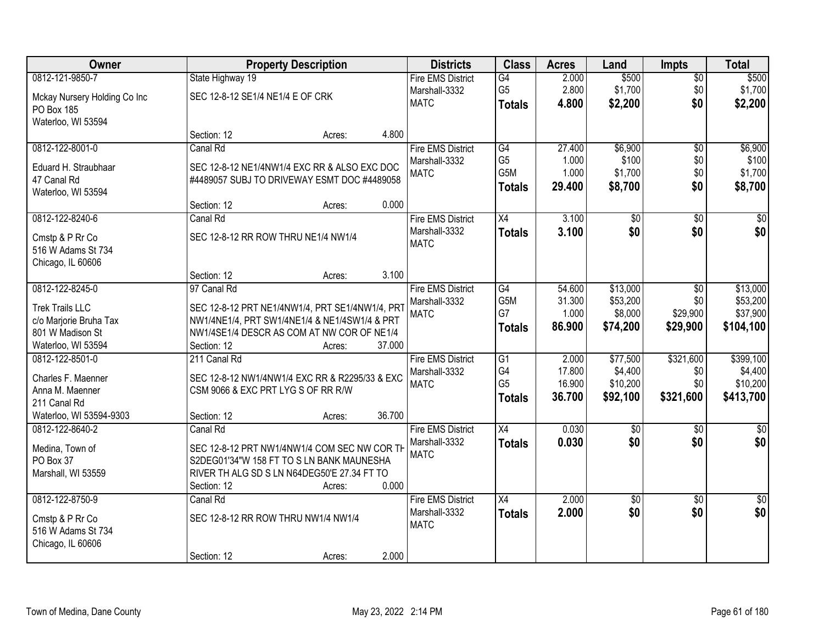| Owner                        |                                     | <b>Property Description</b>                     |        | <b>Districts</b>             | <b>Class</b>          | <b>Acres</b>   | Land             | <b>Impts</b>    | <b>Total</b>     |
|------------------------------|-------------------------------------|-------------------------------------------------|--------|------------------------------|-----------------------|----------------|------------------|-----------------|------------------|
| 0812-121-9850-7              | State Highway 19                    |                                                 |        | <b>Fire EMS District</b>     | G4                    | 2.000          | \$500            | $\overline{50}$ | \$500            |
| Mckay Nursery Holding Co Inc | SEC 12-8-12 SE1/4 NE1/4 E OF CRK    |                                                 |        | Marshall-3332<br><b>MATC</b> | G <sub>5</sub>        | 2.800<br>4.800 | \$1,700          | \$0<br>\$0      | \$1,700          |
| PO Box 185                   |                                     |                                                 |        |                              | <b>Totals</b>         |                | \$2,200          |                 | \$2,200          |
| Waterloo, WI 53594           |                                     |                                                 |        |                              |                       |                |                  |                 |                  |
|                              | Section: 12                         | Acres:                                          | 4.800  |                              |                       |                |                  |                 |                  |
| 0812-122-8001-0              | Canal Rd                            |                                                 |        | <b>Fire EMS District</b>     | G4                    | 27.400         | \$6,900          | $\overline{50}$ | \$6,900          |
| Eduard H. Straubhaar         |                                     | SEC 12-8-12 NE1/4NW1/4 EXC RR & ALSO EXC DOC    |        | Marshall-3332<br><b>MATC</b> | G <sub>5</sub><br>G5M | 1.000<br>1.000 | \$100<br>\$1,700 | \$0<br>\$0      | \$100<br>\$1,700 |
| 47 Canal Rd                  |                                     | #4489057 SUBJ TO DRIVEWAY ESMT DOC #4489058     |        |                              | <b>Totals</b>         | 29.400         | \$8,700          | \$0             | \$8,700          |
| Waterloo, WI 53594           |                                     |                                                 |        |                              |                       |                |                  |                 |                  |
|                              | Section: 12                         | Acres:                                          | 0.000  |                              |                       |                |                  |                 |                  |
| 0812-122-8240-6              | Canal Rd                            |                                                 |        | <b>Fire EMS District</b>     | X4                    | 3.100          | $\overline{50}$  | \$0             | $\overline{\$0}$ |
| Cmstp & P Rr Co              | SEC 12-8-12 RR ROW THRU NE1/4 NW1/4 |                                                 |        | Marshall-3332<br><b>MATC</b> | <b>Totals</b>         | 3.100          | \$0              | \$0             | \$0              |
| 516 W Adams St 734           |                                     |                                                 |        |                              |                       |                |                  |                 |                  |
| Chicago, IL 60606            |                                     |                                                 |        |                              |                       |                |                  |                 |                  |
|                              | Section: 12                         | Acres:                                          | 3.100  |                              |                       |                |                  |                 |                  |
| 0812-122-8245-0              | 97 Canal Rd                         |                                                 |        | <b>Fire EMS District</b>     | G4                    | 54.600         | \$13,000         | \$0             | \$13,000         |
| <b>Trek Trails LLC</b>       |                                     | SEC 12-8-12 PRT NE1/4NW1/4, PRT SE1/4NW1/4, PRT |        | Marshall-3332                | G5M<br>G7             | 31.300         | \$53,200         | \$0             | \$53,200         |
| c/o Marjorie Bruha Tax       |                                     | NW1/4NE1/4, PRT SW1/4NE1/4 & NE1/4SW1/4 & PRT   |        | <b>MATC</b>                  |                       | 1.000          | \$8,000          | \$29,900        | \$37,900         |
| 801 W Madison St             |                                     | NW1/4SE1/4 DESCR AS COM AT NW COR OF NE1/4      |        |                              | <b>Totals</b>         | 86.900         | \$74,200         | \$29,900        | \$104,100        |
| Waterloo, WI 53594           | Section: 12                         | Acres:                                          | 37.000 |                              |                       |                |                  |                 |                  |
| 0812-122-8501-0              | 211 Canal Rd                        |                                                 |        | <b>Fire EMS District</b>     | $\overline{G1}$       | 2.000          | \$77,500         | \$321,600       | \$399,100        |
| Charles F. Maenner           |                                     | SEC 12-8-12 NW1/4NW1/4 EXC RR & R2295/33 & EXC  |        | Marshall-3332                | G4                    | 17.800         | \$4,400          | \$0             | \$4,400          |
| Anna M. Maenner              | CSM 9066 & EXC PRT LYG S OF RR R/W  |                                                 |        | <b>MATC</b>                  | G <sub>5</sub>        | 16.900         | \$10,200         | \$0             | \$10,200         |
| 211 Canal Rd                 |                                     |                                                 |        |                              | <b>Totals</b>         | 36.700         | \$92,100         | \$321,600       | \$413,700        |
| Waterloo, WI 53594-9303      | Section: 12                         | Acres:                                          | 36.700 |                              |                       |                |                  |                 |                  |
| 0812-122-8640-2              | Canal Rd                            |                                                 |        | <b>Fire EMS District</b>     | $\overline{X4}$       | 0.030          | \$0              | \$0             | $\frac{1}{6}$    |
| Medina, Town of              |                                     | SEC 12-8-12 PRT NW1/4NW1/4 COM SEC NW COR TH    |        | Marshall-3332                | <b>Totals</b>         | 0.030          | \$0              | \$0             | \$0              |
| PO Box 37                    |                                     | S2DEG01'34"W 158 FT TO S LN BANK MAUNESHA       |        | <b>MATC</b>                  |                       |                |                  |                 |                  |
| Marshall, WI 53559           |                                     | RIVER TH ALG SD S LN N64DEG50'E 27.34 FT TO     |        |                              |                       |                |                  |                 |                  |
|                              | Section: 12                         | Acres:                                          | 0.000  |                              |                       |                |                  |                 |                  |
| 0812-122-8750-9              | Canal Rd                            |                                                 |        | <b>Fire EMS District</b>     | $\overline{X4}$       | 2.000          | $\overline{50}$  | $\overline{50}$ | $\frac{1}{6}$    |
| Cmstp & P Rr Co              | SEC 12-8-12 RR ROW THRU NW1/4 NW1/4 |                                                 |        | Marshall-3332                | <b>Totals</b>         | 2.000          | \$0              | \$0             | \$0              |
| 516 W Adams St 734           |                                     |                                                 |        | <b>MATC</b>                  |                       |                |                  |                 |                  |
| Chicago, IL 60606            |                                     |                                                 |        |                              |                       |                |                  |                 |                  |
|                              | Section: 12                         | Acres:                                          | 2.000  |                              |                       |                |                  |                 |                  |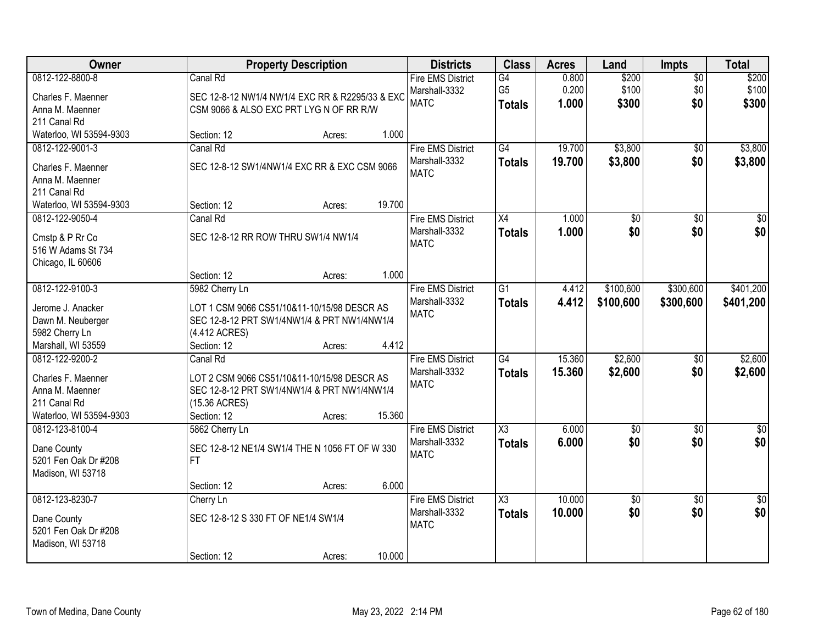| Owner                               |                                     | <b>Property Description</b>                     |        | <b>Districts</b>         | <b>Class</b>           | <b>Acres</b> | Land            | <b>Impts</b>    | <b>Total</b>     |
|-------------------------------------|-------------------------------------|-------------------------------------------------|--------|--------------------------|------------------------|--------------|-----------------|-----------------|------------------|
| 0812-122-8800-8                     | Canal Rd                            |                                                 |        | <b>Fire EMS District</b> | G4                     | 0.800        | \$200           | $\overline{50}$ | \$200            |
| Charles F. Maenner                  |                                     | SEC 12-8-12 NW1/4 NW1/4 EXC RR & R2295/33 & EXC |        | Marshall-3332            | G <sub>5</sub>         | 0.200        | \$100           | \$0             | \$100            |
| Anna M. Maenner                     |                                     | CSM 9066 & ALSO EXC PRT LYG N OF RR R/W         |        | <b>MATC</b>              | <b>Totals</b>          | 1.000        | \$300           | \$0             | \$300            |
| 211 Canal Rd                        |                                     |                                                 |        |                          |                        |              |                 |                 |                  |
| Waterloo, WI 53594-9303             | Section: 12                         | Acres:                                          | 1.000  |                          |                        |              |                 |                 |                  |
| 0812-122-9001-3                     | Canal Rd                            |                                                 |        | <b>Fire EMS District</b> | G4                     | 19.700       | \$3,800         | $\overline{50}$ | \$3,800          |
|                                     |                                     | SEC 12-8-12 SW1/4NW1/4 EXC RR & EXC CSM 9066    |        | Marshall-3332            | <b>Totals</b>          | 19.700       | \$3,800         | \$0             | \$3,800          |
| Charles F. Maenner                  |                                     |                                                 |        | <b>MATC</b>              |                        |              |                 |                 |                  |
| Anna M. Maenner<br>211 Canal Rd     |                                     |                                                 |        |                          |                        |              |                 |                 |                  |
| Waterloo, WI 53594-9303             | Section: 12                         | Acres:                                          | 19.700 |                          |                        |              |                 |                 |                  |
| 0812-122-9050-4                     | Canal Rd                            |                                                 |        | <b>Fire EMS District</b> | X4                     | 1.000        | \$0             | \$0             | \$0              |
|                                     |                                     |                                                 |        | Marshall-3332            | <b>Totals</b>          | 1.000        | \$0             | \$0             | \$0              |
| Cmstp & P Rr Co                     | SEC 12-8-12 RR ROW THRU SW1/4 NW1/4 |                                                 |        | <b>MATC</b>              |                        |              |                 |                 |                  |
| 516 W Adams St 734                  |                                     |                                                 |        |                          |                        |              |                 |                 |                  |
| Chicago, IL 60606                   |                                     |                                                 |        |                          |                        |              |                 |                 |                  |
|                                     | Section: 12                         | Acres:                                          | 1.000  |                          |                        |              |                 |                 |                  |
| 0812-122-9100-3                     | 5982 Cherry Ln                      |                                                 |        | <b>Fire EMS District</b> | $\overline{G1}$        | 4.412        | \$100,600       | \$300,600       | \$401,200        |
| Jerome J. Anacker                   |                                     | LOT 1 CSM 9066 CS51/10&11-10/15/98 DESCR AS     |        | Marshall-3332            | <b>Totals</b>          | 4.412        | \$100,600       | \$300,600       | \$401,200        |
| Dawn M. Neuberger                   |                                     | SEC 12-8-12 PRT SW1/4NW1/4 & PRT NW1/4NW1/4     |        | <b>MATC</b>              |                        |              |                 |                 |                  |
| 5982 Cherry Ln                      | (4.412 ACRES)                       |                                                 |        |                          |                        |              |                 |                 |                  |
| Marshall, WI 53559                  | Section: 12                         | Acres:                                          | 4.412  |                          |                        |              |                 |                 |                  |
| 0812-122-9200-2                     | Canal Rd                            |                                                 |        | <b>Fire EMS District</b> | $\overline{G4}$        | 15.360       | \$2,600         | $\overline{50}$ | \$2,600          |
| Charles F. Maenner                  |                                     | LOT 2 CSM 9066 CS51/10&11-10/15/98 DESCR AS     |        | Marshall-3332            | <b>Totals</b>          | 15.360       | \$2,600         | \$0             | \$2,600          |
| Anna M. Maenner                     |                                     | SEC 12-8-12 PRT SW1/4NW1/4 & PRT NW1/4NW1/4     |        | <b>MATC</b>              |                        |              |                 |                 |                  |
| 211 Canal Rd                        | (15.36 ACRES)                       |                                                 |        |                          |                        |              |                 |                 |                  |
| Waterloo, WI 53594-9303             | Section: 12                         | Acres:                                          | 15.360 |                          |                        |              |                 |                 |                  |
| 0812-123-8100-4                     | 5862 Cherry Ln                      |                                                 |        | <b>Fire EMS District</b> | $\overline{\chi_3}$    | 6.000        | $\overline{60}$ | $\overline{30}$ | $\overline{\$0}$ |
|                                     |                                     | SEC 12-8-12 NE1/4 SW1/4 THE N 1056 FT OF W 330  |        | Marshall-3332            | <b>Totals</b>          | 6.000        | \$0             | \$0             | \$0              |
| Dane County<br>5201 Fen Oak Dr #208 | FT.                                 |                                                 |        | <b>MATC</b>              |                        |              |                 |                 |                  |
| Madison, WI 53718                   |                                     |                                                 |        |                          |                        |              |                 |                 |                  |
|                                     | Section: 12                         | Acres:                                          | 6.000  |                          |                        |              |                 |                 |                  |
| 0812-123-8230-7                     | Cherry Ln                           |                                                 |        | <b>Fire EMS District</b> | $\overline{\text{X3}}$ | 10.000       | $\overline{50}$ | $\overline{50}$ | $\frac{1}{2}$    |
|                                     |                                     |                                                 |        | Marshall-3332            | <b>Totals</b>          | 10.000       | \$0             | \$0             | \$0              |
| Dane County                         | SEC 12-8-12 S 330 FT OF NE1/4 SW1/4 |                                                 |        | <b>MATC</b>              |                        |              |                 |                 |                  |
| 5201 Fen Oak Dr #208                |                                     |                                                 |        |                          |                        |              |                 |                 |                  |
| Madison, WI 53718                   |                                     |                                                 |        |                          |                        |              |                 |                 |                  |
|                                     | Section: 12                         | Acres:                                          | 10.000 |                          |                        |              |                 |                 |                  |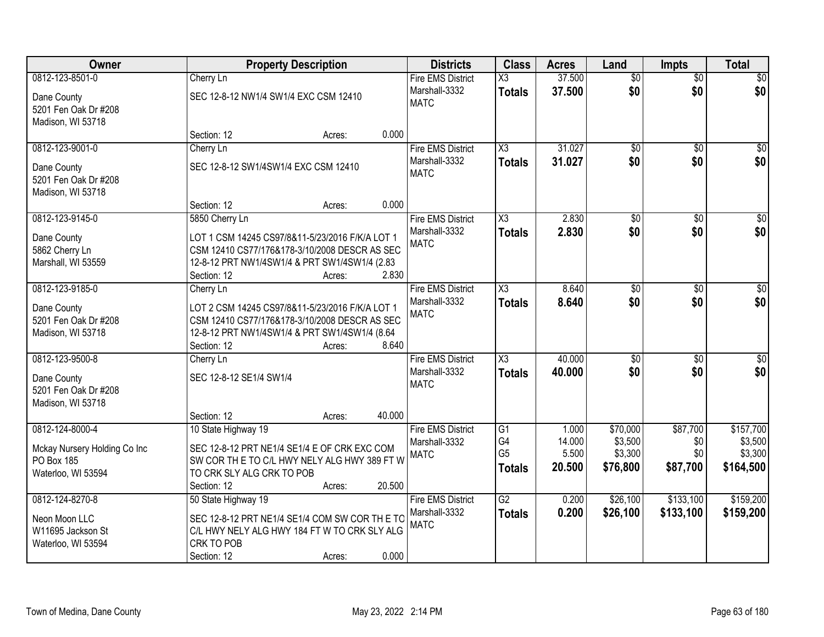| Owner                                                                               | <b>Property Description</b>                                                                                                                                                                  | <b>Districts</b>                                                   | <b>Class</b>                                | <b>Acres</b>                       | Land                                       | <b>Impts</b>                       | <b>Total</b>                                 |
|-------------------------------------------------------------------------------------|----------------------------------------------------------------------------------------------------------------------------------------------------------------------------------------------|--------------------------------------------------------------------|---------------------------------------------|------------------------------------|--------------------------------------------|------------------------------------|----------------------------------------------|
| 0812-123-8501-0                                                                     | Cherry Ln                                                                                                                                                                                    | <b>Fire EMS District</b>                                           | X3                                          | 37.500                             | $\overline{50}$                            | $\overline{50}$                    | \$0                                          |
| Dane County<br>5201 Fen Oak Dr #208<br>Madison, WI 53718                            | SEC 12-8-12 NW1/4 SW1/4 EXC CSM 12410                                                                                                                                                        | Marshall-3332<br><b>MATC</b>                                       | <b>Totals</b>                               | 37.500                             | \$0                                        | \$0                                | \$0                                          |
|                                                                                     | Section: 12<br>Acres:                                                                                                                                                                        | 0.000                                                              |                                             |                                    |                                            |                                    |                                              |
| 0812-123-9001-0                                                                     | Cherry Ln                                                                                                                                                                                    | <b>Fire EMS District</b>                                           | X3                                          | 31.027                             | $\overline{50}$                            | $\overline{50}$                    | \$0                                          |
| Dane County<br>5201 Fen Oak Dr #208<br>Madison, WI 53718                            | SEC 12-8-12 SW1/4SW1/4 EXC CSM 12410                                                                                                                                                         | Marshall-3332<br><b>MATC</b>                                       | <b>Totals</b>                               | 31.027                             | \$0                                        | \$0                                | \$0                                          |
|                                                                                     | Section: 12<br>Acres:                                                                                                                                                                        | 0.000                                                              |                                             |                                    |                                            |                                    |                                              |
| 0812-123-9145-0<br>Dane County<br>5862 Cherry Ln<br>Marshall, WI 53559              | 5850 Cherry Ln<br>LOT 1 CSM 14245 CS97/8&11-5/23/2016 F/K/A LOT 1<br>CSM 12410 CS77/176&178-3/10/2008 DESCR AS SEC<br>12-8-12 PRT NW1/4SW1/4 & PRT SW1/4SW1/4 (2.83<br>Section: 12<br>Acres: | <b>Fire EMS District</b><br>Marshall-3332<br><b>MATC</b><br>2.830  | $\overline{\text{X3}}$<br><b>Totals</b>     | 2.830<br>2.830                     | \$0<br>\$0                                 | \$0<br>\$0                         | $\overline{50}$<br>\$0                       |
| 0812-123-9185-0                                                                     | Cherry Ln                                                                                                                                                                                    | <b>Fire EMS District</b>                                           | $\overline{\chi_3}$                         | 8.640                              | \$0                                        | $\sqrt{6}$                         | $\sqrt{50}$                                  |
| Dane County<br>5201 Fen Oak Dr #208<br>Madison, WI 53718                            | LOT 2 CSM 14245 CS97/8&11-5/23/2016 F/K/A LOT 1<br>CSM 12410 CS77/176&178-3/10/2008 DESCR AS SEC<br>12-8-12 PRT NW1/4SW1/4 & PRT SW1/4SW1/4 (8.64<br>Section: 12<br>Acres:                   | Marshall-3332<br><b>MATC</b><br>8.640                              | <b>Totals</b>                               | 8.640                              | \$0                                        | \$0                                | \$0                                          |
| 0812-123-9500-8                                                                     | Cherry Ln                                                                                                                                                                                    | <b>Fire EMS District</b>                                           | $\overline{\chi_3}$                         | 40.000                             | $\overline{50}$                            | $\overline{50}$                    | $\overline{50}$                              |
| Dane County<br>5201 Fen Oak Dr #208<br>Madison, WI 53718                            | SEC 12-8-12 SE1/4 SW1/4                                                                                                                                                                      | Marshall-3332<br><b>MATC</b>                                       | <b>Totals</b>                               | 40.000                             | \$0                                        | \$0                                | \$0                                          |
|                                                                                     | Section: 12<br>Acres:                                                                                                                                                                        | 40.000                                                             |                                             |                                    |                                            |                                    |                                              |
| 0812-124-8000-4<br>Mckay Nursery Holding Co Inc<br>PO Box 185<br>Waterloo, WI 53594 | 10 State Highway 19<br>SEC 12-8-12 PRT NE1/4 SE1/4 E OF CRK EXC COM<br>SW COR TH E TO C/L HWY NELY ALG HWY 389 FT W<br>TO CRK SLY ALG CRK TO POB<br>Section: 12<br>Acres:                    | <b>Fire EMS District</b><br>Marshall-3332<br><b>MATC</b><br>20.500 | G1<br>G4<br>G <sub>5</sub><br><b>Totals</b> | 1.000<br>14.000<br>5.500<br>20.500 | \$70,000<br>\$3,500<br>\$3,300<br>\$76,800 | \$87,700<br>\$0<br>\$0<br>\$87,700 | \$157,700<br>\$3,500<br>\$3,300<br>\$164,500 |
| 0812-124-8270-8                                                                     | 50 State Highway 19                                                                                                                                                                          | <b>Fire EMS District</b>                                           | $\overline{G2}$                             | 0.200                              | \$26,100                                   | \$133,100                          | \$159,200                                    |
| Neon Moon LLC<br>W11695 Jackson St<br>Waterloo, WI 53594                            | SEC 12-8-12 PRT NE1/4 SE1/4 COM SW COR THE TC<br>C/L HWY NELY ALG HWY 184 FT W TO CRK SLY ALG<br>CRK TO POB<br>Section: 12<br>Acres:                                                         | Marshall-3332<br><b>MATC</b><br>0.000                              | <b>Totals</b>                               | 0.200                              | \$26,100                                   | \$133,100                          | \$159,200                                    |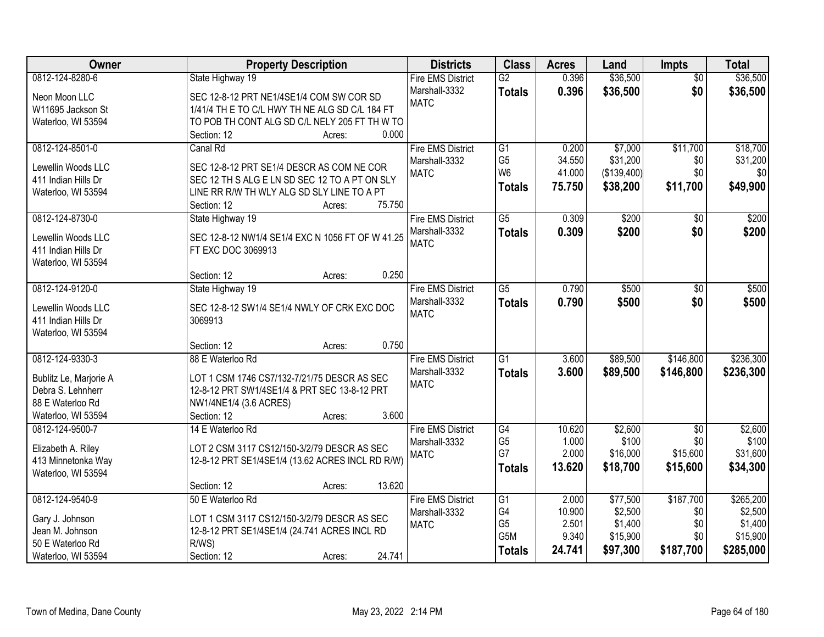| Owner                                     | <b>Property Description</b>                                            | <b>Districts</b>         | <b>Class</b>    | <b>Acres</b> | Land        | <b>Impts</b>    | <b>Total</b> |
|-------------------------------------------|------------------------------------------------------------------------|--------------------------|-----------------|--------------|-------------|-----------------|--------------|
| 0812-124-8280-6                           | State Highway 19                                                       | <b>Fire EMS District</b> | $\overline{G2}$ | 0.396        | \$36,500    | $\overline{50}$ | \$36,500     |
| Neon Moon LLC                             | SEC 12-8-12 PRT NE1/4SE1/4 COM SW COR SD                               | Marshall-3332            | <b>Totals</b>   | 0.396        | \$36,500    | \$0             | \$36,500     |
| W11695 Jackson St                         | 1/41/4 TH E TO C/L HWY TH NE ALG SD C/L 184 FT                         | <b>MATC</b>              |                 |              |             |                 |              |
| Waterloo, WI 53594                        | TO POB TH CONT ALG SD C/L NELY 205 FT TH W TO                          |                          |                 |              |             |                 |              |
|                                           | 0.000<br>Section: 12<br>Acres:                                         |                          |                 |              |             |                 |              |
| 0812-124-8501-0                           | Canal Rd                                                               | <b>Fire EMS District</b> | G <sub>1</sub>  | 0.200        | \$7,000     | \$11,700        | \$18,700     |
| Lewellin Woods LLC                        | SEC 12-8-12 PRT SE1/4 DESCR AS COM NE COR                              | Marshall-3332            | G <sub>5</sub>  | 34.550       | \$31,200    | \$0             | \$31,200     |
| 411 Indian Hills Dr                       | SEC 12 TH S ALG E LN SD SEC 12 TO A PT ON SLY                          | <b>MATC</b>              | W <sub>6</sub>  | 41.000       | (\$139,400) | \$0             | \$0          |
| Waterloo, WI 53594                        | LINE RR R/W TH WLY ALG SD SLY LINE TO A PT                             |                          | <b>Totals</b>   | 75.750       | \$38,200    | \$11,700        | \$49,900     |
|                                           | 75.750<br>Section: 12<br>Acres:                                        |                          |                 |              |             |                 |              |
| 0812-124-8730-0                           | State Highway 19                                                       | <b>Fire EMS District</b> | $\overline{G5}$ | 0.309        | \$200       | $\sqrt[6]{}$    | \$200        |
|                                           |                                                                        | Marshall-3332            | <b>Totals</b>   | 0.309        | \$200       | \$0             | \$200        |
| Lewellin Woods LLC<br>411 Indian Hills Dr | SEC 12-8-12 NW1/4 SE1/4 EXC N 1056 FT OF W 41.25<br>FT EXC DOC 3069913 | <b>MATC</b>              |                 |              |             |                 |              |
| Waterloo, WI 53594                        |                                                                        |                          |                 |              |             |                 |              |
|                                           | 0.250<br>Section: 12<br>Acres:                                         |                          |                 |              |             |                 |              |
| 0812-124-9120-0                           | State Highway 19                                                       | <b>Fire EMS District</b> | $\overline{G5}$ | 0.790        | \$500       | \$0             | \$500        |
|                                           |                                                                        | Marshall-3332            | <b>Totals</b>   | 0.790        | \$500       | \$0             | \$500        |
| Lewellin Woods LLC                        | SEC 12-8-12 SW1/4 SE1/4 NWLY OF CRK EXC DOC                            | <b>MATC</b>              |                 |              |             |                 |              |
| 411 Indian Hills Dr                       | 3069913                                                                |                          |                 |              |             |                 |              |
| Waterloo, WI 53594                        |                                                                        |                          |                 |              |             |                 |              |
|                                           | 0.750<br>Section: 12<br>Acres:                                         |                          | $\overline{G1}$ |              |             |                 |              |
| 0812-124-9330-3                           | 88 E Waterloo Rd                                                       | <b>Fire EMS District</b> |                 | 3.600        | \$89,500    | \$146,800       | \$236,300    |
| Bublitz Le, Marjorie A                    | LOT 1 CSM 1746 CS7/132-7/21/75 DESCR AS SEC                            | Marshall-3332            | <b>Totals</b>   | 3.600        | \$89,500    | \$146,800       | \$236,300    |
| Debra S. Lehnherr                         | 12-8-12 PRT SW1/4SE1/4 & PRT SEC 13-8-12 PRT                           | <b>MATC</b>              |                 |              |             |                 |              |
| 88 E Waterloo Rd                          | NW1/4NE1/4 (3.6 ACRES)                                                 |                          |                 |              |             |                 |              |
| Waterloo, WI 53594                        | 3.600<br>Section: 12<br>Acres:                                         |                          |                 |              |             |                 |              |
| 0812-124-9500-7                           | 14 E Waterloo Rd                                                       | <b>Fire EMS District</b> | G4              | 10.620       | \$2,600     | $\overline{50}$ | \$2,600      |
| Elizabeth A. Riley                        | LOT 2 CSM 3117 CS12/150-3/2/79 DESCR AS SEC                            | Marshall-3332            | G <sub>5</sub>  | 1.000        | \$100       | \$0             | \$100        |
| 413 Minnetonka Way                        | 12-8-12 PRT SE1/4SE1/4 (13.62 ACRES INCL RD R/W)                       | <b>MATC</b>              | G7              | 2.000        | \$16,000    | \$15,600        | \$31,600     |
| Waterloo, WI 53594                        |                                                                        |                          | <b>Totals</b>   | 13.620       | \$18,700    | \$15,600        | \$34,300     |
|                                           | 13.620<br>Section: 12<br>Acres:                                        |                          |                 |              |             |                 |              |
| 0812-124-9540-9                           | 50 E Waterloo Rd                                                       | <b>Fire EMS District</b> | G1              | 2.000        | \$77,500    | \$187,700       | \$265,200    |
| Gary J. Johnson                           | LOT 1 CSM 3117 CS12/150-3/2/79 DESCR AS SEC                            | Marshall-3332            | G4              | 10.900       | \$2,500     | \$0             | \$2,500      |
| Jean M. Johnson                           | 12-8-12 PRT SE1/4SE1/4 (24.741 ACRES INCL RD                           | <b>MATC</b>              | G <sub>5</sub>  | 2.501        | \$1,400     | \$0             | \$1,400      |
| 50 E Waterloo Rd                          | R/WS)                                                                  |                          | G5M             | 9.340        | \$15,900    | \$0             | \$15,900     |
| Waterloo, WI 53594                        | 24.741<br>Section: 12<br>Acres:                                        |                          | <b>Totals</b>   | 24.741       | \$97,300    | \$187,700       | \$285,000    |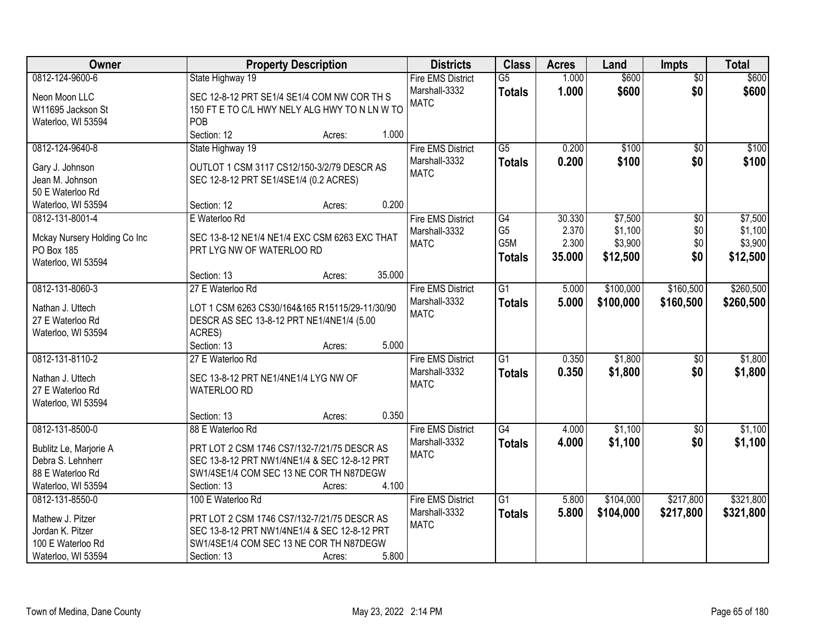| 0812-124-9600-6<br>$\overline{G5}$<br>1.000<br>$\overline{50}$<br>State Highway 19<br><b>Fire EMS District</b><br>1.000<br>\$0<br>Marshall-3332<br>\$600<br>\$600<br><b>Totals</b><br>SEC 12-8-12 PRT SE1/4 SE1/4 COM NW COR TH S<br>Neon Moon LLC<br><b>MATC</b><br>150 FT E TO C/L HWY NELY ALG HWY TO N LN W TO<br>W11695 Jackson St<br>POB<br>Waterloo, WI 53594<br>Section: 12<br>1.000<br>Acres:<br>State Highway 19<br>\$100<br>0812-124-9640-8<br><b>Fire EMS District</b><br>$\overline{G5}$<br>0.200<br>\$0<br>0.200<br>\$100<br>\$0<br>Marshall-3332<br><b>Totals</b><br>OUTLOT 1 CSM 3117 CS12/150-3/2/79 DESCR AS<br>Gary J. Johnson<br><b>MATC</b><br>Jean M. Johnson<br>SEC 12-8-12 PRT SE1/4SE1/4 (0.2 ACRES)<br>50 E Waterloo Rd<br>0.200<br>Waterloo, WI 53594<br>Section: 12<br>Acres:<br>0812-131-8001-4<br>E Waterloo Rd<br>G4<br>30.330<br>\$7,500<br>$\overline{60}$<br><b>Fire EMS District</b><br>G <sub>5</sub><br>2.370<br>\$1,100<br>\$0<br>Marshall-3332<br>SEC 13-8-12 NE1/4 NE1/4 EXC CSM 6263 EXC THAT<br>Mckay Nursery Holding Co Inc<br>G5M<br>2.300<br>\$3,900<br>\$0<br><b>MATC</b><br>PO Box 185<br>PRT LYG NW OF WATERLOO RD<br>35.000<br>\$12,500<br>\$0<br>\$12,500<br><b>Totals</b><br>Waterloo, WI 53594<br>35.000<br>Section: 13<br>Acres:<br>0812-131-8060-3<br>$\overline{G1}$<br>\$100,000<br>\$160,500<br>27 E Waterloo Rd<br><b>Fire EMS District</b><br>5.000<br>Marshall-3332<br>5.000<br>\$100,000<br>\$160,500<br>\$260,500<br><b>Totals</b><br>Nathan J. Uttech<br>LOT 1 CSM 6263 CS30/164&165 R15115/29-11/30/90<br><b>MATC</b><br>27 E Waterloo Rd<br>DESCR AS SEC 13-8-12 PRT NE1/4NE1/4 (5.00<br>ACRES)<br>Waterloo, WI 53594<br>5.000<br>Section: 13<br>Acres:<br>$\overline{G1}$<br>\$1,800<br>0812-131-8110-2<br>0.350<br>27 E Waterloo Rd<br><b>Fire EMS District</b><br>\$0<br>\$1,800<br>0.350<br>\$0<br>Marshall-3332<br><b>Totals</b><br>Nathan J. Uttech<br>SEC 13-8-12 PRT NE1/4NE1/4 LYG NW OF<br><b>MATC</b><br>27 E Waterloo Rd<br>WATERLOO RD<br>Waterloo, WI 53594<br>0.350<br>Section: 13<br>Acres:<br>G4<br>\$1,100<br>0812-131-8500-0<br>88 E Waterloo Rd<br><b>Fire EMS District</b><br>4.000<br>\$0<br>\$1,100<br>\$0<br>Marshall-3332<br>4.000<br><b>Totals</b><br>PRT LOT 2 CSM 1746 CS7/132-7/21/75 DESCR AS<br>Bublitz Le, Marjorie A<br><b>MATC</b><br>Debra S. Lehnherr<br>SEC 13-8-12 PRT NW1/4NE1/4 & SEC 12-8-12 PRT<br>88 E Waterloo Rd<br>SW1/4SE1/4 COM SEC 13 NE COR TH N87DEGW<br>4.100<br>Waterloo, WI 53594<br>Section: 13<br>Acres:<br>$\overline{G1}$<br>\$104,000<br>\$217,800<br>0812-131-8550-0<br>100 E Waterloo Rd<br><b>Fire EMS District</b><br>5.800<br>5.800<br>Marshall-3332<br>\$104,000<br>\$217,800<br>\$321,800<br><b>Totals</b><br>Mathew J. Pitzer<br>PRT LOT 2 CSM 1746 CS7/132-7/21/75 DESCR AS<br><b>MATC</b><br>Jordan K. Pitzer<br>SEC 13-8-12 PRT NW1/4NE1/4 & SEC 12-8-12 PRT<br>SW1/4SE1/4 COM SEC 13 NE COR TH N87DEGW<br>100 E Waterloo Rd | Owner              | <b>Property Description</b> | <b>Districts</b> | <b>Class</b> | <b>Acres</b> | Land  | <b>Impts</b> | <b>Total</b> |
|---------------------------------------------------------------------------------------------------------------------------------------------------------------------------------------------------------------------------------------------------------------------------------------------------------------------------------------------------------------------------------------------------------------------------------------------------------------------------------------------------------------------------------------------------------------------------------------------------------------------------------------------------------------------------------------------------------------------------------------------------------------------------------------------------------------------------------------------------------------------------------------------------------------------------------------------------------------------------------------------------------------------------------------------------------------------------------------------------------------------------------------------------------------------------------------------------------------------------------------------------------------------------------------------------------------------------------------------------------------------------------------------------------------------------------------------------------------------------------------------------------------------------------------------------------------------------------------------------------------------------------------------------------------------------------------------------------------------------------------------------------------------------------------------------------------------------------------------------------------------------------------------------------------------------------------------------------------------------------------------------------------------------------------------------------------------------------------------------------------------------------------------------------------------------------------------------------------------------------------------------------------------------------------------------------------------------------------------------------------------------------------------------------------------------------------------------------------------------------------------------------------------------------------------------------------------------------------------------------------------------------------------------------------------------------------------------------------------------------------------------------------------------------------------------------------------------------------------------------------------------------------------------------------------------------------------------------------------|--------------------|-----------------------------|------------------|--------------|--------------|-------|--------------|--------------|
|                                                                                                                                                                                                                                                                                                                                                                                                                                                                                                                                                                                                                                                                                                                                                                                                                                                                                                                                                                                                                                                                                                                                                                                                                                                                                                                                                                                                                                                                                                                                                                                                                                                                                                                                                                                                                                                                                                                                                                                                                                                                                                                                                                                                                                                                                                                                                                                                                                                                                                                                                                                                                                                                                                                                                                                                                                                                                                                                                                     |                    |                             |                  |              |              | \$600 |              | \$600        |
|                                                                                                                                                                                                                                                                                                                                                                                                                                                                                                                                                                                                                                                                                                                                                                                                                                                                                                                                                                                                                                                                                                                                                                                                                                                                                                                                                                                                                                                                                                                                                                                                                                                                                                                                                                                                                                                                                                                                                                                                                                                                                                                                                                                                                                                                                                                                                                                                                                                                                                                                                                                                                                                                                                                                                                                                                                                                                                                                                                     |                    |                             |                  |              |              |       |              |              |
|                                                                                                                                                                                                                                                                                                                                                                                                                                                                                                                                                                                                                                                                                                                                                                                                                                                                                                                                                                                                                                                                                                                                                                                                                                                                                                                                                                                                                                                                                                                                                                                                                                                                                                                                                                                                                                                                                                                                                                                                                                                                                                                                                                                                                                                                                                                                                                                                                                                                                                                                                                                                                                                                                                                                                                                                                                                                                                                                                                     |                    |                             |                  |              |              |       |              |              |
|                                                                                                                                                                                                                                                                                                                                                                                                                                                                                                                                                                                                                                                                                                                                                                                                                                                                                                                                                                                                                                                                                                                                                                                                                                                                                                                                                                                                                                                                                                                                                                                                                                                                                                                                                                                                                                                                                                                                                                                                                                                                                                                                                                                                                                                                                                                                                                                                                                                                                                                                                                                                                                                                                                                                                                                                                                                                                                                                                                     |                    |                             |                  |              |              |       |              |              |
| \$100<br>\$100<br>\$7,500<br>\$1,100<br>\$3,900                                                                                                                                                                                                                                                                                                                                                                                                                                                                                                                                                                                                                                                                                                                                                                                                                                                                                                                                                                                                                                                                                                                                                                                                                                                                                                                                                                                                                                                                                                                                                                                                                                                                                                                                                                                                                                                                                                                                                                                                                                                                                                                                                                                                                                                                                                                                                                                                                                                                                                                                                                                                                                                                                                                                                                                                                                                                                                                     |                    |                             |                  |              |              |       |              |              |
|                                                                                                                                                                                                                                                                                                                                                                                                                                                                                                                                                                                                                                                                                                                                                                                                                                                                                                                                                                                                                                                                                                                                                                                                                                                                                                                                                                                                                                                                                                                                                                                                                                                                                                                                                                                                                                                                                                                                                                                                                                                                                                                                                                                                                                                                                                                                                                                                                                                                                                                                                                                                                                                                                                                                                                                                                                                                                                                                                                     |                    |                             |                  |              |              |       |              |              |
|                                                                                                                                                                                                                                                                                                                                                                                                                                                                                                                                                                                                                                                                                                                                                                                                                                                                                                                                                                                                                                                                                                                                                                                                                                                                                                                                                                                                                                                                                                                                                                                                                                                                                                                                                                                                                                                                                                                                                                                                                                                                                                                                                                                                                                                                                                                                                                                                                                                                                                                                                                                                                                                                                                                                                                                                                                                                                                                                                                     |                    |                             |                  |              |              |       |              |              |
|                                                                                                                                                                                                                                                                                                                                                                                                                                                                                                                                                                                                                                                                                                                                                                                                                                                                                                                                                                                                                                                                                                                                                                                                                                                                                                                                                                                                                                                                                                                                                                                                                                                                                                                                                                                                                                                                                                                                                                                                                                                                                                                                                                                                                                                                                                                                                                                                                                                                                                                                                                                                                                                                                                                                                                                                                                                                                                                                                                     |                    |                             |                  |              |              |       |              |              |
|                                                                                                                                                                                                                                                                                                                                                                                                                                                                                                                                                                                                                                                                                                                                                                                                                                                                                                                                                                                                                                                                                                                                                                                                                                                                                                                                                                                                                                                                                                                                                                                                                                                                                                                                                                                                                                                                                                                                                                                                                                                                                                                                                                                                                                                                                                                                                                                                                                                                                                                                                                                                                                                                                                                                                                                                                                                                                                                                                                     |                    |                             |                  |              |              |       |              |              |
|                                                                                                                                                                                                                                                                                                                                                                                                                                                                                                                                                                                                                                                                                                                                                                                                                                                                                                                                                                                                                                                                                                                                                                                                                                                                                                                                                                                                                                                                                                                                                                                                                                                                                                                                                                                                                                                                                                                                                                                                                                                                                                                                                                                                                                                                                                                                                                                                                                                                                                                                                                                                                                                                                                                                                                                                                                                                                                                                                                     |                    |                             |                  |              |              |       |              |              |
|                                                                                                                                                                                                                                                                                                                                                                                                                                                                                                                                                                                                                                                                                                                                                                                                                                                                                                                                                                                                                                                                                                                                                                                                                                                                                                                                                                                                                                                                                                                                                                                                                                                                                                                                                                                                                                                                                                                                                                                                                                                                                                                                                                                                                                                                                                                                                                                                                                                                                                                                                                                                                                                                                                                                                                                                                                                                                                                                                                     |                    |                             |                  |              |              |       |              |              |
|                                                                                                                                                                                                                                                                                                                                                                                                                                                                                                                                                                                                                                                                                                                                                                                                                                                                                                                                                                                                                                                                                                                                                                                                                                                                                                                                                                                                                                                                                                                                                                                                                                                                                                                                                                                                                                                                                                                                                                                                                                                                                                                                                                                                                                                                                                                                                                                                                                                                                                                                                                                                                                                                                                                                                                                                                                                                                                                                                                     |                    |                             |                  |              |              |       |              |              |
|                                                                                                                                                                                                                                                                                                                                                                                                                                                                                                                                                                                                                                                                                                                                                                                                                                                                                                                                                                                                                                                                                                                                                                                                                                                                                                                                                                                                                                                                                                                                                                                                                                                                                                                                                                                                                                                                                                                                                                                                                                                                                                                                                                                                                                                                                                                                                                                                                                                                                                                                                                                                                                                                                                                                                                                                                                                                                                                                                                     |                    |                             |                  |              |              |       |              |              |
| \$260,500<br>\$1,800<br>\$1,800<br>\$1,100<br>\$1,100<br>\$321,800                                                                                                                                                                                                                                                                                                                                                                                                                                                                                                                                                                                                                                                                                                                                                                                                                                                                                                                                                                                                                                                                                                                                                                                                                                                                                                                                                                                                                                                                                                                                                                                                                                                                                                                                                                                                                                                                                                                                                                                                                                                                                                                                                                                                                                                                                                                                                                                                                                                                                                                                                                                                                                                                                                                                                                                                                                                                                                  |                    |                             |                  |              |              |       |              |              |
|                                                                                                                                                                                                                                                                                                                                                                                                                                                                                                                                                                                                                                                                                                                                                                                                                                                                                                                                                                                                                                                                                                                                                                                                                                                                                                                                                                                                                                                                                                                                                                                                                                                                                                                                                                                                                                                                                                                                                                                                                                                                                                                                                                                                                                                                                                                                                                                                                                                                                                                                                                                                                                                                                                                                                                                                                                                                                                                                                                     |                    |                             |                  |              |              |       |              |              |
|                                                                                                                                                                                                                                                                                                                                                                                                                                                                                                                                                                                                                                                                                                                                                                                                                                                                                                                                                                                                                                                                                                                                                                                                                                                                                                                                                                                                                                                                                                                                                                                                                                                                                                                                                                                                                                                                                                                                                                                                                                                                                                                                                                                                                                                                                                                                                                                                                                                                                                                                                                                                                                                                                                                                                                                                                                                                                                                                                                     |                    |                             |                  |              |              |       |              |              |
|                                                                                                                                                                                                                                                                                                                                                                                                                                                                                                                                                                                                                                                                                                                                                                                                                                                                                                                                                                                                                                                                                                                                                                                                                                                                                                                                                                                                                                                                                                                                                                                                                                                                                                                                                                                                                                                                                                                                                                                                                                                                                                                                                                                                                                                                                                                                                                                                                                                                                                                                                                                                                                                                                                                                                                                                                                                                                                                                                                     |                    |                             |                  |              |              |       |              |              |
|                                                                                                                                                                                                                                                                                                                                                                                                                                                                                                                                                                                                                                                                                                                                                                                                                                                                                                                                                                                                                                                                                                                                                                                                                                                                                                                                                                                                                                                                                                                                                                                                                                                                                                                                                                                                                                                                                                                                                                                                                                                                                                                                                                                                                                                                                                                                                                                                                                                                                                                                                                                                                                                                                                                                                                                                                                                                                                                                                                     |                    |                             |                  |              |              |       |              |              |
|                                                                                                                                                                                                                                                                                                                                                                                                                                                                                                                                                                                                                                                                                                                                                                                                                                                                                                                                                                                                                                                                                                                                                                                                                                                                                                                                                                                                                                                                                                                                                                                                                                                                                                                                                                                                                                                                                                                                                                                                                                                                                                                                                                                                                                                                                                                                                                                                                                                                                                                                                                                                                                                                                                                                                                                                                                                                                                                                                                     |                    |                             |                  |              |              |       |              |              |
|                                                                                                                                                                                                                                                                                                                                                                                                                                                                                                                                                                                                                                                                                                                                                                                                                                                                                                                                                                                                                                                                                                                                                                                                                                                                                                                                                                                                                                                                                                                                                                                                                                                                                                                                                                                                                                                                                                                                                                                                                                                                                                                                                                                                                                                                                                                                                                                                                                                                                                                                                                                                                                                                                                                                                                                                                                                                                                                                                                     |                    |                             |                  |              |              |       |              |              |
|                                                                                                                                                                                                                                                                                                                                                                                                                                                                                                                                                                                                                                                                                                                                                                                                                                                                                                                                                                                                                                                                                                                                                                                                                                                                                                                                                                                                                                                                                                                                                                                                                                                                                                                                                                                                                                                                                                                                                                                                                                                                                                                                                                                                                                                                                                                                                                                                                                                                                                                                                                                                                                                                                                                                                                                                                                                                                                                                                                     |                    |                             |                  |              |              |       |              |              |
|                                                                                                                                                                                                                                                                                                                                                                                                                                                                                                                                                                                                                                                                                                                                                                                                                                                                                                                                                                                                                                                                                                                                                                                                                                                                                                                                                                                                                                                                                                                                                                                                                                                                                                                                                                                                                                                                                                                                                                                                                                                                                                                                                                                                                                                                                                                                                                                                                                                                                                                                                                                                                                                                                                                                                                                                                                                                                                                                                                     |                    |                             |                  |              |              |       |              |              |
|                                                                                                                                                                                                                                                                                                                                                                                                                                                                                                                                                                                                                                                                                                                                                                                                                                                                                                                                                                                                                                                                                                                                                                                                                                                                                                                                                                                                                                                                                                                                                                                                                                                                                                                                                                                                                                                                                                                                                                                                                                                                                                                                                                                                                                                                                                                                                                                                                                                                                                                                                                                                                                                                                                                                                                                                                                                                                                                                                                     |                    |                             |                  |              |              |       |              |              |
|                                                                                                                                                                                                                                                                                                                                                                                                                                                                                                                                                                                                                                                                                                                                                                                                                                                                                                                                                                                                                                                                                                                                                                                                                                                                                                                                                                                                                                                                                                                                                                                                                                                                                                                                                                                                                                                                                                                                                                                                                                                                                                                                                                                                                                                                                                                                                                                                                                                                                                                                                                                                                                                                                                                                                                                                                                                                                                                                                                     |                    |                             |                  |              |              |       |              |              |
|                                                                                                                                                                                                                                                                                                                                                                                                                                                                                                                                                                                                                                                                                                                                                                                                                                                                                                                                                                                                                                                                                                                                                                                                                                                                                                                                                                                                                                                                                                                                                                                                                                                                                                                                                                                                                                                                                                                                                                                                                                                                                                                                                                                                                                                                                                                                                                                                                                                                                                                                                                                                                                                                                                                                                                                                                                                                                                                                                                     |                    |                             |                  |              |              |       |              |              |
|                                                                                                                                                                                                                                                                                                                                                                                                                                                                                                                                                                                                                                                                                                                                                                                                                                                                                                                                                                                                                                                                                                                                                                                                                                                                                                                                                                                                                                                                                                                                                                                                                                                                                                                                                                                                                                                                                                                                                                                                                                                                                                                                                                                                                                                                                                                                                                                                                                                                                                                                                                                                                                                                                                                                                                                                                                                                                                                                                                     |                    |                             |                  |              |              |       |              |              |
|                                                                                                                                                                                                                                                                                                                                                                                                                                                                                                                                                                                                                                                                                                                                                                                                                                                                                                                                                                                                                                                                                                                                                                                                                                                                                                                                                                                                                                                                                                                                                                                                                                                                                                                                                                                                                                                                                                                                                                                                                                                                                                                                                                                                                                                                                                                                                                                                                                                                                                                                                                                                                                                                                                                                                                                                                                                                                                                                                                     |                    |                             |                  |              |              |       |              |              |
|                                                                                                                                                                                                                                                                                                                                                                                                                                                                                                                                                                                                                                                                                                                                                                                                                                                                                                                                                                                                                                                                                                                                                                                                                                                                                                                                                                                                                                                                                                                                                                                                                                                                                                                                                                                                                                                                                                                                                                                                                                                                                                                                                                                                                                                                                                                                                                                                                                                                                                                                                                                                                                                                                                                                                                                                                                                                                                                                                                     |                    |                             |                  |              |              |       |              |              |
|                                                                                                                                                                                                                                                                                                                                                                                                                                                                                                                                                                                                                                                                                                                                                                                                                                                                                                                                                                                                                                                                                                                                                                                                                                                                                                                                                                                                                                                                                                                                                                                                                                                                                                                                                                                                                                                                                                                                                                                                                                                                                                                                                                                                                                                                                                                                                                                                                                                                                                                                                                                                                                                                                                                                                                                                                                                                                                                                                                     |                    |                             |                  |              |              |       |              |              |
|                                                                                                                                                                                                                                                                                                                                                                                                                                                                                                                                                                                                                                                                                                                                                                                                                                                                                                                                                                                                                                                                                                                                                                                                                                                                                                                                                                                                                                                                                                                                                                                                                                                                                                                                                                                                                                                                                                                                                                                                                                                                                                                                                                                                                                                                                                                                                                                                                                                                                                                                                                                                                                                                                                                                                                                                                                                                                                                                                                     |                    |                             |                  |              |              |       |              |              |
|                                                                                                                                                                                                                                                                                                                                                                                                                                                                                                                                                                                                                                                                                                                                                                                                                                                                                                                                                                                                                                                                                                                                                                                                                                                                                                                                                                                                                                                                                                                                                                                                                                                                                                                                                                                                                                                                                                                                                                                                                                                                                                                                                                                                                                                                                                                                                                                                                                                                                                                                                                                                                                                                                                                                                                                                                                                                                                                                                                     |                    |                             |                  |              |              |       |              |              |
|                                                                                                                                                                                                                                                                                                                                                                                                                                                                                                                                                                                                                                                                                                                                                                                                                                                                                                                                                                                                                                                                                                                                                                                                                                                                                                                                                                                                                                                                                                                                                                                                                                                                                                                                                                                                                                                                                                                                                                                                                                                                                                                                                                                                                                                                                                                                                                                                                                                                                                                                                                                                                                                                                                                                                                                                                                                                                                                                                                     |                    |                             |                  |              |              |       |              |              |
|                                                                                                                                                                                                                                                                                                                                                                                                                                                                                                                                                                                                                                                                                                                                                                                                                                                                                                                                                                                                                                                                                                                                                                                                                                                                                                                                                                                                                                                                                                                                                                                                                                                                                                                                                                                                                                                                                                                                                                                                                                                                                                                                                                                                                                                                                                                                                                                                                                                                                                                                                                                                                                                                                                                                                                                                                                                                                                                                                                     |                    |                             |                  |              |              |       |              |              |
|                                                                                                                                                                                                                                                                                                                                                                                                                                                                                                                                                                                                                                                                                                                                                                                                                                                                                                                                                                                                                                                                                                                                                                                                                                                                                                                                                                                                                                                                                                                                                                                                                                                                                                                                                                                                                                                                                                                                                                                                                                                                                                                                                                                                                                                                                                                                                                                                                                                                                                                                                                                                                                                                                                                                                                                                                                                                                                                                                                     |                    |                             |                  |              |              |       |              |              |
|                                                                                                                                                                                                                                                                                                                                                                                                                                                                                                                                                                                                                                                                                                                                                                                                                                                                                                                                                                                                                                                                                                                                                                                                                                                                                                                                                                                                                                                                                                                                                                                                                                                                                                                                                                                                                                                                                                                                                                                                                                                                                                                                                                                                                                                                                                                                                                                                                                                                                                                                                                                                                                                                                                                                                                                                                                                                                                                                                                     |                    |                             |                  |              |              |       |              |              |
|                                                                                                                                                                                                                                                                                                                                                                                                                                                                                                                                                                                                                                                                                                                                                                                                                                                                                                                                                                                                                                                                                                                                                                                                                                                                                                                                                                                                                                                                                                                                                                                                                                                                                                                                                                                                                                                                                                                                                                                                                                                                                                                                                                                                                                                                                                                                                                                                                                                                                                                                                                                                                                                                                                                                                                                                                                                                                                                                                                     |                    |                             |                  |              |              |       |              |              |
|                                                                                                                                                                                                                                                                                                                                                                                                                                                                                                                                                                                                                                                                                                                                                                                                                                                                                                                                                                                                                                                                                                                                                                                                                                                                                                                                                                                                                                                                                                                                                                                                                                                                                                                                                                                                                                                                                                                                                                                                                                                                                                                                                                                                                                                                                                                                                                                                                                                                                                                                                                                                                                                                                                                                                                                                                                                                                                                                                                     |                    |                             |                  |              |              |       |              |              |
| Acres:                                                                                                                                                                                                                                                                                                                                                                                                                                                                                                                                                                                                                                                                                                                                                                                                                                                                                                                                                                                                                                                                                                                                                                                                                                                                                                                                                                                                                                                                                                                                                                                                                                                                                                                                                                                                                                                                                                                                                                                                                                                                                                                                                                                                                                                                                                                                                                                                                                                                                                                                                                                                                                                                                                                                                                                                                                                                                                                                                              | Waterloo, WI 53594 | 5.800<br>Section: 13        |                  |              |              |       |              |              |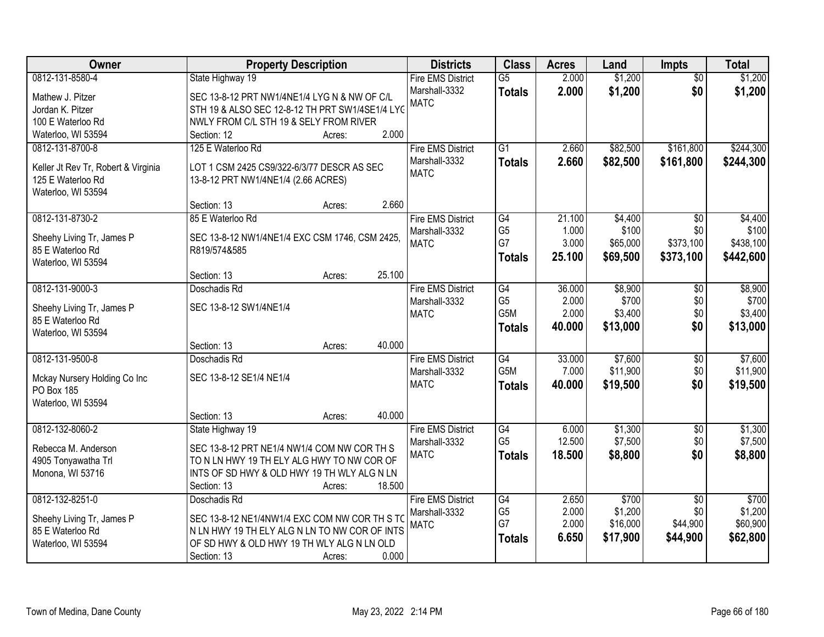| <b>Owner</b>                                             | <b>Property Description</b>                         | <b>Districts</b>             | <b>Class</b>          | <b>Acres</b>   | Land             | <b>Impts</b>    | <b>Total</b>     |
|----------------------------------------------------------|-----------------------------------------------------|------------------------------|-----------------------|----------------|------------------|-----------------|------------------|
| 0812-131-8580-4                                          | State Highway 19                                    | <b>Fire EMS District</b>     | $\overline{G5}$       | 2.000          | \$1,200          | $\overline{50}$ | \$1,200          |
| Mathew J. Pitzer                                         | SEC 13-8-12 PRT NW1/4NE1/4 LYG N & NW OF C/L        | Marshall-3332                | <b>Totals</b>         | 2.000          | \$1,200          | \$0             | \$1,200          |
| Jordan K. Pitzer                                         | STH 19 & ALSO SEC 12-8-12 TH PRT SW1/4SE1/4 LYG     | <b>MATC</b>                  |                       |                |                  |                 |                  |
| 100 E Waterloo Rd                                        | NWLY FROM C/L STH 19 & SELY FROM RIVER              |                              |                       |                |                  |                 |                  |
| Waterloo, WI 53594                                       | 2.000<br>Section: 12<br>Acres:                      |                              |                       |                |                  |                 |                  |
| 0812-131-8700-8                                          | 125 E Waterloo Rd                                   | <b>Fire EMS District</b>     | $\overline{G1}$       | 2.660          | \$82,500         | \$161,800       | \$244,300        |
|                                                          |                                                     | Marshall-3332                | <b>Totals</b>         | 2.660          | \$82,500         | \$161,800       | \$244,300        |
| Keller Jt Rev Tr, Robert & Virginia<br>125 E Waterloo Rd | LOT 1 CSM 2425 CS9/322-6/3/77 DESCR AS SEC          | <b>MATC</b>                  |                       |                |                  |                 |                  |
| Waterloo, WI 53594                                       | 13-8-12 PRT NW1/4NE1/4 (2.66 ACRES)                 |                              |                       |                |                  |                 |                  |
|                                                          | 2.660<br>Section: 13<br>Acres:                      |                              |                       |                |                  |                 |                  |
| 0812-131-8730-2                                          | 85 E Waterloo Rd                                    | <b>Fire EMS District</b>     | $\overline{G4}$       | 21.100         | \$4,400          | \$0             | \$4,400          |
|                                                          |                                                     | Marshall-3332                | G <sub>5</sub>        | 1.000          | \$100            | \$0             | \$100            |
| Sheehy Living Tr, James P                                | SEC 13-8-12 NW1/4NE1/4 EXC CSM 1746, CSM 2425,      | <b>MATC</b>                  | G7                    | 3.000          | \$65,000         | \$373,100       | \$438,100        |
| 85 E Waterloo Rd                                         | R819/574&585                                        |                              | <b>Totals</b>         | 25.100         | \$69,500         | \$373,100       | \$442,600        |
| Waterloo, WI 53594                                       |                                                     |                              |                       |                |                  |                 |                  |
|                                                          | 25.100<br>Section: 13<br>Acres:                     |                              |                       |                |                  |                 |                  |
| 0812-131-9000-3                                          | Doschadis Rd                                        | <b>Fire EMS District</b>     | $\overline{G4}$       | 36.000         | \$8,900          | \$0             | \$8,900          |
| Sheehy Living Tr, James P                                | SEC 13-8-12 SW1/4NE1/4                              | Marshall-3332<br><b>MATC</b> | G <sub>5</sub><br>G5M | 2.000<br>2.000 | \$700<br>\$3,400 | \$0<br>\$0      | \$700<br>\$3,400 |
| 85 E Waterloo Rd                                         |                                                     |                              |                       | 40.000         |                  | \$0             |                  |
| Waterloo, WI 53594                                       |                                                     |                              | <b>Totals</b>         |                | \$13,000         |                 | \$13,000         |
|                                                          | 40.000<br>Section: 13<br>Acres:                     |                              |                       |                |                  |                 |                  |
| 0812-131-9500-8                                          | Doschadis Rd                                        | <b>Fire EMS District</b>     | G4                    | 33.000         | \$7,600          | $\overline{50}$ | \$7,600          |
| Mckay Nursery Holding Co Inc                             | SEC 13-8-12 SE1/4 NE1/4                             | Marshall-3332                | G <sub>5</sub> M      | 7.000          | \$11,900         | \$0             | \$11,900         |
| PO Box 185                                               |                                                     | <b>MATC</b>                  | <b>Totals</b>         | 40.000         | \$19,500         | \$0             | \$19,500         |
| Waterloo, WI 53594                                       |                                                     |                              |                       |                |                  |                 |                  |
|                                                          | 40.000<br>Section: 13<br>Acres:                     |                              |                       |                |                  |                 |                  |
| 0812-132-8060-2                                          | State Highway 19                                    | <b>Fire EMS District</b>     | G4                    | 6.000          | \$1,300          | $\sqrt{6}$      | \$1,300          |
| Rebecca M. Anderson                                      | SEC 13-8-12 PRT NE1/4 NW1/4 COM NW COR TH S         | Marshall-3332                | G <sub>5</sub>        | 12.500         | \$7,500          | \$0             | \$7,500          |
| 4905 Tonyawatha Trl                                      | TO N LN HWY 19 TH ELY ALG HWY TO NW COR OF          | <b>MATC</b>                  | <b>Totals</b>         | 18.500         | \$8,800          | \$0             | \$8,800          |
| Monona, WI 53716                                         | INTS OF SD HWY & OLD HWY 19 TH WLY ALG N LN         |                              |                       |                |                  |                 |                  |
|                                                          | 18.500<br>Section: 13<br>Acres:                     |                              |                       |                |                  |                 |                  |
| 0812-132-8251-0                                          | Doschadis Rd                                        | <b>Fire EMS District</b>     | G4                    | 2.650          | \$700            | $\overline{30}$ | \$700            |
|                                                          |                                                     | Marshall-3332                | G <sub>5</sub>        | 2.000          | \$1,200          | \$0             | \$1,200          |
| Sheehy Living Tr, James P                                | SEC 13-8-12 NE1/4NW1/4 EXC COM NW COR TH S TO       | <b>MATC</b>                  | G7                    | 2.000          | \$16,000         | \$44,900        | \$60,900         |
| 85 E Waterloo Rd                                         | N LN HWY 19 TH ELY ALG N LN TO NW COR OF INTS       |                              | <b>Totals</b>         | 6.650          | \$17,900         | \$44,900        | \$62,800         |
| Waterloo, WI 53594                                       | OF SD HWY & OLD HWY 19 TH WLY ALG N LN OLD<br>0.000 |                              |                       |                |                  |                 |                  |
|                                                          | Section: 13<br>Acres:                               |                              |                       |                |                  |                 |                  |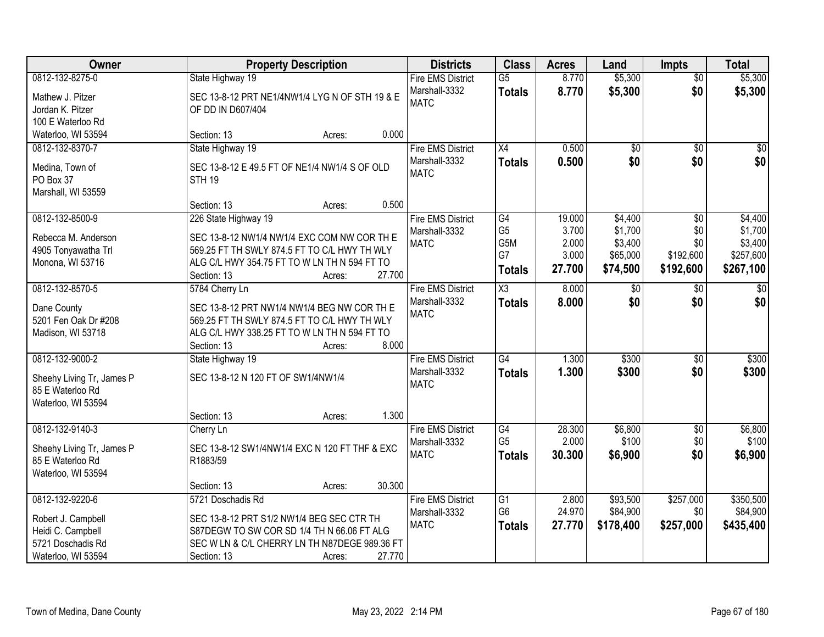| Owner                                | <b>Property Description</b>                                         |                  | <b>Districts</b>             | <b>Class</b>    | <b>Acres</b> | Land            | <b>Impts</b>    | <b>Total</b> |
|--------------------------------------|---------------------------------------------------------------------|------------------|------------------------------|-----------------|--------------|-----------------|-----------------|--------------|
| 0812-132-8275-0                      | State Highway 19                                                    |                  | <b>Fire EMS District</b>     | $\overline{G5}$ | 8.770        | \$5,300         | $\overline{50}$ | \$5,300      |
| Mathew J. Pitzer<br>Jordan K. Pitzer | SEC 13-8-12 PRT NE1/4NW1/4 LYG N OF STH 19 & E<br>OF DD IN D607/404 |                  | Marshall-3332<br><b>MATC</b> | <b>Totals</b>   | 8.770        | \$5,300         | \$0             | \$5,300      |
| 100 E Waterloo Rd                    |                                                                     |                  |                              |                 |              |                 |                 |              |
| Waterloo, WI 53594                   | Section: 13                                                         | 0.000<br>Acres:  |                              |                 |              |                 |                 |              |
| 0812-132-8370-7                      | State Highway 19                                                    |                  | <b>Fire EMS District</b>     | X4              | 0.500        | $\overline{50}$ | $\overline{50}$ | \$0          |
| Medina, Town of                      | SEC 13-8-12 E 49.5 FT OF NE1/4 NW1/4 S OF OLD                       |                  | Marshall-3332                | <b>Totals</b>   | 0.500        | \$0             | \$0             | \$0          |
| PO Box 37                            | <b>STH 19</b>                                                       |                  | <b>MATC</b>                  |                 |              |                 |                 |              |
| Marshall, WI 53559                   |                                                                     |                  |                              |                 |              |                 |                 |              |
|                                      | Section: 13                                                         | Acres:           | 0.500                        |                 |              |                 |                 |              |
| 0812-132-8500-9                      | 226 State Highway 19                                                |                  | <b>Fire EMS District</b>     | G4              | 19.000       | \$4,400         | \$0             | \$4,400      |
| Rebecca M. Anderson                  | SEC 13-8-12 NW1/4 NW1/4 EXC COM NW COR TH E                         |                  | Marshall-3332                | G <sub>5</sub>  | 3.700        | \$1,700         | \$0             | \$1,700      |
| 4905 Tonyawatha Trl                  | 569.25 FT TH SWLY 874.5 FT TO C/L HWY TH WLY                        |                  | <b>MATC</b>                  | G5M             | 2.000        | \$3,400         | \$0             | \$3,400      |
| Monona, WI 53716                     | ALG C/L HWY 354.75 FT TO W LN TH N 594 FT TO                        |                  |                              | G7              | 3.000        | \$65,000        | \$192,600       | \$257,600    |
|                                      | Section: 13                                                         | 27.700<br>Acres: |                              | <b>Totals</b>   | 27.700       | \$74,500        | \$192,600       | \$267,100    |
| 0812-132-8570-5                      | 5784 Cherry Ln                                                      |                  | <b>Fire EMS District</b>     | X3              | 8.000        | \$0             | \$0             | $\sqrt{50}$  |
|                                      |                                                                     |                  | Marshall-3332                | <b>Totals</b>   | 8.000        | \$0             | \$0             | \$0          |
| Dane County                          | SEC 13-8-12 PRT NW1/4 NW1/4 BEG NW COR TH E                         |                  | <b>MATC</b>                  |                 |              |                 |                 |              |
| 5201 Fen Oak Dr #208                 | 569.25 FT TH SWLY 874.5 FT TO C/L HWY TH WLY                        |                  |                              |                 |              |                 |                 |              |
| Madison, WI 53718                    | ALG C/L HWY 338.25 FT TO W LN TH N 594 FT TO<br>Section: 13         | 8.000            |                              |                 |              |                 |                 |              |
| 0812-132-9000-2                      | State Highway 19                                                    | Acres:           | <b>Fire EMS District</b>     | G4              | 1.300        | \$300           | $\overline{50}$ | \$300        |
|                                      |                                                                     |                  | Marshall-3332                |                 | 1.300        | \$300           | \$0             | \$300        |
| Sheehy Living Tr, James P            | SEC 13-8-12 N 120 FT OF SW1/4NW1/4                                  |                  | <b>MATC</b>                  | Totals          |              |                 |                 |              |
| 85 E Waterloo Rd                     |                                                                     |                  |                              |                 |              |                 |                 |              |
| Waterloo, WI 53594                   |                                                                     |                  |                              |                 |              |                 |                 |              |
|                                      | Section: 13                                                         | Acres:           | 1.300                        |                 |              |                 |                 |              |
| 0812-132-9140-3                      | Cherry Ln                                                           |                  | <b>Fire EMS District</b>     | G4              | 28.300       | \$6,800         | $\sqrt{6}$      | \$6,800      |
| Sheehy Living Tr, James P            | SEC 13-8-12 SW1/4NW1/4 EXC N 120 FT THF & EXC                       |                  | Marshall-3332                | G <sub>5</sub>  | 2.000        | \$100           | \$0             | \$100        |
| 85 E Waterloo Rd                     | R1883/59                                                            |                  | <b>MATC</b>                  | <b>Totals</b>   | 30.300       | \$6,900         | \$0             | \$6,900      |
| Waterloo, WI 53594                   |                                                                     |                  |                              |                 |              |                 |                 |              |
|                                      | Section: 13                                                         | 30.300<br>Acres: |                              |                 |              |                 |                 |              |
| 0812-132-9220-6                      | 5721 Doschadis Rd                                                   |                  | <b>Fire EMS District</b>     | G1              | 2.800        | \$93,500        | \$257,000       | \$350,500    |
| Robert J. Campbell                   | SEC 13-8-12 PRT S1/2 NW1/4 BEG SEC CTR TH                           |                  | Marshall-3332                | G <sub>6</sub>  | 24.970       | \$84,900        | \$0             | \$84,900     |
| Heidi C. Campbell                    | S87DEGW TO SW COR SD 1/4 TH N 66.06 FT ALG                          |                  | <b>MATC</b>                  | <b>Totals</b>   | 27.770       | \$178,400       | \$257,000       | \$435,400    |
| 5721 Doschadis Rd                    | SEC W LN & C/L CHERRY LN TH N87DEGE 989.36 FT                       |                  |                              |                 |              |                 |                 |              |
| Waterloo, WI 53594                   | Section: 13                                                         | 27.770<br>Acres: |                              |                 |              |                 |                 |              |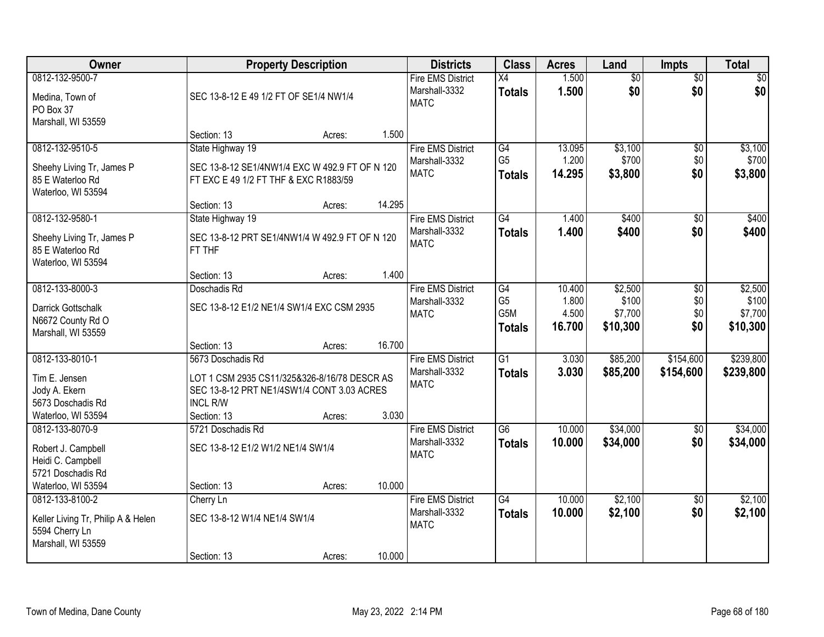| Owner                                                                      |                                                                                         | <b>Property Description</b> |        | <b>Districts</b>                                         | <b>Class</b>                    | <b>Acres</b>    | Land                   | <b>Impts</b>           | <b>Total</b>     |
|----------------------------------------------------------------------------|-----------------------------------------------------------------------------------------|-----------------------------|--------|----------------------------------------------------------|---------------------------------|-----------------|------------------------|------------------------|------------------|
| 0812-132-9500-7<br>Medina, Town of<br>PO Box 37<br>Marshall, WI 53559      | SEC 13-8-12 E 49 1/2 FT OF SE1/4 NW1/4                                                  |                             |        | <b>Fire EMS District</b><br>Marshall-3332<br><b>MATC</b> | X4<br><b>Totals</b>             | 1.500<br>1.500  | $\overline{50}$<br>\$0 | $\overline{50}$<br>\$0 | \$0<br>\$0       |
|                                                                            | Section: 13                                                                             | Acres:                      | 1.500  |                                                          |                                 |                 |                        |                        |                  |
| 0812-132-9510-5                                                            | State Highway 19                                                                        |                             |        | Fire EMS District                                        | G4                              | 13.095          | \$3,100                | $\overline{50}$        | \$3,100          |
| Sheehy Living Tr, James P<br>85 E Waterloo Rd<br>Waterloo, WI 53594        | SEC 13-8-12 SE1/4NW1/4 EXC W 492.9 FT OF N 120<br>FT EXC E 49 1/2 FT THF & EXC R1883/59 |                             |        | Marshall-3332<br><b>MATC</b>                             | G <sub>5</sub><br><b>Totals</b> | 1.200<br>14.295 | \$700<br>\$3,800       | \$0<br>\$0             | \$700<br>\$3,800 |
|                                                                            | Section: 13                                                                             | Acres:                      | 14.295 |                                                          |                                 |                 |                        |                        |                  |
| 0812-132-9580-1                                                            | State Highway 19                                                                        |                             |        | <b>Fire EMS District</b>                                 | G4                              | 1.400           | \$400                  | \$0                    | \$400            |
| Sheehy Living Tr, James P<br>85 E Waterloo Rd<br>Waterloo, WI 53594        | SEC 13-8-12 PRT SE1/4NW1/4 W 492.9 FT OF N 120<br>FT THF                                |                             |        | Marshall-3332<br><b>MATC</b>                             | <b>Totals</b>                   | 1.400           | \$400                  | \$0                    | \$400            |
|                                                                            | Section: 13                                                                             | Acres:                      | 1.400  |                                                          |                                 |                 |                        |                        |                  |
| 0812-133-8000-3                                                            | Doschadis Rd                                                                            |                             |        | <b>Fire EMS District</b>                                 | G4                              | 10.400          | \$2,500                | \$0                    | \$2,500          |
| Darrick Gottschalk                                                         | SEC 13-8-12 E1/2 NE1/4 SW1/4 EXC CSM 2935                                               |                             |        | Marshall-3332                                            | G <sub>5</sub>                  | 1.800           | \$100                  | \$0                    | \$100            |
| N6672 County Rd O                                                          |                                                                                         |                             |        | <b>MATC</b>                                              | G5M                             | 4.500           | \$7,700                | \$0<br>\$0             | \$7,700          |
| Marshall, WI 53559                                                         |                                                                                         |                             |        |                                                          | <b>Totals</b>                   | 16.700          | \$10,300               |                        | \$10,300         |
|                                                                            | Section: 13                                                                             | Acres:                      | 16.700 |                                                          |                                 |                 |                        |                        |                  |
| 0812-133-8010-1                                                            | 5673 Doschadis Rd                                                                       |                             |        | <b>Fire EMS District</b>                                 | $\overline{G1}$                 | 3.030           | \$85,200               | \$154,600              | \$239,800        |
| Tim E. Jensen                                                              | LOT 1 CSM 2935 CS11/325&326-8/16/78 DESCR AS                                            |                             |        | Marshall-3332<br><b>MATC</b>                             | <b>Totals</b>                   | 3.030           | \$85,200               | \$154,600              | \$239,800        |
| Jody A. Ekern                                                              | SEC 13-8-12 PRT NE1/4SW1/4 CONT 3.03 ACRES                                              |                             |        |                                                          |                                 |                 |                        |                        |                  |
| 5673 Doschadis Rd                                                          | <b>INCL R/W</b>                                                                         |                             |        |                                                          |                                 |                 |                        |                        |                  |
| Waterloo, WI 53594                                                         | Section: 13                                                                             | Acres:                      | 3.030  |                                                          |                                 |                 |                        |                        |                  |
| 0812-133-8070-9                                                            | 5721 Doschadis Rd                                                                       |                             |        | <b>Fire EMS District</b>                                 | $\overline{G6}$                 | 10.000          | \$34,000               | $\sqrt{6}$             | \$34,000         |
| Robert J. Campbell                                                         | SEC 13-8-12 E1/2 W1/2 NE1/4 SW1/4                                                       |                             |        | Marshall-3332                                            | <b>Totals</b>                   | 10.000          | \$34,000               | \$0                    | \$34,000         |
| Heidi C. Campbell                                                          |                                                                                         |                             |        | <b>MATC</b>                                              |                                 |                 |                        |                        |                  |
| 5721 Doschadis Rd                                                          |                                                                                         |                             |        |                                                          |                                 |                 |                        |                        |                  |
| Waterloo, WI 53594                                                         | Section: 13                                                                             | Acres:                      | 10.000 |                                                          |                                 |                 |                        |                        |                  |
| 0812-133-8100-2                                                            | Cherry Ln                                                                               |                             |        | <b>Fire EMS District</b>                                 | $\overline{G4}$                 | 10.000          | \$2,100                | $\overline{50}$        | \$2,100          |
| Keller Living Tr, Philip A & Helen<br>5594 Cherry Ln<br>Marshall, WI 53559 | SEC 13-8-12 W1/4 NE1/4 SW1/4                                                            |                             |        | Marshall-3332<br><b>MATC</b>                             | <b>Totals</b>                   | 10.000          | \$2,100                | \$0                    | \$2,100          |
|                                                                            | Section: 13                                                                             | Acres:                      | 10.000 |                                                          |                                 |                 |                        |                        |                  |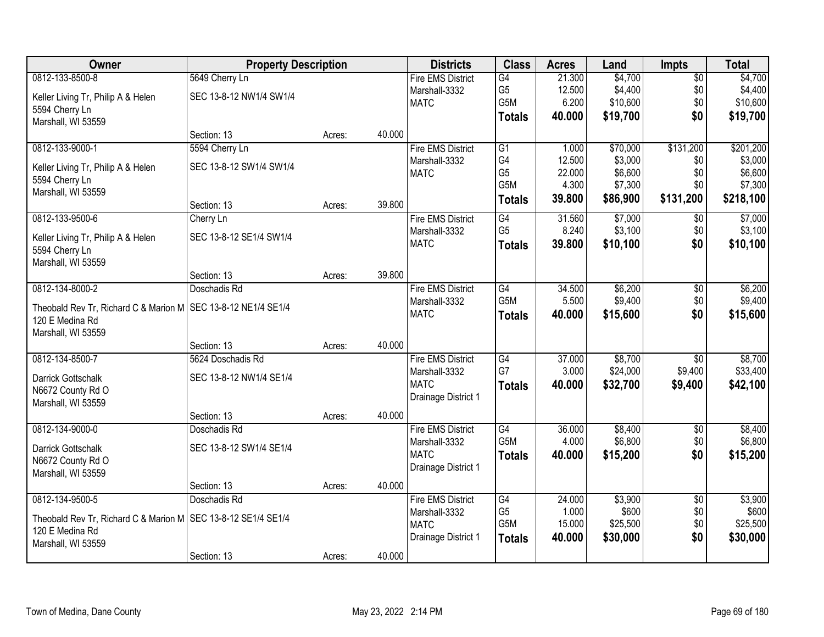| <b>Owner</b>                                                  | <b>Property Description</b> |        |        | <b>Districts</b>         | <b>Class</b>    | <b>Acres</b> | Land     | <b>Impts</b>    | <b>Total</b> |
|---------------------------------------------------------------|-----------------------------|--------|--------|--------------------------|-----------------|--------------|----------|-----------------|--------------|
| 0812-133-8500-8                                               | 5649 Cherry Ln              |        |        | <b>Fire EMS District</b> | G4              | 21.300       | \$4,700  | $\overline{60}$ | \$4,700      |
| Keller Living Tr, Philip A & Helen                            | SEC 13-8-12 NW1/4 SW1/4     |        |        | Marshall-3332            | G <sub>5</sub>  | 12.500       | \$4,400  | \$0             | \$4,400      |
| 5594 Cherry Ln                                                |                             |        |        | <b>MATC</b>              | G5M             | 6.200        | \$10,600 | \$0             | \$10,600     |
| Marshall, WI 53559                                            |                             |        |        |                          | <b>Totals</b>   | 40.000       | \$19,700 | \$0             | \$19,700     |
|                                                               | Section: 13                 | Acres: | 40.000 |                          |                 |              |          |                 |              |
| 0812-133-9000-1                                               | 5594 Cherry Ln              |        |        | <b>Fire EMS District</b> | $\overline{G1}$ | 1.000        | \$70,000 | \$131,200       | \$201,200    |
| Keller Living Tr, Philip A & Helen                            | SEC 13-8-12 SW1/4 SW1/4     |        |        | Marshall-3332            | G4              | 12.500       | \$3,000  | \$0             | \$3,000      |
| 5594 Cherry Ln                                                |                             |        |        | <b>MATC</b>              | G <sub>5</sub>  | 22.000       | \$6,600  | \$0             | \$6,600      |
| Marshall, WI 53559                                            |                             |        |        |                          | G5M             | 4.300        | \$7,300  | \$0             | \$7,300      |
|                                                               | Section: 13                 | Acres: | 39.800 |                          | <b>Totals</b>   | 39.800       | \$86,900 | \$131,200       | \$218,100    |
| 0812-133-9500-6                                               | Cherry Ln                   |        |        | <b>Fire EMS District</b> | G4              | 31.560       | \$7,000  | $\sqrt[6]{30}$  | \$7,000      |
| Keller Living Tr, Philip A & Helen                            | SEC 13-8-12 SE1/4 SW1/4     |        |        | Marshall-3332            | G <sub>5</sub>  | 8.240        | \$3,100  | \$0             | \$3,100      |
| 5594 Cherry Ln                                                |                             |        |        | <b>MATC</b>              | <b>Totals</b>   | 39.800       | \$10,100 | \$0             | \$10,100     |
| Marshall, WI 53559                                            |                             |        |        |                          |                 |              |          |                 |              |
|                                                               | Section: 13                 | Acres: | 39.800 |                          |                 |              |          |                 |              |
| 0812-134-8000-2                                               | Doschadis Rd                |        |        | <b>Fire EMS District</b> | G4              | 34.500       | \$6,200  | \$0             | \$6,200      |
| Theobald Rev Tr, Richard C & Marion M SEC 13-8-12 NE1/4 SE1/4 |                             |        |        | Marshall-3332            | G5M             | 5.500        | \$9,400  | \$0             | \$9,400      |
| 120 E Medina Rd                                               |                             |        |        | <b>MATC</b>              | <b>Totals</b>   | 40.000       | \$15,600 | \$0             | \$15,600     |
| Marshall, WI 53559                                            |                             |        |        |                          |                 |              |          |                 |              |
|                                                               | Section: 13                 | Acres: | 40.000 |                          |                 |              |          |                 |              |
| 0812-134-8500-7                                               | 5624 Doschadis Rd           |        |        | <b>Fire EMS District</b> | $\overline{G4}$ | 37.000       | \$8,700  | $\overline{50}$ | \$8,700      |
| Darrick Gottschalk                                            | SEC 13-8-12 NW1/4 SE1/4     |        |        | Marshall-3332            | G7              | 3.000        | \$24,000 | \$9,400         | \$33,400     |
| N6672 County Rd O                                             |                             |        |        | <b>MATC</b>              | <b>Totals</b>   | 40.000       | \$32,700 | \$9,400         | \$42,100     |
| Marshall, WI 53559                                            |                             |        |        | Drainage District 1      |                 |              |          |                 |              |
|                                                               | Section: 13                 | Acres: | 40.000 |                          |                 |              |          |                 |              |
| 0812-134-9000-0                                               | Doschadis Rd                |        |        | <b>Fire EMS District</b> | G4              | 36.000       | \$8,400  | $\overline{60}$ | \$8,400      |
| Darrick Gottschalk                                            | SEC 13-8-12 SW1/4 SE1/4     |        |        | Marshall-3332            | G5M             | 4.000        | \$6,800  | \$0             | \$6,800      |
| N6672 County Rd O                                             |                             |        |        | <b>MATC</b>              | <b>Totals</b>   | 40.000       | \$15,200 | \$0             | \$15,200     |
| Marshall, WI 53559                                            |                             |        |        | Drainage District 1      |                 |              |          |                 |              |
|                                                               | Section: 13                 | Acres: | 40.000 |                          |                 |              |          |                 |              |
| 0812-134-9500-5                                               | Doschadis Rd                |        |        | <b>Fire EMS District</b> | G4              | 24.000       | \$3,900  | $\overline{50}$ | \$3,900      |
| Theobald Rev Tr, Richard C & Marion M SEC 13-8-12 SE1/4 SE1/4 |                             |        |        | Marshall-3332            | G <sub>5</sub>  | 1.000        | \$600    | \$0             | \$600        |
| 120 E Medina Rd                                               |                             |        |        | <b>MATC</b>              | G5M             | 15.000       | \$25,500 | \$0             | \$25,500     |
| Marshall, WI 53559                                            |                             |        |        | Drainage District 1      | <b>Totals</b>   | 40.000       | \$30,000 | \$0             | \$30,000     |
|                                                               | Section: 13                 | Acres: | 40.000 |                          |                 |              |          |                 |              |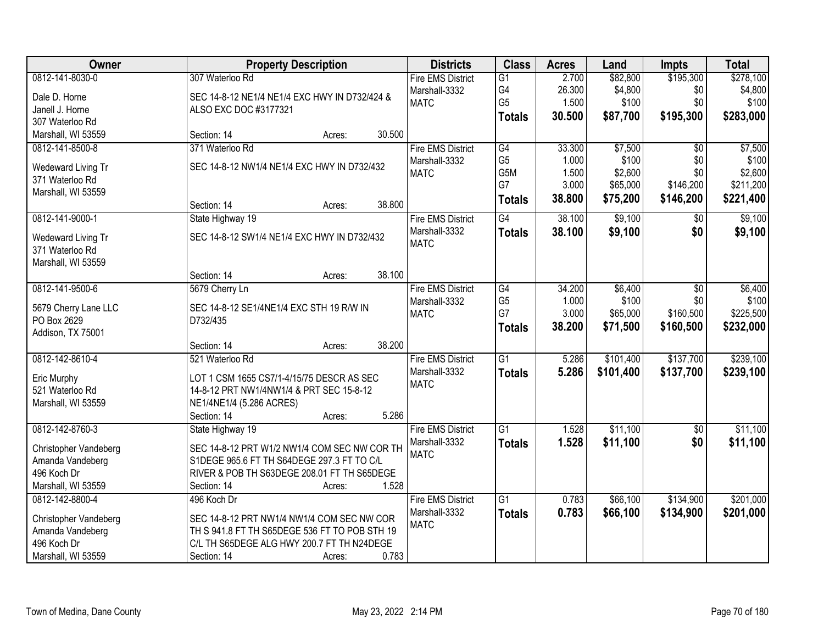| <b>Owner</b>                          | <b>Property Description</b>                   | <b>Districts</b>                          | <b>Class</b>          | <b>Acres</b>    | Land                | <b>Impts</b>     | <b>Total</b>         |
|---------------------------------------|-----------------------------------------------|-------------------------------------------|-----------------------|-----------------|---------------------|------------------|----------------------|
| 0812-141-8030-0                       | 307 Waterloo Rd                               | <b>Fire EMS District</b><br>Marshall-3332 | $\overline{G1}$<br>G4 | 2.700<br>26.300 | \$82,800<br>\$4,800 | \$195,300<br>\$0 | \$278,100<br>\$4,800 |
| Dale D. Horne                         | SEC 14-8-12 NE1/4 NE1/4 EXC HWY IN D732/424 & | <b>MATC</b>                               | G <sub>5</sub>        | 1.500           | \$100               | \$0              | \$100                |
| Janell J. Horne                       | ALSO EXC DOC #3177321                         |                                           | <b>Totals</b>         | 30.500          | \$87,700            | \$195,300        | \$283,000            |
| 307 Waterloo Rd                       |                                               |                                           |                       |                 |                     |                  |                      |
| Marshall, WI 53559                    | 30.500<br>Section: 14<br>Acres:               |                                           |                       |                 |                     |                  |                      |
| 0812-141-8500-8                       | 371 Waterloo Rd                               | <b>Fire EMS District</b>                  | G4                    | 33.300          | \$7,500             | $\overline{50}$  | \$7,500              |
| Wedeward Living Tr                    | SEC 14-8-12 NW1/4 NE1/4 EXC HWY IN D732/432   | Marshall-3332                             | G <sub>5</sub>        | 1.000           | \$100               | \$0              | \$100                |
| 371 Waterloo Rd                       |                                               | <b>MATC</b>                               | G5M                   | 1.500           | \$2,600             | \$0              | \$2,600              |
| Marshall, WI 53559                    |                                               |                                           | G7                    | 3.000           | \$65,000            | \$146,200        | \$211,200            |
|                                       | 38.800<br>Section: 14<br>Acres:               |                                           | <b>Totals</b>         | 38.800          | \$75,200            | \$146,200        | \$221,400            |
| 0812-141-9000-1                       | State Highway 19                              | <b>Fire EMS District</b>                  | G4                    | 38.100          | \$9,100             | \$0              | \$9,100              |
| Wedeward Living Tr<br>371 Waterloo Rd | SEC 14-8-12 SW1/4 NE1/4 EXC HWY IN D732/432   | Marshall-3332<br><b>MATC</b>              | <b>Totals</b>         | 38.100          | \$9,100             | \$0              | \$9,100              |
| Marshall, WI 53559                    |                                               |                                           |                       |                 |                     |                  |                      |
|                                       | 38.100<br>Section: 14<br>Acres:               |                                           |                       |                 |                     |                  |                      |
| 0812-141-9500-6                       | 5679 Cherry Ln                                | <b>Fire EMS District</b>                  | G4                    | 34.200          | \$6,400             | \$0              | \$6,400              |
| 5679 Cherry Lane LLC                  | SEC 14-8-12 SE1/4NE1/4 EXC STH 19 R/W IN      | Marshall-3332                             | G <sub>5</sub><br>G7  | 1.000<br>3.000  | \$100               | \$0<br>\$160,500 | \$100                |
| PO Box 2629                           | D732/435                                      | <b>MATC</b>                               |                       |                 | \$65,000            |                  | \$225,500            |
| Addison, TX 75001                     |                                               |                                           | <b>Totals</b>         | 38.200          | \$71,500            | \$160,500        | \$232,000            |
|                                       | 38.200<br>Section: 14<br>Acres:               |                                           |                       |                 |                     |                  |                      |
| 0812-142-8610-4                       | 521 Waterloo Rd                               | <b>Fire EMS District</b>                  | $\overline{G1}$       | 5.286           | \$101,400           | \$137,700        | \$239,100            |
| Eric Murphy                           | LOT 1 CSM 1655 CS7/1-4/15/75 DESCR AS SEC     | Marshall-3332                             | <b>Totals</b>         | 5.286           | \$101,400           | \$137,700        | \$239,100            |
| 521 Waterloo Rd                       | 14-8-12 PRT NW1/4NW1/4 & PRT SEC 15-8-12      | <b>MATC</b>                               |                       |                 |                     |                  |                      |
| Marshall, WI 53559                    | NE1/4NE1/4 (5.286 ACRES)                      |                                           |                       |                 |                     |                  |                      |
|                                       | 5.286<br>Section: 14<br>Acres:                |                                           |                       |                 |                     |                  |                      |
| 0812-142-8760-3                       | State Highway 19                              | <b>Fire EMS District</b>                  | $\overline{G1}$       | 1.528           | \$11,100            | $\overline{60}$  | \$11,100             |
| Christopher Vandeberg                 | SEC 14-8-12 PRT W1/2 NW1/4 COM SEC NW COR TH  | Marshall-3332                             | <b>Totals</b>         | 1.528           | \$11,100            | \$0              | \$11,100             |
| Amanda Vandeberg                      | S1DEGE 965.6 FT TH S64DEGE 297.3 FT TO C/L    | <b>MATC</b>                               |                       |                 |                     |                  |                      |
| 496 Koch Dr                           | RIVER & POB TH S63DEGE 208.01 FT TH S65DEGE   |                                           |                       |                 |                     |                  |                      |
| Marshall, WI 53559                    | 1.528<br>Section: 14<br>Acres:                |                                           |                       |                 |                     |                  |                      |
| 0812-142-8800-4                       | 496 Koch Dr                                   | <b>Fire EMS District</b>                  | $\overline{G1}$       | 0.783           | \$66,100            | \$134,900        | \$201,000            |
|                                       |                                               | Marshall-3332                             | <b>Totals</b>         | 0.783           | \$66,100            | \$134,900        | \$201,000            |
| Christopher Vandeberg                 | SEC 14-8-12 PRT NW1/4 NW1/4 COM SEC NW COR    | <b>MATC</b>                               |                       |                 |                     |                  |                      |
| Amanda Vandeberg                      | TH S 941.8 FT TH S65DEGE 536 FT TO POB STH 19 |                                           |                       |                 |                     |                  |                      |
| 496 Koch Dr                           | C/L TH S65DEGE ALG HWY 200.7 FT TH N24DEGE    |                                           |                       |                 |                     |                  |                      |
| Marshall, WI 53559                    | 0.783<br>Section: 14<br>Acres:                |                                           |                       |                 |                     |                  |                      |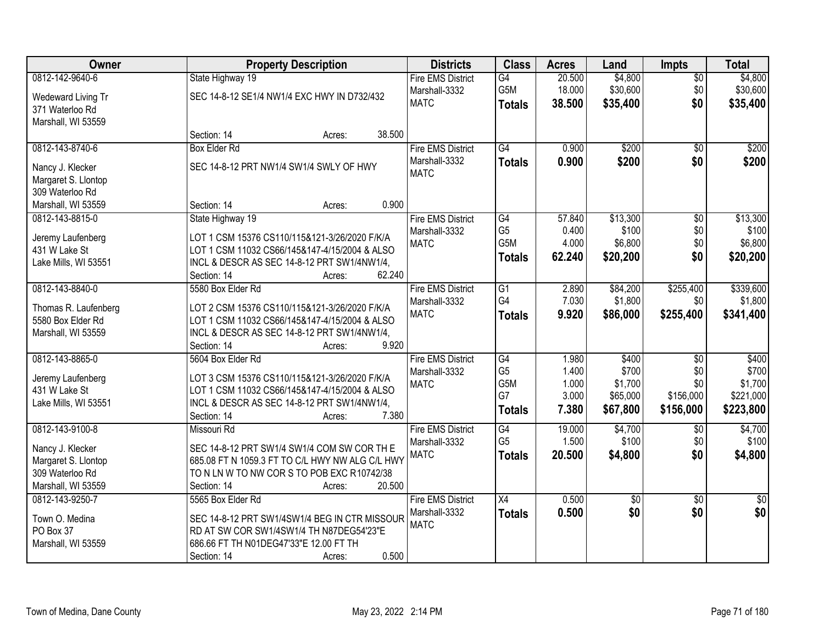| Owner                                                      | <b>Property Description</b>                                                                  | <b>Districts</b>                          | <b>Class</b>         | <b>Acres</b>     | Land                | <b>Impts</b>       | <b>Total</b>        |
|------------------------------------------------------------|----------------------------------------------------------------------------------------------|-------------------------------------------|----------------------|------------------|---------------------|--------------------|---------------------|
| 0812-142-9640-6<br>Wedeward Living Tr                      | State Highway 19<br>SEC 14-8-12 SE1/4 NW1/4 EXC HWY IN D732/432                              | <b>Fire EMS District</b><br>Marshall-3332 | G4<br>G5M            | 20.500<br>18.000 | \$4,800<br>\$30,600 | $\sqrt{$0}$<br>\$0 | \$4,800<br>\$30,600 |
| 371 Waterloo Rd<br>Marshall, WI 53559                      |                                                                                              | <b>MATC</b>                               | <b>Totals</b>        | 38.500           | \$35,400            | \$0                | \$35,400            |
|                                                            | 38.500<br>Section: 14<br>Acres:                                                              |                                           |                      |                  |                     |                    |                     |
| 0812-143-8740-6                                            | <b>Box Elder Rd</b>                                                                          | <b>Fire EMS District</b>                  | $\overline{G4}$      | 0.900            | \$200               | $\overline{50}$    | \$200               |
| Nancy J. Klecker<br>Margaret S. Llontop<br>309 Waterloo Rd | SEC 14-8-12 PRT NW1/4 SW1/4 SWLY OF HWY                                                      | Marshall-3332<br><b>MATC</b>              | <b>Totals</b>        | 0.900            | \$200               | \$0                | \$200               |
| Marshall, WI 53559                                         | 0.900<br>Section: 14<br>Acres:                                                               |                                           |                      |                  |                     |                    |                     |
| 0812-143-8815-0                                            | State Highway 19                                                                             | <b>Fire EMS District</b>                  | G4                   | 57.840           | \$13,300            | $\overline{50}$    | \$13,300            |
|                                                            |                                                                                              | Marshall-3332                             | G <sub>5</sub>       | 0.400            | \$100               | \$0                | \$100               |
| Jeremy Laufenberg                                          | LOT 1 CSM 15376 CS110/115&121-3/26/2020 F/K/A                                                | <b>MATC</b>                               | G5M                  | 4.000            | \$6,800             | \$0                | \$6,800             |
| 431 W Lake St<br>Lake Mills, WI 53551                      | LOT 1 CSM 11032 CS66/145&147-4/15/2004 & ALSO<br>INCL & DESCR AS SEC 14-8-12 PRT SW1/4NW1/4, |                                           | <b>Totals</b>        | 62.240           | \$20,200            | \$0                | \$20,200            |
|                                                            | 62.240<br>Section: 14<br>Acres:                                                              |                                           |                      |                  |                     |                    |                     |
| 0812-143-8840-0                                            | 5580 Box Elder Rd                                                                            | <b>Fire EMS District</b>                  | $\overline{G1}$      | 2.890            | \$84,200            | \$255,400          | \$339,600           |
|                                                            |                                                                                              | Marshall-3332                             | G4                   | 7.030            | \$1,800             | \$0                | \$1,800             |
| Thomas R. Laufenberg                                       | LOT 2 CSM 15376 CS110/115&121-3/26/2020 F/K/A                                                | <b>MATC</b>                               | <b>Totals</b>        | 9.920            | \$86,000            | \$255,400          | \$341,400           |
| 5580 Box Elder Rd                                          | LOT 1 CSM 11032 CS66/145&147-4/15/2004 & ALSO                                                |                                           |                      |                  |                     |                    |                     |
| Marshall, WI 53559                                         | INCL & DESCR AS SEC 14-8-12 PRT SW1/4NW1/4,<br>9.920<br>Section: 14                          |                                           |                      |                  |                     |                    |                     |
| 0812-143-8865-0                                            | Acres:<br>5604 Box Elder Rd                                                                  | <b>Fire EMS District</b>                  | $\overline{G4}$      | 1.980            | \$400               | $\overline{50}$    | \$400               |
|                                                            |                                                                                              | Marshall-3332                             | G <sub>5</sub>       | 1.400            | \$700               | \$0                | \$700               |
| Jeremy Laufenberg                                          | LOT 3 CSM 15376 CS110/115&121-3/26/2020 F/K/A                                                | <b>MATC</b>                               | G5M                  | 1.000            | \$1,700             | \$0                | \$1,700             |
| 431 W Lake St                                              | LOT 1 CSM 11032 CS66/145&147-4/15/2004 & ALSO                                                |                                           | G7                   | 3.000            | \$65,000            | \$156,000          | \$221,000           |
| Lake Mills, WI 53551                                       | INCL & DESCR AS SEC 14-8-12 PRT SW1/4NW1/4,                                                  |                                           | <b>Totals</b>        | 7.380            | \$67,800            | \$156,000          | \$223,800           |
|                                                            | Section: 14<br>7.380<br>Acres:                                                               |                                           |                      |                  |                     |                    |                     |
| 0812-143-9100-8                                            | Missouri Rd                                                                                  | <b>Fire EMS District</b>                  | G4<br>G <sub>5</sub> | 19.000<br>1.500  | \$4,700<br>\$100    | $\sqrt{6}$<br>\$0  | \$4,700<br>\$100    |
| Nancy J. Klecker                                           | SEC 14-8-12 PRT SW1/4 SW1/4 COM SW COR TH E                                                  | Marshall-3332<br><b>MATC</b>              |                      | 20.500           |                     | \$0                |                     |
| Margaret S. Llontop                                        | 685.08 FT N 1059.3 FT TO C/L HWY NW ALG C/L HWY                                              |                                           | <b>Totals</b>        |                  | \$4,800             |                    | \$4,800             |
| 309 Waterloo Rd                                            | TO N LN W TO NW COR S TO POB EXC R10742/38                                                   |                                           |                      |                  |                     |                    |                     |
| Marshall, WI 53559                                         | 20.500<br>Section: 14<br>Acres:                                                              |                                           |                      |                  |                     |                    |                     |
| 0812-143-9250-7                                            | 5565 Box Elder Rd                                                                            | <b>Fire EMS District</b>                  | X4                   | 0.500            | $\sqrt{$0}$         | $\overline{30}$    | $\overline{50}$     |
| Town O. Medina                                             | SEC 14-8-12 PRT SW1/4SW1/4 BEG IN CTR MISSOUR                                                | Marshall-3332                             | <b>Totals</b>        | 0.500            | \$0                 | \$0                | \$0                 |
| PO Box 37                                                  | RD AT SW COR SW1/4SW1/4 TH N87DEG54'23"E                                                     | <b>MATC</b>                               |                      |                  |                     |                    |                     |
| Marshall, WI 53559                                         | 686.66 FT TH N01DEG47'33"E 12.00 FT TH                                                       |                                           |                      |                  |                     |                    |                     |
|                                                            | 0.500<br>Section: 14<br>Acres:                                                               |                                           |                      |                  |                     |                    |                     |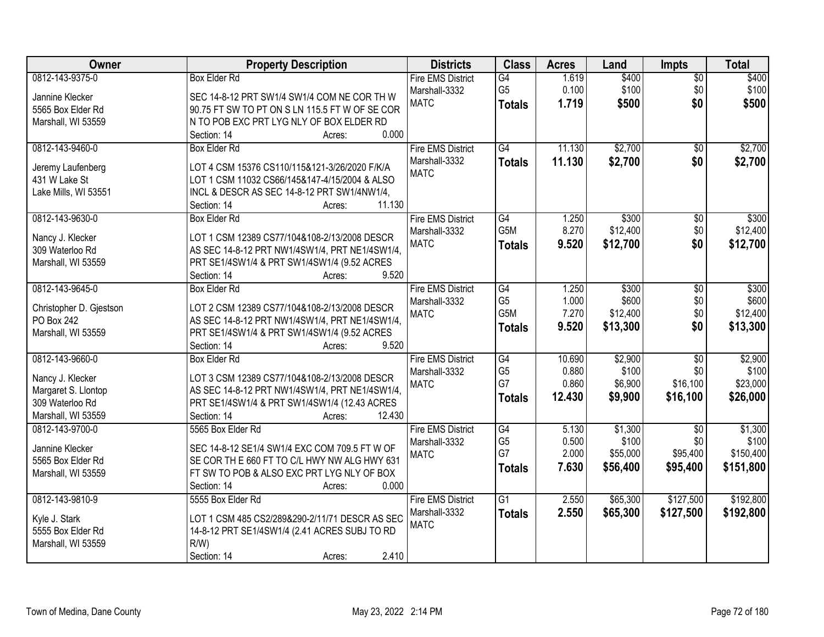| Owner                   | <b>Property Description</b>                    | <b>Districts</b>         | <b>Class</b>     | <b>Acres</b> | Land     | <b>Impts</b>    | <b>Total</b> |
|-------------------------|------------------------------------------------|--------------------------|------------------|--------------|----------|-----------------|--------------|
| 0812-143-9375-0         | <b>Box Elder Rd</b>                            | <b>Fire EMS District</b> | G4               | 1.619        | \$400    | $\overline{50}$ | \$400        |
| Jannine Klecker         | SEC 14-8-12 PRT SW1/4 SW1/4 COM NE COR TH W    | Marshall-3332            | G <sub>5</sub>   | 0.100        | \$100    | \$0             | \$100        |
| 5565 Box Elder Rd       | 90.75 FT SW TO PT ON S LN 115.5 FT W OF SE COR | <b>MATC</b>              | <b>Totals</b>    | 1.719        | \$500    | \$0             | \$500        |
| Marshall, WI 53559      | N TO POB EXC PRT LYG NLY OF BOX ELDER RD       |                          |                  |              |          |                 |              |
|                         | 0.000<br>Section: 14<br>Acres:                 |                          |                  |              |          |                 |              |
| 0812-143-9460-0         | <b>Box Elder Rd</b>                            | <b>Fire EMS District</b> | G4               | 11.130       | \$2,700  | $\overline{50}$ | \$2,700      |
|                         |                                                | Marshall-3332            | <b>Totals</b>    | 11.130       | \$2,700  | \$0             | \$2,700      |
| Jeremy Laufenberg       | LOT 4 CSM 15376 CS110/115&121-3/26/2020 F/K/A  | <b>MATC</b>              |                  |              |          |                 |              |
| 431 W Lake St           | LOT 1 CSM 11032 CS66/145&147-4/15/2004 & ALSO  |                          |                  |              |          |                 |              |
| Lake Mills, WI 53551    | INCL & DESCR AS SEC 14-8-12 PRT SW1/4NW1/4,    |                          |                  |              |          |                 |              |
|                         | 11.130<br>Section: 14<br>Acres:                |                          |                  |              |          |                 |              |
| 0812-143-9630-0         | <b>Box Elder Rd</b>                            | <b>Fire EMS District</b> | G4               | 1.250        | \$300    | \$0             | \$300        |
| Nancy J. Klecker        | LOT 1 CSM 12389 CS77/104&108-2/13/2008 DESCR   | Marshall-3332            | G <sub>5</sub> M | 8.270        | \$12,400 | \$0             | \$12,400     |
| 309 Waterloo Rd         | AS SEC 14-8-12 PRT NW1/4SW1/4, PRT NE1/4SW1/4, | <b>MATC</b>              | <b>Totals</b>    | 9.520        | \$12,700 | \$0             | \$12,700     |
| Marshall, WI 53559      | PRT SE1/4SW1/4 & PRT SW1/4SW1/4 (9.52 ACRES    |                          |                  |              |          |                 |              |
|                         | Section: 14<br>9.520                           |                          |                  |              |          |                 |              |
| 0812-143-9645-0         | Acres:<br><b>Box Elder Rd</b>                  |                          | G4               |              | \$300    |                 | \$300        |
|                         |                                                | <b>Fire EMS District</b> |                  | 1.250        |          | \$0             |              |
| Christopher D. Gjestson | LOT 2 CSM 12389 CS77/104&108-2/13/2008 DESCR   | Marshall-3332            | G <sub>5</sub>   | 1.000        | \$600    | \$0             | \$600        |
| PO Box 242              | AS SEC 14-8-12 PRT NW1/4SW1/4, PRT NE1/4SW1/4, | <b>MATC</b>              | G5M              | 7.270        | \$12,400 | \$0             | \$12,400     |
| Marshall, WI 53559      | PRT SE1/4SW1/4 & PRT SW1/4SW1/4 (9.52 ACRES    |                          | <b>Totals</b>    | 9.520        | \$13,300 | \$0             | \$13,300     |
|                         | 9.520<br>Section: 14<br>Acres:                 |                          |                  |              |          |                 |              |
| 0812-143-9660-0         | <b>Box Elder Rd</b>                            | <b>Fire EMS District</b> | G4               | 10.690       | \$2,900  | $\overline{50}$ | \$2,900      |
|                         |                                                | Marshall-3332            | G <sub>5</sub>   | 0.880        | \$100    | \$0             | \$100        |
| Nancy J. Klecker        | LOT 3 CSM 12389 CS77/104&108-2/13/2008 DESCR   | <b>MATC</b>              | G7               | 0.860        | \$6,900  | \$16,100        | \$23,000     |
| Margaret S. Llontop     | AS SEC 14-8-12 PRT NW1/4SW1/4, PRT NE1/4SW1/4, |                          | <b>Totals</b>    | 12.430       | \$9,900  | \$16,100        | \$26,000     |
| 309 Waterloo Rd         | PRT SE1/4SW1/4 & PRT SW1/4SW1/4 (12.43 ACRES   |                          |                  |              |          |                 |              |
| Marshall, WI 53559      | 12.430<br>Section: 14<br>Acres:                |                          |                  |              |          |                 |              |
| 0812-143-9700-0         | 5565 Box Elder Rd                              | <b>Fire EMS District</b> | G4               | 5.130        | \$1,300  | $\sqrt{6}$      | \$1,300      |
| Jannine Klecker         | SEC 14-8-12 SE1/4 SW1/4 EXC COM 709.5 FT W OF  | Marshall-3332            | G <sub>5</sub>   | 0.500        | \$100    | \$0             | \$100        |
| 5565 Box Elder Rd       | SE COR TH E 660 FT TO C/L HWY NW ALG HWY 631   | <b>MATC</b>              | G7               | 2.000        | \$55,000 | \$95,400        | \$150,400    |
| Marshall, WI 53559      | FT SW TO POB & ALSO EXC PRT LYG NLY OF BOX     |                          | <b>Totals</b>    | 7.630        | \$56,400 | \$95,400        | \$151,800    |
|                         | 0.000<br>Section: 14<br>Acres:                 |                          |                  |              |          |                 |              |
| 0812-143-9810-9         | 5555 Box Elder Rd                              | <b>Fire EMS District</b> | $\overline{G1}$  | 2.550        | \$65,300 | \$127,500       | \$192,800    |
|                         |                                                | Marshall-3332            |                  | 2.550        | \$65,300 |                 |              |
| Kyle J. Stark           | LOT 1 CSM 485 CS2/289&290-2/11/71 DESCR AS SEC | <b>MATC</b>              | <b>Totals</b>    |              |          | \$127,500       | \$192,800    |
| 5555 Box Elder Rd       | 14-8-12 PRT SE1/4SW1/4 (2.41 ACRES SUBJ TO RD  |                          |                  |              |          |                 |              |
| Marshall, WI 53559      | $R/W$ )                                        |                          |                  |              |          |                 |              |
|                         | 2.410<br>Section: 14<br>Acres:                 |                          |                  |              |          |                 |              |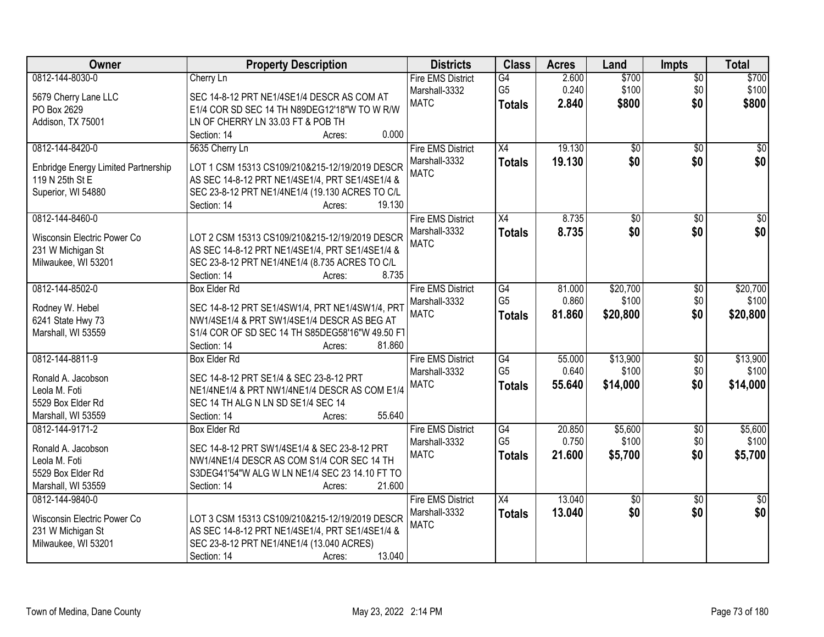| Owner                                                                          | <b>Property Description</b>                                                                                                                                                           | <b>Districts</b>                                         | <b>Class</b>                    | <b>Acres</b>            | Land                    | <b>Impts</b>                  | <b>Total</b>            |
|--------------------------------------------------------------------------------|---------------------------------------------------------------------------------------------------------------------------------------------------------------------------------------|----------------------------------------------------------|---------------------------------|-------------------------|-------------------------|-------------------------------|-------------------------|
| 0812-144-8030-0<br>5679 Cherry Lane LLC                                        | Cherry Ln<br>SEC 14-8-12 PRT NE1/4SE1/4 DESCR AS COM AT                                                                                                                               | <b>Fire EMS District</b><br>Marshall-3332<br><b>MATC</b> | G4<br>G <sub>5</sub>            | 2.600<br>0.240<br>2.840 | \$700<br>\$100<br>\$800 | $\overline{$0}$<br>\$0<br>\$0 | \$700<br>\$100<br>\$800 |
| PO Box 2629                                                                    | E1/4 COR SD SEC 14 TH N89DEG12'18"W TO W R/W                                                                                                                                          |                                                          | <b>Totals</b>                   |                         |                         |                               |                         |
| Addison, TX 75001                                                              | LN OF CHERRY LN 33.03 FT & POB TH<br>0.000<br>Section: 14<br>Acres:                                                                                                                   |                                                          |                                 |                         |                         |                               |                         |
| 0812-144-8420-0                                                                | 5635 Cherry Ln                                                                                                                                                                        | <b>Fire EMS District</b><br>Marshall-3332                | X4<br><b>Totals</b>             | 19.130<br>19.130        | $\overline{50}$<br>\$0  | $\overline{50}$<br>\$0        | \$0<br>\$0              |
| Enbridge Energy Limited Partnership<br>119 N 25th St E                         | LOT 1 CSM 15313 CS109/210&215-12/19/2019 DESCR<br>AS SEC 14-8-12 PRT NE1/4SE1/4, PRT SE1/4SE1/4 &                                                                                     | <b>MATC</b>                                              |                                 |                         |                         |                               |                         |
| Superior, WI 54880                                                             | SEC 23-8-12 PRT NE1/4NE1/4 (19.130 ACRES TO C/L<br>19.130<br>Section: 14<br>Acres:                                                                                                    |                                                          |                                 |                         |                         |                               |                         |
| 0812-144-8460-0                                                                |                                                                                                                                                                                       | <b>Fire EMS District</b>                                 | X4                              | 8.735                   | $\overline{50}$         | $\sqrt[6]{}$                  | $\overline{30}$         |
| Wisconsin Electric Power Co<br>231 W Michigan St<br>Milwaukee, WI 53201        | LOT 2 CSM 15313 CS109/210&215-12/19/2019 DESCR<br>AS SEC 14-8-12 PRT NE1/4SE1/4, PRT SE1/4SE1/4 &<br>SEC 23-8-12 PRT NE1/4NE1/4 (8.735 ACRES TO C/L<br>8.735<br>Section: 14<br>Acres: | Marshall-3332<br><b>MATC</b>                             | <b>Totals</b>                   | 8.735                   | \$0                     | \$0                           | \$0                     |
| 0812-144-8502-0                                                                | <b>Box Elder Rd</b>                                                                                                                                                                   | <b>Fire EMS District</b>                                 | $\overline{G4}$                 | 81.000                  | \$20,700                | \$0                           | \$20,700                |
| Rodney W. Hebel<br>6241 State Hwy 73<br>Marshall, WI 53559                     | SEC 14-8-12 PRT SE1/4SW1/4, PRT NE1/4SW1/4, PRT<br>NW1/4SE1/4 & PRT SW1/4SE1/4 DESCR AS BEG AT<br>S1/4 COR OF SD SEC 14 TH S85DEG58'16"W 49.50 FT                                     | Marshall-3332<br><b>MATC</b>                             | G <sub>5</sub><br><b>Totals</b> | 0.860<br>81.860         | \$100<br>\$20,800       | \$0<br>\$0                    | \$100<br>\$20,800       |
|                                                                                | 81.860<br>Section: 14<br>Acres:                                                                                                                                                       |                                                          |                                 |                         |                         |                               |                         |
| 0812-144-8811-9                                                                | <b>Box Elder Rd</b>                                                                                                                                                                   | <b>Fire EMS District</b>                                 | G4                              | 55.000                  | \$13,900                | \$0                           | \$13,900                |
| Ronald A. Jacobson<br>Leola M. Foti<br>5529 Box Elder Rd<br>Marshall, WI 53559 | SEC 14-8-12 PRT SE1/4 & SEC 23-8-12 PRT<br>NE1/4NE1/4 & PRT NW1/4NE1/4 DESCR AS COM E1/4<br>SEC 14 TH ALG N LN SD SE1/4 SEC 14<br>55.640<br>Section: 14<br>Acres:                     | Marshall-3332<br><b>MATC</b>                             | G <sub>5</sub><br><b>Totals</b> | 0.640<br>55.640         | \$100<br>\$14,000       | \$0<br>\$0                    | \$100<br>\$14,000       |
| 0812-144-9171-2                                                                | <b>Box Elder Rd</b>                                                                                                                                                                   | <b>Fire EMS District</b>                                 | $\overline{G4}$                 | 20.850                  | \$5,600                 | $\overline{$0}$               | \$5,600                 |
| Ronald A. Jacobson<br>Leola M. Foti<br>5529 Box Elder Rd                       | SEC 14-8-12 PRT SW1/4SE1/4 & SEC 23-8-12 PRT<br>NW1/4NE1/4 DESCR AS COM S1/4 COR SEC 14 TH<br>S3DEG41'54"W ALG W LN NE1/4 SEC 23 14.10 FT TO                                          | Marshall-3332<br><b>MATC</b>                             | G <sub>5</sub><br><b>Totals</b> | 0.750<br>21.600         | \$100<br>\$5,700        | \$0<br>\$0                    | \$100<br>\$5,700        |
| Marshall, WI 53559<br>0812-144-9840-0                                          | 21.600<br>Section: 14<br>Acres:                                                                                                                                                       | <b>Fire EMS District</b>                                 | X4                              | 13.040                  | $\overline{50}$         | $\overline{30}$               | $\overline{50}$         |
| Wisconsin Electric Power Co<br>231 W Michigan St<br>Milwaukee, WI 53201        | LOT 3 CSM 15313 CS109/210&215-12/19/2019 DESCR<br>AS SEC 14-8-12 PRT NE1/4SE1/4, PRT SE1/4SE1/4 &<br>SEC 23-8-12 PRT NE1/4NE1/4 (13.040 ACRES)<br>13.040<br>Section: 14<br>Acres:     | Marshall-3332<br><b>MATC</b>                             | <b>Totals</b>                   | 13.040                  | \$0                     | \$0                           | \$0                     |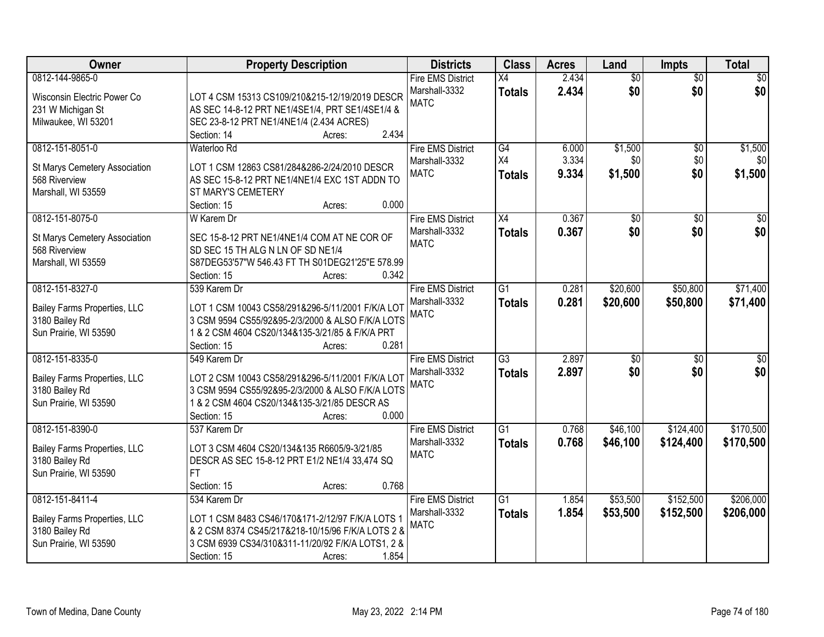| 0812-144-9865-0<br>2.434<br>$\overline{50}$<br><b>Fire EMS District</b><br>X4<br>$\overline{50}$<br>2.434<br>\$0<br>\$0<br>Marshall-3332<br><b>Totals</b><br>LOT 4 CSM 15313 CS109/210&215-12/19/2019 DESCR<br>Wisconsin Electric Power Co<br><b>MATC</b><br>AS SEC 14-8-12 PRT NE1/4SE1/4, PRT SE1/4SE1/4 &<br>231 W Michigan St | \$0<br>\$0      |
|-----------------------------------------------------------------------------------------------------------------------------------------------------------------------------------------------------------------------------------------------------------------------------------------------------------------------------------|-----------------|
|                                                                                                                                                                                                                                                                                                                                   |                 |
|                                                                                                                                                                                                                                                                                                                                   |                 |
|                                                                                                                                                                                                                                                                                                                                   |                 |
| Milwaukee, WI 53201<br>SEC 23-8-12 PRT NE1/4NE1/4 (2.434 ACRES)                                                                                                                                                                                                                                                                   |                 |
| 2.434<br>Section: 14<br>Acres:                                                                                                                                                                                                                                                                                                    |                 |
| 0812-151-8051-0<br><b>Fire EMS District</b><br>G4<br>\$1,500<br>Waterloo Rd<br>6.000<br>\$0                                                                                                                                                                                                                                       | \$1,500         |
| 3.334<br>X4<br>\$0<br>\$0<br>Marshall-3332<br>St Marys Cemetery Association<br>LOT 1 CSM 12863 CS81/284&286-2/24/2010 DESCR                                                                                                                                                                                                       | \$0             |
| \$0<br><b>MATC</b><br>9.334<br>\$1,500<br><b>Totals</b><br>568 Riverview<br>AS SEC 15-8-12 PRT NE1/4NE1/4 EXC 1ST ADDN TO                                                                                                                                                                                                         | \$1,500         |
| Marshall, WI 53559<br>ST MARY'S CEMETERY                                                                                                                                                                                                                                                                                          |                 |
| 0.000<br>Section: 15<br>Acres:                                                                                                                                                                                                                                                                                                    |                 |
| 0812-151-8075-0<br>0.367<br><b>Fire EMS District</b><br>$\overline{X4}$<br>$\overline{50}$<br>W Karem Dr<br>$\sqrt[6]{}$                                                                                                                                                                                                          | $\overline{30}$ |
| \$0<br>\$0<br>Marshall-3332<br>0.367<br><b>Totals</b><br>SEC 15-8-12 PRT NE1/4NE1/4 COM AT NE COR OF<br>St Marys Cemetery Association                                                                                                                                                                                             | \$0             |
| <b>MATC</b><br>568 Riverview<br>SD SEC 15 TH ALG N LN OF SD NE1/4                                                                                                                                                                                                                                                                 |                 |
| S87DEG53'57"W 546.43 FT TH S01DEG21'25"E 578.99<br>Marshall, WI 53559                                                                                                                                                                                                                                                             |                 |
| 0.342<br>Section: 15<br>Acres:                                                                                                                                                                                                                                                                                                    |                 |
| 0812-151-8327-0<br><b>Fire EMS District</b><br>$\overline{G1}$<br>\$20,600<br>\$50,800<br>539 Karem Dr<br>0.281                                                                                                                                                                                                                   | \$71,400        |
| 0.281<br>Marshall-3332<br>\$20,600<br>\$50,800<br><b>Totals</b>                                                                                                                                                                                                                                                                   | \$71,400        |
| Bailey Farms Properties, LLC<br>LOT 1 CSM 10043 CS58/291&296-5/11/2001 F/K/A LOT<br><b>MATC</b>                                                                                                                                                                                                                                   |                 |
| 3180 Bailey Rd<br>3 CSM 9594 CS55/92&95-2/3/2000 & ALSO F/K/A LOTS                                                                                                                                                                                                                                                                |                 |
| Sun Prairie, WI 53590<br>1 & 2 CSM 4604 CS20/134&135-3/21/85 & F/K/A PRT                                                                                                                                                                                                                                                          |                 |
| 0.281<br>Section: 15<br>Acres:                                                                                                                                                                                                                                                                                                    |                 |
| $\overline{G3}$<br>2.897<br>0812-151-8335-0<br>$\overline{50}$<br>\$0<br>549 Karem Dr<br><b>Fire EMS District</b>                                                                                                                                                                                                                 | $\overline{50}$ |
| \$0<br>2.897<br>\$0<br>Marshall-3332<br><b>Totals</b><br>Bailey Farms Properties, LLC<br>LOT 2 CSM 10043 CS58/291&296-5/11/2001 F/K/A LOT                                                                                                                                                                                         | \$0             |
| <b>MATC</b><br>3180 Bailey Rd<br>3 CSM 9594 CS55/92&95-2/3/2000 & ALSO F/K/A LOTS                                                                                                                                                                                                                                                 |                 |
| Sun Prairie, WI 53590<br>1 & 2 CSM 4604 CS20/134&135-3/21/85 DESCR AS                                                                                                                                                                                                                                                             |                 |
| 0.000<br>Section: 15<br>Acres:                                                                                                                                                                                                                                                                                                    |                 |
| 0812-151-8390-0<br>$\overline{G1}$<br>\$46,100<br>\$124,400<br><b>Fire EMS District</b><br>0.768<br>537 Karem Dr                                                                                                                                                                                                                  | \$170,500       |
| Marshall-3332<br>0.768<br>\$46,100<br>\$124,400<br><b>Totals</b><br>Bailey Farms Properties, LLC<br>LOT 3 CSM 4604 CS20/134&135 R6605/9-3/21/85                                                                                                                                                                                   | \$170,500       |
| <b>MATC</b><br>3180 Bailey Rd<br>DESCR AS SEC 15-8-12 PRT E1/2 NE1/4 33,474 SQ                                                                                                                                                                                                                                                    |                 |
| Sun Prairie, WI 53590<br>FT.                                                                                                                                                                                                                                                                                                      |                 |
| Section: 15<br>0.768<br>Acres:                                                                                                                                                                                                                                                                                                    |                 |
| \$152,500<br>0812-151-8411-4<br>$\overline{G1}$<br>\$53,500<br>534 Karem Dr<br><b>Fire EMS District</b><br>1.854                                                                                                                                                                                                                  | \$206,000       |
| 1.854<br>Marshall-3332<br>\$53,500<br>\$152,500<br><b>Totals</b><br>LOT 1 CSM 8483 CS46/170&171-2/12/97 F/K/A LOTS 1<br>Bailey Farms Properties, LLC                                                                                                                                                                              | \$206,000       |
| <b>MATC</b><br>& 2 CSM 8374 CS45/217&218-10/15/96 F/K/A LOTS 2 &<br>3180 Bailey Rd                                                                                                                                                                                                                                                |                 |
| Sun Prairie, WI 53590<br>3 CSM 6939 CS34/310&311-11/20/92 F/K/A LOTS1, 2 &                                                                                                                                                                                                                                                        |                 |
| 1.854<br>Section: 15<br>Acres:                                                                                                                                                                                                                                                                                                    |                 |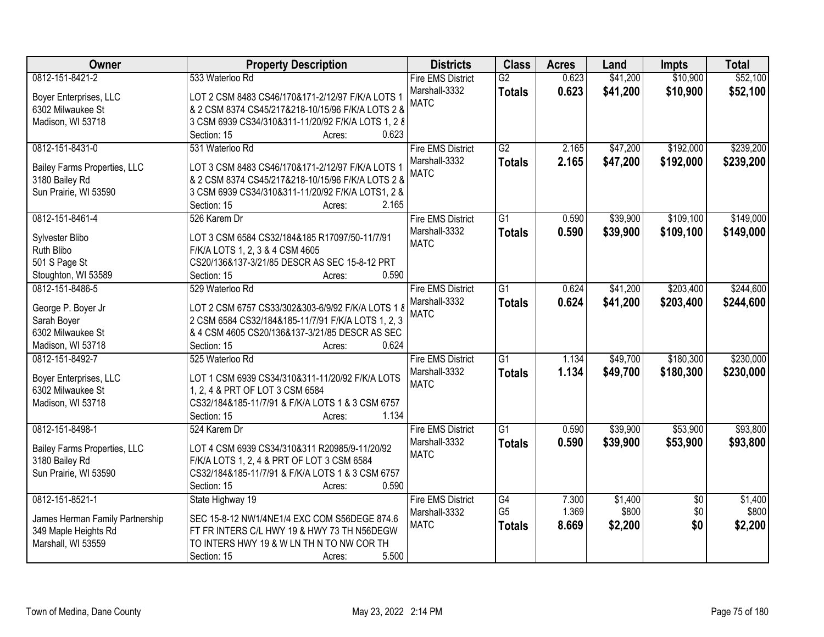| Owner                                       | <b>Property Description</b>                                                         | <b>Districts</b>         | <b>Class</b>    | <b>Acres</b> | Land     | <b>Impts</b>    | <b>Total</b> |
|---------------------------------------------|-------------------------------------------------------------------------------------|--------------------------|-----------------|--------------|----------|-----------------|--------------|
| 0812-151-8421-2                             | 533 Waterloo Rd                                                                     | <b>Fire EMS District</b> | G2              | 0.623        | \$41,200 | \$10,900        | \$52,100     |
| Boyer Enterprises, LLC                      | LOT 2 CSM 8483 CS46/170&171-2/12/97 F/K/A LOTS 1                                    | Marshall-3332            | <b>Totals</b>   | 0.623        | \$41,200 | \$10,900        | \$52,100     |
| 6302 Milwaukee St                           | & 2 CSM 8374 CS45/217&218-10/15/96 F/K/A LOTS 2 &                                   | <b>MATC</b>              |                 |              |          |                 |              |
| Madison, WI 53718                           | 3 CSM 6939 CS34/310&311-11/20/92 F/K/A LOTS 1, 2 8                                  |                          |                 |              |          |                 |              |
|                                             | 0.623<br>Section: 15<br>Acres:                                                      |                          |                 |              |          |                 |              |
| 0812-151-8431-0                             | 531 Waterloo Rd                                                                     | <b>Fire EMS District</b> | G2              | 2.165        | \$47,200 | \$192,000       | \$239,200    |
| Bailey Farms Properties, LLC                | LOT 3 CSM 8483 CS46/170&171-2/12/97 F/K/A LOTS 1                                    | Marshall-3332            | <b>Totals</b>   | 2.165        | \$47,200 | \$192,000       | \$239,200    |
| 3180 Bailey Rd                              | & 2 CSM 8374 CS45/217&218-10/15/96 F/K/A LOTS 2 &                                   | <b>MATC</b>              |                 |              |          |                 |              |
| Sun Prairie, WI 53590                       | 3 CSM 6939 CS34/310&311-11/20/92 F/K/A LOTS1, 2 &                                   |                          |                 |              |          |                 |              |
|                                             | 2.165<br>Section: 15<br>Acres:                                                      |                          |                 |              |          |                 |              |
| 0812-151-8461-4                             | 526 Karem Dr                                                                        | <b>Fire EMS District</b> | $\overline{G1}$ | 0.590        | \$39,900 | \$109,100       | \$149,000    |
|                                             |                                                                                     | Marshall-3332            | <b>Totals</b>   | 0.590        | \$39,900 | \$109,100       | \$149,000    |
| Sylvester Blibo                             | LOT 3 CSM 6584 CS32/184&185 R17097/50-11/7/91                                       | <b>MATC</b>              |                 |              |          |                 |              |
| Ruth Blibo                                  | F/K/A LOTS 1, 2, 3 & 4 CSM 4605                                                     |                          |                 |              |          |                 |              |
| 501 S Page St                               | CS20/136&137-3/21/85 DESCR AS SEC 15-8-12 PRT                                       |                          |                 |              |          |                 |              |
| Stoughton, WI 53589                         | 0.590<br>Section: 15<br>Acres:                                                      |                          |                 |              |          |                 |              |
| 0812-151-8486-5                             | 529 Waterloo Rd                                                                     | <b>Fire EMS District</b> | $\overline{G1}$ | 0.624        | \$41,200 | \$203,400       | \$244,600    |
| George P. Boyer Jr                          | LOT 2 CSM 6757 CS33/302&303-6/9/92 F/K/A LOTS 1 8                                   | Marshall-3332            | <b>Totals</b>   | 0.624        | \$41,200 | \$203,400       | \$244,600    |
| Sarah Boyer                                 | 2 CSM 6584 CS32/184&185-11/7/91 F/K/A LOTS 1, 2, 3                                  | <b>MATC</b>              |                 |              |          |                 |              |
| 6302 Milwaukee St                           | & 4 CSM 4605 CS20/136&137-3/21/85 DESCR AS SEC                                      |                          |                 |              |          |                 |              |
| Madison, WI 53718                           | 0.624<br>Section: 15<br>Acres:                                                      |                          |                 |              |          |                 |              |
| 0812-151-8492-7                             | 525 Waterloo Rd                                                                     | <b>Fire EMS District</b> | $\overline{G1}$ | 1.134        | \$49,700 | \$180,300       | \$230,000    |
|                                             |                                                                                     | Marshall-3332            | <b>Totals</b>   | 1.134        | \$49,700 | \$180,300       | \$230,000    |
| Boyer Enterprises, LLC<br>6302 Milwaukee St | LOT 1 CSM 6939 CS34/310&311-11/20/92 F/K/A LOTS                                     | <b>MATC</b>              |                 |              |          |                 |              |
|                                             | 1, 2, 4 & PRT OF LOT 3 CSM 6584<br>CS32/184&185-11/7/91 & F/K/A LOTS 1 & 3 CSM 6757 |                          |                 |              |          |                 |              |
| Madison, WI 53718                           | 1.134<br>Section: 15<br>Acres:                                                      |                          |                 |              |          |                 |              |
| 0812-151-8498-1                             | 524 Karem Dr                                                                        | <b>Fire EMS District</b> | $\overline{G1}$ | 0.590        | \$39,900 | \$53,900        | \$93,800     |
|                                             |                                                                                     | Marshall-3332            |                 | 0.590        | \$39,900 | \$53,900        | \$93,800     |
| Bailey Farms Properties, LLC                | LOT 4 CSM 6939 CS34/310&311 R20985/9-11/20/92                                       | <b>MATC</b>              | <b>Totals</b>   |              |          |                 |              |
| 3180 Bailey Rd                              | F/K/A LOTS 1, 2, 4 & PRT OF LOT 3 CSM 6584                                          |                          |                 |              |          |                 |              |
| Sun Prairie, WI 53590                       | CS32/184&185-11/7/91 & F/K/A LOTS 1 & 3 CSM 6757                                    |                          |                 |              |          |                 |              |
|                                             | 0.590<br>Section: 15<br>Acres:                                                      |                          |                 |              |          |                 |              |
| 0812-151-8521-1                             | State Highway 19                                                                    | <b>Fire EMS District</b> | G4              | 7.300        | \$1,400  | $\overline{30}$ | \$1,400      |
| James Herman Family Partnership             | SEC 15-8-12 NW1/4NE1/4 EXC COM S56DEGE 874.6                                        | Marshall-3332            | G <sub>5</sub>  | 1.369        | \$800    | \$0             | \$800        |
| 349 Maple Heights Rd                        | FT FR INTERS C/L HWY 19 & HWY 73 TH N56DEGW                                         | <b>MATC</b>              | <b>Totals</b>   | 8.669        | \$2,200  | \$0             | \$2,200      |
| Marshall, WI 53559                          | TO INTERS HWY 19 & W LN TH N TO NW COR TH                                           |                          |                 |              |          |                 |              |
|                                             | 5.500<br>Section: 15<br>Acres:                                                      |                          |                 |              |          |                 |              |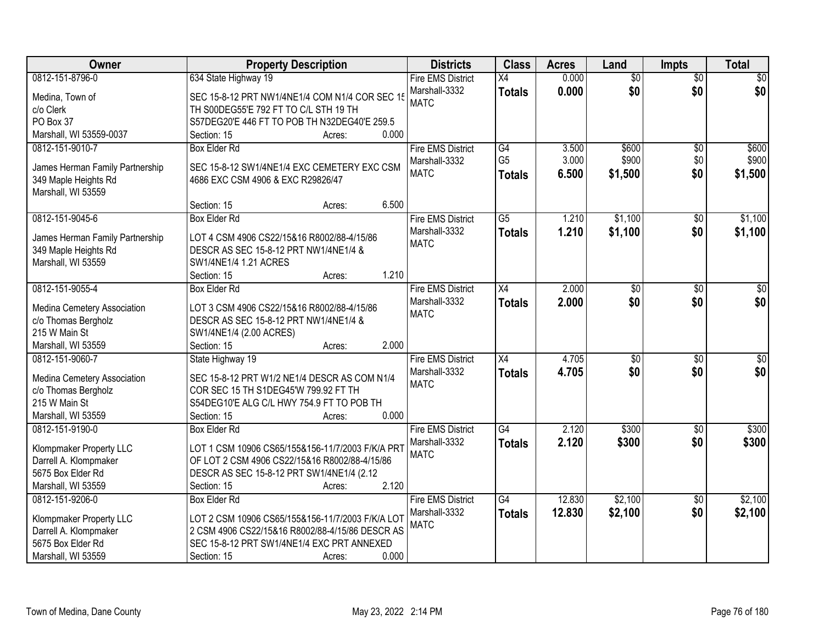| Owner                           | <b>Property Description</b>                        | <b>Districts</b>         | <b>Class</b>    | <b>Acres</b> | Land            | <b>Impts</b>    | <b>Total</b> |
|---------------------------------|----------------------------------------------------|--------------------------|-----------------|--------------|-----------------|-----------------|--------------|
| 0812-151-8796-0                 | 634 State Highway 19                               | <b>Fire EMS District</b> | X4              | 0.000        | $\overline{50}$ | $\overline{50}$ | \$0          |
| Medina, Town of                 | SEC 15-8-12 PRT NW1/4NE1/4 COM N1/4 COR SEC 15     | Marshall-3332            | <b>Totals</b>   | 0.000        | \$0             | \$0             | \$0          |
| c/o Clerk                       | TH S00DEG55'E 792 FT TO C/L STH 19 TH              | <b>MATC</b>              |                 |              |                 |                 |              |
| PO Box 37                       | S57DEG20'E 446 FT TO POB TH N32DEG40'E 259.5       |                          |                 |              |                 |                 |              |
| Marshall, WI 53559-0037         | 0.000<br>Section: 15<br>Acres:                     |                          |                 |              |                 |                 |              |
| 0812-151-9010-7                 | <b>Box Elder Rd</b>                                | <b>Fire EMS District</b> | G4              | 3.500        | \$600           | \$0             | \$600        |
|                                 |                                                    | Marshall-3332            | G <sub>5</sub>  | 3.000        | \$900           | \$0             | \$900        |
| James Herman Family Partnership | SEC 15-8-12 SW1/4NE1/4 EXC CEMETERY EXC CSM        | <b>MATC</b>              | <b>Totals</b>   | 6.500        | \$1,500         | \$0             | \$1,500      |
| 349 Maple Heights Rd            | 4686 EXC CSM 4906 & EXC R29826/47                  |                          |                 |              |                 |                 |              |
| Marshall, WI 53559              |                                                    |                          |                 |              |                 |                 |              |
|                                 | 6.500<br>Section: 15<br>Acres:                     |                          |                 |              |                 |                 |              |
| 0812-151-9045-6                 | <b>Box Elder Rd</b>                                | <b>Fire EMS District</b> | $\overline{G5}$ | 1.210        | \$1,100         | $\sqrt[6]{}$    | \$1,100      |
| James Herman Family Partnership | LOT 4 CSM 4906 CS22/15&16 R8002/88-4/15/86         | Marshall-3332            | <b>Totals</b>   | 1.210        | \$1,100         | \$0             | \$1,100      |
| 349 Maple Heights Rd            | DESCR AS SEC 15-8-12 PRT NW1/4NE1/4 &              | <b>MATC</b>              |                 |              |                 |                 |              |
| Marshall, WI 53559              | SW1/4NE1/4 1.21 ACRES                              |                          |                 |              |                 |                 |              |
|                                 | 1.210<br>Section: 15<br>Acres:                     |                          |                 |              |                 |                 |              |
| 0812-151-9055-4                 | <b>Box Elder Rd</b>                                | <b>Fire EMS District</b> | $\overline{X4}$ | 2.000        | $\overline{50}$ | $\sqrt[6]{3}$   | $\sqrt{50}$  |
|                                 |                                                    | Marshall-3332            | <b>Totals</b>   | 2.000        | \$0             | \$0             | \$0          |
| Medina Cemetery Association     | LOT 3 CSM 4906 CS22/15&16 R8002/88-4/15/86         | <b>MATC</b>              |                 |              |                 |                 |              |
| c/o Thomas Bergholz             | DESCR AS SEC 15-8-12 PRT NW1/4NE1/4 &              |                          |                 |              |                 |                 |              |
| 215 W Main St                   | SW1/4NE1/4 (2.00 ACRES)                            |                          |                 |              |                 |                 |              |
| Marshall, WI 53559              | 2.000<br>Section: 15<br>Acres:                     |                          |                 |              |                 |                 |              |
| 0812-151-9060-7                 | State Highway 19                                   | <b>Fire EMS District</b> | $\overline{X4}$ | 4.705        | $\overline{50}$ | \$0             | $\sqrt{50}$  |
| Medina Cemetery Association     | SEC 15-8-12 PRT W1/2 NE1/4 DESCR AS COM N1/4       | Marshall-3332            | <b>Totals</b>   | 4.705        | \$0             | \$0             | \$0          |
| c/o Thomas Bergholz             | COR SEC 15 TH S1DEG45'W 799.92 FT TH               | <b>MATC</b>              |                 |              |                 |                 |              |
| 215 W Main St                   | S54DEG10'E ALG C/L HWY 754.9 FT TO POB TH          |                          |                 |              |                 |                 |              |
| Marshall, WI 53559              | 0.000<br>Section: 15<br>Acres:                     |                          |                 |              |                 |                 |              |
| 0812-151-9190-0                 | <b>Box Elder Rd</b>                                | <b>Fire EMS District</b> | $\overline{G4}$ | 2.120        | \$300           | $\overline{50}$ | \$300        |
|                                 |                                                    | Marshall-3332            | <b>Totals</b>   | 2.120        | \$300           | \$0             | \$300        |
| Klompmaker Property LLC         | LOT 1 CSM 10906 CS65/155&156-11/7/2003 F/K/A PRT   | <b>MATC</b>              |                 |              |                 |                 |              |
| Darrell A. Klompmaker           | OF LOT 2 CSM 4906 CS22/15&16 R8002/88-4/15/86      |                          |                 |              |                 |                 |              |
| 5675 Box Elder Rd               | DESCR AS SEC 15-8-12 PRT SW1/4NE1/4 (2.12<br>2.120 |                          |                 |              |                 |                 |              |
| Marshall, WI 53559              | Section: 15<br>Acres:                              |                          |                 |              |                 |                 |              |
| 0812-151-9206-0                 | <b>Box Elder Rd</b>                                | <b>Fire EMS District</b> | G4              | 12.830       | \$2,100         | $\overline{30}$ | \$2,100      |
| Klompmaker Property LLC         | LOT 2 CSM 10906 CS65/155&156-11/7/2003 F/K/A LOT   | Marshall-3332            | <b>Totals</b>   | 12.830       | \$2,100         | \$0             | \$2,100      |
| Darrell A. Klompmaker           | 2 CSM 4906 CS22/15&16 R8002/88-4/15/86 DESCR AS    | <b>MATC</b>              |                 |              |                 |                 |              |
| 5675 Box Elder Rd               | SEC 15-8-12 PRT SW1/4NE1/4 EXC PRT ANNEXED         |                          |                 |              |                 |                 |              |
| Marshall, WI 53559              | 0.000<br>Section: 15<br>Acres:                     |                          |                 |              |                 |                 |              |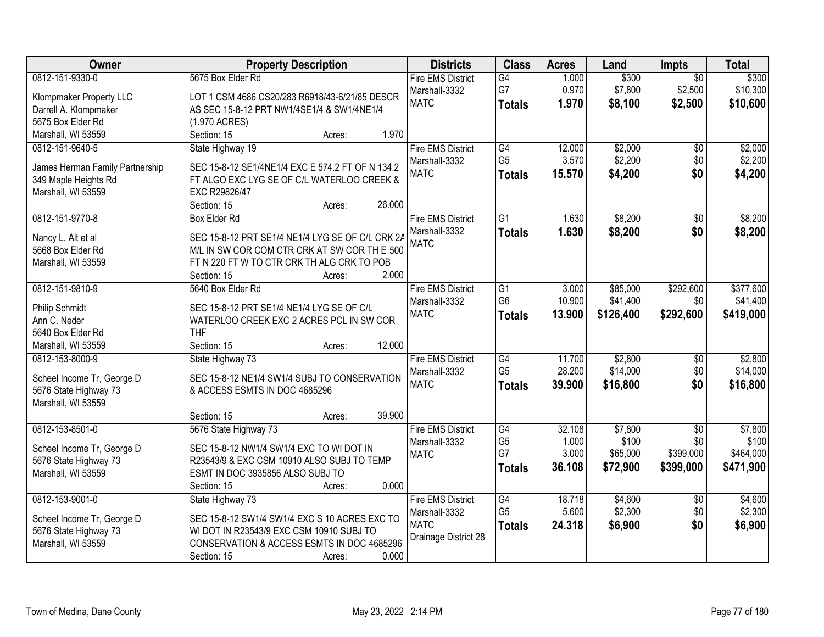| Owner                           | <b>Property Description</b>                      | <b>Districts</b>         | <b>Class</b>    | <b>Acres</b> | Land      | Impts           | <b>Total</b> |
|---------------------------------|--------------------------------------------------|--------------------------|-----------------|--------------|-----------|-----------------|--------------|
| 0812-151-9330-0                 | 5675 Box Elder Rd                                | <b>Fire EMS District</b> | G4              | 1.000        | \$300     | $\overline{50}$ | \$300        |
| Klompmaker Property LLC         | LOT 1 CSM 4686 CS20/283 R6918/43-6/21/85 DESCR   | Marshall-3332            | G7              | 0.970        | \$7,800   | \$2,500         | \$10,300     |
| Darrell A. Klompmaker           | AS SEC 15-8-12 PRT NW1/4SE1/4 & SW1/4NE1/4       | <b>MATC</b>              | <b>Totals</b>   | 1.970        | \$8,100   | \$2,500         | \$10,600     |
| 5675 Box Elder Rd               | (1.970 ACRES)                                    |                          |                 |              |           |                 |              |
| Marshall, WI 53559              | 1.970<br>Section: 15<br>Acres:                   |                          |                 |              |           |                 |              |
| 0812-151-9640-5                 | State Highway 19                                 | <b>Fire EMS District</b> | G4              | 12.000       | \$2,000   | \$0             | \$2,000      |
|                                 |                                                  | Marshall-3332            | G <sub>5</sub>  | 3.570        | \$2,200   | \$0             | \$2,200      |
| James Herman Family Partnership | SEC 15-8-12 SE1/4NE1/4 EXC E 574.2 FT OF N 134.2 | <b>MATC</b>              | <b>Totals</b>   | 15.570       | \$4,200   | \$0             | \$4,200      |
| 349 Maple Heights Rd            | FT ALGO EXC LYG SE OF C/L WATERLOO CREEK &       |                          |                 |              |           |                 |              |
| Marshall, WI 53559              | EXC R29826/47                                    |                          |                 |              |           |                 |              |
|                                 | 26.000<br>Section: 15<br>Acres:                  |                          |                 |              |           |                 |              |
| 0812-151-9770-8                 | <b>Box Elder Rd</b>                              | <b>Fire EMS District</b> | $\overline{G1}$ | 1.630        | \$8,200   | $\overline{50}$ | \$8,200      |
| Nancy L. Alt et al              | SEC 15-8-12 PRT SE1/4 NE1/4 LYG SE OF C/L CRK 2A | Marshall-3332            | <b>Totals</b>   | 1.630        | \$8,200   | \$0             | \$8,200      |
| 5668 Box Elder Rd               | M/L IN SW COR COM CTR CRK AT SW COR TH E 500     | <b>MATC</b>              |                 |              |           |                 |              |
| Marshall, WI 53559              | FT N 220 FT W TO CTR CRK TH ALG CRK TO POB       |                          |                 |              |           |                 |              |
|                                 | 2.000<br>Section: 15<br>Acres:                   |                          |                 |              |           |                 |              |
| 0812-151-9810-9                 | 5640 Box Elder Rd                                | <b>Fire EMS District</b> | G1              | 3.000        | \$85,000  | \$292,600       | \$377,600    |
|                                 |                                                  | Marshall-3332            | G <sub>6</sub>  | 10.900       | \$41,400  | \$0             | \$41,400     |
| Philip Schmidt                  | SEC 15-8-12 PRT SE1/4 NE1/4 LYG SE OF C/L        | <b>MATC</b>              | <b>Totals</b>   | 13.900       | \$126,400 | \$292,600       | \$419,000    |
| Ann C. Neder                    | WATERLOO CREEK EXC 2 ACRES PCL IN SW COR         |                          |                 |              |           |                 |              |
| 5640 Box Elder Rd               | <b>THF</b>                                       |                          |                 |              |           |                 |              |
| Marshall, WI 53559              | 12.000<br>Section: 15<br>Acres:                  |                          |                 |              |           |                 |              |
| 0812-153-8000-9                 | State Highway 73                                 | <b>Fire EMS District</b> | $\overline{G4}$ | 11.700       | \$2,800   | $\overline{60}$ | \$2,800      |
| Scheel Income Tr, George D      | SEC 15-8-12 NE1/4 SW1/4 SUBJ TO CONSERVATION     | Marshall-3332            | G <sub>5</sub>  | 28.200       | \$14,000  | \$0             | \$14,000     |
| 5676 State Highway 73           | & ACCESS ESMTS IN DOC 4685296                    | <b>MATC</b>              | <b>Totals</b>   | 39.900       | \$16,800  | \$0             | \$16,800     |
| Marshall, WI 53559              |                                                  |                          |                 |              |           |                 |              |
|                                 | 39.900<br>Section: 15<br>Acres:                  |                          |                 |              |           |                 |              |
| 0812-153-8501-0                 | 5676 State Highway 73                            | <b>Fire EMS District</b> | G4              | 32.108       | \$7,800   | $\sqrt{6}$      | \$7,800      |
|                                 |                                                  | Marshall-3332            | G <sub>5</sub>  | 1.000        | \$100     | \$0             | \$100        |
| Scheel Income Tr, George D      | SEC 15-8-12 NW1/4 SW1/4 EXC TO WI DOT IN         | <b>MATC</b>              | G7              | 3.000        | \$65,000  | \$399,000       | \$464,000    |
| 5676 State Highway 73           | R23543/9 & EXC CSM 10910 ALSO SUBJ TO TEMP       |                          | <b>Totals</b>   | 36.108       | \$72,900  | \$399,000       | \$471,900    |
| Marshall, WI 53559              | ESMT IN DOC 3935856 ALSO SUBJ TO                 |                          |                 |              |           |                 |              |
|                                 | 0.000<br>Section: 15<br>Acres:                   |                          |                 |              |           |                 |              |
| 0812-153-9001-0                 | State Highway 73                                 | <b>Fire EMS District</b> | $\overline{G4}$ | 18.718       | \$4,600   | $\overline{30}$ | \$4,600      |
| Scheel Income Tr, George D      | SEC 15-8-12 SW1/4 SW1/4 EXC S 10 ACRES EXC TO    | Marshall-3332            | G <sub>5</sub>  | 5.600        | \$2,300   | \$0             | \$2,300      |
| 5676 State Highway 73           | WI DOT IN R23543/9 EXC CSM 10910 SUBJ TO         | <b>MATC</b>              | <b>Totals</b>   | 24.318       | \$6,900   | \$0             | \$6,900      |
| Marshall, WI 53559              | CONSERVATION & ACCESS ESMTS IN DOC 4685296       | Drainage District 28     |                 |              |           |                 |              |
|                                 | 0.000<br>Section: 15<br>Acres:                   |                          |                 |              |           |                 |              |
|                                 |                                                  |                          |                 |              |           |                 |              |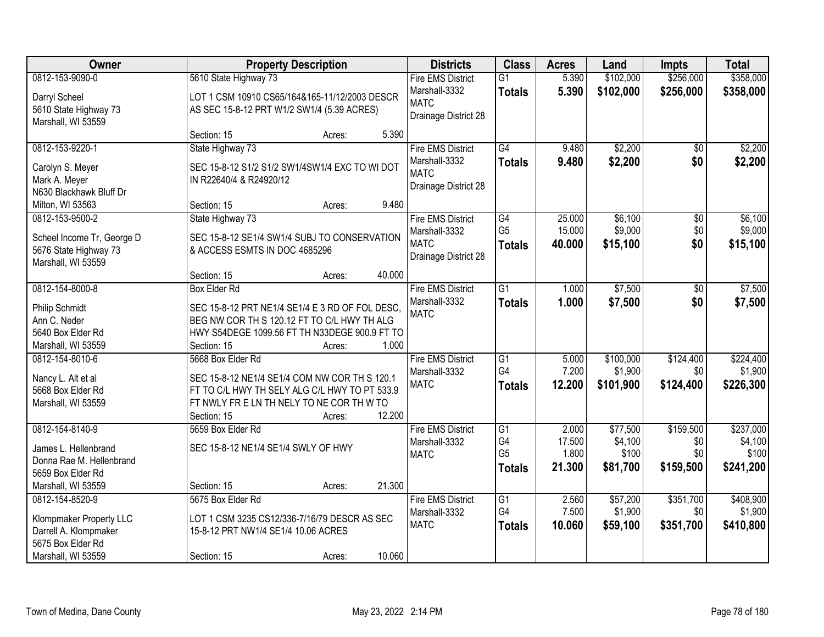| Owner                                                                                                          | <b>Property Description</b>                                                                                                                                                           |        |        | <b>Districts</b>                                                                 | <b>Class</b>                                       | <b>Acres</b>                       | Land                                     | Impts                                | <b>Total</b>                               |
|----------------------------------------------------------------------------------------------------------------|---------------------------------------------------------------------------------------------------------------------------------------------------------------------------------------|--------|--------|----------------------------------------------------------------------------------|----------------------------------------------------|------------------------------------|------------------------------------------|--------------------------------------|--------------------------------------------|
| 0812-153-9090-0                                                                                                | 5610 State Highway 73                                                                                                                                                                 |        |        | <b>Fire EMS District</b><br>Marshall-3332                                        | $\overline{G1}$<br><b>Totals</b>                   | 5.390<br>5.390                     | \$102,000<br>\$102,000                   | \$256,000<br>\$256,000               | \$358,000<br>\$358,000                     |
| Darryl Scheel<br>5610 State Highway 73<br>Marshall, WI 53559                                                   | LOT 1 CSM 10910 CS65/164&165-11/12/2003 DESCR<br>AS SEC 15-8-12 PRT W1/2 SW1/4 (5.39 ACRES)                                                                                           |        |        | <b>MATC</b><br>Drainage District 28                                              |                                                    |                                    |                                          |                                      |                                            |
|                                                                                                                | Section: 15                                                                                                                                                                           | Acres: | 5.390  |                                                                                  |                                                    |                                    |                                          |                                      |                                            |
| 0812-153-9220-1<br>Carolyn S. Meyer<br>Mark A. Meyer<br>N630 Blackhawk Bluff Dr                                | State Highway 73<br>SEC 15-8-12 S1/2 S1/2 SW1/4SW1/4 EXC TO WI DOT<br>IN R22640/4 & R24920/12                                                                                         |        |        | <b>Fire EMS District</b><br>Marshall-3332<br><b>MATC</b><br>Drainage District 28 | $\overline{G4}$<br><b>Totals</b>                   | 9.480<br>9.480                     | \$2,200<br>\$2,200                       | \$0<br>\$0                           | \$2,200<br>\$2,200                         |
| Milton, WI 53563                                                                                               | Section: 15                                                                                                                                                                           | Acres: | 9.480  |                                                                                  |                                                    |                                    |                                          |                                      |                                            |
| 0812-153-9500-2<br>Scheel Income Tr, George D<br>5676 State Highway 73<br>Marshall, WI 53559                   | State Highway 73<br>SEC 15-8-12 SE1/4 SW1/4 SUBJ TO CONSERVATION<br>& ACCESS ESMTS IN DOC 4685296                                                                                     |        |        | <b>Fire EMS District</b><br>Marshall-3332<br><b>MATC</b><br>Drainage District 28 | $\overline{G4}$<br>G <sub>5</sub><br><b>Totals</b> | 25.000<br>15.000<br>40.000         | \$6,100<br>\$9,000<br>\$15,100           | $\overline{50}$<br>\$0<br>\$0        | \$6,100<br>\$9,000<br>\$15,100             |
|                                                                                                                | Section: 15                                                                                                                                                                           | Acres: | 40.000 |                                                                                  |                                                    |                                    |                                          |                                      |                                            |
| 0812-154-8000-8<br><b>Philip Schmidt</b><br>Ann C. Neder<br>5640 Box Elder Rd<br>Marshall, WI 53559            | <b>Box Elder Rd</b><br>SEC 15-8-12 PRT NE1/4 SE1/4 E 3 RD OF FOL DESC,<br>BEG NW COR TH S 120.12 FT TO C/L HWY TH ALG<br>HWY S54DEGE 1099.56 FT TH N33DEGE 900.9 FT TO<br>Section: 15 | Acres: | 1.000  | <b>Fire EMS District</b><br>Marshall-3332<br><b>MATC</b>                         | $\overline{G1}$<br><b>Totals</b>                   | 1.000<br>1.000                     | \$7,500<br>\$7,500                       | \$0<br>\$0                           | \$7,500<br>\$7,500                         |
| 0812-154-8010-6<br>Nancy L. Alt et al<br>5668 Box Elder Rd<br>Marshall, WI 53559                               | 5668 Box Elder Rd<br>SEC 15-8-12 NE1/4 SE1/4 COM NW COR TH S 120.1<br>FT TO C/L HWY TH SELY ALG C/L HWY TO PT 533.9<br>FT NWLY FR E LN TH NELY TO NE COR TH W TO<br>Section: 15       | Acres: | 12.200 | <b>Fire EMS District</b><br>Marshall-3332<br><b>MATC</b>                         | $\overline{G1}$<br>G4<br><b>Totals</b>             | 5.000<br>7.200<br>12.200           | \$100,000<br>\$1,900<br>\$101,900        | \$124,400<br>\$0<br>\$124,400        | \$224,400<br>\$1,900<br>\$226,300          |
| 0812-154-8140-9<br>James L. Hellenbrand<br>Donna Rae M. Hellenbrand<br>5659 Box Elder Rd<br>Marshall, WI 53559 | 5659 Box Elder Rd<br>SEC 15-8-12 NE1/4 SE1/4 SWLY OF HWY<br>Section: 15                                                                                                               | Acres: | 21.300 | <b>Fire EMS District</b><br>Marshall-3332<br><b>MATC</b>                         | G1<br>G4<br>G <sub>5</sub><br><b>Totals</b>        | 2.000<br>17.500<br>1.800<br>21.300 | \$77,500<br>\$4,100<br>\$100<br>\$81,700 | \$159,500<br>\$0<br>\$0<br>\$159,500 | \$237,000<br>\$4,100<br>\$100<br>\$241,200 |
| 0812-154-8520-9<br>Klompmaker Property LLC<br>Darrell A. Klompmaker<br>5675 Box Elder Rd<br>Marshall, WI 53559 | 5675 Box Elder Rd<br>LOT 1 CSM 3235 CS12/336-7/16/79 DESCR AS SEC<br>15-8-12 PRT NW1/4 SE1/4 10.06 ACRES<br>Section: 15                                                               | Acres: | 10.060 | <b>Fire EMS District</b><br>Marshall-3332<br><b>MATC</b>                         | $\overline{G1}$<br>G4<br><b>Totals</b>             | 2.560<br>7.500<br>10.060           | \$57,200<br>\$1,900<br>\$59,100          | \$351,700<br>\$0<br>\$351,700        | \$408,900<br>\$1,900<br>\$410,800          |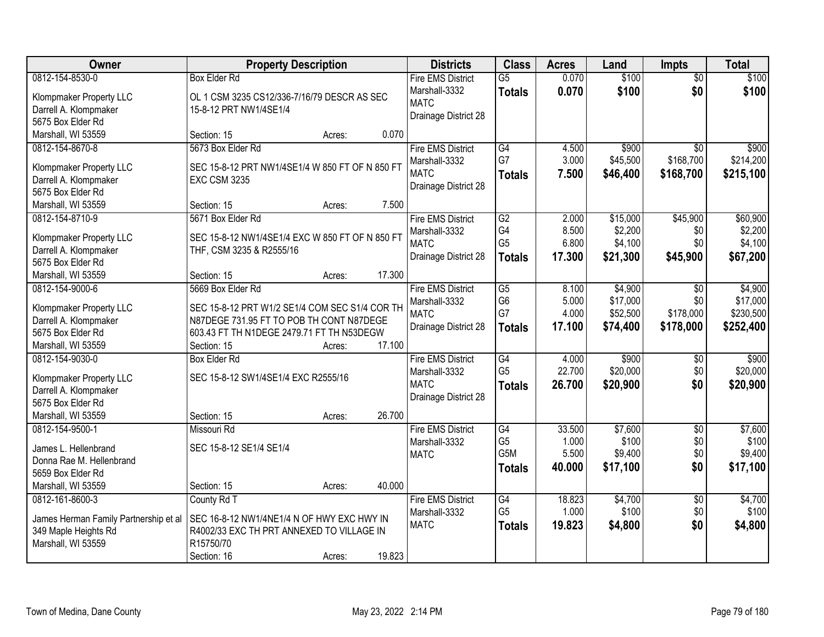| <b>Owner</b>                          | <b>Property Description</b>                     |        |        | <b>Districts</b>                    | <b>Class</b>         | <b>Acres</b>   | Land                 | <b>Impts</b>     | <b>Total</b>          |
|---------------------------------------|-------------------------------------------------|--------|--------|-------------------------------------|----------------------|----------------|----------------------|------------------|-----------------------|
| 0812-154-8530-0                       | <b>Box Elder Rd</b>                             |        |        | <b>Fire EMS District</b>            | $\overline{G5}$      | 0.070          | \$100                | $\overline{50}$  | \$100                 |
| Klompmaker Property LLC               | OL 1 CSM 3235 CS12/336-7/16/79 DESCR AS SEC     |        |        | Marshall-3332                       | <b>Totals</b>        | 0.070          | \$100                | \$0              | \$100                 |
| Darrell A. Klompmaker                 | 15-8-12 PRT NW1/4SE1/4                          |        |        | <b>MATC</b>                         |                      |                |                      |                  |                       |
| 5675 Box Elder Rd                     |                                                 |        |        | Drainage District 28                |                      |                |                      |                  |                       |
| Marshall, WI 53559                    | Section: 15                                     | Acres: | 0.070  |                                     |                      |                |                      |                  |                       |
| 0812-154-8670-8                       | 5673 Box Elder Rd                               |        |        | <b>Fire EMS District</b>            | G4                   | 4.500          | \$900                | $\overline{50}$  | \$900                 |
| Klompmaker Property LLC               | SEC 15-8-12 PRT NW1/4SE1/4 W 850 FT OF N 850 FT |        |        | Marshall-3332                       | G7                   | 3.000          | \$45,500             | \$168,700        | \$214,200             |
| Darrell A. Klompmaker                 | <b>EXC CSM 3235</b>                             |        |        | <b>MATC</b>                         | <b>Totals</b>        | 7.500          | \$46,400             | \$168,700        | \$215,100             |
| 5675 Box Elder Rd                     |                                                 |        |        | Drainage District 28                |                      |                |                      |                  |                       |
| Marshall, WI 53559                    | Section: 15                                     | Acres: | 7.500  |                                     |                      |                |                      |                  |                       |
| 0812-154-8710-9                       | 5671 Box Elder Rd                               |        |        | <b>Fire EMS District</b>            | G2                   | 2.000          | \$15,000             | \$45,900         | \$60,900              |
|                                       |                                                 |        |        | Marshall-3332                       | G4                   | 8.500          | \$2,200              | \$0              | \$2,200               |
| Klompmaker Property LLC               | SEC 15-8-12 NW1/4SE1/4 EXC W 850 FT OF N 850 FT |        |        | <b>MATC</b>                         | G <sub>5</sub>       | 6.800          | \$4,100              | \$0              | \$4,100               |
| Darrell A. Klompmaker                 | THF, CSM 3235 & R2555/16                        |        |        | Drainage District 28                | <b>Totals</b>        | 17.300         | \$21,300             | \$45,900         | \$67,200              |
| 5675 Box Elder Rd                     |                                                 |        |        |                                     |                      |                |                      |                  |                       |
| Marshall, WI 53559                    | Section: 15                                     | Acres: | 17.300 |                                     |                      |                |                      |                  |                       |
| 0812-154-9000-6                       | 5669 Box Elder Rd                               |        |        | <b>Fire EMS District</b>            | $\overline{G5}$      | 8.100          | \$4,900              | $\sqrt{6}$       | \$4,900               |
| Klompmaker Property LLC               | SEC 15-8-12 PRT W1/2 SE1/4 COM SEC S1/4 COR TH  |        |        | Marshall-3332                       | G <sub>6</sub><br>G7 | 5.000<br>4.000 | \$17,000<br>\$52,500 | \$0<br>\$178,000 | \$17,000<br>\$230,500 |
| Darrell A. Klompmaker                 | N87DEGE 731.95 FT TO POB TH CONT N87DEGE        |        |        | <b>MATC</b><br>Drainage District 28 |                      |                |                      |                  |                       |
| 5675 Box Elder Rd                     | 603.43 FT TH N1DEGE 2479.71 FT TH N53DEGW       |        |        |                                     | <b>Totals</b>        | 17.100         | \$74,400             | \$178,000        | \$252,400             |
| Marshall, WI 53559                    | Section: 15                                     | Acres: | 17.100 |                                     |                      |                |                      |                  |                       |
| 0812-154-9030-0                       | <b>Box Elder Rd</b>                             |        |        | <b>Fire EMS District</b>            | G4                   | 4.000          | \$900                | \$0              | \$900                 |
| Klompmaker Property LLC               | SEC 15-8-12 SW1/4SE1/4 EXC R2555/16             |        |        | Marshall-3332                       | G <sub>5</sub>       | 22.700         | \$20,000             | \$0              | \$20,000              |
| Darrell A. Klompmaker                 |                                                 |        |        | <b>MATC</b>                         | <b>Totals</b>        | 26,700         | \$20,900             | \$0              | \$20,900              |
| 5675 Box Elder Rd                     |                                                 |        |        | Drainage District 28                |                      |                |                      |                  |                       |
| Marshall, WI 53559                    | Section: 15                                     | Acres: | 26.700 |                                     |                      |                |                      |                  |                       |
| 0812-154-9500-1                       | Missouri Rd                                     |        |        | <b>Fire EMS District</b>            | G4                   | 33.500         | \$7,600              | $\sqrt{6}$       | \$7,600               |
| James L. Hellenbrand                  | SEC 15-8-12 SE1/4 SE1/4                         |        |        | Marshall-3332                       | G <sub>5</sub>       | 1.000          | \$100                | \$0              | \$100                 |
| Donna Rae M. Hellenbrand              |                                                 |        |        | <b>MATC</b>                         | G5M                  | 5.500          | \$9,400              | \$0              | \$9,400               |
| 5659 Box Elder Rd                     |                                                 |        |        |                                     | <b>Totals</b>        | 40,000         | \$17,100             | \$0              | \$17,100              |
| Marshall, WI 53559                    | Section: 15                                     | Acres: | 40.000 |                                     |                      |                |                      |                  |                       |
| 0812-161-8600-3                       | County Rd T                                     |        |        | <b>Fire EMS District</b>            | G4                   | 18.823         | \$4,700              | $\overline{50}$  | \$4,700               |
|                                       |                                                 |        |        | Marshall-3332                       | G <sub>5</sub>       | 1.000          | \$100                | \$0              | \$100                 |
| James Herman Family Partnership et al | SEC 16-8-12 NW1/4NE1/4 N OF HWY EXC HWY IN      |        |        | <b>MATC</b>                         | <b>Totals</b>        | 19.823         | \$4,800              | \$0              | \$4,800               |
| 349 Maple Heights Rd                  | R4002/33 EXC TH PRT ANNEXED TO VILLAGE IN       |        |        |                                     |                      |                |                      |                  |                       |
| Marshall, WI 53559                    | R15750/70                                       |        |        |                                     |                      |                |                      |                  |                       |
|                                       | Section: 16                                     | Acres: | 19.823 |                                     |                      |                |                      |                  |                       |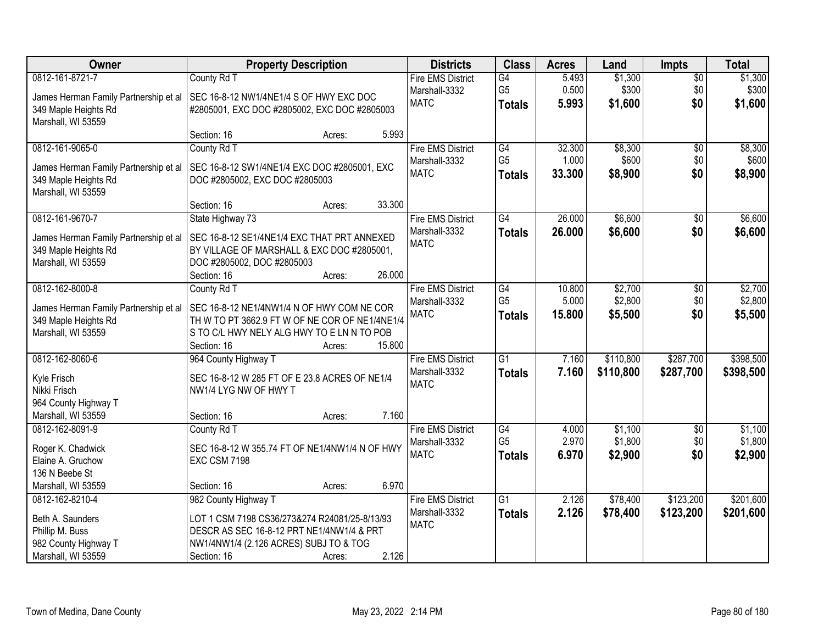| Owner                                 | <b>Property Description</b>                    |        | <b>Districts</b>         | <b>Class</b>    | <b>Acres</b> | Land      | <b>Impts</b>    | <b>Total</b> |
|---------------------------------------|------------------------------------------------|--------|--------------------------|-----------------|--------------|-----------|-----------------|--------------|
| 0812-161-8721-7                       | County Rd T                                    |        | <b>Fire EMS District</b> | G4              | 5.493        | \$1,300   | $\overline{$0}$ | \$1,300      |
| James Herman Family Partnership et al | SEC 16-8-12 NW1/4NE1/4 S OF HWY EXC DOC        |        | Marshall-3332            | G <sub>5</sub>  | 0.500        | \$300     | \$0             | \$300        |
| 349 Maple Heights Rd                  | #2805001, EXC DOC #2805002, EXC DOC #2805003   |        | <b>MATC</b>              | <b>Totals</b>   | 5.993        | \$1,600   | \$0             | \$1,600      |
| Marshall, WI 53559                    |                                                |        |                          |                 |              |           |                 |              |
|                                       | Section: 16<br>Acres:                          | 5.993  |                          |                 |              |           |                 |              |
| 0812-161-9065-0                       | County Rd T                                    |        | <b>Fire EMS District</b> | G4              | 32.300       | \$8,300   | \$0             | \$8,300      |
| James Herman Family Partnership et al | SEC 16-8-12 SW1/4NE1/4 EXC DOC #2805001, EXC   |        | Marshall-3332            | G <sub>5</sub>  | 1.000        | \$600     | \$0             | \$600        |
| 349 Maple Heights Rd                  | DOC #2805002, EXC DOC #2805003                 |        | <b>MATC</b>              | <b>Totals</b>   | 33.300       | \$8,900   | \$0             | \$8,900      |
| Marshall, WI 53559                    |                                                |        |                          |                 |              |           |                 |              |
|                                       | Section: 16<br>Acres:                          | 33.300 |                          |                 |              |           |                 |              |
| 0812-161-9670-7                       | State Highway 73                               |        | <b>Fire EMS District</b> | G4              | 26.000       | \$6,600   | \$0             | \$6,600      |
| James Herman Family Partnership et al | SEC 16-8-12 SE1/4NE1/4 EXC THAT PRT ANNEXED    |        | Marshall-3332            | <b>Totals</b>   | 26.000       | \$6,600   | \$0             | \$6,600      |
| 349 Maple Heights Rd                  | BY VILLAGE OF MARSHALL & EXC DOC #2805001,     |        | <b>MATC</b>              |                 |              |           |                 |              |
| Marshall, WI 53559                    | DOC #2805002, DOC #2805003                     |        |                          |                 |              |           |                 |              |
|                                       | Section: 16<br>Acres:                          | 26.000 |                          |                 |              |           |                 |              |
| 0812-162-8000-8                       | County Rd T                                    |        | <b>Fire EMS District</b> | G4              | 10.800       | \$2,700   | \$0             | \$2,700      |
| James Herman Family Partnership et al | SEC 16-8-12 NE1/4NW1/4 N OF HWY COM NE COR     |        | Marshall-3332            | G <sub>5</sub>  | 5.000        | \$2,800   | \$0             | \$2,800      |
| 349 Maple Heights Rd                  | TH W TO PT 3662.9 FT W OF NE COR OF NE1/4NE1/4 |        | <b>MATC</b>              | <b>Totals</b>   | 15.800       | \$5,500   | \$0             | \$5,500      |
| Marshall, WI 53559                    | S TO C/L HWY NELY ALG HWY TO E LN N TO POB     |        |                          |                 |              |           |                 |              |
|                                       | Section: 16<br>Acres:                          | 15.800 |                          |                 |              |           |                 |              |
| 0812-162-8060-6                       | 964 County Highway T                           |        | <b>Fire EMS District</b> | $\overline{G1}$ | 7.160        | \$110,800 | \$287,700       | \$398,500    |
| Kyle Frisch                           | SEC 16-8-12 W 285 FT OF E 23.8 ACRES OF NE1/4  |        | Marshall-3332            | <b>Totals</b>   | 7.160        | \$110,800 | \$287,700       | \$398,500    |
| Nikki Frisch                          | NW1/4 LYG NW OF HWY T                          |        | <b>MATC</b>              |                 |              |           |                 |              |
| 964 County Highway T                  |                                                |        |                          |                 |              |           |                 |              |
| Marshall, WI 53559                    | Section: 16<br>Acres:                          | 7.160  |                          |                 |              |           |                 |              |
| 0812-162-8091-9                       | County Rd T                                    |        | <b>Fire EMS District</b> | G4              | 4.000        | \$1,100   | $\sqrt{$0}$     | \$1,100      |
| Roger K. Chadwick                     | SEC 16-8-12 W 355.74 FT OF NE1/4NW1/4 N OF HWY |        | Marshall-3332            | G <sub>5</sub>  | 2.970        | \$1,800   | \$0             | \$1,800      |
| Elaine A. Gruchow                     | <b>EXC CSM 7198</b>                            |        | <b>MATC</b>              | <b>Totals</b>   | 6.970        | \$2,900   | \$0             | \$2,900      |
| 136 N Beebe St                        |                                                |        |                          |                 |              |           |                 |              |
| Marshall, WI 53559                    | Section: 16<br>Acres:                          | 6.970  |                          |                 |              |           |                 |              |
| 0812-162-8210-4                       | 982 County Highway T                           |        | <b>Fire EMS District</b> | G1              | 2.126        | \$78,400  | \$123,200       | \$201,600    |
| Beth A. Saunders                      | LOT 1 CSM 7198 CS36/273&274 R24081/25-8/13/93  |        | Marshall-3332            | <b>Totals</b>   | 2.126        | \$78,400  | \$123,200       | \$201,600    |
| Phillip M. Buss                       | DESCR AS SEC 16-8-12 PRT NE1/4NW1/4 & PRT      |        | <b>MATC</b>              |                 |              |           |                 |              |
| 982 County Highway T                  | NW1/4NW1/4 (2.126 ACRES) SUBJ TO & TOG         |        |                          |                 |              |           |                 |              |
| Marshall, WI 53559                    | Section: 16<br>Acres:                          | 2.126  |                          |                 |              |           |                 |              |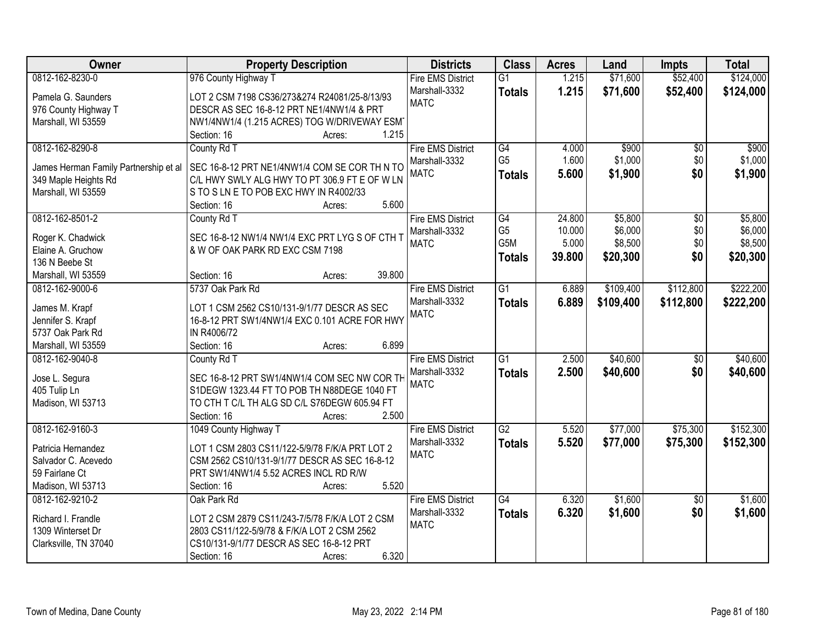| Owner                                 | <b>Property Description</b>                    | <b>Districts</b>         | <b>Class</b>    | <b>Acres</b> | Land      | <b>Impts</b>    | <b>Total</b> |
|---------------------------------------|------------------------------------------------|--------------------------|-----------------|--------------|-----------|-----------------|--------------|
| 0812-162-8230-0                       | 976 County Highway T                           | <b>Fire EMS District</b> | $\overline{G1}$ | 1.215        | \$71,600  | \$52,400        | \$124,000    |
| Pamela G. Saunders                    | LOT 2 CSM 7198 CS36/273&274 R24081/25-8/13/93  | Marshall-3332            | <b>Totals</b>   | 1.215        | \$71,600  | \$52,400        | \$124,000    |
| 976 County Highway T                  | DESCR AS SEC 16-8-12 PRT NE1/4NW1/4 & PRT      | <b>MATC</b>              |                 |              |           |                 |              |
| Marshall, WI 53559                    | NW1/4NW1/4 (1.215 ACRES) TOG W/DRIVEWAY ESM    |                          |                 |              |           |                 |              |
|                                       | 1.215<br>Section: 16<br>Acres:                 |                          |                 |              |           |                 |              |
| 0812-162-8290-8                       | County Rd T                                    | <b>Fire EMS District</b> | $\overline{G4}$ | 4.000        | \$900     | $\overline{30}$ | \$900        |
|                                       |                                                | Marshall-3332            | G <sub>5</sub>  | 1.600        | \$1,000   | \$0             | \$1,000      |
| James Herman Family Partnership et al | SEC 16-8-12 PRT NE1/4NW1/4 COM SE COR TH N TO  | <b>MATC</b>              | <b>Totals</b>   | 5.600        | \$1,900   | \$0             | \$1,900      |
| 349 Maple Heights Rd                  | C/L HWY SWLY ALG HWY TO PT 306.9 FT E OF W LN  |                          |                 |              |           |                 |              |
| Marshall, WI 53559                    | S TO S LN E TO POB EXC HWY IN R4002/33         |                          |                 |              |           |                 |              |
|                                       | 5.600<br>Section: 16<br>Acres:                 |                          |                 |              |           |                 |              |
| 0812-162-8501-2                       | County Rd T                                    | <b>Fire EMS District</b> | G4              | 24.800       | \$5,800   | \$0             | \$5,800      |
| Roger K. Chadwick                     | SEC 16-8-12 NW1/4 NW1/4 EXC PRT LYG S OF CTH T | Marshall-3332            | G <sub>5</sub>  | 10.000       | \$6,000   | \$0             | \$6,000      |
| Elaine A. Gruchow                     | & W OF OAK PARK RD EXC CSM 7198                | <b>MATC</b>              | G5M             | 5.000        | \$8,500   | \$0             | \$8,500      |
| 136 N Beebe St                        |                                                |                          | <b>Totals</b>   | 39.800       | \$20,300  | \$0             | \$20,300     |
| Marshall, WI 53559                    | 39.800<br>Section: 16<br>Acres:                |                          |                 |              |           |                 |              |
| 0812-162-9000-6                       | 5737 Oak Park Rd                               | <b>Fire EMS District</b> | $\overline{G1}$ | 6.889        | \$109,400 | \$112,800       | \$222,200    |
|                                       |                                                | Marshall-3332            | <b>Totals</b>   | 6.889        | \$109,400 | \$112,800       | \$222,200    |
| James M. Krapf                        | LOT 1 CSM 2562 CS10/131-9/1/77 DESCR AS SEC    | <b>MATC</b>              |                 |              |           |                 |              |
| Jennifer S. Krapf                     | 16-8-12 PRT SW1/4NW1/4 EXC 0.101 ACRE FOR HWY  |                          |                 |              |           |                 |              |
| 5737 Oak Park Rd                      | IN R4006/72                                    |                          |                 |              |           |                 |              |
| Marshall, WI 53559                    | 6.899<br>Section: 16<br>Acres:                 |                          |                 |              |           |                 |              |
| 0812-162-9040-8                       | County Rd T                                    | <b>Fire EMS District</b> | $\overline{G1}$ | 2.500        | \$40,600  | $\overline{50}$ | \$40,600     |
|                                       | SEC 16-8-12 PRT SW1/4NW1/4 COM SEC NW COR TH   | Marshall-3332            | <b>Totals</b>   | 2.500        | \$40,600  | \$0             | \$40,600     |
| Jose L. Segura                        | S1DEGW 1323.44 FT TO POB TH N88DEGE 1040 FT    | <b>MATC</b>              |                 |              |           |                 |              |
| 405 Tulip Ln                          | TO CTH T C/L TH ALG SD C/L S76DEGW 605.94 FT   |                          |                 |              |           |                 |              |
| Madison, WI 53713                     | 2.500                                          |                          |                 |              |           |                 |              |
|                                       | Section: 16<br>Acres:                          |                          |                 |              |           |                 |              |
| 0812-162-9160-3                       | 1049 County Highway T                          | <b>Fire EMS District</b> | $\overline{G2}$ | 5.520        | \$77,000  | \$75,300        | \$152,300    |
| Patricia Hernandez                    | LOT 1 CSM 2803 CS11/122-5/9/78 F/K/A PRT LOT 2 | Marshall-3332            | <b>Totals</b>   | 5.520        | \$77,000  | \$75,300        | \$152,300    |
| Salvador C. Acevedo                   | CSM 2562 CS10/131-9/1/77 DESCR AS SEC 16-8-12  | <b>MATC</b>              |                 |              |           |                 |              |
| 59 Fairlane Ct                        | PRT SW1/4NW1/4 5.52 ACRES INCL RD R/W          |                          |                 |              |           |                 |              |
| Madison, WI 53713                     | 5.520<br>Section: 16<br>Acres:                 |                          |                 |              |           |                 |              |
| 0812-162-9210-2                       | Oak Park Rd                                    | <b>Fire EMS District</b> | $\overline{G4}$ | 6.320        | \$1,600   | $\overline{50}$ | \$1,600      |
|                                       |                                                | Marshall-3332            | <b>Totals</b>   | 6.320        | \$1,600   | \$0             | \$1,600      |
| Richard I. Frandle                    | LOT 2 CSM 2879 CS11/243-7/5/78 F/K/A LOT 2 CSM | <b>MATC</b>              |                 |              |           |                 |              |
| 1309 Winterset Dr                     | 2803 CS11/122-5/9/78 & F/K/A LOT 2 CSM 2562    |                          |                 |              |           |                 |              |
| Clarksville, TN 37040                 | CS10/131-9/1/77 DESCR AS SEC 16-8-12 PRT       |                          |                 |              |           |                 |              |
|                                       | 6.320<br>Section: 16<br>Acres:                 |                          |                 |              |           |                 |              |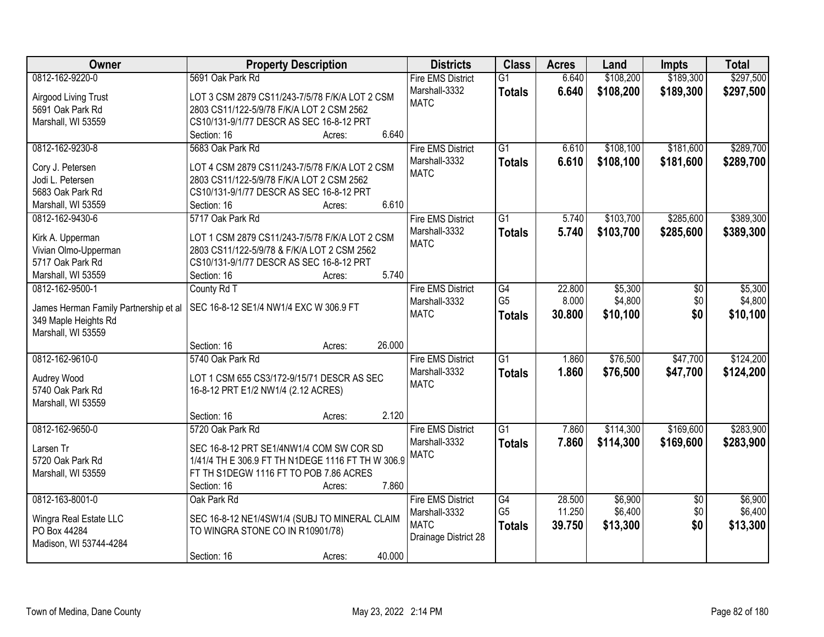| Owner                                 | <b>Property Description</b>                       | <b>Districts</b>         | <b>Class</b>    | <b>Acres</b> | Land      | Impts           | <b>Total</b> |
|---------------------------------------|---------------------------------------------------|--------------------------|-----------------|--------------|-----------|-----------------|--------------|
| 0812-162-9220-0                       | 5691 Oak Park Rd                                  | <b>Fire EMS District</b> | $\overline{G1}$ | 6.640        | \$108,200 | \$189,300       | \$297,500    |
| Airgood Living Trust                  | LOT 3 CSM 2879 CS11/243-7/5/78 F/K/A LOT 2 CSM    | Marshall-3332            | <b>Totals</b>   | 6.640        | \$108,200 | \$189,300       | \$297,500    |
| 5691 Oak Park Rd                      | 2803 CS11/122-5/9/78 F/K/A LOT 2 CSM 2562         | <b>MATC</b>              |                 |              |           |                 |              |
| Marshall, WI 53559                    | CS10/131-9/1/77 DESCR AS SEC 16-8-12 PRT          |                          |                 |              |           |                 |              |
|                                       | 6.640<br>Section: 16<br>Acres:                    |                          |                 |              |           |                 |              |
| 0812-162-9230-8                       | 5683 Oak Park Rd                                  | <b>Fire EMS District</b> | $\overline{G1}$ | 6.610        | \$108,100 | \$181,600       | \$289,700    |
|                                       |                                                   | Marshall-3332            | <b>Totals</b>   | 6.610        | \$108,100 | \$181,600       | \$289,700    |
| Cory J. Petersen                      | LOT 4 CSM 2879 CS11/243-7/5/78 F/K/A LOT 2 CSM    | <b>MATC</b>              |                 |              |           |                 |              |
| Jodi L. Petersen                      | 2803 CS11/122-5/9/78 F/K/A LOT 2 CSM 2562         |                          |                 |              |           |                 |              |
| 5683 Oak Park Rd                      | CS10/131-9/1/77 DESCR AS SEC 16-8-12 PRT          |                          |                 |              |           |                 |              |
| Marshall, WI 53559                    | 6.610<br>Section: 16<br>Acres:                    |                          |                 |              |           |                 |              |
| 0812-162-9430-6                       | 5717 Oak Park Rd                                  | <b>Fire EMS District</b> | $\overline{G1}$ | 5.740        | \$103,700 | \$285,600       | \$389,300    |
| Kirk A. Upperman                      | LOT 1 CSM 2879 CS11/243-7/5/78 F/K/A LOT 2 CSM    | Marshall-3332            | <b>Totals</b>   | 5.740        | \$103,700 | \$285,600       | \$389,300    |
| Vivian Olmo-Upperman                  | 2803 CS11/122-5/9/78 & F/K/A LOT 2 CSM 2562       | <b>MATC</b>              |                 |              |           |                 |              |
| 5717 Oak Park Rd                      | CS10/131-9/1/77 DESCR AS SEC 16-8-12 PRT          |                          |                 |              |           |                 |              |
| Marshall, WI 53559                    | 5.740<br>Section: 16<br>Acres:                    |                          |                 |              |           |                 |              |
| 0812-162-9500-1                       | County Rd T                                       | <b>Fire EMS District</b> | G4              | 22.800       | \$5,300   | \$0             | \$5,300      |
|                                       |                                                   | Marshall-3332            | G <sub>5</sub>  | 8.000        | \$4,800   | \$0             | \$4,800      |
| James Herman Family Partnership et al | SEC 16-8-12 SE1/4 NW1/4 EXC W 306.9 FT            | <b>MATC</b>              | <b>Totals</b>   | 30.800       | \$10,100  | \$0             | \$10,100     |
| 349 Maple Heights Rd                  |                                                   |                          |                 |              |           |                 |              |
| Marshall, WI 53559                    |                                                   |                          |                 |              |           |                 |              |
|                                       | 26.000<br>Section: 16<br>Acres:                   |                          |                 |              |           |                 |              |
| 0812-162-9610-0                       | 5740 Oak Park Rd                                  | <b>Fire EMS District</b> | $\overline{G1}$ | 1.860        | \$76,500  | \$47,700        | \$124,200    |
| Audrey Wood                           | LOT 1 CSM 655 CS3/172-9/15/71 DESCR AS SEC        | Marshall-3332            | <b>Totals</b>   | 1.860        | \$76,500  | \$47,700        | \$124,200    |
| 5740 Oak Park Rd                      | 16-8-12 PRT E1/2 NW1/4 (2.12 ACRES)               | <b>MATC</b>              |                 |              |           |                 |              |
| Marshall, WI 53559                    |                                                   |                          |                 |              |           |                 |              |
|                                       | 2.120<br>Section: 16<br>Acres:                    |                          |                 |              |           |                 |              |
| 0812-162-9650-0                       | 5720 Oak Park Rd                                  | <b>Fire EMS District</b> | G1              | 7.860        | \$114,300 | \$169,600       | \$283,900    |
|                                       |                                                   | Marshall-3332            | <b>Totals</b>   | 7.860        | \$114,300 | \$169,600       | \$283,900    |
| Larsen Tr                             | SEC 16-8-12 PRT SE1/4NW1/4 COM SW COR SD          | <b>MATC</b>              |                 |              |           |                 |              |
| 5720 Oak Park Rd                      | 1/41/4 TH E 306.9 FT TH N1DEGE 1116 FT TH W 306.9 |                          |                 |              |           |                 |              |
| Marshall, WI 53559                    | FT TH S1DEGW 1116 FT TO POB 7.86 ACRES            |                          |                 |              |           |                 |              |
|                                       | 7.860<br>Section: 16<br>Acres:                    |                          |                 |              |           |                 |              |
| 0812-163-8001-0                       | Oak Park Rd                                       | <b>Fire EMS District</b> | G4              | 28.500       | \$6,900   | $\overline{30}$ | \$6,900      |
| Wingra Real Estate LLC                | SEC 16-8-12 NE1/4SW1/4 (SUBJ TO MINERAL CLAIM     | Marshall-3332            | G <sub>5</sub>  | 11.250       | \$6,400   | \$0             | \$6,400      |
| PO Box 44284                          | TO WINGRA STONE CO IN R10901/78)                  | <b>MATC</b>              | <b>Totals</b>   | 39.750       | \$13,300  | \$0             | \$13,300     |
| Madison, WI 53744-4284                |                                                   | Drainage District 28     |                 |              |           |                 |              |
|                                       | 40.000<br>Section: 16<br>Acres:                   |                          |                 |              |           |                 |              |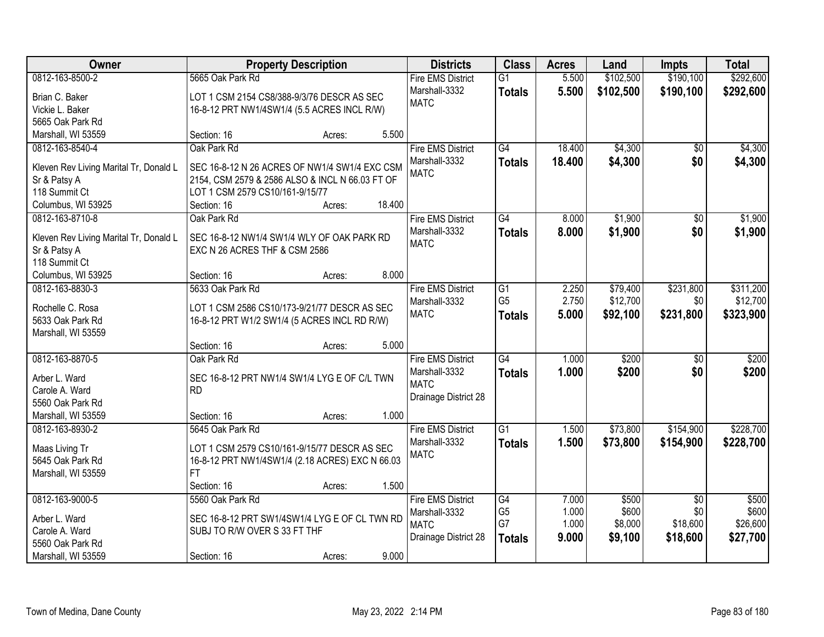| Owner                                  |                                                 | <b>Property Description</b> |        | <b>Districts</b>         | <b>Class</b>    | <b>Acres</b> | Land      | Impts           | <b>Total</b> |
|----------------------------------------|-------------------------------------------------|-----------------------------|--------|--------------------------|-----------------|--------------|-----------|-----------------|--------------|
| 0812-163-8500-2                        | 5665 Oak Park Rd                                |                             |        | <b>Fire EMS District</b> | $\overline{G1}$ | 5.500        | \$102,500 | \$190,100       | \$292,600    |
| Brian C. Baker                         | LOT 1 CSM 2154 CS8/388-9/3/76 DESCR AS SEC      |                             |        | Marshall-3332            | <b>Totals</b>   | 5.500        | \$102,500 | \$190,100       | \$292,600    |
| Vickie L. Baker                        | 16-8-12 PRT NW1/4SW1/4 (5.5 ACRES INCL R/W)     |                             |        | <b>MATC</b>              |                 |              |           |                 |              |
| 5665 Oak Park Rd                       |                                                 |                             |        |                          |                 |              |           |                 |              |
| Marshall, WI 53559                     | Section: 16                                     | Acres:                      | 5.500  |                          |                 |              |           |                 |              |
| 0812-163-8540-4                        | Oak Park Rd                                     |                             |        | <b>Fire EMS District</b> | $\overline{G4}$ | 18.400       | \$4,300   | $\overline{50}$ | \$4,300      |
|                                        |                                                 |                             |        | Marshall-3332            | <b>Totals</b>   | 18.400       | \$4,300   | \$0             | \$4,300      |
| Kleven Rev Living Marital Tr, Donald L | SEC 16-8-12 N 26 ACRES OF NW1/4 SW1/4 EXC CSM   |                             |        | <b>MATC</b>              |                 |              |           |                 |              |
| Sr & Patsy A                           | 2154, CSM 2579 & 2586 ALSO & INCL N 66.03 FT OF |                             |        |                          |                 |              |           |                 |              |
| 118 Summit Ct                          | LOT 1 CSM 2579 CS10/161-9/15/77                 |                             |        |                          |                 |              |           |                 |              |
| Columbus, WI 53925                     | Section: 16                                     | Acres:                      | 18.400 |                          |                 |              |           |                 |              |
| 0812-163-8710-8                        | Oak Park Rd                                     |                             |        | <b>Fire EMS District</b> | G4              | 8.000        | \$1,900   | \$0             | \$1,900      |
| Kleven Rev Living Marital Tr, Donald L | SEC 16-8-12 NW1/4 SW1/4 WLY OF OAK PARK RD      |                             |        | Marshall-3332            | <b>Totals</b>   | 8.000        | \$1,900   | \$0             | \$1,900      |
| Sr & Patsy A                           | EXC N 26 ACRES THF & CSM 2586                   |                             |        | <b>MATC</b>              |                 |              |           |                 |              |
| 118 Summit Ct                          |                                                 |                             |        |                          |                 |              |           |                 |              |
| Columbus, WI 53925                     | Section: 16                                     | Acres:                      | 8.000  |                          |                 |              |           |                 |              |
| 0812-163-8830-3                        | 5633 Oak Park Rd                                |                             |        | <b>Fire EMS District</b> | G1              | 2.250        | \$79,400  | \$231,800       | \$311,200    |
|                                        |                                                 |                             |        | Marshall-3332            | G <sub>5</sub>  | 2.750        | \$12,700  | \$0             | \$12,700     |
| Rochelle C. Rosa                       | LOT 1 CSM 2586 CS10/173-9/21/77 DESCR AS SEC    |                             |        | <b>MATC</b>              | <b>Totals</b>   | 5.000        | \$92,100  | \$231,800       | \$323,900    |
| 5633 Oak Park Rd                       | 16-8-12 PRT W1/2 SW1/4 (5 ACRES INCL RD R/W)    |                             |        |                          |                 |              |           |                 |              |
| Marshall, WI 53559                     |                                                 |                             |        |                          |                 |              |           |                 |              |
|                                        | Section: 16                                     | Acres:                      | 5.000  |                          |                 |              |           |                 |              |
| 0812-163-8870-5                        | Oak Park Rd                                     |                             |        | <b>Fire EMS District</b> | $\overline{G4}$ | 1.000        | \$200     | $\overline{50}$ | \$200        |
| Arber L. Ward                          | SEC 16-8-12 PRT NW1/4 SW1/4 LYG E OF C/L TWN    |                             |        | Marshall-3332            | <b>Totals</b>   | 1.000        | \$200     | \$0             | \$200        |
| Carole A. Ward                         | <b>RD</b>                                       |                             |        | <b>MATC</b>              |                 |              |           |                 |              |
| 5560 Oak Park Rd                       |                                                 |                             |        | Drainage District 28     |                 |              |           |                 |              |
| Marshall, WI 53559                     | Section: 16                                     | Acres:                      | 1.000  |                          |                 |              |           |                 |              |
| 0812-163-8930-2                        | 5645 Oak Park Rd                                |                             |        | <b>Fire EMS District</b> | G1              | 1.500        | \$73,800  | \$154,900       | \$228,700    |
|                                        |                                                 |                             |        | Marshall-3332            | <b>Totals</b>   | 1.500        | \$73,800  | \$154,900       | \$228,700    |
| Maas Living Tr                         | LOT 1 CSM 2579 CS10/161-9/15/77 DESCR AS SEC    |                             |        | <b>MATC</b>              |                 |              |           |                 |              |
| 5645 Oak Park Rd                       | 16-8-12 PRT NW1/4SW1/4 (2.18 ACRES) EXC N 66.03 |                             |        |                          |                 |              |           |                 |              |
| Marshall, WI 53559                     | <b>FT</b>                                       |                             |        |                          |                 |              |           |                 |              |
|                                        | Section: 16                                     | Acres:                      | 1.500  |                          |                 |              |           |                 |              |
| 0812-163-9000-5                        | 5560 Oak Park Rd                                |                             |        | <b>Fire EMS District</b> | G4              | 7.000        | \$500     | $\overline{30}$ | \$500        |
| Arber L. Ward                          | SEC 16-8-12 PRT SW1/4SW1/4 LYG E OF CL TWN RD   |                             |        | Marshall-3332            | G <sub>5</sub>  | 1.000        | \$600     | \$0             | \$600        |
| Carole A. Ward                         | SUBJ TO R/W OVER S 33 FT THF                    |                             |        | <b>MATC</b>              | G7              | 1.000        | \$8,000   | \$18,600        | \$26,600     |
| 5560 Oak Park Rd                       |                                                 |                             |        | Drainage District 28     | <b>Totals</b>   | 9.000        | \$9,100   | \$18,600        | \$27,700     |
| Marshall, WI 53559                     | Section: 16                                     | Acres:                      | 9.000  |                          |                 |              |           |                 |              |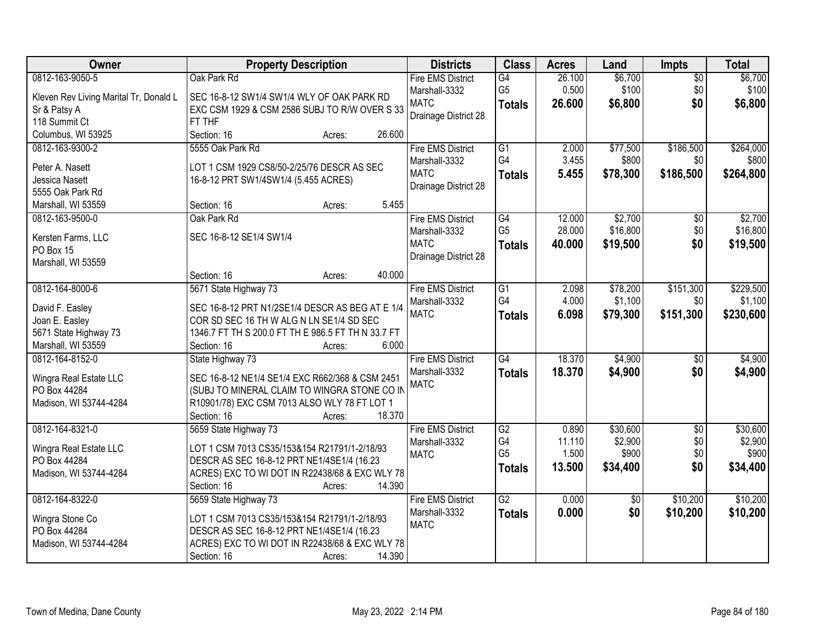| 0812-163-9050-5<br>Oak Park Rd<br>\$6,700<br><b>Fire EMS District</b><br>G4<br>26.100<br>$\sqrt{$0}$                                                                 |                  |
|----------------------------------------------------------------------------------------------------------------------------------------------------------------------|------------------|
|                                                                                                                                                                      | \$6,700          |
| 0.500<br>\$100<br>\$0<br>G <sub>5</sub><br>Marshall-3332<br>Kleven Rev Living Marital Tr, Donald L<br>SEC 16-8-12 SW1/4 SW1/4 WLY OF OAK PARK RD                     | \$100            |
| <b>MATC</b><br>\$0<br>26,600<br>\$6,800<br><b>Totals</b><br>EXC CSM 1929 & CSM 2586 SUBJ TO R/W OVER S 33<br>Sr & Patsy A                                            | \$6,800          |
| Drainage District 28<br>118 Summit Ct<br>FT THF                                                                                                                      |                  |
| 26.600<br>Columbus, WI 53925<br>Section: 16<br>Acres:                                                                                                                |                  |
| 5555 Oak Park Rd<br><b>Fire EMS District</b><br>$\overline{G1}$<br>2.000<br>\$77,500<br>\$186,500<br>0812-163-9300-2                                                 | \$264,000        |
| G4<br>3.455<br>\$800<br>\$0<br>Marshall-3332                                                                                                                         | \$800            |
| Peter A. Nasett<br>LOT 1 CSM 1929 CS8/50-2/25/76 DESCR AS SEC<br><b>MATC</b><br>5.455<br>\$186,500<br>\$78,300<br><b>Totals</b>                                      | \$264,800        |
| Jessica Nasett<br>16-8-12 PRT SW1/4SW1/4 (5.455 ACRES)<br>Drainage District 28<br>5555 Oak Park Rd                                                                   |                  |
| 5.455<br>Marshall, WI 53559<br>Section: 16<br>Acres:                                                                                                                 |                  |
| \$2,700<br>0812-163-9500-0<br>Oak Park Rd<br>$\overline{G4}$<br>12.000<br>$\overline{50}$<br><b>Fire EMS District</b>                                                | \$2,700          |
| G <sub>5</sub><br>\$16,800<br>\$0<br>28.000<br>Marshall-3332                                                                                                         | \$16,800         |
| SEC 16-8-12 SE1/4 SW1/4<br>Kersten Farms, LLC<br><b>MATC</b><br>\$19,500<br>\$0<br>40.000                                                                            | \$19,500         |
| <b>Totals</b><br>PO Box 15<br>Drainage District 28                                                                                                                   |                  |
| Marshall, WI 53559                                                                                                                                                   |                  |
| 40.000<br>Section: 16<br>Acres:                                                                                                                                      |                  |
| 5671 State Highway 73<br>$\overline{G1}$<br>\$78,200<br>\$151,300<br>0812-164-8000-6<br><b>Fire EMS District</b><br>2.098                                            | \$229,500        |
| G4<br>4.000<br>\$1,100<br>\$0<br>Marshall-3332<br>SEC 16-8-12 PRT N1/2SE1/4 DESCR AS BEG AT E 1/4<br>David F. Easley                                                 | \$1,100          |
| \$151,300<br><b>MATC</b><br>6.098<br>\$79,300<br><b>Totals</b><br>Joan E. Easley<br>COR SD SEC 16 TH W ALG N LN SE1/4 SD SEC                                         | \$230,600        |
| 5671 State Highway 73<br>1346.7 FT TH S 200.0 FT TH E 986.5 FT TH N 33.7 FT                                                                                          |                  |
| 6.000<br>Marshall, WI 53559<br>Section: 16<br>Acres:                                                                                                                 |                  |
| G4<br>18.370<br>\$4,900<br>0812-164-8152-0<br>$\overline{50}$<br>State Highway 73<br><b>Fire EMS District</b>                                                        | \$4,900          |
| 18.370<br>Marshall-3332<br>\$4,900<br>\$0<br><b>Totals</b>                                                                                                           | \$4,900          |
| Wingra Real Estate LLC<br>SEC 16-8-12 NE1/4 SE1/4 EXC R662/368 & CSM 2451<br><b>MATC</b>                                                                             |                  |
| PO Box 44284<br>(SUBJ TO MINERAL CLAIM TO WINGRA STONE CO IN                                                                                                         |                  |
| Madison, WI 53744-4284<br>R10901/78) EXC CSM 7013 ALSO WLY 78 FT LOT 1                                                                                               |                  |
| 18.370<br>Section: 16<br>Acres:                                                                                                                                      |                  |
| $\overline{G2}$<br>\$30,600<br>$\overline{60}$<br>0812-164-8321-0<br>5659 State Highway 73<br><b>Fire EMS District</b><br>0.890                                      | \$30,600         |
| G4<br>\$0<br>11.110<br>\$2,900<br>Marshall-3332<br>LOT 1 CSM 7013 CS35/153&154 R21791/1-2/18/93<br>Wingra Real Estate LLC<br>G <sub>5</sub><br>\$900<br>1.500<br>\$0 | \$2,900<br>\$900 |
| <b>MATC</b><br>PO Box 44284<br>DESCR AS SEC 16-8-12 PRT NE1/4SE1/4 (16.23<br>\$0                                                                                     |                  |
| 13.500<br>\$34,400<br><b>Totals</b><br>ACRES) EXC TO WI DOT IN R22438/68 & EXC WLY 78<br>Madison, WI 53744-4284                                                      | \$34,400         |
| 14.390<br>Section: 16<br>Acres:                                                                                                                                      |                  |
| $\overline{G2}$<br>0812-164-8322-0<br>5659 State Highway 73<br>0.000<br>\$10,200<br><b>Fire EMS District</b><br>\$0                                                  | \$10,200         |
| 0.000<br>\$0<br>\$10,200<br>Marshall-3332<br><b>Totals</b><br>Wingra Stone Co<br>LOT 1 CSM 7013 CS35/153&154 R21791/1-2/18/93                                        | \$10,200         |
| <b>MATC</b><br>PO Box 44284<br>DESCR AS SEC 16-8-12 PRT NE1/4SE1/4 (16.23                                                                                            |                  |
| ACRES) EXC TO WI DOT IN R22438/68 & EXC WLY 78<br>Madison, WI 53744-4284                                                                                             |                  |
| 14.390<br>Section: 16<br>Acres:                                                                                                                                      |                  |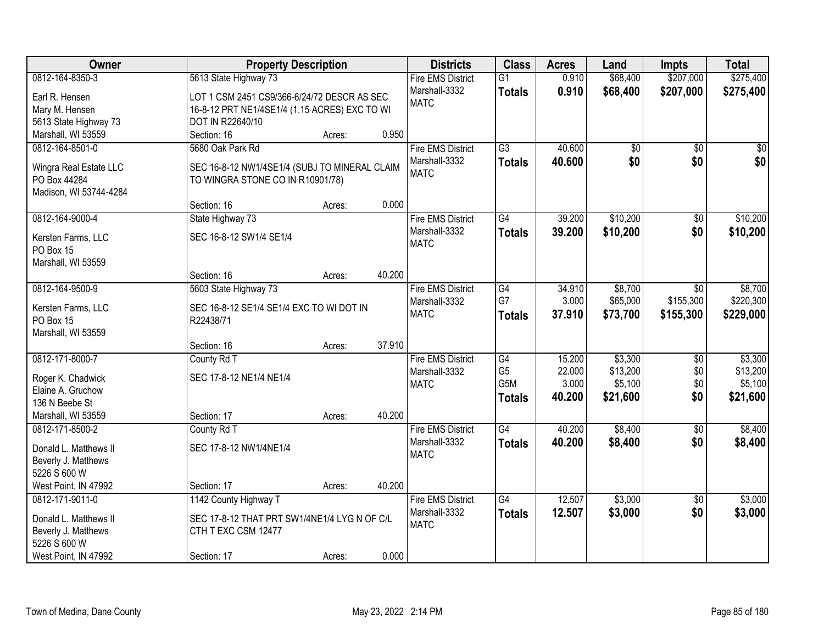| Owner                                  |                                               | <b>Property Description</b> |        | <b>Districts</b>         | <b>Class</b>    | <b>Acres</b> | Land            | <b>Impts</b>    | <b>Total</b> |
|----------------------------------------|-----------------------------------------------|-----------------------------|--------|--------------------------|-----------------|--------------|-----------------|-----------------|--------------|
| 0812-164-8350-3                        | 5613 State Highway 73                         |                             |        | <b>Fire EMS District</b> | $\overline{G1}$ | 0.910        | \$68,400        | \$207,000       | \$275,400    |
| Earl R. Hensen                         | LOT 1 CSM 2451 CS9/366-6/24/72 DESCR AS SEC   |                             |        | Marshall-3332            | <b>Totals</b>   | 0.910        | \$68,400        | \$207,000       | \$275,400    |
| Mary M. Hensen                         | 16-8-12 PRT NE1/4SE1/4 (1.15 ACRES) EXC TO WI |                             |        | <b>MATC</b>              |                 |              |                 |                 |              |
| 5613 State Highway 73                  | DOT IN R22640/10                              |                             |        |                          |                 |              |                 |                 |              |
| Marshall, WI 53559                     | Section: 16                                   | Acres:                      | 0.950  |                          |                 |              |                 |                 |              |
| 0812-164-8501-0                        | 5680 Oak Park Rd                              |                             |        | <b>Fire EMS District</b> | $\overline{G3}$ | 40.600       | $\overline{50}$ | $\overline{50}$ | $\sqrt{50}$  |
|                                        |                                               |                             |        | Marshall-3332            | <b>Totals</b>   | 40.600       | \$0             | \$0             | \$0          |
| Wingra Real Estate LLC<br>PO Box 44284 | SEC 16-8-12 NW1/4SE1/4 (SUBJ TO MINERAL CLAIM |                             |        | <b>MATC</b>              |                 |              |                 |                 |              |
| Madison, WI 53744-4284                 | TO WINGRA STONE CO IN R10901/78)              |                             |        |                          |                 |              |                 |                 |              |
|                                        | Section: 16                                   | Acres:                      | 0.000  |                          |                 |              |                 |                 |              |
| 0812-164-9000-4                        | State Highway 73                              |                             |        | <b>Fire EMS District</b> | G4              | 39.200       | \$10,200        | $\overline{50}$ | \$10,200     |
|                                        |                                               |                             |        | Marshall-3332            |                 | 39.200       | \$10,200        | \$0             | \$10,200     |
| Kersten Farms, LLC                     | SEC 16-8-12 SW1/4 SE1/4                       |                             |        | <b>MATC</b>              | <b>Totals</b>   |              |                 |                 |              |
| PO Box 15                              |                                               |                             |        |                          |                 |              |                 |                 |              |
| Marshall, WI 53559                     |                                               |                             |        |                          |                 |              |                 |                 |              |
|                                        | Section: 16                                   | Acres:                      | 40.200 |                          |                 |              |                 |                 |              |
| 0812-164-9500-9                        | 5603 State Highway 73                         |                             |        | <b>Fire EMS District</b> | G4              | 34.910       | \$8,700         | \$0             | \$8,700      |
| Kersten Farms, LLC                     | SEC 16-8-12 SE1/4 SE1/4 EXC TO WI DOT IN      |                             |        | Marshall-3332            | G7              | 3.000        | \$65,000        | \$155,300       | \$220,300    |
| PO Box 15                              | R22438/71                                     |                             |        | <b>MATC</b>              | <b>Totals</b>   | 37.910       | \$73,700        | \$155,300       | \$229,000    |
| Marshall, WI 53559                     |                                               |                             |        |                          |                 |              |                 |                 |              |
|                                        | Section: 16                                   | Acres:                      | 37.910 |                          |                 |              |                 |                 |              |
| 0812-171-8000-7                        | County Rd T                                   |                             |        | <b>Fire EMS District</b> | G4              | 15.200       | \$3,300         | $\overline{50}$ | \$3,300      |
|                                        | SEC 17-8-12 NE1/4 NE1/4                       |                             |        | Marshall-3332            | G <sub>5</sub>  | 22.000       | \$13,200        | \$0             | \$13,200     |
| Roger K. Chadwick<br>Elaine A. Gruchow |                                               |                             |        | <b>MATC</b>              | G5M             | 3.000        | \$5,100         | \$0             | \$5,100      |
| 136 N Beebe St                         |                                               |                             |        |                          | <b>Totals</b>   | 40.200       | \$21,600        | \$0             | \$21,600     |
| Marshall, WI 53559                     | Section: 17                                   | Acres:                      | 40.200 |                          |                 |              |                 |                 |              |
| 0812-171-8500-2                        | County Rd T                                   |                             |        | <b>Fire EMS District</b> | $\overline{G4}$ | 40.200       | \$8,400         | $\sqrt{6}$      | \$8,400      |
|                                        |                                               |                             |        | Marshall-3332            | <b>Totals</b>   | 40.200       | \$8,400         | \$0             | \$8,400      |
| Donald L. Matthews II                  | SEC 17-8-12 NW1/4NE1/4                        |                             |        | <b>MATC</b>              |                 |              |                 |                 |              |
| Beverly J. Matthews                    |                                               |                             |        |                          |                 |              |                 |                 |              |
| 5226 S 600 W                           |                                               |                             |        |                          |                 |              |                 |                 |              |
| West Point, IN 47992                   | Section: 17                                   | Acres:                      | 40.200 |                          |                 |              |                 |                 |              |
| 0812-171-9011-0                        | 1142 County Highway T                         |                             |        | <b>Fire EMS District</b> | G4              | 12.507       | \$3,000         | $\overline{30}$ | \$3,000      |
| Donald L. Matthews II                  | SEC 17-8-12 THAT PRT SW1/4NE1/4 LYG N OF C/L  |                             |        | Marshall-3332            | <b>Totals</b>   | 12.507       | \$3,000         | \$0             | \$3,000      |
| Beverly J. Matthews                    | CTH T EXC CSM 12477                           |                             |        | <b>MATC</b>              |                 |              |                 |                 |              |
| 5226 S 600 W                           |                                               |                             |        |                          |                 |              |                 |                 |              |
| West Point, IN 47992                   | Section: 17                                   | Acres:                      | 0.000  |                          |                 |              |                 |                 |              |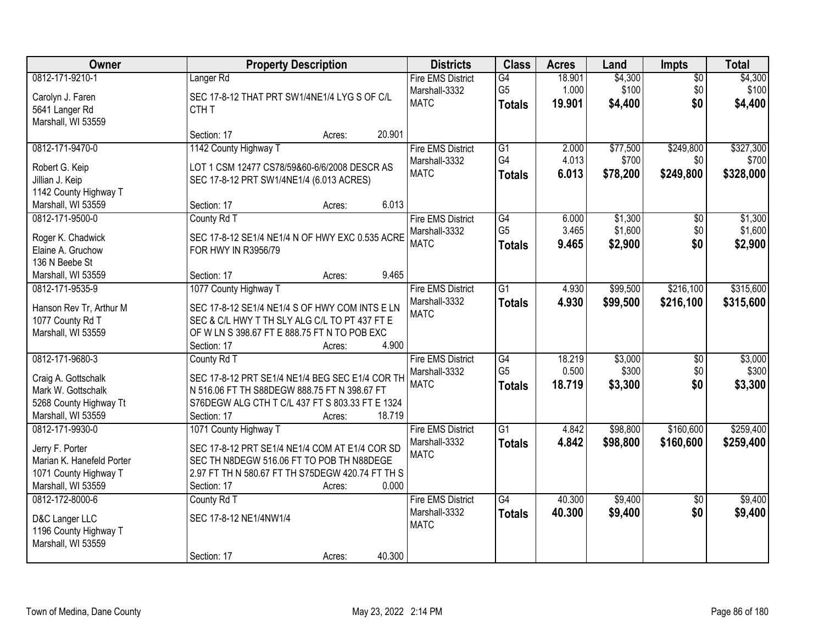| Owner                                       | <b>Property Description</b>                      | <b>Districts</b>             | <b>Class</b>                    | <b>Acres</b>    | Land             | Impts           | <b>Total</b>     |
|---------------------------------------------|--------------------------------------------------|------------------------------|---------------------------------|-----------------|------------------|-----------------|------------------|
| 0812-171-9210-1                             | Langer <sub>Rd</sub>                             | <b>Fire EMS District</b>     | G4                              | 18.901          | \$4,300          | $\overline{60}$ | \$4,300          |
| Carolyn J. Faren                            | SEC 17-8-12 THAT PRT SW1/4NE1/4 LYG S OF C/L     | Marshall-3332<br><b>MATC</b> | G <sub>5</sub><br><b>Totals</b> | 1.000<br>19.901 | \$100<br>\$4,400 | \$0<br>\$0      | \$100<br>\$4,400 |
| 5641 Langer Rd                              | CTH <sub>T</sub>                                 |                              |                                 |                 |                  |                 |                  |
| Marshall, WI 53559                          |                                                  |                              |                                 |                 |                  |                 |                  |
|                                             | 20.901<br>Section: 17<br>Acres:                  |                              |                                 |                 |                  |                 |                  |
| 0812-171-9470-0                             | 1142 County Highway T                            | <b>Fire EMS District</b>     | $\overline{G1}$                 | 2.000           | \$77,500         | \$249,800       | \$327,300        |
| Robert G. Keip                              | LOT 1 CSM 12477 CS78/59&60-6/6/2008 DESCR AS     | Marshall-3332                | G4                              | 4.013           | \$700            | \$0             | \$700            |
| Jillian J. Keip                             | SEC 17-8-12 PRT SW1/4NE1/4 (6.013 ACRES)         | <b>MATC</b>                  | <b>Totals</b>                   | 6.013           | \$78,200         | \$249,800       | \$328,000        |
| 1142 County Highway T                       |                                                  |                              |                                 |                 |                  |                 |                  |
| Marshall, WI 53559                          | 6.013<br>Section: 17<br>Acres:                   |                              |                                 |                 |                  |                 |                  |
| 0812-171-9500-0                             | County Rd T                                      | <b>Fire EMS District</b>     | $\overline{G4}$                 | 6.000           | \$1,300          | \$0             | \$1,300          |
| Roger K. Chadwick                           | SEC 17-8-12 SE1/4 NE1/4 N OF HWY EXC 0.535 ACRE  | Marshall-3332                | G <sub>5</sub>                  | 3.465           | \$1,600          | \$0             | \$1,600          |
| Elaine A. Gruchow                           | FOR HWY IN R3956/79                              | <b>MATC</b>                  | <b>Totals</b>                   | 9.465           | \$2,900          | \$0             | \$2,900          |
| 136 N Beebe St                              |                                                  |                              |                                 |                 |                  |                 |                  |
| Marshall, WI 53559                          | 9.465<br>Section: 17<br>Acres:                   |                              |                                 |                 |                  |                 |                  |
| 0812-171-9535-9                             | 1077 County Highway T                            | <b>Fire EMS District</b>     | $\overline{G1}$                 | 4.930           | \$99,500         | \$216,100       | \$315,600        |
|                                             | SEC 17-8-12 SE1/4 NE1/4 S OF HWY COM INTS E LN   | Marshall-3332                | <b>Totals</b>                   | 4.930           | \$99,500         | \$216,100       | \$315,600        |
| Hanson Rev Tr, Arthur M<br>1077 County Rd T | SEC & C/L HWY T TH SLY ALG C/L TO PT 437 FT E    | <b>MATC</b>                  |                                 |                 |                  |                 |                  |
| Marshall, WI 53559                          | OF W LN S 398.67 FT E 888.75 FT N TO POB EXC     |                              |                                 |                 |                  |                 |                  |
|                                             | 4.900<br>Section: 17<br>Acres:                   |                              |                                 |                 |                  |                 |                  |
| 0812-171-9680-3                             | County Rd T                                      | <b>Fire EMS District</b>     | G4                              | 18.219          | \$3,000          | \$0             | \$3,000          |
|                                             |                                                  | Marshall-3332                | G <sub>5</sub>                  | 0.500           | \$300            | \$0             | \$300            |
| Craig A. Gottschalk                         | SEC 17-8-12 PRT SE1/4 NE1/4 BEG SEC E1/4 COR TH  | <b>MATC</b>                  | <b>Totals</b>                   | 18.719          | \$3,300          | \$0             | \$3,300          |
| Mark W. Gottschalk                          | N 516.06 FT TH S88DEGW 888.75 FT N 398.67 FT     |                              |                                 |                 |                  |                 |                  |
| 5268 County Highway Tt                      | S76DEGW ALG CTH T C/L 437 FT S 803.33 FT E 1324  |                              |                                 |                 |                  |                 |                  |
| Marshall, WI 53559<br>0812-171-9930-0       | 18.719<br>Section: 17<br>Acres:                  | <b>Fire EMS District</b>     | $\overline{G1}$                 |                 | \$98,800         | \$160,600       | \$259,400        |
|                                             | 1071 County Highway T                            | Marshall-3332                |                                 | 4.842<br>4.842  |                  |                 |                  |
| Jerry F. Porter                             | SEC 17-8-12 PRT SE1/4 NE1/4 COM AT E1/4 COR SD   | <b>MATC</b>                  | <b>Totals</b>                   |                 | \$98,800         | \$160,600       | \$259,400        |
| Marian K. Hanefeld Porter                   | SEC TH N8DEGW 516.06 FT TO POB TH N88DEGE        |                              |                                 |                 |                  |                 |                  |
| 1071 County Highway T                       | 2.97 FT TH N 580.67 FT TH S75DEGW 420.74 FT TH S |                              |                                 |                 |                  |                 |                  |
| Marshall, WI 53559                          | 0.000<br>Section: 17<br>Acres:                   |                              |                                 |                 |                  |                 |                  |
| 0812-172-8000-6                             | County Rd T                                      | <b>Fire EMS District</b>     | $\overline{G4}$                 | 40.300          | \$9,400          | $\overline{50}$ | \$9,400          |
| D&C Langer LLC                              | SEC 17-8-12 NE1/4NW1/4                           | Marshall-3332                | <b>Totals</b>                   | 40.300          | \$9,400          | \$0             | \$9,400          |
| 1196 County Highway T                       |                                                  | <b>MATC</b>                  |                                 |                 |                  |                 |                  |
| Marshall, WI 53559                          |                                                  |                              |                                 |                 |                  |                 |                  |
|                                             | 40.300<br>Section: 17<br>Acres:                  |                              |                                 |                 |                  |                 |                  |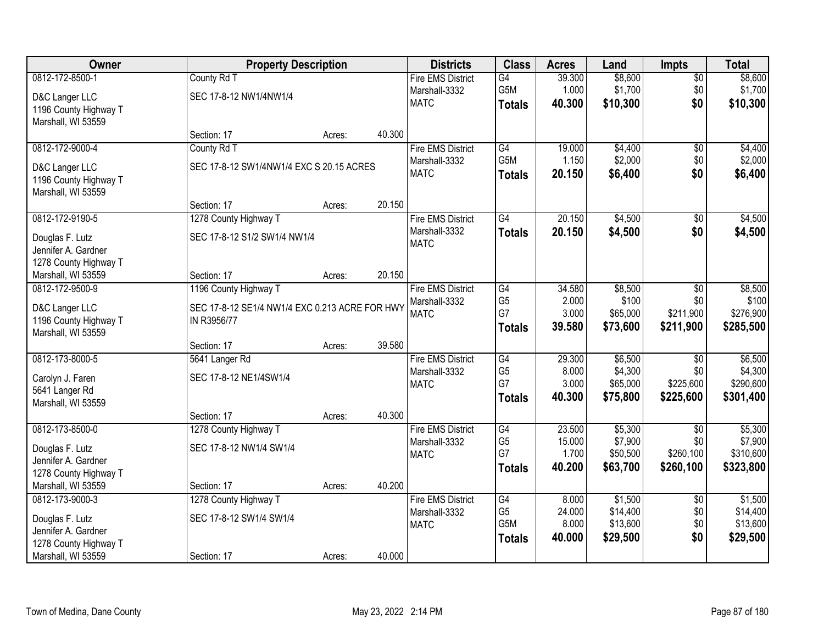| Owner                 | <b>Property Description</b>                    |        |        | <b>Districts</b>         | <b>Class</b>                       | <b>Acres</b>    | Land                 | <b>Impts</b>           | <b>Total</b>           |
|-----------------------|------------------------------------------------|--------|--------|--------------------------|------------------------------------|-----------------|----------------------|------------------------|------------------------|
| 0812-172-8500-1       | County Rd T                                    |        |        | <b>Fire EMS District</b> | G4                                 | 39.300          | \$8,600              | $\sqrt{$0}$            | \$8,600                |
| D&C Langer LLC        | SEC 17-8-12 NW1/4NW1/4                         |        |        | Marshall-3332            | G5M                                | 1.000           | \$1,700              | \$0                    | \$1,700                |
| 1196 County Highway T |                                                |        |        | <b>MATC</b>              | <b>Totals</b>                      | 40.300          | \$10,300             | \$0                    | \$10,300               |
| Marshall, WI 53559    |                                                |        |        |                          |                                    |                 |                      |                        |                        |
|                       | Section: 17                                    | Acres: | 40.300 |                          |                                    |                 |                      |                        |                        |
| 0812-172-9000-4       | County Rd T                                    |        |        | <b>Fire EMS District</b> | G4                                 | 19.000          | \$4,400              | \$0                    | \$4,400                |
| D&C Langer LLC        | SEC 17-8-12 SW1/4NW1/4 EXC S 20.15 ACRES       |        |        | Marshall-3332            | G <sub>5</sub> M                   | 1.150           | \$2,000              | \$0                    | \$2,000                |
| 1196 County Highway T |                                                |        |        | <b>MATC</b>              | <b>Totals</b>                      | 20.150          | \$6,400              | \$0                    | \$6,400                |
| Marshall, WI 53559    |                                                |        |        |                          |                                    |                 |                      |                        |                        |
|                       | Section: 17                                    | Acres: | 20.150 |                          |                                    |                 |                      |                        |                        |
| 0812-172-9190-5       | 1278 County Highway T                          |        |        | <b>Fire EMS District</b> | $\overline{G4}$                    | 20.150          | \$4,500              | \$0                    | \$4,500                |
| Douglas F. Lutz       | SEC 17-8-12 S1/2 SW1/4 NW1/4                   |        |        | Marshall-3332            | <b>Totals</b>                      | 20.150          | \$4,500              | \$0                    | \$4,500                |
| Jennifer A. Gardner   |                                                |        |        | <b>MATC</b>              |                                    |                 |                      |                        |                        |
| 1278 County Highway T |                                                |        |        |                          |                                    |                 |                      |                        |                        |
| Marshall, WI 53559    | Section: 17                                    | Acres: | 20.150 |                          |                                    |                 |                      |                        |                        |
| 0812-172-9500-9       | 1196 County Highway T                          |        |        | <b>Fire EMS District</b> | G4                                 | 34.580          | \$8,500              | \$0                    | \$8,500                |
| D&C Langer LLC        | SEC 17-8-12 SE1/4 NW1/4 EXC 0.213 ACRE FOR HWY |        |        | Marshall-3332            | G <sub>5</sub>                     | 2.000           | \$100                | \$0                    | \$100                  |
| 1196 County Highway T | IN R3956/77                                    |        |        | <b>MATC</b>              | G7                                 | 3.000           | \$65,000             | \$211,900              | \$276,900              |
| Marshall, WI 53559    |                                                |        |        |                          | <b>Totals</b>                      | 39.580          | \$73,600             | \$211,900              | \$285,500              |
|                       | Section: 17                                    | Acres: | 39.580 |                          |                                    |                 |                      |                        |                        |
| 0812-173-8000-5       | 5641 Langer Rd                                 |        |        | <b>Fire EMS District</b> | G4                                 | 29.300          | \$6,500              | $\overline{50}$        | \$6,500                |
| Carolyn J. Faren      | SEC 17-8-12 NE1/4SW1/4                         |        |        | Marshall-3332            | G <sub>5</sub><br>G7               | 8.000           | \$4,300              | \$0                    | \$4,300                |
| 5641 Langer Rd        |                                                |        |        | <b>MATC</b>              |                                    | 3.000<br>40.300 | \$65,000<br>\$75,800 | \$225,600<br>\$225,600 | \$290,600<br>\$301,400 |
| Marshall, WI 53559    |                                                |        |        |                          | <b>Totals</b>                      |                 |                      |                        |                        |
|                       | Section: 17                                    | Acres: | 40.300 |                          |                                    |                 |                      |                        |                        |
| 0812-173-8500-0       | 1278 County Highway T                          |        |        | <b>Fire EMS District</b> | G4                                 | 23.500          | \$5,300              | $\overline{50}$        | \$5,300                |
| Douglas F. Lutz       | SEC 17-8-12 NW1/4 SW1/4                        |        |        | Marshall-3332            | G <sub>5</sub><br>G7               | 15.000<br>1.700 | \$7,900<br>\$50,500  | \$0<br>\$260,100       | \$7,900<br>\$310,600   |
| Jennifer A. Gardner   |                                                |        |        | <b>MATC</b>              | <b>Totals</b>                      | 40.200          | \$63,700             | \$260,100              | \$323,800              |
| 1278 County Highway T |                                                |        |        |                          |                                    |                 |                      |                        |                        |
| Marshall, WI 53559    | Section: 17                                    | Acres: | 40.200 |                          |                                    |                 |                      |                        |                        |
| 0812-173-9000-3       | 1278 County Highway T                          |        |        | <b>Fire EMS District</b> | G4                                 | 8.000           | \$1,500              | $\overline{60}$        | \$1,500                |
| Douglas F. Lutz       | SEC 17-8-12 SW1/4 SW1/4                        |        |        | Marshall-3332            | G <sub>5</sub><br>G <sub>5</sub> M | 24.000          | \$14,400             | \$0                    | \$14,400               |
| Jennifer A. Gardner   |                                                |        |        | <b>MATC</b>              |                                    | 8.000<br>40.000 | \$13,600<br>\$29,500 | \$0<br>\$0             | \$13,600<br>\$29,500   |
| 1278 County Highway T |                                                |        |        |                          | <b>Totals</b>                      |                 |                      |                        |                        |
| Marshall, WI 53559    | Section: 17                                    | Acres: | 40.000 |                          |                                    |                 |                      |                        |                        |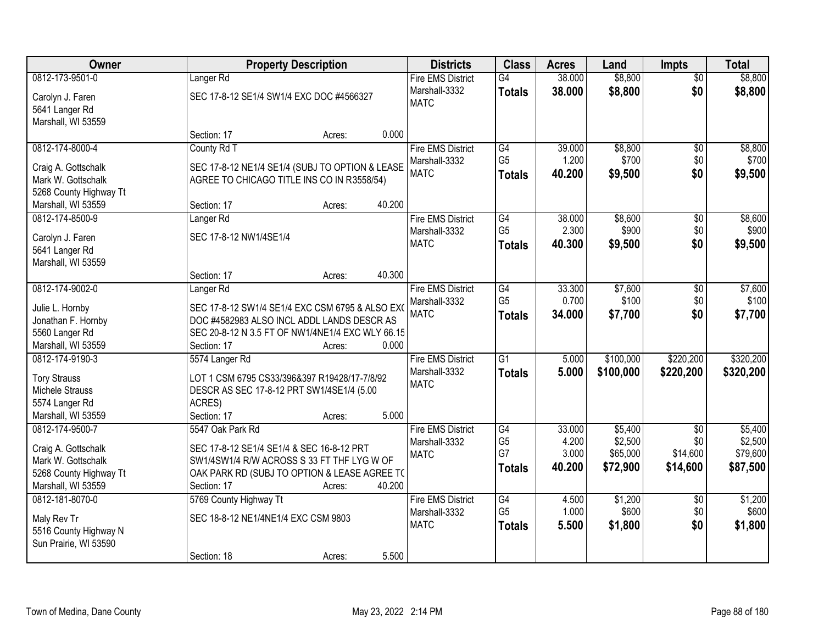| Owner                                 |                                                                                               | <b>Property Description</b> |        | <b>Districts</b>         | <b>Class</b>                      | <b>Acres</b>   | Land             | <b>Impts</b>           | <b>Total</b>     |
|---------------------------------------|-----------------------------------------------------------------------------------------------|-----------------------------|--------|--------------------------|-----------------------------------|----------------|------------------|------------------------|------------------|
| 0812-173-9501-0                       | Langer <sub>Rd</sub>                                                                          |                             |        | <b>Fire EMS District</b> | G4                                | 38.000         | \$8,800          | $\overline{50}$        | \$8,800          |
| Carolyn J. Faren                      | SEC 17-8-12 SE1/4 SW1/4 EXC DOC #4566327                                                      |                             |        | Marshall-3332            | <b>Totals</b>                     | 38.000         | \$8,800          | \$0                    | \$8,800          |
| 5641 Langer Rd                        |                                                                                               |                             |        | <b>MATC</b>              |                                   |                |                  |                        |                  |
| Marshall, WI 53559                    |                                                                                               |                             |        |                          |                                   |                |                  |                        |                  |
|                                       | Section: 17                                                                                   | Acres:                      | 0.000  |                          |                                   |                |                  |                        |                  |
| 0812-174-8000-4                       | County Rd T                                                                                   |                             |        | <b>Fire EMS District</b> | G4                                | 39.000         | \$8,800          | $\overline{50}$        | \$8,800          |
| Craig A. Gottschalk                   | SEC 17-8-12 NE1/4 SE1/4 (SUBJ TO OPTION & LEASE                                               |                             |        | Marshall-3332            | G <sub>5</sub>                    | 1.200          | \$700            | \$0                    | \$700            |
| Mark W. Gottschalk                    | AGREE TO CHICAGO TITLE INS CO IN R3558/54)                                                    |                             |        | <b>MATC</b>              | <b>Totals</b>                     | 40.200         | \$9,500          | \$0                    | \$9,500          |
| 5268 County Highway Tt                |                                                                                               |                             |        |                          |                                   |                |                  |                        |                  |
| Marshall, WI 53559                    | Section: 17                                                                                   | Acres:                      | 40.200 |                          |                                   |                |                  |                        |                  |
| 0812-174-8500-9                       | Langer <sub>Rd</sub>                                                                          |                             |        | <b>Fire EMS District</b> | G4                                | 38.000         | \$8,600          | \$0                    | \$8,600          |
| Carolyn J. Faren                      | SEC 17-8-12 NW1/4SE1/4                                                                        |                             |        | Marshall-3332            | G <sub>5</sub>                    | 2.300          | \$900            | \$0                    | \$900            |
| 5641 Langer Rd                        |                                                                                               |                             |        | <b>MATC</b>              | <b>Totals</b>                     | 40.300         | \$9,500          | \$0                    | \$9,500          |
| Marshall, WI 53559                    |                                                                                               |                             |        |                          |                                   |                |                  |                        |                  |
|                                       | Section: 17                                                                                   | Acres:                      | 40.300 |                          |                                   |                |                  |                        |                  |
| 0812-174-9002-0                       | Langer <sub>Rd</sub>                                                                          |                             |        | <b>Fire EMS District</b> | G4                                | 33.300         | \$7,600          | \$0                    | \$7,600          |
|                                       |                                                                                               |                             |        | Marshall-3332            | G <sub>5</sub>                    | 0.700          | \$100            | \$0                    | \$100            |
| Julie L. Hornby<br>Jonathan F. Hornby | SEC 17-8-12 SW1/4 SE1/4 EXC CSM 6795 & ALSO EX(<br>DOC #4582983 ALSO INCL ADDL LANDS DESCR AS |                             |        | <b>MATC</b>              | <b>Totals</b>                     | 34.000         | \$7,700          | \$0                    | \$7,700          |
| 5560 Langer Rd                        | SEC 20-8-12 N 3.5 FT OF NW1/4NE1/4 EXC WLY 66.15                                              |                             |        |                          |                                   |                |                  |                        |                  |
| Marshall, WI 53559                    | Section: 17                                                                                   | Acres:                      | 0.000  |                          |                                   |                |                  |                        |                  |
| 0812-174-9190-3                       | 5574 Langer Rd                                                                                |                             |        | <b>Fire EMS District</b> | $\overline{G1}$                   | 5.000          | \$100,000        | \$220,200              | \$320,200        |
|                                       |                                                                                               |                             |        | Marshall-3332            | <b>Totals</b>                     | 5.000          | \$100,000        | \$220,200              | \$320,200        |
| <b>Tory Strauss</b>                   | LOT 1 CSM 6795 CS33/396&397 R19428/17-7/8/92                                                  |                             |        | <b>MATC</b>              |                                   |                |                  |                        |                  |
| Michele Strauss                       | DESCR AS SEC 17-8-12 PRT SW1/4SE1/4 (5.00                                                     |                             |        |                          |                                   |                |                  |                        |                  |
| 5574 Langer Rd<br>Marshall, WI 53559  | ACRES)<br>Section: 17                                                                         |                             | 5.000  |                          |                                   |                |                  |                        |                  |
| 0812-174-9500-7                       | 5547 Oak Park Rd                                                                              | Acres:                      |        | <b>Fire EMS District</b> | G4                                | 33.000         | \$5,400          | \$0                    | \$5,400          |
|                                       |                                                                                               |                             |        | Marshall-3332            | G <sub>5</sub>                    | 4.200          | \$2,500          | \$0                    | \$2,500          |
| Craig A. Gottschalk                   | SEC 17-8-12 SE1/4 SE1/4 & SEC 16-8-12 PRT                                                     |                             |        | <b>MATC</b>              | G7                                | 3.000          | \$65,000         | \$14,600               | \$79,600         |
| Mark W. Gottschalk                    | SW1/4SW1/4 R/W ACROSS S 33 FT THF LYG W OF                                                    |                             |        |                          | <b>Totals</b>                     | 40.200         | \$72,900         | \$14,600               | \$87,500         |
| 5268 County Highway Tt                | OAK PARK RD (SUBJ TO OPTION & LEASE AGREE TO                                                  |                             |        |                          |                                   |                |                  |                        |                  |
| Marshall, WI 53559                    | Section: 17                                                                                   | Acres:                      | 40.200 |                          |                                   |                |                  |                        |                  |
| 0812-181-8070-0                       | 5769 County Highway Tt                                                                        |                             |        | <b>Fire EMS District</b> | $\overline{G4}$<br>G <sub>5</sub> | 4.500<br>1.000 | \$1,200<br>\$600 | $\overline{50}$<br>\$0 | \$1,200<br>\$600 |
| Maly Rev Tr                           | SEC 18-8-12 NE1/4NE1/4 EXC CSM 9803                                                           |                             |        | Marshall-3332            |                                   |                |                  |                        |                  |
| 5516 County Highway N                 |                                                                                               |                             |        | <b>MATC</b>              | <b>Totals</b>                     | 5.500          | \$1,800          | \$0                    | \$1,800          |
| Sun Prairie, WI 53590                 |                                                                                               |                             |        |                          |                                   |                |                  |                        |                  |
|                                       | Section: 18                                                                                   | Acres:                      | 5.500  |                          |                                   |                |                  |                        |                  |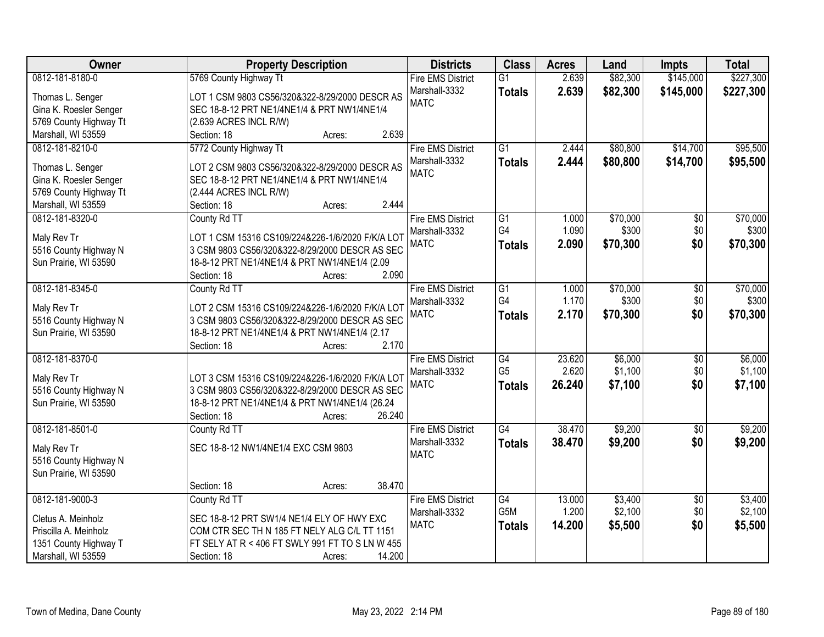| Owner                  | <b>Property Description</b>                                           | <b>Districts</b>             | <b>Class</b>    | <b>Acres</b> | Land     | <b>Impts</b>    | <b>Total</b> |
|------------------------|-----------------------------------------------------------------------|------------------------------|-----------------|--------------|----------|-----------------|--------------|
| 0812-181-8180-0        | 5769 County Highway Tt                                                | <b>Fire EMS District</b>     | $\overline{G1}$ | 2.639        | \$82,300 | \$145,000       | \$227,300    |
| Thomas L. Senger       | LOT 1 CSM 9803 CS56/320&322-8/29/2000 DESCR AS                        | Marshall-3332                | <b>Totals</b>   | 2.639        | \$82,300 | \$145,000       | \$227,300    |
| Gina K. Roesler Senger | SEC 18-8-12 PRT NE1/4NE1/4 & PRT NW1/4NE1/4                           | <b>MATC</b>                  |                 |              |          |                 |              |
| 5769 County Highway Tt | (2.639 ACRES INCL R/W)                                                |                              |                 |              |          |                 |              |
| Marshall, WI 53559     | 2.639<br>Section: 18<br>Acres:                                        |                              |                 |              |          |                 |              |
| 0812-181-8210-0        | 5772 County Highway Tt                                                | <b>Fire EMS District</b>     | $\overline{G1}$ | 2.444        | \$80,800 | \$14,700        | \$95,500     |
|                        |                                                                       | Marshall-3332                | <b>Totals</b>   | 2.444        | \$80,800 | \$14,700        | \$95,500     |
| Thomas L. Senger       | LOT 2 CSM 9803 CS56/320&322-8/29/2000 DESCR AS                        | <b>MATC</b>                  |                 |              |          |                 |              |
| Gina K. Roesler Senger | SEC 18-8-12 PRT NE1/4NE1/4 & PRT NW1/4NE1/4                           |                              |                 |              |          |                 |              |
| 5769 County Highway Tt | (2.444 ACRES INCL R/W)                                                |                              |                 |              |          |                 |              |
| Marshall, WI 53559     | 2.444<br>Section: 18<br>Acres:                                        |                              |                 |              |          |                 |              |
| 0812-181-8320-0        | County Rd TT                                                          | <b>Fire EMS District</b>     | $\overline{G1}$ | 1.000        | \$70,000 | $\overline{50}$ | \$70,000     |
| Maly Rev Tr            | LOT 1 CSM 15316 CS109/224&226-1/6/2020 F/K/A LOT                      | Marshall-3332                | G4              | 1.090        | \$300    | \$0             | \$300        |
| 5516 County Highway N  | 3 CSM 9803 CS56/320&322-8/29/2000 DESCR AS SEC                        | <b>MATC</b>                  | <b>Totals</b>   | 2.090        | \$70,300 | \$0             | \$70,300     |
| Sun Prairie, WI 53590  | 18-8-12 PRT NE1/4NE1/4 & PRT NW1/4NE1/4 (2.09                         |                              |                 |              |          |                 |              |
|                        | 2.090<br>Section: 18<br>Acres:                                        |                              |                 |              |          |                 |              |
| 0812-181-8345-0        | County Rd TT                                                          | <b>Fire EMS District</b>     | G1              | 1.000        | \$70,000 | \$0             | \$70,000     |
|                        |                                                                       | Marshall-3332                | G4              | 1.170        | \$300    | \$0             | \$300        |
| Maly Rev Tr            | LOT 2 CSM 15316 CS109/224&226-1/6/2020 F/K/A LOT                      | <b>MATC</b>                  | <b>Totals</b>   | 2.170        | \$70,300 | \$0             | \$70,300     |
| 5516 County Highway N  | 3 CSM 9803 CS56/320&322-8/29/2000 DESCR AS SEC                        |                              |                 |              |          |                 |              |
| Sun Prairie, WI 53590  | 18-8-12 PRT NE1/4NE1/4 & PRT NW1/4NE1/4 (2.17<br>2.170<br>Section: 18 |                              |                 |              |          |                 |              |
| 0812-181-8370-0        | Acres:                                                                | <b>Fire EMS District</b>     | $\overline{G4}$ | 23.620       | \$6,000  | $\overline{50}$ | \$6,000      |
|                        |                                                                       |                              | G <sub>5</sub>  | 2.620        | \$1,100  | \$0             | \$1,100      |
| Maly Rev Tr            | LOT 3 CSM 15316 CS109/224&226-1/6/2020 F/K/A LOT                      | Marshall-3332<br><b>MATC</b> |                 | 26.240       |          | \$0             |              |
| 5516 County Highway N  | 3 CSM 9803 CS56/320&322-8/29/2000 DESCR AS SEC                        |                              | <b>Totals</b>   |              | \$7,100  |                 | \$7,100      |
| Sun Prairie, WI 53590  | 18-8-12 PRT NE1/4NE1/4 & PRT NW1/4NE1/4 (26.24                        |                              |                 |              |          |                 |              |
|                        | 26.240<br>Section: 18<br>Acres:                                       |                              |                 |              |          |                 |              |
| 0812-181-8501-0        | County Rd TT                                                          | <b>Fire EMS District</b>     | G4              | 38.470       | \$9,200  | $\overline{50}$ | \$9,200      |
| Maly Rev Tr            | SEC 18-8-12 NW1/4NE1/4 EXC CSM 9803                                   | Marshall-3332                | <b>Totals</b>   | 38.470       | \$9,200  | \$0             | \$9,200      |
| 5516 County Highway N  |                                                                       | <b>MATC</b>                  |                 |              |          |                 |              |
| Sun Prairie, WI 53590  |                                                                       |                              |                 |              |          |                 |              |
|                        | 38.470<br>Section: 18<br>Acres:                                       |                              |                 |              |          |                 |              |
| 0812-181-9000-3        | County Rd TT                                                          | <b>Fire EMS District</b>     | G4              | 13.000       | \$3,400  | $\overline{30}$ | \$3,400      |
|                        |                                                                       | Marshall-3332                | G5M             | 1.200        | \$2,100  | \$0             | \$2,100      |
| Cletus A. Meinholz     | SEC 18-8-12 PRT SW1/4 NE1/4 ELY OF HWY EXC                            | <b>MATC</b>                  | <b>Totals</b>   | 14.200       | \$5,500  | \$0             | \$5,500      |
| Priscilla A. Meinholz  | COM CTR SEC TH N 185 FT NELY ALG C/L TT 1151                          |                              |                 |              |          |                 |              |
| 1351 County Highway T  | FT SELY AT R < 406 FT SWLY 991 FT TO S LN W 455                       |                              |                 |              |          |                 |              |
| Marshall, WI 53559     | 14.200<br>Section: 18<br>Acres:                                       |                              |                 |              |          |                 |              |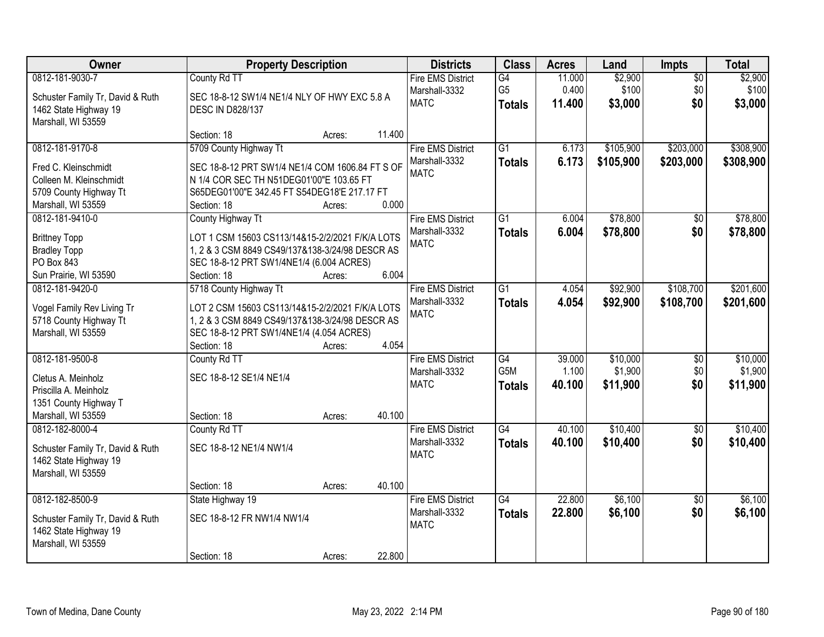| Owner                                                                                                              | <b>Property Description</b>                                                                                                                                                          |        |        | <b>Districts</b>                                         | <b>Class</b>                          | <b>Acres</b>              | Land                        | Impts                         | <b>Total</b>                |
|--------------------------------------------------------------------------------------------------------------------|--------------------------------------------------------------------------------------------------------------------------------------------------------------------------------------|--------|--------|----------------------------------------------------------|---------------------------------------|---------------------------|-----------------------------|-------------------------------|-----------------------------|
| 0812-181-9030-7<br>Schuster Family Tr, David & Ruth<br>1462 State Highway 19<br>Marshall, WI 53559                 | County Rd TT<br>SEC 18-8-12 SW1/4 NE1/4 NLY OF HWY EXC 5.8 A<br><b>DESC IN D828/137</b>                                                                                              |        |        | <b>Fire EMS District</b><br>Marshall-3332<br><b>MATC</b> | G4<br>G <sub>5</sub><br><b>Totals</b> | 11.000<br>0.400<br>11.400 | \$2,900<br>\$100<br>\$3,000 | $\overline{50}$<br>\$0<br>\$0 | \$2,900<br>\$100<br>\$3,000 |
|                                                                                                                    | Section: 18                                                                                                                                                                          | Acres: | 11.400 |                                                          |                                       |                           |                             |                               |                             |
| 0812-181-9170-8<br>Fred C. Kleinschmidt<br>Colleen M. Kleinschmidt<br>5709 County Highway Tt<br>Marshall, WI 53559 | 5709 County Highway Tt<br>SEC 18-8-12 PRT SW1/4 NE1/4 COM 1606.84 FT S OF<br>N 1/4 COR SEC TH N51DEG01'00"E 103.65 FT<br>S65DEG01'00"E 342.45 FT S54DEG18'E 217.17 FT<br>Section: 18 | Acres: | 0.000  | <b>Fire EMS District</b><br>Marshall-3332<br><b>MATC</b> | $\overline{G1}$<br><b>Totals</b>      | 6.173<br>6.173            | \$105,900<br>\$105,900      | \$203,000<br>\$203,000        | \$308,900<br>\$308,900      |
| 0812-181-9410-0                                                                                                    | County Highway Tt                                                                                                                                                                    |        |        | <b>Fire EMS District</b>                                 | G1                                    | 6.004                     | \$78,800                    | \$0                           | \$78,800                    |
| <b>Brittney Topp</b><br><b>Bradley Topp</b><br>PO Box 843<br>Sun Prairie, WI 53590                                 | LOT 1 CSM 15603 CS113/14&15-2/2/2021 F/K/A LOTS<br>1, 2 & 3 CSM 8849 CS49/137&138-3/24/98 DESCR AS<br>SEC 18-8-12 PRT SW1/4NE1/4 (6.004 ACRES)<br>Section: 18                        | Acres: | 6.004  | Marshall-3332<br><b>MATC</b>                             | <b>Totals</b>                         | 6.004                     | \$78,800                    | \$0                           | \$78,800                    |
| 0812-181-9420-0                                                                                                    | 5718 County Highway Tt                                                                                                                                                               |        |        | <b>Fire EMS District</b>                                 | G1                                    | 4.054                     | \$92,900                    | \$108,700                     | \$201,600                   |
| Vogel Family Rev Living Tr<br>5718 County Highway Tt<br>Marshall, WI 53559                                         | LOT 2 CSM 15603 CS113/14&15-2/2/2021 F/K/A LOTS<br>1, 2 & 3 CSM 8849 CS49/137&138-3/24/98 DESCR AS<br>SEC 18-8-12 PRT SW1/4NE1/4 (4.054 ACRES)<br>Section: 18                        | Acres: | 4.054  | Marshall-3332<br><b>MATC</b>                             | <b>Totals</b>                         | 4.054                     | \$92,900                    | \$108,700                     | \$201,600                   |
| 0812-181-9500-8                                                                                                    | County Rd TT                                                                                                                                                                         |        |        | <b>Fire EMS District</b>                                 | $\overline{G4}$                       | 39.000                    | \$10,000                    | $\overline{50}$               | \$10,000                    |
| Cletus A. Meinholz<br>Priscilla A. Meinholz<br>1351 County Highway T<br>Marshall, WI 53559                         | SEC 18-8-12 SE1/4 NE1/4<br>Section: 18                                                                                                                                               | Acres: | 40.100 | Marshall-3332<br><b>MATC</b>                             | G <sub>5</sub> M<br><b>Totals</b>     | 1.100<br>40.100           | \$1,900<br>\$11,900         | \$0<br>\$0                    | \$1,900<br>\$11,900         |
| 0812-182-8000-4                                                                                                    | County Rd TT                                                                                                                                                                         |        |        | <b>Fire EMS District</b>                                 | $\overline{G4}$                       | 40.100                    | \$10,400                    | $\overline{50}$               | \$10,400                    |
| Schuster Family Tr, David & Ruth<br>1462 State Highway 19<br>Marshall, WI 53559                                    | SEC 18-8-12 NE1/4 NW1/4                                                                                                                                                              |        |        | Marshall-3332<br><b>MATC</b>                             | <b>Totals</b>                         | 40.100                    | \$10,400                    | \$0                           | \$10,400                    |
|                                                                                                                    | Section: 18                                                                                                                                                                          | Acres: | 40.100 |                                                          |                                       |                           |                             |                               |                             |
| 0812-182-8500-9<br>Schuster Family Tr, David & Ruth<br>1462 State Highway 19<br>Marshall, WI 53559                 | State Highway 19<br>SEC 18-8-12 FR NW1/4 NW1/4<br>Section: 18                                                                                                                        | Acres: | 22.800 | <b>Fire EMS District</b><br>Marshall-3332<br><b>MATC</b> | $\overline{G4}$<br><b>Totals</b>      | 22.800<br>22.800          | \$6,100<br>\$6,100          | $\overline{50}$<br>\$0        | \$6,100<br>\$6,100          |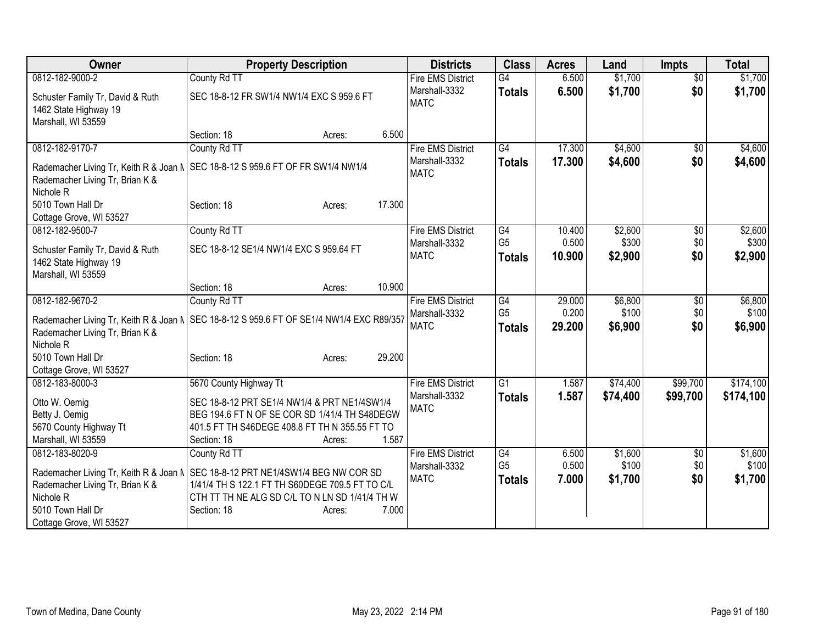| Owner                                                                                  | <b>Property Description</b>                                                                                                                                                          | <b>Districts</b>                          | <b>Class</b>                    | <b>Acres</b>    | Land             | <b>Impts</b>    | <b>Total</b>     |
|----------------------------------------------------------------------------------------|--------------------------------------------------------------------------------------------------------------------------------------------------------------------------------------|-------------------------------------------|---------------------------------|-----------------|------------------|-----------------|------------------|
| 0812-182-9000-2                                                                        | County Rd TT                                                                                                                                                                         | <b>Fire EMS District</b>                  | $\overline{G4}$                 | 6.500           | \$1,700          | $\overline{50}$ | \$1,700          |
| Schuster Family Tr, David & Ruth                                                       | SEC 18-8-12 FR SW1/4 NW1/4 EXC S 959.6 FT                                                                                                                                            | Marshall-3332<br><b>MATC</b>              | <b>Totals</b>                   | 6.500           | \$1,700          | \$0             | \$1,700          |
| 1462 State Highway 19                                                                  |                                                                                                                                                                                      |                                           |                                 |                 |                  |                 |                  |
| Marshall, WI 53559                                                                     | 6.500<br>Section: 18<br>Acres:                                                                                                                                                       |                                           |                                 |                 |                  |                 |                  |
| 0812-182-9170-7                                                                        | County Rd TT                                                                                                                                                                         | <b>Fire EMS District</b>                  | $\overline{G4}$                 | 17.300          | \$4,600          | $\overline{50}$ | \$4,600          |
| Rademacher Living Tr, Keith R & Joan N<br>Rademacher Living Tr, Brian K &<br>Nichole R | SEC 18-8-12 S 959.6 FT OF FR SW1/4 NW1/4                                                                                                                                             | Marshall-3332<br><b>MATC</b>              | <b>Totals</b>                   | 17.300          | \$4,600          | \$0             | \$4,600          |
| 5010 Town Hall Dr                                                                      | 17.300<br>Section: 18<br>Acres:                                                                                                                                                      |                                           |                                 |                 |                  |                 |                  |
| Cottage Grove, WI 53527                                                                |                                                                                                                                                                                      |                                           |                                 |                 |                  |                 |                  |
| 0812-182-9500-7                                                                        | County Rd TT                                                                                                                                                                         | <b>Fire EMS District</b>                  | G4                              | 10.400          | \$2,600          | \$0             | \$2,600          |
| Schuster Family Tr, David & Ruth<br>1462 State Highway 19<br>Marshall, WI 53559        | SEC 18-8-12 SE1/4 NW1/4 EXC S 959.64 FT                                                                                                                                              | Marshall-3332<br><b>MATC</b>              | G <sub>5</sub><br><b>Totals</b> | 0.500<br>10.900 | \$300<br>\$2,900 | \$0<br>\$0      | \$300<br>\$2,900 |
|                                                                                        | 10.900<br>Section: 18<br>Acres:                                                                                                                                                      |                                           |                                 |                 |                  |                 |                  |
| 0812-182-9670-2                                                                        | County Rd TT                                                                                                                                                                         | <b>Fire EMS District</b><br>Marshall-3332 | G4<br>G <sub>5</sub>            | 29.000<br>0.200 | \$6,800<br>\$100 | \$0<br>\$0      | \$6,800<br>\$100 |
| Rademacher Living Tr, Brian K &<br>Nichole <sub>R</sub>                                | Rademacher Living Tr, Keith R & Joan N   SEC 18-8-12 S 959.6 FT OF SE1/4 NW1/4 EXC R89/357                                                                                           | <b>MATC</b>                               | <b>Totals</b>                   | 29.200          | \$6,900          | \$0             | \$6,900          |
| 5010 Town Hall Dr                                                                      | 29.200<br>Section: 18<br>Acres:                                                                                                                                                      |                                           |                                 |                 |                  |                 |                  |
| Cottage Grove, WI 53527                                                                |                                                                                                                                                                                      |                                           |                                 |                 |                  |                 |                  |
| 0812-183-8000-3                                                                        | 5670 County Highway Tt                                                                                                                                                               | <b>Fire EMS District</b>                  | $\overline{G1}$                 | 1.587           | \$74,400         | \$99,700        | \$174,100        |
| Otto W. Oemig<br>Betty J. Oemig<br>5670 County Highway Tt<br>Marshall, WI 53559        | SEC 18-8-12 PRT SE1/4 NW1/4 & PRT NE1/4SW1/4<br>BEG 194.6 FT N OF SE COR SD 1/41/4 TH S48DEGW<br>401.5 FT TH S46DEGE 408.8 FT TH N 355.55 FT TO<br>1.587<br>Section: 18<br>Acres:    | Marshall-3332<br><b>MATC</b>              | <b>Totals</b>                   | 1.587           | \$74,400         | \$99,700        | \$174,100        |
| 0812-183-8020-9                                                                        | County Rd TT                                                                                                                                                                         | <b>Fire EMS District</b>                  | G4                              | 6.500           | \$1,600          | \$0             | \$1,600          |
| Rademacher Living Tr, Brian K &<br>Nichole R                                           | Rademacher Living Tr, Keith R & Joan N SEC 18-8-12 PRT NE1/4SW1/4 BEG NW COR SD<br>1/41/4 TH S 122.1 FT TH S60DEGE 709.5 FT TO C/L<br>CTH TT TH NE ALG SD C/L TO N LN SD 1/41/4 TH W | Marshall-3332<br><b>MATC</b>              | G <sub>5</sub><br><b>Totals</b> | 0.500<br>7.000  | \$100<br>\$1,700 | \$0<br>\$0      | \$100<br>\$1,700 |
| 5010 Town Hall Dr<br>Cottage Grove, WI 53527                                           | 7.000<br>Section: 18<br>Acres:                                                                                                                                                       |                                           |                                 |                 |                  |                 |                  |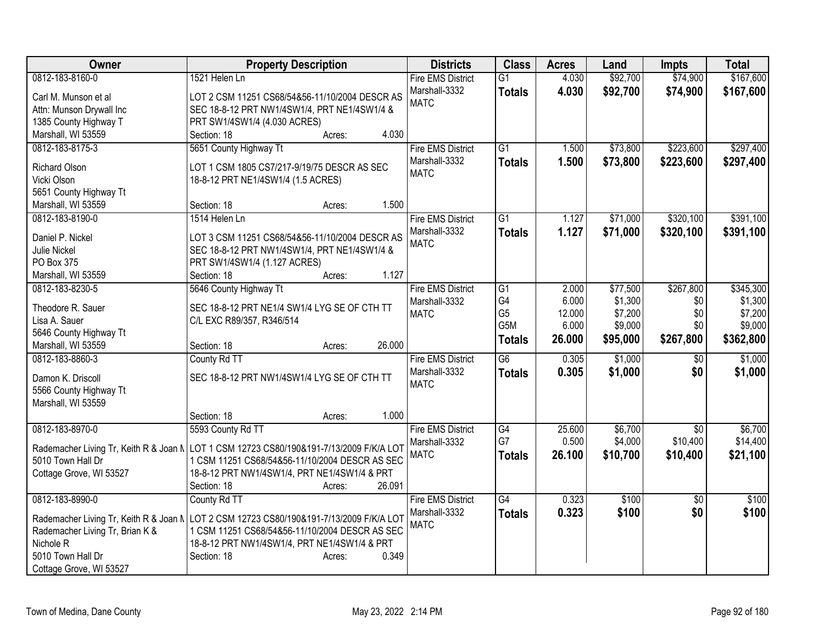| Owner                           | <b>Property Description</b>                                                               | <b>Districts</b>         | <b>Class</b>    | <b>Acres</b> | Land     | <b>Impts</b>    | <b>Total</b> |
|---------------------------------|-------------------------------------------------------------------------------------------|--------------------------|-----------------|--------------|----------|-----------------|--------------|
| 0812-183-8160-0                 | 1521 Helen Ln                                                                             | <b>Fire EMS District</b> | $\overline{G1}$ | 4.030        | \$92,700 | \$74,900        | \$167,600    |
| Carl M. Munson et al            | LOT 2 CSM 11251 CS68/54&56-11/10/2004 DESCR AS                                            | Marshall-3332            | <b>Totals</b>   | 4.030        | \$92,700 | \$74,900        | \$167,600    |
| Attn: Munson Drywall Inc        | SEC 18-8-12 PRT NW1/4SW1/4, PRT NE1/4SW1/4 &                                              | <b>MATC</b>              |                 |              |          |                 |              |
| 1385 County Highway T           | PRT SW1/4SW1/4 (4.030 ACRES)                                                              |                          |                 |              |          |                 |              |
| Marshall, WI 53559              | 4.030<br>Section: 18<br>Acres:                                                            |                          |                 |              |          |                 |              |
| 0812-183-8175-3                 | 5651 County Highway Tt                                                                    | <b>Fire EMS District</b> | $\overline{G1}$ | 1.500        | \$73,800 | \$223,600       | \$297,400    |
|                                 |                                                                                           | Marshall-3332            | <b>Totals</b>   | 1.500        | \$73,800 | \$223,600       | \$297,400    |
| Richard Olson                   | LOT 1 CSM 1805 CS7/217-9/19/75 DESCR AS SEC                                               | <b>MATC</b>              |                 |              |          |                 |              |
| Vicki Olson                     | 18-8-12 PRT NE1/4SW1/4 (1.5 ACRES)                                                        |                          |                 |              |          |                 |              |
| 5651 County Highway Tt          |                                                                                           |                          |                 |              |          |                 |              |
| Marshall, WI 53559              | 1.500<br>Section: 18<br>Acres:                                                            |                          |                 |              |          |                 |              |
| 0812-183-8190-0                 | 1514 Helen Ln                                                                             | <b>Fire EMS District</b> | G1              | 1.127        | \$71,000 | \$320,100       | \$391,100    |
| Daniel P. Nickel                | LOT 3 CSM 11251 CS68/54&56-11/10/2004 DESCR AS                                            | Marshall-3332            | <b>Totals</b>   | 1.127        | \$71,000 | \$320,100       | \$391,100    |
| <b>Julie Nickel</b>             | SEC 18-8-12 PRT NW1/4SW1/4, PRT NE1/4SW1/4 &                                              | <b>MATC</b>              |                 |              |          |                 |              |
| PO Box 375                      | PRT SW1/4SW1/4 (1.127 ACRES)                                                              |                          |                 |              |          |                 |              |
| Marshall, WI 53559              | 1.127<br>Section: 18<br>Acres:                                                            |                          |                 |              |          |                 |              |
| 0812-183-8230-5                 | 5646 County Highway Tt                                                                    | <b>Fire EMS District</b> | $\overline{G1}$ | 2.000        | \$77,500 | \$267,800       | \$345,300    |
|                                 |                                                                                           | Marshall-3332            | G4              | 6.000        | \$1,300  | \$0             | \$1,300      |
| Theodore R. Sauer               | SEC 18-8-12 PRT NE1/4 SW1/4 LYG SE OF CTH TT                                              | <b>MATC</b>              | G <sub>5</sub>  | 12.000       | \$7,200  | \$0             | \$7,200      |
| Lisa A. Sauer                   | C/L EXC R89/357, R346/514                                                                 |                          | G5M             | 6.000        | \$9,000  | \$0             | \$9,000      |
| 5646 County Highway Tt          |                                                                                           |                          | <b>Totals</b>   | 26.000       | \$95,000 | \$267,800       | \$362,800    |
| Marshall, WI 53559              | 26.000<br>Section: 18<br>Acres:                                                           |                          |                 |              |          |                 |              |
| 0812-183-8860-3                 | County Rd TT                                                                              | <b>Fire EMS District</b> | $\overline{G6}$ | 0.305        | \$1,000  | $\overline{50}$ | \$1,000      |
| Damon K. Driscoll               | SEC 18-8-12 PRT NW1/4SW1/4 LYG SE OF CTH TT                                               | Marshall-3332            | <b>Totals</b>   | 0.305        | \$1,000  | \$0             | \$1,000      |
| 5566 County Highway Tt          |                                                                                           | <b>MATC</b>              |                 |              |          |                 |              |
| Marshall, WI 53559              |                                                                                           |                          |                 |              |          |                 |              |
|                                 | 1.000<br>Section: 18<br>Acres:                                                            |                          |                 |              |          |                 |              |
| 0812-183-8970-0                 | 5593 County Rd TT                                                                         | <b>Fire EMS District</b> | G4              | 25.600       | \$6,700  | $\overline{30}$ | \$6,700      |
|                                 |                                                                                           | Marshall-3332            | G7              | 0.500        | \$4,000  | \$10,400        | \$14,400     |
|                                 | Rademacher Living Tr, Keith R & Joan N   LOT 1 CSM 12723 CS80/190&191-7/13/2009 F/K/A LOT | <b>MATC</b>              | <b>Totals</b>   | 26.100       | \$10,700 | \$10,400        | \$21,100     |
| 5010 Town Hall Dr               | 1 CSM 11251 CS68/54&56-11/10/2004 DESCR AS SEC                                            |                          |                 |              |          |                 |              |
| Cottage Grove, WI 53527         | 18-8-12 PRT NW1/4SW1/4, PRT NE1/4SW1/4 & PRT                                              |                          |                 |              |          |                 |              |
|                                 | Section: 18<br>26.091<br>Acres:                                                           |                          |                 |              |          |                 |              |
| 0812-183-8990-0                 | County Rd TT                                                                              | <b>Fire EMS District</b> | $\overline{G4}$ | 0.323        | \$100    | $\overline{50}$ | \$100        |
|                                 | Rademacher Living Tr, Keith R & Joan N LOT 2 CSM 12723 CS80/190&191-7/13/2009 F/K/A LOT   | Marshall-3332            | <b>Totals</b>   | 0.323        | \$100    | \$0             | \$100        |
| Rademacher Living Tr, Brian K & | 1 CSM 11251 CS68/54&56-11/10/2004 DESCR AS SEC                                            | <b>MATC</b>              |                 |              |          |                 |              |
| Nichole R                       | 18-8-12 PRT NW1/4SW1/4, PRT NE1/4SW1/4 & PRT                                              |                          |                 |              |          |                 |              |
| 5010 Town Hall Dr               | 0.349<br>Section: 18<br>Acres:                                                            |                          |                 |              |          |                 |              |
| Cottage Grove, WI 53527         |                                                                                           |                          |                 |              |          |                 |              |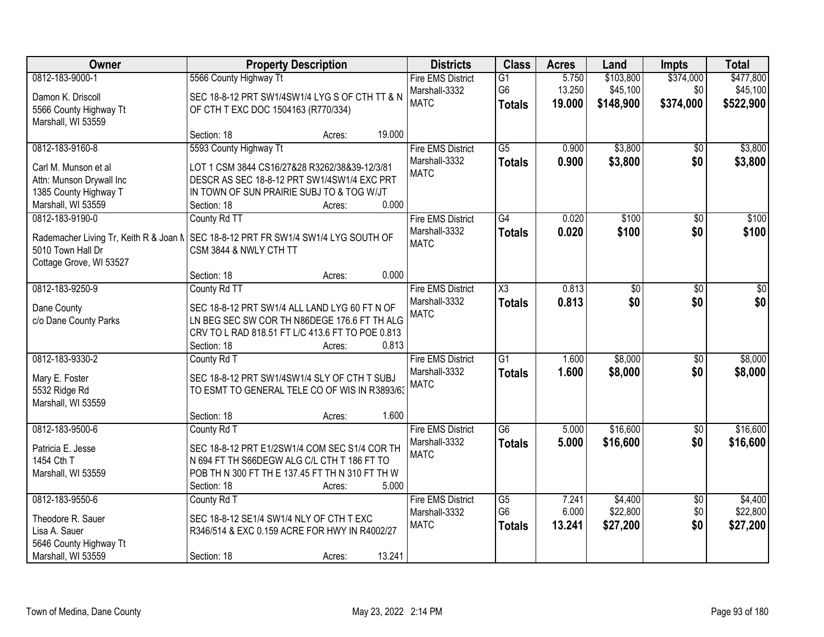| Owner                                  | <b>Property Description</b>                                             | <b>Districts</b>         | <b>Class</b>        | <b>Acres</b> | Land      | <b>Impts</b>    | <b>Total</b> |
|----------------------------------------|-------------------------------------------------------------------------|--------------------------|---------------------|--------------|-----------|-----------------|--------------|
| 0812-183-9000-1                        | 5566 County Highway Tt                                                  | <b>Fire EMS District</b> | G1                  | 5.750        | \$103,800 | \$374,000       | \$477,800    |
| Damon K. Driscoll                      | SEC 18-8-12 PRT SW1/4SW1/4 LYG S OF CTH TT & N                          | Marshall-3332            | G <sub>6</sub>      | 13.250       | \$45,100  | \$0             | \$45,100     |
| 5566 County Highway Tt                 | OF CTH T EXC DOC 1504163 (R770/334)                                     | <b>MATC</b>              | <b>Totals</b>       | 19.000       | \$148,900 | \$374,000       | \$522,900    |
| Marshall, WI 53559                     |                                                                         |                          |                     |              |           |                 |              |
|                                        | 19.000<br>Section: 18<br>Acres:                                         |                          |                     |              |           |                 |              |
| 0812-183-9160-8                        | 5593 County Highway Tt                                                  | <b>Fire EMS District</b> | $\overline{G5}$     | 0.900        | \$3,800   | $\overline{50}$ | \$3,800      |
| Carl M. Munson et al                   | LOT 1 CSM 3844 CS16/27&28 R3262/38&39-12/3/81                           | Marshall-3332            | <b>Totals</b>       | 0.900        | \$3,800   | \$0             | \$3,800      |
| Attn: Munson Drywall Inc               | DESCR AS SEC 18-8-12 PRT SW1/4SW1/4 EXC PRT                             | <b>MATC</b>              |                     |              |           |                 |              |
| 1385 County Highway T                  | IN TOWN OF SUN PRAIRIE SUBJ TO & TOG W/JT                               |                          |                     |              |           |                 |              |
| Marshall, WI 53559                     | 0.000<br>Section: 18<br>Acres:                                          |                          |                     |              |           |                 |              |
| 0812-183-9190-0                        | County Rd TT                                                            | <b>Fire EMS District</b> | G4                  | 0.020        | \$100     | \$0             | \$100        |
| Rademacher Living Tr, Keith R & Joan N | SEC 18-8-12 PRT FR SW1/4 SW1/4 LYG SOUTH OF                             | Marshall-3332            | <b>Totals</b>       | 0.020        | \$100     | \$0             | \$100        |
| 5010 Town Hall Dr                      | CSM 3844 & NWLY CTH TT                                                  | <b>MATC</b>              |                     |              |           |                 |              |
| Cottage Grove, WI 53527                |                                                                         |                          |                     |              |           |                 |              |
|                                        | 0.000<br>Section: 18<br>Acres:                                          |                          |                     |              |           |                 |              |
| 0812-183-9250-9                        | County Rd TT                                                            | <b>Fire EMS District</b> | $\overline{\chi_3}$ | 0.813        | \$0       | \$0             | \$0          |
| Dane County                            | SEC 18-8-12 PRT SW1/4 ALL LAND LYG 60 FT N OF                           | Marshall-3332            | <b>Totals</b>       | 0.813        | \$0       | \$0             | \$0          |
| c/o Dane County Parks                  | LN BEG SEC SW COR TH N86DEGE 176.6 FT TH ALG                            | <b>MATC</b>              |                     |              |           |                 |              |
|                                        | CRV TO L RAD 818.51 FT L/C 413.6 FT TO POE 0.813                        |                          |                     |              |           |                 |              |
|                                        | 0.813<br>Section: 18<br>Acres:                                          |                          |                     |              |           |                 |              |
| 0812-183-9330-2                        | County Rd T                                                             | <b>Fire EMS District</b> | $\overline{G1}$     | 1.600        | \$8,000   | $\overline{50}$ | \$8,000      |
|                                        |                                                                         | Marshall-3332            | <b>Totals</b>       | 1.600        | \$8,000   | \$0             | \$8,000      |
| Mary E. Foster                         | SEC 18-8-12 PRT SW1/4SW1/4 SLY OF CTH T SUBJ                            | <b>MATC</b>              |                     |              |           |                 |              |
| 5532 Ridge Rd<br>Marshall, WI 53559    | TO ESMT TO GENERAL TELE CO OF WIS IN R3893/63                           |                          |                     |              |           |                 |              |
|                                        | 1.600<br>Section: 18<br>Acres:                                          |                          |                     |              |           |                 |              |
| 0812-183-9500-6                        | County Rd T                                                             | <b>Fire EMS District</b> | $\overline{G6}$     | 5.000        | \$16,600  | $\overline{50}$ | \$16,600     |
|                                        |                                                                         | Marshall-3332            | <b>Totals</b>       | 5.000        | \$16,600  | \$0             | \$16,600     |
| Patricia E. Jesse                      | SEC 18-8-12 PRT E1/2SW1/4 COM SEC S1/4 COR TH                           | <b>MATC</b>              |                     |              |           |                 |              |
| 1454 Cth T                             | N 694 FT TH S66DEGW ALG C/L CTH T 186 FT TO                             |                          |                     |              |           |                 |              |
| Marshall, WI 53559                     | POB TH N 300 FT TH E 137.45 FT TH N 310 FT TH W<br>5.000<br>Section: 18 |                          |                     |              |           |                 |              |
| 0812-183-9550-6                        | Acres:<br>County Rd T                                                   | <b>Fire EMS District</b> | G5                  | 7.241        | \$4,400   | $\overline{50}$ | \$4,400      |
|                                        |                                                                         | Marshall-3332            | G <sub>6</sub>      | 6.000        | \$22,800  | \$0             | \$22,800     |
| Theodore R. Sauer                      | SEC 18-8-12 SE1/4 SW1/4 NLY OF CTH T EXC                                | <b>MATC</b>              | <b>Totals</b>       | 13.241       | \$27,200  | \$0             | \$27,200     |
| Lisa A. Sauer                          | R346/514 & EXC 0.159 ACRE FOR HWY IN R4002/27                           |                          |                     |              |           |                 |              |
| 5646 County Highway Tt                 |                                                                         |                          |                     |              |           |                 |              |
| Marshall, WI 53559                     | 13.241<br>Section: 18<br>Acres:                                         |                          |                     |              |           |                 |              |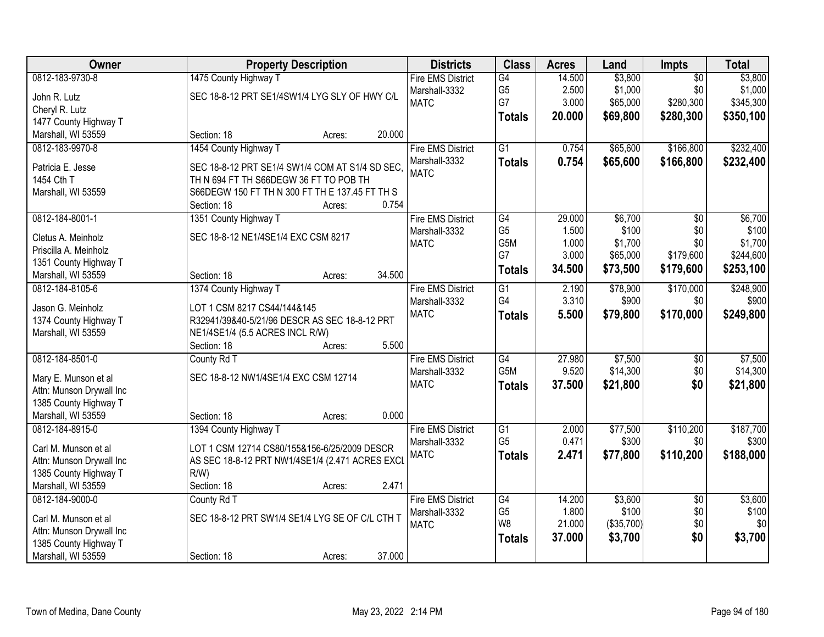| Owner                    | <b>Property Description</b>                     |        | <b>Districts</b>             | <b>Class</b>     | <b>Acres</b> | Land       | <b>Impts</b>    | <b>Total</b> |
|--------------------------|-------------------------------------------------|--------|------------------------------|------------------|--------------|------------|-----------------|--------------|
| 0812-183-9730-8          | 1475 County Highway T                           |        | <b>Fire EMS District</b>     | G4               | 14.500       | \$3,800    | $\overline{50}$ | \$3,800      |
| John R. Lutz             | SEC 18-8-12 PRT SE1/4SW1/4 LYG SLY OF HWY C/L   |        | Marshall-3332                | G <sub>5</sub>   | 2.500        | \$1,000    | \$0             | \$1,000      |
| Cheryl R. Lutz           |                                                 |        | <b>MATC</b>                  | G7               | 3.000        | \$65,000   | \$280,300       | \$345,300    |
| 1477 County Highway T    |                                                 |        |                              | <b>Totals</b>    | 20.000       | \$69,800   | \$280,300       | \$350,100    |
| Marshall, WI 53559       | Section: 18                                     | 20.000 |                              |                  |              |            |                 |              |
|                          | Acres:                                          |        |                              | $\overline{G1}$  |              |            |                 | \$232,400    |
| 0812-183-9970-8          | 1454 County Highway T                           |        | <b>Fire EMS District</b>     |                  | 0.754        | \$65,600   | \$166,800       |              |
| Patricia E. Jesse        | SEC 18-8-12 PRT SE1/4 SW1/4 COM AT S1/4 SD SEC, |        | Marshall-3332                | <b>Totals</b>    | 0.754        | \$65,600   | \$166,800       | \$232,400    |
| 1454 Cth T               | TH N 694 FT TH S66DEGW 36 FT TO POB TH          |        | <b>MATC</b>                  |                  |              |            |                 |              |
| Marshall, WI 53559       | S66DEGW 150 FT TH N 300 FT TH E 137.45 FT TH S  |        |                              |                  |              |            |                 |              |
|                          | Section: 18<br>Acres:                           | 0.754  |                              |                  |              |            |                 |              |
| 0812-184-8001-1          | 1351 County Highway T                           |        | <b>Fire EMS District</b>     | G4               | 29.000       | \$6,700    | \$0             | \$6,700      |
|                          |                                                 |        | Marshall-3332                | G <sub>5</sub>   | 1.500        | \$100      | \$0             | \$100        |
| Cletus A. Meinholz       | SEC 18-8-12 NE1/4SE1/4 EXC CSM 8217             |        | <b>MATC</b>                  | G5M              | 1.000        | \$1,700    | \$0             | \$1,700      |
| Priscilla A. Meinholz    |                                                 |        |                              | G7               | 3.000        | \$65,000   | \$179,600       | \$244,600    |
| 1351 County Highway T    |                                                 |        |                              | <b>Totals</b>    | 34.500       | \$73,500   | \$179,600       | \$253,100    |
| Marshall, WI 53559       | Section: 18<br>Acres:                           | 34.500 |                              |                  |              |            |                 |              |
| 0812-184-8105-6          | 1374 County Highway T                           |        | <b>Fire EMS District</b>     | G1               | 2.190        | \$78,900   | \$170,000       | \$248,900    |
| Jason G. Meinholz        | LOT 1 CSM 8217 CS44/144&145                     |        | Marshall-3332                | G4               | 3.310        | \$900      | \$0             | \$900        |
| 1374 County Highway T    | R32941/39&40-5/21/96 DESCR AS SEC 18-8-12 PRT   |        | <b>MATC</b>                  | <b>Totals</b>    | 5.500        | \$79,800   | \$170,000       | \$249,800    |
| Marshall, WI 53559       | NE1/4SE1/4 (5.5 ACRES INCL R/W)                 |        |                              |                  |              |            |                 |              |
|                          | Section: 18<br>Acres:                           | 5.500  |                              |                  |              |            |                 |              |
| 0812-184-8501-0          | County Rd T                                     |        | <b>Fire EMS District</b>     | $\overline{G4}$  | 27.980       | \$7,500    | $\overline{50}$ | \$7,500      |
|                          |                                                 |        |                              | G <sub>5</sub> M | 9.520        | \$14,300   | \$0             | \$14,300     |
| Mary E. Munson et al     | SEC 18-8-12 NW1/4SE1/4 EXC CSM 12714            |        | Marshall-3332<br><b>MATC</b> |                  |              |            |                 |              |
| Attn: Munson Drywall Inc |                                                 |        |                              | <b>Totals</b>    | 37.500       | \$21,800   | \$0             | \$21,800     |
| 1385 County Highway T    |                                                 |        |                              |                  |              |            |                 |              |
| Marshall, WI 53559       | Section: 18<br>Acres:                           | 0.000  |                              |                  |              |            |                 |              |
| 0812-184-8915-0          | 1394 County Highway T                           |        | <b>Fire EMS District</b>     | $\overline{G1}$  | 2.000        | \$77,500   | \$110,200       | \$187,700    |
|                          |                                                 |        | Marshall-3332                | G <sub>5</sub>   | 0.471        | \$300      | \$0             | \$300        |
| Carl M. Munson et al     | LOT 1 CSM 12714 CS80/155&156-6/25/2009 DESCR    |        | <b>MATC</b>                  | <b>Totals</b>    | 2.471        | \$77,800   | \$110,200       | \$188,000    |
| Attn: Munson Drywall Inc | AS SEC 18-8-12 PRT NW1/4SE1/4 (2.471 ACRES EXCL |        |                              |                  |              |            |                 |              |
| 1385 County Highway T    | R/W                                             |        |                              |                  |              |            |                 |              |
| Marshall, WI 53559       | Section: 18<br>Acres:                           | 2.471  |                              |                  |              |            |                 |              |
| 0812-184-9000-0          | County Rd T                                     |        | <b>Fire EMS District</b>     | G4               | 14.200       | \$3,600    | $\overline{50}$ | \$3,600      |
| Carl M. Munson et al     | SEC 18-8-12 PRT SW1/4 SE1/4 LYG SE OF C/L CTH T |        | Marshall-3332                | G <sub>5</sub>   | 1.800        | \$100      | \$0             | \$100        |
| Attn: Munson Drywall Inc |                                                 |        | <b>MATC</b>                  | W <sub>8</sub>   | 21.000       | (\$35,700) | \$0             | \$0          |
| 1385 County Highway T    |                                                 |        |                              | <b>Totals</b>    | 37.000       | \$3,700    | \$0             | \$3,700      |
| Marshall, WI 53559       | Section: 18                                     | 37.000 |                              |                  |              |            |                 |              |
|                          | Acres:                                          |        |                              |                  |              |            |                 |              |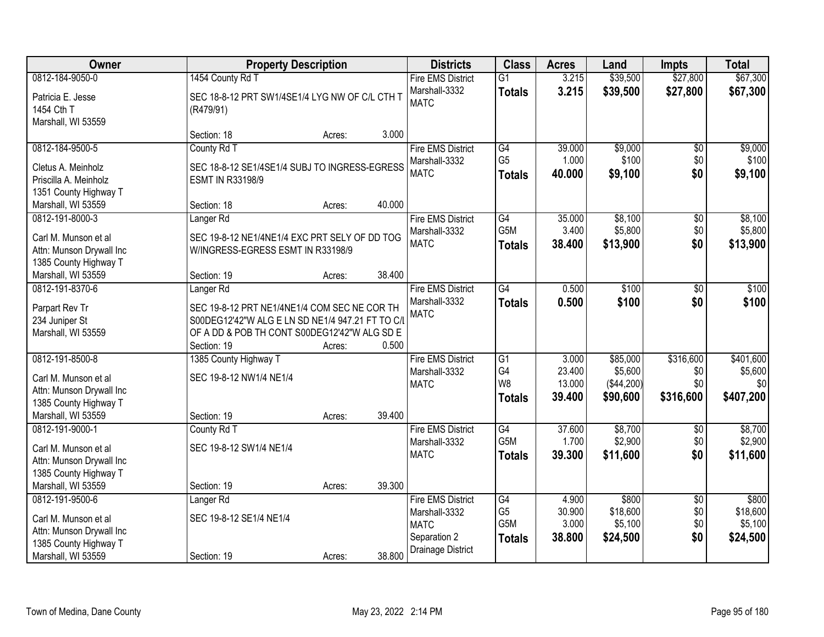| Owner                                                                                                              | <b>Property Description</b>                                                                                                                                                             |                  |        | <b>Districts</b>                                                                              | <b>Class</b>                                            | <b>Acres</b>                        | Land                                          | <b>Impts</b>                         | <b>Total</b>                             |
|--------------------------------------------------------------------------------------------------------------------|-----------------------------------------------------------------------------------------------------------------------------------------------------------------------------------------|------------------|--------|-----------------------------------------------------------------------------------------------|---------------------------------------------------------|-------------------------------------|-----------------------------------------------|--------------------------------------|------------------------------------------|
| 0812-184-9050-0                                                                                                    | 1454 County Rd T                                                                                                                                                                        |                  |        | <b>Fire EMS District</b>                                                                      | $\overline{G1}$                                         | 3.215                               | \$39,500                                      | \$27,800                             | \$67,300                                 |
| Patricia E. Jesse<br>1454 Cth T<br>Marshall, WI 53559                                                              | SEC 18-8-12 PRT SW1/4SE1/4 LYG NW OF C/L CTH T<br>(R479/91)                                                                                                                             |                  |        | Marshall-3332<br><b>MATC</b>                                                                  | <b>Totals</b>                                           | 3.215                               | \$39,500                                      | \$27,800                             | \$67,300                                 |
|                                                                                                                    | Section: 18                                                                                                                                                                             | Acres:           | 3.000  |                                                                                               |                                                         |                                     |                                               |                                      |                                          |
| 0812-184-9500-5<br>Cletus A. Meinholz<br>Priscilla A. Meinholz                                                     | County Rd T<br>SEC 18-8-12 SE1/4SE1/4 SUBJ TO INGRESS-EGRESS<br><b>ESMT IN R33198/9</b>                                                                                                 |                  |        | <b>Fire EMS District</b><br>Marshall-3332<br><b>MATC</b>                                      | G4<br>G <sub>5</sub><br><b>Totals</b>                   | 39.000<br>1.000<br>40.000           | \$9,000<br>\$100<br>\$9,100                   | $\overline{50}$<br>\$0<br>\$0        | \$9,000<br>\$100<br>\$9,100              |
| 1351 County Highway T<br>Marshall, WI 53559                                                                        | Section: 18                                                                                                                                                                             | Acres:           | 40.000 |                                                                                               |                                                         |                                     |                                               |                                      |                                          |
| 0812-191-8000-3<br>Carl M. Munson et al<br>Attn: Munson Drywall Inc<br>1385 County Highway T                       | Langer <sub>Rd</sub><br>SEC 19-8-12 NE1/4NE1/4 EXC PRT SELY OF DD TOG<br>W/INGRESS-EGRESS ESMT IN R33198/9                                                                              |                  |        | <b>Fire EMS District</b><br>Marshall-3332<br><b>MATC</b>                                      | G4<br>G5M<br><b>Totals</b>                              | 35.000<br>3.400<br>38.400           | \$8,100<br>\$5,800<br>\$13,900                | \$0<br>\$0<br>\$0                    | \$8,100<br>\$5,800<br>\$13,900           |
| Marshall, WI 53559<br>0812-191-8370-6                                                                              | Section: 19                                                                                                                                                                             | Acres:           | 38.400 |                                                                                               | $\overline{G4}$                                         | 0.500                               | \$100                                         |                                      | \$100                                    |
| Parpart Rev Tr<br>234 Juniper St<br>Marshall, WI 53559                                                             | Langer <sub>Rd</sub><br>SEC 19-8-12 PRT NE1/4NE1/4 COM SEC NE COR TH<br>S00DEG12'42"W ALG E LN SD NE1/4 947.21 FT TO C/I<br>OF A DD & POB TH CONT S00DEG12'42"W ALG SD E<br>Section: 19 | Acres:           | 0.500  | <b>Fire EMS District</b><br>Marshall-3332<br><b>MATC</b>                                      | <b>Totals</b>                                           | 0.500                               | \$100                                         | $\overline{50}$<br>\$0               | \$100                                    |
| 0812-191-8500-8<br>Carl M. Munson et al<br>Attn: Munson Drywall Inc<br>1385 County Highway T<br>Marshall, WI 53559 | 1385 County Highway T<br>SEC 19-8-12 NW1/4 NE1/4<br>Section: 19                                                                                                                         | Acres:           | 39.400 | <b>Fire EMS District</b><br>Marshall-3332<br><b>MATC</b>                                      | G1<br>G <sub>4</sub><br>W <sub>8</sub><br><b>Totals</b> | 3.000<br>23.400<br>13.000<br>39.400 | \$85,000<br>\$5,600<br>(\$44,200)<br>\$90,600 | \$316,600<br>\$0<br>\$0<br>\$316,600 | \$401,600<br>\$5,600<br>\$0<br>\$407,200 |
| 0812-191-9000-1<br>Carl M. Munson et al<br>Attn: Munson Drywall Inc<br>1385 County Highway T<br>Marshall, WI 53559 | County Rd T<br>SEC 19-8-12 SW1/4 NE1/4<br>Section: 19                                                                                                                                   |                  | 39.300 | <b>Fire EMS District</b><br>Marshall-3332<br><b>MATC</b>                                      | G4<br>G5M<br><b>Totals</b>                              | 37.600<br>1.700<br>39.300           | \$8,700<br>\$2,900<br>\$11,600                | $\overline{50}$<br>\$0<br>\$0        | \$8,700<br>\$2,900<br>\$11,600           |
| 0812-191-9500-6<br>Carl M. Munson et al<br>Attn: Munson Drywall Inc<br>1385 County Highway T<br>Marshall, WI 53559 | Langer <sub>Rd</sub><br>SEC 19-8-12 SE1/4 NE1/4<br>Section: 19                                                                                                                          | Acres:<br>Acres: | 38.800 | <b>Fire EMS District</b><br>Marshall-3332<br><b>MATC</b><br>Separation 2<br>Drainage District | G4<br>G <sub>5</sub><br>G5M<br><b>Totals</b>            | 4.900<br>30.900<br>3.000<br>38.800  | \$800<br>\$18,600<br>\$5,100<br>\$24,500      | $\overline{50}$<br>\$0<br>\$0<br>\$0 | \$800<br>\$18,600<br>\$5,100<br>\$24,500 |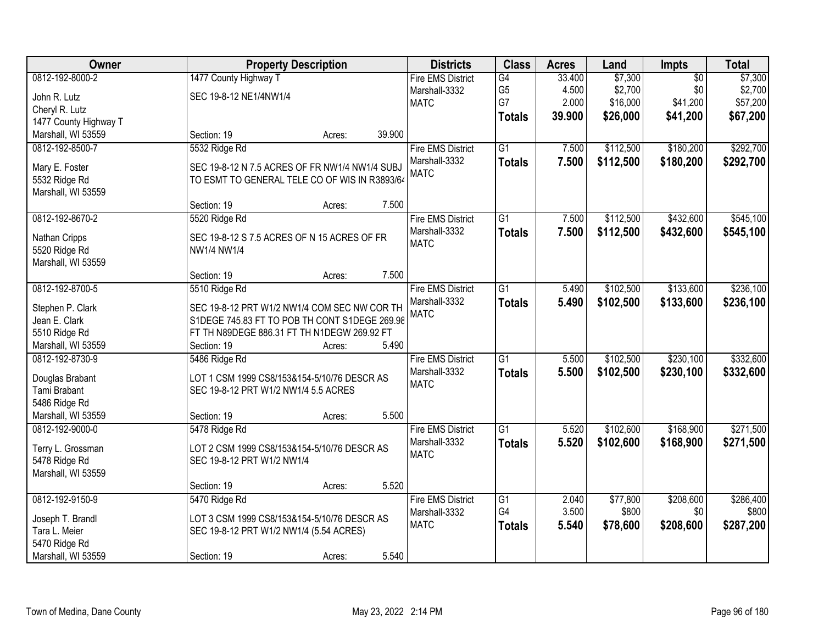| Owner                          | <b>Property Description</b>                    |        | <b>Districts</b>         | <b>Class</b>    | <b>Acres</b> | Land      | Impts           | <b>Total</b> |
|--------------------------------|------------------------------------------------|--------|--------------------------|-----------------|--------------|-----------|-----------------|--------------|
| 0812-192-8000-2                | 1477 County Highway T                          |        | <b>Fire EMS District</b> | $\overline{G4}$ | 33.400       | \$7,300   | $\overline{50}$ | \$7,300      |
| John R. Lutz                   | SEC 19-8-12 NE1/4NW1/4                         |        | Marshall-3332            | G <sub>5</sub>  | 4.500        | \$2,700   | \$0             | \$2,700      |
| Cheryl R. Lutz                 |                                                |        | <b>MATC</b>              | G7              | 2.000        | \$16,000  | \$41,200        | \$57,200     |
| 1477 County Highway T          |                                                |        |                          | <b>Totals</b>   | 39.900       | \$26,000  | \$41,200        | \$67,200     |
| Marshall, WI 53559             | Section: 19<br>Acres:                          | 39.900 |                          |                 |              |           |                 |              |
| 0812-192-8500-7                | 5532 Ridge Rd                                  |        | <b>Fire EMS District</b> | $\overline{G1}$ | 7.500        | \$112,500 | \$180,200       | \$292,700    |
|                                |                                                |        | Marshall-3332            |                 |              |           |                 |              |
| Mary E. Foster                 | SEC 19-8-12 N 7.5 ACRES OF FR NW1/4 NW1/4 SUBJ |        | <b>MATC</b>              | <b>Totals</b>   | 7.500        | \$112,500 | \$180,200       | \$292,700    |
| 5532 Ridge Rd                  | TO ESMT TO GENERAL TELE CO OF WIS IN R3893/64  |        |                          |                 |              |           |                 |              |
| Marshall, WI 53559             |                                                |        |                          |                 |              |           |                 |              |
|                                | Section: 19<br>Acres:                          | 7.500  |                          |                 |              |           |                 |              |
| 0812-192-8670-2                | 5520 Ridge Rd                                  |        | <b>Fire EMS District</b> | G1              | 7.500        | \$112,500 | \$432,600       | \$545,100    |
|                                | SEC 19-8-12 S 7.5 ACRES OF N 15 ACRES OF FR    |        | Marshall-3332            | <b>Totals</b>   | 7.500        | \$112,500 | \$432,600       | \$545,100    |
| Nathan Cripps<br>5520 Ridge Rd | NW1/4 NW1/4                                    |        | <b>MATC</b>              |                 |              |           |                 |              |
| Marshall, WI 53559             |                                                |        |                          |                 |              |           |                 |              |
|                                | Section: 19                                    | 7.500  |                          |                 |              |           |                 |              |
|                                | Acres:                                         |        |                          |                 |              |           |                 |              |
| 0812-192-8700-5                | 5510 Ridge Rd                                  |        | <b>Fire EMS District</b> | $\overline{G1}$ | 5.490        | \$102,500 | \$133,600       | \$236,100    |
| Stephen P. Clark               | SEC 19-8-12 PRT W1/2 NW1/4 COM SEC NW COR TH   |        | Marshall-3332            | <b>Totals</b>   | 5.490        | \$102,500 | \$133,600       | \$236,100    |
| Jean E. Clark                  | S1DEGE 745.83 FT TO POB TH CONT S1DEGE 269.98  |        | <b>MATC</b>              |                 |              |           |                 |              |
| 5510 Ridge Rd                  | FT TH N89DEGE 886.31 FT TH N1DEGW 269.92 FT    |        |                          |                 |              |           |                 |              |
| Marshall, WI 53559             | Section: 19<br>Acres:                          | 5.490  |                          |                 |              |           |                 |              |
| 0812-192-8730-9                | 5486 Ridge Rd                                  |        | <b>Fire EMS District</b> | $\overline{G1}$ | 5.500        | \$102,500 | \$230,100       | \$332,600    |
|                                |                                                |        | Marshall-3332            | <b>Totals</b>   | 5.500        | \$102,500 | \$230,100       | \$332,600    |
| Douglas Brabant                | LOT 1 CSM 1999 CS8/153&154-5/10/76 DESCR AS    |        | <b>MATC</b>              |                 |              |           |                 |              |
| Tami Brabant                   | SEC 19-8-12 PRT W1/2 NW1/4 5.5 ACRES           |        |                          |                 |              |           |                 |              |
| 5486 Ridge Rd                  |                                                |        |                          |                 |              |           |                 |              |
| Marshall, WI 53559             | Section: 19<br>Acres:                          | 5.500  |                          |                 |              |           |                 |              |
| 0812-192-9000-0                | 5478 Ridge Rd                                  |        | <b>Fire EMS District</b> | $\overline{G1}$ | 5.520        | \$102,600 | \$168,900       | \$271,500    |
| Terry L. Grossman              | LOT 2 CSM 1999 CS8/153&154-5/10/76 DESCR AS    |        | Marshall-3332            | <b>Totals</b>   | 5.520        | \$102,600 | \$168,900       | \$271,500    |
| 5478 Ridge Rd                  | SEC 19-8-12 PRT W1/2 NW1/4                     |        | <b>MATC</b>              |                 |              |           |                 |              |
| Marshall, WI 53559             |                                                |        |                          |                 |              |           |                 |              |
|                                | Section: 19<br>Acres:                          | 5.520  |                          |                 |              |           |                 |              |
| 0812-192-9150-9                | 5470 Ridge Rd                                  |        | <b>Fire EMS District</b> | $\overline{G1}$ | 2.040        | \$77,800  | \$208,600       | \$286,400    |
|                                |                                                |        | Marshall-3332            | G4              | 3.500        | \$800     | \$0             | \$800        |
| Joseph T. Brandl               | LOT 3 CSM 1999 CS8/153&154-5/10/76 DESCR AS    |        | <b>MATC</b>              | <b>Totals</b>   | 5.540        | \$78,600  | \$208,600       | \$287,200    |
| Tara L. Meier                  | SEC 19-8-12 PRT W1/2 NW1/4 (5.54 ACRES)        |        |                          |                 |              |           |                 |              |
| 5470 Ridge Rd                  |                                                |        |                          |                 |              |           |                 |              |
| Marshall, WI 53559             | Section: 19<br>Acres:                          | 5.540  |                          |                 |              |           |                 |              |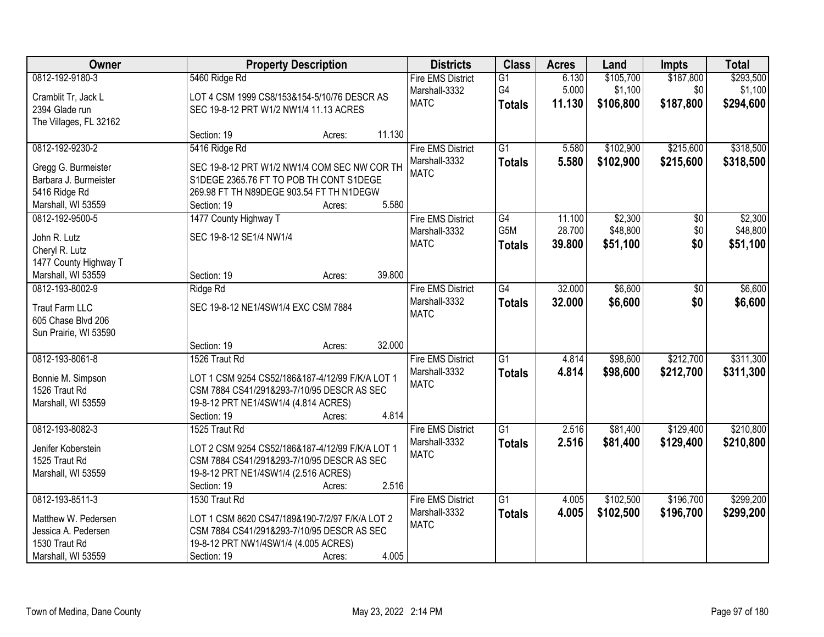| Owner                  | <b>Property Description</b>                     |        |        | <b>Districts</b>         | <b>Class</b>    | <b>Acres</b> | Land      | <b>Impts</b>    | <b>Total</b> |
|------------------------|-------------------------------------------------|--------|--------|--------------------------|-----------------|--------------|-----------|-----------------|--------------|
| 0812-192-9180-3        | 5460 Ridge Rd                                   |        |        | <b>Fire EMS District</b> | G1              | 6.130        | \$105,700 | \$187,800       | \$293,500    |
| Cramblit Tr, Jack L    | LOT 4 CSM 1999 CS8/153&154-5/10/76 DESCR AS     |        |        | Marshall-3332            | G4              | 5.000        | \$1,100   | \$0             | \$1,100      |
| 2394 Glade run         | SEC 19-8-12 PRT W1/2 NW1/4 11.13 ACRES          |        |        | <b>MATC</b>              | <b>Totals</b>   | 11.130       | \$106,800 | \$187,800       | \$294,600    |
| The Villages, FL 32162 |                                                 |        |        |                          |                 |              |           |                 |              |
|                        | Section: 19                                     | Acres: | 11.130 |                          |                 |              |           |                 |              |
| 0812-192-9230-2        | 5416 Ridge Rd                                   |        |        | <b>Fire EMS District</b> | G1              | 5.580        | \$102,900 | \$215,600       | \$318,500    |
| Gregg G. Burmeister    | SEC 19-8-12 PRT W1/2 NW1/4 COM SEC NW COR TH    |        |        | Marshall-3332            | <b>Totals</b>   | 5.580        | \$102,900 | \$215,600       | \$318,500    |
| Barbara J. Burmeister  | S1DEGE 2365.76 FT TO POB TH CONT S1DEGE         |        |        | <b>MATC</b>              |                 |              |           |                 |              |
| 5416 Ridge Rd          | 269.98 FT TH N89DEGE 903.54 FT TH N1DEGW        |        |        |                          |                 |              |           |                 |              |
| Marshall, WI 53559     | Section: 19                                     | Acres: | 5.580  |                          |                 |              |           |                 |              |
| 0812-192-9500-5        | 1477 County Highway T                           |        |        | <b>Fire EMS District</b> | G4              | 11.100       | \$2,300   | $\overline{50}$ | \$2,300      |
|                        |                                                 |        |        | Marshall-3332            | G5M             | 28.700       | \$48,800  | \$0             | \$48,800     |
| John R. Lutz           | SEC 19-8-12 SE1/4 NW1/4                         |        |        | <b>MATC</b>              | <b>Totals</b>   | 39.800       | \$51,100  | \$0             | \$51,100     |
| Cheryl R. Lutz         |                                                 |        |        |                          |                 |              |           |                 |              |
| 1477 County Highway T  |                                                 |        |        |                          |                 |              |           |                 |              |
| Marshall, WI 53559     | Section: 19                                     | Acres: | 39.800 |                          |                 |              |           |                 |              |
| 0812-193-8002-9        | Ridge Rd                                        |        |        | <b>Fire EMS District</b> | $\overline{G4}$ | 32.000       | \$6,600   | $\overline{50}$ | \$6,600      |
| <b>Traut Farm LLC</b>  | SEC 19-8-12 NE1/4SW1/4 EXC CSM 7884             |        |        | Marshall-3332            | <b>Totals</b>   | 32.000       | \$6,600   | \$0             | \$6,600      |
| 605 Chase Blvd 206     |                                                 |        |        | <b>MATC</b>              |                 |              |           |                 |              |
| Sun Prairie, WI 53590  |                                                 |        |        |                          |                 |              |           |                 |              |
|                        | Section: 19                                     | Acres: | 32.000 |                          |                 |              |           |                 |              |
| 0812-193-8061-8        | 1526 Traut Rd                                   |        |        | <b>Fire EMS District</b> | $\overline{G1}$ | 4.814        | \$98,600  | \$212,700       | \$311,300    |
| Bonnie M. Simpson      | LOT 1 CSM 9254 CS52/186&187-4/12/99 F/K/A LOT 1 |        |        | Marshall-3332            | <b>Totals</b>   | 4.814        | \$98,600  | \$212,700       | \$311,300    |
| 1526 Traut Rd          | CSM 7884 CS41/291&293-7/10/95 DESCR AS SEC      |        |        | <b>MATC</b>              |                 |              |           |                 |              |
| Marshall, WI 53559     | 19-8-12 PRT NE1/4SW1/4 (4.814 ACRES)            |        |        |                          |                 |              |           |                 |              |
|                        | Section: 19                                     | Acres: | 4.814  |                          |                 |              |           |                 |              |
| 0812-193-8082-3        | 1525 Traut Rd                                   |        |        | <b>Fire EMS District</b> | $\overline{G1}$ | 2.516        | \$81,400  | \$129,400       | \$210,800    |
| Jenifer Koberstein     | LOT 2 CSM 9254 CS52/186&187-4/12/99 F/K/A LOT 1 |        |        | Marshall-3332            | <b>Totals</b>   | 2.516        | \$81,400  | \$129,400       | \$210,800    |
| 1525 Traut Rd          | CSM 7884 CS41/291&293-7/10/95 DESCR AS SEC      |        |        | <b>MATC</b>              |                 |              |           |                 |              |
| Marshall, WI 53559     | 19-8-12 PRT NE1/4SW1/4 (2.516 ACRES)            |        |        |                          |                 |              |           |                 |              |
|                        | Section: 19                                     | Acres: | 2.516  |                          |                 |              |           |                 |              |
| 0812-193-8511-3        | 1530 Traut Rd                                   |        |        | <b>Fire EMS District</b> | $\overline{G1}$ | 4.005        | \$102,500 | \$196,700       | \$299,200    |
|                        |                                                 |        |        | Marshall-3332            | <b>Totals</b>   | 4.005        | \$102,500 | \$196,700       | \$299,200    |
| Matthew W. Pedersen    | LOT 1 CSM 8620 CS47/189&190-7/2/97 F/K/A LOT 2  |        |        | <b>MATC</b>              |                 |              |           |                 |              |
| Jessica A. Pedersen    | CSM 7884 CS41/291&293-7/10/95 DESCR AS SEC      |        |        |                          |                 |              |           |                 |              |
| 1530 Traut Rd          | 19-8-12 PRT NW1/4SW1/4 (4.005 ACRES)            |        |        |                          |                 |              |           |                 |              |
| Marshall, WI 53559     | Section: 19                                     | Acres: | 4.005  |                          |                 |              |           |                 |              |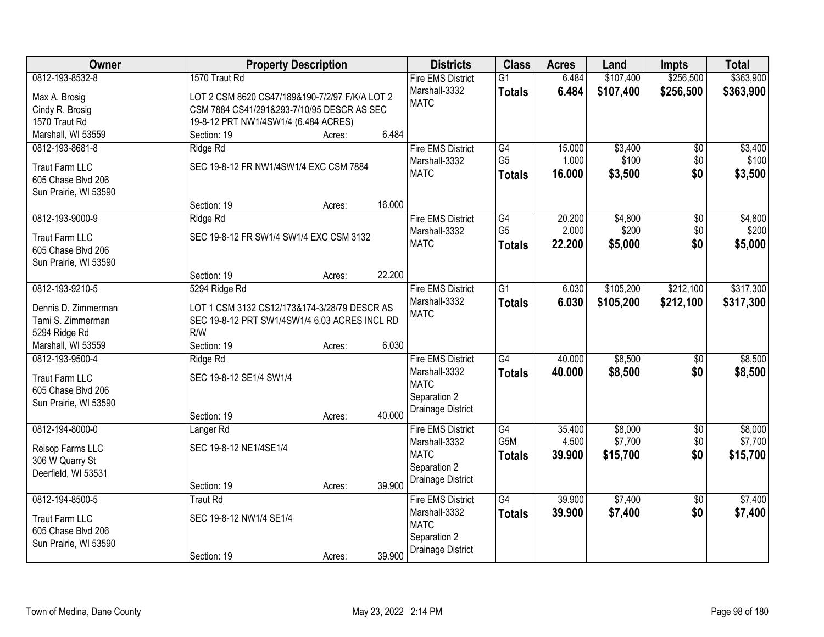| Owner                              | <b>Property Description</b>                          | <b>Districts</b>         | <b>Class</b>     | <b>Acres</b> | Land      | <b>Impts</b>    | <b>Total</b> |
|------------------------------------|------------------------------------------------------|--------------------------|------------------|--------------|-----------|-----------------|--------------|
| 0812-193-8532-8                    | 1570 Traut Rd                                        | <b>Fire EMS District</b> | $\overline{G1}$  | 6.484        | \$107,400 | \$256,500       | \$363,900    |
| Max A. Brosig                      | LOT 2 CSM 8620 CS47/189&190-7/2/97 F/K/A LOT 2       | Marshall-3332            | <b>Totals</b>    | 6.484        | \$107,400 | \$256,500       | \$363,900    |
| Cindy R. Brosig                    | CSM 7884 CS41/291&293-7/10/95 DESCR AS SEC           | <b>MATC</b>              |                  |              |           |                 |              |
| 1570 Traut Rd                      | 19-8-12 PRT NW1/4SW1/4 (6.484 ACRES)                 |                          |                  |              |           |                 |              |
| Marshall, WI 53559                 | 6.484<br>Section: 19<br>Acres:                       |                          |                  |              |           |                 |              |
| 0812-193-8681-8                    | Ridge Rd                                             | <b>Fire EMS District</b> | G4               | 15.000       | \$3,400   | \$0             | \$3,400      |
|                                    |                                                      | Marshall-3332            | G <sub>5</sub>   | 1.000        | \$100     | \$0             | \$100        |
| <b>Traut Farm LLC</b>              | SEC 19-8-12 FR NW1/4SW1/4 EXC CSM 7884               | <b>MATC</b>              | <b>Totals</b>    | 16.000       | \$3,500   | \$0             | \$3,500      |
| 605 Chase Blvd 206                 |                                                      |                          |                  |              |           |                 |              |
| Sun Prairie, WI 53590              |                                                      |                          |                  |              |           |                 |              |
|                                    | 16.000<br>Section: 19<br>Acres:                      |                          |                  |              |           |                 |              |
| 0812-193-9000-9                    | Ridge Rd                                             | <b>Fire EMS District</b> | G4               | 20.200       | \$4,800   | \$0             | \$4,800      |
| <b>Traut Farm LLC</b>              | SEC 19-8-12 FR SW1/4 SW1/4 EXC CSM 3132              | Marshall-3332            | G <sub>5</sub>   | 2.000        | \$200     | \$0             | \$200        |
| 605 Chase Blvd 206                 |                                                      | <b>MATC</b>              | <b>Totals</b>    | 22.200       | \$5,000   | \$0             | \$5,000      |
| Sun Prairie, WI 53590              |                                                      |                          |                  |              |           |                 |              |
|                                    | 22.200<br>Section: 19<br>Acres:                      |                          |                  |              |           |                 |              |
| 0812-193-9210-5                    | 5294 Ridge Rd                                        | <b>Fire EMS District</b> | $\overline{G1}$  | 6.030        | \$105,200 | \$212,100       | \$317,300    |
|                                    |                                                      | Marshall-3332            | <b>Totals</b>    | 6.030        | \$105,200 | \$212,100       | \$317,300    |
| Dennis D. Zimmerman                | LOT 1 CSM 3132 CS12/173&174-3/28/79 DESCR AS         | <b>MATC</b>              |                  |              |           |                 |              |
| Tami S. Zimmerman<br>5294 Ridge Rd | SEC 19-8-12 PRT SW1/4SW1/4 6.03 ACRES INCL RD<br>R/W |                          |                  |              |           |                 |              |
| Marshall, WI 53559                 | 6.030<br>Section: 19                                 |                          |                  |              |           |                 |              |
| 0812-193-9500-4                    | Acres:<br>Ridge Rd                                   | <b>Fire EMS District</b> | G4               | 40.000       | \$8,500   | $\overline{50}$ | \$8,500      |
|                                    |                                                      | Marshall-3332            |                  |              |           |                 |              |
| <b>Traut Farm LLC</b>              | SEC 19-8-12 SE1/4 SW1/4                              | <b>MATC</b>              | <b>Totals</b>    | 40.000       | \$8,500   | \$0             | \$8,500      |
| 605 Chase Blvd 206                 |                                                      | Separation 2             |                  |              |           |                 |              |
| Sun Prairie, WI 53590              |                                                      | Drainage District        |                  |              |           |                 |              |
|                                    | 40.000<br>Section: 19<br>Acres:                      |                          |                  |              |           |                 |              |
| 0812-194-8000-0                    | Langer <sub>Rd</sub>                                 | <b>Fire EMS District</b> | $\overline{G4}$  | 35.400       | \$8,000   | $\overline{60}$ | \$8,000      |
| Reisop Farms LLC                   | SEC 19-8-12 NE1/4SE1/4                               | Marshall-3332            | G <sub>5</sub> M | 4.500        | \$7,700   | \$0             | \$7,700      |
| 306 W Quarry St                    |                                                      | <b>MATC</b>              | <b>Totals</b>    | 39.900       | \$15,700  | \$0             | \$15,700     |
| Deerfield, WI 53531                |                                                      | Separation 2             |                  |              |           |                 |              |
|                                    | 39.900<br>Section: 19<br>Acres:                      | Drainage District        |                  |              |           |                 |              |
| 0812-194-8500-5                    | <b>Traut Rd</b>                                      | <b>Fire EMS District</b> | $\overline{G4}$  | 39.900       | \$7,400   | $\overline{50}$ | \$7,400      |
|                                    |                                                      | Marshall-3332            | <b>Totals</b>    | 39.900       | \$7,400   | \$0             | \$7,400      |
| <b>Traut Farm LLC</b>              | SEC 19-8-12 NW1/4 SE1/4                              | <b>MATC</b>              |                  |              |           |                 |              |
| 605 Chase Blvd 206                 |                                                      | Separation 2             |                  |              |           |                 |              |
| Sun Prairie, WI 53590              |                                                      | Drainage District        |                  |              |           |                 |              |
|                                    | 39.900<br>Section: 19<br>Acres:                      |                          |                  |              |           |                 |              |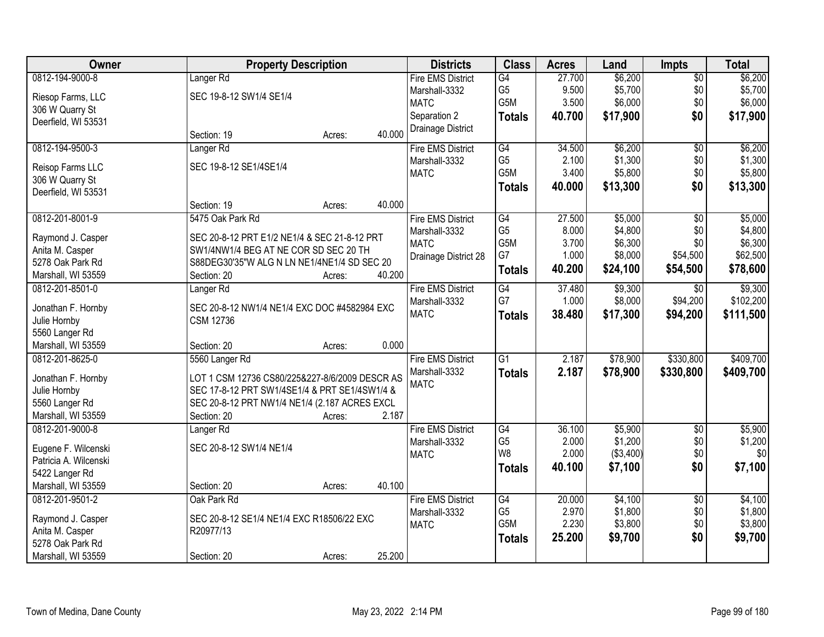| <b>Owner</b>          | <b>Property Description</b>                    |        |        | <b>Districts</b>         | <b>Class</b>     | <b>Acres</b> | Land       | <b>Impts</b>    | <b>Total</b> |
|-----------------------|------------------------------------------------|--------|--------|--------------------------|------------------|--------------|------------|-----------------|--------------|
| 0812-194-9000-8       | Langer <sub>Rd</sub>                           |        |        | <b>Fire EMS District</b> | G4               | 27.700       | \$6,200    | $\overline{$0}$ | \$6,200      |
| Riesop Farms, LLC     | SEC 19-8-12 SW1/4 SE1/4                        |        |        | Marshall-3332            | G <sub>5</sub>   | 9.500        | \$5,700    | \$0             | \$5,700      |
| 306 W Quarry St       |                                                |        |        | <b>MATC</b>              | G5M              | 3.500        | \$6,000    | \$0             | \$6,000      |
| Deerfield, WI 53531   |                                                |        |        | Separation 2             | <b>Totals</b>    | 40.700       | \$17,900   | \$0             | \$17,900     |
|                       | Section: 19                                    | Acres: | 40.000 | Drainage District        |                  |              |            |                 |              |
| 0812-194-9500-3       | Langer <sub>Rd</sub>                           |        |        | <b>Fire EMS District</b> | G4               | 34.500       | \$6,200    | $\overline{50}$ | \$6,200      |
|                       |                                                |        |        | Marshall-3332            | G <sub>5</sub>   | 2.100        | \$1,300    | \$0             | \$1,300      |
| Reisop Farms LLC      | SEC 19-8-12 SE1/4SE1/4                         |        |        | <b>MATC</b>              | G <sub>5</sub> M | 3.400        | \$5,800    | \$0             | \$5,800      |
| 306 W Quarry St       |                                                |        |        |                          |                  | 40.000       | \$13,300   | \$0             |              |
| Deerfield, WI 53531   |                                                |        |        |                          | <b>Totals</b>    |              |            |                 | \$13,300     |
|                       | Section: 19                                    | Acres: | 40.000 |                          |                  |              |            |                 |              |
| 0812-201-8001-9       | 5475 Oak Park Rd                               |        |        | <b>Fire EMS District</b> | G4               | 27.500       | \$5,000    | \$0             | \$5,000      |
| Raymond J. Casper     | SEC 20-8-12 PRT E1/2 NE1/4 & SEC 21-8-12 PRT   |        |        | Marshall-3332            | G <sub>5</sub>   | 8.000        | \$4,800    | \$0             | \$4,800      |
| Anita M. Casper       | SW1/4NW1/4 BEG AT NE COR SD SEC 20 TH          |        |        | <b>MATC</b>              | G5M              | 3.700        | \$6,300    | \$0             | \$6,300      |
| 5278 Oak Park Rd      | S88DEG30'35"W ALG N LN NE1/4NE1/4 SD SEC 20    |        |        | Drainage District 28     | G7               | 1.000        | \$8,000    | \$54,500        | \$62,500     |
| Marshall, WI 53559    | Section: 20                                    | Acres: | 40.200 |                          | <b>Totals</b>    | 40.200       | \$24,100   | \$54,500        | \$78,600     |
| 0812-201-8501-0       | Langer <sub>Rd</sub>                           |        |        | <b>Fire EMS District</b> | G4               | 37.480       | \$9,300    | $\sqrt{6}$      | \$9,300      |
|                       |                                                |        |        | Marshall-3332            | G7               | 1.000        | \$8,000    | \$94,200        | \$102,200    |
| Jonathan F. Hornby    | SEC 20-8-12 NW1/4 NE1/4 EXC DOC #4582984 EXC   |        |        | <b>MATC</b>              |                  | 38.480       |            |                 |              |
| Julie Hornby          | <b>CSM 12736</b>                               |        |        |                          | <b>Totals</b>    |              | \$17,300   | \$94,200        | \$111,500    |
| 5560 Langer Rd        |                                                |        |        |                          |                  |              |            |                 |              |
| Marshall, WI 53559    | Section: 20                                    | Acres: | 0.000  |                          |                  |              |            |                 |              |
| 0812-201-8625-0       | 5560 Langer Rd                                 |        |        | <b>Fire EMS District</b> | $\overline{G1}$  | 2.187        | \$78,900   | \$330,800       | \$409,700    |
| Jonathan F. Hornby    | LOT 1 CSM 12736 CS80/225&227-8/6/2009 DESCR AS |        |        | Marshall-3332            | <b>Totals</b>    | 2.187        | \$78,900   | \$330,800       | \$409,700    |
| Julie Hornby          | SEC 17-8-12 PRT SW1/4SE1/4 & PRT SE1/4SW1/4 &  |        |        | <b>MATC</b>              |                  |              |            |                 |              |
| 5560 Langer Rd        | SEC 20-8-12 PRT NW1/4 NE1/4 (2.187 ACRES EXCL  |        |        |                          |                  |              |            |                 |              |
| Marshall, WI 53559    | Section: 20                                    | Acres: | 2.187  |                          |                  |              |            |                 |              |
| 0812-201-9000-8       |                                                |        |        | <b>Fire EMS District</b> | G4               | 36.100       | \$5,900    | $\sqrt{6}$      | \$5,900      |
|                       | Langer <sub>Rd</sub>                           |        |        | Marshall-3332            | G <sub>5</sub>   | 2.000        | \$1,200    | \$0             | \$1,200      |
| Eugene F. Wilcenski   | SEC 20-8-12 SW1/4 NE1/4                        |        |        | <b>MATC</b>              | W <sub>8</sub>   | 2.000        | ( \$3,400) | \$0             | \$0          |
| Patricia A. Wilcenski |                                                |        |        |                          |                  |              |            |                 |              |
| 5422 Langer Rd        |                                                |        |        |                          | <b>Totals</b>    | 40.100       | \$7,100    | \$0             | \$7,100      |
| Marshall, WI 53559    | Section: 20                                    | Acres: | 40.100 |                          |                  |              |            |                 |              |
| 0812-201-9501-2       | Oak Park Rd                                    |        |        | <b>Fire EMS District</b> | G4               | 20.000       | \$4,100    | $\overline{50}$ | \$4,100      |
| Raymond J. Casper     | SEC 20-8-12 SE1/4 NE1/4 EXC R18506/22 EXC      |        |        | Marshall-3332            | G <sub>5</sub>   | 2.970        | \$1,800    | \$0             | \$1,800      |
| Anita M. Casper       | R20977/13                                      |        |        | <b>MATC</b>              | G5M              | 2.230        | \$3,800    | \$0             | \$3,800      |
| 5278 Oak Park Rd      |                                                |        |        |                          | <b>Totals</b>    | 25.200       | \$9,700    | \$0             | \$9,700      |
| Marshall, WI 53559    | Section: 20                                    | Acres: | 25.200 |                          |                  |              |            |                 |              |
|                       |                                                |        |        |                          |                  |              |            |                 |              |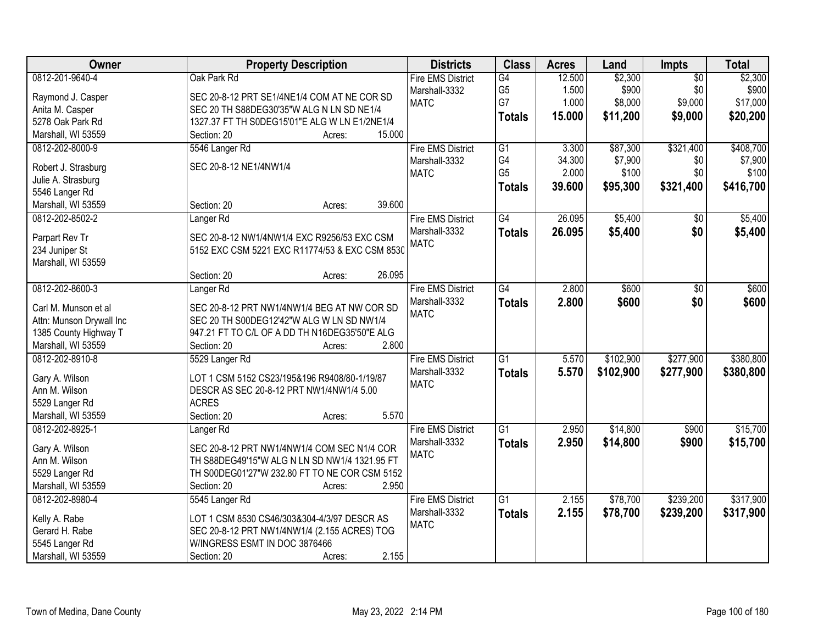| Owner                    | <b>Property Description</b>                    | <b>Districts</b>         | <b>Class</b>    | <b>Acres</b> | Land      | Impts           | <b>Total</b> |
|--------------------------|------------------------------------------------|--------------------------|-----------------|--------------|-----------|-----------------|--------------|
| 0812-201-9640-4          | Oak Park Rd                                    | <b>Fire EMS District</b> | $\overline{G4}$ | 12.500       | \$2,300   | $\overline{50}$ | \$2,300      |
| Raymond J. Casper        | SEC 20-8-12 PRT SE1/4NE1/4 COM AT NE COR SD    | Marshall-3332            | G <sub>5</sub>  | 1.500        | \$900     | \$0             | \$900        |
| Anita M. Casper          | SEC 20 TH S88DEG30'35"W ALG N LN SD NE1/4      | <b>MATC</b>              | G7              | 1.000        | \$8,000   | \$9,000         | \$17,000     |
| 5278 Oak Park Rd         | 1327.37 FT TH S0DEG15'01"E ALG W LN E1/2NE1/4  |                          | <b>Totals</b>   | 15.000       | \$11,200  | \$9,000         | \$20,200     |
| Marshall, WI 53559       | 15.000<br>Section: 20<br>Acres:                |                          |                 |              |           |                 |              |
| 0812-202-8000-9          | 5546 Langer Rd                                 | <b>Fire EMS District</b> | $\overline{G1}$ | 3.300        | \$87,300  | \$321,400       | \$408,700    |
|                          |                                                | Marshall-3332            | G4              | 34.300       | \$7,900   | \$0             | \$7,900      |
| Robert J. Strasburg      | SEC 20-8-12 NE1/4NW1/4                         | <b>MATC</b>              | G <sub>5</sub>  | 2.000        | \$100     | \$0             | \$100        |
| Julie A. Strasburg       |                                                |                          |                 |              |           |                 |              |
| 5546 Langer Rd           |                                                |                          | <b>Totals</b>   | 39.600       | \$95,300  | \$321,400       | \$416,700    |
| Marshall, WI 53559       | 39.600<br>Section: 20<br>Acres:                |                          |                 |              |           |                 |              |
| 0812-202-8502-2          | Langer <sub>Rd</sub>                           | <b>Fire EMS District</b> | $\overline{G4}$ | 26.095       | \$5,400   | $\overline{50}$ | \$5,400      |
|                          |                                                | Marshall-3332            | <b>Totals</b>   | 26.095       | \$5,400   | \$0             | \$5,400      |
| Parpart Rev Tr           | SEC 20-8-12 NW1/4NW1/4 EXC R9256/53 EXC CSM    | <b>MATC</b>              |                 |              |           |                 |              |
| 234 Juniper St           | 5152 EXC CSM 5221 EXC R11774/53 & EXC CSM 8530 |                          |                 |              |           |                 |              |
| Marshall, WI 53559       |                                                |                          |                 |              |           |                 |              |
|                          | 26.095<br>Section: 20<br>Acres:                |                          |                 |              |           |                 |              |
| 0812-202-8600-3          | Langer <sub>Rd</sub>                           | <b>Fire EMS District</b> | $\overline{G4}$ | 2.800        | \$600     | \$0             | \$600        |
| Carl M. Munson et al     | SEC 20-8-12 PRT NW1/4NW1/4 BEG AT NW COR SD    | Marshall-3332            | <b>Totals</b>   | 2.800        | \$600     | \$0             | \$600        |
| Attn: Munson Drywall Inc | SEC 20 TH S00DEG12'42"W ALG W LN SD NW1/4      | <b>MATC</b>              |                 |              |           |                 |              |
| 1385 County Highway T    | 947.21 FT TO C/L OF A DD TH N16DEG35'50"E ALG  |                          |                 |              |           |                 |              |
| Marshall, WI 53559       | 2.800<br>Section: 20<br>Acres:                 |                          |                 |              |           |                 |              |
| 0812-202-8910-8          | 5529 Langer Rd                                 | <b>Fire EMS District</b> | $\overline{G1}$ | 5.570        | \$102,900 | \$277,900       | \$380,800    |
|                          |                                                | Marshall-3332            | <b>Totals</b>   | 5.570        | \$102,900 | \$277,900       | \$380,800    |
| Gary A. Wilson           | LOT 1 CSM 5152 CS23/195&196 R9408/80-1/19/87   | <b>MATC</b>              |                 |              |           |                 |              |
| Ann M. Wilson            | DESCR AS SEC 20-8-12 PRT NW1/4NW1/4 5.00       |                          |                 |              |           |                 |              |
| 5529 Langer Rd           | <b>ACRES</b>                                   |                          |                 |              |           |                 |              |
| Marshall, WI 53559       | 5.570<br>Section: 20<br>Acres:                 |                          |                 |              |           |                 |              |
| 0812-202-8925-1          | Langer <sub>Rd</sub>                           | <b>Fire EMS District</b> | $\overline{G1}$ | 2.950        | \$14,800  | \$900           | \$15,700     |
| Gary A. Wilson           | SEC 20-8-12 PRT NW1/4NW1/4 COM SEC N1/4 COR    | Marshall-3332            | <b>Totals</b>   | 2.950        | \$14,800  | \$900           | \$15,700     |
| Ann M. Wilson            | TH S88DEG49'15"W ALG N LN SD NW1/4 1321.95 FT  | <b>MATC</b>              |                 |              |           |                 |              |
| 5529 Langer Rd           | TH S00DEG01'27"W 232.80 FT TO NE COR CSM 5152  |                          |                 |              |           |                 |              |
| Marshall, WI 53559       | 2.950<br>Section: 20<br>Acres:                 |                          |                 |              |           |                 |              |
| 0812-202-8980-4          | 5545 Langer Rd                                 | <b>Fire EMS District</b> | $\overline{G1}$ | 2.155        | \$78,700  | \$239,200       | \$317,900    |
|                          |                                                | Marshall-3332            | <b>Totals</b>   | 2.155        | \$78,700  | \$239,200       | \$317,900    |
| Kelly A. Rabe            | LOT 1 CSM 8530 CS46/303&304-4/3/97 DESCR AS    | <b>MATC</b>              |                 |              |           |                 |              |
| Gerard H. Rabe           | SEC 20-8-12 PRT NW1/4NW1/4 (2.155 ACRES) TOG   |                          |                 |              |           |                 |              |
| 5545 Langer Rd           | W/INGRESS ESMT IN DOC 3876466                  |                          |                 |              |           |                 |              |
| Marshall, WI 53559       | 2.155<br>Section: 20<br>Acres:                 |                          |                 |              |           |                 |              |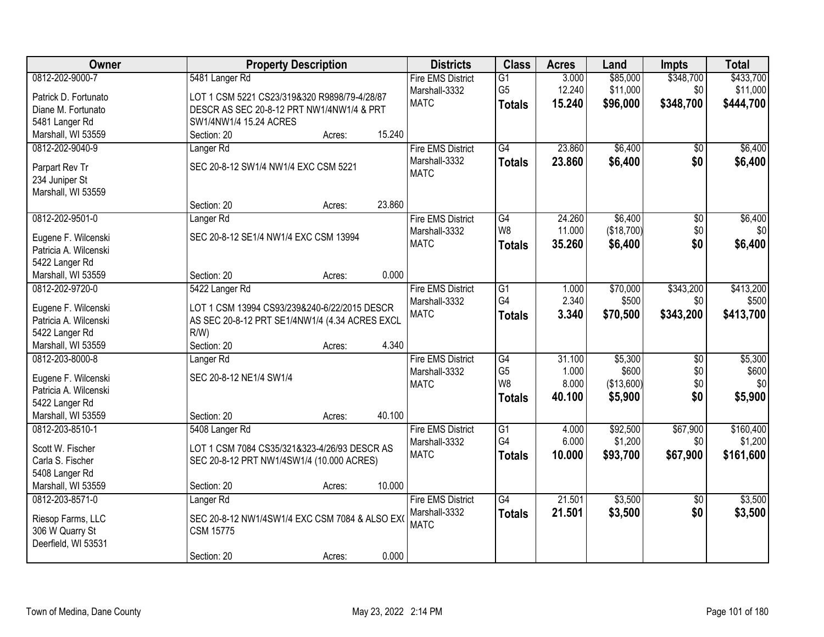| Owner                 | <b>Property Description</b>                    | <b>Districts</b>         | <b>Class</b>    | <b>Acres</b> | Land       | Impts           | <b>Total</b> |
|-----------------------|------------------------------------------------|--------------------------|-----------------|--------------|------------|-----------------|--------------|
| 0812-202-9000-7       | 5481 Langer Rd                                 | <b>Fire EMS District</b> | G1              | 3.000        | \$85,000   | \$348,700       | \$433,700    |
| Patrick D. Fortunato  | LOT 1 CSM 5221 CS23/319&320 R9898/79-4/28/87   | Marshall-3332            | G <sub>5</sub>  | 12.240       | \$11,000   | \$0             | \$11,000     |
| Diane M. Fortunato    | DESCR AS SEC 20-8-12 PRT NW1/4NW1/4 & PRT      | <b>MATC</b>              | <b>Totals</b>   | 15.240       | \$96,000   | \$348,700       | \$444,700    |
| 5481 Langer Rd        | SW1/4NW1/4 15.24 ACRES                         |                          |                 |              |            |                 |              |
| Marshall, WI 53559    | 15.240<br>Section: 20<br>Acres:                |                          |                 |              |            |                 |              |
| 0812-202-9040-9       | Langer <sub>Rd</sub>                           | <b>Fire EMS District</b> | $\overline{G4}$ | 23.860       | \$6,400    | $\overline{50}$ | \$6,400      |
|                       |                                                | Marshall-3332            | <b>Totals</b>   | 23.860       | \$6,400    | \$0             | \$6,400      |
| Parpart Rev Tr        | SEC 20-8-12 SW1/4 NW1/4 EXC CSM 5221           | <b>MATC</b>              |                 |              |            |                 |              |
| 234 Juniper St        |                                                |                          |                 |              |            |                 |              |
| Marshall, WI 53559    |                                                |                          |                 |              |            |                 |              |
|                       | 23.860<br>Section: 20<br>Acres:                |                          |                 |              |            |                 |              |
| 0812-202-9501-0       | Langer <sub>Rd</sub>                           | <b>Fire EMS District</b> | G4              | 24.260       | \$6,400    | $\overline{50}$ | \$6,400      |
| Eugene F. Wilcenski   | SEC 20-8-12 SE1/4 NW1/4 EXC CSM 13994          | Marshall-3332            | W8              | 11.000       | (\$18,700) | \$0             | \$0          |
| Patricia A. Wilcenski |                                                | <b>MATC</b>              | <b>Totals</b>   | 35.260       | \$6,400    | \$0             | \$6,400      |
| 5422 Langer Rd        |                                                |                          |                 |              |            |                 |              |
| Marshall, WI 53559    | 0.000<br>Section: 20<br>Acres:                 |                          |                 |              |            |                 |              |
| 0812-202-9720-0       | 5422 Langer Rd                                 | <b>Fire EMS District</b> | $\overline{G1}$ | 1.000        | \$70,000   | \$343,200       | \$413,200    |
|                       |                                                | Marshall-3332            | G4              | 2.340        | \$500      | \$0             | \$500        |
| Eugene F. Wilcenski   | LOT 1 CSM 13994 CS93/239&240-6/22/2015 DESCR   | <b>MATC</b>              | <b>Totals</b>   | 3.340        | \$70,500   | \$343,200       | \$413,700    |
| Patricia A. Wilcenski | AS SEC 20-8-12 PRT SE1/4NW1/4 (4.34 ACRES EXCL |                          |                 |              |            |                 |              |
| 5422 Langer Rd        | $R/W$ )                                        |                          |                 |              |            |                 |              |
| Marshall, WI 53559    | 4.340<br>Section: 20<br>Acres:                 |                          |                 |              |            |                 |              |
| 0812-203-8000-8       | Langer <sub>Rd</sub>                           | <b>Fire EMS District</b> | $\overline{G4}$ | 31.100       | \$5,300    | $\overline{50}$ | \$5,300      |
| Eugene F. Wilcenski   | SEC 20-8-12 NE1/4 SW1/4                        | Marshall-3332            | G <sub>5</sub>  | 1.000        | \$600      | \$0             | \$600        |
| Patricia A. Wilcenski |                                                | <b>MATC</b>              | W <sub>8</sub>  | 8.000        | (\$13,600) | \$0             | \$0          |
| 5422 Langer Rd        |                                                |                          | <b>Totals</b>   | 40.100       | \$5,900    | \$0             | \$5,900      |
| Marshall, WI 53559    | 40.100<br>Section: 20<br>Acres:                |                          |                 |              |            |                 |              |
| 0812-203-8510-1       | 5408 Langer Rd                                 | <b>Fire EMS District</b> | G1              | 4.000        | \$92,500   | \$67,900        | \$160,400    |
|                       |                                                | Marshall-3332            | G4              | 6.000        | \$1,200    | \$0             | \$1,200      |
| Scott W. Fischer      | LOT 1 CSM 7084 CS35/321&323-4/26/93 DESCR AS   | <b>MATC</b>              | <b>Totals</b>   | 10.000       | \$93,700   | \$67,900        | \$161,600    |
| Carla S. Fischer      | SEC 20-8-12 PRT NW1/4SW1/4 (10.000 ACRES)      |                          |                 |              |            |                 |              |
| 5408 Langer Rd        |                                                |                          |                 |              |            |                 |              |
| Marshall, WI 53559    | 10.000<br>Section: 20<br>Acres:                |                          |                 |              |            |                 |              |
| 0812-203-8571-0       | Langer <sub>Rd</sub>                           | <b>Fire EMS District</b> | $\overline{G4}$ | 21.501       | \$3,500    | $\overline{30}$ | \$3,500      |
| Riesop Farms, LLC     | SEC 20-8-12 NW1/4SW1/4 EXC CSM 7084 & ALSO EX( | Marshall-3332            | <b>Totals</b>   | 21.501       | \$3,500    | \$0             | \$3,500      |
| 306 W Quarry St       | <b>CSM 15775</b>                               | <b>MATC</b>              |                 |              |            |                 |              |
| Deerfield, WI 53531   |                                                |                          |                 |              |            |                 |              |
|                       | 0.000<br>Section: 20<br>Acres:                 |                          |                 |              |            |                 |              |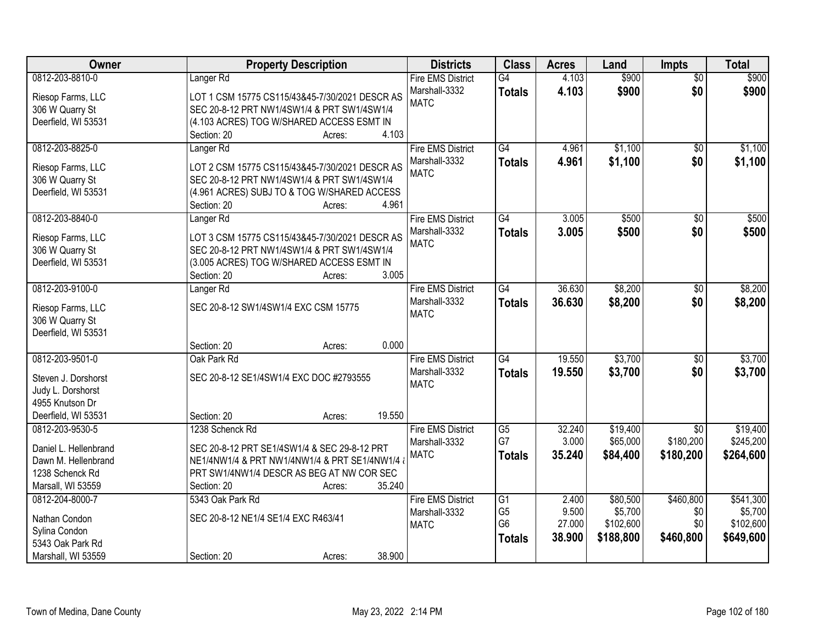| Owner                 | <b>Property Description</b>                        | <b>Districts</b>         | <b>Class</b>                      | <b>Acres</b> | Land      | <b>Impts</b>    | <b>Total</b> |
|-----------------------|----------------------------------------------------|--------------------------|-----------------------------------|--------------|-----------|-----------------|--------------|
| 0812-203-8810-0       | Langer <sub>Rd</sub>                               | <b>Fire EMS District</b> | $\overline{G4}$                   | 4.103        | \$900     | $\overline{50}$ | \$900        |
| Riesop Farms, LLC     | LOT 1 CSM 15775 CS115/43&45-7/30/2021 DESCR AS     | Marshall-3332            | <b>Totals</b>                     | 4.103        | \$900     | \$0             | \$900        |
| 306 W Quarry St       | SEC 20-8-12 PRT NW1/4SW1/4 & PRT SW1/4SW1/4        | <b>MATC</b>              |                                   |              |           |                 |              |
| Deerfield, WI 53531   | (4.103 ACRES) TOG W/SHARED ACCESS ESMT IN          |                          |                                   |              |           |                 |              |
|                       | 4.103<br>Section: 20<br>Acres:                     |                          |                                   |              |           |                 |              |
| 0812-203-8825-0       | Langer <sub>Rd</sub>                               | <b>Fire EMS District</b> | $\overline{G4}$                   | 4.961        | \$1,100   | \$0             | \$1,100      |
|                       |                                                    | Marshall-3332            | <b>Totals</b>                     | 4.961        | \$1,100   | \$0             | \$1,100      |
| Riesop Farms, LLC     | LOT 2 CSM 15775 CS115/43&45-7/30/2021 DESCR AS     | <b>MATC</b>              |                                   |              |           |                 |              |
| 306 W Quarry St       | SEC 20-8-12 PRT NW1/4SW1/4 & PRT SW1/4SW1/4        |                          |                                   |              |           |                 |              |
| Deerfield, WI 53531   | (4.961 ACRES) SUBJ TO & TOG W/SHARED ACCESS        |                          |                                   |              |           |                 |              |
|                       | 4.961<br>Section: 20<br>Acres:                     |                          |                                   |              |           |                 |              |
| 0812-203-8840-0       | Langer <sub>Rd</sub>                               | <b>Fire EMS District</b> | G4                                | 3.005        | \$500     | \$0             | \$500        |
| Riesop Farms, LLC     | LOT 3 CSM 15775 CS115/43&45-7/30/2021 DESCR AS     | Marshall-3332            | <b>Totals</b>                     | 3.005        | \$500     | \$0             | \$500        |
| 306 W Quarry St       | SEC 20-8-12 PRT NW1/4SW1/4 & PRT SW1/4SW1/4        | <b>MATC</b>              |                                   |              |           |                 |              |
|                       |                                                    |                          |                                   |              |           |                 |              |
| Deerfield, WI 53531   | (3.005 ACRES) TOG W/SHARED ACCESS ESMT IN<br>3.005 |                          |                                   |              |           |                 |              |
|                       | Section: 20<br>Acres:                              |                          |                                   |              |           |                 |              |
| 0812-203-9100-0       | Langer Rd                                          | <b>Fire EMS District</b> | G4                                | 36.630       | \$8,200   | \$0             | \$8,200      |
| Riesop Farms, LLC     | SEC 20-8-12 SW1/4SW1/4 EXC CSM 15775               | Marshall-3332            | <b>Totals</b>                     | 36.630       | \$8,200   | \$0             | \$8,200      |
| 306 W Quarry St       |                                                    | <b>MATC</b>              |                                   |              |           |                 |              |
| Deerfield, WI 53531   |                                                    |                          |                                   |              |           |                 |              |
|                       | 0.000<br>Section: 20<br>Acres:                     |                          |                                   |              |           |                 |              |
| 0812-203-9501-0       | Oak Park Rd                                        | <b>Fire EMS District</b> | G4                                | 19.550       | \$3,700   | $\overline{50}$ | \$3,700      |
|                       |                                                    | Marshall-3332            | <b>Totals</b>                     | 19.550       | \$3,700   | \$0             | \$3,700      |
| Steven J. Dorshorst   | SEC 20-8-12 SE1/4SW1/4 EXC DOC #2793555            | <b>MATC</b>              |                                   |              |           |                 |              |
| Judy L. Dorshorst     |                                                    |                          |                                   |              |           |                 |              |
| 4955 Knutson Dr       |                                                    |                          |                                   |              |           |                 |              |
| Deerfield, WI 53531   | 19.550<br>Section: 20<br>Acres:                    |                          |                                   |              |           |                 |              |
| 0812-203-9530-5       | 1238 Schenck Rd                                    | <b>Fire EMS District</b> | $\overline{G5}$                   | 32.240       | \$19,400  | $\sqrt{6}$      | \$19,400     |
| Daniel L. Hellenbrand | SEC 20-8-12 PRT SE1/4SW1/4 & SEC 29-8-12 PRT       | Marshall-3332            | G7                                | 3.000        | \$65,000  | \$180,200       | \$245,200    |
| Dawn M. Hellenbrand   | NE1/4NW1/4 & PRT NW1/4NW1/4 & PRT SE1/4NW1/4 &     | <b>MATC</b>              | <b>Totals</b>                     | 35.240       | \$84,400  | \$180,200       | \$264,600    |
| 1238 Schenck Rd       | PRT SW1/4NW1/4 DESCR AS BEG AT NW COR SEC          |                          |                                   |              |           |                 |              |
| Marsall, WI 53559     | Section: 20<br>35.240<br>Acres:                    |                          |                                   |              |           |                 |              |
| 0812-204-8000-7       | 5343 Oak Park Rd                                   | <b>Fire EMS District</b> |                                   | 2.400        | \$80,500  | \$460,800       | \$541,300    |
|                       |                                                    |                          | $\overline{G1}$<br>G <sub>5</sub> | 9.500        | \$5,700   | \$0             | \$5,700      |
| Nathan Condon         | SEC 20-8-12 NE1/4 SE1/4 EXC R463/41                | Marshall-3332            | G <sub>6</sub>                    |              |           |                 |              |
| Sylina Condon         |                                                    | <b>MATC</b>              |                                   | 27.000       | \$102,600 | \$0             | \$102,600    |
| 5343 Oak Park Rd      |                                                    |                          | <b>Totals</b>                     | 38.900       | \$188,800 | \$460,800       | \$649,600    |
| Marshall, WI 53559    | 38.900<br>Section: 20<br>Acres:                    |                          |                                   |              |           |                 |              |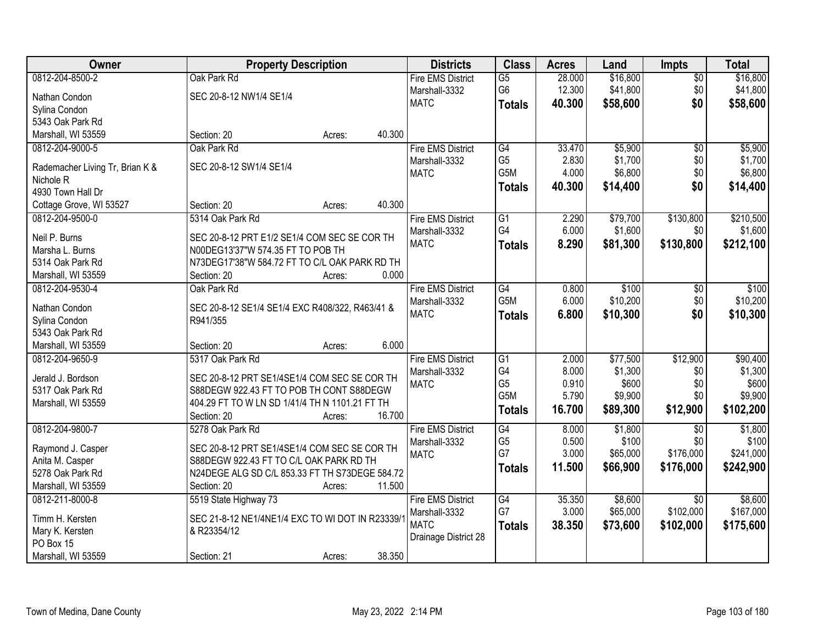| Owner                                 | <b>Property Description</b>                      | <b>Districts</b>         | <b>Class</b>     | <b>Acres</b> | Land     | Impts           | <b>Total</b> |
|---------------------------------------|--------------------------------------------------|--------------------------|------------------|--------------|----------|-----------------|--------------|
| 0812-204-8500-2                       | Oak Park Rd                                      | <b>Fire EMS District</b> | $\overline{G5}$  | 28.000       | \$16,800 | $\overline{50}$ | \$16,800     |
| Nathan Condon                         | SEC 20-8-12 NW1/4 SE1/4                          | Marshall-3332            | G <sub>6</sub>   | 12.300       | \$41,800 | \$0             | \$41,800     |
| Sylina Condon                         |                                                  | <b>MATC</b>              | <b>Totals</b>    | 40.300       | \$58,600 | \$0             | \$58,600     |
| 5343 Oak Park Rd                      |                                                  |                          |                  |              |          |                 |              |
| Marshall, WI 53559                    | 40.300<br>Section: 20<br>Acres:                  |                          |                  |              |          |                 |              |
| 0812-204-9000-5                       | Oak Park Rd                                      | <b>Fire EMS District</b> | G4               | 33.470       | \$5,900  | $\overline{50}$ | \$5,900      |
|                                       |                                                  | Marshall-3332            | G <sub>5</sub>   | 2.830        | \$1,700  | \$0             | \$1,700      |
| Rademacher Living Tr, Brian K &       | SEC 20-8-12 SW1/4 SE1/4                          | <b>MATC</b>              | G <sub>5</sub> M | 4.000        | \$6,800  | \$0             | \$6,800      |
| Nichole <sub>R</sub>                  |                                                  |                          | <b>Totals</b>    | 40.300       | \$14,400 | \$0             | \$14,400     |
| 4930 Town Hall Dr                     |                                                  |                          |                  |              |          |                 |              |
| Cottage Grove, WI 53527               | 40.300<br>Section: 20<br>Acres:                  |                          |                  |              |          |                 |              |
| 0812-204-9500-0                       | 5314 Oak Park Rd                                 | <b>Fire EMS District</b> | G1               | 2.290        | \$79,700 | \$130,800       | \$210,500    |
| Neil P. Burns                         | SEC 20-8-12 PRT E1/2 SE1/4 COM SEC SE COR TH     | Marshall-3332            | G4               | 6.000        | \$1,600  | \$0             | \$1,600      |
| Marsha L. Burns                       | N00DEG13'37"W 574.35 FT TO POB TH                | <b>MATC</b>              | <b>Totals</b>    | 8.290        | \$81,300 | \$130,800       | \$212,100    |
| 5314 Oak Park Rd                      | N73DEG17'38"W 584.72 FT TO C/L OAK PARK RD TH    |                          |                  |              |          |                 |              |
|                                       | 0.000<br>Section: 20                             |                          |                  |              |          |                 |              |
| Marshall, WI 53559<br>0812-204-9530-4 | Acres:<br>Oak Park Rd                            |                          | G4               |              | \$100    |                 |              |
|                                       |                                                  | <b>Fire EMS District</b> |                  | 0.800        |          | \$0             | \$100        |
| Nathan Condon                         | SEC 20-8-12 SE1/4 SE1/4 EXC R408/322, R463/41 &  | Marshall-3332            | G5M              | 6.000        | \$10,200 | \$0             | \$10,200     |
| Sylina Condon                         | R941/355                                         | <b>MATC</b>              | <b>Totals</b>    | 6.800        | \$10,300 | \$0             | \$10,300     |
| 5343 Oak Park Rd                      |                                                  |                          |                  |              |          |                 |              |
| Marshall, WI 53559                    | 6.000<br>Section: 20<br>Acres:                   |                          |                  |              |          |                 |              |
| 0812-204-9650-9                       | 5317 Oak Park Rd                                 | <b>Fire EMS District</b> | $\overline{G1}$  | 2.000        | \$77,500 | \$12,900        | \$90,400     |
|                                       |                                                  | Marshall-3332            | G4               | 8.000        | \$1,300  | \$0             | \$1,300      |
| Jerald J. Bordson                     | SEC 20-8-12 PRT SE1/4SE1/4 COM SEC SE COR TH     | <b>MATC</b>              | G <sub>5</sub>   | 0.910        | \$600    | \$0             | \$600        |
| 5317 Oak Park Rd                      | S88DEGW 922.43 FT TO POB TH CONT S88DEGW         |                          | G5M              | 5.790        | \$9,900  | \$0             | \$9,900      |
| Marshall, WI 53559                    | 404.29 FT TO W LN SD 1/41/4 TH N 1101.21 FT TH   |                          | <b>Totals</b>    | 16.700       | \$89,300 | \$12,900        | \$102,200    |
|                                       | 16.700<br>Section: 20<br>Acres:                  |                          |                  |              |          |                 |              |
| 0812-204-9800-7                       | 5278 Oak Park Rd                                 | <b>Fire EMS District</b> | G4               | 8.000        | \$1,800  | $\overline{50}$ | \$1,800      |
| Raymond J. Casper                     | SEC 20-8-12 PRT SE1/4SE1/4 COM SEC SE COR TH     | Marshall-3332            | G <sub>5</sub>   | 0.500        | \$100    | \$0             | \$100        |
| Anita M. Casper                       | S88DEGW 922.43 FT TO C/L OAK PARK RD TH          | <b>MATC</b>              | G7               | 3.000        | \$65,000 | \$176,000       | \$241,000    |
| 5278 Oak Park Rd                      | N24DEGE ALG SD C/L 853.33 FT TH S73DEGE 584.72   |                          | <b>Totals</b>    | 11.500       | \$66,900 | \$176,000       | \$242,900    |
| Marshall, WI 53559                    | 11.500<br>Section: 20<br>Acres:                  |                          |                  |              |          |                 |              |
| 0812-211-8000-8                       | 5519 State Highway 73                            | <b>Fire EMS District</b> | G4               | 35.350       | \$8,600  | $\overline{30}$ | \$8,600      |
|                                       |                                                  | Marshall-3332            | G7               | 3.000        | \$65,000 | \$102,000       | \$167,000    |
| Timm H. Kersten                       | SEC 21-8-12 NE1/4NE1/4 EXC TO WI DOT IN R23339/1 | <b>MATC</b>              | <b>Totals</b>    | 38.350       | \$73,600 | \$102,000       | \$175,600    |
| Mary K. Kersten                       | & R23354/12                                      | Drainage District 28     |                  |              |          |                 |              |
| PO Box 15                             |                                                  |                          |                  |              |          |                 |              |
| Marshall, WI 53559                    | 38.350<br>Section: 21<br>Acres:                  |                          |                  |              |          |                 |              |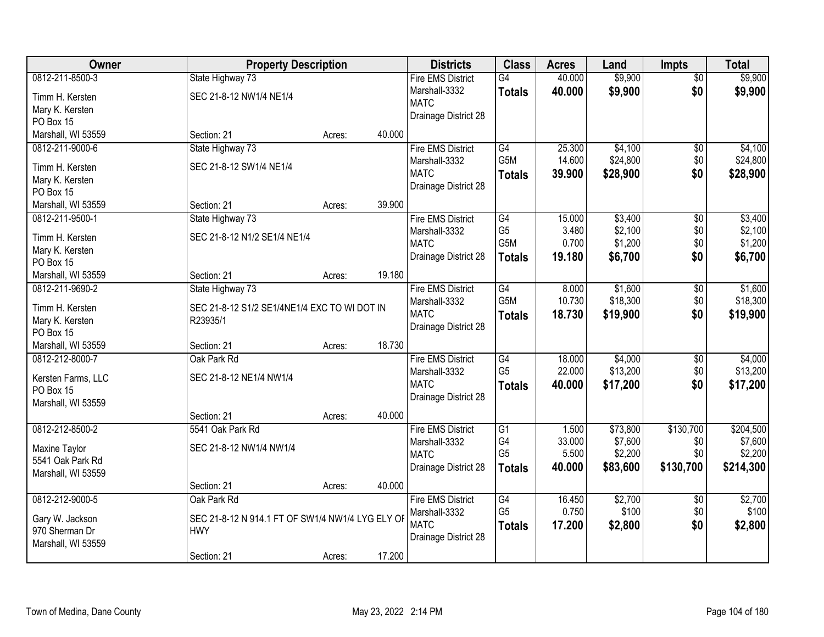| Owner                             | <b>Property Description</b>                      |        |        | <b>Districts</b>         | <b>Class</b>     | <b>Acres</b> | Land     | <b>Impts</b>    | <b>Total</b> |
|-----------------------------------|--------------------------------------------------|--------|--------|--------------------------|------------------|--------------|----------|-----------------|--------------|
| 0812-211-8500-3                   | State Highway 73                                 |        |        | <b>Fire EMS District</b> | G4               | 40.000       | \$9,900  | $\overline{50}$ | \$9,900      |
| Timm H. Kersten                   | SEC 21-8-12 NW1/4 NE1/4                          |        |        | Marshall-3332            | <b>Totals</b>    | 40.000       | \$9,900  | \$0             | \$9,900      |
| Mary K. Kersten                   |                                                  |        |        | <b>MATC</b>              |                  |              |          |                 |              |
| PO Box 15                         |                                                  |        |        | Drainage District 28     |                  |              |          |                 |              |
| Marshall, WI 53559                | Section: 21                                      | Acres: | 40.000 |                          |                  |              |          |                 |              |
| 0812-211-9000-6                   | State Highway 73                                 |        |        | <b>Fire EMS District</b> | G4               | 25.300       | \$4,100  | \$0             | \$4,100      |
| Timm H. Kersten                   | SEC 21-8-12 SW1/4 NE1/4                          |        |        | Marshall-3332            | G <sub>5</sub> M | 14.600       | \$24,800 | \$0             | \$24,800     |
| Mary K. Kersten                   |                                                  |        |        | <b>MATC</b>              | <b>Totals</b>    | 39.900       | \$28,900 | \$0             | \$28,900     |
| PO Box 15                         |                                                  |        |        | Drainage District 28     |                  |              |          |                 |              |
| Marshall, WI 53559                | Section: 21                                      | Acres: | 39.900 |                          |                  |              |          |                 |              |
| 0812-211-9500-1                   | State Highway 73                                 |        |        | <b>Fire EMS District</b> | G4               | 15.000       | \$3,400  | \$0             | \$3,400      |
|                                   |                                                  |        |        | Marshall-3332            | G <sub>5</sub>   | 3.480        | \$2,100  | \$0             | \$2,100      |
| Timm H. Kersten                   | SEC 21-8-12 N1/2 SE1/4 NE1/4                     |        |        | <b>MATC</b>              | G <sub>5</sub> M | 0.700        | \$1,200  | \$0             | \$1,200      |
| Mary K. Kersten                   |                                                  |        |        | Drainage District 28     | <b>Totals</b>    | 19.180       | \$6,700  | \$0             | \$6,700      |
| PO Box 15                         |                                                  |        |        |                          |                  |              |          |                 |              |
| Marshall, WI 53559                | Section: 21                                      | Acres: | 19.180 |                          |                  |              |          |                 |              |
| 0812-211-9690-2                   | State Highway 73                                 |        |        | <b>Fire EMS District</b> | G4               | 8.000        | \$1,600  | $\sqrt[6]{3}$   | \$1,600      |
| Timm H. Kersten                   | SEC 21-8-12 S1/2 SE1/4NE1/4 EXC TO WI DOT IN     |        |        | Marshall-3332            | G5M              | 10.730       | \$18,300 | \$0             | \$18,300     |
| Mary K. Kersten                   | R23935/1                                         |        |        | <b>MATC</b>              | <b>Totals</b>    | 18.730       | \$19,900 | \$0             | \$19,900     |
| PO Box 15                         |                                                  |        |        | Drainage District 28     |                  |              |          |                 |              |
| Marshall, WI 53559                | Section: 21                                      | Acres: | 18.730 |                          |                  |              |          |                 |              |
| 0812-212-8000-7                   | Oak Park Rd                                      |        |        | <b>Fire EMS District</b> | G4               | 18.000       | \$4,000  | $\overline{50}$ | \$4,000      |
| Kersten Farms, LLC                | SEC 21-8-12 NE1/4 NW1/4                          |        |        | Marshall-3332            | G <sub>5</sub>   | 22.000       | \$13,200 | \$0             | \$13,200     |
| PO Box 15                         |                                                  |        |        | <b>MATC</b>              | <b>Totals</b>    | 40.000       | \$17,200 | \$0             | \$17,200     |
| Marshall, WI 53559                |                                                  |        |        | Drainage District 28     |                  |              |          |                 |              |
|                                   | Section: 21                                      | Acres: | 40.000 |                          |                  |              |          |                 |              |
| 0812-212-8500-2                   | 5541 Oak Park Rd                                 |        |        | <b>Fire EMS District</b> | $\overline{G1}$  | 1.500        | \$73,800 | \$130,700       | \$204,500    |
|                                   | SEC 21-8-12 NW1/4 NW1/4                          |        |        | Marshall-3332            | G4               | 33.000       | \$7,600  | \$0             | \$7,600      |
| Maxine Taylor<br>5541 Oak Park Rd |                                                  |        |        | <b>MATC</b>              | G <sub>5</sub>   | 5.500        | \$2,200  | \$0             | \$2,200      |
|                                   |                                                  |        |        | Drainage District 28     | <b>Totals</b>    | 40,000       | \$83,600 | \$130,700       | \$214,300    |
| Marshall, WI 53559                | Section: 21                                      | Acres: | 40.000 |                          |                  |              |          |                 |              |
| 0812-212-9000-5                   | Oak Park Rd                                      |        |        | <b>Fire EMS District</b> | G4               | 16.450       | \$2,700  | $\overline{60}$ | \$2,700      |
|                                   |                                                  |        |        | Marshall-3332            | G <sub>5</sub>   | 0.750        | \$100    | \$0             | \$100        |
| Gary W. Jackson                   | SEC 21-8-12 N 914.1 FT OF SW1/4 NW1/4 LYG ELY OF |        |        | <b>MATC</b>              | Totals           | 17.200       | \$2,800  | \$0             | \$2,800      |
| 970 Sherman Dr                    | <b>HWY</b>                                       |        |        | Drainage District 28     |                  |              |          |                 |              |
| Marshall, WI 53559                |                                                  |        |        |                          |                  |              |          |                 |              |
|                                   | Section: 21                                      | Acres: | 17.200 |                          |                  |              |          |                 |              |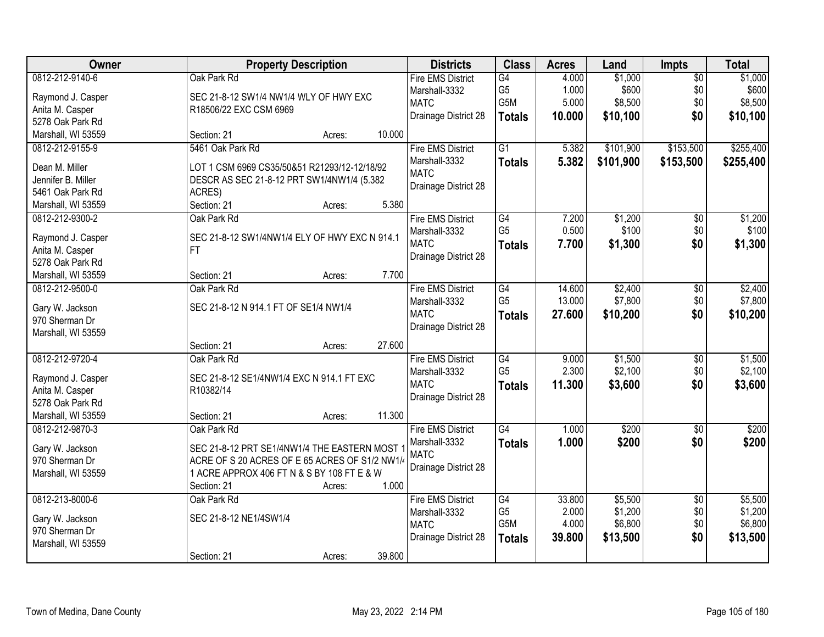| Owner              | <b>Property Description</b>                    | <b>Districts</b>             | <b>Class</b>    | <b>Acres</b> | Land      | <b>Impts</b>    | <b>Total</b> |
|--------------------|------------------------------------------------|------------------------------|-----------------|--------------|-----------|-----------------|--------------|
| 0812-212-9140-6    | Oak Park Rd                                    | <b>Fire EMS District</b>     | G4              | 4.000        | \$1,000   | $\overline{50}$ | \$1,000      |
| Raymond J. Casper  | SEC 21-8-12 SW1/4 NW1/4 WLY OF HWY EXC         | Marshall-3332                | G <sub>5</sub>  | 1.000        | \$600     | \$0             | \$600        |
| Anita M. Casper    | R18506/22 EXC CSM 6969                         | <b>MATC</b>                  | G5M             | 5.000        | \$8,500   | \$0             | \$8,500      |
| 5278 Oak Park Rd   |                                                | Drainage District 28         | <b>Totals</b>   | 10.000       | \$10,100  | \$0             | \$10,100     |
| Marshall, WI 53559 | 10.000<br>Section: 21<br>Acres:                |                              |                 |              |           |                 |              |
| 0812-212-9155-9    | 5461 Oak Park Rd                               | <b>Fire EMS District</b>     | $\overline{G1}$ | 5.382        | \$101,900 | \$153,500       | \$255,400    |
|                    |                                                | Marshall-3332                | <b>Totals</b>   | 5.382        | \$101,900 | \$153,500       | \$255,400    |
| Dean M. Miller     | LOT 1 CSM 6969 CS35/50&51 R21293/12-12/18/92   | <b>MATC</b>                  |                 |              |           |                 |              |
| Jennifer B. Miller | DESCR AS SEC 21-8-12 PRT SW1/4NW1/4 (5.382     | Drainage District 28         |                 |              |           |                 |              |
| 5461 Oak Park Rd   | ACRES)                                         |                              |                 |              |           |                 |              |
| Marshall, WI 53559 | 5.380<br>Section: 21<br>Acres:                 |                              |                 |              |           |                 |              |
| 0812-212-9300-2    | Oak Park Rd                                    | <b>Fire EMS District</b>     | G4              | 7.200        | \$1,200   | \$0             | \$1,200      |
| Raymond J. Casper  | SEC 21-8-12 SW1/4NW1/4 ELY OF HWY EXC N 914.1  | Marshall-3332                | G <sub>5</sub>  | 0.500        | \$100     | \$0             | \$100        |
| Anita M. Casper    | FT.                                            | <b>MATC</b>                  | <b>Totals</b>   | 7.700        | \$1,300   | \$0             | \$1,300      |
| 5278 Oak Park Rd   |                                                | Drainage District 28         |                 |              |           |                 |              |
| Marshall, WI 53559 | 7.700<br>Section: 21<br>Acres:                 |                              |                 |              |           |                 |              |
| 0812-212-9500-0    | Oak Park Rd                                    | <b>Fire EMS District</b>     | G4              | 14.600       | \$2,400   |                 | \$2,400      |
|                    |                                                |                              | G <sub>5</sub>  |              | \$7,800   | \$0             | \$7,800      |
| Gary W. Jackson    | SEC 21-8-12 N 914.1 FT OF SE1/4 NW1/4          | Marshall-3332<br><b>MATC</b> |                 | 13.000       |           | \$0             |              |
| 970 Sherman Dr     |                                                |                              | <b>Totals</b>   | 27.600       | \$10,200  | \$0             | \$10,200     |
| Marshall, WI 53559 |                                                | Drainage District 28         |                 |              |           |                 |              |
|                    | 27.600<br>Section: 21<br>Acres:                |                              |                 |              |           |                 |              |
| 0812-212-9720-4    | Oak Park Rd                                    | <b>Fire EMS District</b>     | G4              | 9.000        | \$1,500   | \$0             | \$1,500      |
|                    |                                                | Marshall-3332                | G <sub>5</sub>  | 2.300        | \$2,100   | \$0             | \$2,100      |
| Raymond J. Casper  | SEC 21-8-12 SE1/4NW1/4 EXC N 914.1 FT EXC      | <b>MATC</b>                  | <b>Totals</b>   | 11.300       | \$3,600   | \$0             | \$3,600      |
| Anita M. Casper    | R10382/14                                      | Drainage District 28         |                 |              |           |                 |              |
| 5278 Oak Park Rd   | 11.300                                         |                              |                 |              |           |                 |              |
| Marshall, WI 53559 | Section: 21<br>Acres:                          |                              |                 |              |           |                 |              |
| 0812-212-9870-3    | Oak Park Rd                                    | <b>Fire EMS District</b>     | G4              | 1.000        | \$200     | $\sqrt{$0}$     | \$200        |
| Gary W. Jackson    | SEC 21-8-12 PRT SE1/4NW1/4 THE EASTERN MOST    | Marshall-3332                | <b>Totals</b>   | 1.000        | \$200     | \$0             | \$200        |
| 970 Sherman Dr     | ACRE OF S 20 ACRES OF E 65 ACRES OF S1/2 NW1/4 | <b>MATC</b>                  |                 |              |           |                 |              |
| Marshall, WI 53559 | 1 ACRE APPROX 406 FT N & S BY 108 FT E & W     | Drainage District 28         |                 |              |           |                 |              |
|                    | 1.000<br>Section: 21<br>Acres:                 |                              |                 |              |           |                 |              |
| 0812-213-8000-6    | Oak Park Rd                                    | <b>Fire EMS District</b>     | G4              | 33.800       | \$5,500   | $\overline{50}$ | \$5,500      |
|                    |                                                | Marshall-3332                | G <sub>5</sub>  | 2.000        | \$1,200   | \$0             | \$1,200      |
| Gary W. Jackson    | SEC 21-8-12 NE1/4SW1/4                         | <b>MATC</b>                  | G5M             | 4.000        | \$6,800   | \$0             | \$6,800      |
| 970 Sherman Dr     |                                                | Drainage District 28         | <b>Totals</b>   | 39.800       | \$13,500  | \$0             | \$13,500     |
| Marshall, WI 53559 |                                                |                              |                 |              |           |                 |              |
|                    | 39.800<br>Section: 21<br>Acres:                |                              |                 |              |           |                 |              |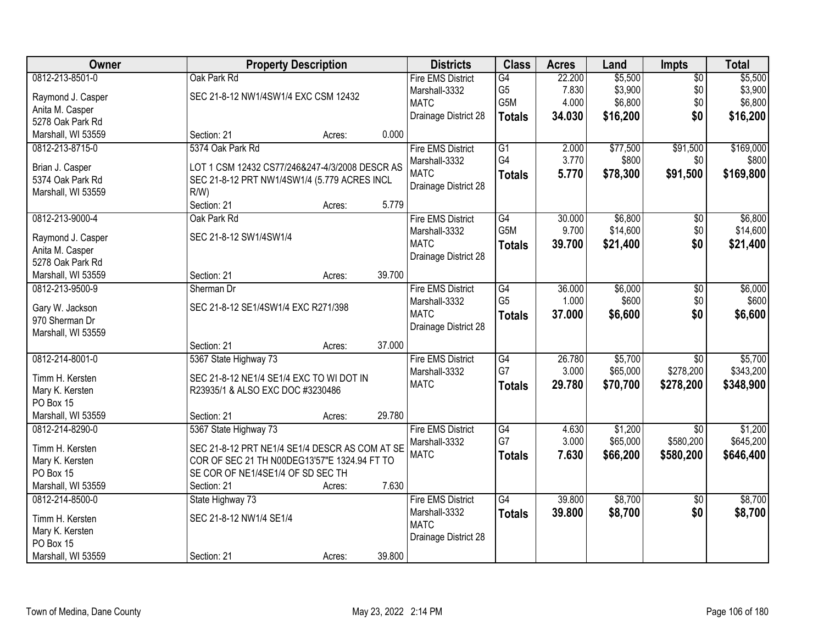| Owner              | <b>Property Description</b>                    |        |        | <b>Districts</b>         | <b>Class</b>     | <b>Acres</b> | Land     | Impts           | <b>Total</b> |
|--------------------|------------------------------------------------|--------|--------|--------------------------|------------------|--------------|----------|-----------------|--------------|
| 0812-213-8501-0    | Oak Park Rd                                    |        |        | <b>Fire EMS District</b> | $\overline{G4}$  | 22.200       | \$5,500  | $\overline{50}$ | \$5,500      |
| Raymond J. Casper  | SEC 21-8-12 NW1/4SW1/4 EXC CSM 12432           |        |        | Marshall-3332            | G <sub>5</sub>   | 7.830        | \$3,900  | \$0             | \$3,900      |
| Anita M. Casper    |                                                |        |        | <b>MATC</b>              | G5M              | 4.000        | \$6,800  | \$0             | \$6,800      |
| 5278 Oak Park Rd   |                                                |        |        | Drainage District 28     | <b>Totals</b>    | 34.030       | \$16,200 | \$0             | \$16,200     |
|                    |                                                |        | 0.000  |                          |                  |              |          |                 |              |
| Marshall, WI 53559 | Section: 21                                    | Acres: |        |                          |                  |              |          |                 |              |
| 0812-213-8715-0    | 5374 Oak Park Rd                               |        |        | <b>Fire EMS District</b> | $\overline{G1}$  | 2.000        | \$77,500 | \$91,500        | \$169,000    |
| Brian J. Casper    | LOT 1 CSM 12432 CS77/246&247-4/3/2008 DESCR AS |        |        | Marshall-3332            | G4               | 3.770        | \$800    | \$0             | \$800        |
| 5374 Oak Park Rd   | SEC 21-8-12 PRT NW1/4SW1/4 (5.779 ACRES INCL   |        |        | <b>MATC</b>              | <b>Totals</b>    | 5.770        | \$78,300 | \$91,500        | \$169,800    |
| Marshall, WI 53559 | $R/W$ )                                        |        |        | Drainage District 28     |                  |              |          |                 |              |
|                    | Section: 21                                    | Acres: | 5.779  |                          |                  |              |          |                 |              |
| 0812-213-9000-4    | Oak Park Rd                                    |        |        | <b>Fire EMS District</b> | G4               | 30.000       | \$6,800  | \$0             | \$6,800      |
|                    | SEC 21-8-12 SW1/4SW1/4                         |        |        | Marshall-3332            | G <sub>5</sub> M | 9.700        | \$14,600 | \$0             | \$14,600     |
| Raymond J. Casper  |                                                |        |        | <b>MATC</b>              | <b>Totals</b>    | 39.700       | \$21,400 | \$0             | \$21,400     |
| Anita M. Casper    |                                                |        |        | Drainage District 28     |                  |              |          |                 |              |
| 5278 Oak Park Rd   |                                                |        |        |                          |                  |              |          |                 |              |
| Marshall, WI 53559 | Section: 21                                    | Acres: | 39.700 |                          |                  |              |          |                 |              |
| 0812-213-9500-9    | Sherman Dr                                     |        |        | <b>Fire EMS District</b> | G4               | 36.000       | \$6,000  | \$0             | \$6,000      |
| Gary W. Jackson    | SEC 21-8-12 SE1/4SW1/4 EXC R271/398            |        |        | Marshall-3332            | G <sub>5</sub>   | 1.000        | \$600    | \$0             | \$600        |
| 970 Sherman Dr     |                                                |        |        | <b>MATC</b>              | <b>Totals</b>    | 37.000       | \$6,600  | \$0             | \$6,600      |
| Marshall, WI 53559 |                                                |        |        | Drainage District 28     |                  |              |          |                 |              |
|                    | Section: 21                                    | Acres: | 37.000 |                          |                  |              |          |                 |              |
| 0812-214-8001-0    | 5367 State Highway 73                          |        |        | <b>Fire EMS District</b> | G4               | 26.780       | \$5,700  | \$0             | \$5,700      |
|                    |                                                |        |        | Marshall-3332            | G7               | 3.000        | \$65,000 | \$278,200       | \$343,200    |
| Timm H. Kersten    | SEC 21-8-12 NE1/4 SE1/4 EXC TO WI DOT IN       |        |        | <b>MATC</b>              | <b>Totals</b>    | 29.780       | \$70,700 | \$278,200       | \$348,900    |
| Mary K. Kersten    | R23935/1 & ALSO EXC DOC #3230486               |        |        |                          |                  |              |          |                 |              |
| PO Box 15          |                                                |        |        |                          |                  |              |          |                 |              |
| Marshall, WI 53559 | Section: 21                                    | Acres: | 29.780 |                          |                  |              |          |                 |              |
| 0812-214-8290-0    | 5367 State Highway 73                          |        |        | <b>Fire EMS District</b> | G4               | 4.630        | \$1,200  | $\overline{50}$ | \$1,200      |
| Timm H. Kersten    | SEC 21-8-12 PRT NE1/4 SE1/4 DESCR AS COM AT SE |        |        | Marshall-3332            | G7               | 3.000        | \$65,000 | \$580,200       | \$645,200    |
| Mary K. Kersten    | COR OF SEC 21 TH N00DEG13'57"E 1324.94 FT TO   |        |        | <b>MATC</b>              | <b>Totals</b>    | 7.630        | \$66,200 | \$580,200       | \$646,400    |
| PO Box 15          | SE COR OF NE1/4SE1/4 OF SD SEC TH              |        |        |                          |                  |              |          |                 |              |
| Marshall, WI 53559 | Section: 21                                    | Acres: | 7.630  |                          |                  |              |          |                 |              |
| 0812-214-8500-0    | State Highway 73                               |        |        | <b>Fire EMS District</b> | $\overline{G4}$  | 39.800       | \$8,700  | $\overline{30}$ | \$8,700      |
|                    |                                                |        |        | Marshall-3332            | <b>Totals</b>    | 39.800       | \$8,700  | \$0             | \$8,700      |
| Timm H. Kersten    | SEC 21-8-12 NW1/4 SE1/4                        |        |        | <b>MATC</b>              |                  |              |          |                 |              |
| Mary K. Kersten    |                                                |        |        | Drainage District 28     |                  |              |          |                 |              |
| PO Box 15          |                                                |        |        |                          |                  |              |          |                 |              |
| Marshall, WI 53559 | Section: 21                                    | Acres: | 39.800 |                          |                  |              |          |                 |              |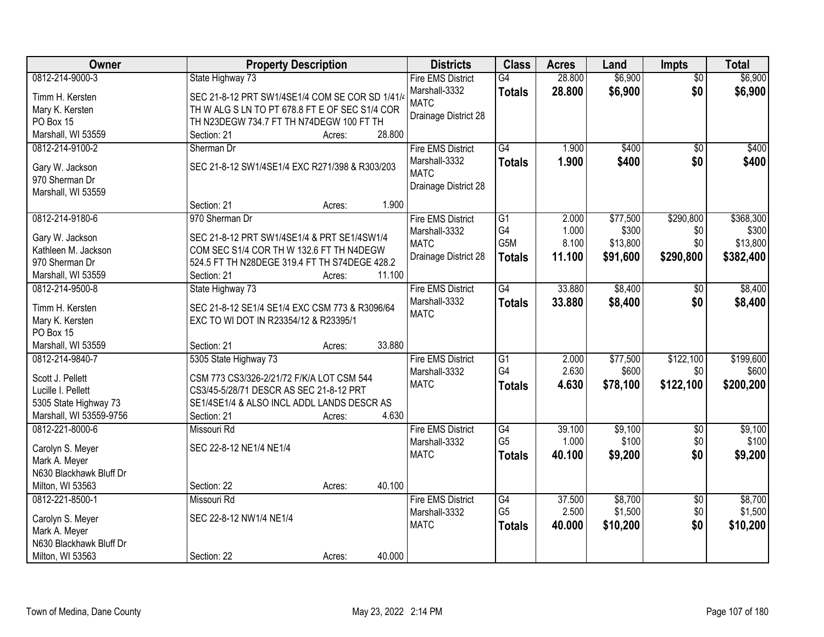| Owner                                    | <b>Property Description</b>                     | <b>Districts</b>         | <b>Class</b>                      | <b>Acres</b>    | Land               | <b>Impts</b>           | <b>Total</b>       |
|------------------------------------------|-------------------------------------------------|--------------------------|-----------------------------------|-----------------|--------------------|------------------------|--------------------|
| 0812-214-9000-3                          | State Highway 73                                | <b>Fire EMS District</b> | $\overline{G4}$                   | 28.800          | \$6,900            | $\overline{50}$        | \$6,900            |
| Timm H. Kersten                          | SEC 21-8-12 PRT SW1/4SE1/4 COM SE COR SD 1/41/4 | Marshall-3332            | <b>Totals</b>                     | 28.800          | \$6,900            | \$0                    | \$6,900            |
| Mary K. Kersten                          | TH W ALG S LN TO PT 678.8 FT E OF SEC S1/4 COR  | <b>MATC</b>              |                                   |                 |                    |                        |                    |
| PO Box 15                                | TH N23DEGW 734.7 FT TH N74DEGW 100 FT TH        | Drainage District 28     |                                   |                 |                    |                        |                    |
| Marshall, WI 53559                       | 28.800<br>Section: 21<br>Acres:                 |                          |                                   |                 |                    |                        |                    |
| 0812-214-9100-2                          | Sherman Dr                                      | <b>Fire EMS District</b> | G4                                | 1.900           | \$400              | $\overline{50}$        | \$400              |
|                                          |                                                 | Marshall-3332            | <b>Totals</b>                     | 1.900           | \$400              | \$0                    | \$400              |
| Gary W. Jackson                          | SEC 21-8-12 SW1/4SE1/4 EXC R271/398 & R303/203  | <b>MATC</b>              |                                   |                 |                    |                        |                    |
| 970 Sherman Dr                           |                                                 | Drainage District 28     |                                   |                 |                    |                        |                    |
| Marshall, WI 53559                       |                                                 |                          |                                   |                 |                    |                        |                    |
|                                          | 1.900<br>Section: 21<br>Acres:                  |                          |                                   |                 |                    |                        |                    |
| 0812-214-9180-6                          | 970 Sherman Dr                                  | <b>Fire EMS District</b> | G1                                | 2.000           | \$77,500           | \$290,800              | \$368,300          |
| Gary W. Jackson                          | SEC 21-8-12 PRT SW1/4SE1/4 & PRT SE1/4SW1/4     | Marshall-3332            | G4<br>G5M                         | 1.000           | \$300              | \$0<br>\$0             | \$300<br>\$13,800  |
| Kathleen M. Jackson                      | COM SEC S1/4 COR TH W 132.6 FT TH N4DEGW        | <b>MATC</b>              |                                   | 8.100           | \$13,800           |                        |                    |
| 970 Sherman Dr                           | 524.5 FT TH N28DEGE 319.4 FT TH S74DEGE 428.2   | Drainage District 28     | <b>Totals</b>                     | 11.100          | \$91,600           | \$290,800              | \$382,400          |
| Marshall, WI 53559                       | 11.100<br>Section: 21<br>Acres:                 |                          |                                   |                 |                    |                        |                    |
| 0812-214-9500-8                          | State Highway 73                                | <b>Fire EMS District</b> | $\overline{G4}$                   | 33.880          | \$8,400            | \$0                    | \$8,400            |
|                                          |                                                 | Marshall-3332            | <b>Totals</b>                     | 33,880          | \$8,400            | \$0                    | \$8,400            |
| Timm H. Kersten                          | SEC 21-8-12 SE1/4 SE1/4 EXC CSM 773 & R3096/64  | <b>MATC</b>              |                                   |                 |                    |                        |                    |
| Mary K. Kersten                          | EXC TO WI DOT IN R23354/12 & R23395/1           |                          |                                   |                 |                    |                        |                    |
| PO Box 15                                | 33.880                                          |                          |                                   |                 |                    |                        |                    |
| Marshall, WI 53559                       | Section: 21<br>Acres:                           |                          |                                   |                 |                    |                        |                    |
| 0812-214-9840-7                          | 5305 State Highway 73                           | <b>Fire EMS District</b> | $\overline{G1}$<br>G4             | 2.000<br>2.630  | \$77,500<br>\$600  | \$122,100<br>\$0       | \$199,600<br>\$600 |
| Scott J. Pellett                         | CSM 773 CS3/326-2/21/72 F/K/A LOT CSM 544       | Marshall-3332            |                                   |                 |                    |                        |                    |
| Lucille I. Pellett                       | CS3/45-5/28/71 DESCR AS SEC 21-8-12 PRT         | <b>MATC</b>              | <b>Totals</b>                     | 4.630           | \$78,100           | \$122,100              | \$200,200          |
| 5305 State Highway 73                    | SE1/4SE1/4 & ALSO INCL ADDL LANDS DESCR AS      |                          |                                   |                 |                    |                        |                    |
| Marshall, WI 53559-9756                  | 4.630<br>Section: 21<br>Acres:                  |                          |                                   |                 |                    |                        |                    |
| 0812-221-8000-6                          | Missouri Rd                                     | <b>Fire EMS District</b> | $\overline{G4}$                   | 39.100          | \$9,100            | $\overline{50}$        | \$9,100            |
|                                          | SEC 22-8-12 NE1/4 NE1/4                         | Marshall-3332            | G <sub>5</sub>                    | 1.000           | \$100              | \$0                    | \$100              |
| Carolyn S. Meyer                         |                                                 | <b>MATC</b>              | <b>Totals</b>                     | 40.100          | \$9,200            | \$0                    | \$9,200            |
| Mark A. Meyer<br>N630 Blackhawk Bluff Dr |                                                 |                          |                                   |                 |                    |                        |                    |
| Milton, WI 53563                         | 40.100<br>Section: 22                           |                          |                                   |                 |                    |                        |                    |
|                                          | Acres:                                          |                          |                                   |                 |                    |                        |                    |
| 0812-221-8500-1                          | Missouri Rd                                     | <b>Fire EMS District</b> | $\overline{G4}$<br>G <sub>5</sub> | 37,500<br>2.500 | \$8,700<br>\$1,500 | $\overline{50}$<br>\$0 | \$8,700<br>\$1,500 |
| Carolyn S. Meyer                         | SEC 22-8-12 NW1/4 NE1/4                         | Marshall-3332            |                                   |                 |                    |                        |                    |
| Mark A. Meyer                            |                                                 | <b>MATC</b>              | <b>Totals</b>                     | 40.000          | \$10,200           | \$0                    | \$10,200           |
| N630 Blackhawk Bluff Dr                  |                                                 |                          |                                   |                 |                    |                        |                    |
| Milton, WI 53563                         | 40.000<br>Section: 22<br>Acres:                 |                          |                                   |                 |                    |                        |                    |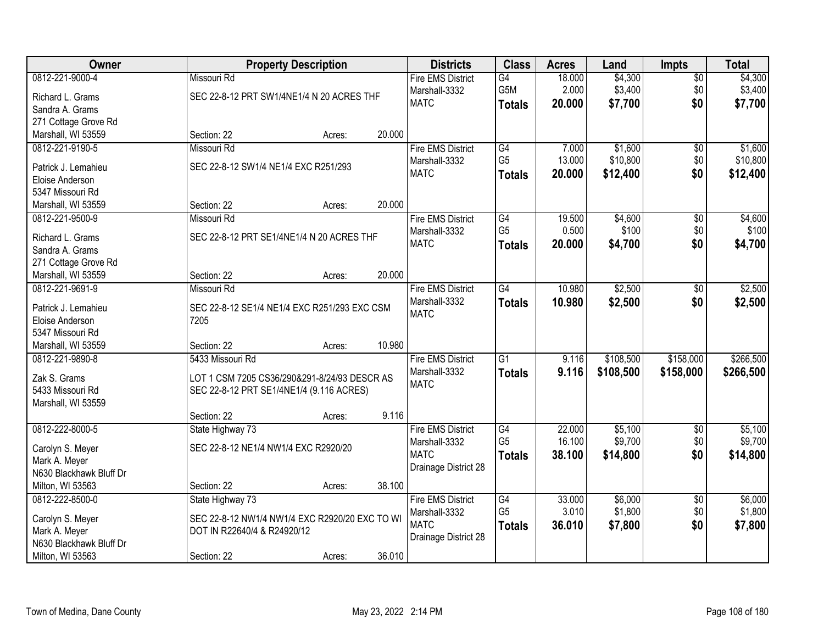| Owner                                  |                                                      | <b>Property Description</b> |        | <b>Districts</b>             | <b>Class</b>         | <b>Acres</b> | Land      | <b>Impts</b>    | <b>Total</b> |
|----------------------------------------|------------------------------------------------------|-----------------------------|--------|------------------------------|----------------------|--------------|-----------|-----------------|--------------|
| 0812-221-9000-4                        | Missouri Rd                                          |                             |        | <b>Fire EMS District</b>     | $\overline{G4}$      | 18.000       | \$4,300   | $\overline{50}$ | \$4,300      |
| Richard L. Grams                       | SEC 22-8-12 PRT SW1/4NE1/4 N 20 ACRES THF            |                             |        | Marshall-3332                | G5M                  | 2.000        | \$3,400   | \$0             | \$3,400      |
| Sandra A. Grams                        |                                                      |                             |        | <b>MATC</b>                  | <b>Totals</b>        | 20.000       | \$7,700   | \$0             | \$7,700      |
| 271 Cottage Grove Rd                   |                                                      |                             |        |                              |                      |              |           |                 |              |
| Marshall, WI 53559                     | Section: 22                                          | Acres:                      | 20.000 |                              |                      |              |           |                 |              |
| 0812-221-9190-5                        | Missouri Rd                                          |                             |        | <b>Fire EMS District</b>     | G4                   | 7.000        | \$1,600   | \$0             | \$1,600      |
|                                        |                                                      |                             |        | Marshall-3332                | G <sub>5</sub>       | 13.000       | \$10,800  | \$0             | \$10,800     |
| Patrick J. Lemahieu                    | SEC 22-8-12 SW1/4 NE1/4 EXC R251/293                 |                             |        | <b>MATC</b>                  | <b>Totals</b>        | 20.000       | \$12,400  | \$0             | \$12,400     |
| Eloise Anderson                        |                                                      |                             |        |                              |                      |              |           |                 |              |
| 5347 Missouri Rd                       |                                                      |                             | 20.000 |                              |                      |              |           |                 |              |
| Marshall, WI 53559                     | Section: 22                                          | Acres:                      |        |                              |                      |              |           |                 |              |
| 0812-221-9500-9                        | Missouri Rd                                          |                             |        | <b>Fire EMS District</b>     | G4<br>G <sub>5</sub> | 19.500       | \$4,600   | $\overline{50}$ | \$4,600      |
| Richard L. Grams                       | SEC 22-8-12 PRT SE1/4NE1/4 N 20 ACRES THF            |                             |        | Marshall-3332<br><b>MATC</b> |                      | 0.500        | \$100     | \$0             | \$100        |
| Sandra A. Grams                        |                                                      |                             |        |                              | <b>Totals</b>        | 20,000       | \$4,700   | \$0             | \$4,700      |
| 271 Cottage Grove Rd                   |                                                      |                             |        |                              |                      |              |           |                 |              |
| Marshall, WI 53559                     | Section: 22                                          | Acres:                      | 20.000 |                              |                      |              |           |                 |              |
| 0812-221-9691-9                        | Missouri Rd                                          |                             |        | <b>Fire EMS District</b>     | G4                   | 10.980       | \$2,500   | \$0             | \$2,500      |
|                                        |                                                      |                             |        | Marshall-3332                | <b>Totals</b>        | 10.980       | \$2,500   | \$0             | \$2,500      |
| Patrick J. Lemahieu<br>Eloise Anderson | SEC 22-8-12 SE1/4 NE1/4 EXC R251/293 EXC CSM<br>7205 |                             |        | <b>MATC</b>                  |                      |              |           |                 |              |
| 5347 Missouri Rd                       |                                                      |                             |        |                              |                      |              |           |                 |              |
| Marshall, WI 53559                     | Section: 22                                          | Acres:                      | 10.980 |                              |                      |              |           |                 |              |
| 0812-221-9890-8                        | 5433 Missouri Rd                                     |                             |        | <b>Fire EMS District</b>     | $\overline{G1}$      | 9.116        | \$108,500 | \$158,000       | \$266,500    |
|                                        |                                                      |                             |        | Marshall-3332                |                      | 9.116        |           |                 |              |
| Zak S. Grams                           | LOT 1 CSM 7205 CS36/290&291-8/24/93 DESCR AS         |                             |        | <b>MATC</b>                  | <b>Totals</b>        |              | \$108,500 | \$158,000       | \$266,500    |
| 5433 Missouri Rd                       | SEC 22-8-12 PRT SE1/4NE1/4 (9.116 ACRES)             |                             |        |                              |                      |              |           |                 |              |
| Marshall, WI 53559                     |                                                      |                             |        |                              |                      |              |           |                 |              |
|                                        | Section: 22                                          | Acres:                      | 9.116  |                              |                      |              |           |                 |              |
| 0812-222-8000-5                        | State Highway 73                                     |                             |        | <b>Fire EMS District</b>     | G4                   | 22.000       | \$5,100   | $\sqrt{6}$      | \$5,100      |
| Carolyn S. Meyer                       | SEC 22-8-12 NE1/4 NW1/4 EXC R2920/20                 |                             |        | Marshall-3332                | G <sub>5</sub>       | 16.100       | \$9,700   | \$0             | \$9,700      |
| Mark A. Meyer                          |                                                      |                             |        | <b>MATC</b>                  | <b>Totals</b>        | 38.100       | \$14,800  | \$0             | \$14,800     |
| N630 Blackhawk Bluff Dr                |                                                      |                             |        | Drainage District 28         |                      |              |           |                 |              |
| Milton, WI 53563                       | Section: 22                                          | Acres:                      | 38.100 |                              |                      |              |           |                 |              |
| 0812-222-8500-0                        | State Highway 73                                     |                             |        | <b>Fire EMS District</b>     | G4                   | 33.000       | \$6,000   | $\overline{30}$ | \$6,000      |
|                                        |                                                      |                             |        | Marshall-3332                | G <sub>5</sub>       | 3.010        | \$1,800   | \$0             | \$1,800      |
| Carolyn S. Meyer                       | SEC 22-8-12 NW1/4 NW1/4 EXC R2920/20 EXC TO WI       |                             |        | <b>MATC</b>                  | <b>Totals</b>        | 36.010       | \$7,800   | \$0             | \$7,800      |
| Mark A. Meyer                          | DOT IN R22640/4 & R24920/12                          |                             |        | Drainage District 28         |                      |              |           |                 |              |
| N630 Blackhawk Bluff Dr                |                                                      |                             |        |                              |                      |              |           |                 |              |
| Milton, WI 53563                       | Section: 22                                          | Acres:                      | 36.010 |                              |                      |              |           |                 |              |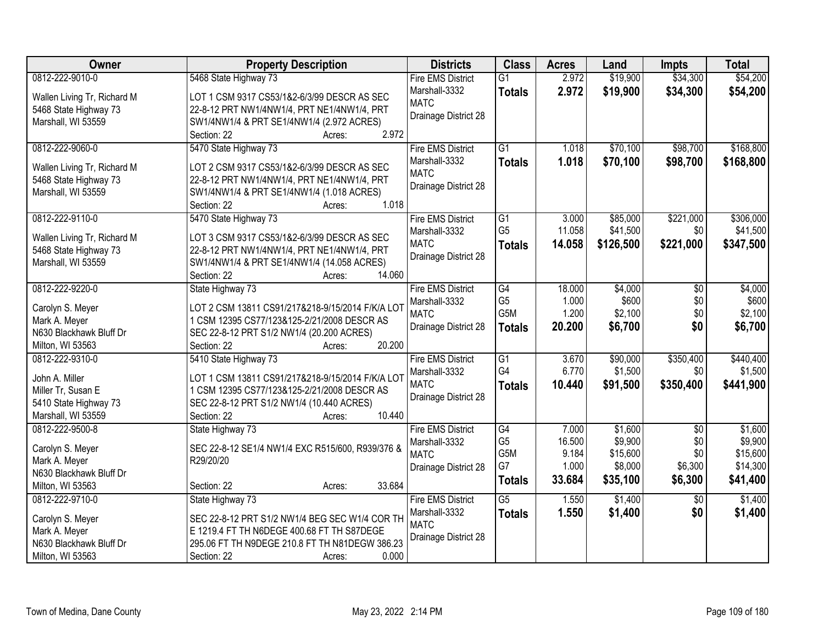| Owner                       | <b>Property Description</b>                                       | <b>Districts</b>         | <b>Class</b>    | <b>Acres</b> | Land      | <b>Impts</b>    | <b>Total</b> |
|-----------------------------|-------------------------------------------------------------------|--------------------------|-----------------|--------------|-----------|-----------------|--------------|
| 0812-222-9010-0             | 5468 State Highway 73                                             | <b>Fire EMS District</b> | $\overline{G1}$ | 2.972        | \$19,900  | \$34,300        | \$54,200     |
| Wallen Living Tr, Richard M | LOT 1 CSM 9317 CS53/1&2-6/3/99 DESCR AS SEC                       | Marshall-3332            | <b>Totals</b>   | 2.972        | \$19,900  | \$34,300        | \$54,200     |
| 5468 State Highway 73       | 22-8-12 PRT NW1/4NW1/4, PRT NE1/4NW1/4, PRT                       | <b>MATC</b>              |                 |              |           |                 |              |
| Marshall, WI 53559          | SW1/4NW1/4 & PRT SE1/4NW1/4 (2.972 ACRES)                         | Drainage District 28     |                 |              |           |                 |              |
|                             | 2.972<br>Section: 22<br>Acres:                                    |                          |                 |              |           |                 |              |
| 0812-222-9060-0             | 5470 State Highway 73                                             | <b>Fire EMS District</b> | $\overline{G1}$ | 1.018        | \$70,100  | \$98,700        | \$168,800    |
|                             |                                                                   | Marshall-3332            | <b>Totals</b>   | 1.018        | \$70,100  | \$98,700        | \$168,800    |
| Wallen Living Tr, Richard M | LOT 2 CSM 9317 CS53/1&2-6/3/99 DESCR AS SEC                       | <b>MATC</b>              |                 |              |           |                 |              |
| 5468 State Highway 73       | 22-8-12 PRT NW1/4NW1/4, PRT NE1/4NW1/4, PRT                       | Drainage District 28     |                 |              |           |                 |              |
| Marshall, WI 53559          | SW1/4NW1/4 & PRT SE1/4NW1/4 (1.018 ACRES)<br>1.018<br>Section: 22 |                          |                 |              |           |                 |              |
| 0812-222-9110-0             | Acres:<br>5470 State Highway 73                                   | <b>Fire EMS District</b> | G1              | 3.000        | \$85,000  | \$221,000       | \$306,000    |
|                             |                                                                   | Marshall-3332            | G <sub>5</sub>  | 11.058       | \$41,500  | \$0             | \$41,500     |
| Wallen Living Tr, Richard M | LOT 3 CSM 9317 CS53/1&2-6/3/99 DESCR AS SEC                       | <b>MATC</b>              |                 | 14.058       | \$126,500 | \$221,000       | \$347,500    |
| 5468 State Highway 73       | 22-8-12 PRT NW1/4NW1/4, PRT NE1/4NW1/4, PRT                       | Drainage District 28     | <b>Totals</b>   |              |           |                 |              |
| Marshall, WI 53559          | SW1/4NW1/4 & PRT SE1/4NW1/4 (14.058 ACRES)                        |                          |                 |              |           |                 |              |
|                             | 14.060<br>Section: 22<br>Acres:                                   |                          |                 |              |           |                 |              |
| 0812-222-9220-0             | State Highway 73                                                  | <b>Fire EMS District</b> | G4              | 18.000       | \$4,000   | \$0             | \$4,000      |
| Carolyn S. Meyer            | LOT 2 CSM 13811 CS91/217&218-9/15/2014 F/K/A LOT                  | Marshall-3332            | G <sub>5</sub>  | 1.000        | \$600     | \$0             | \$600        |
| Mark A. Meyer               | 1 CSM 12395 CS77/123&125-2/21/2008 DESCR AS                       | <b>MATC</b>              | G5M             | 1.200        | \$2,100   | \$0             | \$2,100      |
| N630 Blackhawk Bluff Dr     | SEC 22-8-12 PRT S1/2 NW1/4 (20.200 ACRES)                         | Drainage District 28     | <b>Totals</b>   | 20.200       | \$6,700   | \$0             | \$6,700      |
| Milton, WI 53563            | 20.200<br>Section: 22<br>Acres:                                   |                          |                 |              |           |                 |              |
| 0812-222-9310-0             | 5410 State Highway 73                                             | <b>Fire EMS District</b> | $\overline{G1}$ | 3.670        | \$90,000  | \$350,400       | \$440,400    |
|                             |                                                                   | Marshall-3332            | G4              | 6.770        | \$1,500   | \$0             | \$1,500      |
| John A. Miller              | LOT 1 CSM 13811 CS91/217&218-9/15/2014 F/K/A LOT                  | <b>MATC</b>              | <b>Totals</b>   | 10.440       | \$91,500  | \$350,400       | \$441,900    |
| Miller Tr, Susan E          | 1 CSM 12395 CS77/123&125-2/21/2008 DESCR AS                       | Drainage District 28     |                 |              |           |                 |              |
| 5410 State Highway 73       | SEC 22-8-12 PRT S1/2 NW1/4 (10.440 ACRES)                         |                          |                 |              |           |                 |              |
| Marshall, WI 53559          | 10.440<br>Section: 22<br>Acres:                                   |                          |                 |              |           |                 |              |
| 0812-222-9500-8             | State Highway 73                                                  | <b>Fire EMS District</b> | G4              | 7.000        | \$1,600   | $\overline{50}$ | \$1,600      |
| Carolyn S. Meyer            | SEC 22-8-12 SE1/4 NW1/4 EXC R515/600, R939/376 &                  | Marshall-3332            | G <sub>5</sub>  | 16.500       | \$9,900   | \$0             | \$9,900      |
| Mark A. Meyer               | R29/20/20                                                         | <b>MATC</b>              | G5M             | 9.184        | \$15,600  | \$0             | \$15,600     |
| N630 Blackhawk Bluff Dr     |                                                                   | Drainage District 28     | G7              | 1.000        | \$8,000   | \$6,300         | \$14,300     |
| Milton, WI 53563            | 33.684<br>Section: 22<br>Acres:                                   |                          | <b>Totals</b>   | 33.684       | \$35,100  | \$6,300         | \$41,400     |
| 0812-222-9710-0             | State Highway 73                                                  | <b>Fire EMS District</b> | $\overline{G5}$ | 1.550        | \$1,400   | $\overline{30}$ | \$1,400      |
|                             |                                                                   | Marshall-3332            | <b>Totals</b>   | 1.550        | \$1,400   | \$0             | \$1,400      |
| Carolyn S. Meyer            | SEC 22-8-12 PRT S1/2 NW1/4 BEG SEC W1/4 COR TH                    | <b>MATC</b>              |                 |              |           |                 |              |
| Mark A. Meyer               | E 1219.4 FT TH N6DEGE 400.68 FT TH S87DEGE                        | Drainage District 28     |                 |              |           |                 |              |
| N630 Blackhawk Bluff Dr     | 295.06 FT TH N9DEGE 210.8 FT TH N81DEGW 386.23                    |                          |                 |              |           |                 |              |
| Milton, WI 53563            | 0.000<br>Section: 22<br>Acres:                                    |                          |                 |              |           |                 |              |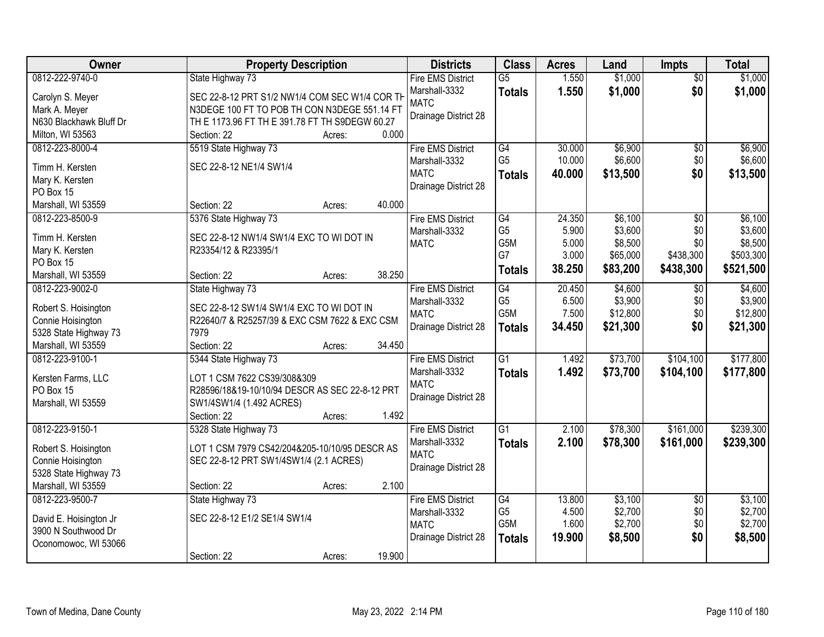| \$1,000<br>0812-222-9740-0<br>$\overline{G5}$<br>1.550<br>\$1,000<br>State Highway 73<br><b>Fire EMS District</b><br>$\overline{50}$<br>\$0<br>Marshall-3332<br>1.550<br>\$1,000<br>\$1,000<br><b>Totals</b><br>SEC 22-8-12 PRT S1/2 NW1/4 COM SEC W1/4 COR TH<br>Carolyn S. Meyer<br><b>MATC</b><br>N3DEGE 100 FT TO POB TH CON N3DEGE 551.14 FT<br>Mark A. Meyer<br>Drainage District 28<br>N630 Blackhawk Bluff Dr<br>TH E 1173.96 FT TH E 391.78 FT TH S9DEGW 60.27<br>0.000<br>Milton, WI 53563<br>Section: 22<br>Acres:<br>\$6,900<br>5519 State Highway 73<br><b>Fire EMS District</b><br>G4<br>30.000<br>0812-223-8000-4<br>\$0<br>G <sub>5</sub><br>10.000<br>\$6,600<br>\$0<br>Marshall-3332<br>SEC 22-8-12 NE1/4 SW1/4<br>Timm H. Kersten<br>\$0<br><b>MATC</b><br>\$13,500<br>\$13,500<br>40.000<br><b>Totals</b><br>Mary K. Kersten<br>Drainage District 28<br>PO Box 15<br>40.000<br>Marshall, WI 53559<br>Section: 22<br>Acres:<br>\$6,100<br>0812-223-8500-9<br>5376 State Highway 73<br>$\overline{G4}$<br>24.350<br>$\overline{50}$<br><b>Fire EMS District</b><br>G <sub>5</sub><br>\$3,600<br>5.900<br>\$0<br>Marshall-3332<br>Timm H. Kersten<br>SEC 22-8-12 NW1/4 SW1/4 EXC TO WI DOT IN<br>G5M<br>5.000<br>\$8,500<br>\$0<br><b>MATC</b><br>Mary K. Kersten<br>R23354/12 & R23395/1<br>G7<br>3.000<br>\$65,000<br>\$438,300<br>PO Box 15<br>38.250<br>\$83,200<br>\$438,300<br>\$521,500<br><b>Totals</b><br>38.250<br>Marshall, WI 53559<br>Section: 22<br>Acres:<br>G4<br>\$4,600<br>0812-223-9002-0<br>State Highway 73<br><b>Fire EMS District</b><br>20.450<br>\$4,600<br>\$0<br>G <sub>5</sub><br>6.500<br>\$3,900<br>\$0<br>Marshall-3332<br>Robert S. Hoisington<br>SEC 22-8-12 SW1/4 SW1/4 EXC TO WI DOT IN<br>G5M<br>\$12,800<br><b>MATC</b><br>7.500<br>\$0<br>R22640/7 & R25257/39 & EXC CSM 7622 & EXC CSM<br>Connie Hoisington<br>\$0<br>Drainage District 28<br>34.450<br>\$21,300<br>\$21,300<br><b>Totals</b><br>7979<br>5328 State Highway 73<br>Section: 22<br>34.450<br>Marshall, WI 53559<br>Acres:<br>$\overline{G1}$<br>\$73,700<br>\$104,100<br>0812-223-9100-1<br>5344 State Highway 73<br>1.492<br><b>Fire EMS District</b><br>1.492<br>Marshall-3332<br>\$73,700<br>\$104,100<br>\$177,800<br><b>Totals</b><br>Kersten Farms, LLC<br>LOT 1 CSM 7622 CS39/308&309<br><b>MATC</b><br>R28596/18&19-10/10/94 DESCR AS SEC 22-8-12 PRT<br>PO Box 15<br>Drainage District 28<br>Marshall, WI 53559<br>SW1/4SW1/4 (1.492 ACRES)<br>1.492<br>Section: 22<br>Acres:<br>$\overline{G1}$<br>\$78,300<br>\$161,000<br>0812-223-9150-1<br>5328 State Highway 73<br><b>Fire EMS District</b><br>2.100<br>2.100<br>\$78,300<br>\$161,000<br>Marshall-3332<br>\$239,300<br><b>Totals</b><br>LOT 1 CSM 7979 CS42/204&205-10/10/95 DESCR AS<br>Robert S. Hoisington<br><b>MATC</b><br>Connie Hoisington<br>SEC 22-8-12 PRT SW1/4SW1/4 (2.1 ACRES)<br>Drainage District 28<br>5328 State Highway 73<br>Marshall, WI 53559<br>2.100<br>Section: 22<br>Acres:<br>0812-223-9500-7<br><b>Fire EMS District</b><br>13.800<br>\$3,100<br>State Highway 73<br>G4<br>$\overline{30}$<br>G <sub>5</sub><br>4.500<br>\$2,700<br>\$0<br>Marshall-3332<br>SEC 22-8-12 E1/2 SE1/4 SW1/4<br>David E. Hoisington Jr<br>G5M<br>1.600<br>\$2,700<br>\$0<br><b>MATC</b><br>3900 N Southwood Dr | Owner | <b>Property Description</b> |  | <b>Districts</b>     | <b>Class</b>  | <b>Acres</b> | Land    | <b>Impts</b> | <b>Total</b> |
|-------------------------------------------------------------------------------------------------------------------------------------------------------------------------------------------------------------------------------------------------------------------------------------------------------------------------------------------------------------------------------------------------------------------------------------------------------------------------------------------------------------------------------------------------------------------------------------------------------------------------------------------------------------------------------------------------------------------------------------------------------------------------------------------------------------------------------------------------------------------------------------------------------------------------------------------------------------------------------------------------------------------------------------------------------------------------------------------------------------------------------------------------------------------------------------------------------------------------------------------------------------------------------------------------------------------------------------------------------------------------------------------------------------------------------------------------------------------------------------------------------------------------------------------------------------------------------------------------------------------------------------------------------------------------------------------------------------------------------------------------------------------------------------------------------------------------------------------------------------------------------------------------------------------------------------------------------------------------------------------------------------------------------------------------------------------------------------------------------------------------------------------------------------------------------------------------------------------------------------------------------------------------------------------------------------------------------------------------------------------------------------------------------------------------------------------------------------------------------------------------------------------------------------------------------------------------------------------------------------------------------------------------------------------------------------------------------------------------------------------------------------------------------------------------------------------------------------------------------------------------------------------------------------------------------------------------------------------------------------------------------------------------------------------------------------------------------------------------------------------------------------------------------------------------------------------------------------------------------------------------------------------------------------------------------------|-------|-----------------------------|--|----------------------|---------------|--------------|---------|--------------|--------------|
|                                                                                                                                                                                                                                                                                                                                                                                                                                                                                                                                                                                                                                                                                                                                                                                                                                                                                                                                                                                                                                                                                                                                                                                                                                                                                                                                                                                                                                                                                                                                                                                                                                                                                                                                                                                                                                                                                                                                                                                                                                                                                                                                                                                                                                                                                                                                                                                                                                                                                                                                                                                                                                                                                                                                                                                                                                                                                                                                                                                                                                                                                                                                                                                                                                                                                                             |       |                             |  |                      |               |              |         |              |              |
|                                                                                                                                                                                                                                                                                                                                                                                                                                                                                                                                                                                                                                                                                                                                                                                                                                                                                                                                                                                                                                                                                                                                                                                                                                                                                                                                                                                                                                                                                                                                                                                                                                                                                                                                                                                                                                                                                                                                                                                                                                                                                                                                                                                                                                                                                                                                                                                                                                                                                                                                                                                                                                                                                                                                                                                                                                                                                                                                                                                                                                                                                                                                                                                                                                                                                                             |       |                             |  |                      |               |              |         |              |              |
|                                                                                                                                                                                                                                                                                                                                                                                                                                                                                                                                                                                                                                                                                                                                                                                                                                                                                                                                                                                                                                                                                                                                                                                                                                                                                                                                                                                                                                                                                                                                                                                                                                                                                                                                                                                                                                                                                                                                                                                                                                                                                                                                                                                                                                                                                                                                                                                                                                                                                                                                                                                                                                                                                                                                                                                                                                                                                                                                                                                                                                                                                                                                                                                                                                                                                                             |       |                             |  |                      |               |              |         |              |              |
|                                                                                                                                                                                                                                                                                                                                                                                                                                                                                                                                                                                                                                                                                                                                                                                                                                                                                                                                                                                                                                                                                                                                                                                                                                                                                                                                                                                                                                                                                                                                                                                                                                                                                                                                                                                                                                                                                                                                                                                                                                                                                                                                                                                                                                                                                                                                                                                                                                                                                                                                                                                                                                                                                                                                                                                                                                                                                                                                                                                                                                                                                                                                                                                                                                                                                                             |       |                             |  |                      |               |              |         |              |              |
| \$6,900<br>\$6,600<br>\$6,100<br>\$3,600<br>\$8,500<br>\$503,300<br>\$3,900<br>\$12,800<br>\$177,800<br>\$239,300<br>\$3,100<br>\$2,700<br>\$2,700                                                                                                                                                                                                                                                                                                                                                                                                                                                                                                                                                                                                                                                                                                                                                                                                                                                                                                                                                                                                                                                                                                                                                                                                                                                                                                                                                                                                                                                                                                                                                                                                                                                                                                                                                                                                                                                                                                                                                                                                                                                                                                                                                                                                                                                                                                                                                                                                                                                                                                                                                                                                                                                                                                                                                                                                                                                                                                                                                                                                                                                                                                                                                          |       |                             |  |                      |               |              |         |              |              |
|                                                                                                                                                                                                                                                                                                                                                                                                                                                                                                                                                                                                                                                                                                                                                                                                                                                                                                                                                                                                                                                                                                                                                                                                                                                                                                                                                                                                                                                                                                                                                                                                                                                                                                                                                                                                                                                                                                                                                                                                                                                                                                                                                                                                                                                                                                                                                                                                                                                                                                                                                                                                                                                                                                                                                                                                                                                                                                                                                                                                                                                                                                                                                                                                                                                                                                             |       |                             |  |                      |               |              |         |              |              |
|                                                                                                                                                                                                                                                                                                                                                                                                                                                                                                                                                                                                                                                                                                                                                                                                                                                                                                                                                                                                                                                                                                                                                                                                                                                                                                                                                                                                                                                                                                                                                                                                                                                                                                                                                                                                                                                                                                                                                                                                                                                                                                                                                                                                                                                                                                                                                                                                                                                                                                                                                                                                                                                                                                                                                                                                                                                                                                                                                                                                                                                                                                                                                                                                                                                                                                             |       |                             |  |                      |               |              |         |              |              |
|                                                                                                                                                                                                                                                                                                                                                                                                                                                                                                                                                                                                                                                                                                                                                                                                                                                                                                                                                                                                                                                                                                                                                                                                                                                                                                                                                                                                                                                                                                                                                                                                                                                                                                                                                                                                                                                                                                                                                                                                                                                                                                                                                                                                                                                                                                                                                                                                                                                                                                                                                                                                                                                                                                                                                                                                                                                                                                                                                                                                                                                                                                                                                                                                                                                                                                             |       |                             |  |                      |               |              |         |              |              |
|                                                                                                                                                                                                                                                                                                                                                                                                                                                                                                                                                                                                                                                                                                                                                                                                                                                                                                                                                                                                                                                                                                                                                                                                                                                                                                                                                                                                                                                                                                                                                                                                                                                                                                                                                                                                                                                                                                                                                                                                                                                                                                                                                                                                                                                                                                                                                                                                                                                                                                                                                                                                                                                                                                                                                                                                                                                                                                                                                                                                                                                                                                                                                                                                                                                                                                             |       |                             |  |                      |               |              |         |              |              |
|                                                                                                                                                                                                                                                                                                                                                                                                                                                                                                                                                                                                                                                                                                                                                                                                                                                                                                                                                                                                                                                                                                                                                                                                                                                                                                                                                                                                                                                                                                                                                                                                                                                                                                                                                                                                                                                                                                                                                                                                                                                                                                                                                                                                                                                                                                                                                                                                                                                                                                                                                                                                                                                                                                                                                                                                                                                                                                                                                                                                                                                                                                                                                                                                                                                                                                             |       |                             |  |                      |               |              |         |              |              |
|                                                                                                                                                                                                                                                                                                                                                                                                                                                                                                                                                                                                                                                                                                                                                                                                                                                                                                                                                                                                                                                                                                                                                                                                                                                                                                                                                                                                                                                                                                                                                                                                                                                                                                                                                                                                                                                                                                                                                                                                                                                                                                                                                                                                                                                                                                                                                                                                                                                                                                                                                                                                                                                                                                                                                                                                                                                                                                                                                                                                                                                                                                                                                                                                                                                                                                             |       |                             |  |                      |               |              |         |              |              |
|                                                                                                                                                                                                                                                                                                                                                                                                                                                                                                                                                                                                                                                                                                                                                                                                                                                                                                                                                                                                                                                                                                                                                                                                                                                                                                                                                                                                                                                                                                                                                                                                                                                                                                                                                                                                                                                                                                                                                                                                                                                                                                                                                                                                                                                                                                                                                                                                                                                                                                                                                                                                                                                                                                                                                                                                                                                                                                                                                                                                                                                                                                                                                                                                                                                                                                             |       |                             |  |                      |               |              |         |              |              |
|                                                                                                                                                                                                                                                                                                                                                                                                                                                                                                                                                                                                                                                                                                                                                                                                                                                                                                                                                                                                                                                                                                                                                                                                                                                                                                                                                                                                                                                                                                                                                                                                                                                                                                                                                                                                                                                                                                                                                                                                                                                                                                                                                                                                                                                                                                                                                                                                                                                                                                                                                                                                                                                                                                                                                                                                                                                                                                                                                                                                                                                                                                                                                                                                                                                                                                             |       |                             |  |                      |               |              |         |              |              |
|                                                                                                                                                                                                                                                                                                                                                                                                                                                                                                                                                                                                                                                                                                                                                                                                                                                                                                                                                                                                                                                                                                                                                                                                                                                                                                                                                                                                                                                                                                                                                                                                                                                                                                                                                                                                                                                                                                                                                                                                                                                                                                                                                                                                                                                                                                                                                                                                                                                                                                                                                                                                                                                                                                                                                                                                                                                                                                                                                                                                                                                                                                                                                                                                                                                                                                             |       |                             |  |                      |               |              |         |              |              |
|                                                                                                                                                                                                                                                                                                                                                                                                                                                                                                                                                                                                                                                                                                                                                                                                                                                                                                                                                                                                                                                                                                                                                                                                                                                                                                                                                                                                                                                                                                                                                                                                                                                                                                                                                                                                                                                                                                                                                                                                                                                                                                                                                                                                                                                                                                                                                                                                                                                                                                                                                                                                                                                                                                                                                                                                                                                                                                                                                                                                                                                                                                                                                                                                                                                                                                             |       |                             |  |                      |               |              |         |              |              |
|                                                                                                                                                                                                                                                                                                                                                                                                                                                                                                                                                                                                                                                                                                                                                                                                                                                                                                                                                                                                                                                                                                                                                                                                                                                                                                                                                                                                                                                                                                                                                                                                                                                                                                                                                                                                                                                                                                                                                                                                                                                                                                                                                                                                                                                                                                                                                                                                                                                                                                                                                                                                                                                                                                                                                                                                                                                                                                                                                                                                                                                                                                                                                                                                                                                                                                             |       |                             |  |                      |               |              |         |              |              |
|                                                                                                                                                                                                                                                                                                                                                                                                                                                                                                                                                                                                                                                                                                                                                                                                                                                                                                                                                                                                                                                                                                                                                                                                                                                                                                                                                                                                                                                                                                                                                                                                                                                                                                                                                                                                                                                                                                                                                                                                                                                                                                                                                                                                                                                                                                                                                                                                                                                                                                                                                                                                                                                                                                                                                                                                                                                                                                                                                                                                                                                                                                                                                                                                                                                                                                             |       |                             |  |                      |               |              |         |              |              |
|                                                                                                                                                                                                                                                                                                                                                                                                                                                                                                                                                                                                                                                                                                                                                                                                                                                                                                                                                                                                                                                                                                                                                                                                                                                                                                                                                                                                                                                                                                                                                                                                                                                                                                                                                                                                                                                                                                                                                                                                                                                                                                                                                                                                                                                                                                                                                                                                                                                                                                                                                                                                                                                                                                                                                                                                                                                                                                                                                                                                                                                                                                                                                                                                                                                                                                             |       |                             |  |                      |               |              |         |              |              |
|                                                                                                                                                                                                                                                                                                                                                                                                                                                                                                                                                                                                                                                                                                                                                                                                                                                                                                                                                                                                                                                                                                                                                                                                                                                                                                                                                                                                                                                                                                                                                                                                                                                                                                                                                                                                                                                                                                                                                                                                                                                                                                                                                                                                                                                                                                                                                                                                                                                                                                                                                                                                                                                                                                                                                                                                                                                                                                                                                                                                                                                                                                                                                                                                                                                                                                             |       |                             |  |                      |               |              |         |              |              |
|                                                                                                                                                                                                                                                                                                                                                                                                                                                                                                                                                                                                                                                                                                                                                                                                                                                                                                                                                                                                                                                                                                                                                                                                                                                                                                                                                                                                                                                                                                                                                                                                                                                                                                                                                                                                                                                                                                                                                                                                                                                                                                                                                                                                                                                                                                                                                                                                                                                                                                                                                                                                                                                                                                                                                                                                                                                                                                                                                                                                                                                                                                                                                                                                                                                                                                             |       |                             |  |                      |               |              |         |              |              |
|                                                                                                                                                                                                                                                                                                                                                                                                                                                                                                                                                                                                                                                                                                                                                                                                                                                                                                                                                                                                                                                                                                                                                                                                                                                                                                                                                                                                                                                                                                                                                                                                                                                                                                                                                                                                                                                                                                                                                                                                                                                                                                                                                                                                                                                                                                                                                                                                                                                                                                                                                                                                                                                                                                                                                                                                                                                                                                                                                                                                                                                                                                                                                                                                                                                                                                             |       |                             |  |                      |               |              |         |              |              |
|                                                                                                                                                                                                                                                                                                                                                                                                                                                                                                                                                                                                                                                                                                                                                                                                                                                                                                                                                                                                                                                                                                                                                                                                                                                                                                                                                                                                                                                                                                                                                                                                                                                                                                                                                                                                                                                                                                                                                                                                                                                                                                                                                                                                                                                                                                                                                                                                                                                                                                                                                                                                                                                                                                                                                                                                                                                                                                                                                                                                                                                                                                                                                                                                                                                                                                             |       |                             |  |                      |               |              |         |              |              |
|                                                                                                                                                                                                                                                                                                                                                                                                                                                                                                                                                                                                                                                                                                                                                                                                                                                                                                                                                                                                                                                                                                                                                                                                                                                                                                                                                                                                                                                                                                                                                                                                                                                                                                                                                                                                                                                                                                                                                                                                                                                                                                                                                                                                                                                                                                                                                                                                                                                                                                                                                                                                                                                                                                                                                                                                                                                                                                                                                                                                                                                                                                                                                                                                                                                                                                             |       |                             |  |                      |               |              |         |              |              |
|                                                                                                                                                                                                                                                                                                                                                                                                                                                                                                                                                                                                                                                                                                                                                                                                                                                                                                                                                                                                                                                                                                                                                                                                                                                                                                                                                                                                                                                                                                                                                                                                                                                                                                                                                                                                                                                                                                                                                                                                                                                                                                                                                                                                                                                                                                                                                                                                                                                                                                                                                                                                                                                                                                                                                                                                                                                                                                                                                                                                                                                                                                                                                                                                                                                                                                             |       |                             |  |                      |               |              |         |              |              |
|                                                                                                                                                                                                                                                                                                                                                                                                                                                                                                                                                                                                                                                                                                                                                                                                                                                                                                                                                                                                                                                                                                                                                                                                                                                                                                                                                                                                                                                                                                                                                                                                                                                                                                                                                                                                                                                                                                                                                                                                                                                                                                                                                                                                                                                                                                                                                                                                                                                                                                                                                                                                                                                                                                                                                                                                                                                                                                                                                                                                                                                                                                                                                                                                                                                                                                             |       |                             |  |                      |               |              |         |              |              |
|                                                                                                                                                                                                                                                                                                                                                                                                                                                                                                                                                                                                                                                                                                                                                                                                                                                                                                                                                                                                                                                                                                                                                                                                                                                                                                                                                                                                                                                                                                                                                                                                                                                                                                                                                                                                                                                                                                                                                                                                                                                                                                                                                                                                                                                                                                                                                                                                                                                                                                                                                                                                                                                                                                                                                                                                                                                                                                                                                                                                                                                                                                                                                                                                                                                                                                             |       |                             |  |                      |               |              |         |              |              |
|                                                                                                                                                                                                                                                                                                                                                                                                                                                                                                                                                                                                                                                                                                                                                                                                                                                                                                                                                                                                                                                                                                                                                                                                                                                                                                                                                                                                                                                                                                                                                                                                                                                                                                                                                                                                                                                                                                                                                                                                                                                                                                                                                                                                                                                                                                                                                                                                                                                                                                                                                                                                                                                                                                                                                                                                                                                                                                                                                                                                                                                                                                                                                                                                                                                                                                             |       |                             |  |                      |               |              |         |              |              |
|                                                                                                                                                                                                                                                                                                                                                                                                                                                                                                                                                                                                                                                                                                                                                                                                                                                                                                                                                                                                                                                                                                                                                                                                                                                                                                                                                                                                                                                                                                                                                                                                                                                                                                                                                                                                                                                                                                                                                                                                                                                                                                                                                                                                                                                                                                                                                                                                                                                                                                                                                                                                                                                                                                                                                                                                                                                                                                                                                                                                                                                                                                                                                                                                                                                                                                             |       |                             |  |                      |               |              |         |              |              |
|                                                                                                                                                                                                                                                                                                                                                                                                                                                                                                                                                                                                                                                                                                                                                                                                                                                                                                                                                                                                                                                                                                                                                                                                                                                                                                                                                                                                                                                                                                                                                                                                                                                                                                                                                                                                                                                                                                                                                                                                                                                                                                                                                                                                                                                                                                                                                                                                                                                                                                                                                                                                                                                                                                                                                                                                                                                                                                                                                                                                                                                                                                                                                                                                                                                                                                             |       |                             |  |                      |               |              |         |              |              |
|                                                                                                                                                                                                                                                                                                                                                                                                                                                                                                                                                                                                                                                                                                                                                                                                                                                                                                                                                                                                                                                                                                                                                                                                                                                                                                                                                                                                                                                                                                                                                                                                                                                                                                                                                                                                                                                                                                                                                                                                                                                                                                                                                                                                                                                                                                                                                                                                                                                                                                                                                                                                                                                                                                                                                                                                                                                                                                                                                                                                                                                                                                                                                                                                                                                                                                             |       |                             |  |                      |               |              |         |              |              |
|                                                                                                                                                                                                                                                                                                                                                                                                                                                                                                                                                                                                                                                                                                                                                                                                                                                                                                                                                                                                                                                                                                                                                                                                                                                                                                                                                                                                                                                                                                                                                                                                                                                                                                                                                                                                                                                                                                                                                                                                                                                                                                                                                                                                                                                                                                                                                                                                                                                                                                                                                                                                                                                                                                                                                                                                                                                                                                                                                                                                                                                                                                                                                                                                                                                                                                             |       |                             |  |                      |               |              |         |              |              |
|                                                                                                                                                                                                                                                                                                                                                                                                                                                                                                                                                                                                                                                                                                                                                                                                                                                                                                                                                                                                                                                                                                                                                                                                                                                                                                                                                                                                                                                                                                                                                                                                                                                                                                                                                                                                                                                                                                                                                                                                                                                                                                                                                                                                                                                                                                                                                                                                                                                                                                                                                                                                                                                                                                                                                                                                                                                                                                                                                                                                                                                                                                                                                                                                                                                                                                             |       |                             |  |                      |               |              |         |              |              |
|                                                                                                                                                                                                                                                                                                                                                                                                                                                                                                                                                                                                                                                                                                                                                                                                                                                                                                                                                                                                                                                                                                                                                                                                                                                                                                                                                                                                                                                                                                                                                                                                                                                                                                                                                                                                                                                                                                                                                                                                                                                                                                                                                                                                                                                                                                                                                                                                                                                                                                                                                                                                                                                                                                                                                                                                                                                                                                                                                                                                                                                                                                                                                                                                                                                                                                             |       |                             |  |                      |               |              |         |              |              |
|                                                                                                                                                                                                                                                                                                                                                                                                                                                                                                                                                                                                                                                                                                                                                                                                                                                                                                                                                                                                                                                                                                                                                                                                                                                                                                                                                                                                                                                                                                                                                                                                                                                                                                                                                                                                                                                                                                                                                                                                                                                                                                                                                                                                                                                                                                                                                                                                                                                                                                                                                                                                                                                                                                                                                                                                                                                                                                                                                                                                                                                                                                                                                                                                                                                                                                             |       |                             |  |                      |               |              |         |              |              |
|                                                                                                                                                                                                                                                                                                                                                                                                                                                                                                                                                                                                                                                                                                                                                                                                                                                                                                                                                                                                                                                                                                                                                                                                                                                                                                                                                                                                                                                                                                                                                                                                                                                                                                                                                                                                                                                                                                                                                                                                                                                                                                                                                                                                                                                                                                                                                                                                                                                                                                                                                                                                                                                                                                                                                                                                                                                                                                                                                                                                                                                                                                                                                                                                                                                                                                             |       |                             |  |                      |               |              |         |              |              |
|                                                                                                                                                                                                                                                                                                                                                                                                                                                                                                                                                                                                                                                                                                                                                                                                                                                                                                                                                                                                                                                                                                                                                                                                                                                                                                                                                                                                                                                                                                                                                                                                                                                                                                                                                                                                                                                                                                                                                                                                                                                                                                                                                                                                                                                                                                                                                                                                                                                                                                                                                                                                                                                                                                                                                                                                                                                                                                                                                                                                                                                                                                                                                                                                                                                                                                             |       |                             |  |                      |               |              |         |              |              |
| Oconomowoc, WI 53066                                                                                                                                                                                                                                                                                                                                                                                                                                                                                                                                                                                                                                                                                                                                                                                                                                                                                                                                                                                                                                                                                                                                                                                                                                                                                                                                                                                                                                                                                                                                                                                                                                                                                                                                                                                                                                                                                                                                                                                                                                                                                                                                                                                                                                                                                                                                                                                                                                                                                                                                                                                                                                                                                                                                                                                                                                                                                                                                                                                                                                                                                                                                                                                                                                                                                        |       |                             |  | Drainage District 28 | <b>Totals</b> | 19.900       | \$8,500 | \$0          | \$8,500      |
| 19.900<br>Section: 22<br>Acres:                                                                                                                                                                                                                                                                                                                                                                                                                                                                                                                                                                                                                                                                                                                                                                                                                                                                                                                                                                                                                                                                                                                                                                                                                                                                                                                                                                                                                                                                                                                                                                                                                                                                                                                                                                                                                                                                                                                                                                                                                                                                                                                                                                                                                                                                                                                                                                                                                                                                                                                                                                                                                                                                                                                                                                                                                                                                                                                                                                                                                                                                                                                                                                                                                                                                             |       |                             |  |                      |               |              |         |              |              |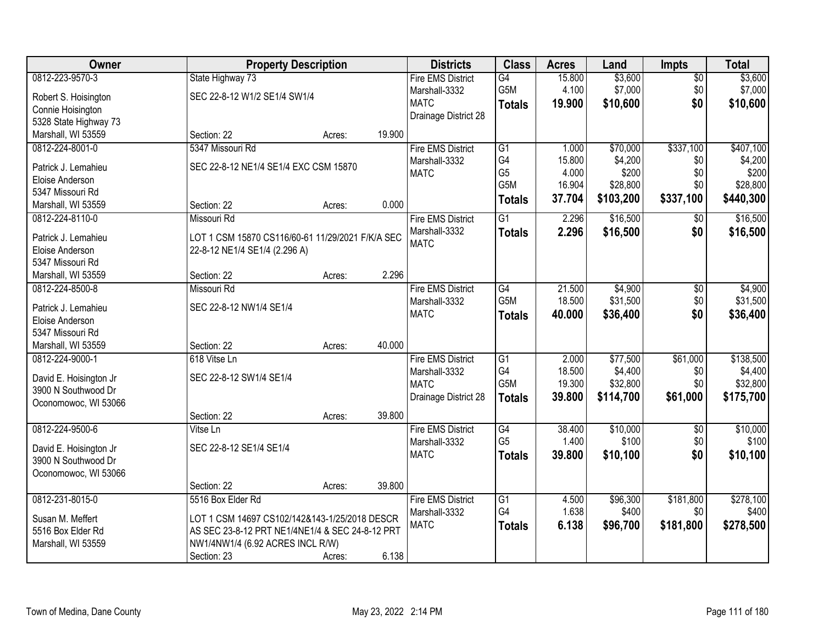| Owner                  |                                                  | <b>Property Description</b> |        |                          | <b>Class</b>     | <b>Acres</b> | Land      | <b>Impts</b>    | <b>Total</b> |
|------------------------|--------------------------------------------------|-----------------------------|--------|--------------------------|------------------|--------------|-----------|-----------------|--------------|
| 0812-223-9570-3        | State Highway 73                                 |                             |        | <b>Fire EMS District</b> | G4               | 15.800       | \$3,600   | $\overline{$0}$ | \$3,600      |
| Robert S. Hoisington   | SEC 22-8-12 W1/2 SE1/4 SW1/4                     |                             |        | Marshall-3332            | G5M              | 4.100        | \$7,000   | \$0             | \$7,000      |
| Connie Hoisington      |                                                  |                             |        | <b>MATC</b>              | <b>Totals</b>    | 19.900       | \$10,600  | \$0             | \$10,600     |
| 5328 State Highway 73  |                                                  |                             |        | Drainage District 28     |                  |              |           |                 |              |
| Marshall, WI 53559     | Section: 22                                      | Acres:                      | 19.900 |                          |                  |              |           |                 |              |
| 0812-224-8001-0        | 5347 Missouri Rd                                 |                             |        | <b>Fire EMS District</b> | $\overline{G1}$  | 1.000        | \$70,000  | \$337,100       | \$407,100    |
|                        |                                                  |                             |        | Marshall-3332            | G4               | 15.800       | \$4,200   | \$0             | \$4,200      |
| Patrick J. Lemahieu    | SEC 22-8-12 NE1/4 SE1/4 EXC CSM 15870            |                             |        | <b>MATC</b>              | G <sub>5</sub>   | 4.000        | \$200     | \$0             | \$200        |
| Eloise Anderson        |                                                  |                             |        |                          | G <sub>5</sub> M | 16.904       | \$28,800  | \$0             | \$28,800     |
| 5347 Missouri Rd       |                                                  |                             |        |                          | <b>Totals</b>    | 37.704       | \$103,200 | \$337,100       | \$440,300    |
| Marshall, WI 53559     | Section: 22                                      | Acres:                      | 0.000  |                          |                  |              |           |                 |              |
| 0812-224-8110-0        | Missouri Rd                                      |                             |        | <b>Fire EMS District</b> | $\overline{G1}$  | 2.296        | \$16,500  | $\sqrt[6]{3}$   | \$16,500     |
| Patrick J. Lemahieu    | LOT 1 CSM 15870 CS116/60-61 11/29/2021 F/K/A SEC |                             |        | Marshall-3332            | <b>Totals</b>    | 2.296        | \$16,500  | \$0             | \$16,500     |
| Eloise Anderson        | 22-8-12 NE1/4 SE1/4 (2.296 A)                    |                             |        | <b>MATC</b>              |                  |              |           |                 |              |
| 5347 Missouri Rd       |                                                  |                             |        |                          |                  |              |           |                 |              |
| Marshall, WI 53559     | Section: 22                                      | Acres:                      | 2.296  |                          |                  |              |           |                 |              |
| 0812-224-8500-8        | Missouri Rd                                      |                             |        | <b>Fire EMS District</b> | G4               | 21.500       | \$4,900   | \$0             | \$4,900      |
| Patrick J. Lemahieu    | SEC 22-8-12 NW1/4 SE1/4                          |                             |        | Marshall-3332            | G5M              | 18.500       | \$31,500  | \$0             | \$31,500     |
| Eloise Anderson        |                                                  |                             |        | <b>MATC</b>              | <b>Totals</b>    | 40.000       | \$36,400  | \$0             | \$36,400     |
| 5347 Missouri Rd       |                                                  |                             |        |                          |                  |              |           |                 |              |
| Marshall, WI 53559     | Section: 22                                      | Acres:                      | 40.000 |                          |                  |              |           |                 |              |
| 0812-224-9000-1        | 618 Vitse Ln                                     |                             |        | <b>Fire EMS District</b> | $\overline{G1}$  | 2.000        | \$77,500  | \$61,000        | \$138,500    |
|                        |                                                  |                             |        | Marshall-3332            | G4               | 18.500       | \$4,400   | \$0             | \$4,400      |
| David E. Hoisington Jr | SEC 22-8-12 SW1/4 SE1/4                          |                             |        | <b>MATC</b>              | G <sub>5</sub> M | 19.300       | \$32,800  | \$0             | \$32,800     |
| 3900 N Southwood Dr    |                                                  |                             |        | Drainage District 28     | <b>Totals</b>    | 39.800       | \$114,700 | \$61,000        | \$175,700    |
| Oconomowoc, WI 53066   |                                                  |                             |        |                          |                  |              |           |                 |              |
|                        | Section: 22                                      | Acres:                      | 39.800 |                          |                  |              |           |                 |              |
| 0812-224-9500-6        | Vitse Ln                                         |                             |        | <b>Fire EMS District</b> | $\overline{G4}$  | 38.400       | \$10,000  | $\overline{$0}$ | \$10,000     |
| David E. Hoisington Jr | SEC 22-8-12 SE1/4 SE1/4                          |                             |        | Marshall-3332            | G <sub>5</sub>   | 1.400        | \$100     | \$0             | \$100        |
| 3900 N Southwood Dr    |                                                  |                             |        | <b>MATC</b>              | <b>Totals</b>    | 39.800       | \$10,100  | \$0             | \$10,100     |
| Oconomowoc, WI 53066   |                                                  |                             |        |                          |                  |              |           |                 |              |
|                        | Section: 22                                      | Acres:                      | 39.800 |                          |                  |              |           |                 |              |
| 0812-231-8015-0        | 5516 Box Elder Rd                                |                             |        | <b>Fire EMS District</b> | G1               | 4.500        | \$96,300  | \$181,800       | \$278,100    |
|                        |                                                  |                             |        | Marshall-3332            | G4               | 1.638        | \$400     | \$0             | \$400        |
| Susan M. Meffert       | LOT 1 CSM 14697 CS102/142&143-1/25/2018 DESCR    |                             |        | <b>MATC</b>              | <b>Totals</b>    | 6.138        | \$96,700  | \$181,800       | \$278,500    |
| 5516 Box Elder Rd      | AS SEC 23-8-12 PRT NE1/4NE1/4 & SEC 24-8-12 PRT  |                             |        |                          |                  |              |           |                 |              |
| Marshall, WI 53559     | NW1/4NW1/4 (6.92 ACRES INCL R/W)                 |                             |        |                          |                  |              |           |                 |              |
|                        | Section: 23                                      | Acres:                      | 6.138  |                          |                  |              |           |                 |              |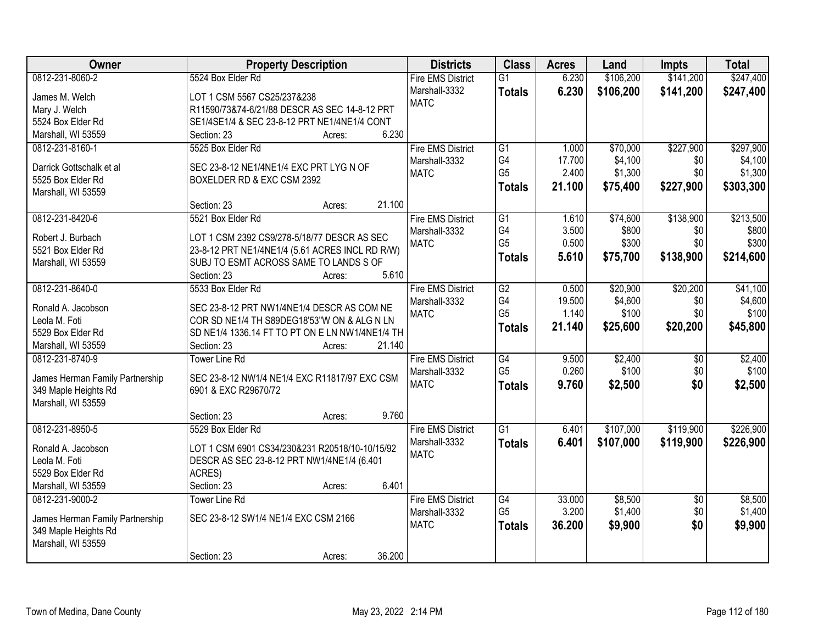| Owner                           | <b>Property Description</b>                     | <b>Districts</b>             | <b>Class</b>         | <b>Acres</b>    | Land               | <b>Impts</b>           | <b>Total</b>       |
|---------------------------------|-------------------------------------------------|------------------------------|----------------------|-----------------|--------------------|------------------------|--------------------|
| 0812-231-8060-2                 | 5524 Box Elder Rd                               | <b>Fire EMS District</b>     | $\overline{G1}$      | 6.230           | \$106,200          | \$141,200              | \$247,400          |
| James M. Welch                  | LOT 1 CSM 5567 CS25/237&238                     | Marshall-3332                | <b>Totals</b>        | 6.230           | \$106,200          | \$141,200              | \$247,400          |
| Mary J. Welch                   | R11590/73&74-6/21/88 DESCR AS SEC 14-8-12 PRT   | <b>MATC</b>                  |                      |                 |                    |                        |                    |
| 5524 Box Elder Rd               | SE1/4SE1/4 & SEC 23-8-12 PRT NE1/4NE1/4 CONT    |                              |                      |                 |                    |                        |                    |
| Marshall, WI 53559              | 6.230<br>Section: 23<br>Acres:                  |                              |                      |                 |                    |                        |                    |
| 0812-231-8160-1                 | 5525 Box Elder Rd                               | <b>Fire EMS District</b>     | G1                   | 1.000           | \$70,000           | \$227,900              | \$297,900          |
|                                 |                                                 | Marshall-3332                | G4                   | 17.700          | \$4,100            | \$0                    | \$4,100            |
| Darrick Gottschalk et al.       | SEC 23-8-12 NE1/4NE1/4 EXC PRT LYG N OF         | <b>MATC</b>                  | G <sub>5</sub>       | 2.400           | \$1,300            | \$0                    | \$1,300            |
| 5525 Box Elder Rd               | BOXELDER RD & EXC CSM 2392                      |                              | <b>Totals</b>        | 21.100          | \$75,400           | \$227,900              | \$303,300          |
| Marshall, WI 53559              |                                                 |                              |                      |                 |                    |                        |                    |
|                                 | 21.100<br>Section: 23<br>Acres:                 |                              |                      |                 |                    |                        |                    |
| 0812-231-8420-6                 | 5521 Box Elder Rd                               | <b>Fire EMS District</b>     | $\overline{G1}$      | 1.610           | \$74,600           | \$138,900              | \$213,500          |
| Robert J. Burbach               | LOT 1 CSM 2392 CS9/278-5/18/77 DESCR AS SEC     | Marshall-3332                | G4                   | 3.500           | \$800              | \$0                    | \$800              |
| 5521 Box Elder Rd               | 23-8-12 PRT NE1/4NE1/4 (5.61 ACRES INCL RD R/W) | <b>MATC</b>                  | G <sub>5</sub>       | 0.500           | \$300              | \$0                    | \$300              |
| Marshall, WI 53559              | SUBJ TO ESMT ACROSS SAME TO LANDS S OF          |                              | <b>Totals</b>        | 5.610           | \$75,700           | \$138,900              | \$214,600          |
|                                 | Section: 23<br>5.610<br>Acres:                  |                              |                      |                 |                    |                        |                    |
| 0812-231-8640-0                 | 5533 Box Elder Rd                               | <b>Fire EMS District</b>     | G2                   | 0.500           | \$20,900           | \$20,200               | \$41,100           |
|                                 |                                                 | Marshall-3332                | G4                   | 19.500          | \$4,600            | \$0                    | \$4,600            |
| Ronald A. Jacobson              | SEC 23-8-12 PRT NW1/4NE1/4 DESCR AS COM NE      | <b>MATC</b>                  | G <sub>5</sub>       | 1.140           | \$100              | \$0                    | \$100              |
| Leola M. Foti                   | COR SD NE1/4 TH S89DEG18'53"W ON & ALG N LN     |                              | <b>Totals</b>        | 21.140          | \$25,600           | \$20,200               | \$45,800           |
| 5529 Box Elder Rd               | SD NE1/4 1336.14 FT TO PT ON E LN NW1/4NE1/4 TH |                              |                      |                 |                    |                        |                    |
| Marshall, WI 53559              | 21.140<br>Section: 23<br>Acres:                 |                              |                      |                 |                    |                        |                    |
| 0812-231-8740-9                 | <b>Tower Line Rd</b>                            | <b>Fire EMS District</b>     | $\overline{G4}$      | 9.500           | \$2,400            | $\overline{50}$        | \$2,400            |
| James Herman Family Partnership | SEC 23-8-12 NW1/4 NE1/4 EXC R11817/97 EXC CSM   | Marshall-3332                | G <sub>5</sub>       | 0.260           | \$100              | \$0                    | \$100              |
| 349 Maple Heights Rd            | 6901 & EXC R29670/72                            | <b>MATC</b>                  | <b>Totals</b>        | 9.760           | \$2,500            | \$0                    | \$2,500            |
| Marshall, WI 53559              |                                                 |                              |                      |                 |                    |                        |                    |
|                                 | 9.760<br>Section: 23<br>Acres:                  |                              |                      |                 |                    |                        |                    |
| 0812-231-8950-5                 | 5529 Box Elder Rd                               | <b>Fire EMS District</b>     | G1                   | 6.401           | \$107,000          | \$119,900              | \$226,900          |
|                                 |                                                 | Marshall-3332                | <b>Totals</b>        | 6.401           | \$107,000          | \$119,900              | \$226,900          |
| Ronald A. Jacobson              | LOT 1 CSM 6901 CS34/230&231 R20518/10-10/15/92  | <b>MATC</b>                  |                      |                 |                    |                        |                    |
| Leola M. Foti                   | DESCR AS SEC 23-8-12 PRT NW1/4NE1/4 (6.401      |                              |                      |                 |                    |                        |                    |
| 5529 Box Elder Rd               | ACRES)<br>6.401                                 |                              |                      |                 |                    |                        |                    |
| Marshall, WI 53559              | Section: 23<br>Acres:                           |                              |                      |                 |                    |                        |                    |
| 0812-231-9000-2                 | <b>Tower Line Rd</b>                            | <b>Fire EMS District</b>     | G4<br>G <sub>5</sub> | 33.000<br>3.200 | \$8,500<br>\$1,400 | $\overline{30}$<br>\$0 | \$8,500<br>\$1,400 |
| James Herman Family Partnership | SEC 23-8-12 SW1/4 NE1/4 EXC CSM 2166            | Marshall-3332<br><b>MATC</b> |                      |                 |                    |                        |                    |
| 349 Maple Heights Rd            |                                                 |                              | <b>Totals</b>        | 36.200          | \$9,900            | \$0                    | \$9,900            |
| Marshall, WI 53559              |                                                 |                              |                      |                 |                    |                        |                    |
|                                 | 36.200<br>Section: 23<br>Acres:                 |                              |                      |                 |                    |                        |                    |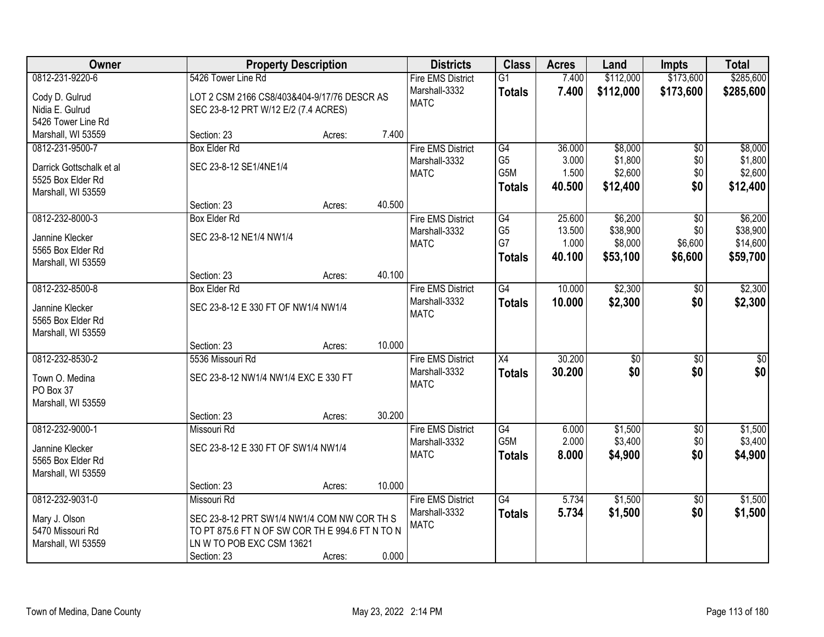| Owner                                         |                                                 | <b>Property Description</b> |        | <b>Districts</b>             | <b>Class</b>     | <b>Acres</b> | Land      | <b>Impts</b>    | <b>Total</b> |
|-----------------------------------------------|-------------------------------------------------|-----------------------------|--------|------------------------------|------------------|--------------|-----------|-----------------|--------------|
| 0812-231-9220-6                               | 5426 Tower Line Rd                              |                             |        | <b>Fire EMS District</b>     | $\overline{G1}$  | 7.400        | \$112,000 | \$173,600       | \$285,600    |
| Cody D. Gulrud                                | LOT 2 CSM 2166 CS8/403&404-9/17/76 DESCR AS     |                             |        | Marshall-3332                | <b>Totals</b>    | 7.400        | \$112,000 | \$173,600       | \$285,600    |
| Nidia E. Gulrud                               | SEC 23-8-12 PRT W/12 E/2 (7.4 ACRES)            |                             |        | <b>MATC</b>                  |                  |              |           |                 |              |
| 5426 Tower Line Rd                            |                                                 |                             |        |                              |                  |              |           |                 |              |
| Marshall, WI 53559                            | Section: 23                                     | Acres:                      | 7.400  |                              |                  |              |           |                 |              |
| 0812-231-9500-7                               | <b>Box Elder Rd</b>                             |                             |        | <b>Fire EMS District</b>     | G4               | 36.000       | \$8,000   | \$0             | \$8,000      |
|                                               | SEC 23-8-12 SE1/4NE1/4                          |                             |        | Marshall-3332                | G <sub>5</sub>   | 3.000        | \$1,800   | \$0             | \$1,800      |
| Darrick Gottschalk et al<br>5525 Box Elder Rd |                                                 |                             |        | <b>MATC</b>                  | G <sub>5</sub> M | 1.500        | \$2,600   | \$0             | \$2,600      |
| Marshall, WI 53559                            |                                                 |                             |        |                              | <b>Totals</b>    | 40.500       | \$12,400  | \$0             | \$12,400     |
|                                               | Section: 23                                     | Acres:                      | 40.500 |                              |                  |              |           |                 |              |
| 0812-232-8000-3                               | <b>Box Elder Rd</b>                             |                             |        | <b>Fire EMS District</b>     | G4               | 25.600       | \$6,200   | \$0             | \$6,200      |
|                                               |                                                 |                             |        | Marshall-3332                | G <sub>5</sub>   | 13.500       | \$38,900  | \$0             | \$38,900     |
| Jannine Klecker                               | SEC 23-8-12 NE1/4 NW1/4                         |                             |        | <b>MATC</b>                  | G7               | 1.000        | \$8,000   | \$6,600         | \$14,600     |
| 5565 Box Elder Rd                             |                                                 |                             |        |                              | <b>Totals</b>    | 40.100       | \$53,100  | \$6,600         | \$59,700     |
| Marshall, WI 53559                            |                                                 |                             |        |                              |                  |              |           |                 |              |
|                                               | Section: 23                                     | Acres:                      | 40.100 |                              |                  |              |           |                 |              |
| 0812-232-8500-8                               | <b>Box Elder Rd</b>                             |                             |        | <b>Fire EMS District</b>     | G4               | 10.000       | \$2,300   | \$0             | \$2,300      |
| Jannine Klecker                               | SEC 23-8-12 E 330 FT OF NW1/4 NW1/4             |                             |        | Marshall-3332<br><b>MATC</b> | <b>Totals</b>    | 10.000       | \$2,300   | \$0             | \$2,300      |
| 5565 Box Elder Rd                             |                                                 |                             |        |                              |                  |              |           |                 |              |
| Marshall, WI 53559                            |                                                 |                             |        |                              |                  |              |           |                 |              |
|                                               | Section: 23                                     | Acres:                      | 10.000 |                              |                  |              |           |                 |              |
| 0812-232-8530-2                               | 5536 Missouri Rd                                |                             |        | <b>Fire EMS District</b>     | X4               | 30.200       | \$0       | \$0             | $\sqrt{50}$  |
| Town O. Medina                                | SEC 23-8-12 NW1/4 NW1/4 EXC E 330 FT            |                             |        | Marshall-3332                | <b>Totals</b>    | 30.200       | \$0       | \$0             | \$0          |
| PO Box 37                                     |                                                 |                             |        | <b>MATC</b>                  |                  |              |           |                 |              |
| Marshall, WI 53559                            |                                                 |                             |        |                              |                  |              |           |                 |              |
|                                               | Section: 23                                     | Acres:                      | 30.200 |                              |                  |              |           |                 |              |
| 0812-232-9000-1                               | Missouri Rd                                     |                             |        | <b>Fire EMS District</b>     | G4               | 6.000        | \$1,500   | $\sqrt{$0}$     | \$1,500      |
|                                               |                                                 |                             |        | Marshall-3332                | G <sub>5</sub> M | 2.000        | \$3,400   | \$0             | \$3,400      |
| Jannine Klecker<br>5565 Box Elder Rd          | SEC 23-8-12 E 330 FT OF SW1/4 NW1/4             |                             |        | <b>MATC</b>                  | <b>Totals</b>    | 8.000        | \$4,900   | \$0             | \$4,900      |
| Marshall, WI 53559                            |                                                 |                             |        |                              |                  |              |           |                 |              |
|                                               | Section: 23                                     | Acres:                      | 10.000 |                              |                  |              |           |                 |              |
| 0812-232-9031-0                               | Missouri Rd                                     |                             |        | <b>Fire EMS District</b>     | $\overline{G4}$  | 5.734        | \$1,500   | $\overline{50}$ | \$1,500      |
|                                               |                                                 |                             |        | Marshall-3332                | <b>Totals</b>    | 5.734        | \$1,500   | \$0             | \$1,500      |
| Mary J. Olson                                 | SEC 23-8-12 PRT SW1/4 NW1/4 COM NW COR TH S     |                             |        | <b>MATC</b>                  |                  |              |           |                 |              |
| 5470 Missouri Rd                              | TO PT 875.6 FT N OF SW COR TH E 994.6 FT N TO N |                             |        |                              |                  |              |           |                 |              |
| Marshall, WI 53559                            | LN W TO POB EXC CSM 13621                       |                             |        |                              |                  |              |           |                 |              |
|                                               | Section: 23                                     | Acres:                      | 0.000  |                              |                  |              |           |                 |              |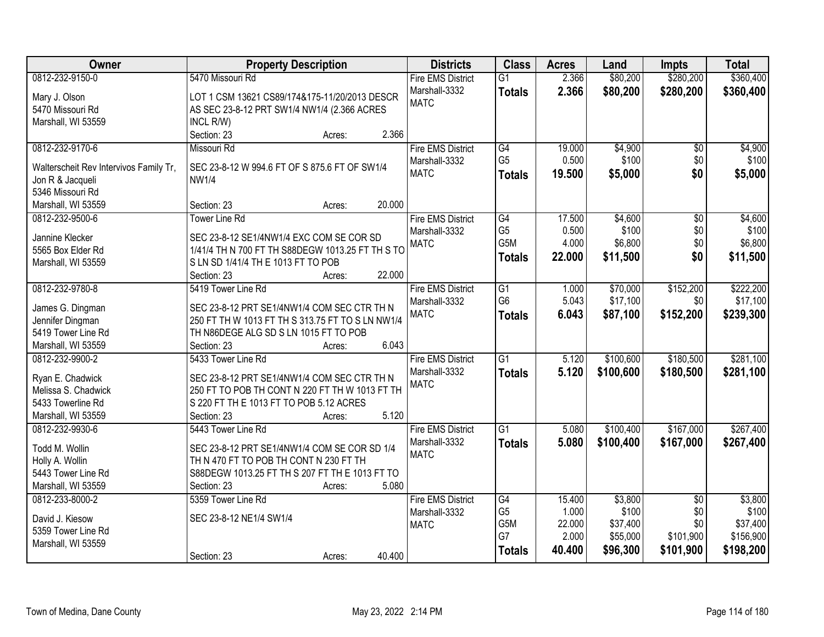| Owner                                  | <b>Property Description</b>                      | <b>Districts</b>         | <b>Class</b>                      | <b>Acres</b>    | Land             | <b>Impts</b>           | <b>Total</b>     |
|----------------------------------------|--------------------------------------------------|--------------------------|-----------------------------------|-----------------|------------------|------------------------|------------------|
| 0812-232-9150-0                        | 5470 Missouri Rd                                 | <b>Fire EMS District</b> | $\overline{G1}$                   | 2.366           | \$80,200         | \$280,200              | \$360,400        |
| Mary J. Olson                          | LOT 1 CSM 13621 CS89/174&175-11/20/2013 DESCR    | Marshall-3332            | <b>Totals</b>                     | 2.366           | \$80,200         | \$280,200              | \$360,400        |
| 5470 Missouri Rd                       | AS SEC 23-8-12 PRT SW1/4 NW1/4 (2.366 ACRES      | <b>MATC</b>              |                                   |                 |                  |                        |                  |
| Marshall, WI 53559                     | INCL R/W)                                        |                          |                                   |                 |                  |                        |                  |
|                                        | Section: 23<br>2.366<br>Acres:                   |                          |                                   |                 |                  |                        |                  |
| 0812-232-9170-6                        | Missouri Rd                                      | <b>Fire EMS District</b> | G4                                | 19.000          | \$4,900          | \$0                    | \$4,900          |
|                                        |                                                  | Marshall-3332            | G <sub>5</sub>                    | 0.500           | \$100            | \$0                    | \$100            |
| Walterscheit Rev Intervivos Family Tr, | SEC 23-8-12 W 994.6 FT OF S 875.6 FT OF SW1/4    | <b>MATC</b>              | <b>Totals</b>                     | 19.500          | \$5,000          | \$0                    | \$5,000          |
| Jon R & Jacqueli                       | <b>NW1/4</b>                                     |                          |                                   |                 |                  |                        |                  |
| 5346 Missouri Rd                       |                                                  |                          |                                   |                 |                  |                        |                  |
| Marshall, WI 53559                     | 20.000<br>Section: 23<br>Acres:                  |                          |                                   |                 |                  |                        |                  |
| 0812-232-9500-6                        | <b>Tower Line Rd</b>                             | <b>Fire EMS District</b> | G4                                | 17.500          | \$4,600          | $\overline{50}$        | \$4,600          |
| Jannine Klecker                        | SEC 23-8-12 SE1/4NW1/4 EXC COM SE COR SD         | Marshall-3332            | G <sub>5</sub><br>G5M             | 0.500<br>4.000  | \$100            | \$0<br>\$0             | \$100<br>\$6,800 |
| 5565 Box Elder Rd                      | 1/41/4 TH N 700 FT TH S88DEGW 1013.25 FT TH S TO | <b>MATC</b>              |                                   |                 | \$6,800          |                        |                  |
| Marshall, WI 53559                     | S LN SD 1/41/4 TH E 1013 FT TO POB               |                          | <b>Totals</b>                     | 22.000          | \$11,500         | \$0                    | \$11,500         |
|                                        | 22.000<br>Section: 23<br>Acres:                  |                          |                                   |                 |                  |                        |                  |
| 0812-232-9780-8                        | 5419 Tower Line Rd                               | <b>Fire EMS District</b> | $\overline{G1}$                   | 1.000           | \$70,000         | \$152,200              | \$222,200        |
|                                        |                                                  | Marshall-3332            | G <sub>6</sub>                    | 5.043           | \$17,100         | \$0                    | \$17,100         |
| James G. Dingman                       | SEC 23-8-12 PRT SE1/4NW1/4 COM SEC CTR TH N      | <b>MATC</b>              | <b>Totals</b>                     | 6.043           | \$87,100         | \$152,200              | \$239,300        |
| Jennifer Dingman                       | 250 FT TH W 1013 FT TH S 313.75 FT TO S LN NW1/4 |                          |                                   |                 |                  |                        |                  |
| 5419 Tower Line Rd                     | TH N86DEGE ALG SD S LN 1015 FT TO POB            |                          |                                   |                 |                  |                        |                  |
| Marshall, WI 53559                     | 6.043<br>Section: 23<br>Acres:                   |                          |                                   |                 |                  |                        |                  |
| 0812-232-9900-2                        | 5433 Tower Line Rd                               | <b>Fire EMS District</b> | $\overline{G1}$                   | 5.120           | \$100,600        | \$180,500              | \$281,100        |
| Ryan E. Chadwick                       | SEC 23-8-12 PRT SE1/4NW1/4 COM SEC CTR TH N      | Marshall-3332            | <b>Totals</b>                     | 5.120           | \$100,600        | \$180,500              | \$281,100        |
| Melissa S. Chadwick                    | 250 FT TO POB TH CONT N 220 FT TH W 1013 FT TH   | <b>MATC</b>              |                                   |                 |                  |                        |                  |
| 5433 Towerline Rd                      | S 220 FT TH E 1013 FT TO POB 5.12 ACRES          |                          |                                   |                 |                  |                        |                  |
| Marshall, WI 53559                     | 5.120<br>Section: 23<br>Acres:                   |                          |                                   |                 |                  |                        |                  |
| 0812-232-9930-6                        | 5443 Tower Line Rd                               | <b>Fire EMS District</b> | $\overline{G1}$                   | 5.080           | \$100,400        | \$167,000              | \$267,400        |
|                                        |                                                  | Marshall-3332            | <b>Totals</b>                     | 5.080           | \$100,400        | \$167,000              | \$267,400        |
| Todd M. Wollin                         | SEC 23-8-12 PRT SE1/4NW1/4 COM SE COR SD 1/4     | <b>MATC</b>              |                                   |                 |                  |                        |                  |
| Holly A. Wollin                        | TH N 470 FT TO POB TH CONT N 230 FT TH           |                          |                                   |                 |                  |                        |                  |
| 5443 Tower Line Rd                     | S88DEGW 1013.25 FT TH S 207 FT TH E 1013 FT TO   |                          |                                   |                 |                  |                        |                  |
| Marshall, WI 53559                     | 5.080<br>Section: 23<br>Acres:                   |                          |                                   |                 |                  |                        |                  |
| 0812-233-8000-2                        | 5359 Tower Line Rd                               | <b>Fire EMS District</b> | $\overline{G4}$<br>G <sub>5</sub> | 15.400<br>1.000 | \$3,800<br>\$100 | $\overline{50}$<br>\$0 | \$3,800          |
| David J. Kiesow                        | SEC 23-8-12 NE1/4 SW1/4                          | Marshall-3332            |                                   |                 |                  | \$0                    | \$100            |
| 5359 Tower Line Rd                     |                                                  | <b>MATC</b>              | G5M<br>G7                         | 22.000          | \$37,400         |                        | \$37,400         |
| Marshall, WI 53559                     |                                                  |                          |                                   | 2.000           | \$55,000         | \$101,900              | \$156,900        |
|                                        | 40.400<br>Section: 23<br>Acres:                  |                          | <b>Totals</b>                     | 40.400          | \$96,300         | \$101,900              | \$198,200        |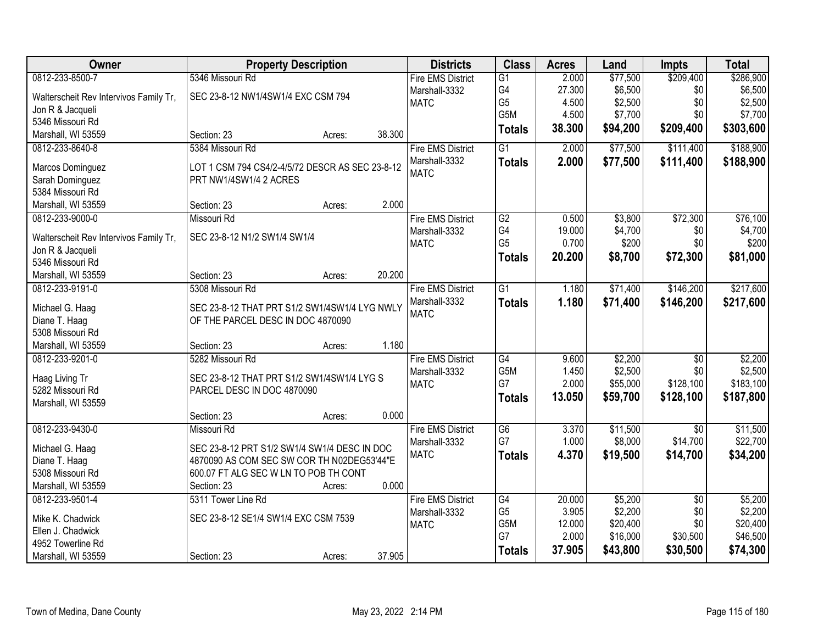| Owner                                  | <b>Property Description</b>                     | <b>Districts</b>         | <b>Class</b>         | <b>Acres</b>    | Land               | <b>Impts</b>           | <b>Total</b>       |
|----------------------------------------|-------------------------------------------------|--------------------------|----------------------|-----------------|--------------------|------------------------|--------------------|
| 0812-233-8500-7                        | 5346 Missouri Rd                                | <b>Fire EMS District</b> | $\overline{G1}$      | 2.000           | \$77,500           | \$209,400              | \$286,900          |
| Walterscheit Rev Intervivos Family Tr, | SEC 23-8-12 NW1/4SW1/4 EXC CSM 794              | Marshall-3332            | G4                   | 27.300          | \$6,500            | \$0                    | \$6,500            |
| Jon R & Jacqueli                       |                                                 | <b>MATC</b>              | G <sub>5</sub>       | 4.500           | \$2,500            | \$0                    | \$2,500            |
| 5346 Missouri Rd                       |                                                 |                          | G5M                  | 4.500           | \$7,700            | \$0                    | \$7,700            |
| Marshall, WI 53559                     | 38.300<br>Section: 23<br>Acres:                 |                          | <b>Totals</b>        | 38.300          | \$94,200           | \$209,400              | \$303,600          |
| 0812-233-8640-8                        | 5384 Missouri Rd                                | <b>Fire EMS District</b> | $\overline{G1}$      | 2.000           | \$77,500           | \$111,400              | \$188,900          |
|                                        |                                                 |                          |                      |                 |                    |                        |                    |
| Marcos Dominguez                       | LOT 1 CSM 794 CS4/2-4/5/72 DESCR AS SEC 23-8-12 | Marshall-3332            | <b>Totals</b>        | 2.000           | \$77,500           | \$111,400              | \$188,900          |
| Sarah Dominguez                        | PRT NW1/4SW1/4 2 ACRES                          | <b>MATC</b>              |                      |                 |                    |                        |                    |
| 5384 Missouri Rd                       |                                                 |                          |                      |                 |                    |                        |                    |
| Marshall, WI 53559                     | 2.000<br>Section: 23<br>Acres:                  |                          |                      |                 |                    |                        |                    |
| 0812-233-9000-0                        | Missouri Rd                                     | <b>Fire EMS District</b> | $\overline{G2}$      | 0.500           | \$3,800            | \$72,300               | \$76,100           |
|                                        |                                                 | Marshall-3332            | G4                   | 19.000          | \$4,700            | \$0                    | \$4,700            |
| Walterscheit Rev Intervivos Family Tr, | SEC 23-8-12 N1/2 SW1/4 SW1/4                    | <b>MATC</b>              | G <sub>5</sub>       | 0.700           | \$200              | \$0                    | \$200              |
| Jon R & Jacqueli                       |                                                 |                          | <b>Totals</b>        | 20.200          | \$8,700            | \$72,300               | \$81,000           |
| 5346 Missouri Rd                       |                                                 |                          |                      |                 |                    |                        |                    |
| Marshall, WI 53559                     | 20.200<br>Section: 23<br>Acres:                 |                          |                      |                 |                    |                        |                    |
| 0812-233-9191-0                        | 5308 Missouri Rd                                | <b>Fire EMS District</b> | $\overline{G1}$      | 1.180           | \$71,400           | \$146,200              | \$217,600          |
| Michael G. Haag                        | SEC 23-8-12 THAT PRT S1/2 SW1/4SW1/4 LYG NWLY   | Marshall-3332            | <b>Totals</b>        | 1.180           | \$71,400           | \$146,200              | \$217,600          |
| Diane T. Haag                          | OF THE PARCEL DESC IN DOC 4870090               | <b>MATC</b>              |                      |                 |                    |                        |                    |
| 5308 Missouri Rd                       |                                                 |                          |                      |                 |                    |                        |                    |
| Marshall, WI 53559                     | 1.180<br>Section: 23<br>Acres:                  |                          |                      |                 |                    |                        |                    |
| 0812-233-9201-0                        | 5282 Missouri Rd                                | <b>Fire EMS District</b> | $\overline{G4}$      | 9.600           | \$2,200            | $\overline{50}$        | \$2,200            |
|                                        |                                                 | Marshall-3332            | G5M                  | 1.450           | \$2,500            | \$0                    | \$2,500            |
| Haag Living Tr                         | SEC 23-8-12 THAT PRT S1/2 SW1/4SW1/4 LYG S      | <b>MATC</b>              | G7                   | 2.000           | \$55,000           | \$128,100              | \$183,100          |
| 5282 Missouri Rd                       | PARCEL DESC IN DOC 4870090                      |                          | <b>Totals</b>        | 13.050          | \$59,700           | \$128,100              | \$187,800          |
| Marshall, WI 53559                     |                                                 |                          |                      |                 |                    |                        |                    |
|                                        | 0.000<br>Section: 23<br>Acres:                  |                          |                      |                 |                    |                        |                    |
| 0812-233-9430-0                        | Missouri Rd                                     | <b>Fire EMS District</b> | $\overline{G6}$      | 3.370           | \$11,500           | $\overline{50}$        | \$11,500           |
| Michael G. Haag                        | SEC 23-8-12 PRT S1/2 SW1/4 SW1/4 DESC IN DOC    | Marshall-3332            | G7                   | 1.000           | \$8,000            | \$14,700               | \$22,700           |
| Diane T. Haag                          | 4870090 AS COM SEC SW COR TH N02DEG53'44"E      | <b>MATC</b>              | <b>Totals</b>        | 4.370           | \$19,500           | \$14,700               | \$34,200           |
| 5308 Missouri Rd                       | 600.07 FT ALG SEC W LN TO POB TH CONT           |                          |                      |                 |                    |                        |                    |
| Marshall, WI 53559                     | 0.000<br>Section: 23                            |                          |                      |                 |                    |                        |                    |
|                                        | Acres:                                          |                          |                      |                 |                    |                        |                    |
| 0812-233-9501-4                        | 5311 Tower Line Rd                              | <b>Fire EMS District</b> | G4<br>G <sub>5</sub> | 20.000<br>3.905 | \$5,200<br>\$2,200 | $\overline{50}$<br>\$0 | \$5,200<br>\$2,200 |
| Mike K. Chadwick                       | SEC 23-8-12 SE1/4 SW1/4 EXC CSM 7539            | Marshall-3332            | G5M                  | 12.000          | \$20,400           | \$0                    | \$20,400           |
| Ellen J. Chadwick                      |                                                 | <b>MATC</b>              |                      |                 |                    |                        |                    |
| 4952 Towerline Rd                      |                                                 |                          | G7                   | 2.000           | \$16,000           | \$30,500               | \$46,500           |
| Marshall, WI 53559                     | 37.905<br>Section: 23<br>Acres:                 |                          | <b>Totals</b>        | 37.905          | \$43,800           | \$30,500               | \$74,300           |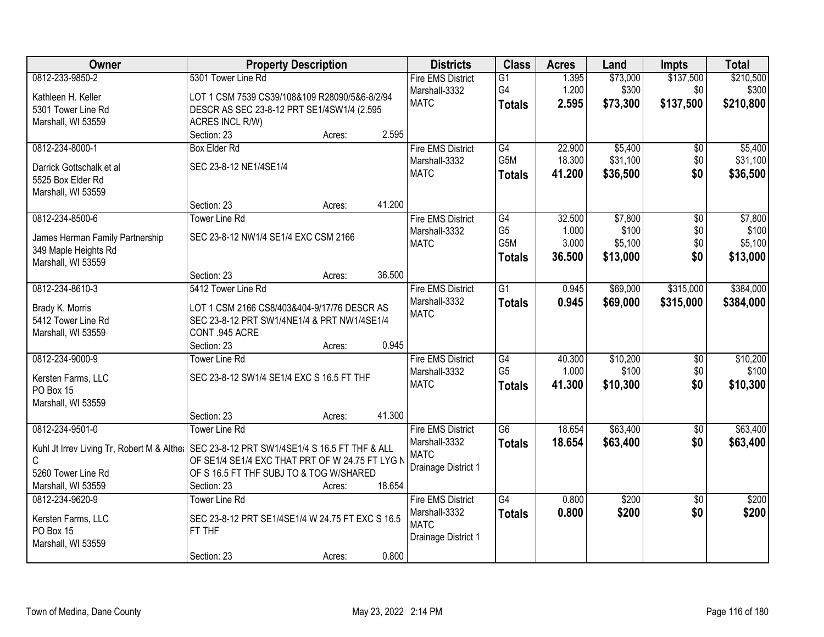| Owner                                                                                       | <b>Property Description</b>                                                                |        |        | <b>Districts</b>         | <b>Class</b>    | <b>Acres</b> | Land     | <b>Impts</b>    | <b>Total</b> |
|---------------------------------------------------------------------------------------------|--------------------------------------------------------------------------------------------|--------|--------|--------------------------|-----------------|--------------|----------|-----------------|--------------|
| 0812-233-9850-2                                                                             | 5301 Tower Line Rd                                                                         |        |        | <b>Fire EMS District</b> | G1              | 1.395        | \$73,000 | \$137,500       | \$210,500    |
| Kathleen H. Keller                                                                          | LOT 1 CSM 7539 CS39/108&109 R28090/5&6-8/2/94                                              |        |        | Marshall-3332            | G4              | 1.200        | \$300    | \$0             | \$300        |
| 5301 Tower Line Rd                                                                          | DESCR AS SEC 23-8-12 PRT SE1/4SW1/4 (2.595)                                                |        |        | <b>MATC</b>              | <b>Totals</b>   | 2.595        | \$73,300 | \$137,500       | \$210,800    |
| Marshall, WI 53559                                                                          | ACRES INCL R/W)                                                                            |        |        |                          |                 |              |          |                 |              |
|                                                                                             | Section: 23                                                                                | Acres: | 2.595  |                          |                 |              |          |                 |              |
| 0812-234-8000-1                                                                             | <b>Box Elder Rd</b>                                                                        |        |        | <b>Fire EMS District</b> | G4              | 22.900       | \$5,400  | \$0             | \$5,400      |
| Darrick Gottschalk et al.                                                                   | SEC 23-8-12 NE1/4SE1/4                                                                     |        |        | Marshall-3332            | G5M             | 18.300       | \$31,100 | \$0             | \$31,100     |
| 5525 Box Elder Rd                                                                           |                                                                                            |        |        | <b>MATC</b>              | <b>Totals</b>   | 41.200       | \$36,500 | \$0             | \$36,500     |
| Marshall, WI 53559                                                                          |                                                                                            |        |        |                          |                 |              |          |                 |              |
|                                                                                             | Section: 23                                                                                | Acres: | 41.200 |                          |                 |              |          |                 |              |
| 0812-234-8500-6                                                                             | <b>Tower Line Rd</b>                                                                       |        |        | <b>Fire EMS District</b> | G4              | 32.500       | \$7,800  | $\overline{50}$ | \$7,800      |
| James Herman Family Partnership                                                             | SEC 23-8-12 NW1/4 SE1/4 EXC CSM 2166                                                       |        |        | Marshall-3332            | G <sub>5</sub>  | 1.000        | \$100    | \$0             | \$100        |
| 349 Maple Heights Rd                                                                        |                                                                                            |        |        | <b>MATC</b>              | G5M             | 3.000        | \$5,100  | \$0             | \$5,100      |
| Marshall, WI 53559                                                                          |                                                                                            |        |        |                          | <b>Totals</b>   | 36.500       | \$13,000 | \$0             | \$13,000     |
|                                                                                             | Section: 23                                                                                | Acres: | 36.500 |                          |                 |              |          |                 |              |
| 0812-234-8610-3                                                                             | 5412 Tower Line Rd                                                                         |        |        | <b>Fire EMS District</b> | $\overline{G1}$ | 0.945        | \$69,000 | \$315,000       | \$384,000    |
|                                                                                             |                                                                                            |        |        | Marshall-3332            | <b>Totals</b>   | 0.945        | \$69,000 | \$315,000       | \$384,000    |
| Brady K. Morris<br>5412 Tower Line Rd                                                       | LOT 1 CSM 2166 CS8/403&404-9/17/76 DESCR AS<br>SEC 23-8-12 PRT SW1/4NE1/4 & PRT NW1/4SE1/4 |        |        | <b>MATC</b>              |                 |              |          |                 |              |
| Marshall, WI 53559                                                                          | CONT .945 ACRE                                                                             |        |        |                          |                 |              |          |                 |              |
|                                                                                             | Section: 23                                                                                | Acres: | 0.945  |                          |                 |              |          |                 |              |
| 0812-234-9000-9                                                                             | <b>Tower Line Rd</b>                                                                       |        |        | <b>Fire EMS District</b> | G4              | 40.300       | \$10,200 | $\overline{50}$ | \$10,200     |
|                                                                                             |                                                                                            |        |        | Marshall-3332            | G <sub>5</sub>  | 1.000        | \$100    | \$0             | \$100        |
| Kersten Farms, LLC                                                                          | SEC 23-8-12 SW1/4 SE1/4 EXC S 16.5 FT THF                                                  |        |        | <b>MATC</b>              | <b>Totals</b>   | 41.300       | \$10,300 | \$0             | \$10,300     |
| PO Box 15                                                                                   |                                                                                            |        |        |                          |                 |              |          |                 |              |
| Marshall, WI 53559                                                                          |                                                                                            |        |        |                          |                 |              |          |                 |              |
|                                                                                             | Section: 23                                                                                | Acres: | 41.300 |                          |                 |              |          |                 |              |
| 0812-234-9501-0                                                                             | <b>Tower Line Rd</b>                                                                       |        |        | <b>Fire EMS District</b> | G6              | 18.654       | \$63,400 | $\sqrt{6}$      | \$63,400     |
| Kuhl Jt Irrev Living Tr, Robert M & Alther   SEC 23-8-12 PRT SW1/4SE1/4 S 16.5 FT THF & ALL |                                                                                            |        |        | Marshall-3332            | <b>Totals</b>   | 18.654       | \$63,400 | \$0             | \$63,400     |
| C                                                                                           | OF SE1/4 SE1/4 EXC THAT PRT OF W 24.75 FT LYG N                                            |        |        | <b>MATC</b>              |                 |              |          |                 |              |
| 5260 Tower Line Rd                                                                          | OF S 16.5 FT THF SUBJ TO & TOG W/SHARED                                                    |        |        | Drainage District 1      |                 |              |          |                 |              |
| Marshall, WI 53559                                                                          | Section: 23                                                                                | Acres: | 18.654 |                          |                 |              |          |                 |              |
| 0812-234-9620-9                                                                             | <b>Tower Line Rd</b>                                                                       |        |        | <b>Fire EMS District</b> | G4              | 0.800        | \$200    | $\overline{50}$ | \$200        |
| Kersten Farms, LLC                                                                          | SEC 23-8-12 PRT SE1/4SE1/4 W 24.75 FT EXC S 16.5                                           |        |        | Marshall-3332            | <b>Totals</b>   | 0.800        | \$200    | \$0             | \$200        |
| PO Box 15                                                                                   | FT THF                                                                                     |        |        | <b>MATC</b>              |                 |              |          |                 |              |
| Marshall, WI 53559                                                                          |                                                                                            |        |        | Drainage District 1      |                 |              |          |                 |              |
|                                                                                             | Section: 23                                                                                | Acres: | 0.800  |                          |                 |              |          |                 |              |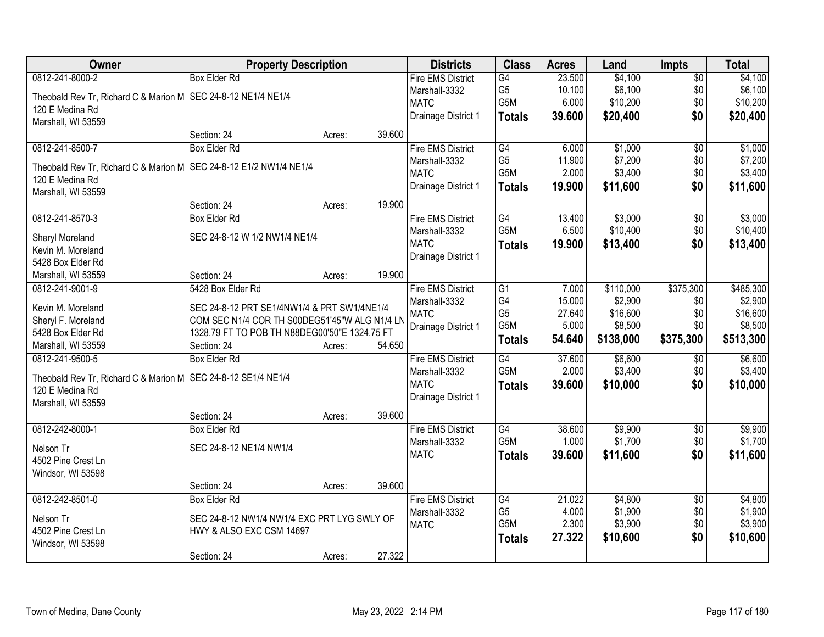| Owner                                                                | <b>Property Description</b>                   |        |        | <b>Districts</b>             | <b>Class</b>     | <b>Acres</b> | Land      | <b>Impts</b>    | <b>Total</b> |
|----------------------------------------------------------------------|-----------------------------------------------|--------|--------|------------------------------|------------------|--------------|-----------|-----------------|--------------|
| 0812-241-8000-2                                                      | <b>Box Elder Rd</b>                           |        |        | <b>Fire EMS District</b>     | G4               | 23.500       | \$4,100   | $\overline{$0}$ | \$4,100      |
| Theobald Rev Tr, Richard C & Marion M   SEC 24-8-12 NE1/4 NE1/4      |                                               |        |        | Marshall-3332                | G <sub>5</sub>   | 10.100       | \$6,100   | \$0             | \$6,100      |
| 120 E Medina Rd                                                      |                                               |        |        | <b>MATC</b>                  | G5M              | 6.000        | \$10,200  | \$0             | \$10,200     |
| Marshall, WI 53559                                                   |                                               |        |        | Drainage District 1          | <b>Totals</b>    | 39.600       | \$20,400  | \$0             | \$20,400     |
|                                                                      | Section: 24                                   | Acres: | 39.600 |                              |                  |              |           |                 |              |
| 0812-241-8500-7                                                      | <b>Box Elder Rd</b>                           |        |        | <b>Fire EMS District</b>     | G4               | 6.000        | \$1,000   | $\overline{50}$ | \$1,000      |
|                                                                      |                                               |        |        | Marshall-3332                | G <sub>5</sub>   | 11.900       | \$7,200   | \$0             | \$7,200      |
| Theobald Rev Tr, Richard C & Marion M   SEC 24-8-12 E1/2 NW1/4 NE1/4 |                                               |        |        | <b>MATC</b>                  | G5M              | 2.000        | \$3,400   | \$0             | \$3,400      |
| 120 E Medina Rd                                                      |                                               |        |        |                              |                  |              |           |                 |              |
| Marshall, WI 53559                                                   |                                               |        |        | Drainage District 1          | <b>Totals</b>    | 19.900       | \$11,600  | \$0             | \$11,600     |
|                                                                      | Section: 24                                   | Acres: | 19.900 |                              |                  |              |           |                 |              |
| 0812-241-8570-3                                                      | <b>Box Elder Rd</b>                           |        |        | <b>Fire EMS District</b>     | G4               | 13.400       | \$3,000   | \$0             | \$3,000      |
| Sheryl Moreland                                                      | SEC 24-8-12 W 1/2 NW1/4 NE1/4                 |        |        | Marshall-3332                | G5M              | 6.500        | \$10,400  | \$0             | \$10,400     |
| Kevin M. Moreland                                                    |                                               |        |        | <b>MATC</b>                  | <b>Totals</b>    | 19.900       | \$13,400  | \$0             | \$13,400     |
| 5428 Box Elder Rd                                                    |                                               |        |        | Drainage District 1          |                  |              |           |                 |              |
| Marshall, WI 53559                                                   | Section: 24                                   | Acres: | 19.900 |                              |                  |              |           |                 |              |
| 0812-241-9001-9                                                      | 5428 Box Elder Rd                             |        |        | <b>Fire EMS District</b>     | G1               | 7.000        | \$110,000 | \$375,300       | \$485,300    |
|                                                                      |                                               |        |        |                              | G4               | 15.000       | \$2,900   | \$0             | \$2,900      |
| Kevin M. Moreland                                                    | SEC 24-8-12 PRT SE1/4NW1/4 & PRT SW1/4NE1/4   |        |        | Marshall-3332<br><b>MATC</b> | G <sub>5</sub>   | 27.640       | \$16,600  | \$0             | \$16,600     |
| Sheryl F. Moreland                                                   | COM SEC N1/4 COR TH S00DEG51'45"W ALG N1/4 LN |        |        |                              | G5M              | 5.000        | \$8,500   | \$0             | \$8,500      |
| 5428 Box Elder Rd                                                    | 1328.79 FT TO POB TH N88DEG00'50"E 1324.75 FT |        |        | Drainage District 1          |                  |              |           |                 |              |
| Marshall, WI 53559                                                   | Section: 24                                   | Acres: | 54.650 |                              | <b>Totals</b>    | 54.640       | \$138,000 | \$375,300       | \$513,300    |
| 0812-241-9500-5                                                      | <b>Box Elder Rd</b>                           |        |        | <b>Fire EMS District</b>     | G4               | 37.600       | \$6,600   | \$0             | \$6,600      |
|                                                                      |                                               |        |        | Marshall-3332                | G <sub>5</sub> M | 2.000        | \$3,400   | \$0             | \$3,400      |
| Theobald Rev Tr, Richard C & Marion M SEC 24-8-12 SE1/4 NE1/4        |                                               |        |        | <b>MATC</b>                  | <b>Totals</b>    | 39.600       | \$10,000  | \$0             | \$10,000     |
| 120 E Medina Rd                                                      |                                               |        |        | Drainage District 1          |                  |              |           |                 |              |
| Marshall, WI 53559                                                   |                                               |        |        |                              |                  |              |           |                 |              |
|                                                                      | Section: 24                                   | Acres: | 39.600 |                              |                  |              |           |                 |              |
| 0812-242-8000-1                                                      | <b>Box Elder Rd</b>                           |        |        | <b>Fire EMS District</b>     | G4               | 38.600       | \$9,900   | $\sqrt{6}$      | \$9,900      |
| Nelson Tr                                                            | SEC 24-8-12 NE1/4 NW1/4                       |        |        | Marshall-3332                | G <sub>5</sub> M | 1.000        | \$1,700   | \$0             | \$1,700      |
| 4502 Pine Crest Ln                                                   |                                               |        |        | <b>MATC</b>                  | <b>Totals</b>    | 39.600       | \$11,600  | \$0             | \$11,600     |
| Windsor, WI 53598                                                    |                                               |        |        |                              |                  |              |           |                 |              |
|                                                                      | Section: 24                                   | Acres: | 39.600 |                              |                  |              |           |                 |              |
| 0812-242-8501-0                                                      | <b>Box Elder Rd</b>                           |        |        | <b>Fire EMS District</b>     | G4               | 21.022       | \$4,800   | $\overline{50}$ | \$4,800      |
|                                                                      |                                               |        |        | Marshall-3332                | G <sub>5</sub>   | 4.000        | \$1,900   | \$0             | \$1,900      |
| Nelson Tr                                                            | SEC 24-8-12 NW1/4 NW1/4 EXC PRT LYG SWLY OF   |        |        | <b>MATC</b>                  | G <sub>5</sub> M | 2.300        | \$3,900   | \$0             | \$3,900      |
| 4502 Pine Crest Ln                                                   | HWY & ALSO EXC CSM 14697                      |        |        |                              | <b>Totals</b>    | 27.322       | \$10,600  | \$0             | \$10,600     |
| Windsor, WI 53598                                                    |                                               |        |        |                              |                  |              |           |                 |              |
|                                                                      | Section: 24                                   | Acres: | 27.322 |                              |                  |              |           |                 |              |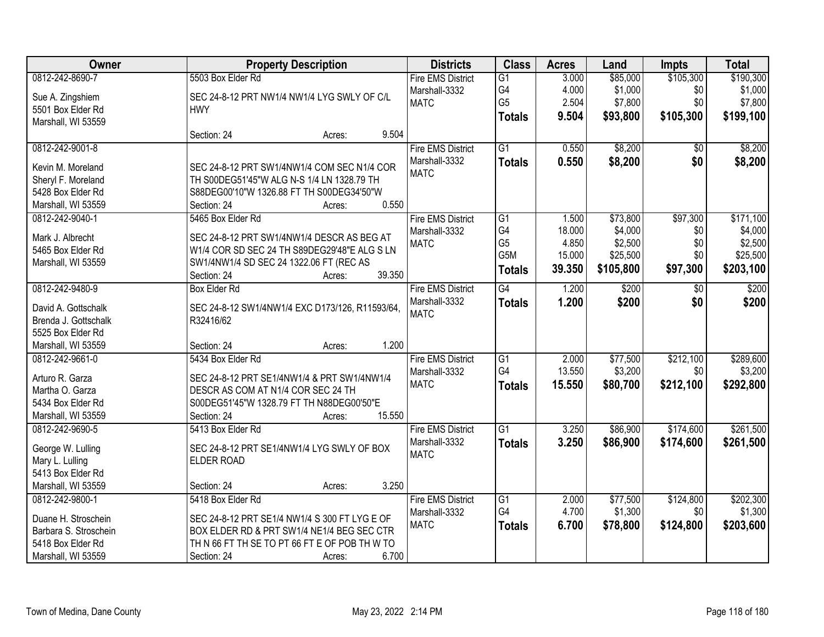| <b>Owner</b>          | <b>Property Description</b>                     | <b>Districts</b>             | <b>Class</b>          | <b>Acres</b>   | Land                | <b>Impts</b>     | <b>Total</b>         |
|-----------------------|-------------------------------------------------|------------------------------|-----------------------|----------------|---------------------|------------------|----------------------|
| 0812-242-8690-7       | 5503 Box Elder Rd                               | <b>Fire EMS District</b>     | $\overline{G1}$       | 3.000          | \$85,000            | \$105,300        | \$190,300            |
| Sue A. Zingshiem      | SEC 24-8-12 PRT NW1/4 NW1/4 LYG SWLY OF C/L     | Marshall-3332                | G4                    | 4.000          | \$1,000             | \$0              | \$1,000              |
| 5501 Box Elder Rd     | <b>HWY</b>                                      | <b>MATC</b>                  | G <sub>5</sub>        | 2.504          | \$7,800             | \$0              | \$7,800              |
| Marshall, WI 53559    |                                                 |                              | <b>Totals</b>         | 9.504          | \$93,800            | \$105,300        | \$199,100            |
|                       | 9.504<br>Section: 24<br>Acres:                  |                              |                       |                |                     |                  |                      |
| 0812-242-9001-8       |                                                 | <b>Fire EMS District</b>     | $\overline{G1}$       | 0.550          | \$8,200             | $\overline{50}$  | \$8,200              |
| Kevin M. Moreland     | SEC 24-8-12 PRT SW1/4NW1/4 COM SEC N1/4 COR     | Marshall-3332                | <b>Totals</b>         | 0.550          | \$8,200             | \$0              | \$8,200              |
| Sheryl F. Moreland    | TH S00DEG51'45"W ALG N-S 1/4 LN 1328.79 TH      | <b>MATC</b>                  |                       |                |                     |                  |                      |
| 5428 Box Elder Rd     | S88DEG00'10"W 1326.88 FT TH S00DEG34'50"W       |                              |                       |                |                     |                  |                      |
| Marshall, WI 53559    | 0.550<br>Section: 24<br>Acres:                  |                              |                       |                |                     |                  |                      |
| 0812-242-9040-1       | 5465 Box Elder Rd                               | <b>Fire EMS District</b>     | $\overline{G1}$       | 1.500          | \$73,800            | \$97,300         | \$171,100            |
|                       |                                                 | Marshall-3332                | G4                    | 18.000         | \$4,000             | \$0              | \$4,000              |
| Mark J. Albrecht      | SEC 24-8-12 PRT SW1/4NW1/4 DESCR AS BEG AT      | <b>MATC</b>                  | G <sub>5</sub>        | 4.850          | \$2,500             | \$0              | \$2,500              |
| 5465 Box Elder Rd     | W1/4 COR SD SEC 24 TH S89DEG29'48"E ALG S LN    |                              | G5M                   | 15.000         | \$25,500            | \$0              | \$25,500             |
| Marshall, WI 53559    | SW1/4NW1/4 SD SEC 24 1322.06 FT (REC AS         |                              | <b>Totals</b>         | 39.350         | \$105,800           | \$97,300         | \$203,100            |
|                       | 39.350<br>Section: 24<br>Acres:                 |                              |                       |                |                     |                  |                      |
| 0812-242-9480-9       | <b>Box Elder Rd</b>                             | <b>Fire EMS District</b>     | $\overline{G4}$       | 1.200          | \$200               | $\sqrt{6}$       | \$200                |
| David A. Gottschalk   | SEC 24-8-12 SW1/4NW1/4 EXC D173/126, R11593/64, | Marshall-3332                | <b>Totals</b>         | 1.200          | \$200               | \$0              | \$200                |
| Brenda J. Gottschalk  | R32416/62                                       | <b>MATC</b>                  |                       |                |                     |                  |                      |
| 5525 Box Elder Rd     |                                                 |                              |                       |                |                     |                  |                      |
| Marshall, WI 53559    | 1.200<br>Section: 24<br>Acres:                  |                              |                       |                |                     |                  |                      |
| 0812-242-9661-0       | 5434 Box Elder Rd                               | <b>Fire EMS District</b>     | $\overline{G1}$       | 2.000          | \$77,500            | \$212,100        | \$289,600            |
| Arturo R. Garza       | SEC 24-8-12 PRT SE1/4NW1/4 & PRT SW1/4NW1/4     | Marshall-3332                | G4                    | 13.550         | \$3,200             | \$0              | \$3,200              |
| Martha O. Garza       | DESCR AS COM AT N1/4 COR SEC 24 TH              | <b>MATC</b>                  | <b>Totals</b>         | 15.550         | \$80,700            | \$212,100        | \$292,800            |
| 5434 Box Elder Rd     | S00DEG51'45"W 1328.79 FT TH N88DEG00'50"E       |                              |                       |                |                     |                  |                      |
| Marshall, WI 53559    | 15.550<br>Section: 24<br>Acres:                 |                              |                       |                |                     |                  |                      |
| 0812-242-9690-5       | 5413 Box Elder Rd                               | <b>Fire EMS District</b>     | $\overline{G1}$       | 3.250          | \$86,900            | \$174,600        | \$261,500            |
|                       |                                                 | Marshall-3332                | <b>Totals</b>         | 3.250          | \$86,900            | \$174,600        | \$261,500            |
| George W. Lulling     | SEC 24-8-12 PRT SE1/4NW1/4 LYG SWLY OF BOX      | <b>MATC</b>                  |                       |                |                     |                  |                      |
| Mary L. Lulling       | <b>ELDER ROAD</b>                               |                              |                       |                |                     |                  |                      |
| 5413 Box Elder Rd     |                                                 |                              |                       |                |                     |                  |                      |
| Marshall, WI 53559    | 3.250<br>Section: 24<br>Acres:                  |                              |                       |                |                     |                  |                      |
| 0812-242-9800-1       | 5418 Box Elder Rd                               | <b>Fire EMS District</b>     | $\overline{G1}$<br>G4 | 2.000<br>4.700 | \$77,500<br>\$1,300 | \$124,800<br>\$0 | \$202,300<br>\$1,300 |
| Duane H. Stroschein   | SEC 24-8-12 PRT SE1/4 NW1/4 S 300 FT LYG E OF   | Marshall-3332<br><b>MATC</b> |                       |                |                     |                  |                      |
| Barbara S. Stroschein | BOX ELDER RD & PRT SW1/4 NE1/4 BEG SEC CTR      |                              | <b>Totals</b>         | 6.700          | \$78,800            | \$124,800        | \$203,600            |
| 5418 Box Elder Rd     | TH N 66 FT TH SE TO PT 66 FT E OF POB TH W TO   |                              |                       |                |                     |                  |                      |
| Marshall, WI 53559    | 6.700<br>Section: 24<br>Acres:                  |                              |                       |                |                     |                  |                      |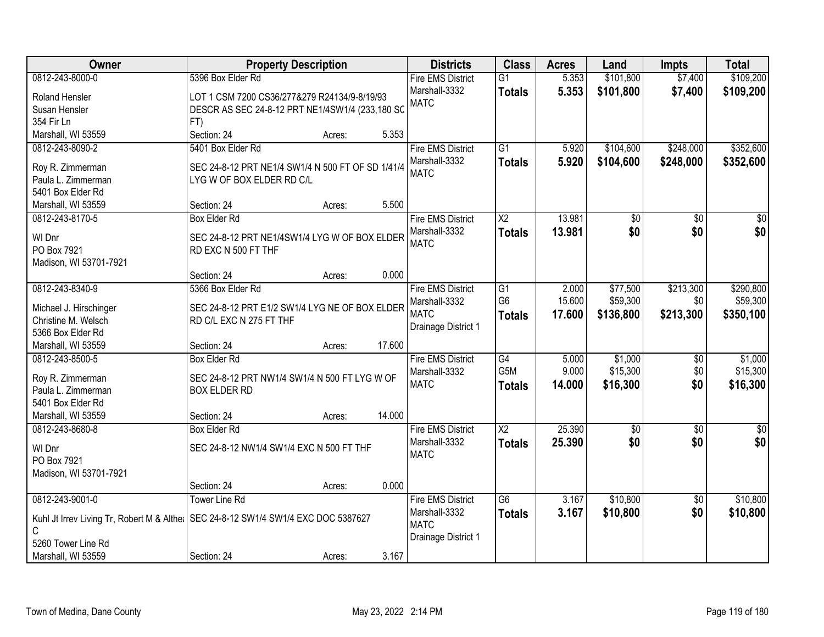| <b>Owner</b>                                                                         | <b>Property Description</b>                       |        |        | <b>Districts</b>             | <b>Class</b>    | <b>Acres</b> | Land            | <b>Impts</b>    | <b>Total</b>    |
|--------------------------------------------------------------------------------------|---------------------------------------------------|--------|--------|------------------------------|-----------------|--------------|-----------------|-----------------|-----------------|
| 0812-243-8000-0                                                                      | 5396 Box Elder Rd                                 |        |        | <b>Fire EMS District</b>     | $\overline{G1}$ | 5.353        | \$101,800       | \$7,400         | \$109,200       |
| Roland Hensler                                                                       | LOT 1 CSM 7200 CS36/277&279 R24134/9-8/19/93      |        |        | Marshall-3332                | <b>Totals</b>   | 5.353        | \$101,800       | \$7,400         | \$109,200       |
| Susan Hensler                                                                        | DESCR AS SEC 24-8-12 PRT NE1/4SW1/4 (233,180 SC   |        |        | <b>MATC</b>                  |                 |              |                 |                 |                 |
| 354 Fir Ln                                                                           | FT)                                               |        |        |                              |                 |              |                 |                 |                 |
| Marshall, WI 53559                                                                   | Section: 24                                       | Acres: | 5.353  |                              |                 |              |                 |                 |                 |
| 0812-243-8090-2                                                                      | 5401 Box Elder Rd                                 |        |        | <b>Fire EMS District</b>     | $\overline{G1}$ | 5.920        | \$104,600       | \$248,000       | \$352,600       |
|                                                                                      |                                                   |        |        | Marshall-3332                | <b>Totals</b>   | 5.920        | \$104,600       | \$248,000       | \$352,600       |
| Roy R. Zimmerman                                                                     | SEC 24-8-12 PRT NE1/4 SW1/4 N 500 FT OF SD 1/41/4 |        |        | <b>MATC</b>                  |                 |              |                 |                 |                 |
| Paula L. Zimmerman                                                                   | LYG W OF BOX ELDER RD C/L                         |        |        |                              |                 |              |                 |                 |                 |
| 5401 Box Elder Rd                                                                    |                                                   |        |        |                              |                 |              |                 |                 |                 |
| Marshall, WI 53559                                                                   | Section: 24                                       | Acres: | 5.500  |                              |                 |              |                 |                 |                 |
| 0812-243-8170-5                                                                      | <b>Box Elder Rd</b>                               |        |        | <b>Fire EMS District</b>     | X2              | 13.981       | \$0             | \$0             | \$0             |
| WI Dnr                                                                               | SEC 24-8-12 PRT NE1/4SW1/4 LYG W OF BOX ELDER     |        |        | Marshall-3332<br><b>MATC</b> | <b>Totals</b>   | 13.981       | \$0             | \$0             | \$0             |
| PO Box 7921                                                                          | RD EXC N 500 FT THF                               |        |        |                              |                 |              |                 |                 |                 |
| Madison, WI 53701-7921                                                               |                                                   |        |        |                              |                 |              |                 |                 |                 |
|                                                                                      | Section: 24                                       | Acres: | 0.000  |                              |                 |              |                 |                 |                 |
| 0812-243-8340-9                                                                      | 5366 Box Elder Rd                                 |        |        | <b>Fire EMS District</b>     | G1              | 2.000        | \$77,500        | \$213,300       | \$290,800       |
| Michael J. Hirschinger                                                               | SEC 24-8-12 PRT E1/2 SW1/4 LYG NE OF BOX ELDER    |        |        | Marshall-3332                | G <sub>6</sub>  | 15.600       | \$59,300        | \$0             | \$59,300        |
| Christine M. Welsch                                                                  | RD C/L EXC N 275 FT THF                           |        |        | <b>MATC</b>                  | <b>Totals</b>   | 17.600       | \$136,800       | \$213,300       | \$350,100       |
| 5366 Box Elder Rd                                                                    |                                                   |        |        | Drainage District 1          |                 |              |                 |                 |                 |
| Marshall, WI 53559                                                                   | Section: 24                                       | Acres: | 17.600 |                              |                 |              |                 |                 |                 |
| 0812-243-8500-5                                                                      | <b>Box Elder Rd</b>                               |        |        | <b>Fire EMS District</b>     | $\overline{G4}$ | 5.000        | \$1,000         | $\overline{50}$ | \$1,000         |
|                                                                                      |                                                   |        |        | Marshall-3332                | G5M             | 9.000        | \$15,300        | \$0             | \$15,300        |
| Roy R. Zimmerman                                                                     | SEC 24-8-12 PRT NW1/4 SW1/4 N 500 FT LYG W OF     |        |        | <b>MATC</b>                  | <b>Totals</b>   | 14.000       | \$16,300        | \$0             | \$16,300        |
| Paula L. Zimmerman                                                                   | <b>BOX ELDER RD</b>                               |        |        |                              |                 |              |                 |                 |                 |
| 5401 Box Elder Rd                                                                    |                                                   |        |        |                              |                 |              |                 |                 |                 |
| Marshall, WI 53559                                                                   | Section: 24                                       | Acres: | 14.000 |                              |                 |              |                 |                 |                 |
| 0812-243-8680-8                                                                      | <b>Box Elder Rd</b>                               |        |        | <b>Fire EMS District</b>     | $\overline{X2}$ | 25.390       | $\overline{50}$ | $\overline{50}$ | $\overline{50}$ |
| WI Dnr                                                                               | SEC 24-8-12 NW1/4 SW1/4 EXC N 500 FT THF          |        |        | Marshall-3332                | <b>Totals</b>   | 25.390       | \$0             | \$0             | \$0             |
| PO Box 7921                                                                          |                                                   |        |        | <b>MATC</b>                  |                 |              |                 |                 |                 |
| Madison, WI 53701-7921                                                               |                                                   |        |        |                              |                 |              |                 |                 |                 |
|                                                                                      | Section: 24                                       | Acres: | 0.000  |                              |                 |              |                 |                 |                 |
| 0812-243-9001-0                                                                      | <b>Tower Line Rd</b>                              |        |        | <b>Fire EMS District</b>     | $\overline{G6}$ | 3.167        | \$10,800        | $\overline{50}$ | \$10,800        |
|                                                                                      |                                                   |        |        | Marshall-3332                | <b>Totals</b>   | 3.167        | \$10,800        | \$0             | \$10,800        |
| Kuhl Jt Irrev Living Tr, Robert M & Alther   SEC 24-8-12 SW1/4 SW1/4 EXC DOC 5387627 |                                                   |        |        | <b>MATC</b>                  |                 |              |                 |                 |                 |
| C<br>5260 Tower Line Rd                                                              |                                                   |        |        | Drainage District 1          |                 |              |                 |                 |                 |
|                                                                                      | Section: 24                                       |        | 3.167  |                              |                 |              |                 |                 |                 |
| Marshall, WI 53559                                                                   |                                                   | Acres: |        |                              |                 |              |                 |                 |                 |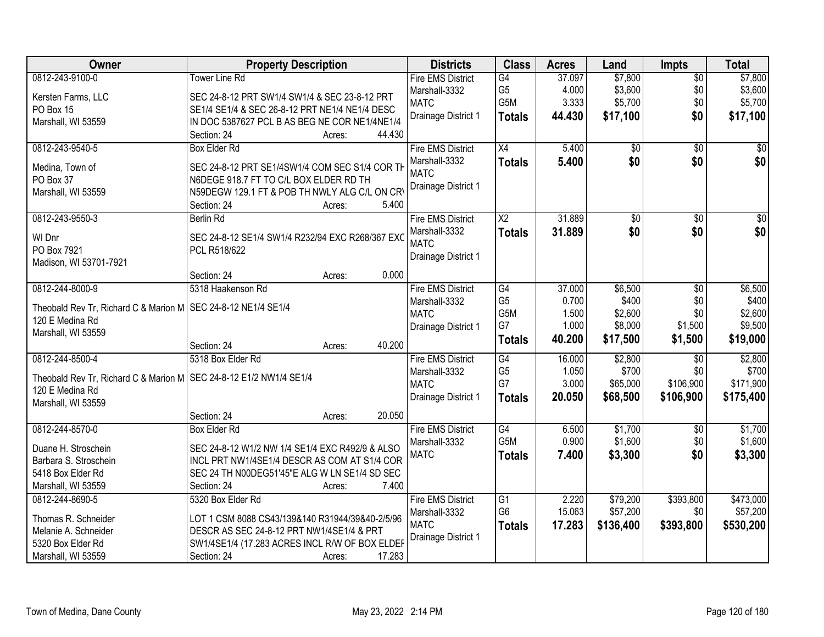| Owner                                                                | <b>Property Description</b>                      | <b>Districts</b>         | <b>Class</b>                        | <b>Acres</b> | Land            | <b>Impts</b>    | <b>Total</b> |
|----------------------------------------------------------------------|--------------------------------------------------|--------------------------|-------------------------------------|--------------|-----------------|-----------------|--------------|
| 0812-243-9100-0                                                      | <b>Tower Line Rd</b>                             | <b>Fire EMS District</b> | G4                                  | 37.097       | \$7,800         | $\overline{50}$ | \$7,800      |
| Kersten Farms, LLC                                                   | SEC 24-8-12 PRT SW1/4 SW1/4 & SEC 23-8-12 PRT    | Marshall-3332            | G <sub>5</sub>                      | 4.000        | \$3,600         | \$0             | \$3,600      |
| PO Box 15                                                            | SE1/4 SE1/4 & SEC 26-8-12 PRT NE1/4 NE1/4 DESC   | <b>MATC</b>              | G5M                                 | 3.333        | \$5,700         | \$0             | \$5,700      |
| Marshall, WI 53559                                                   | IN DOC 5387627 PCL B AS BEG NE COR NE1/4NE1/4    | Drainage District 1      | <b>Totals</b>                       | 44.430       | \$17,100        | \$0             | \$17,100     |
|                                                                      | Section: 24<br>44.430<br>Acres:                  |                          |                                     |              |                 |                 |              |
| 0812-243-9540-5                                                      | <b>Box Elder Rd</b>                              | <b>Fire EMS District</b> | $\overline{X4}$                     | 5.400        | $\overline{50}$ | $\overline{30}$ | \$0          |
| Medina, Town of                                                      | SEC 24-8-12 PRT SE1/4SW1/4 COM SEC S1/4 COR TH   | Marshall-3332            | <b>Totals</b>                       | 5.400        | \$0             | \$0             | \$0          |
| PO Box 37                                                            | N6DEGE 918.7 FT TO C/L BOX ELDER RD TH           | <b>MATC</b>              |                                     |              |                 |                 |              |
| Marshall, WI 53559                                                   | N59DEGW 129.1 FT & POB TH NWLY ALG C/L ON CRY    | Drainage District 1      |                                     |              |                 |                 |              |
|                                                                      | 5.400<br>Section: 24<br>Acres:                   |                          |                                     |              |                 |                 |              |
| 0812-243-9550-3                                                      | Berlin Rd                                        | <b>Fire EMS District</b> | X <sub>2</sub>                      | 31.889       | \$0             | \$0             | $\sqrt{50}$  |
| WI Dnr                                                               | SEC 24-8-12 SE1/4 SW1/4 R232/94 EXC R268/367 EXC | Marshall-3332            | <b>Totals</b>                       | 31.889       | \$0             | \$0             | \$0          |
| PO Box 7921                                                          | PCL R518/622                                     | <b>MATC</b>              |                                     |              |                 |                 |              |
| Madison, WI 53701-7921                                               |                                                  | Drainage District 1      |                                     |              |                 |                 |              |
|                                                                      | 0.000<br>Section: 24<br>Acres:                   |                          |                                     |              |                 |                 |              |
| 0812-244-8000-9                                                      | 5318 Haakenson Rd                                | <b>Fire EMS District</b> | $\overline{G4}$                     | 37.000       | \$6,500         | $\sqrt[6]{}$    | \$6,500      |
|                                                                      |                                                  | Marshall-3332            | G <sub>5</sub>                      | 0.700        | \$400           | \$0             | \$400        |
| Theobald Rev Tr, Richard C & Marion M   SEC 24-8-12 NE1/4 SE1/4      |                                                  | <b>MATC</b>              | G5M                                 | 1.500        | \$2,600         | \$0             | \$2,600      |
| 120 E Medina Rd<br>Marshall, WI 53559                                |                                                  | Drainage District 1      | G7                                  | 1.000        | \$8,000         | \$1,500         | \$9,500      |
|                                                                      | 40.200<br>Section: 24<br>Acres:                  |                          | <b>Totals</b>                       | 40.200       | \$17,500        | \$1,500         | \$19,000     |
| 0812-244-8500-4                                                      | 5318 Box Elder Rd                                | <b>Fire EMS District</b> | G4                                  | 16.000       | \$2,800         | $\overline{50}$ | \$2,800      |
|                                                                      |                                                  | Marshall-3332            | G <sub>5</sub>                      | 1.050        | \$700           | \$0             | \$700        |
| Theobald Rev Tr, Richard C & Marion M   SEC 24-8-12 E1/2 NW1/4 SE1/4 |                                                  | <b>MATC</b>              | G7                                  | 3.000        | \$65,000        | \$106,900       | \$171,900    |
| 120 E Medina Rd                                                      |                                                  | Drainage District 1      | <b>Totals</b>                       | 20.050       | \$68,500        | \$106,900       | \$175,400    |
| Marshall, WI 53559                                                   |                                                  |                          |                                     |              |                 |                 |              |
|                                                                      | 20.050<br>Section: 24<br>Acres:                  |                          |                                     |              |                 |                 |              |
| 0812-244-8570-0                                                      | <b>Box Elder Rd</b>                              | <b>Fire EMS District</b> | $\overline{G4}$<br>G <sub>5</sub> M | 6.500        | \$1,700         | $\overline{50}$ | \$1,700      |
| Duane H. Stroschein                                                  | SEC 24-8-12 W1/2 NW 1/4 SE1/4 EXC R492/9 & ALSO  | Marshall-3332            |                                     | 0.900        | \$1,600         | \$0             | \$1,600      |
| Barbara S. Stroschein                                                | INCL PRT NW1/4SE1/4 DESCR AS COM AT S1/4 COR     | <b>MATC</b>              | <b>Totals</b>                       | 7.400        | \$3,300         | \$0             | \$3,300      |
| 5418 Box Elder Rd                                                    | SEC 24 TH N00DEG51'45"E ALG W LN SE1/4 SD SEC    |                          |                                     |              |                 |                 |              |
| Marshall, WI 53559                                                   | 7.400<br>Section: 24<br>Acres:                   |                          |                                     |              |                 |                 |              |
| 0812-244-8690-5                                                      | 5320 Box Elder Rd                                | <b>Fire EMS District</b> | G1                                  | 2.220        | \$79,200        | \$393,800       | \$473,000    |
| Thomas R. Schneider                                                  | LOT 1 CSM 8088 CS43/139&140 R31944/39&40-2/5/96  | Marshall-3332            | G <sub>6</sub>                      | 15.063       | \$57,200        | \$0             | \$57,200     |
| Melanie A. Schneider                                                 | DESCR AS SEC 24-8-12 PRT NW1/4SE1/4 & PRT        | <b>MATC</b>              | <b>Totals</b>                       | 17.283       | \$136,400       | \$393,800       | \$530,200    |
| 5320 Box Elder Rd                                                    | SW1/4SE1/4 (17.283 ACRES INCL R/W OF BOX ELDER   | Drainage District 1      |                                     |              |                 |                 |              |
| Marshall, WI 53559                                                   | 17.283<br>Section: 24<br>Acres:                  |                          |                                     |              |                 |                 |              |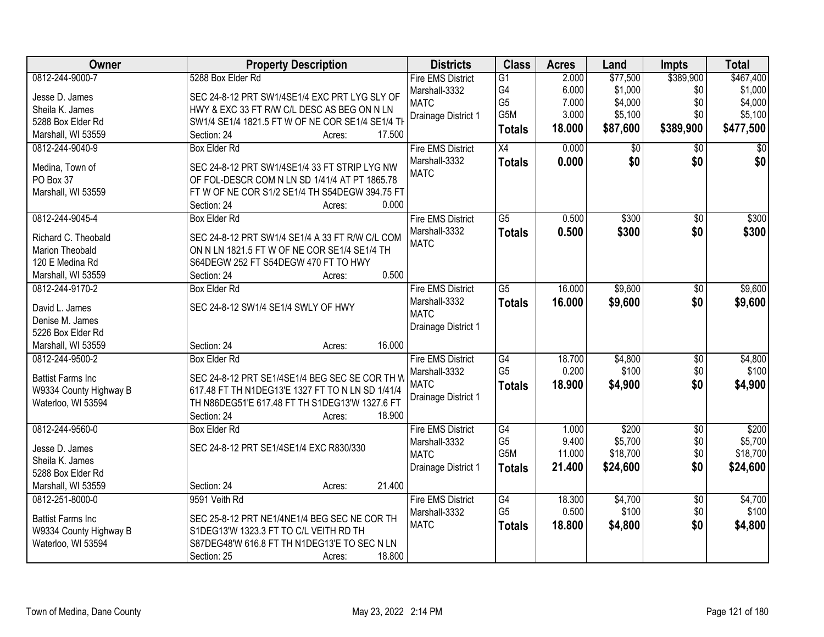| <b>Owner</b>                 | <b>Property Description</b>                      | <b>Districts</b>             | <b>Class</b>    | <b>Acres</b> | Land     | Impts           | <b>Total</b> |
|------------------------------|--------------------------------------------------|------------------------------|-----------------|--------------|----------|-----------------|--------------|
| 0812-244-9000-7              | 5288 Box Elder Rd                                | <b>Fire EMS District</b>     | G1              | 2.000        | \$77,500 | \$389,900       | \$467,400    |
| Jesse D. James               | SEC 24-8-12 PRT SW1/4SE1/4 EXC PRT LYG SLY OF    | Marshall-3332                | G4              | 6.000        | \$1,000  | \$0             | \$1,000      |
| Sheila K. James              | HWY & EXC 33 FT R/W C/L DESC AS BEG ON N LN      | <b>MATC</b>                  | G <sub>5</sub>  | 7.000        | \$4,000  | \$0             | \$4,000      |
| 5288 Box Elder Rd            | SW1/4 SE1/4 1821.5 FT W OF NE COR SE1/4 SE1/4 TH | Drainage District 1          | G5M             | 3.000        | \$5,100  | \$0             | \$5,100      |
| Marshall, WI 53559           | 17.500<br>Section: 24<br>Acres:                  |                              | <b>Totals</b>   | 18.000       | \$87,600 | \$389,900       | \$477,500    |
| 0812-244-9040-9              | <b>Box Elder Rd</b>                              | <b>Fire EMS District</b>     | X4              | 0.000        | \$0      | \$0             | \$0          |
|                              | SEC 24-8-12 PRT SW1/4SE1/4 33 FT STRIP LYG NW    | Marshall-3332                | <b>Totals</b>   | 0.000        | \$0      | \$0             | \$0          |
| Medina, Town of<br>PO Box 37 | OF FOL-DESCR COM N LN SD 1/41/4 AT PT 1865.78    | <b>MATC</b>                  |                 |              |          |                 |              |
| Marshall, WI 53559           | FTW OF NE COR S1/2 SE1/4 TH S54DEGW 394.75 FT    |                              |                 |              |          |                 |              |
|                              | 0.000<br>Section: 24<br>Acres:                   |                              |                 |              |          |                 |              |
| 0812-244-9045-4              | <b>Box Elder Rd</b>                              | <b>Fire EMS District</b>     | $\overline{G5}$ | 0.500        | \$300    | $\overline{50}$ | \$300        |
|                              |                                                  | Marshall-3332                | <b>Totals</b>   | 0.500        | \$300    | \$0             | \$300        |
| Richard C. Theobald          | SEC 24-8-12 PRT SW1/4 SE1/4 A 33 FT R/W C/L COM  | <b>MATC</b>                  |                 |              |          |                 |              |
| Marion Theobald              | ON N LN 1821.5 FT W OF NE COR SE1/4 SE1/4 TH     |                              |                 |              |          |                 |              |
| 120 E Medina Rd              | S64DEGW 252 FT S54DEGW 470 FT TO HWY             |                              |                 |              |          |                 |              |
| Marshall, WI 53559           | 0.500<br>Section: 24<br>Acres:                   |                              |                 |              |          |                 |              |
| 0812-244-9170-2              | <b>Box Elder Rd</b>                              | <b>Fire EMS District</b>     | G5              | 16.000       | \$9,600  | \$0             | \$9,600      |
| David L. James               | SEC 24-8-12 SW1/4 SE1/4 SWLY OF HWY              | Marshall-3332<br><b>MATC</b> | <b>Totals</b>   | 16.000       | \$9,600  | \$0             | \$9,600      |
| Denise M. James              |                                                  | Drainage District 1          |                 |              |          |                 |              |
| 5226 Box Elder Rd            |                                                  |                              |                 |              |          |                 |              |
| Marshall, WI 53559           | 16.000<br>Section: 24<br>Acres:                  |                              |                 |              |          |                 |              |
| 0812-244-9500-2              | <b>Box Elder Rd</b>                              | <b>Fire EMS District</b>     | $\overline{G4}$ | 18.700       | \$4,800  | $\overline{50}$ | \$4,800      |
| <b>Battist Farms Inc</b>     | SEC 24-8-12 PRT SE1/4SE1/4 BEG SEC SE COR TH W   | Marshall-3332                | G <sub>5</sub>  | 0.200        | \$100    | \$0             | \$100        |
| W9334 County Highway B       | 617.48 FT TH N1DEG13'E 1327 FT TO N LN SD 1/41/4 | <b>MATC</b>                  | <b>Totals</b>   | 18,900       | \$4,900  | \$0             | \$4,900      |
| Waterloo, WI 53594           | TH N86DEG51'E 617.48 FT TH S1DEG13'W 1327.6 FT   | Drainage District 1          |                 |              |          |                 |              |
|                              | Section: 24<br>18.900<br>Acres:                  |                              |                 |              |          |                 |              |
| 0812-244-9560-0              | Box Elder Rd                                     | <b>Fire EMS District</b>     | G4              | 1.000        | \$200    | $\overline{60}$ | \$200        |
| Jesse D. James               | SEC 24-8-12 PRT SE1/4SE1/4 EXC R830/330          | Marshall-3332                | G <sub>5</sub>  | 9.400        | \$5,700  | \$0             | \$5,700      |
| Sheila K. James              |                                                  | <b>MATC</b>                  | G5M             | 11.000       | \$18,700 | \$0             | \$18,700     |
| 5288 Box Elder Rd            |                                                  | Drainage District 1          | <b>Totals</b>   | 21.400       | \$24,600 | \$0             | \$24,600     |
| Marshall, WI 53559           | 21.400<br>Section: 24<br>Acres:                  |                              |                 |              |          |                 |              |
| 0812-251-8000-0              | 9591 Veith Rd                                    | <b>Fire EMS District</b>     | G4              | 18.300       | \$4,700  | $\overline{30}$ | \$4,700      |
|                              |                                                  | Marshall-3332                | G <sub>5</sub>  | 0.500        | \$100    | \$0             | \$100        |
| <b>Battist Farms Inc</b>     | SEC 25-8-12 PRT NE1/4NE1/4 BEG SEC NE COR TH     | <b>MATC</b>                  | <b>Totals</b>   | 18.800       | \$4,800  | \$0             | \$4,800      |
| W9334 County Highway B       | S1DEG13'W 1323.3 FT TO C/L VEITH RD TH           |                              |                 |              |          |                 |              |
| Waterloo, WI 53594           | S87DEG48'W 616.8 FT TH N1DEG13'E TO SEC N LN     |                              |                 |              |          |                 |              |
|                              | 18.800<br>Section: 25<br>Acres:                  |                              |                 |              |          |                 |              |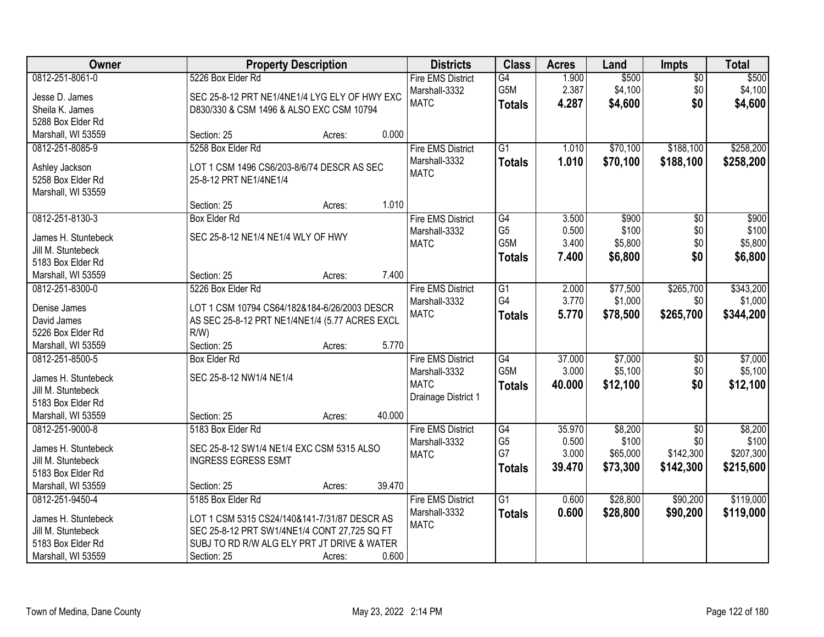| Owner                                     |                                                | <b>Property Description</b> |        |                          | <b>Class</b>     | <b>Acres</b> | Land     | <b>Impts</b>    | <b>Total</b> |
|-------------------------------------------|------------------------------------------------|-----------------------------|--------|--------------------------|------------------|--------------|----------|-----------------|--------------|
| 0812-251-8061-0                           | 5226 Box Elder Rd                              |                             |        | <b>Fire EMS District</b> | G4               | 1.900        | \$500    | $\overline{50}$ | \$500        |
| Jesse D. James                            | SEC 25-8-12 PRT NE1/4NE1/4 LYG ELY OF HWY EXC  |                             |        | Marshall-3332            | G5M              | 2.387        | \$4,100  | \$0             | \$4,100      |
| Sheila K. James                           | D830/330 & CSM 1496 & ALSO EXC CSM 10794       |                             |        | <b>MATC</b>              | <b>Totals</b>    | 4.287        | \$4,600  | \$0             | \$4,600      |
| 5288 Box Elder Rd                         |                                                |                             |        |                          |                  |              |          |                 |              |
| Marshall, WI 53559                        | Section: 25                                    | Acres:                      | 0.000  |                          |                  |              |          |                 |              |
| 0812-251-8085-9                           | 5258 Box Elder Rd                              |                             |        | <b>Fire EMS District</b> | $\overline{G1}$  | 1.010        | \$70,100 | \$188,100       | \$258,200    |
| Ashley Jackson                            | LOT 1 CSM 1496 CS6/203-8/6/74 DESCR AS SEC     |                             |        | Marshall-3332            | <b>Totals</b>    | 1.010        | \$70,100 | \$188,100       | \$258,200    |
| 5258 Box Elder Rd                         | 25-8-12 PRT NE1/4NE1/4                         |                             |        | <b>MATC</b>              |                  |              |          |                 |              |
| Marshall, WI 53559                        |                                                |                             |        |                          |                  |              |          |                 |              |
|                                           | Section: 25                                    | Acres:                      | 1.010  |                          |                  |              |          |                 |              |
| 0812-251-8130-3                           | <b>Box Elder Rd</b>                            |                             |        | <b>Fire EMS District</b> | G4               | 3.500        | \$900    | $\overline{50}$ | \$900        |
|                                           | SEC 25-8-12 NE1/4 NE1/4 WLY OF HWY             |                             |        | Marshall-3332            | G <sub>5</sub>   | 0.500        | \$100    | \$0             | \$100        |
| James H. Stuntebeck<br>Jill M. Stuntebeck |                                                |                             |        | <b>MATC</b>              | G <sub>5</sub> M | 3.400        | \$5,800  | \$0             | \$5,800      |
| 5183 Box Elder Rd                         |                                                |                             |        |                          | <b>Totals</b>    | 7.400        | \$6,800  | \$0             | \$6,800      |
| Marshall, WI 53559                        | Section: 25                                    | Acres:                      | 7.400  |                          |                  |              |          |                 |              |
| 0812-251-8300-0                           | 5226 Box Elder Rd                              |                             |        | <b>Fire EMS District</b> | $\overline{G1}$  | 2.000        | \$77,500 | \$265,700       | \$343,200    |
|                                           |                                                |                             |        | Marshall-3332            | G4               | 3.770        | \$1,000  | \$0             | \$1,000      |
| Denise James                              | LOT 1 CSM 10794 CS64/182&184-6/26/2003 DESCR   |                             |        | <b>MATC</b>              | <b>Totals</b>    | 5.770        | \$78,500 | \$265,700       | \$344,200    |
| David James                               | AS SEC 25-8-12 PRT NE1/4NE1/4 (5.77 ACRES EXCL |                             |        |                          |                  |              |          |                 |              |
| 5226 Box Elder Rd                         | $R/W$ )                                        |                             |        |                          |                  |              |          |                 |              |
| Marshall, WI 53559                        | Section: 25                                    | Acres:                      | 5.770  |                          |                  |              |          |                 |              |
| 0812-251-8500-5                           | <b>Box Elder Rd</b>                            |                             |        | <b>Fire EMS District</b> | G4               | 37.000       | \$7,000  | \$0             | \$7,000      |
| James H. Stuntebeck                       | SEC 25-8-12 NW1/4 NE1/4                        |                             |        | Marshall-3332            | G <sub>5</sub> M | 3.000        | \$5,100  | \$0             | \$5,100      |
| Jill M. Stuntebeck                        |                                                |                             |        | <b>MATC</b>              | <b>Totals</b>    | 40.000       | \$12,100 | \$0             | \$12,100     |
| 5183 Box Elder Rd                         |                                                |                             |        | Drainage District 1      |                  |              |          |                 |              |
| Marshall, WI 53559                        | Section: 25                                    | Acres:                      | 40.000 |                          |                  |              |          |                 |              |
| 0812-251-9000-8                           | 5183 Box Elder Rd                              |                             |        | <b>Fire EMS District</b> | $\overline{G4}$  | 35.970       | \$8,200  | $\overline{60}$ | \$8,200      |
| James H. Stuntebeck                       | SEC 25-8-12 SW1/4 NE1/4 EXC CSM 5315 ALSO      |                             |        | Marshall-3332            | G <sub>5</sub>   | 0.500        | \$100    | \$0             | \$100        |
| Jill M. Stuntebeck                        | <b>INGRESS EGRESS ESMT</b>                     |                             |        | <b>MATC</b>              | G7               | 3.000        | \$65,000 | \$142,300       | \$207,300    |
| 5183 Box Elder Rd                         |                                                |                             |        |                          | <b>Totals</b>    | 39.470       | \$73,300 | \$142,300       | \$215,600    |
| Marshall, WI 53559                        | Section: 25                                    | Acres:                      | 39.470 |                          |                  |              |          |                 |              |
| 0812-251-9450-4                           | 5185 Box Elder Rd                              |                             |        | <b>Fire EMS District</b> | $\overline{G1}$  | 0.600        | \$28,800 | \$90,200        | \$119,000    |
|                                           |                                                |                             |        | Marshall-3332            | <b>Totals</b>    | 0.600        | \$28,800 | \$90,200        | \$119,000    |
| James H. Stuntebeck                       | LOT 1 CSM 5315 CS24/140&141-7/31/87 DESCR AS   |                             |        | <b>MATC</b>              |                  |              |          |                 |              |
| Jill M. Stuntebeck                        | SEC 25-8-12 PRT SW1/4NE1/4 CONT 27,725 SQ FT   |                             |        |                          |                  |              |          |                 |              |
| 5183 Box Elder Rd                         | SUBJ TO RD R/W ALG ELY PRT JT DRIVE & WATER    |                             | 0.600  |                          |                  |              |          |                 |              |
| Marshall, WI 53559                        | Section: 25                                    | Acres:                      |        |                          |                  |              |          |                 |              |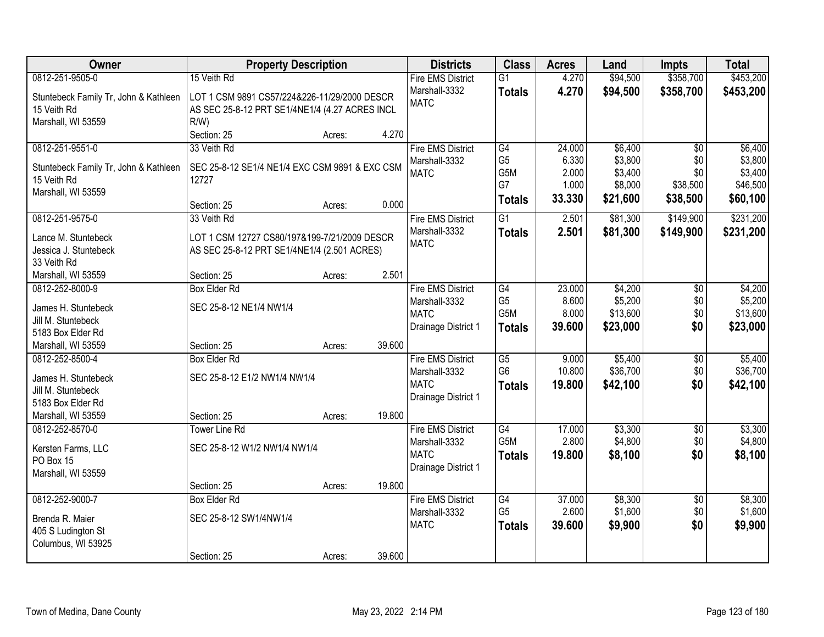| 0812-251-9505-0<br>\$358,700<br>15 Veith Rd<br><b>Fire EMS District</b><br>$\overline{G1}$<br>4.270<br>\$94,500<br>Marshall-3332<br>4.270<br>\$94,500<br>\$358,700<br><b>Totals</b> | \$453,200<br>\$453,200 |
|-------------------------------------------------------------------------------------------------------------------------------------------------------------------------------------|------------------------|
|                                                                                                                                                                                     |                        |
| Stuntebeck Family Tr, John & Kathleen<br>LOT 1 CSM 9891 CS57/224&226-11/29/2000 DESCR                                                                                               |                        |
| <b>MATC</b><br>15 Veith Rd<br>AS SEC 25-8-12 PRT SE1/4NE1/4 (4.27 ACRES INCL                                                                                                        |                        |
| Marshall, WI 53559<br>$R/W$ )                                                                                                                                                       |                        |
| 4.270<br>Section: 25<br>Acres:                                                                                                                                                      |                        |
| 33 Veith Rd<br><b>Fire EMS District</b><br>\$6,400<br>0812-251-9551-0<br>G4<br>24.000<br>$\overline{30}$                                                                            | \$6,400                |
| G <sub>5</sub><br>\$3,800<br>6.330<br>\$0<br>Marshall-3332<br>SEC 25-8-12 SE1/4 NE1/4 EXC CSM 9891 & EXC CSM<br>Stuntebeck Family Tr, John & Kathleen                               | \$3,800                |
| G5M<br>\$3,400<br>2.000<br>\$0<br><b>MATC</b><br>15 Veith Rd<br>12727                                                                                                               | \$3,400                |
| G7<br>\$8,000<br>1.000<br>\$38,500<br>Marshall, WI 53559                                                                                                                            | \$46,500               |
| 33.330<br>\$21,600<br>\$38,500<br><b>Totals</b><br>0.000<br>Section: 25<br>Acres:                                                                                                   | \$60,100               |
| 0812-251-9575-0<br>$\overline{G1}$<br>\$81,300<br>\$149,900<br>33 Veith Rd<br><b>Fire EMS District</b><br>2.501                                                                     | \$231,200              |
| Marshall-3332<br>2.501<br>\$81,300<br>\$149,900<br><b>Totals</b><br>Lance M. Stuntebeck<br>LOT 1 CSM 12727 CS80/197&199-7/21/2009 DESCR                                             | \$231,200              |
| <b>MATC</b><br>AS SEC 25-8-12 PRT SE1/4NE1/4 (2.501 ACRES)<br>Jessica J. Stuntebeck                                                                                                 |                        |
| 33 Veith Rd                                                                                                                                                                         |                        |
| 2.501<br>Marshall, WI 53559<br>Section: 25<br>Acres:                                                                                                                                |                        |
| <b>Box Elder Rd</b><br><b>Fire EMS District</b><br>\$4,200<br>0812-252-8000-9<br>G4<br>23.000<br>\$0                                                                                | \$4,200                |
| G <sub>5</sub><br>8.600<br>\$5,200<br>\$0<br>Marshall-3332<br>SEC 25-8-12 NE1/4 NW1/4<br>James H. Stuntebeck                                                                        | \$5,200                |
| G5M<br>\$13,600<br>\$0<br><b>MATC</b><br>8.000<br>Jill M. Stuntebeck                                                                                                                | \$13,600               |
| \$0<br>Drainage District 1<br>39.600<br>\$23,000<br><b>Totals</b><br>5183 Box Elder Rd                                                                                              | \$23,000               |
| 39.600<br>Marshall, WI 53559<br>Section: 25<br>Acres:                                                                                                                               |                        |
| G5<br>0812-252-8500-4<br><b>Box Elder Rd</b><br><b>Fire EMS District</b><br>9.000<br>\$5,400<br>\$0                                                                                 | \$5,400                |
| G <sub>6</sub><br>\$36,700<br>\$0<br>10.800<br>Marshall-3332                                                                                                                        | \$36,700               |
| SEC 25-8-12 E1/2 NW1/4 NW1/4<br>James H. Stuntebeck<br><b>MATC</b><br>19.800<br>\$42,100<br>\$0<br><b>Totals</b><br>Jill M. Stuntebeck                                              | \$42,100               |
| Drainage District 1<br>5183 Box Elder Rd                                                                                                                                            |                        |
| 19.800<br>Marshall, WI 53559<br>Section: 25<br>Acres:                                                                                                                               |                        |
| <b>Fire EMS District</b><br>G4<br>\$3,300<br>0812-252-8570-0<br>17.000<br><b>Tower Line Rd</b><br>\$0                                                                               | \$3,300                |
| G5M<br>2.800<br>\$4,800<br>\$0<br>Marshall-3332                                                                                                                                     | \$4,800                |
| SEC 25-8-12 W1/2 NW1/4 NW1/4<br>Kersten Farms, LLC<br><b>MATC</b><br>19.800<br>\$8,100<br>\$0<br><b>Totals</b>                                                                      | \$8,100                |
| PO Box 15<br>Drainage District 1<br>Marshall, WI 53559                                                                                                                              |                        |
| 19.800<br>Section: 25<br>Acres:                                                                                                                                                     |                        |
| 0812-252-9000-7<br>$\overline{G4}$<br>37.000<br>\$8,300<br><b>Box Elder Rd</b><br><b>Fire EMS District</b><br>$\overline{50}$                                                       | \$8,300                |
| G <sub>5</sub><br>2.600<br>\$1,600<br>\$0<br>Marshall-3332                                                                                                                          | \$1,600                |
| SEC 25-8-12 SW1/4NW1/4<br>Brenda R. Maier<br>\$0<br><b>MATC</b><br>39.600<br>\$9,900<br><b>Totals</b>                                                                               | \$9,900                |
| 405 S Ludington St<br>Columbus, WI 53925                                                                                                                                            |                        |
| 39.600<br>Section: 25<br>Acres:                                                                                                                                                     |                        |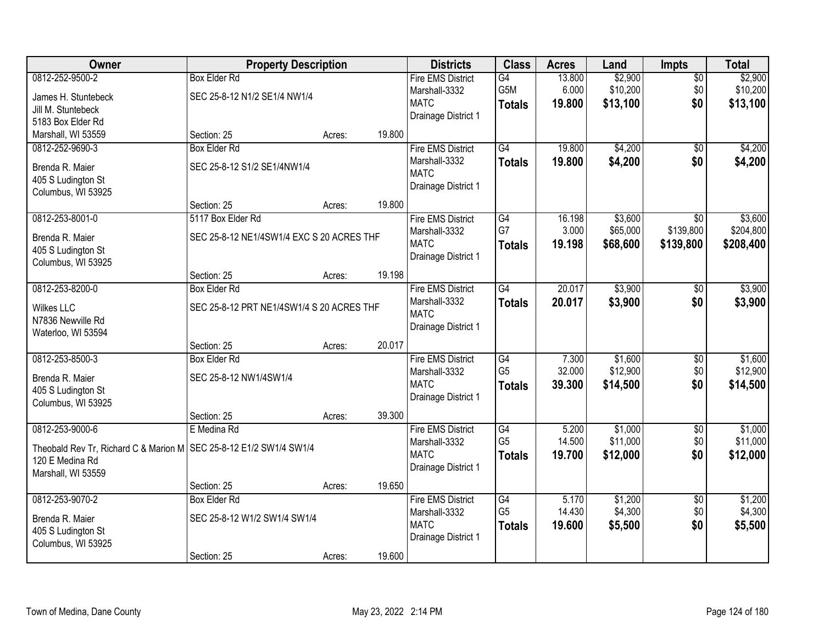| Owner                                                                | <b>Property Description</b>               |        |        | <b>Districts</b>             | <b>Class</b>         | <b>Acres</b>    | Land               | <b>Impts</b>           | <b>Total</b>       |
|----------------------------------------------------------------------|-------------------------------------------|--------|--------|------------------------------|----------------------|-----------------|--------------------|------------------------|--------------------|
| 0812-252-9500-2                                                      | <b>Box Elder Rd</b>                       |        |        | <b>Fire EMS District</b>     | $\overline{G4}$      | 13.800          | \$2,900            | $\overline{50}$        | \$2,900            |
| James H. Stuntebeck                                                  | SEC 25-8-12 N1/2 SE1/4 NW1/4              |        |        | Marshall-3332                | G5M                  | 6.000           | \$10,200           | \$0                    | \$10,200           |
| Jill M. Stuntebeck                                                   |                                           |        |        | <b>MATC</b>                  | <b>Totals</b>        | 19.800          | \$13,100           | \$0                    | \$13,100           |
| 5183 Box Elder Rd                                                    |                                           |        |        | Drainage District 1          |                      |                 |                    |                        |                    |
| Marshall, WI 53559                                                   | Section: 25                               | Acres: | 19.800 |                              |                      |                 |                    |                        |                    |
| 0812-252-9690-3                                                      | <b>Box Elder Rd</b>                       |        |        | <b>Fire EMS District</b>     | $\overline{G4}$      | 19.800          | \$4,200            | \$0                    | \$4,200            |
|                                                                      |                                           |        |        | Marshall-3332                | <b>Totals</b>        | 19.800          | \$4,200            | \$0                    | \$4,200            |
| Brenda R. Maier                                                      | SEC 25-8-12 S1/2 SE1/4NW1/4               |        |        | <b>MATC</b>                  |                      |                 |                    |                        |                    |
| 405 S Ludington St<br>Columbus, WI 53925                             |                                           |        |        | Drainage District 1          |                      |                 |                    |                        |                    |
|                                                                      | Section: 25                               | Acres: | 19.800 |                              |                      |                 |                    |                        |                    |
| 0812-253-8001-0                                                      | 5117 Box Elder Rd                         |        |        | <b>Fire EMS District</b>     | $\overline{G4}$      | 16.198          | \$3,600            | $\overline{50}$        | \$3,600            |
|                                                                      |                                           |        |        | Marshall-3332                | G7                   | 3.000           | \$65,000           | \$139,800              | \$204,800          |
| Brenda R. Maier                                                      | SEC 25-8-12 NE1/4SW1/4 EXC S 20 ACRES THF |        |        | <b>MATC</b>                  | <b>Totals</b>        | 19.198          | \$68,600           | \$139,800              | \$208,400          |
| 405 S Ludington St                                                   |                                           |        |        | Drainage District 1          |                      |                 |                    |                        |                    |
| Columbus, WI 53925                                                   |                                           |        |        |                              |                      |                 |                    |                        |                    |
|                                                                      | Section: 25                               | Acres: | 19.198 |                              |                      |                 |                    |                        |                    |
| 0812-253-8200-0                                                      | <b>Box Elder Rd</b>                       |        |        | <b>Fire EMS District</b>     | $\overline{G4}$      | 20.017          | \$3,900            | \$0                    | \$3,900            |
| <b>Wilkes LLC</b>                                                    | SEC 25-8-12 PRT NE1/4SW1/4 S 20 ACRES THF |        |        | Marshall-3332                | <b>Totals</b>        | 20.017          | \$3,900            | \$0                    | \$3,900            |
| N7836 Newville Rd                                                    |                                           |        |        | <b>MATC</b>                  |                      |                 |                    |                        |                    |
| Waterloo, WI 53594                                                   |                                           |        |        | Drainage District 1          |                      |                 |                    |                        |                    |
|                                                                      | Section: 25                               | Acres: | 20.017 |                              |                      |                 |                    |                        |                    |
| 0812-253-8500-3                                                      | <b>Box Elder Rd</b>                       |        |        | <b>Fire EMS District</b>     | $\overline{G4}$      | 7.300           | \$1,600            | \$0                    | \$1,600            |
| Brenda R. Maier                                                      | SEC 25-8-12 NW1/4SW1/4                    |        |        | Marshall-3332                | G <sub>5</sub>       | 32.000          | \$12,900           | \$0                    | \$12,900           |
| 405 S Ludington St                                                   |                                           |        |        | <b>MATC</b>                  | <b>Totals</b>        | 39.300          | \$14,500           | \$0                    | \$14,500           |
| Columbus, WI 53925                                                   |                                           |        |        | Drainage District 1          |                      |                 |                    |                        |                    |
|                                                                      | Section: 25                               | Acres: | 39.300 |                              |                      |                 |                    |                        |                    |
| 0812-253-9000-6                                                      | E Medina Rd                               |        |        | <b>Fire EMS District</b>     | $\overline{G4}$      | 5.200           | \$1,000            | $\overline{50}$        | \$1,000            |
|                                                                      |                                           |        |        | Marshall-3332                | G <sub>5</sub>       | 14.500          | \$11,000           | \$0                    | \$11,000           |
| Theobald Rev Tr, Richard C & Marion M   SEC 25-8-12 E1/2 SW1/4 SW1/4 |                                           |        |        | <b>MATC</b>                  | <b>Totals</b>        | 19.700          | \$12,000           | \$0                    | \$12,000           |
| 120 E Medina Rd                                                      |                                           |        |        | Drainage District 1          |                      |                 |                    |                        |                    |
| Marshall, WI 53559                                                   |                                           |        |        |                              |                      |                 |                    |                        |                    |
|                                                                      | Section: 25                               | Acres: | 19.650 |                              |                      |                 |                    |                        |                    |
| 0812-253-9070-2                                                      | <b>Box Elder Rd</b>                       |        |        | <b>Fire EMS District</b>     | G4<br>G <sub>5</sub> | 5.170<br>14.430 | \$1,200<br>\$4,300 | $\overline{50}$<br>\$0 | \$1,200<br>\$4,300 |
| Brenda R. Maier                                                      | SEC 25-8-12 W1/2 SW1/4 SW1/4              |        |        | Marshall-3332<br><b>MATC</b> |                      |                 |                    |                        |                    |
| 405 S Ludington St                                                   |                                           |        |        | Drainage District 1          | <b>Totals</b>        | 19.600          | \$5,500            | \$0                    | \$5,500            |
| Columbus, WI 53925                                                   |                                           |        |        |                              |                      |                 |                    |                        |                    |
|                                                                      | Section: 25                               | Acres: | 19.600 |                              |                      |                 |                    |                        |                    |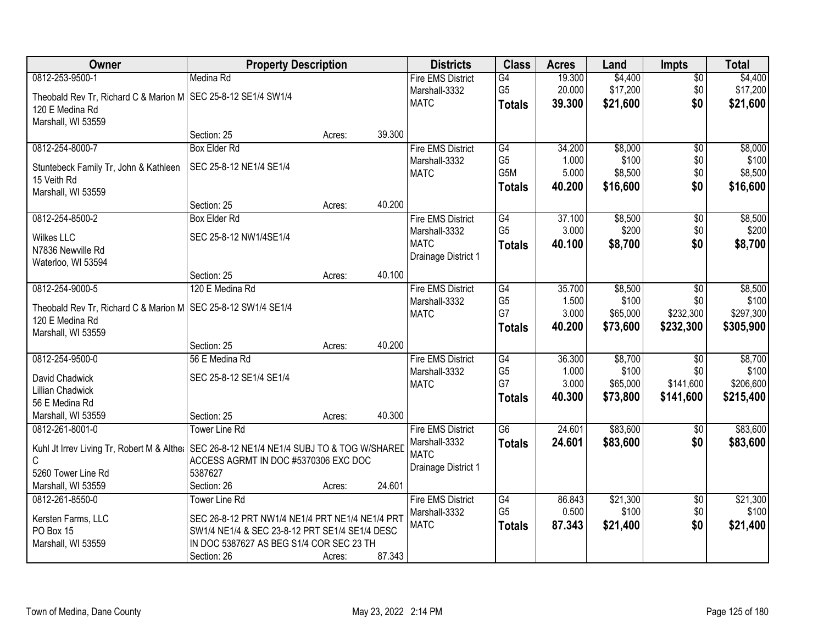| Owner                                                                                       | <b>Property Description</b>                     |        |        | <b>Districts</b>         | <b>Class</b>    | <b>Acres</b> | Land     | <b>Impts</b>    | <b>Total</b> |
|---------------------------------------------------------------------------------------------|-------------------------------------------------|--------|--------|--------------------------|-----------------|--------------|----------|-----------------|--------------|
| 0812-253-9500-1                                                                             | Medina Rd                                       |        |        | <b>Fire EMS District</b> | G4              | 19.300       | \$4,400  | $\overline{50}$ | \$4,400      |
| Theobald Rev Tr, Richard C & Marion M   SEC 25-8-12 SE1/4 SW1/4                             |                                                 |        |        | Marshall-3332            | G <sub>5</sub>  | 20.000       | \$17,200 | \$0             | \$17,200     |
| 120 E Medina Rd                                                                             |                                                 |        |        | <b>MATC</b>              | <b>Totals</b>   | 39.300       | \$21,600 | \$0             | \$21,600     |
| Marshall, WI 53559                                                                          |                                                 |        |        |                          |                 |              |          |                 |              |
|                                                                                             | Section: 25                                     | Acres: | 39.300 |                          |                 |              |          |                 |              |
| 0812-254-8000-7                                                                             | <b>Box Elder Rd</b>                             |        |        | <b>Fire EMS District</b> | G4              | 34.200       | \$8,000  | $\overline{50}$ | \$8,000      |
| Stuntebeck Family Tr, John & Kathleen                                                       | SEC 25-8-12 NE1/4 SE1/4                         |        |        | Marshall-3332            | G <sub>5</sub>  | 1.000        | \$100    | \$0             | \$100        |
| 15 Veith Rd                                                                                 |                                                 |        |        | <b>MATC</b>              | G5M             | 5.000        | \$8,500  | \$0             | \$8,500      |
| Marshall, WI 53559                                                                          |                                                 |        |        |                          | <b>Totals</b>   | 40.200       | \$16,600 | \$0             | \$16,600     |
|                                                                                             | Section: 25                                     | Acres: | 40.200 |                          |                 |              |          |                 |              |
| 0812-254-8500-2                                                                             | <b>Box Elder Rd</b>                             |        |        | <b>Fire EMS District</b> | G4              | 37.100       | \$8,500  | \$0             | \$8,500      |
| <b>Wilkes LLC</b>                                                                           | SEC 25-8-12 NW1/4SE1/4                          |        |        | Marshall-3332            | G <sub>5</sub>  | 3.000        | \$200    | \$0             | \$200        |
| N7836 Newville Rd                                                                           |                                                 |        |        | <b>MATC</b>              | <b>Totals</b>   | 40.100       | \$8,700  | \$0             | \$8,700      |
| Waterloo, WI 53594                                                                          |                                                 |        |        | Drainage District 1      |                 |              |          |                 |              |
|                                                                                             | Section: 25                                     | Acres: | 40.100 |                          |                 |              |          |                 |              |
| 0812-254-9000-5                                                                             | 120 E Medina Rd                                 |        |        | <b>Fire EMS District</b> | G4              | 35.700       | \$8,500  | \$0             | \$8,500      |
| Theobald Rev Tr, Richard C & Marion M SEC 25-8-12 SW1/4 SE1/4                               |                                                 |        |        | Marshall-3332            | G <sub>5</sub>  | 1.500        | \$100    | \$0             | \$100        |
| 120 E Medina Rd                                                                             |                                                 |        |        | <b>MATC</b>              | G7              | 3.000        | \$65,000 | \$232,300       | \$297,300    |
| Marshall, WI 53559                                                                          |                                                 |        |        |                          | <b>Totals</b>   | 40.200       | \$73,600 | \$232,300       | \$305,900    |
|                                                                                             | Section: 25                                     | Acres: | 40.200 |                          |                 |              |          |                 |              |
| 0812-254-9500-0                                                                             | 56 E Medina Rd                                  |        |        | <b>Fire EMS District</b> | G4              | 36.300       | \$8,700  | $\overline{50}$ | \$8,700      |
| David Chadwick                                                                              | SEC 25-8-12 SE1/4 SE1/4                         |        |        | Marshall-3332            | G <sub>5</sub>  | 1.000        | \$100    | \$0             | \$100        |
| Lillian Chadwick                                                                            |                                                 |        |        | <b>MATC</b>              | G7              | 3.000        | \$65,000 | \$141,600       | \$206,600    |
| 56 E Medina Rd                                                                              |                                                 |        |        |                          | <b>Totals</b>   | 40.300       | \$73,800 | \$141,600       | \$215,400    |
| Marshall, WI 53559                                                                          | Section: 25                                     | Acres: | 40.300 |                          |                 |              |          |                 |              |
| 0812-261-8001-0                                                                             | <b>Tower Line Rd</b>                            |        |        | <b>Fire EMS District</b> | $\overline{G6}$ | 24.601       | \$83,600 | \$0             | \$83,600     |
| Kuhl Jt Irrev Living Tr, Robert M & Alther   SEC 26-8-12 NE1/4 NE1/4 SUBJ TO & TOG W/SHARED |                                                 |        |        | Marshall-3332            | <b>Totals</b>   | 24.601       | \$83,600 | \$0             | \$83,600     |
| C                                                                                           | ACCESS AGRMT IN DOC #5370306 EXC DOC            |        |        | <b>MATC</b>              |                 |              |          |                 |              |
| 5260 Tower Line Rd                                                                          | 5387627                                         |        |        | Drainage District 1      |                 |              |          |                 |              |
| Marshall, WI 53559                                                                          | Section: 26                                     | Acres: | 24.601 |                          |                 |              |          |                 |              |
| 0812-261-8550-0                                                                             | <b>Tower Line Rd</b>                            |        |        | <b>Fire EMS District</b> | G4              | 86.843       | \$21,300 | $\overline{50}$ | \$21,300     |
| Kersten Farms, LLC                                                                          | SEC 26-8-12 PRT NW1/4 NE1/4 PRT NE1/4 NE1/4 PRT |        |        | Marshall-3332            | G <sub>5</sub>  | 0.500        | \$100    | \$0             | \$100        |
| PO Box 15                                                                                   | SW1/4 NE1/4 & SEC 23-8-12 PRT SE1/4 SE1/4 DESC  |        |        | <b>MATC</b>              | <b>Totals</b>   | 87.343       | \$21,400 | \$0             | \$21,400     |
| Marshall, WI 53559                                                                          | IN DOC 5387627 AS BEG S1/4 COR SEC 23 TH        |        |        |                          |                 |              |          |                 |              |
|                                                                                             | Section: 26                                     | Acres: | 87.343 |                          |                 |              |          |                 |              |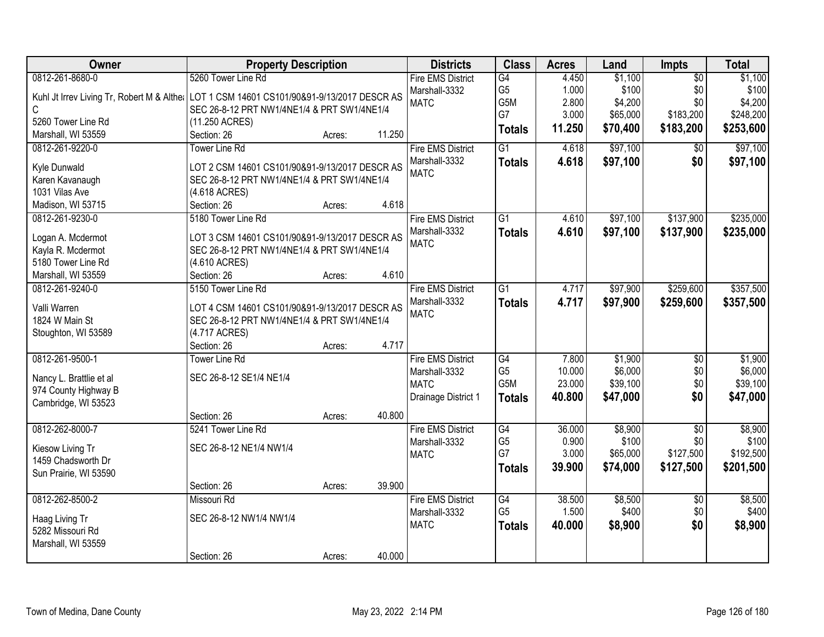| Owner                   | <b>Property Description</b>                                                               |        | <b>Districts</b>         | <b>Class</b>    | <b>Acres</b> | Land     | <b>Impts</b>    | <b>Total</b> |
|-------------------------|-------------------------------------------------------------------------------------------|--------|--------------------------|-----------------|--------------|----------|-----------------|--------------|
| 0812-261-8680-0         | 5260 Tower Line Rd                                                                        |        | <b>Fire EMS District</b> | G4              | 4.450        | \$1,100  | $\overline{50}$ | \$1,100      |
|                         | Kuhl Jt Irrev Living Tr, Robert M & Althet LOT 1 CSM 14601 CS101/90&91-9/13/2017 DESCR AS |        | Marshall-3332            | G <sub>5</sub>  | 1.000        | \$100    | \$0             | \$100        |
| C                       | SEC 26-8-12 PRT NW1/4NE1/4 & PRT SW1/4NE1/4                                               |        | <b>MATC</b>              | G5M             | 2.800        | \$4,200  | \$0             | \$4,200      |
| 5260 Tower Line Rd      | (11.250 ACRES)                                                                            |        |                          | G7              | 3.000        | \$65,000 | \$183,200       | \$248,200    |
| Marshall, WI 53559      | Section: 26<br>Acres:                                                                     | 11.250 |                          | <b>Totals</b>   | 11.250       | \$70,400 | \$183,200       | \$253,600    |
| 0812-261-9220-0         | <b>Tower Line Rd</b>                                                                      |        | <b>Fire EMS District</b> | $\overline{G1}$ | 4.618        | \$97,100 | $\overline{50}$ | \$97,100     |
|                         |                                                                                           |        | Marshall-3332            | <b>Totals</b>   | 4.618        | \$97,100 | \$0             | \$97,100     |
| Kyle Dunwald            | LOT 2 CSM 14601 CS101/90&91-9/13/2017 DESCR AS                                            |        | <b>MATC</b>              |                 |              |          |                 |              |
| Karen Kavanaugh         | SEC 26-8-12 PRT NW1/4NE1/4 & PRT SW1/4NE1/4                                               |        |                          |                 |              |          |                 |              |
| 1031 Vilas Ave          | (4.618 ACRES)                                                                             |        |                          |                 |              |          |                 |              |
| Madison, WI 53715       | Section: 26<br>Acres:                                                                     | 4.618  |                          |                 |              |          |                 |              |
| 0812-261-9230-0         | 5180 Tower Line Rd                                                                        |        | <b>Fire EMS District</b> | G1              | 4.610        | \$97,100 | \$137,900       | \$235,000    |
| Logan A. Mcdermot       | LOT 3 CSM 14601 CS101/90&91-9/13/2017 DESCR AS                                            |        | Marshall-3332            | <b>Totals</b>   | 4.610        | \$97,100 | \$137,900       | \$235,000    |
| Kayla R. Mcdermot       | SEC 26-8-12 PRT NW1/4NE1/4 & PRT SW1/4NE1/4                                               |        | <b>MATC</b>              |                 |              |          |                 |              |
| 5180 Tower Line Rd      | (4.610 ACRES)                                                                             |        |                          |                 |              |          |                 |              |
| Marshall, WI 53559      | Section: 26<br>Acres:                                                                     | 4.610  |                          |                 |              |          |                 |              |
| 0812-261-9240-0         | 5150 Tower Line Rd                                                                        |        | <b>Fire EMS District</b> | $\overline{G1}$ | 4.717        | \$97,900 | \$259,600       | \$357,500    |
|                         |                                                                                           |        | Marshall-3332            | <b>Totals</b>   | 4.717        | \$97,900 | \$259,600       | \$357,500    |
| Valli Warren            | LOT 4 CSM 14601 CS101/90&91-9/13/2017 DESCR AS                                            |        | <b>MATC</b>              |                 |              |          |                 |              |
| 1824 W Main St          | SEC 26-8-12 PRT NW1/4NE1/4 & PRT SW1/4NE1/4                                               |        |                          |                 |              |          |                 |              |
| Stoughton, WI 53589     | (4.717 ACRES)                                                                             |        |                          |                 |              |          |                 |              |
|                         | Section: 26<br>Acres:                                                                     | 4.717  |                          |                 |              |          |                 |              |
| 0812-261-9500-1         | <b>Tower Line Rd</b>                                                                      |        | <b>Fire EMS District</b> | G4              | 7.800        | \$1,900  | \$0             | \$1,900      |
| Nancy L. Brattlie et al | SEC 26-8-12 SE1/4 NE1/4                                                                   |        | Marshall-3332            | G <sub>5</sub>  | 10.000       | \$6,000  | \$0             | \$6,000      |
| 974 County Highway B    |                                                                                           |        | <b>MATC</b>              | G5M             | 23.000       | \$39,100 | \$0             | \$39,100     |
| Cambridge, WI 53523     |                                                                                           |        | Drainage District 1      | <b>Totals</b>   | 40.800       | \$47,000 | \$0             | \$47,000     |
|                         | Section: 26<br>Acres:                                                                     | 40.800 |                          |                 |              |          |                 |              |
| 0812-262-8000-7         | 5241 Tower Line Rd                                                                        |        | <b>Fire EMS District</b> | G4              | 36.000       | \$8,900  | $\overline{30}$ | \$8,900      |
| Kiesow Living Tr        | SEC 26-8-12 NE1/4 NW1/4                                                                   |        | Marshall-3332            | G <sub>5</sub>  | 0.900        | \$100    | \$0             | \$100        |
| 1459 Chadsworth Dr      |                                                                                           |        | <b>MATC</b>              | G7              | 3.000        | \$65,000 | \$127,500       | \$192,500    |
| Sun Prairie, WI 53590   |                                                                                           |        |                          | <b>Totals</b>   | 39.900       | \$74,000 | \$127,500       | \$201,500    |
|                         | Section: 26<br>Acres:                                                                     | 39.900 |                          |                 |              |          |                 |              |
| 0812-262-8500-2         | Missouri Rd                                                                               |        | <b>Fire EMS District</b> | G4              | 38.500       | \$8,500  | $\overline{50}$ | \$8,500      |
|                         |                                                                                           |        | Marshall-3332            | G <sub>5</sub>  | 1.500        | \$400    | \$0             | \$400        |
| Haag Living Tr          | SEC 26-8-12 NW1/4 NW1/4                                                                   |        | <b>MATC</b>              | <b>Totals</b>   | 40.000       | \$8,900  | \$0             | \$8,900      |
| 5282 Missouri Rd        |                                                                                           |        |                          |                 |              |          |                 |              |
| Marshall, WI 53559      |                                                                                           |        |                          |                 |              |          |                 |              |
|                         | Section: 26<br>Acres:                                                                     | 40.000 |                          |                 |              |          |                 |              |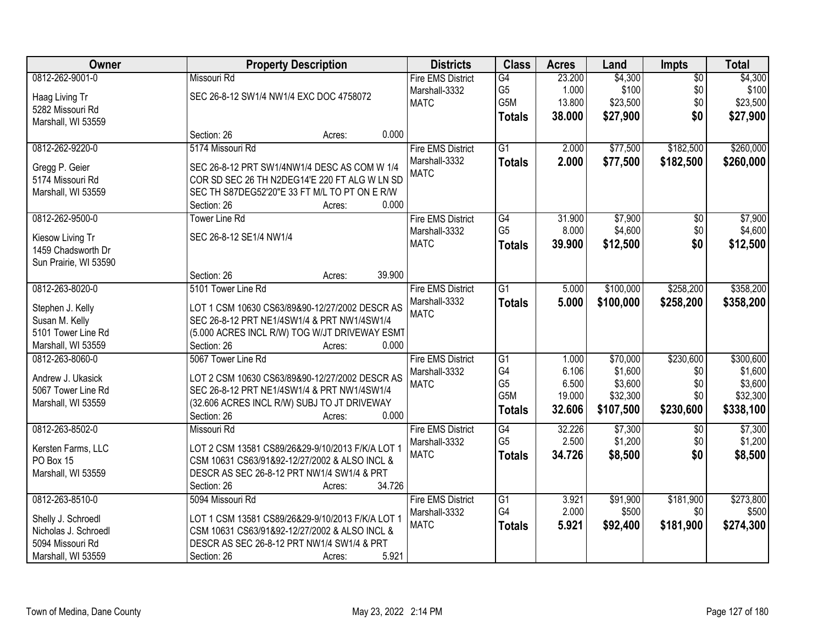| Owner                              | <b>Property Description</b>                            | <b>Districts</b>         | <b>Class</b>         | <b>Acres</b> | Land      | Impts           | <b>Total</b> |
|------------------------------------|--------------------------------------------------------|--------------------------|----------------------|--------------|-----------|-----------------|--------------|
| 0812-262-9001-0                    | Missouri Rd                                            | <b>Fire EMS District</b> | G4                   | 23.200       | \$4,300   | $\overline{50}$ | \$4,300      |
| Haag Living Tr                     | SEC 26-8-12 SW1/4 NW1/4 EXC DOC 4758072                | Marshall-3332            | G <sub>5</sub>       | 1.000        | \$100     | \$0             | \$100        |
| 5282 Missouri Rd                   |                                                        | <b>MATC</b>              | G5M                  | 13.800       | \$23,500  | \$0             | \$23,500     |
| Marshall, WI 53559                 |                                                        |                          | <b>Totals</b>        | 38.000       | \$27,900  | \$0             | \$27,900     |
|                                    | 0.000<br>Section: 26<br>Acres:                         |                          |                      |              |           |                 |              |
| 0812-262-9220-0                    | 5174 Missouri Rd                                       | <b>Fire EMS District</b> | $\overline{G1}$      | 2.000        | \$77,500  | \$182,500       | \$260,000    |
|                                    |                                                        | Marshall-3332            | <b>Totals</b>        | 2.000        | \$77,500  | \$182,500       | \$260,000    |
| Gregg P. Geier                     | SEC 26-8-12 PRT SW1/4NW1/4 DESC AS COM W 1/4           | <b>MATC</b>              |                      |              |           |                 |              |
| 5174 Missouri Rd                   | COR SD SEC 26 TH N2DEG14'E 220 FT ALG W LN SD          |                          |                      |              |           |                 |              |
| Marshall, WI 53559                 | SEC TH S87DEG52'20"E 33 FT M/L TO PT ON E R/W<br>0.000 |                          |                      |              |           |                 |              |
|                                    | Section: 26<br>Acres:                                  |                          |                      |              |           |                 |              |
| 0812-262-9500-0                    | <b>Tower Line Rd</b>                                   | <b>Fire EMS District</b> | G4<br>G <sub>5</sub> | 31.900       | \$7,900   | \$0             | \$7,900      |
| Kiesow Living Tr                   | SEC 26-8-12 SE1/4 NW1/4                                | Marshall-3332            |                      | 8.000        | \$4,600   | \$0             | \$4,600      |
| 1459 Chadsworth Dr                 |                                                        | <b>MATC</b>              | <b>Totals</b>        | 39.900       | \$12,500  | \$0             | \$12,500     |
| Sun Prairie, WI 53590              |                                                        |                          |                      |              |           |                 |              |
|                                    | 39.900<br>Section: 26<br>Acres:                        |                          |                      |              |           |                 |              |
| 0812-263-8020-0                    | 5101 Tower Line Rd                                     | <b>Fire EMS District</b> | $\overline{G1}$      | 5.000        | \$100,000 | \$258,200       | \$358,200    |
|                                    | LOT 1 CSM 10630 CS63/89&90-12/27/2002 DESCR AS         | Marshall-3332            | <b>Totals</b>        | 5.000        | \$100,000 | \$258,200       | \$358,200    |
| Stephen J. Kelly<br>Susan M. Kelly | SEC 26-8-12 PRT NE1/4SW1/4 & PRT NW1/4SW1/4            | <b>MATC</b>              |                      |              |           |                 |              |
| 5101 Tower Line Rd                 | (5.000 ACRES INCL R/W) TOG W/JT DRIVEWAY ESMT          |                          |                      |              |           |                 |              |
| Marshall, WI 53559                 | 0.000<br>Section: 26<br>Acres:                         |                          |                      |              |           |                 |              |
| 0812-263-8060-0                    | 5067 Tower Line Rd                                     | <b>Fire EMS District</b> | $\overline{G1}$      | 1.000        | \$70,000  | \$230,600       | \$300,600    |
|                                    |                                                        | Marshall-3332            | G4                   | 6.106        | \$1,600   | \$0             | \$1,600      |
| Andrew J. Ukasick                  | LOT 2 CSM 10630 CS63/89&90-12/27/2002 DESCR AS         | <b>MATC</b>              | G <sub>5</sub>       | 6.500        | \$3,600   | \$0             | \$3,600      |
| 5067 Tower Line Rd                 | SEC 26-8-12 PRT NE1/4SW1/4 & PRT NW1/4SW1/4            |                          | G5M                  | 19.000       | \$32,300  | \$0             | \$32,300     |
| Marshall, WI 53559                 | (32.606 ACRES INCL R/W) SUBJ TO JT DRIVEWAY            |                          |                      | 32.606       | \$107,500 | \$230,600       | \$338,100    |
|                                    | 0.000<br>Section: 26<br>Acres:                         |                          | <b>Totals</b>        |              |           |                 |              |
| 0812-263-8502-0                    | Missouri Rd                                            | <b>Fire EMS District</b> | G4                   | 32.226       | \$7,300   | $\sqrt{6}$      | \$7,300      |
| Kersten Farms, LLC                 | LOT 2 CSM 13581 CS89/26&29-9/10/2013 F/K/A LOT 1       | Marshall-3332            | G <sub>5</sub>       | 2.500        | \$1,200   | \$0             | \$1,200      |
| PO Box 15                          | CSM 10631 CS63/91&92-12/27/2002 & ALSO INCL &          | <b>MATC</b>              | <b>Totals</b>        | 34.726       | \$8,500   | \$0             | \$8,500      |
| Marshall, WI 53559                 | DESCR AS SEC 26-8-12 PRT NW1/4 SW1/4 & PRT             |                          |                      |              |           |                 |              |
|                                    | 34.726<br>Section: 26<br>Acres:                        |                          |                      |              |           |                 |              |
| 0812-263-8510-0                    | 5094 Missouri Rd                                       | <b>Fire EMS District</b> | G1                   | 3.921        | \$91,900  | \$181,900       | \$273,800    |
|                                    |                                                        | Marshall-3332            | G4                   | 2.000        | \$500     | \$0             | \$500        |
| Shelly J. Schroedl                 | LOT 1 CSM 13581 CS89/26&29-9/10/2013 F/K/A LOT 1       | <b>MATC</b>              | <b>Totals</b>        | 5.921        | \$92,400  | \$181,900       | \$274,300    |
| Nicholas J. Schroedl               | CSM 10631 CS63/91&92-12/27/2002 & ALSO INCL &          |                          |                      |              |           |                 |              |
| 5094 Missouri Rd                   | DESCR AS SEC 26-8-12 PRT NW1/4 SW1/4 & PRT             |                          |                      |              |           |                 |              |
| Marshall, WI 53559                 | 5.921<br>Section: 26<br>Acres:                         |                          |                      |              |           |                 |              |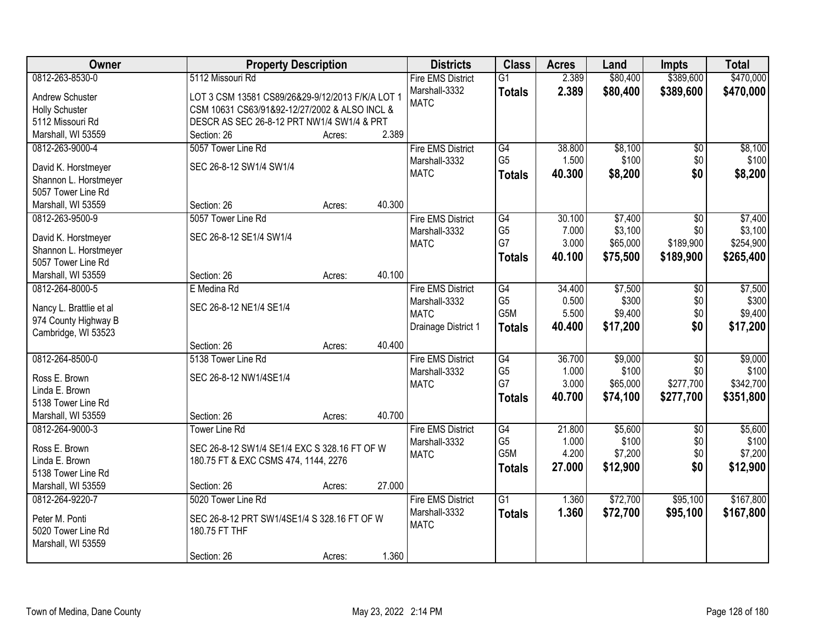| Owner                                    | <b>Property Description</b>                      |        |        | <b>Districts</b>             | <b>Class</b>         | <b>Acres</b>    | Land             | <b>Impts</b>           | <b>Total</b>     |
|------------------------------------------|--------------------------------------------------|--------|--------|------------------------------|----------------------|-----------------|------------------|------------------------|------------------|
| 0812-263-8530-0                          | 5112 Missouri Rd                                 |        |        | <b>Fire EMS District</b>     | $\overline{G1}$      | 2.389           | \$80,400         | \$389,600              | \$470,000        |
| Andrew Schuster                          | LOT 3 CSM 13581 CS89/26&29-9/12/2013 F/K/A LOT 1 |        |        | Marshall-3332                | <b>Totals</b>        | 2.389           | \$80,400         | \$389,600              | \$470,000        |
| <b>Holly Schuster</b>                    | CSM 10631 CS63/91&92-12/27/2002 & ALSO INCL &    |        |        | <b>MATC</b>                  |                      |                 |                  |                        |                  |
| 5112 Missouri Rd                         | DESCR AS SEC 26-8-12 PRT NW1/4 SW1/4 & PRT       |        |        |                              |                      |                 |                  |                        |                  |
| Marshall, WI 53559                       | Section: 26                                      | Acres: | 2.389  |                              |                      |                 |                  |                        |                  |
| 0812-263-9000-4                          | 5057 Tower Line Rd                               |        |        | <b>Fire EMS District</b>     | G4                   | 38.800          | \$8,100          | \$0                    | \$8,100          |
|                                          |                                                  |        |        | Marshall-3332                | G <sub>5</sub>       | 1.500           | \$100            | \$0                    | \$100            |
| David K. Horstmeyer                      | SEC 26-8-12 SW1/4 SW1/4                          |        |        | <b>MATC</b>                  | <b>Totals</b>        | 40.300          | \$8,200          | \$0                    | \$8,200          |
| Shannon L. Horstmeyer                    |                                                  |        |        |                              |                      |                 |                  |                        |                  |
| 5057 Tower Line Rd<br>Marshall, WI 53559 | Section: 26                                      |        | 40.300 |                              |                      |                 |                  |                        |                  |
| 0812-263-9500-9                          | 5057 Tower Line Rd                               | Acres: |        | <b>Fire EMS District</b>     | G4                   | 30.100          | \$7,400          | $\overline{50}$        | \$7,400          |
|                                          |                                                  |        |        | Marshall-3332                | G <sub>5</sub>       | 7.000           | \$3,100          | \$0                    | \$3,100          |
| David K. Horstmeyer                      | SEC 26-8-12 SE1/4 SW1/4                          |        |        | <b>MATC</b>                  | G7                   | 3.000           | \$65,000         | \$189,900              | \$254,900        |
| Shannon L. Horstmeyer                    |                                                  |        |        |                              | <b>Totals</b>        | 40.100          | \$75,500         | \$189,900              | \$265,400        |
| 5057 Tower Line Rd                       |                                                  |        |        |                              |                      |                 |                  |                        |                  |
| Marshall, WI 53559                       | Section: 26                                      | Acres: | 40.100 |                              |                      |                 |                  |                        |                  |
| 0812-264-8000-5                          | E Medina Rd                                      |        |        | <b>Fire EMS District</b>     | G4                   | 34.400          | \$7,500          | \$0                    | \$7,500          |
| Nancy L. Brattlie et al                  | SEC 26-8-12 NE1/4 SE1/4                          |        |        | Marshall-3332                | G <sub>5</sub>       | 0.500           | \$300            | \$0                    | \$300            |
| 974 County Highway B                     |                                                  |        |        | <b>MATC</b>                  | G5M                  | 5.500           | \$9,400          | \$0                    | \$9,400          |
| Cambridge, WI 53523                      |                                                  |        |        | Drainage District 1          | <b>Totals</b>        | 40.400          | \$17,200         | \$0                    | \$17,200         |
|                                          | Section: 26                                      | Acres: | 40.400 |                              |                      |                 |                  |                        |                  |
| 0812-264-8500-0                          | 5138 Tower Line Rd                               |        |        | <b>Fire EMS District</b>     | G4                   | 36.700          | \$9,000          | $\overline{50}$        | \$9,000          |
|                                          |                                                  |        |        | Marshall-3332                | G <sub>5</sub>       | 1.000           | \$100            | \$0                    | \$100            |
| Ross E. Brown                            | SEC 26-8-12 NW1/4SE1/4                           |        |        | <b>MATC</b>                  | G7                   | 3.000           | \$65,000         | \$277,700              | \$342,700        |
| Linda E. Brown                           |                                                  |        |        |                              | <b>Totals</b>        | 40.700          | \$74,100         | \$277,700              | \$351,800        |
| 5138 Tower Line Rd                       |                                                  |        |        |                              |                      |                 |                  |                        |                  |
| Marshall, WI 53559                       | Section: 26                                      | Acres: | 40.700 |                              |                      |                 |                  |                        |                  |
| 0812-264-9000-3                          | <b>Tower Line Rd</b>                             |        |        | <b>Fire EMS District</b>     | G4<br>G <sub>5</sub> | 21.800<br>1.000 | \$5,600<br>\$100 | $\overline{50}$<br>\$0 | \$5,600<br>\$100 |
| Ross E. Brown                            | SEC 26-8-12 SW1/4 SE1/4 EXC S 328.16 FT OF W     |        |        | Marshall-3332<br><b>MATC</b> | G5M                  | 4.200           | \$7,200          | \$0                    | \$7,200          |
| Linda E. Brown                           | 180.75 FT & EXC CSMS 474, 1144, 2276             |        |        |                              |                      | 27,000          | \$12,900         | \$0                    | \$12,900         |
| 5138 Tower Line Rd                       |                                                  |        |        |                              | <b>Totals</b>        |                 |                  |                        |                  |
| Marshall, WI 53559                       | Section: 26                                      | Acres: | 27.000 |                              |                      |                 |                  |                        |                  |
| 0812-264-9220-7                          | 5020 Tower Line Rd                               |        |        | <b>Fire EMS District</b>     | $\overline{G1}$      | 1.360           | \$72,700         | \$95,100               | \$167,800        |
| Peter M. Ponti                           | SEC 26-8-12 PRT SW1/4SE1/4 S 328.16 FT OF W      |        |        | Marshall-3332                | <b>Totals</b>        | 1.360           | \$72,700         | \$95,100               | \$167,800        |
| 5020 Tower Line Rd                       | 180.75 FT THF                                    |        |        | <b>MATC</b>                  |                      |                 |                  |                        |                  |
| Marshall, WI 53559                       |                                                  |        |        |                              |                      |                 |                  |                        |                  |
|                                          | Section: 26                                      | Acres: | 1.360  |                              |                      |                 |                  |                        |                  |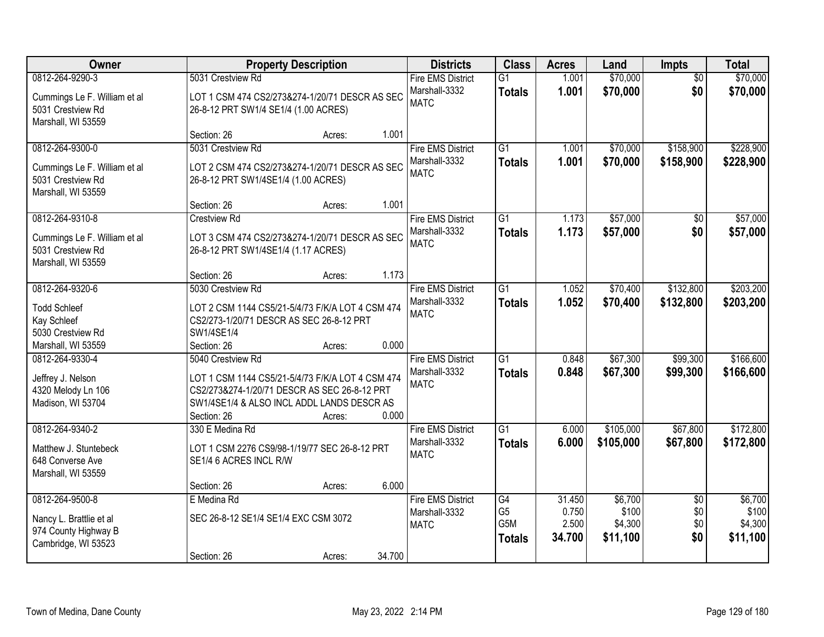| Owner                                                                                      |                                                                                                                                                                                    | <b>Property Description</b> |        |                                                          | <b>Class</b>                                              | <b>Acres</b>                       | Land                                    | Impts                                | <b>Total</b>                            |
|--------------------------------------------------------------------------------------------|------------------------------------------------------------------------------------------------------------------------------------------------------------------------------------|-----------------------------|--------|----------------------------------------------------------|-----------------------------------------------------------|------------------------------------|-----------------------------------------|--------------------------------------|-----------------------------------------|
| 0812-264-9290-3<br>Cummings Le F. William et al<br>5031 Crestview Rd<br>Marshall, WI 53559 | 5031 Crestview Rd<br>LOT 1 CSM 474 CS2/273&274-1/20/71 DESCR AS SEC<br>26-8-12 PRT SW1/4 SE1/4 (1.00 ACRES)                                                                        |                             |        | <b>Fire EMS District</b><br>Marshall-3332<br><b>MATC</b> | $\overline{G1}$<br><b>Totals</b>                          | 1.001<br>1.001                     | \$70,000<br>\$70,000                    | $\overline{50}$<br>\$0               | \$70,000<br>\$70,000                    |
|                                                                                            | Section: 26                                                                                                                                                                        | Acres:                      | 1.001  |                                                          |                                                           |                                    |                                         |                                      |                                         |
| 0812-264-9300-0<br>Cummings Le F. William et al<br>5031 Crestview Rd<br>Marshall, WI 53559 | 5031 Crestview Rd<br>LOT 2 CSM 474 CS2/273&274-1/20/71 DESCR AS SEC<br>26-8-12 PRT SW1/4SE1/4 (1.00 ACRES)                                                                         |                             |        | <b>Fire EMS District</b><br>Marshall-3332<br><b>MATC</b> | $\overline{G1}$<br><b>Totals</b>                          | 1.001<br>1.001                     | \$70,000<br>\$70,000                    | \$158,900<br>\$158,900               | \$228,900<br>\$228,900                  |
|                                                                                            | Section: 26                                                                                                                                                                        | Acres:                      | 1.001  |                                                          |                                                           |                                    |                                         |                                      |                                         |
| 0812-264-9310-8<br>Cummings Le F. William et al<br>5031 Crestview Rd<br>Marshall, WI 53559 | <b>Crestview Rd</b><br>LOT 3 CSM 474 CS2/273&274-1/20/71 DESCR AS SEC<br>26-8-12 PRT SW1/4SE1/4 (1.17 ACRES)                                                                       |                             |        | <b>Fire EMS District</b><br>Marshall-3332<br><b>MATC</b> | G1<br><b>Totals</b>                                       | 1.173<br>1.173                     | \$57,000<br>\$57,000                    | \$0<br>\$0                           | \$57,000<br>\$57,000                    |
|                                                                                            | Section: 26                                                                                                                                                                        | Acres:                      | 1.173  |                                                          |                                                           |                                    |                                         |                                      |                                         |
| 0812-264-9320-6<br><b>Todd Schleef</b><br>Kay Schleef<br>5030 Crestview Rd                 | 5030 Crestview Rd<br>LOT 2 CSM 1144 CS5/21-5/4/73 F/K/A LOT 4 CSM 474<br>CS2/273-1/20/71 DESCR AS SEC 26-8-12 PRT<br>SW1/4SE1/4                                                    |                             |        | <b>Fire EMS District</b><br>Marshall-3332<br><b>MATC</b> | G1<br><b>Totals</b>                                       | 1.052<br>1.052                     | \$70,400<br>\$70,400                    | \$132,800<br>\$132,800               | \$203,200<br>\$203,200                  |
| Marshall, WI 53559                                                                         | Section: 26                                                                                                                                                                        | Acres:                      | 0.000  |                                                          |                                                           |                                    |                                         |                                      |                                         |
| 0812-264-9330-4<br>Jeffrey J. Nelson<br>4320 Melody Ln 106<br>Madison, WI 53704            | 5040 Crestview Rd<br>LOT 1 CSM 1144 CS5/21-5/4/73 F/K/A LOT 4 CSM 474<br>CS2/273&274-1/20/71 DESCR AS SEC 26-8-12 PRT<br>SW1/4SE1/4 & ALSO INCL ADDL LANDS DESCR AS<br>Section: 26 | Acres:                      | 0.000  | <b>Fire EMS District</b><br>Marshall-3332<br><b>MATC</b> | $\overline{G1}$<br><b>Totals</b>                          | 0.848<br>0.848                     | \$67,300<br>\$67,300                    | \$99,300<br>\$99,300                 | \$166,600<br>\$166,600                  |
| 0812-264-9340-2<br>Matthew J. Stuntebeck<br>648 Converse Ave<br>Marshall, WI 53559         | 330 E Medina Rd<br>LOT 1 CSM 2276 CS9/98-1/19/77 SEC 26-8-12 PRT<br>SE1/4 6 ACRES INCL R/W<br>Section: 26                                                                          | Acres:                      | 6.000  | <b>Fire EMS District</b><br>Marshall-3332<br><b>MATC</b> | $\overline{G1}$<br><b>Totals</b>                          | 6.000<br>6.000                     | \$105,000<br>\$105,000                  | \$67,800<br>\$67,800                 | \$172,800<br>\$172,800                  |
| 0812-264-9500-8<br>Nancy L. Brattlie et al<br>974 County Highway B<br>Cambridge, WI 53523  | E Medina Rd<br>SEC 26-8-12 SE1/4 SE1/4 EXC CSM 3072<br>Section: 26                                                                                                                 | Acres:                      | 34.700 | <b>Fire EMS District</b><br>Marshall-3332<br><b>MATC</b> | $\overline{G4}$<br>G <sub>5</sub><br>G5M<br><b>Totals</b> | 31.450<br>0.750<br>2.500<br>34.700 | \$6,700<br>\$100<br>\$4,300<br>\$11,100 | $\overline{50}$<br>\$0<br>\$0<br>\$0 | \$6,700<br>\$100<br>\$4,300<br>\$11,100 |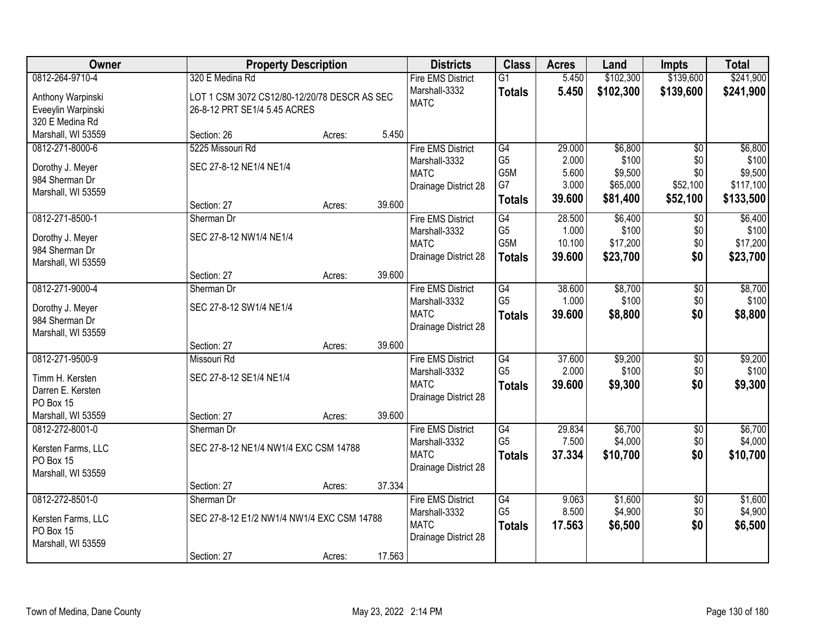| Owner              | <b>Property Description</b>                  |        |        | <b>Districts</b>         | <b>Class</b>    | <b>Acres</b> | Land      | <b>Impts</b>    | <b>Total</b> |
|--------------------|----------------------------------------------|--------|--------|--------------------------|-----------------|--------------|-----------|-----------------|--------------|
| 0812-264-9710-4    | 320 E Medina Rd                              |        |        | <b>Fire EMS District</b> | $\overline{G1}$ | 5.450        | \$102,300 | \$139,600       | \$241,900    |
| Anthony Warpinski  | LOT 1 CSM 3072 CS12/80-12/20/78 DESCR AS SEC |        |        | Marshall-3332            | <b>Totals</b>   | 5.450        | \$102,300 | \$139,600       | \$241,900    |
| Eveeylin Warpinski | 26-8-12 PRT SE1/4 5.45 ACRES                 |        |        | <b>MATC</b>              |                 |              |           |                 |              |
| 320 E Medina Rd    |                                              |        |        |                          |                 |              |           |                 |              |
| Marshall, WI 53559 | Section: 26                                  | Acres: | 5.450  |                          |                 |              |           |                 |              |
| 0812-271-8000-6    | 5225 Missouri Rd                             |        |        | <b>Fire EMS District</b> | G4              | 29.000       | \$6,800   | $\overline{50}$ | \$6,800      |
| Dorothy J. Meyer   | SEC 27-8-12 NE1/4 NE1/4                      |        |        | Marshall-3332            | G <sub>5</sub>  | 2.000        | \$100     | \$0             | \$100        |
| 984 Sherman Dr     |                                              |        |        | <b>MATC</b>              | G5M             | 5.600        | \$9,500   | \$0             | \$9,500      |
| Marshall, WI 53559 |                                              |        |        | Drainage District 28     | G7              | 3.000        | \$65,000  | \$52,100        | \$117,100    |
|                    | Section: 27                                  | Acres: | 39.600 |                          | <b>Totals</b>   | 39.600       | \$81,400  | \$52,100        | \$133,500    |
| 0812-271-8500-1    | Sherman Dr                                   |        |        | <b>Fire EMS District</b> | G4              | 28.500       | \$6,400   | $\sqrt[6]{}$    | \$6,400      |
| Dorothy J. Meyer   | SEC 27-8-12 NW1/4 NE1/4                      |        |        | Marshall-3332            | G <sub>5</sub>  | 1.000        | \$100     | \$0             | \$100        |
| 984 Sherman Dr     |                                              |        |        | <b>MATC</b>              | G5M             | 10.100       | \$17,200  | \$0             | \$17,200     |
| Marshall, WI 53559 |                                              |        |        | Drainage District 28     | <b>Totals</b>   | 39.600       | \$23,700  | \$0             | \$23,700     |
|                    | Section: 27                                  | Acres: | 39.600 |                          |                 |              |           |                 |              |
| 0812-271-9000-4    | Sherman Dr                                   |        |        | <b>Fire EMS District</b> | $\overline{G4}$ | 38.600       | \$8,700   | \$0             | \$8,700      |
| Dorothy J. Meyer   | SEC 27-8-12 SW1/4 NE1/4                      |        |        | Marshall-3332            | G <sub>5</sub>  | 1.000        | \$100     | \$0             | \$100        |
| 984 Sherman Dr     |                                              |        |        | <b>MATC</b>              | <b>Totals</b>   | 39.600       | \$8,800   | \$0             | \$8,800      |
| Marshall, WI 53559 |                                              |        |        | Drainage District 28     |                 |              |           |                 |              |
|                    | Section: 27                                  | Acres: | 39.600 |                          |                 |              |           |                 |              |
| 0812-271-9500-9    | Missouri Rd                                  |        |        | <b>Fire EMS District</b> | $\overline{G4}$ | 37.600       | \$9,200   | \$0             | \$9,200      |
| Timm H. Kersten    | SEC 27-8-12 SE1/4 NE1/4                      |        |        | Marshall-3332            | G <sub>5</sub>  | 2.000        | \$100     | \$0             | \$100        |
| Darren E. Kersten  |                                              |        |        | <b>MATC</b>              | <b>Totals</b>   | 39.600       | \$9,300   | \$0             | \$9,300      |
| PO Box 15          |                                              |        |        | Drainage District 28     |                 |              |           |                 |              |
| Marshall, WI 53559 | Section: 27                                  | Acres: | 39.600 |                          |                 |              |           |                 |              |
| 0812-272-8001-0    | Sherman Dr                                   |        |        | <b>Fire EMS District</b> | G4              | 29.834       | \$6,700   | $\overline{50}$ | \$6,700      |
| Kersten Farms, LLC | SEC 27-8-12 NE1/4 NW1/4 EXC CSM 14788        |        |        | Marshall-3332            | G <sub>5</sub>  | 7.500        | \$4,000   | \$0             | \$4,000      |
| PO Box 15          |                                              |        |        | <b>MATC</b>              | <b>Totals</b>   | 37.334       | \$10,700  | \$0             | \$10,700     |
| Marshall, WI 53559 |                                              |        |        | Drainage District 28     |                 |              |           |                 |              |
|                    | Section: 27                                  | Acres: | 37.334 |                          |                 |              |           |                 |              |
| 0812-272-8501-0    | Sherman Dr                                   |        |        | <b>Fire EMS District</b> | $\overline{G4}$ | 9.063        | \$1,600   | $\overline{50}$ | \$1,600      |
| Kersten Farms, LLC | SEC 27-8-12 E1/2 NW1/4 NW1/4 EXC CSM 14788   |        |        | Marshall-3332            | G <sub>5</sub>  | 8.500        | \$4,900   | \$0             | \$4,900      |
| PO Box 15          |                                              |        |        | <b>MATC</b>              | <b>Totals</b>   | 17.563       | \$6,500   | \$0             | \$6,500      |
| Marshall, WI 53559 |                                              |        |        | Drainage District 28     |                 |              |           |                 |              |
|                    | Section: 27                                  | Acres: | 17.563 |                          |                 |              |           |                 |              |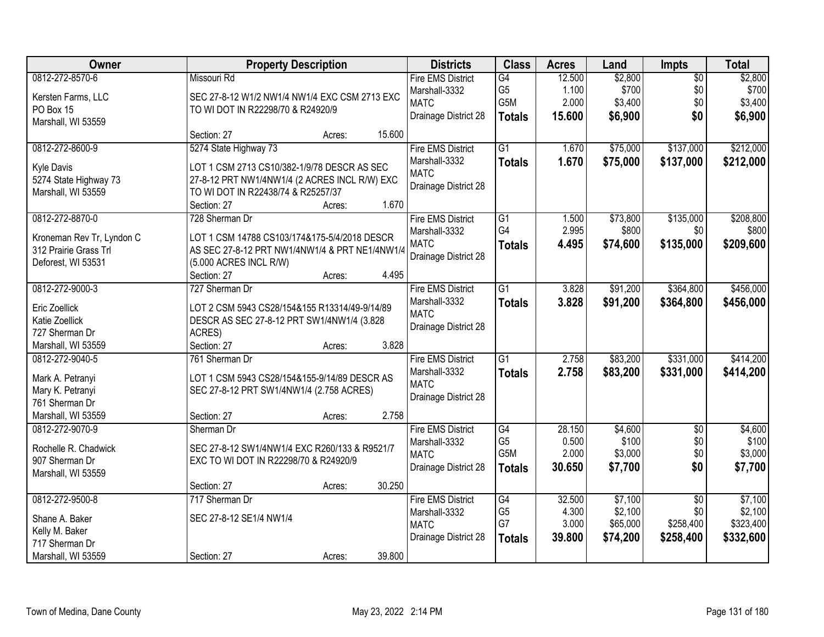| Owner                                       | <b>Property Description</b>                                                         |        |        | <b>Districts</b>         | <b>Class</b>    | <b>Acres</b> | Land     | Impts           | <b>Total</b> |
|---------------------------------------------|-------------------------------------------------------------------------------------|--------|--------|--------------------------|-----------------|--------------|----------|-----------------|--------------|
| 0812-272-8570-6                             | Missouri Rd                                                                         |        |        | <b>Fire EMS District</b> | G4              | 12.500       | \$2,800  | $\overline{50}$ | \$2,800      |
| Kersten Farms, LLC                          | SEC 27-8-12 W1/2 NW1/4 NW1/4 EXC CSM 2713 EXC                                       |        |        | Marshall-3332            | G <sub>5</sub>  | 1.100        | \$700    | \$0             | \$700        |
| PO Box 15                                   | TO WI DOT IN R22298/70 & R24920/9                                                   |        |        | <b>MATC</b>              | G5M             | 2.000        | \$3,400  | \$0             | \$3,400      |
| Marshall, WI 53559                          |                                                                                     |        |        | Drainage District 28     | <b>Totals</b>   | 15.600       | \$6,900  | \$0             | \$6,900      |
|                                             | Section: 27                                                                         | Acres: | 15.600 |                          |                 |              |          |                 |              |
| 0812-272-8600-9                             | 5274 State Highway 73                                                               |        |        | <b>Fire EMS District</b> | $\overline{G1}$ | 1.670        | \$75,000 | \$137,000       | \$212,000    |
|                                             | LOT 1 CSM 2713 CS10/382-1/9/78 DESCR AS SEC                                         |        |        | Marshall-3332            | <b>Totals</b>   | 1.670        | \$75,000 | \$137,000       | \$212,000    |
| <b>Kyle Davis</b>                           |                                                                                     |        |        | <b>MATC</b>              |                 |              |          |                 |              |
| 5274 State Highway 73<br>Marshall, WI 53559 | 27-8-12 PRT NW1/4NW1/4 (2 ACRES INCL R/W) EXC<br>TO WI DOT IN R22438/74 & R25257/37 |        |        | Drainage District 28     |                 |              |          |                 |              |
|                                             | Section: 27                                                                         | Acres: | 1.670  |                          |                 |              |          |                 |              |
| 0812-272-8870-0                             | 728 Sherman Dr                                                                      |        |        | <b>Fire EMS District</b> | G1              | 1.500        | \$73,800 | \$135,000       | \$208,800    |
|                                             |                                                                                     |        |        | Marshall-3332            | G4              | 2.995        | \$800    | \$0             | \$800        |
| Kroneman Rev Tr, Lyndon C                   | LOT 1 CSM 14788 CS103/174&175-5/4/2018 DESCR                                        |        |        | <b>MATC</b>              |                 |              |          |                 |              |
| 312 Prairie Grass Trl                       | AS SEC 27-8-12 PRT NW1/4NW1/4 & PRT NE1/4NW1/4                                      |        |        | Drainage District 28     | <b>Totals</b>   | 4.495        | \$74,600 | \$135,000       | \$209,600    |
| Deforest, WI 53531                          | (5.000 ACRES INCL R/W)                                                              |        |        |                          |                 |              |          |                 |              |
|                                             | Section: 27                                                                         | Acres: | 4.495  |                          |                 |              |          |                 |              |
| 0812-272-9000-3                             | 727 Sherman Dr                                                                      |        |        | <b>Fire EMS District</b> | $\overline{G1}$ | 3.828        | \$91,200 | \$364,800       | \$456,000    |
| Eric Zoellick                               | LOT 2 CSM 5943 CS28/154&155 R13314/49-9/14/89                                       |        |        | Marshall-3332            | <b>Totals</b>   | 3.828        | \$91,200 | \$364,800       | \$456,000    |
| Katie Zoellick                              |                                                                                     |        |        | <b>MATC</b>              |                 |              |          |                 |              |
| 727 Sherman Dr                              | DESCR AS SEC 27-8-12 PRT SW1/4NW1/4 (3.828<br>ACRES)                                |        |        | Drainage District 28     |                 |              |          |                 |              |
| Marshall, WI 53559                          | Section: 27                                                                         |        | 3.828  |                          |                 |              |          |                 |              |
| 0812-272-9040-5                             | 761 Sherman Dr                                                                      | Acres: |        | <b>Fire EMS District</b> | $\overline{G1}$ | 2.758        | \$83,200 | \$331,000       | \$414,200    |
|                                             |                                                                                     |        |        | Marshall-3332            |                 |              |          |                 |              |
| Mark A. Petranyi                            | LOT 1 CSM 5943 CS28/154&155-9/14/89 DESCR AS                                        |        |        | <b>MATC</b>              | <b>Totals</b>   | 2.758        | \$83,200 | \$331,000       | \$414,200    |
| Mary K. Petranyi                            | SEC 27-8-12 PRT SW1/4NW1/4 (2.758 ACRES)                                            |        |        | Drainage District 28     |                 |              |          |                 |              |
| 761 Sherman Dr                              |                                                                                     |        |        |                          |                 |              |          |                 |              |
| Marshall, WI 53559                          | Section: 27                                                                         | Acres: | 2.758  |                          |                 |              |          |                 |              |
| 0812-272-9070-9                             | Sherman Dr                                                                          |        |        | <b>Fire EMS District</b> | G4              | 28.150       | \$4,600  | $\overline{50}$ | \$4,600      |
| Rochelle R. Chadwick                        | SEC 27-8-12 SW1/4NW1/4 EXC R260/133 & R9521/7                                       |        |        | Marshall-3332            | G <sub>5</sub>  | 0.500        | \$100    | \$0             | \$100        |
| 907 Sherman Dr                              | EXC TO WI DOT IN R22298/70 & R24920/9                                               |        |        | <b>MATC</b>              | G5M             | 2.000        | \$3,000  | \$0             | \$3,000      |
| Marshall, WI 53559                          |                                                                                     |        |        | Drainage District 28     | <b>Totals</b>   | 30.650       | \$7,700  | \$0             | \$7,700      |
|                                             | Section: 27                                                                         | Acres: | 30.250 |                          |                 |              |          |                 |              |
| 0812-272-9500-8                             | 717 Sherman Dr                                                                      |        |        | <b>Fire EMS District</b> | G4              | 32.500       | \$7,100  | $\overline{50}$ | \$7,100      |
|                                             |                                                                                     |        |        | Marshall-3332            | G <sub>5</sub>  | 4.300        | \$2,100  | \$0             | \$2,100      |
| Shane A. Baker                              | SEC 27-8-12 SE1/4 NW1/4                                                             |        |        | <b>MATC</b>              | G7              | 3.000        | \$65,000 | \$258,400       | \$323,400    |
| Kelly M. Baker                              |                                                                                     |        |        | Drainage District 28     | <b>Totals</b>   | 39.800       | \$74,200 | \$258,400       | \$332,600    |
| 717 Sherman Dr                              |                                                                                     |        |        |                          |                 |              |          |                 |              |
| Marshall, WI 53559                          | Section: 27                                                                         | Acres: | 39.800 |                          |                 |              |          |                 |              |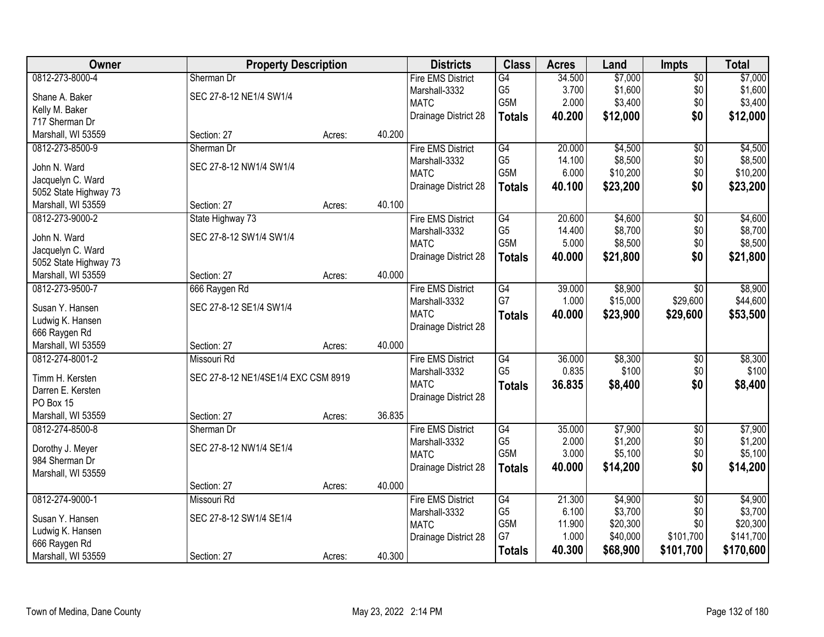| Owner                 | <b>Property Description</b>         |        |        | <b>Districts</b>         | <b>Class</b>                       | <b>Acres</b>   | Land               | <b>Impts</b>    | <b>Total</b> |
|-----------------------|-------------------------------------|--------|--------|--------------------------|------------------------------------|----------------|--------------------|-----------------|--------------|
| 0812-273-8000-4       | Sherman Dr                          |        |        | <b>Fire EMS District</b> | G4                                 | 34.500         | \$7,000            | $\overline{$0}$ | \$7,000      |
| Shane A. Baker        | SEC 27-8-12 NE1/4 SW1/4             |        |        | Marshall-3332            | G <sub>5</sub>                     | 3.700          | \$1,600            | \$0             | \$1,600      |
| Kelly M. Baker        |                                     |        |        | <b>MATC</b>              | G5M                                | 2.000          | \$3,400            | \$0             | \$3,400      |
| 717 Sherman Dr        |                                     |        |        | Drainage District 28     | <b>Totals</b>                      | 40.200         | \$12,000           | \$0             | \$12,000     |
| Marshall, WI 53559    | Section: 27                         | Acres: | 40.200 |                          |                                    |                |                    |                 |              |
| 0812-273-8500-9       | Sherman Dr                          |        |        | <b>Fire EMS District</b> | G4                                 | 20.000         | \$4,500            | $\overline{50}$ | \$4,500      |
|                       |                                     |        |        | Marshall-3332            | G <sub>5</sub>                     | 14.100         | \$8,500            | \$0             | \$8,500      |
| John N. Ward          | SEC 27-8-12 NW1/4 SW1/4             |        |        | <b>MATC</b>              | G5M                                | 6.000          | \$10,200           | \$0             | \$10,200     |
| Jacquelyn C. Ward     |                                     |        |        |                          |                                    |                |                    |                 |              |
| 5052 State Highway 73 |                                     |        |        | Drainage District 28     | <b>Totals</b>                      | 40.100         | \$23,200           | \$0             | \$23,200     |
| Marshall, WI 53559    | Section: 27                         | Acres: | 40.100 |                          |                                    |                |                    |                 |              |
| 0812-273-9000-2       | State Highway 73                    |        |        | <b>Fire EMS District</b> | G4                                 | 20.600         | \$4,600            | $\overline{50}$ | \$4,600      |
|                       |                                     |        |        | Marshall-3332            | G <sub>5</sub>                     | 14.400         | \$8,700            | \$0             | \$8,700      |
| John N. Ward          | SEC 27-8-12 SW1/4 SW1/4             |        |        | <b>MATC</b>              | G <sub>5</sub> M                   | 5.000          | \$8,500            | \$0             | \$8,500      |
| Jacquelyn C. Ward     |                                     |        |        | Drainage District 28     | <b>Totals</b>                      | 40.000         | \$21,800           | \$0             | \$21,800     |
| 5052 State Highway 73 |                                     |        | 40.000 |                          |                                    |                |                    |                 |              |
| Marshall, WI 53559    | Section: 27                         | Acres: |        |                          |                                    |                |                    |                 |              |
| 0812-273-9500-7       | 666 Raygen Rd                       |        |        | <b>Fire EMS District</b> | G4                                 | 39.000         | \$8,900            | \$0             | \$8,900      |
| Susan Y. Hansen       | SEC 27-8-12 SE1/4 SW1/4             |        |        | Marshall-3332            | G7                                 | 1.000          | \$15,000           | \$29,600        | \$44,600     |
| Ludwig K. Hansen      |                                     |        |        | <b>MATC</b>              | <b>Totals</b>                      | 40.000         | \$23,900           | \$29,600        | \$53,500     |
| 666 Raygen Rd         |                                     |        |        | Drainage District 28     |                                    |                |                    |                 |              |
| Marshall, WI 53559    | Section: 27                         | Acres: | 40.000 |                          |                                    |                |                    |                 |              |
| 0812-274-8001-2       | Missouri Rd                         |        |        | <b>Fire EMS District</b> | G4                                 | 36.000         | \$8,300            | \$0             | \$8,300      |
|                       |                                     |        |        | Marshall-3332            | G <sub>5</sub>                     | 0.835          | \$100              | \$0             | \$100        |
| Timm H. Kersten       | SEC 27-8-12 NE1/4SE1/4 EXC CSM 8919 |        |        | <b>MATC</b>              | <b>Totals</b>                      | 36.835         | \$8,400            | \$0             | \$8,400      |
| Darren E. Kersten     |                                     |        |        | Drainage District 28     |                                    |                |                    |                 |              |
| PO Box 15             |                                     |        | 36.835 |                          |                                    |                |                    |                 |              |
| Marshall, WI 53559    | Section: 27                         | Acres: |        |                          |                                    |                |                    |                 |              |
| 0812-274-8500-8       | Sherman Dr                          |        |        | <b>Fire EMS District</b> | $\overline{G4}$                    | 35.000         | \$7,900            | $\overline{50}$ | \$7,900      |
| Dorothy J. Meyer      | SEC 27-8-12 NW1/4 SE1/4             |        |        | Marshall-3332            | G <sub>5</sub><br>G <sub>5</sub> M | 2.000<br>3.000 | \$1,200<br>\$5,100 | \$0             | \$1,200      |
| 984 Sherman Dr        |                                     |        |        | <b>MATC</b>              |                                    |                |                    | \$0             | \$5,100      |
| Marshall, WI 53559    |                                     |        |        | Drainage District 28     | <b>Totals</b>                      | 40.000         | \$14,200           | \$0             | \$14,200     |
|                       | Section: 27                         | Acres: | 40.000 |                          |                                    |                |                    |                 |              |
| 0812-274-9000-1       | <b>Missouri Rd</b>                  |        |        | <b>Fire EMS District</b> | G4                                 | 21.300         | \$4,900            | $\overline{50}$ | \$4,900      |
|                       | SEC 27-8-12 SW1/4 SE1/4             |        |        | Marshall-3332            | G <sub>5</sub>                     | 6.100          | \$3,700            | \$0             | \$3,700      |
| Susan Y. Hansen       |                                     |        |        | <b>MATC</b>              | G5M                                | 11.900         | \$20,300           | \$0             | \$20,300     |
| Ludwig K. Hansen      |                                     |        |        | Drainage District 28     | G7                                 | 1.000          | \$40,000           | \$101,700       | \$141,700    |
| 666 Raygen Rd         |                                     |        |        |                          | <b>Totals</b>                      | 40.300         | \$68,900           | \$101,700       | \$170,600    |
| Marshall, WI 53559    | Section: 27                         | Acres: | 40.300 |                          |                                    |                |                    |                 |              |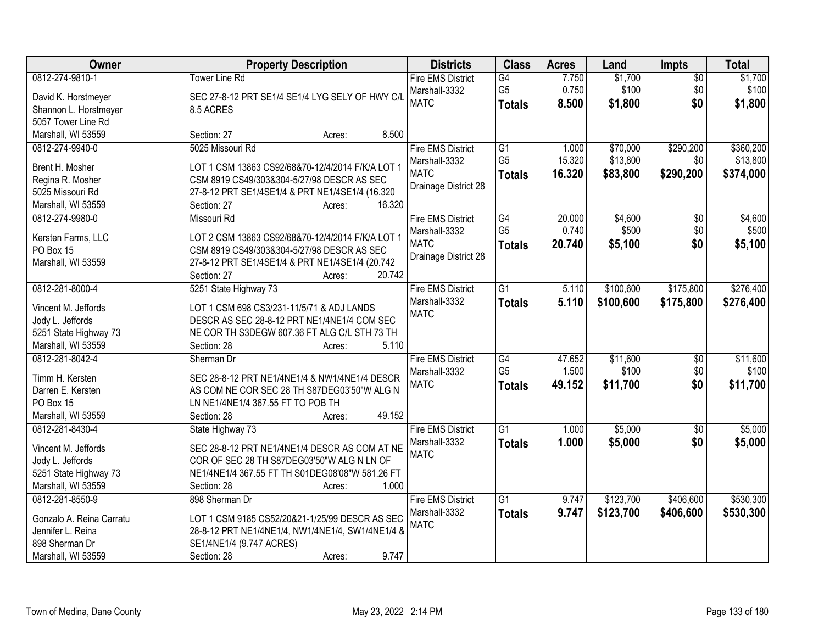| Owner                                       | <b>Property Description</b>                                                              | <b>Districts</b>             | <b>Class</b>    | <b>Acres</b> | Land      | Impts           | <b>Total</b> |
|---------------------------------------------|------------------------------------------------------------------------------------------|------------------------------|-----------------|--------------|-----------|-----------------|--------------|
| 0812-274-9810-1                             | Tower Line Rd                                                                            | <b>Fire EMS District</b>     | G4              | 7.750        | \$1,700   | $\overline{50}$ | \$1,700      |
| David K. Horstmeyer                         | SEC 27-8-12 PRT SE1/4 SE1/4 LYG SELY OF HWY C/L                                          | Marshall-3332                | G <sub>5</sub>  | 0.750        | \$100     | \$0             | \$100        |
| Shannon L. Horstmeyer                       | 8.5 ACRES                                                                                | <b>MATC</b>                  | <b>Totals</b>   | 8.500        | \$1,800   | \$0             | \$1,800      |
| 5057 Tower Line Rd                          |                                                                                          |                              |                 |              |           |                 |              |
| Marshall, WI 53559                          | 8.500<br>Section: 27<br>Acres:                                                           |                              |                 |              |           |                 |              |
| 0812-274-9940-0                             | 5025 Missouri Rd                                                                         | <b>Fire EMS District</b>     | $\overline{G1}$ | 1.000        | \$70,000  | \$290,200       | \$360,200    |
|                                             |                                                                                          | Marshall-3332                | G <sub>5</sub>  | 15.320       | \$13,800  | \$0             | \$13,800     |
| Brent H. Mosher                             | LOT 1 CSM 13863 CS92/68&70-12/4/2014 F/K/A LOT 1                                         | <b>MATC</b>                  | <b>Totals</b>   | 16.320       | \$83,800  | \$290,200       | \$374,000    |
| Regina R. Mosher                            | CSM 8919 CS49/303&304-5/27/98 DESCR AS SEC                                               | Drainage District 28         |                 |              |           |                 |              |
| 5025 Missouri Rd                            | 27-8-12 PRT SE1/4SE1/4 & PRT NE1/4SE1/4 (16.320                                          |                              |                 |              |           |                 |              |
| Marshall, WI 53559                          | 16.320<br>Section: 27<br>Acres:                                                          |                              |                 |              |           |                 |              |
| 0812-274-9980-0                             | Missouri Rd                                                                              | <b>Fire EMS District</b>     | $\overline{G4}$ | 20.000       | \$4,600   | $\overline{50}$ | \$4,600      |
| Kersten Farms, LLC                          | LOT 2 CSM 13863 CS92/68&70-12/4/2014 F/K/A LOT 1                                         | Marshall-3332                | G <sub>5</sub>  | 0.740        | \$500     | \$0             | \$500        |
| PO Box 15                                   | CSM 8919 CS49/303&304-5/27/98 DESCR AS SEC                                               | <b>MATC</b>                  | <b>Totals</b>   | 20.740       | \$5,100   | \$0             | \$5,100      |
| Marshall, WI 53559                          | 27-8-12 PRT SE1/4SE1/4 & PRT NE1/4SE1/4 (20.742                                          | Drainage District 28         |                 |              |           |                 |              |
|                                             | 20.742<br>Section: 27<br>Acres:                                                          |                              |                 |              |           |                 |              |
| 0812-281-8000-4                             | 5251 State Highway 73                                                                    | <b>Fire EMS District</b>     | $\overline{G1}$ | 5.110        | \$100,600 | \$175,800       | \$276,400    |
|                                             |                                                                                          | Marshall-3332                | <b>Totals</b>   | 5.110        | \$100,600 | \$175,800       | \$276,400    |
| Vincent M. Jeffords                         | LOT 1 CSM 698 CS3/231-11/5/71 & ADJ LANDS<br>DESCR AS SEC 28-8-12 PRT NE1/4NE1/4 COM SEC | <b>MATC</b>                  |                 |              |           |                 |              |
| Jody L. Jeffords                            |                                                                                          |                              |                 |              |           |                 |              |
| 5251 State Highway 73<br>Marshall, WI 53559 | NE COR TH S3DEGW 607.36 FT ALG C/L STH 73 TH<br>Section: 28<br>5.110                     |                              |                 |              |           |                 |              |
| 0812-281-8042-4                             | Acres:<br>Sherman Dr                                                                     |                              | $\overline{G4}$ | 47.652       | \$11,600  | $\overline{50}$ | \$11,600     |
|                                             |                                                                                          | <b>Fire EMS District</b>     | G <sub>5</sub>  | 1.500        | \$100     | \$0             | \$100        |
| Timm H. Kersten                             | SEC 28-8-12 PRT NE1/4NE1/4 & NW1/4NE1/4 DESCR                                            | Marshall-3332<br><b>MATC</b> |                 |              |           | \$0             |              |
| Darren E. Kersten                           | AS COM NE COR SEC 28 TH S87DEG03'50"W ALG N                                              |                              | <b>Totals</b>   | 49.152       | \$11,700  |                 | \$11,700     |
| PO Box 15                                   | LN NE1/4NE1/4 367.55 FT TO POB TH                                                        |                              |                 |              |           |                 |              |
| Marshall, WI 53559                          | 49.152<br>Section: 28<br>Acres:                                                          |                              |                 |              |           |                 |              |
| 0812-281-8430-4                             | State Highway 73                                                                         | <b>Fire EMS District</b>     | $\overline{G1}$ | 1.000        | \$5,000   | $\overline{50}$ | \$5,000      |
| Vincent M. Jeffords                         | SEC 28-8-12 PRT NE1/4NE1/4 DESCR AS COM AT NE                                            | Marshall-3332                | <b>Totals</b>   | 1.000        | \$5,000   | \$0             | \$5,000      |
| Jody L. Jeffords                            | COR OF SEC 28 TH S87DEG03'50"W ALG N LN OF                                               | <b>MATC</b>                  |                 |              |           |                 |              |
| 5251 State Highway 73                       | NE1/4NE1/4 367.55 FT TH S01DEG08'08"W 581.26 FT                                          |                              |                 |              |           |                 |              |
| Marshall, WI 53559                          | 1.000<br>Section: 28<br>Acres:                                                           |                              |                 |              |           |                 |              |
| 0812-281-8550-9                             | 898 Sherman Dr                                                                           | <b>Fire EMS District</b>     | $\overline{G1}$ | 9.747        | \$123,700 | \$406,600       | \$530,300    |
|                                             |                                                                                          | Marshall-3332                | <b>Totals</b>   | 9.747        | \$123,700 | \$406,600       | \$530,300    |
| Gonzalo A. Reina Carratu                    | LOT 1 CSM 9185 CS52/20&21-1/25/99 DESCR AS SEC                                           | <b>MATC</b>                  |                 |              |           |                 |              |
| Jennifer L. Reina                           | 28-8-12 PRT NE1/4NE1/4, NW1/4NE1/4, SW1/4NE1/4 &                                         |                              |                 |              |           |                 |              |
| 898 Sherman Dr                              | SE1/4NE1/4 (9.747 ACRES)                                                                 |                              |                 |              |           |                 |              |
| Marshall, WI 53559                          | 9.747<br>Section: 28<br>Acres:                                                           |                              |                 |              |           |                 |              |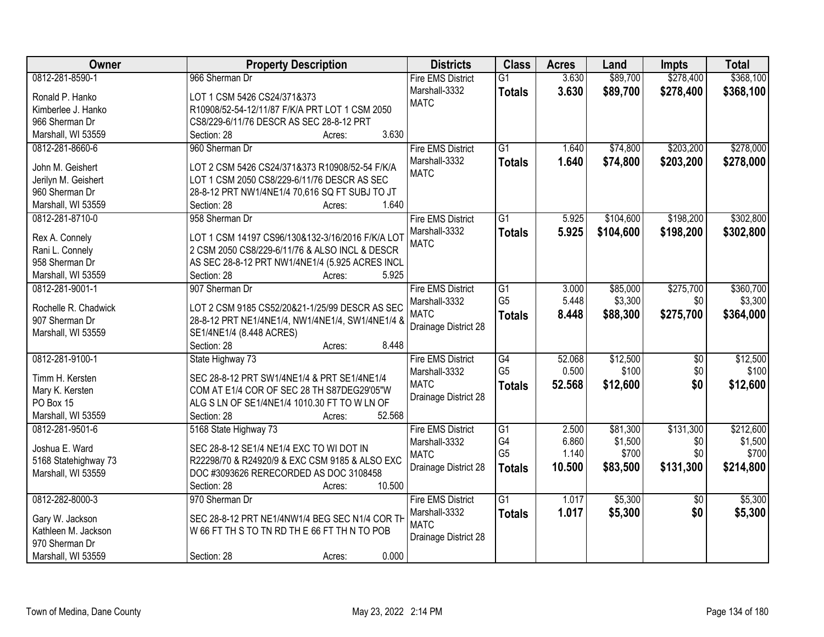| Owner                | <b>Property Description</b>                            | <b>Districts</b>         | <b>Class</b>    | <b>Acres</b> | Land      | <b>Impts</b>    | <b>Total</b> |
|----------------------|--------------------------------------------------------|--------------------------|-----------------|--------------|-----------|-----------------|--------------|
| 0812-281-8590-1      | 966 Sherman Dr                                         | <b>Fire EMS District</b> | $\overline{G1}$ | 3.630        | \$89,700  | \$278,400       | \$368,100    |
| Ronald P. Hanko      | LOT 1 CSM 5426 CS24/371&373                            | Marshall-3332            | <b>Totals</b>   | 3.630        | \$89,700  | \$278,400       | \$368,100    |
| Kimberlee J. Hanko   | R10908/52-54-12/11/87 F/K/A PRT LOT 1 CSM 2050         | <b>MATC</b>              |                 |              |           |                 |              |
| 966 Sherman Dr       | CS8/229-6/11/76 DESCR AS SEC 28-8-12 PRT               |                          |                 |              |           |                 |              |
| Marshall, WI 53559   | 3.630<br>Section: 28<br>Acres:                         |                          |                 |              |           |                 |              |
| 0812-281-8660-6      | 960 Sherman Dr                                         | <b>Fire EMS District</b> | $\overline{G1}$ | 1.640        | \$74,800  | \$203,200       | \$278,000    |
|                      |                                                        | Marshall-3332            | <b>Totals</b>   | 1.640        | \$74,800  | \$203,200       | \$278,000    |
| John M. Geishert     | LOT 2 CSM 5426 CS24/371&373 R10908/52-54 F/K/A         | <b>MATC</b>              |                 |              |           |                 |              |
| Jerilyn M. Geishert  | LOT 1 CSM 2050 CS8/229-6/11/76 DESCR AS SEC            |                          |                 |              |           |                 |              |
| 960 Sherman Dr       | 28-8-12 PRT NW1/4NE1/4 70,616 SQ FT SUBJ TO JT         |                          |                 |              |           |                 |              |
| Marshall, WI 53559   | 1.640<br>Section: 28<br>Acres:                         |                          |                 |              |           |                 |              |
| 0812-281-8710-0      | 958 Sherman Dr                                         | <b>Fire EMS District</b> | $\overline{G1}$ | 5.925        | \$104,600 | \$198,200       | \$302,800    |
| Rex A. Connely       | LOT 1 CSM 14197 CS96/130&132-3/16/2016 F/K/A LOT       | Marshall-3332            | <b>Totals</b>   | 5.925        | \$104,600 | \$198,200       | \$302,800    |
| Rani L. Connely      | 2 CSM 2050 CS8/229-6/11/76 & ALSO INCL & DESCR         | <b>MATC</b>              |                 |              |           |                 |              |
| 958 Sherman Dr       | AS SEC 28-8-12 PRT NW1/4NE1/4 (5.925 ACRES INCL        |                          |                 |              |           |                 |              |
| Marshall, WI 53559   | 5.925<br>Section: 28<br>Acres:                         |                          |                 |              |           |                 |              |
| 0812-281-9001-1      | 907 Sherman Dr                                         | <b>Fire EMS District</b> | $\overline{G1}$ | 3.000        | \$85,000  | \$275,700       | \$360,700    |
|                      |                                                        | Marshall-3332            | G <sub>5</sub>  | 5.448        | \$3,300   | \$0             | \$3,300      |
| Rochelle R. Chadwick | LOT 2 CSM 9185 CS52/20&21-1/25/99 DESCR AS SEC         | <b>MATC</b>              |                 |              |           |                 |              |
| 907 Sherman Dr       | 28-8-12 PRT NE1/4NE1/4, NW1/4NE1/4, SW1/4NE1/4 &       |                          | <b>Totals</b>   | 8.448        | \$88,300  | \$275,700       | \$364,000    |
| Marshall, WI 53559   | SE1/4NE1/4 (8.448 ACRES)                               | Drainage District 28     |                 |              |           |                 |              |
|                      | 8.448<br>Section: 28<br>Acres:                         |                          |                 |              |           |                 |              |
| 0812-281-9100-1      | State Highway 73                                       | <b>Fire EMS District</b> | G4              | 52.068       | \$12,500  | $\overline{60}$ | \$12,500     |
|                      |                                                        | Marshall-3332            | G <sub>5</sub>  | 0.500        | \$100     | \$0             | \$100        |
| Timm H. Kersten      | SEC 28-8-12 PRT SW1/4NE1/4 & PRT SE1/4NE1/4            | <b>MATC</b>              | <b>Totals</b>   | 52.568       | \$12,600  | \$0             | \$12,600     |
| Mary K. Kersten      | COM AT E1/4 COR OF SEC 28 TH S87DEG29'05"W             | Drainage District 28     |                 |              |           |                 |              |
| PO Box 15            | ALG S LN OF SE1/4NE1/4 1010.30 FT TO W LN OF<br>52.568 |                          |                 |              |           |                 |              |
| Marshall, WI 53559   | Section: 28<br>Acres:                                  |                          |                 |              |           |                 |              |
| 0812-281-9501-6      | 5168 State Highway 73                                  | <b>Fire EMS District</b> | G1              | 2.500        | \$81,300  | \$131,300       | \$212,600    |
| Joshua E. Ward       | SEC 28-8-12 SE1/4 NE1/4 EXC TO WI DOT IN               | Marshall-3332            | G4              | 6.860        | \$1,500   | \$0             | \$1,500      |
| 5168 Statehighway 73 | R22298/70 & R24920/9 & EXC CSM 9185 & ALSO EXC         | <b>MATC</b>              | G <sub>5</sub>  | 1.140        | \$700     | \$0             | \$700        |
| Marshall, WI 53559   | DOC #3093626 RERECORDED AS DOC 3108458                 | Drainage District 28     | <b>Totals</b>   | 10.500       | \$83,500  | \$131,300       | \$214,800    |
|                      | 10.500<br>Section: 28<br>Acres:                        |                          |                 |              |           |                 |              |
| 0812-282-8000-3      | 970 Sherman Dr                                         | <b>Fire EMS District</b> | $\overline{G1}$ | 1.017        | \$5,300   | $\overline{50}$ | \$5,300      |
|                      |                                                        | Marshall-3332            | <b>Totals</b>   | 1.017        | \$5,300   | \$0             | \$5,300      |
| Gary W. Jackson      | SEC 28-8-12 PRT NE1/4NW1/4 BEG SEC N1/4 COR TH         | <b>MATC</b>              |                 |              |           |                 |              |
| Kathleen M. Jackson  | W 66 FT TH S TO TN RD TH E 66 FT TH N TO POB           | Drainage District 28     |                 |              |           |                 |              |
| 970 Sherman Dr       |                                                        |                          |                 |              |           |                 |              |
| Marshall, WI 53559   | 0.000<br>Section: 28<br>Acres:                         |                          |                 |              |           |                 |              |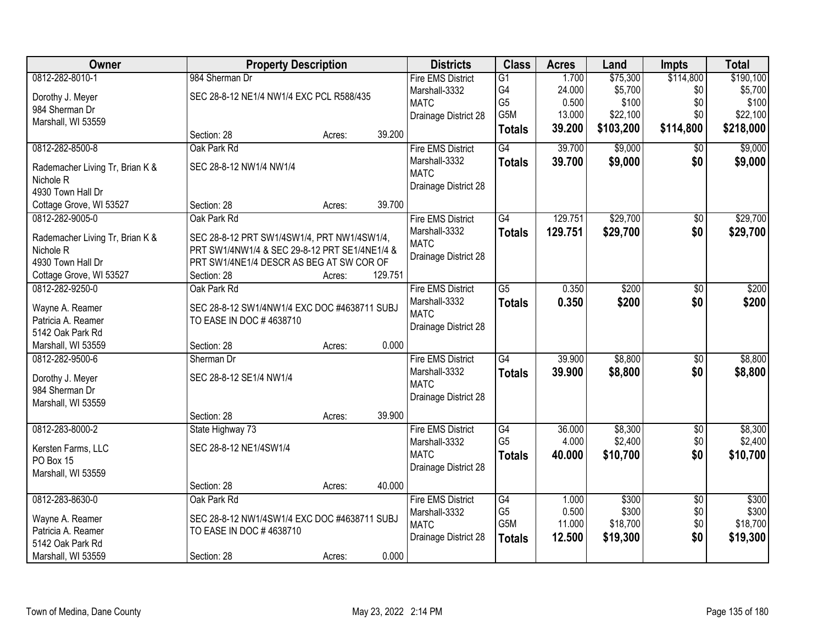| <b>Owner</b>                           | <b>Property Description</b>                   |        |         | <b>Districts</b>             | <b>Class</b>         | <b>Acres</b>    | Land               | <b>Impts</b>      | <b>Total</b>       |
|----------------------------------------|-----------------------------------------------|--------|---------|------------------------------|----------------------|-----------------|--------------------|-------------------|--------------------|
| 0812-282-8010-1                        | 984 Sherman Dr                                |        |         | <b>Fire EMS District</b>     | $\overline{G1}$      | 1.700           | \$75,300           | \$114,800         | \$190,100          |
| Dorothy J. Meyer                       | SEC 28-8-12 NE1/4 NW1/4 EXC PCL R588/435      |        |         | Marshall-3332                | G4                   | 24.000          | \$5,700            | \$0               | \$5,700            |
| 984 Sherman Dr                         |                                               |        |         | <b>MATC</b>                  | G <sub>5</sub>       | 0.500           | \$100              | \$0               | \$100              |
| Marshall, WI 53559                     |                                               |        |         | Drainage District 28         | G5M                  | 13.000          | \$22,100           | \$0               | \$22,100           |
|                                        | Section: 28                                   | Acres: | 39.200  |                              | <b>Totals</b>        | 39.200          | \$103,200          | \$114,800         | \$218,000          |
| 0812-282-8500-8                        | Oak Park Rd                                   |        |         | <b>Fire EMS District</b>     | G4                   | 39.700          | \$9,000            | $\overline{50}$   | \$9,000            |
| Rademacher Living Tr, Brian K &        | SEC 28-8-12 NW1/4 NW1/4                       |        |         | Marshall-3332                | <b>Totals</b>        | 39.700          | \$9,000            | \$0               | \$9,000            |
| Nichole <sub>R</sub>                   |                                               |        |         | <b>MATC</b>                  |                      |                 |                    |                   |                    |
| 4930 Town Hall Dr                      |                                               |        |         | Drainage District 28         |                      |                 |                    |                   |                    |
| Cottage Grove, WI 53527                | Section: 28                                   | Acres: | 39.700  |                              |                      |                 |                    |                   |                    |
| 0812-282-9005-0                        | Oak Park Rd                                   |        |         | <b>Fire EMS District</b>     | $\overline{G4}$      | 129.751         | \$29,700           | \$0               | \$29,700           |
| Rademacher Living Tr, Brian K &        | SEC 28-8-12 PRT SW1/4SW1/4, PRT NW1/4SW1/4,   |        |         | Marshall-3332                | <b>Totals</b>        | 129.751         | \$29,700           | \$0               | \$29,700           |
| Nichole <sub>R</sub>                   | PRT SW1/4NW1/4 & SEC 29-8-12 PRT SE1/4NE1/4 & |        |         | <b>MATC</b>                  |                      |                 |                    |                   |                    |
| 4930 Town Hall Dr                      | PRT SW1/4NE1/4 DESCR AS BEG AT SW COR OF      |        |         | Drainage District 28         |                      |                 |                    |                   |                    |
| Cottage Grove, WI 53527                | Section: 28                                   | Acres: | 129.751 |                              |                      |                 |                    |                   |                    |
| 0812-282-9250-0                        | Oak Park Rd                                   |        |         | <b>Fire EMS District</b>     | G5                   | 0.350           | \$200              | \$0               | \$200              |
|                                        |                                               |        |         | Marshall-3332                | <b>Totals</b>        | 0.350           | \$200              | \$0               | \$200              |
| Wayne A. Reamer                        | SEC 28-8-12 SW1/4NW1/4 EXC DOC #4638711 SUBJ  |        |         | <b>MATC</b>                  |                      |                 |                    |                   |                    |
| Patricia A. Reamer<br>5142 Oak Park Rd | TO EASE IN DOC #4638710                       |        |         | Drainage District 28         |                      |                 |                    |                   |                    |
| Marshall, WI 53559                     | Section: 28                                   | Acres: | 0.000   |                              |                      |                 |                    |                   |                    |
| 0812-282-9500-6                        | Sherman Dr                                    |        |         | <b>Fire EMS District</b>     | $\overline{G4}$      | 39.900          | \$8,800            | $\overline{50}$   | \$8,800            |
|                                        |                                               |        |         | Marshall-3332                | <b>Totals</b>        | 39.900          | \$8,800            | \$0               | \$8,800            |
| Dorothy J. Meyer                       | SEC 28-8-12 SE1/4 NW1/4                       |        |         | <b>MATC</b>                  |                      |                 |                    |                   |                    |
| 984 Sherman Dr                         |                                               |        |         | Drainage District 28         |                      |                 |                    |                   |                    |
| Marshall, WI 53559                     |                                               |        |         |                              |                      |                 |                    |                   |                    |
|                                        | Section: 28                                   | Acres: | 39.900  |                              |                      |                 |                    |                   |                    |
| 0812-283-8000-2                        | State Highway 73                              |        |         | <b>Fire EMS District</b>     | G4<br>G <sub>5</sub> | 36.000<br>4.000 | \$8,300<br>\$2,400 | $\sqrt{6}$<br>\$0 | \$8,300<br>\$2,400 |
| Kersten Farms, LLC                     | SEC 28-8-12 NE1/4SW1/4                        |        |         | Marshall-3332<br><b>MATC</b> |                      |                 |                    |                   |                    |
| PO Box 15                              |                                               |        |         | Drainage District 28         | <b>Totals</b>        | 40.000          | \$10,700           | \$0               | \$10,700           |
| Marshall, WI 53559                     |                                               |        |         |                              |                      |                 |                    |                   |                    |
|                                        | Section: 28                                   | Acres: | 40.000  |                              |                      |                 |                    |                   |                    |
| 0812-283-8630-0                        | Oak Park Rd                                   |        |         | <b>Fire EMS District</b>     | G4                   | 1.000           | \$300              | $\overline{50}$   | \$300              |
| Wayne A. Reamer                        | SEC 28-8-12 NW1/4SW1/4 EXC DOC #4638711 SUBJ  |        |         | Marshall-3332                | G <sub>5</sub>       | 0.500           | \$300              | \$0               | \$300              |
| Patricia A. Reamer                     | TO EASE IN DOC #4638710                       |        |         | <b>MATC</b>                  | G5M                  | 11.000          | \$18,700           | \$0               | \$18,700           |
| 5142 Oak Park Rd                       |                                               |        |         | Drainage District 28         | <b>Totals</b>        | 12.500          | \$19,300           | \$0               | \$19,300           |
| Marshall, WI 53559                     | Section: 28                                   | Acres: | 0.000   |                              |                      |                 |                    |                   |                    |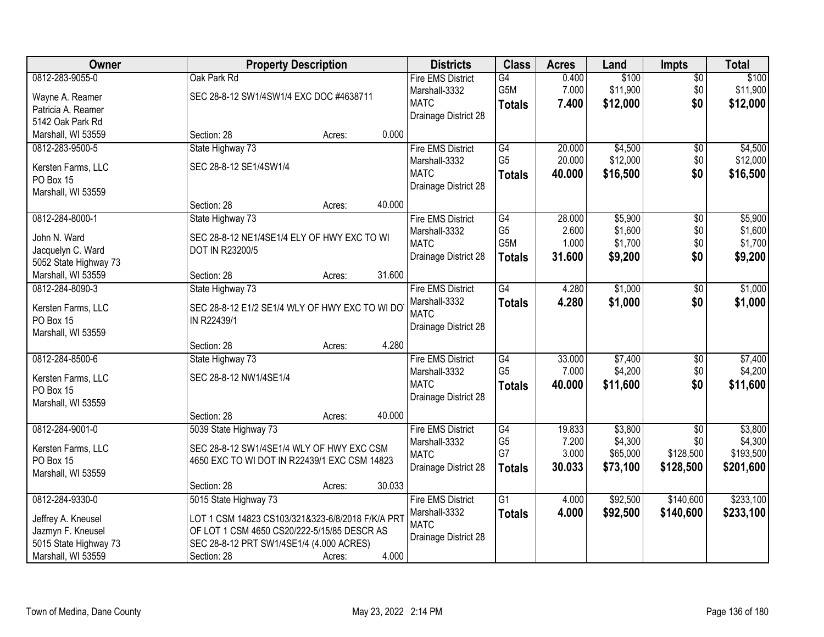| Owner                                       | <b>Property Description</b>                                                | <b>Districts</b>             | <b>Class</b>     | <b>Acres</b> | Land     | <b>Impts</b>    | <b>Total</b> |
|---------------------------------------------|----------------------------------------------------------------------------|------------------------------|------------------|--------------|----------|-----------------|--------------|
| 0812-283-9055-0                             | Oak Park Rd                                                                | <b>Fire EMS District</b>     | G4               | 0.400        | \$100    | \$0             | \$100        |
| Wayne A. Reamer                             | SEC 28-8-12 SW1/4SW1/4 EXC DOC #4638711                                    | Marshall-3332<br><b>MATC</b> | G5M              | 7.000        | \$11,900 | \$0             | \$11,900     |
| Patricia A. Reamer                          |                                                                            |                              | <b>Totals</b>    | 7.400        | \$12,000 | \$0             | \$12,000     |
| 5142 Oak Park Rd                            |                                                                            | Drainage District 28         |                  |              |          |                 |              |
| Marshall, WI 53559                          | 0.000<br>Section: 28<br>Acres:                                             |                              |                  |              |          |                 |              |
| 0812-283-9500-5                             | State Highway 73                                                           | <b>Fire EMS District</b>     | G4               | 20.000       | \$4,500  | \$0             | \$4,500      |
| Kersten Farms, LLC                          | SEC 28-8-12 SE1/4SW1/4                                                     | Marshall-3332                | G <sub>5</sub>   | 20.000       | \$12,000 | \$0             | \$12,000     |
| PO Box 15                                   |                                                                            | <b>MATC</b>                  | <b>Totals</b>    | 40.000       | \$16,500 | \$0             | \$16,500     |
| Marshall, WI 53559                          |                                                                            | Drainage District 28         |                  |              |          |                 |              |
|                                             | 40.000<br>Section: 28<br>Acres:                                            |                              |                  |              |          |                 |              |
| 0812-284-8000-1                             | State Highway 73                                                           | <b>Fire EMS District</b>     | $\overline{G4}$  | 28.000       | \$5,900  | $\overline{50}$ | \$5,900      |
| John N. Ward                                | SEC 28-8-12 NE1/4SE1/4 ELY OF HWY EXC TO WI                                | Marshall-3332                | G <sub>5</sub>   | 2.600        | \$1,600  | \$0             | \$1,600      |
| Jacquelyn C. Ward                           | DOT IN R23200/5                                                            | <b>MATC</b>                  | G <sub>5</sub> M | 1.000        | \$1,700  | \$0             | \$1,700      |
| 5052 State Highway 73                       |                                                                            | Drainage District 28         | <b>Totals</b>    | 31.600       | \$9,200  | \$0             | \$9,200      |
| Marshall, WI 53559                          | 31.600<br>Section: 28<br>Acres:                                            |                              |                  |              |          |                 |              |
| 0812-284-8090-3                             | State Highway 73                                                           | <b>Fire EMS District</b>     | $\overline{G4}$  | 4.280        | \$1,000  | \$0             | \$1,000      |
| Kersten Farms, LLC                          | SEC 28-8-12 E1/2 SE1/4 WLY OF HWY EXC TO WI DO                             | Marshall-3332                | <b>Totals</b>    | 4.280        | \$1,000  | \$0             | \$1,000      |
| PO Box 15                                   | IN R22439/1                                                                | <b>MATC</b>                  |                  |              |          |                 |              |
| Marshall, WI 53559                          |                                                                            | Drainage District 28         |                  |              |          |                 |              |
|                                             | 4.280<br>Section: 28<br>Acres:                                             |                              |                  |              |          |                 |              |
| 0812-284-8500-6                             | State Highway 73                                                           | <b>Fire EMS District</b>     | $\overline{G4}$  | 33.000       | \$7,400  | \$0             | \$7,400      |
|                                             | SEC 28-8-12 NW1/4SE1/4                                                     | Marshall-3332                | G <sub>5</sub>   | 7.000        | \$4,200  | \$0             | \$4,200      |
| Kersten Farms, LLC<br>PO Box 15             |                                                                            | <b>MATC</b>                  | <b>Totals</b>    | 40.000       | \$11,600 | \$0             | \$11,600     |
| Marshall, WI 53559                          |                                                                            | Drainage District 28         |                  |              |          |                 |              |
|                                             | 40.000<br>Section: 28<br>Acres:                                            |                              |                  |              |          |                 |              |
| 0812-284-9001-0                             | 5039 State Highway 73                                                      | <b>Fire EMS District</b>     | G4               | 19.833       | \$3,800  | $\overline{50}$ | \$3,800      |
|                                             | SEC 28-8-12 SW1/4SE1/4 WLY OF HWY EXC CSM                                  | Marshall-3332                | G <sub>5</sub>   | 7.200        | \$4,300  | \$0             | \$4,300      |
| Kersten Farms, LLC<br>PO Box 15             | 4650 EXC TO WI DOT IN R22439/1 EXC CSM 14823                               | <b>MATC</b>                  | G7               | 3.000        | \$65,000 | \$128,500       | \$193,500    |
| Marshall, WI 53559                          |                                                                            | Drainage District 28         | <b>Totals</b>    | 30.033       | \$73,100 | \$128,500       | \$201,600    |
|                                             | 30.033<br>Section: 28<br>Acres:                                            |                              |                  |              |          |                 |              |
| 0812-284-9330-0                             | 5015 State Highway 73                                                      | <b>Fire EMS District</b>     | G1               | 4.000        | \$92,500 | \$140,600       | \$233,100    |
|                                             |                                                                            | Marshall-3332                | <b>Totals</b>    | 4.000        | \$92,500 | \$140,600       | \$233,100    |
| Jeffrey A. Kneusel                          | LOT 1 CSM 14823 CS103/321&323-6/8/2018 F/K/A PRT                           | <b>MATC</b>                  |                  |              |          |                 |              |
| Jazmyn F. Kneusel                           | OF LOT 1 CSM 4650 CS20/222-5/15/85 DESCR AS                                | Drainage District 28         |                  |              |          |                 |              |
| 5015 State Highway 73<br>Marshall, WI 53559 | SEC 28-8-12 PRT SW1/4SE1/4 (4.000 ACRES)<br>4.000<br>Section: 28<br>Acres: |                              |                  |              |          |                 |              |
|                                             |                                                                            |                              |                  |              |          |                 |              |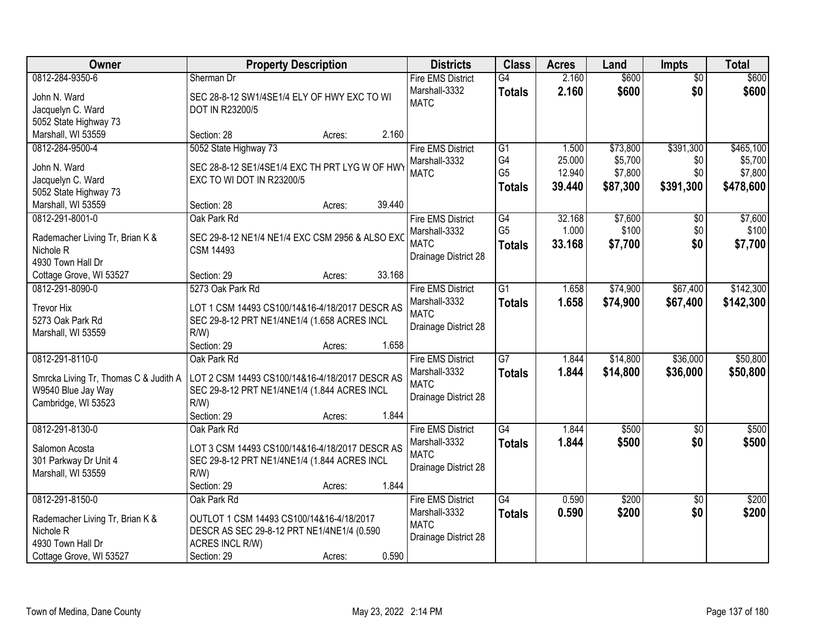| Owner                                      | <b>Property Description</b>                     |        | <b>Districts</b>             | <b>Class</b>    | <b>Acres</b> | Land     | <b>Impts</b>    | <b>Total</b> |
|--------------------------------------------|-------------------------------------------------|--------|------------------------------|-----------------|--------------|----------|-----------------|--------------|
| 0812-284-9350-6                            | Sherman Dr                                      |        | <b>Fire EMS District</b>     | $\overline{G4}$ | 2.160        | \$600    | $\overline{50}$ | \$600        |
| John N. Ward                               | SEC 28-8-12 SW1/4SE1/4 ELY OF HWY EXC TO WI     |        | Marshall-3332<br><b>MATC</b> | <b>Totals</b>   | 2.160        | \$600    | \$0             | \$600        |
| Jacquelyn C. Ward                          | DOT IN R23200/5                                 |        |                              |                 |              |          |                 |              |
| 5052 State Highway 73                      |                                                 |        |                              |                 |              |          |                 |              |
| Marshall, WI 53559                         | Section: 28<br>Acres:                           | 2.160  |                              |                 |              |          |                 |              |
| 0812-284-9500-4                            | 5052 State Highway 73                           |        | <b>Fire EMS District</b>     | G1              | 1.500        | \$73,800 | \$391,300       | \$465,100    |
| John N. Ward                               | SEC 28-8-12 SE1/4SE1/4 EXC TH PRT LYG W OF HWY  |        | Marshall-3332                | G4              | 25.000       | \$5,700  | \$0             | \$5,700      |
| Jacquelyn C. Ward                          | EXC TO WI DOT IN R23200/5                       |        | <b>MATC</b>                  | G <sub>5</sub>  | 12.940       | \$7,800  | \$0             | \$7,800      |
| 5052 State Highway 73                      |                                                 |        |                              | <b>Totals</b>   | 39.440       | \$87,300 | \$391,300       | \$478,600    |
| Marshall, WI 53559                         | Section: 28<br>Acres:                           | 39.440 |                              |                 |              |          |                 |              |
| 0812-291-8001-0                            | Oak Park Rd                                     |        | <b>Fire EMS District</b>     | G4              | 32.168       | \$7,600  | $\sqrt[6]{}$    | \$7,600      |
|                                            |                                                 |        | Marshall-3332                | G <sub>5</sub>  | 1.000        | \$100    | \$0             | \$100        |
| Rademacher Living Tr, Brian K &            | SEC 29-8-12 NE1/4 NE1/4 EXC CSM 2956 & ALSO EXC |        | <b>MATC</b>                  | <b>Totals</b>   | 33.168       | \$7,700  | \$0             | \$7,700      |
| Nichole <sub>R</sub>                       | <b>CSM 14493</b>                                |        | Drainage District 28         |                 |              |          |                 |              |
| 4930 Town Hall Dr                          | Section: 29<br>Acres:                           | 33.168 |                              |                 |              |          |                 |              |
| Cottage Grove, WI 53527<br>0812-291-8090-0 | 5273 Oak Park Rd                                |        | <b>Fire EMS District</b>     | $\overline{G1}$ | 1.658        | \$74,900 | \$67,400        | \$142,300    |
|                                            |                                                 |        | Marshall-3332                |                 |              |          |                 |              |
| <b>Trevor Hix</b>                          | LOT 1 CSM 14493 CS100/14&16-4/18/2017 DESCR AS  |        | <b>MATC</b>                  | <b>Totals</b>   | 1.658        | \$74,900 | \$67,400        | \$142,300    |
| 5273 Oak Park Rd                           | SEC 29-8-12 PRT NE1/4NE1/4 (1.658 ACRES INCL    |        | Drainage District 28         |                 |              |          |                 |              |
| Marshall, WI 53559                         | R/W                                             |        |                              |                 |              |          |                 |              |
|                                            | Section: 29<br>Acres:                           | 1.658  |                              |                 |              |          |                 |              |
| 0812-291-8110-0                            | Oak Park Rd                                     |        | <b>Fire EMS District</b>     | $\overline{G}$  | 1.844        | \$14,800 | \$36,000        | \$50,800     |
| Smrcka Living Tr, Thomas C & Judith A      | LOT 2 CSM 14493 CS100/14&16-4/18/2017 DESCR AS  |        | Marshall-3332                | <b>Totals</b>   | 1.844        | \$14,800 | \$36,000        | \$50,800     |
| W9540 Blue Jay Way                         | SEC 29-8-12 PRT NE1/4NE1/4 (1.844 ACRES INCL    |        | <b>MATC</b>                  |                 |              |          |                 |              |
| Cambridge, WI 53523                        | $R/W$ )                                         |        | Drainage District 28         |                 |              |          |                 |              |
|                                            | Section: 29<br>Acres:                           | 1.844  |                              |                 |              |          |                 |              |
| 0812-291-8130-0                            | Oak Park Rd                                     |        | <b>Fire EMS District</b>     | $\overline{G4}$ | 1.844        | \$500    | $\overline{50}$ | \$500        |
|                                            |                                                 |        | Marshall-3332                | <b>Totals</b>   | 1.844        | \$500    | \$0             | \$500        |
| Salomon Acosta                             | LOT 3 CSM 14493 CS100/14&16-4/18/2017 DESCR AS  |        | <b>MATC</b>                  |                 |              |          |                 |              |
| 301 Parkway Dr Unit 4                      | SEC 29-8-12 PRT NE1/4NE1/4 (1.844 ACRES INCL    |        | Drainage District 28         |                 |              |          |                 |              |
| Marshall, WI 53559                         | $R/W$ )<br>Section: 29                          | 1.844  |                              |                 |              |          |                 |              |
| 0812-291-8150-0                            | Acres:<br>Oak Park Rd                           |        | <b>Fire EMS District</b>     | G4              | 0.590        | \$200    | $\overline{50}$ | \$200        |
|                                            |                                                 |        | Marshall-3332                |                 | 0.590        | \$200    | \$0             | \$200        |
| Rademacher Living Tr, Brian K &            | OUTLOT 1 CSM 14493 CS100/14&16-4/18/2017        |        | <b>MATC</b>                  | <b>Totals</b>   |              |          |                 |              |
| Nichole <sub>R</sub>                       | DESCR AS SEC 29-8-12 PRT NE1/4NE1/4 (0.590      |        | Drainage District 28         |                 |              |          |                 |              |
| 4930 Town Hall Dr                          | ACRES INCL R/W)                                 |        |                              |                 |              |          |                 |              |
| Cottage Grove, WI 53527                    | Section: 29<br>Acres:                           | 0.590  |                              |                 |              |          |                 |              |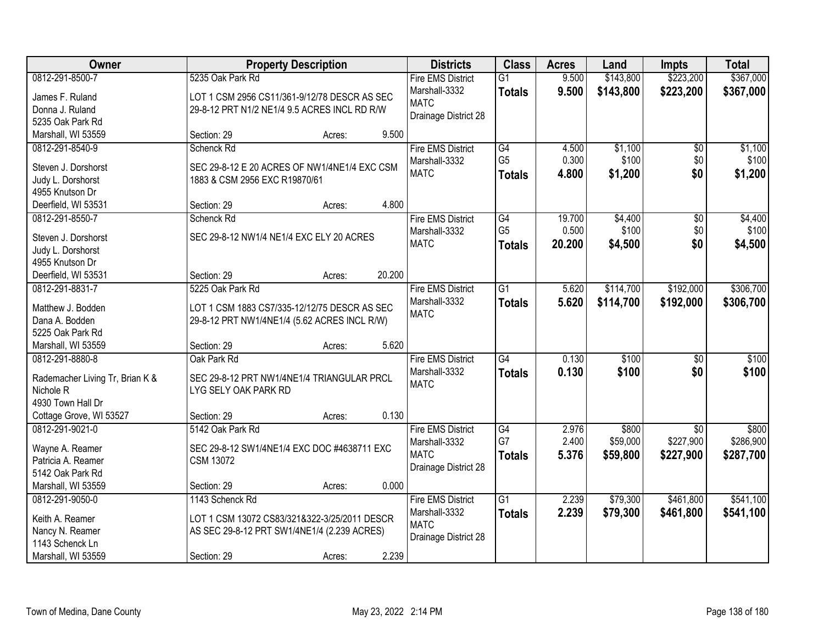| Owner                           |                                              | <b>Property Description</b> |        | <b>Districts</b>         | <b>Class</b>                      | <b>Acres</b> | Land             | <b>Impts</b>    | <b>Total</b> |
|---------------------------------|----------------------------------------------|-----------------------------|--------|--------------------------|-----------------------------------|--------------|------------------|-----------------|--------------|
| 0812-291-8500-7                 | 5235 Oak Park Rd                             |                             |        | <b>Fire EMS District</b> | $\overline{G1}$                   | 9.500        | \$143,800        | \$223,200       | \$367,000    |
| James F. Ruland                 | LOT 1 CSM 2956 CS11/361-9/12/78 DESCR AS SEC |                             |        | Marshall-3332            | <b>Totals</b>                     | 9.500        | \$143,800        | \$223,200       | \$367,000    |
| Donna J. Ruland                 | 29-8-12 PRT N1/2 NE1/4 9.5 ACRES INCL RD R/W |                             |        | <b>MATC</b>              |                                   |              |                  |                 |              |
| 5235 Oak Park Rd                |                                              |                             |        | Drainage District 28     |                                   |              |                  |                 |              |
| Marshall, WI 53559              | Section: 29                                  | Acres:                      | 9.500  |                          |                                   |              |                  |                 |              |
| 0812-291-8540-9                 | Schenck Rd                                   |                             |        | <b>Fire EMS District</b> | G4                                | 4.500        | \$1,100          | \$0             | \$1,100      |
|                                 |                                              |                             |        | Marshall-3332            | G <sub>5</sub>                    | 0.300        | \$100            | \$0             | \$100        |
| Steven J. Dorshorst             | SEC 29-8-12 E 20 ACRES OF NW1/4NE1/4 EXC CSM |                             |        | <b>MATC</b>              | <b>Totals</b>                     | 4.800        | \$1,200          | \$0             | \$1,200      |
| Judy L. Dorshorst               | 1883 & CSM 2956 EXC R19870/61                |                             |        |                          |                                   |              |                  |                 |              |
| 4955 Knutson Dr                 |                                              |                             | 4.800  |                          |                                   |              |                  |                 |              |
| Deerfield, WI 53531             | Section: 29                                  | Acres:                      |        |                          |                                   |              |                  |                 |              |
| 0812-291-8550-7                 | Schenck Rd                                   |                             |        | <b>Fire EMS District</b> | $\overline{G4}$<br>G <sub>5</sub> | 19.700       | \$4,400<br>\$100 | $\sqrt[6]{}$    | \$4,400      |
| Steven J. Dorshorst             | SEC 29-8-12 NW1/4 NE1/4 EXC ELY 20 ACRES     |                             |        | Marshall-3332            |                                   | 0.500        |                  | \$0             | \$100        |
| Judy L. Dorshorst               |                                              |                             |        | <b>MATC</b>              | <b>Totals</b>                     | 20.200       | \$4,500          | \$0             | \$4,500      |
| 4955 Knutson Dr                 |                                              |                             |        |                          |                                   |              |                  |                 |              |
| Deerfield, WI 53531             | Section: 29                                  | Acres:                      | 20.200 |                          |                                   |              |                  |                 |              |
| 0812-291-8831-7                 | 5225 Oak Park Rd                             |                             |        | <b>Fire EMS District</b> | $\overline{G1}$                   | 5.620        | \$114,700        | \$192,000       | \$306,700    |
| Matthew J. Bodden               | LOT 1 CSM 1883 CS7/335-12/12/75 DESCR AS SEC |                             |        | Marshall-3332            | <b>Totals</b>                     | 5.620        | \$114,700        | \$192,000       | \$306,700    |
| Dana A. Bodden                  | 29-8-12 PRT NW1/4NE1/4 (5.62 ACRES INCL R/W) |                             |        | <b>MATC</b>              |                                   |              |                  |                 |              |
| 5225 Oak Park Rd                |                                              |                             |        |                          |                                   |              |                  |                 |              |
| Marshall, WI 53559              | Section: 29                                  | Acres:                      | 5.620  |                          |                                   |              |                  |                 |              |
| 0812-291-8880-8                 | Oak Park Rd                                  |                             |        | <b>Fire EMS District</b> | $\overline{G4}$                   | 0.130        | \$100            | \$0             | \$100        |
|                                 |                                              |                             |        | Marshall-3332            | <b>Totals</b>                     | 0.130        | \$100            | \$0             | \$100        |
| Rademacher Living Tr, Brian K & | SEC 29-8-12 PRT NW1/4NE1/4 TRIANGULAR PRCL   |                             |        | <b>MATC</b>              |                                   |              |                  |                 |              |
| Nichole <sub>R</sub>            | LYG SELY OAK PARK RD                         |                             |        |                          |                                   |              |                  |                 |              |
| 4930 Town Hall Dr               |                                              |                             |        |                          |                                   |              |                  |                 |              |
| Cottage Grove, WI 53527         | Section: 29                                  | Acres:                      | 0.130  |                          |                                   |              |                  |                 |              |
| 0812-291-9021-0                 | 5142 Oak Park Rd                             |                             |        | <b>Fire EMS District</b> | G4                                | 2.976        | \$800            | $\overline{50}$ | \$800        |
| Wayne A. Reamer                 | SEC 29-8-12 SW1/4NE1/4 EXC DOC #4638711 EXC  |                             |        | Marshall-3332            | G7                                | 2.400        | \$59,000         | \$227,900       | \$286,900    |
| Patricia A. Reamer              | <b>CSM 13072</b>                             |                             |        | <b>MATC</b>              | <b>Totals</b>                     | 5.376        | \$59,800         | \$227,900       | \$287,700    |
| 5142 Oak Park Rd                |                                              |                             |        | Drainage District 28     |                                   |              |                  |                 |              |
| Marshall, WI 53559              | Section: 29                                  | Acres:                      | 0.000  |                          |                                   |              |                  |                 |              |
| 0812-291-9050-0                 | 1143 Schenck Rd                              |                             |        | <b>Fire EMS District</b> | G1                                | 2.239        | \$79,300         | \$461,800       | \$541,100    |
|                                 |                                              |                             |        | Marshall-3332            | <b>Totals</b>                     | 2.239        | \$79,300         | \$461,800       | \$541,100    |
| Keith A. Reamer                 | LOT 1 CSM 13072 CS83/321&322-3/25/2011 DESCR |                             |        | <b>MATC</b>              |                                   |              |                  |                 |              |
| Nancy N. Reamer                 | AS SEC 29-8-12 PRT SW1/4NE1/4 (2.239 ACRES)  |                             |        | Drainage District 28     |                                   |              |                  |                 |              |
| 1143 Schenck Ln                 |                                              |                             |        |                          |                                   |              |                  |                 |              |
| Marshall, WI 53559              | Section: 29                                  | Acres:                      | 2.239  |                          |                                   |              |                  |                 |              |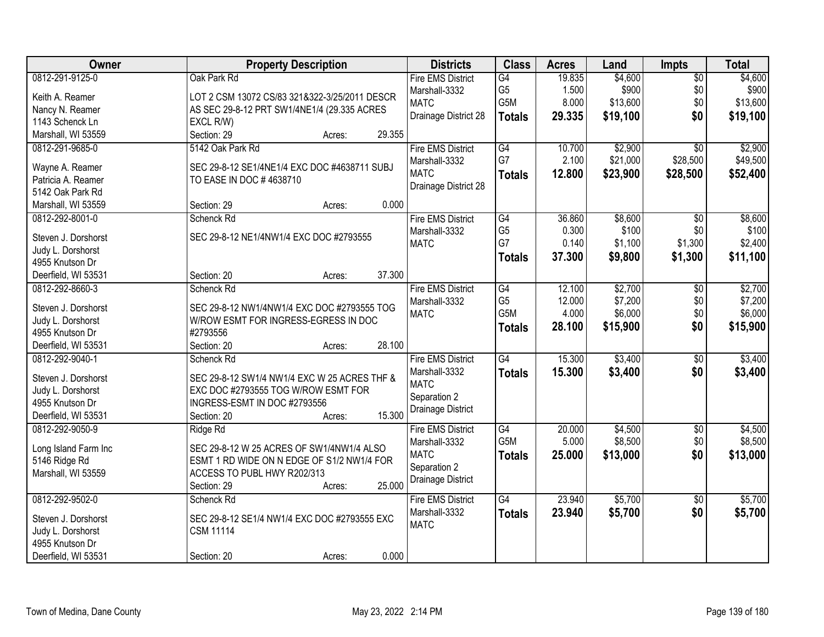| Owner                | <b>Property Description</b>                   | <b>Districts</b>         | <b>Class</b>     | <b>Acres</b> | Land     | Impts           | <b>Total</b> |
|----------------------|-----------------------------------------------|--------------------------|------------------|--------------|----------|-----------------|--------------|
| 0812-291-9125-0      | Oak Park Rd                                   | <b>Fire EMS District</b> | G4               | 19.835       | \$4,600  | $\overline{50}$ | \$4,600      |
| Keith A. Reamer      | LOT 2 CSM 13072 CS/83 321&322-3/25/2011 DESCR | Marshall-3332            | G <sub>5</sub>   | 1.500        | \$900    | \$0             | \$900        |
| Nancy N. Reamer      | AS SEC 29-8-12 PRT SW1/4NE1/4 (29.335 ACRES   | <b>MATC</b>              | G5M              | 8.000        | \$13,600 | \$0             | \$13,600     |
| 1143 Schenck Ln      | EXCL R/W)                                     | Drainage District 28     | <b>Totals</b>    | 29.335       | \$19,100 | \$0             | \$19,100     |
| Marshall, WI 53559   | 29.355<br>Section: 29<br>Acres:               |                          |                  |              |          |                 |              |
| 0812-291-9685-0      | 5142 Oak Park Rd                              | <b>Fire EMS District</b> | G4               | 10.700       | \$2,900  | $\overline{30}$ | \$2,900      |
|                      |                                               | Marshall-3332            | G7               | 2.100        | \$21,000 | \$28,500        | \$49,500     |
| Wayne A. Reamer      | SEC 29-8-12 SE1/4NE1/4 EXC DOC #4638711 SUBJ  | <b>MATC</b>              |                  |              |          |                 |              |
| Patricia A. Reamer   | TO EASE IN DOC # 4638710                      | Drainage District 28     | <b>Totals</b>    | 12.800       | \$23,900 | \$28,500        | \$52,400     |
| 5142 Oak Park Rd     |                                               |                          |                  |              |          |                 |              |
| Marshall, WI 53559   | 0.000<br>Section: 29<br>Acres:                |                          |                  |              |          |                 |              |
| 0812-292-8001-0      | Schenck Rd                                    | <b>Fire EMS District</b> | G4               | 36.860       | \$8,600  | \$0             | \$8,600      |
|                      |                                               | Marshall-3332            | G <sub>5</sub>   | 0.300        | \$100    | \$0             | \$100        |
| Steven J. Dorshorst  | SEC 29-8-12 NE1/4NW1/4 EXC DOC #2793555       | <b>MATC</b>              | G7               | 0.140        | \$1,100  | \$1,300         | \$2,400      |
| Judy L. Dorshorst    |                                               |                          | <b>Totals</b>    | 37.300       | \$9,800  | \$1,300         | \$11,100     |
| 4955 Knutson Dr      | 37.300                                        |                          |                  |              |          |                 |              |
| Deerfield, WI 53531  | Section: 20<br>Acres:                         |                          |                  |              |          |                 |              |
| 0812-292-8660-3      | Schenck Rd                                    | <b>Fire EMS District</b> | G4               | 12.100       | \$2,700  | \$0             | \$2,700      |
| Steven J. Dorshorst  | SEC 29-8-12 NW1/4NW1/4 EXC DOC #2793555 TOG   | Marshall-3332            | G <sub>5</sub>   | 12.000       | \$7,200  | \$0             | \$7,200      |
| Judy L. Dorshorst    | W/ROW ESMT FOR INGRESS-EGRESS IN DOC          | <b>MATC</b>              | G5M              | 4.000        | \$6,000  | \$0             | \$6,000      |
| 4955 Knutson Dr      | #2793556                                      |                          | <b>Totals</b>    | 28.100       | \$15,900 | \$0             | \$15,900     |
| Deerfield, WI 53531  | 28.100<br>Section: 20<br>Acres:               |                          |                  |              |          |                 |              |
| 0812-292-9040-1      | Schenck Rd                                    | <b>Fire EMS District</b> | G4               | 15.300       | \$3,400  | \$0             | \$3,400      |
|                      |                                               | Marshall-3332            | <b>Totals</b>    | 15.300       | \$3,400  | \$0             | \$3,400      |
| Steven J. Dorshorst  | SEC 29-8-12 SW1/4 NW1/4 EXC W 25 ACRES THF &  | <b>MATC</b>              |                  |              |          |                 |              |
| Judy L. Dorshorst    | EXC DOC #2793555 TOG W/ROW ESMT FOR           | Separation 2             |                  |              |          |                 |              |
| 4955 Knutson Dr      | INGRESS-ESMT IN DOC #2793556                  | Drainage District        |                  |              |          |                 |              |
| Deerfield, WI 53531  | 15.300<br>Section: 20<br>Acres:               |                          |                  |              |          |                 |              |
| 0812-292-9050-9      | Ridge Rd                                      | <b>Fire EMS District</b> | G4               | 20.000       | \$4,500  | $\sqrt{6}$      | \$4,500      |
| Long Island Farm Inc | SEC 29-8-12 W 25 ACRES OF SW1/4NW1/4 ALSO     | Marshall-3332            | G <sub>5</sub> M | 5.000        | \$8,500  | \$0             | \$8,500      |
| 5146 Ridge Rd        | ESMT 1 RD WIDE ON N EDGE OF S1/2 NW1/4 FOR    | <b>MATC</b>              | <b>Totals</b>    | 25.000       | \$13,000 | \$0             | \$13,000     |
| Marshall, WI 53559   | ACCESS TO PUBL HWY R202/313                   | Separation 2             |                  |              |          |                 |              |
|                      | 25.000<br>Section: 29<br>Acres:               | Drainage District        |                  |              |          |                 |              |
| 0812-292-9502-0      | Schenck Rd                                    | <b>Fire EMS District</b> | G4               | 23.940       | \$5,700  | $\overline{50}$ | \$5,700      |
|                      |                                               | Marshall-3332            | <b>Totals</b>    | 23.940       | \$5,700  | \$0             | \$5,700      |
| Steven J. Dorshorst  | SEC 29-8-12 SE1/4 NW1/4 EXC DOC #2793555 EXC  | <b>MATC</b>              |                  |              |          |                 |              |
| Judy L. Dorshorst    | <b>CSM 11114</b>                              |                          |                  |              |          |                 |              |
| 4955 Knutson Dr      |                                               |                          |                  |              |          |                 |              |
| Deerfield, WI 53531  | 0.000<br>Section: 20<br>Acres:                |                          |                  |              |          |                 |              |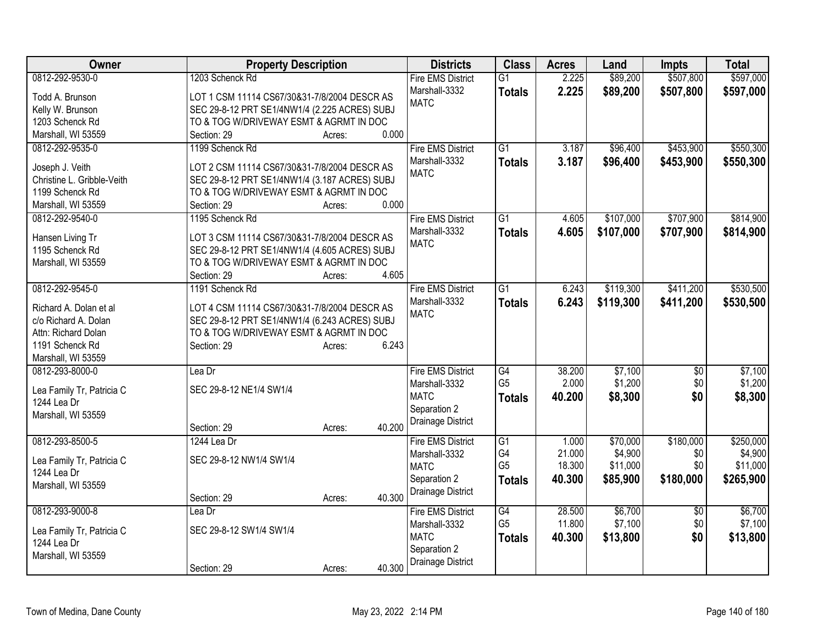| <b>Owner</b>                                  | <b>Property Description</b>                   | <b>Districts</b>         | <b>Class</b>    | <b>Acres</b> | Land      | <b>Impts</b>    | <b>Total</b> |
|-----------------------------------------------|-----------------------------------------------|--------------------------|-----------------|--------------|-----------|-----------------|--------------|
| 0812-292-9530-0                               | 1203 Schenck Rd                               | <b>Fire EMS District</b> | $\overline{G1}$ | 2.225        | \$89,200  | \$507,800       | \$597,000    |
| Todd A. Brunson                               | LOT 1 CSM 11114 CS67/30&31-7/8/2004 DESCR AS  | Marshall-3332            | <b>Totals</b>   | 2.225        | \$89,200  | \$507,800       | \$597,000    |
| Kelly W. Brunson                              | SEC 29-8-12 PRT SE1/4NW1/4 (2.225 ACRES) SUBJ | <b>MATC</b>              |                 |              |           |                 |              |
| 1203 Schenck Rd                               | TO & TOG W/DRIVEWAY ESMT & AGRMT IN DOC       |                          |                 |              |           |                 |              |
| Marshall, WI 53559                            | 0.000<br>Section: 29<br>Acres:                |                          |                 |              |           |                 |              |
| 0812-292-9535-0                               | 1199 Schenck Rd                               | <b>Fire EMS District</b> | $\overline{G1}$ | 3.187        | \$96,400  | \$453,900       | \$550,300    |
|                                               | LOT 2 CSM 11114 CS67/30&31-7/8/2004 DESCR AS  | Marshall-3332            | <b>Totals</b>   | 3.187        | \$96,400  | \$453,900       | \$550,300    |
| Joseph J. Veith<br>Christine L. Gribble-Veith | SEC 29-8-12 PRT SE1/4NW1/4 (3.187 ACRES) SUBJ | <b>MATC</b>              |                 |              |           |                 |              |
| 1199 Schenck Rd                               | TO & TOG W/DRIVEWAY ESMT & AGRMT IN DOC       |                          |                 |              |           |                 |              |
| Marshall, WI 53559                            | 0.000<br>Section: 29<br>Acres:                |                          |                 |              |           |                 |              |
| 0812-292-9540-0                               | 1195 Schenck Rd                               | <b>Fire EMS District</b> | $\overline{G1}$ | 4.605        | \$107,000 | \$707,900       | \$814,900    |
|                                               |                                               | Marshall-3332            | <b>Totals</b>   | 4.605        | \$107,000 | \$707,900       | \$814,900    |
| Hansen Living Tr                              | LOT 3 CSM 11114 CS67/30&31-7/8/2004 DESCR AS  | <b>MATC</b>              |                 |              |           |                 |              |
| 1195 Schenck Rd                               | SEC 29-8-12 PRT SE1/4NW1/4 (4.605 ACRES) SUBJ |                          |                 |              |           |                 |              |
| Marshall, WI 53559                            | TO & TOG W/DRIVEWAY ESMT & AGRMT IN DOC       |                          |                 |              |           |                 |              |
|                                               | 4.605<br>Section: 29<br>Acres:                |                          |                 |              |           |                 |              |
| 0812-292-9545-0                               | 1191 Schenck Rd                               | <b>Fire EMS District</b> | $\overline{G1}$ | 6.243        | \$119,300 | \$411,200       | \$530,500    |
| Richard A. Dolan et al                        | LOT 4 CSM 11114 CS67/30&31-7/8/2004 DESCR AS  | Marshall-3332            | <b>Totals</b>   | 6.243        | \$119,300 | \$411,200       | \$530,500    |
| c/o Richard A. Dolan                          | SEC 29-8-12 PRT SE1/4NW1/4 (6.243 ACRES) SUBJ | <b>MATC</b>              |                 |              |           |                 |              |
| Attn: Richard Dolan                           | TO & TOG W/DRIVEWAY ESMT & AGRMT IN DOC       |                          |                 |              |           |                 |              |
| 1191 Schenck Rd                               | 6.243<br>Section: 29<br>Acres:                |                          |                 |              |           |                 |              |
| Marshall, WI 53559                            |                                               |                          |                 |              |           |                 |              |
| 0812-293-8000-0                               | Lea Dr                                        | <b>Fire EMS District</b> | G4              | 38.200       | \$7,100   | $\sqrt{6}$      | \$7,100      |
|                                               | SEC 29-8-12 NE1/4 SW1/4                       | Marshall-3332            | G <sub>5</sub>  | 2.000        | \$1,200   | \$0             | \$1,200      |
| Lea Family Tr, Patricia C<br>1244 Lea Dr      |                                               | <b>MATC</b>              | <b>Totals</b>   | 40.200       | \$8,300   | \$0             | \$8,300      |
| Marshall, WI 53559                            |                                               | Separation 2             |                 |              |           |                 |              |
|                                               | 40.200<br>Section: 29<br>Acres:               | Drainage District        |                 |              |           |                 |              |
| 0812-293-8500-5                               | 1244 Lea Dr                                   | <b>Fire EMS District</b> | $\overline{G1}$ | 1.000        | \$70,000  | \$180,000       | \$250,000    |
|                                               |                                               | Marshall-3332            | G4              | 21.000       | \$4,900   | \$0             | \$4,900      |
| Lea Family Tr, Patricia C                     | SEC 29-8-12 NW1/4 SW1/4                       | <b>MATC</b>              | G <sub>5</sub>  | 18.300       | \$11,000  | \$0             | \$11,000     |
| 1244 Lea Dr                                   |                                               | Separation 2             | <b>Totals</b>   | 40.300       | \$85,900  | \$180,000       | \$265,900    |
| Marshall, WI 53559                            |                                               | Drainage District        |                 |              |           |                 |              |
|                                               | 40.300<br>Section: 29<br>Acres:               |                          |                 |              |           |                 |              |
| 0812-293-9000-8                               | Lea Dr                                        | <b>Fire EMS District</b> | $\overline{G4}$ | 28.500       | \$6,700   | $\overline{50}$ | \$6,700      |
| Lea Family Tr, Patricia C                     | SEC 29-8-12 SW1/4 SW1/4                       | Marshall-3332            | G <sub>5</sub>  | 11.800       | \$7,100   | \$0             | \$7,100      |
| 1244 Lea Dr                                   |                                               | <b>MATC</b>              | <b>Totals</b>   | 40.300       | \$13,800  | \$0             | \$13,800     |
| Marshall, WI 53559                            |                                               | Separation 2             |                 |              |           |                 |              |
|                                               | 40.300<br>Section: 29<br>Acres:               | Drainage District        |                 |              |           |                 |              |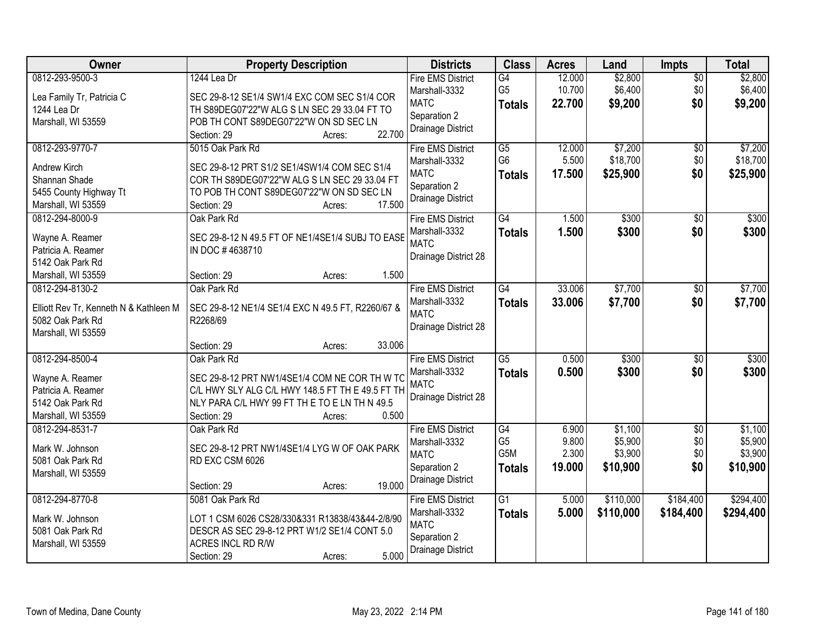| Owner                                  | <b>Property Description</b>                       | <b>Districts</b>             | <b>Class</b>    | <b>Acres</b> | Land      | <b>Impts</b>    | <b>Total</b> |
|----------------------------------------|---------------------------------------------------|------------------------------|-----------------|--------------|-----------|-----------------|--------------|
| 0812-293-9500-3                        | 1244 Lea Dr                                       | <b>Fire EMS District</b>     | G4              | 12.000       | \$2,800   | \$0             | \$2,800      |
| Lea Family Tr, Patricia C              | SEC 29-8-12 SE1/4 SW1/4 EXC COM SEC S1/4 COR      | Marshall-3332                | G <sub>5</sub>  | 10.700       | \$6,400   | \$0             | \$6,400      |
| 1244 Lea Dr                            | TH S89DEG07'22"W ALG S LN SEC 29 33.04 FT TO      | <b>MATC</b>                  | <b>Totals</b>   | 22.700       | \$9,200   | \$0             | \$9,200      |
| Marshall, WI 53559                     | POB TH CONT S89DEG07'22"W ON SD SEC LN            | Separation 2                 |                 |              |           |                 |              |
|                                        | 22.700<br>Section: 29<br>Acres:                   | Drainage District            |                 |              |           |                 |              |
| 0812-293-9770-7                        | 5015 Oak Park Rd                                  | <b>Fire EMS District</b>     | $\overline{G5}$ | 12.000       | \$7,200   | \$0             | \$7,200      |
| <b>Andrew Kirch</b>                    | SEC 29-8-12 PRT S1/2 SE1/4SW1/4 COM SEC S1/4      | Marshall-3332                | G <sub>6</sub>  | 5.500        | \$18,700  | \$0             | \$18,700     |
| Shannan Shade                          | COR TH S89DEG07'22"W ALG S LN SEC 29 33.04 FT     | <b>MATC</b>                  | <b>Totals</b>   | 17.500       | \$25,900  | \$0             | \$25,900     |
| 5455 County Highway Tt                 | TO POB TH CONT S89DEG07'22"W ON SD SEC LN         | Separation 2                 |                 |              |           |                 |              |
| Marshall, WI 53559                     | 17.500<br>Section: 29<br>Acres:                   | Drainage District            |                 |              |           |                 |              |
| 0812-294-8000-9                        | Oak Park Rd                                       | <b>Fire EMS District</b>     | G4              | 1.500        | \$300     | \$0             | \$300        |
|                                        |                                                   | Marshall-3332                | <b>Totals</b>   | 1.500        | \$300     | \$0             | \$300        |
| Wayne A. Reamer                        | SEC 29-8-12 N 49.5 FT OF NE1/4SE1/4 SUBJ TO EASE  | <b>MATC</b>                  |                 |              |           |                 |              |
| Patricia A. Reamer                     | IN DOC #4638710                                   | Drainage District 28         |                 |              |           |                 |              |
| 5142 Oak Park Rd                       |                                                   |                              |                 |              |           |                 |              |
| Marshall, WI 53559                     | 1.500<br>Section: 29<br>Acres:                    |                              |                 |              |           |                 |              |
| 0812-294-8130-2                        | Oak Park Rd                                       | <b>Fire EMS District</b>     | G4              | 33.006       | \$7,700   | $\sqrt[6]{3}$   | \$7,700      |
| Elliott Rev Tr, Kenneth N & Kathleen M | SEC 29-8-12 NE1/4 SE1/4 EXC N 49.5 FT, R2260/67 & | Marshall-3332<br><b>MATC</b> | <b>Totals</b>   | 33.006       | \$7,700   | \$0             | \$7,700      |
| 5082 Oak Park Rd                       | R2268/69                                          | Drainage District 28         |                 |              |           |                 |              |
| Marshall, WI 53559                     |                                                   |                              |                 |              |           |                 |              |
|                                        | 33.006<br>Section: 29<br>Acres:                   |                              |                 |              |           |                 |              |
| 0812-294-8500-4                        | Oak Park Rd                                       | <b>Fire EMS District</b>     | $\overline{G5}$ | 0.500        | \$300     | $\overline{50}$ | \$300        |
| Wayne A. Reamer                        | SEC 29-8-12 PRT NW1/4SE1/4 COM NE COR TH W TC     | Marshall-3332                | <b>Totals</b>   | 0.500        | \$300     | \$0             | \$300        |
| Patricia A. Reamer                     | C/L HWY SLY ALG C/L HWY 148.5 FT TH E 49.5 FT TH  | <b>MATC</b>                  |                 |              |           |                 |              |
| 5142 Oak Park Rd                       | NLY PARA C/L HWY 99 FT TH E TO E LN TH N 49.5     | Drainage District 28         |                 |              |           |                 |              |
| Marshall, WI 53559                     | 0.500<br>Section: 29<br>Acres:                    |                              |                 |              |           |                 |              |
| 0812-294-8531-7                        | Oak Park Rd                                       | <b>Fire EMS District</b>     | G4              | 6.900        | \$1,100   | $\sqrt{6}$      | \$1,100      |
|                                        |                                                   | Marshall-3332                | G <sub>5</sub>  | 9.800        | \$5,900   | \$0             | \$5,900      |
| Mark W. Johnson                        | SEC 29-8-12 PRT NW1/4SE1/4 LYG W OF OAK PARK      | <b>MATC</b>                  | G5M             | 2.300        | \$3,900   | \$0             | \$3,900      |
| 5081 Oak Park Rd                       | RD EXC CSM 6026                                   | Separation 2                 | Totals          | 19.000       | \$10,900  | \$0             | \$10,900     |
| Marshall, WI 53559                     | 19.000<br>Section: 29<br>Acres:                   | Drainage District            |                 |              |           |                 |              |
| 0812-294-8770-8                        | 5081 Oak Park Rd                                  | <b>Fire EMS District</b>     | G <sub>1</sub>  | 5.000        | \$110,000 | \$184,400       | \$294,400    |
|                                        |                                                   | Marshall-3332                |                 | 5.000        | \$110,000 | \$184,400       | \$294,400    |
| Mark W. Johnson                        | LOT 1 CSM 6026 CS28/330&331 R13838/43&44-2/8/90   | <b>MATC</b>                  | <b>Totals</b>   |              |           |                 |              |
| 5081 Oak Park Rd                       | DESCR AS SEC 29-8-12 PRT W1/2 SE1/4 CONT 5.0      | Separation 2                 |                 |              |           |                 |              |
| Marshall, WI 53559                     | ACRES INCL RD R/W                                 | Drainage District            |                 |              |           |                 |              |
|                                        | 5.000<br>Section: 29<br>Acres:                    |                              |                 |              |           |                 |              |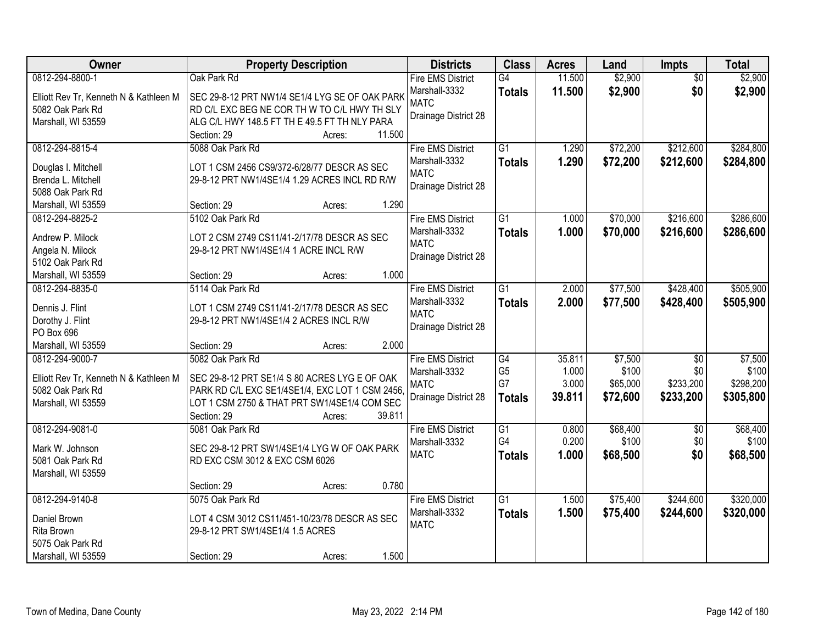| Owner                                  | <b>Property Description</b>                     | <b>Districts</b>         | <b>Class</b>    | <b>Acres</b> | Land     | <b>Impts</b>    | <b>Total</b> |
|----------------------------------------|-------------------------------------------------|--------------------------|-----------------|--------------|----------|-----------------|--------------|
| 0812-294-8800-1                        | Oak Park Rd                                     | <b>Fire EMS District</b> | $\overline{G4}$ | 11.500       | \$2,900  | $\overline{50}$ | \$2,900      |
| Elliott Rev Tr, Kenneth N & Kathleen M | SEC 29-8-12 PRT NW1/4 SE1/4 LYG SE OF OAK PARK  | Marshall-3332            | <b>Totals</b>   | 11.500       | \$2,900  | \$0             | \$2,900      |
| 5082 Oak Park Rd                       | RD C/L EXC BEG NE COR TH W TO C/L HWY TH SLY    | <b>MATC</b>              |                 |              |          |                 |              |
| Marshall, WI 53559                     | ALG C/L HWY 148.5 FT TH E 49.5 FT TH NLY PARA   | Drainage District 28     |                 |              |          |                 |              |
|                                        | Section: 29<br>11.500<br>Acres:                 |                          |                 |              |          |                 |              |
| 0812-294-8815-4                        | 5088 Oak Park Rd                                | <b>Fire EMS District</b> | $\overline{G1}$ | 1.290        | \$72,200 | \$212,600       | \$284,800    |
|                                        |                                                 | Marshall-3332            | <b>Totals</b>   | 1.290        | \$72,200 | \$212,600       | \$284,800    |
| Douglas I. Mitchell                    | LOT 1 CSM 2456 CS9/372-6/28/77 DESCR AS SEC     | <b>MATC</b>              |                 |              |          |                 |              |
| Brenda L. Mitchell                     | 29-8-12 PRT NW1/4SE1/4 1.29 ACRES INCL RD R/W   | Drainage District 28     |                 |              |          |                 |              |
| 5088 Oak Park Rd                       |                                                 |                          |                 |              |          |                 |              |
| Marshall, WI 53559                     | 1.290<br>Section: 29<br>Acres:                  |                          |                 |              |          |                 |              |
| 0812-294-8825-2                        | 5102 Oak Park Rd                                | <b>Fire EMS District</b> | $\overline{G1}$ | 1.000        | \$70,000 | \$216,600       | \$286,600    |
| Andrew P. Milock                       | LOT 2 CSM 2749 CS11/41-2/17/78 DESCR AS SEC     | Marshall-3332            | <b>Totals</b>   | 1.000        | \$70,000 | \$216,600       | \$286,600    |
| Angela N. Milock                       | 29-8-12 PRT NW1/4SE1/4 1 ACRE INCL R/W          | <b>MATC</b>              |                 |              |          |                 |              |
| 5102 Oak Park Rd                       |                                                 | Drainage District 28     |                 |              |          |                 |              |
| Marshall, WI 53559                     | 1.000<br>Section: 29<br>Acres:                  |                          |                 |              |          |                 |              |
| 0812-294-8835-0                        | 5114 Oak Park Rd                                | <b>Fire EMS District</b> | $\overline{G1}$ | 2.000        | \$77,500 | \$428,400       | \$505,900    |
|                                        |                                                 | Marshall-3332            | <b>Totals</b>   | 2.000        | \$77,500 | \$428,400       | \$505,900    |
| Dennis J. Flint                        | LOT 1 CSM 2749 CS11/41-2/17/78 DESCR AS SEC     | <b>MATC</b>              |                 |              |          |                 |              |
| Dorothy J. Flint                       | 29-8-12 PRT NW1/4SE1/4 2 ACRES INCL R/W         | Drainage District 28     |                 |              |          |                 |              |
| PO Box 696                             |                                                 |                          |                 |              |          |                 |              |
| Marshall, WI 53559                     | 2.000<br>Section: 29<br>Acres:                  |                          |                 |              |          |                 |              |
| 0812-294-9000-7                        | 5082 Oak Park Rd                                | <b>Fire EMS District</b> | G4              | 35.811       | \$7,500  | $\overline{50}$ | \$7,500      |
| Elliott Rev Tr, Kenneth N & Kathleen M | SEC 29-8-12 PRT SE1/4 S 80 ACRES LYG E OF OAK   | Marshall-3332            | G <sub>5</sub>  | 1.000        | \$100    | \$0             | \$100        |
| 5082 Oak Park Rd                       | PARK RD C/L EXC SE1/4SE1/4, EXC LOT 1 CSM 2456, | <b>MATC</b>              | G7              | 3.000        | \$65,000 | \$233,200       | \$298,200    |
| Marshall, WI 53559                     | LOT 1 CSM 2750 & THAT PRT SW1/4SE1/4 COM SEC    | Drainage District 28     | <b>Totals</b>   | 39.811       | \$72,600 | \$233,200       | \$305,800    |
|                                        | 39.811<br>Section: 29<br>Acres:                 |                          |                 |              |          |                 |              |
| 0812-294-9081-0                        | 5081 Oak Park Rd                                | <b>Fire EMS District</b> | $\overline{G1}$ | 0.800        | \$68,400 | $\sqrt{6}$      | \$68,400     |
|                                        |                                                 | Marshall-3332            | G4              | 0.200        | \$100    | \$0             | \$100        |
| Mark W. Johnson                        | SEC 29-8-12 PRT SW1/4SE1/4 LYG W OF OAK PARK    | <b>MATC</b>              | <b>Totals</b>   | 1.000        | \$68,500 | \$0             | \$68,500     |
| 5081 Oak Park Rd                       | RD EXC CSM 3012 & EXC CSM 6026                  |                          |                 |              |          |                 |              |
| Marshall, WI 53559                     |                                                 |                          |                 |              |          |                 |              |
|                                        | 0.780<br>Section: 29<br>Acres:                  |                          |                 |              |          |                 |              |
| 0812-294-9140-8                        | 5075 Oak Park Rd                                | <b>Fire EMS District</b> | $\overline{G1}$ | 1.500        | \$75,400 | \$244,600       | \$320,000    |
| Daniel Brown                           | LOT 4 CSM 3012 CS11/451-10/23/78 DESCR AS SEC   | Marshall-3332            | <b>Totals</b>   | 1.500        | \$75,400 | \$244,600       | \$320,000    |
| Rita Brown                             | 29-8-12 PRT SW1/4SE1/4 1.5 ACRES                | <b>MATC</b>              |                 |              |          |                 |              |
| 5075 Oak Park Rd                       |                                                 |                          |                 |              |          |                 |              |
| Marshall, WI 53559                     | 1.500<br>Section: 29<br>Acres:                  |                          |                 |              |          |                 |              |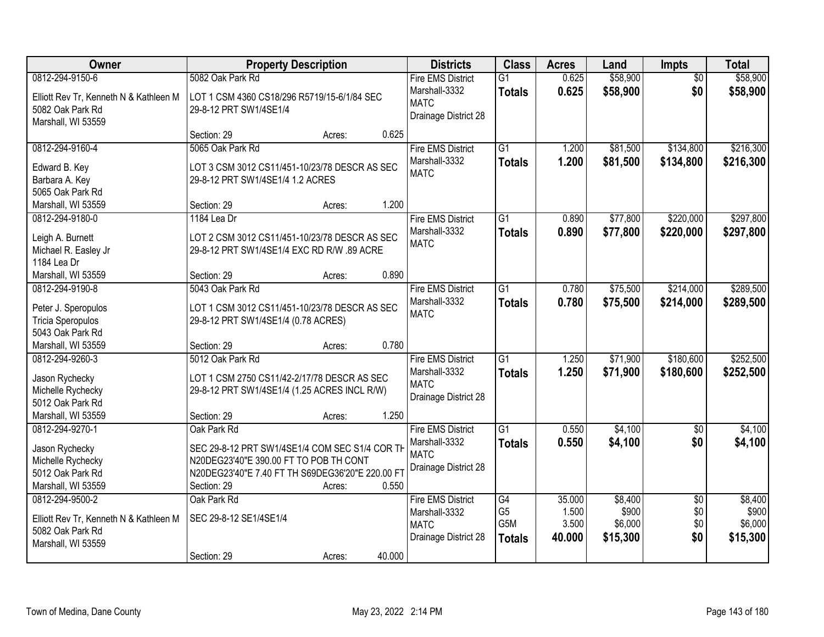| Owner                                  | <b>Property Description</b>                                     |        |        | <b>Districts</b>             | <b>Class</b>    | <b>Acres</b> | Land     | Impts           | <b>Total</b> |
|----------------------------------------|-----------------------------------------------------------------|--------|--------|------------------------------|-----------------|--------------|----------|-----------------|--------------|
| 0812-294-9150-6                        | 5082 Oak Park Rd                                                |        |        | <b>Fire EMS District</b>     | $\overline{G1}$ | 0.625        | \$58,900 | $\overline{50}$ | \$58,900     |
| Elliott Rev Tr, Kenneth N & Kathleen M | LOT 1 CSM 4360 CS18/296 R5719/15-6/1/84 SEC                     |        |        | Marshall-3332                | <b>Totals</b>   | 0.625        | \$58,900 | \$0             | \$58,900     |
| 5082 Oak Park Rd                       | 29-8-12 PRT SW1/4SE1/4                                          |        |        | <b>MATC</b>                  |                 |              |          |                 |              |
| Marshall, WI 53559                     |                                                                 |        |        | Drainage District 28         |                 |              |          |                 |              |
|                                        | Section: 29                                                     | Acres: | 0.625  |                              |                 |              |          |                 |              |
| 0812-294-9160-4                        | 5065 Oak Park Rd                                                |        |        | <b>Fire EMS District</b>     | $\overline{G1}$ | 1.200        | \$81,500 | \$134,800       | \$216,300    |
| Edward B. Key                          | LOT 3 CSM 3012 CS11/451-10/23/78 DESCR AS SEC                   |        |        | Marshall-3332                | <b>Totals</b>   | 1.200        | \$81,500 | \$134,800       | \$216,300    |
| Barbara A. Key                         | 29-8-12 PRT SW1/4SE1/4 1.2 ACRES                                |        |        | <b>MATC</b>                  |                 |              |          |                 |              |
| 5065 Oak Park Rd                       |                                                                 |        |        |                              |                 |              |          |                 |              |
| Marshall, WI 53559                     | Section: 29                                                     | Acres: | 1.200  |                              |                 |              |          |                 |              |
| 0812-294-9180-0                        | 1184 Lea Dr                                                     |        |        | <b>Fire EMS District</b>     | G1              | 0.890        | \$77,800 | \$220,000       | \$297,800    |
|                                        |                                                                 |        |        | Marshall-3332                | <b>Totals</b>   | 0.890        | \$77,800 | \$220,000       | \$297,800    |
| Leigh A. Burnett                       | LOT 2 CSM 3012 CS11/451-10/23/78 DESCR AS SEC                   |        |        | <b>MATC</b>                  |                 |              |          |                 |              |
| Michael R. Easley Jr                   | 29-8-12 PRT SW1/4SE1/4 EXC RD R/W .89 ACRE                      |        |        |                              |                 |              |          |                 |              |
| 1184 Lea Dr                            |                                                                 |        |        |                              |                 |              |          |                 |              |
| Marshall, WI 53559                     | Section: 29                                                     | Acres: | 0.890  |                              |                 |              |          |                 |              |
| 0812-294-9190-8                        | 5043 Oak Park Rd                                                |        |        | <b>Fire EMS District</b>     | $\overline{G1}$ | 0.780        | \$75,500 | \$214,000       | \$289,500    |
| Peter J. Speropulos                    | LOT 1 CSM 3012 CS11/451-10/23/78 DESCR AS SEC                   |        |        | Marshall-3332<br><b>MATC</b> | <b>Totals</b>   | 0.780        | \$75,500 | \$214,000       | \$289,500    |
| Tricia Speropulos                      | 29-8-12 PRT SW1/4SE1/4 (0.78 ACRES)                             |        |        |                              |                 |              |          |                 |              |
| 5043 Oak Park Rd                       |                                                                 |        |        |                              |                 |              |          |                 |              |
| Marshall, WI 53559                     | Section: 29                                                     | Acres: | 0.780  |                              |                 |              |          |                 |              |
| 0812-294-9260-3                        | 5012 Oak Park Rd                                                |        |        | <b>Fire EMS District</b>     | $\overline{G1}$ | 1.250        | \$71,900 | \$180,600       | \$252,500    |
| Jason Rychecky                         | LOT 1 CSM 2750 CS11/42-2/17/78 DESCR AS SEC                     |        |        | Marshall-3332                | <b>Totals</b>   | 1.250        | \$71,900 | \$180,600       | \$252,500    |
| Michelle Rychecky                      | 29-8-12 PRT SW1/4SE1/4 (1.25 ACRES INCL R/W)                    |        |        | <b>MATC</b>                  |                 |              |          |                 |              |
| 5012 Oak Park Rd                       |                                                                 |        |        | Drainage District 28         |                 |              |          |                 |              |
| Marshall, WI 53559                     | Section: 29                                                     | Acres: | 1.250  |                              |                 |              |          |                 |              |
| 0812-294-9270-1                        | Oak Park Rd                                                     |        |        | <b>Fire EMS District</b>     | $\overline{G1}$ | 0.550        | \$4,100  | $\overline{50}$ | \$4,100      |
|                                        |                                                                 |        |        | Marshall-3332                | <b>Totals</b>   | 0.550        | \$4,100  | \$0             | \$4,100      |
| Jason Rychecky                         | SEC 29-8-12 PRT SW1/4SE1/4 COM SEC S1/4 COR TH                  |        |        | <b>MATC</b>                  |                 |              |          |                 |              |
| Michelle Rychecky<br>5012 Oak Park Rd  | N20DEG23'40"E 390.00 FT TO POB TH CONT                          |        |        | Drainage District 28         |                 |              |          |                 |              |
|                                        | N20DEG23'40"E 7.40 FT TH S69DEG36'20"E 220.00 FT<br>Section: 29 |        | 0.550  |                              |                 |              |          |                 |              |
| Marshall, WI 53559<br>0812-294-9500-2  | Oak Park Rd                                                     | Acres: |        | <b>Fire EMS District</b>     | G4              | 35.000       | \$8,400  | $\overline{30}$ | \$8,400      |
|                                        |                                                                 |        |        | Marshall-3332                | G <sub>5</sub>  | 1.500        | \$900    | \$0             | \$900        |
| Elliott Rev Tr, Kenneth N & Kathleen M | SEC 29-8-12 SE1/4SE1/4                                          |        |        | <b>MATC</b>                  | G5M             | 3.500        | \$6,000  | \$0             | \$6,000      |
| 5082 Oak Park Rd                       |                                                                 |        |        | Drainage District 28         | <b>Totals</b>   | 40.000       | \$15,300 | \$0             | \$15,300     |
| Marshall, WI 53559                     |                                                                 |        |        |                              |                 |              |          |                 |              |
|                                        | Section: 29                                                     | Acres: | 40.000 |                              |                 |              |          |                 |              |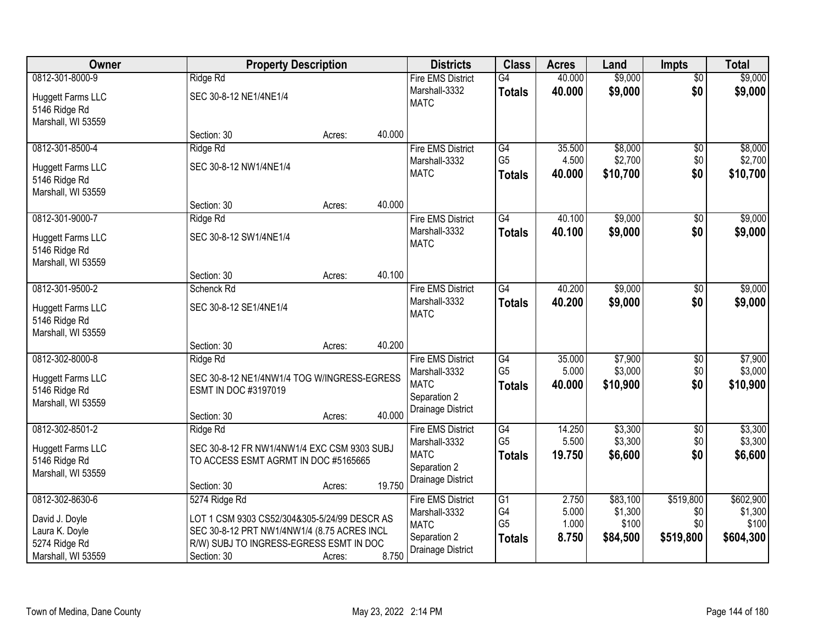| Owner                    | <b>Property Description</b>                  |        |        | <b>Districts</b>         | <b>Class</b>    | <b>Acres</b> | Land     | <b>Impts</b>    | <b>Total</b> |
|--------------------------|----------------------------------------------|--------|--------|--------------------------|-----------------|--------------|----------|-----------------|--------------|
| 0812-301-8000-9          | Ridge Rd                                     |        |        | <b>Fire EMS District</b> | G4              | 40.000       | \$9,000  | $\overline{50}$ | \$9,000      |
| <b>Huggett Farms LLC</b> | SEC 30-8-12 NE1/4NE1/4                       |        |        | Marshall-3332            | <b>Totals</b>   | 40.000       | \$9,000  | \$0             | \$9,000      |
| 5146 Ridge Rd            |                                              |        |        | <b>MATC</b>              |                 |              |          |                 |              |
| Marshall, WI 53559       |                                              |        |        |                          |                 |              |          |                 |              |
|                          | Section: 30                                  | Acres: | 40.000 |                          |                 |              |          |                 |              |
| 0812-301-8500-4          | Ridge Rd                                     |        |        | <b>Fire EMS District</b> | G4              | 35.500       | \$8,000  | \$0             | \$8,000      |
| <b>Huggett Farms LLC</b> | SEC 30-8-12 NW1/4NE1/4                       |        |        | Marshall-3332            | G <sub>5</sub>  | 4.500        | \$2,700  | \$0             | \$2,700      |
| 5146 Ridge Rd            |                                              |        |        | <b>MATC</b>              | <b>Totals</b>   | 40.000       | \$10,700 | \$0             | \$10,700     |
| Marshall, WI 53559       |                                              |        |        |                          |                 |              |          |                 |              |
|                          | Section: 30                                  | Acres: | 40.000 |                          |                 |              |          |                 |              |
| 0812-301-9000-7          | Ridge Rd                                     |        |        | <b>Fire EMS District</b> | $\overline{G4}$ | 40.100       | \$9,000  | $\sqrt[6]{}$    | \$9,000      |
| <b>Huggett Farms LLC</b> | SEC 30-8-12 SW1/4NE1/4                       |        |        | Marshall-3332            | <b>Totals</b>   | 40.100       | \$9,000  | \$0             | \$9,000      |
| 5146 Ridge Rd            |                                              |        |        | <b>MATC</b>              |                 |              |          |                 |              |
| Marshall, WI 53559       |                                              |        |        |                          |                 |              |          |                 |              |
|                          | Section: 30                                  | Acres: | 40.100 |                          |                 |              |          |                 |              |
| 0812-301-9500-2          | Schenck Rd                                   |        |        | <b>Fire EMS District</b> | $\overline{G4}$ | 40.200       | \$9,000  | $\sqrt[6]{3}$   | \$9,000      |
| Huggett Farms LLC        | SEC 30-8-12 SE1/4NE1/4                       |        |        | Marshall-3332            | <b>Totals</b>   | 40.200       | \$9,000  | \$0             | \$9,000      |
| 5146 Ridge Rd            |                                              |        |        | <b>MATC</b>              |                 |              |          |                 |              |
| Marshall, WI 53559       |                                              |        |        |                          |                 |              |          |                 |              |
|                          | Section: 30                                  | Acres: | 40.200 |                          |                 |              |          |                 |              |
| 0812-302-8000-8          | Ridge Rd                                     |        |        | <b>Fire EMS District</b> | G4              | 35.000       | \$7,900  | \$0             | \$7,900      |
| <b>Huggett Farms LLC</b> | SEC 30-8-12 NE1/4NW1/4 TOG W/INGRESS-EGRESS  |        |        | Marshall-3332            | G <sub>5</sub>  | 5.000        | \$3,000  | \$0             | \$3,000      |
| 5146 Ridge Rd            | ESMT IN DOC #3197019                         |        |        | <b>MATC</b>              | <b>Totals</b>   | 40.000       | \$10,900 | \$0             | \$10,900     |
| Marshall, WI 53559       |                                              |        |        | Separation 2             |                 |              |          |                 |              |
|                          | Section: 30                                  | Acres: | 40.000 | Drainage District        |                 |              |          |                 |              |
| 0812-302-8501-2          | Ridge Rd                                     |        |        | <b>Fire EMS District</b> | $\overline{G4}$ | 14.250       | \$3,300  | $\overline{$0}$ | \$3,300      |
| <b>Huggett Farms LLC</b> | SEC 30-8-12 FR NW1/4NW1/4 EXC CSM 9303 SUBJ  |        |        | Marshall-3332            | G <sub>5</sub>  | 5.500        | \$3,300  | \$0             | \$3,300      |
| 5146 Ridge Rd            | TO ACCESS ESMT AGRMT IN DOC #5165665         |        |        | <b>MATC</b>              | <b>Totals</b>   | 19.750       | \$6,600  | \$0             | \$6,600      |
| Marshall, WI 53559       |                                              |        |        | Separation 2             |                 |              |          |                 |              |
|                          | Section: 30                                  | Acres: | 19.750 | Drainage District        |                 |              |          |                 |              |
| 0812-302-8630-6          | 5274 Ridge Rd                                |        |        | <b>Fire EMS District</b> | G1              | 2.750        | \$83,100 | \$519,800       | \$602,900    |
| David J. Doyle           | LOT 1 CSM 9303 CS52/304&305-5/24/99 DESCR AS |        |        | Marshall-3332            | G4              | 5.000        | \$1,300  | \$0             | \$1,300      |
| Laura K. Doyle           | SEC 30-8-12 PRT NW1/4NW1/4 (8.75 ACRES INCL  |        |        | <b>MATC</b>              | G <sub>5</sub>  | 1.000        | \$100    | \$0             | \$100        |
| 5274 Ridge Rd            | R/W) SUBJ TO INGRESS-EGRESS ESMT IN DOC      |        |        | Separation 2             | <b>Totals</b>   | 8.750        | \$84,500 | \$519,800       | \$604,300    |
| Marshall, WI 53559       | Section: 30                                  | Acres: | 8.750  | Drainage District        |                 |              |          |                 |              |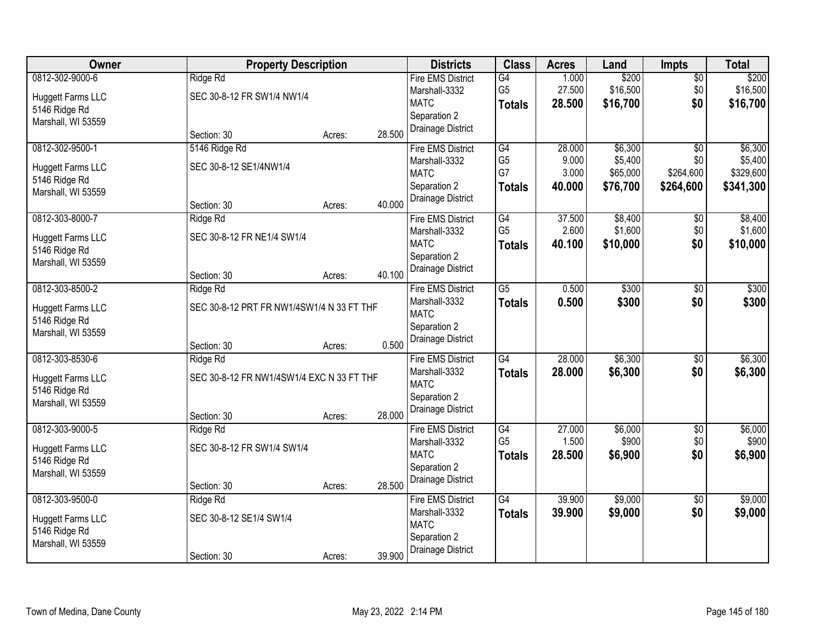| Owner                    |                                           | <b>Property Description</b> |        | <b>Districts</b>         | <b>Class</b>    | <b>Acres</b> | Land     | <b>Impts</b>    | <b>Total</b> |
|--------------------------|-------------------------------------------|-----------------------------|--------|--------------------------|-----------------|--------------|----------|-----------------|--------------|
| 0812-302-9000-6          | Ridge Rd                                  |                             |        | <b>Fire EMS District</b> | $\overline{G4}$ | 1.000        | \$200    | $\overline{50}$ | \$200        |
| <b>Huggett Farms LLC</b> | SEC 30-8-12 FR SW1/4 NW1/4                |                             |        | Marshall-3332            | G <sub>5</sub>  | 27.500       | \$16,500 | \$0             | \$16,500     |
| 5146 Ridge Rd            |                                           |                             |        | <b>MATC</b>              | <b>Totals</b>   | 28.500       | \$16,700 | \$0             | \$16,700     |
| Marshall, WI 53559       |                                           |                             |        | Separation 2             |                 |              |          |                 |              |
|                          | Section: 30                               | Acres:                      | 28.500 | Drainage District        |                 |              |          |                 |              |
| 0812-302-9500-1          | 5146 Ridge Rd                             |                             |        | <b>Fire EMS District</b> | G4              | 28.000       | \$6,300  | $\overline{50}$ | \$6,300      |
| <b>Huggett Farms LLC</b> | SEC 30-8-12 SE1/4NW1/4                    |                             |        | Marshall-3332            | G <sub>5</sub>  | 9.000        | \$5,400  | \$0             | \$5,400      |
| 5146 Ridge Rd            |                                           |                             |        | <b>MATC</b>              | G7              | 3.000        | \$65,000 | \$264,600       | \$329,600    |
| Marshall, WI 53559       |                                           |                             |        | Separation 2             | <b>Totals</b>   | 40.000       | \$76,700 | \$264,600       | \$341,300    |
|                          | Section: 30                               | Acres:                      | 40.000 | Drainage District        |                 |              |          |                 |              |
| 0812-303-8000-7          | Ridge Rd                                  |                             |        | <b>Fire EMS District</b> | G4              | 37.500       | \$8,400  | \$0             | \$8,400      |
| <b>Huggett Farms LLC</b> | SEC 30-8-12 FR NE1/4 SW1/4                |                             |        | Marshall-3332            | G <sub>5</sub>  | 2.600        | \$1,600  | \$0             | \$1,600      |
| 5146 Ridge Rd            |                                           |                             |        | <b>MATC</b>              | <b>Totals</b>   | 40.100       | \$10,000 | \$0             | \$10,000     |
| Marshall, WI 53559       |                                           |                             |        | Separation 2             |                 |              |          |                 |              |
|                          | Section: 30                               | Acres:                      | 40.100 | Drainage District        |                 |              |          |                 |              |
| 0812-303-8500-2          | Ridge Rd                                  |                             |        | <b>Fire EMS District</b> | $\overline{G5}$ | 0.500        | \$300    | \$0             | \$300        |
| Huggett Farms LLC        | SEC 30-8-12 PRT FR NW1/4SW1/4 N 33 FT THF |                             |        | Marshall-3332            | <b>Totals</b>   | 0.500        | \$300    | \$0             | \$300        |
| 5146 Ridge Rd            |                                           |                             |        | <b>MATC</b>              |                 |              |          |                 |              |
| Marshall, WI 53559       |                                           |                             |        | Separation 2             |                 |              |          |                 |              |
|                          | Section: 30                               | Acres:                      | 0.500  | Drainage District        |                 |              |          |                 |              |
| 0812-303-8530-6          | Ridge Rd                                  |                             |        | <b>Fire EMS District</b> | G4              | 28.000       | \$6,300  | $\overline{50}$ | \$6,300      |
| <b>Huggett Farms LLC</b> | SEC 30-8-12 FR NW1/4SW1/4 EXC N 33 FT THF |                             |        | Marshall-3332            | <b>Totals</b>   | 28.000       | \$6,300  | \$0             | \$6,300      |
| 5146 Ridge Rd            |                                           |                             |        | <b>MATC</b>              |                 |              |          |                 |              |
| Marshall, WI 53559       |                                           |                             |        | Separation 2             |                 |              |          |                 |              |
|                          | Section: 30                               | Acres:                      | 28.000 | Drainage District        |                 |              |          |                 |              |
| 0812-303-9000-5          | Ridge Rd                                  |                             |        | <b>Fire EMS District</b> | G4              | 27.000       | \$6,000  | $\sqrt{6}$      | \$6,000      |
| <b>Huggett Farms LLC</b> | SEC 30-8-12 FR SW1/4 SW1/4                |                             |        | Marshall-3332            | G <sub>5</sub>  | 1.500        | \$900    | \$0             | \$900        |
| 5146 Ridge Rd            |                                           |                             |        | <b>MATC</b>              | <b>Totals</b>   | 28.500       | \$6,900  | \$0             | \$6,900      |
| Marshall, WI 53559       |                                           |                             |        | Separation 2             |                 |              |          |                 |              |
|                          | Section: 30                               | Acres:                      | 28.500 | Drainage District        |                 |              |          |                 |              |
| 0812-303-9500-0          | Ridge Rd                                  |                             |        | <b>Fire EMS District</b> | G4              | 39.900       | \$9,000  | $\overline{50}$ | \$9,000      |
| Huggett Farms LLC        | SEC 30-8-12 SE1/4 SW1/4                   |                             |        | Marshall-3332            | <b>Totals</b>   | 39.900       | \$9,000  | \$0             | \$9,000      |
| 5146 Ridge Rd            |                                           |                             |        | <b>MATC</b>              |                 |              |          |                 |              |
| Marshall, WI 53559       |                                           |                             |        | Separation 2             |                 |              |          |                 |              |
|                          | Section: 30                               | Acres:                      | 39.900 | Drainage District        |                 |              |          |                 |              |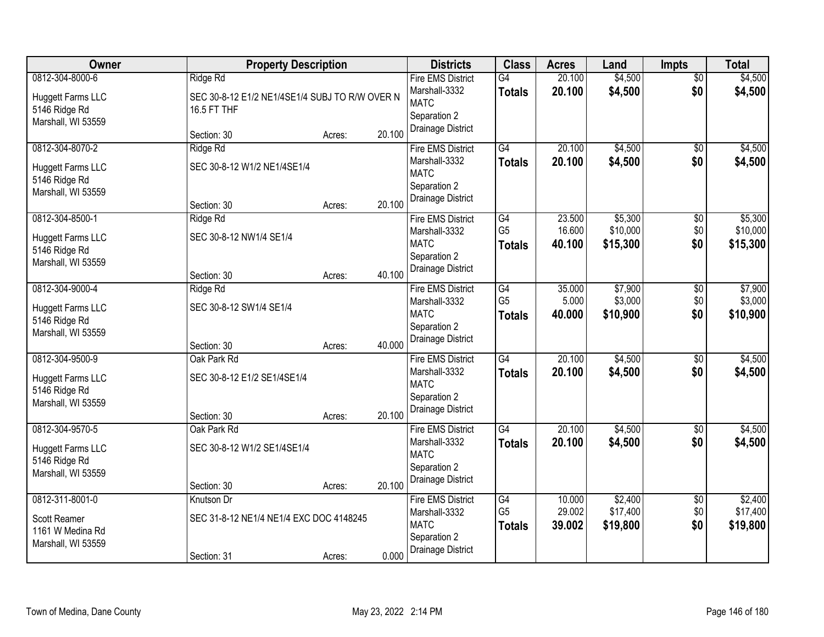| Owner                                                                              | <b>Property Description</b>                                               |                  | <b>Districts</b>                                                                              | <b>Class</b>                          | <b>Acres</b>               | Land                            | <b>Impts</b>                | <b>Total</b>                    |
|------------------------------------------------------------------------------------|---------------------------------------------------------------------------|------------------|-----------------------------------------------------------------------------------------------|---------------------------------------|----------------------------|---------------------------------|-----------------------------|---------------------------------|
| 0812-304-8000-6<br><b>Huggett Farms LLC</b><br>5146 Ridge Rd<br>Marshall, WI 53559 | Ridge Rd<br>SEC 30-8-12 E1/2 NE1/4SE1/4 SUBJ TO R/W OVER N<br>16.5 FT THF |                  | <b>Fire EMS District</b><br>Marshall-3332<br><b>MATC</b><br>Separation 2                      | $\overline{G4}$<br><b>Totals</b>      | 20.100<br>20.100           | \$4,500<br>\$4,500              | $\overline{50}$<br>\$0      | \$4,500<br>\$4,500              |
|                                                                                    | Section: 30                                                               | 20.100<br>Acres: | Drainage District                                                                             |                                       |                            |                                 |                             |                                 |
| 0812-304-8070-2<br><b>Huggett Farms LLC</b><br>5146 Ridge Rd<br>Marshall, WI 53559 | Ridge Rd<br>SEC 30-8-12 W1/2 NE1/4SE1/4<br>Section: 30                    | 20.100<br>Acres: | <b>Fire EMS District</b><br>Marshall-3332<br><b>MATC</b><br>Separation 2<br>Drainage District | G4<br><b>Totals</b>                   | 20.100<br>20.100           | \$4,500<br>\$4,500              | $\overline{50}$<br>\$0      | \$4,500<br>\$4,500              |
| 0812-304-8500-1<br>Huggett Farms LLC<br>5146 Ridge Rd<br>Marshall, WI 53559        | Ridge Rd<br>SEC 30-8-12 NW1/4 SE1/4<br>Section: 30                        | 40.100<br>Acres: | <b>Fire EMS District</b><br>Marshall-3332<br><b>MATC</b><br>Separation 2<br>Drainage District | G4<br>G <sub>5</sub><br><b>Totals</b> | 23.500<br>16.600<br>40.100 | \$5,300<br>\$10,000<br>\$15,300 | $\sqrt[6]{3}$<br>\$0<br>\$0 | \$5,300<br>\$10,000<br>\$15,300 |
| 0812-304-9000-4<br><b>Huggett Farms LLC</b><br>5146 Ridge Rd<br>Marshall, WI 53559 | Ridge Rd<br>SEC 30-8-12 SW1/4 SE1/4<br>Section: 30                        | 40.000<br>Acres: | <b>Fire EMS District</b><br>Marshall-3332<br><b>MATC</b><br>Separation 2<br>Drainage District | G4<br>G <sub>5</sub><br><b>Totals</b> | 35.000<br>5.000<br>40.000  | \$7,900<br>\$3,000<br>\$10,900  | \$0<br>\$0<br>\$0           | \$7,900<br>\$3,000<br>\$10,900  |
| 0812-304-9500-9<br>Huggett Farms LLC<br>5146 Ridge Rd<br>Marshall, WI 53559        | Oak Park Rd<br>SEC 30-8-12 E1/2 SE1/4SE1/4<br>Section: 30                 | 20.100<br>Acres: | <b>Fire EMS District</b><br>Marshall-3332<br><b>MATC</b><br>Separation 2<br>Drainage District | G4<br><b>Totals</b>                   | 20.100<br>20.100           | \$4,500<br>\$4,500              | \$0<br>\$0                  | \$4,500<br>\$4,500              |
| 0812-304-9570-5<br><b>Huggett Farms LLC</b><br>5146 Ridge Rd<br>Marshall, WI 53559 | Oak Park Rd<br>SEC 30-8-12 W1/2 SE1/4SE1/4<br>Section: 30                 | 20.100<br>Acres: | <b>Fire EMS District</b><br>Marshall-3332<br><b>MATC</b><br>Separation 2<br>Drainage District | $\overline{G4}$<br><b>Totals</b>      | 20.100<br>20.100           | \$4,500<br>\$4,500              | \$0<br>\$0                  | \$4,500<br>\$4,500              |
| 0812-311-8001-0<br>Scott Reamer<br>1161 W Medina Rd<br>Marshall, WI 53559          | Knutson Dr<br>SEC 31-8-12 NE1/4 NE1/4 EXC DOC 4148245<br>Section: 31      | 0.000<br>Acres:  | <b>Fire EMS District</b><br>Marshall-3332<br><b>MATC</b><br>Separation 2<br>Drainage District | G4<br>G <sub>5</sub><br><b>Totals</b> | 10.000<br>29.002<br>39.002 | \$2,400<br>\$17,400<br>\$19,800 | \$0<br>\$0<br>\$0           | \$2,400<br>\$17,400<br>\$19,800 |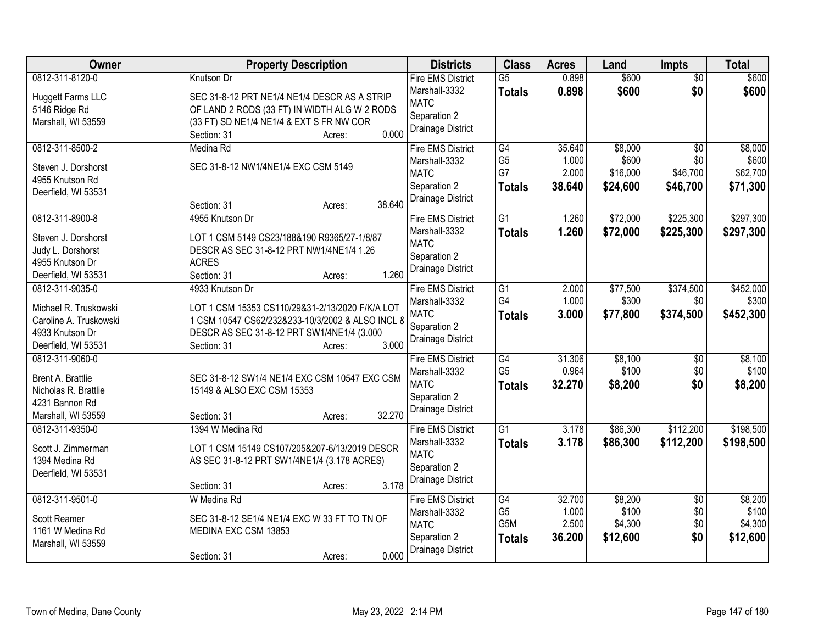| Owner                                                                                                        | <b>Property Description</b>                                                                                                                                                                            | <b>Districts</b>                                                                                     | <b>Class</b>                                 | <b>Acres</b>                       | Land                                     | <b>Impts</b>                                   | <b>Total</b>                             |
|--------------------------------------------------------------------------------------------------------------|--------------------------------------------------------------------------------------------------------------------------------------------------------------------------------------------------------|------------------------------------------------------------------------------------------------------|----------------------------------------------|------------------------------------|------------------------------------------|------------------------------------------------|------------------------------------------|
| 0812-311-8120-0<br><b>Huggett Farms LLC</b><br>5146 Ridge Rd<br>Marshall, WI 53559                           | Knutson Dr<br>SEC 31-8-12 PRT NE1/4 NE1/4 DESCR AS A STRIP<br>OF LAND 2 RODS (33 FT) IN WIDTH ALG W 2 RODS<br>(33 FT) SD NE1/4 NE1/4 & EXT S FR NW COR<br>0.000<br>Section: 31<br>Acres:               | <b>Fire EMS District</b><br>Marshall-3332<br><b>MATC</b><br>Separation 2<br>Drainage District        | $\overline{G5}$<br><b>Totals</b>             | 0.898<br>0.898                     | \$600<br>\$600                           | $\overline{50}$<br>\$0                         | \$600<br>\$600                           |
| 0812-311-8500-2<br>Steven J. Dorshorst<br>4955 Knutson Rd<br>Deerfield, WI 53531                             | Medina Rd<br>SEC 31-8-12 NW1/4NE1/4 EXC CSM 5149<br>38.640<br>Section: 31<br>Acres:                                                                                                                    | <b>Fire EMS District</b><br>Marshall-3332<br><b>MATC</b><br>Separation 2<br>Drainage District        | G4<br>G <sub>5</sub><br>G7<br><b>Totals</b>  | 35.640<br>1.000<br>2.000<br>38.640 | \$8,000<br>\$600<br>\$16,000<br>\$24,600 | $\overline{30}$<br>\$0<br>\$46,700<br>\$46,700 | \$8,000<br>\$600<br>\$62,700<br>\$71,300 |
| 0812-311-8900-8<br>Steven J. Dorshorst<br>Judy L. Dorshorst<br>4955 Knutson Dr<br>Deerfield, WI 53531        | 4955 Knutson Dr<br>LOT 1 CSM 5149 CS23/188&190 R9365/27-1/8/87<br>DESCR AS SEC 31-8-12 PRT NW1/4NE1/4 1.26<br><b>ACRES</b><br>1.260<br>Section: 31<br>Acres:                                           | <b>Fire EMS District</b><br>Marshall-3332<br><b>MATC</b><br>Separation 2<br>Drainage District        | $\overline{G1}$<br><b>Totals</b>             | 1.260<br>1.260                     | \$72,000<br>\$72,000                     | \$225,300<br>\$225,300                         | \$297,300<br>\$297,300                   |
| 0812-311-9035-0<br>Michael R. Truskowski<br>Caroline A. Truskowski<br>4933 Knutson Dr<br>Deerfield, WI 53531 | 4933 Knutson Dr<br>LOT 1 CSM 15353 CS110/29&31-2/13/2020 F/K/A LOT<br>1 CSM 10547 CS62/232&233-10/3/2002 & ALSO INCL &<br>DESCR AS SEC 31-8-12 PRT SW1/4NE1/4 (3.000<br>3.000<br>Section: 31<br>Acres: | <b>Fire EMS District</b><br>Marshall-3332<br><b>MATC</b><br>Separation 2<br>Drainage District        | $\overline{G1}$<br>G4<br><b>Totals</b>       | 2.000<br>1.000<br>3.000            | \$77,500<br>\$300<br>\$77,800            | \$374,500<br>\$0<br>\$374,500                  | \$452,000<br>\$300<br>\$452,300          |
| 0812-311-9060-0<br>Brent A. Brattlie<br>Nicholas R. Brattlie<br>4231 Bannon Rd<br>Marshall, WI 53559         | SEC 31-8-12 SW1/4 NE1/4 EXC CSM 10547 EXC CSM<br>15149 & ALSO EXC CSM 15353<br>32.270<br>Section: 31<br>Acres:                                                                                         | <b>Fire EMS District</b><br>Marshall-3332<br><b>MATC</b><br>Separation 2<br>Drainage District        | G4<br>G <sub>5</sub><br><b>Totals</b>        | 31.306<br>0.964<br>32.270          | \$8,100<br>\$100<br>\$8,200              | \$0<br>\$0<br>\$0                              | \$8,100<br>\$100<br>\$8,200              |
| 0812-311-9350-0<br>Scott J. Zimmerman<br>1394 Medina Rd<br>Deerfield, WI 53531                               | 1394 W Medina Rd<br>LOT 1 CSM 15149 CS107/205&207-6/13/2019 DESCR<br>AS SEC 31-8-12 PRT SW1/4NE1/4 (3.178 ACRES)<br>3.178<br>Section: 31<br>Acres:                                                     | <b>Fire EMS District</b><br>Marshall-3332<br><b>MATC</b><br>Separation 2<br><b>Drainage District</b> | $\overline{G1}$<br><b>Totals</b>             | 3.178<br>3.178                     | \$86,300<br>\$86,300                     | \$112,200<br>\$112,200                         | \$198,500<br>\$198,500                   |
| 0812-311-9501-0<br>Scott Reamer<br>1161 W Medina Rd<br>Marshall, WI 53559                                    | W Medina Rd<br>SEC 31-8-12 SE1/4 NE1/4 EXC W 33 FT TO TN OF<br>MEDINA EXC CSM 13853<br>0.000<br>Section: 31<br>Acres:                                                                                  | <b>Fire EMS District</b><br>Marshall-3332<br><b>MATC</b><br>Separation 2<br>Drainage District        | G4<br>G <sub>5</sub><br>G5M<br><b>Totals</b> | 32.700<br>1.000<br>2.500<br>36.200 | \$8,200<br>\$100<br>\$4,300<br>\$12,600  | $\overline{50}$<br>\$0<br>\$0<br>\$0           | \$8,200<br>\$100<br>\$4,300<br>\$12,600  |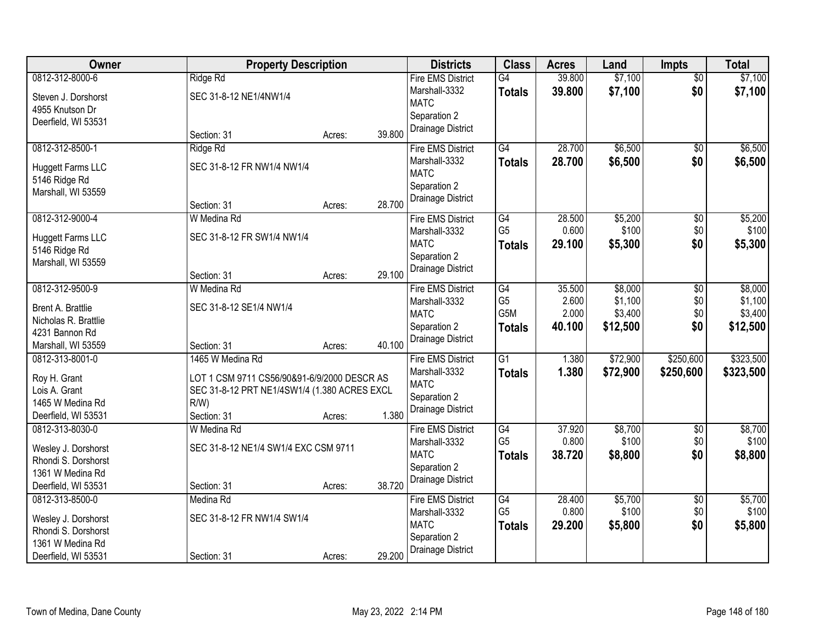| Owner                                     | <b>Property Description</b>                  |        |        | <b>Districts</b>         | <b>Class</b>    | <b>Acres</b> | Land     | <b>Impts</b>    | <b>Total</b> |
|-------------------------------------------|----------------------------------------------|--------|--------|--------------------------|-----------------|--------------|----------|-----------------|--------------|
| 0812-312-8000-6                           | Ridge Rd                                     |        |        | <b>Fire EMS District</b> | $\overline{G4}$ | 39.800       | \$7,100  | $\overline{50}$ | \$7,100      |
| Steven J. Dorshorst                       | SEC 31-8-12 NE1/4NW1/4                       |        |        | Marshall-3332            | <b>Totals</b>   | 39.800       | \$7,100  | \$0             | \$7,100      |
| 4955 Knutson Dr                           |                                              |        |        | <b>MATC</b>              |                 |              |          |                 |              |
| Deerfield, WI 53531                       |                                              |        |        | Separation 2             |                 |              |          |                 |              |
|                                           | Section: 31                                  | Acres: | 39.800 | Drainage District        |                 |              |          |                 |              |
| 0812-312-8500-1                           | Ridge Rd                                     |        |        | <b>Fire EMS District</b> | G4              | 28.700       | \$6,500  | \$0             | \$6,500      |
| Huggett Farms LLC                         | SEC 31-8-12 FR NW1/4 NW1/4                   |        |        | Marshall-3332            | <b>Totals</b>   | 28.700       | \$6,500  | \$0             | \$6,500      |
| 5146 Ridge Rd                             |                                              |        |        | <b>MATC</b>              |                 |              |          |                 |              |
| Marshall, WI 53559                        |                                              |        |        | Separation 2             |                 |              |          |                 |              |
|                                           | Section: 31                                  | Acres: | 28.700 | Drainage District        |                 |              |          |                 |              |
| 0812-312-9000-4                           | W Medina Rd                                  |        |        | <b>Fire EMS District</b> | G4              | 28.500       | \$5,200  | \$0             | \$5,200      |
| <b>Huggett Farms LLC</b>                  | SEC 31-8-12 FR SW1/4 NW1/4                   |        |        | Marshall-3332            | G <sub>5</sub>  | 0.600        | \$100    | \$0             | \$100        |
| 5146 Ridge Rd                             |                                              |        |        | <b>MATC</b>              | <b>Totals</b>   | 29.100       | \$5,300  | \$0             | \$5,300      |
| Marshall, WI 53559                        |                                              |        |        | Separation 2             |                 |              |          |                 |              |
|                                           | Section: 31                                  | Acres: | 29.100 | Drainage District        |                 |              |          |                 |              |
| 0812-312-9500-9                           | W Medina Rd                                  |        |        | <b>Fire EMS District</b> | G4              | 35.500       | \$8,000  | $\sqrt[6]{3}$   | \$8,000      |
|                                           |                                              |        |        | Marshall-3332            | G <sub>5</sub>  | 2.600        | \$1,100  | \$0             | \$1,100      |
| Brent A. Brattlie<br>Nicholas R. Brattlie | SEC 31-8-12 SE1/4 NW1/4                      |        |        | <b>MATC</b>              | G5M             | 2.000        | \$3,400  | \$0             | \$3,400      |
| 4231 Bannon Rd                            |                                              |        |        | Separation 2             | <b>Totals</b>   | 40.100       | \$12,500 | \$0             | \$12,500     |
| Marshall, WI 53559                        | Section: 31                                  | Acres: | 40.100 | Drainage District        |                 |              |          |                 |              |
| 0812-313-8001-0                           | 1465 W Medina Rd                             |        |        | <b>Fire EMS District</b> | $\overline{G1}$ | 1.380        | \$72,900 | \$250,600       | \$323,500    |
|                                           |                                              |        |        | Marshall-3332            | <b>Totals</b>   | 1.380        | \$72,900 | \$250,600       | \$323,500    |
| Roy H. Grant                              | LOT 1 CSM 9711 CS56/90&91-6/9/2000 DESCR AS  |        |        | <b>MATC</b>              |                 |              |          |                 |              |
| Lois A. Grant                             | SEC 31-8-12 PRT NE1/4SW1/4 (1.380 ACRES EXCL |        |        | Separation 2             |                 |              |          |                 |              |
| 1465 W Medina Rd                          | R/W                                          |        |        | Drainage District        |                 |              |          |                 |              |
| Deerfield, WI 53531                       | Section: 31                                  | Acres: | 1.380  |                          |                 |              |          |                 |              |
| 0812-313-8030-0                           | W Medina Rd                                  |        |        | <b>Fire EMS District</b> | G4              | 37.920       | \$8,700  | $\sqrt{6}$      | \$8,700      |
| Wesley J. Dorshorst                       | SEC 31-8-12 NE1/4 SW1/4 EXC CSM 9711         |        |        | Marshall-3332            | G <sub>5</sub>  | 0.800        | \$100    | \$0             | \$100        |
| Rhondi S. Dorshorst                       |                                              |        |        | <b>MATC</b>              | <b>Totals</b>   | 38.720       | \$8,800  | \$0             | \$8,800      |
| 1361 W Medina Rd                          |                                              |        |        | Separation 2             |                 |              |          |                 |              |
| Deerfield, WI 53531                       | Section: 31                                  | Acres: | 38.720 | Drainage District        |                 |              |          |                 |              |
| 0812-313-8500-0                           | Medina Rd                                    |        |        | <b>Fire EMS District</b> | G4              | 28.400       | \$5,700  | $\overline{60}$ | \$5,700      |
| Wesley J. Dorshorst                       | SEC 31-8-12 FR NW1/4 SW1/4                   |        |        | Marshall-3332            | G <sub>5</sub>  | 0.800        | \$100    | \$0             | \$100        |
| Rhondi S. Dorshorst                       |                                              |        |        | <b>MATC</b>              | <b>Totals</b>   | 29.200       | \$5,800  | \$0             | \$5,800      |
| 1361 W Medina Rd                          |                                              |        |        | Separation 2             |                 |              |          |                 |              |
| Deerfield, WI 53531                       | Section: 31                                  | Acres: | 29.200 | Drainage District        |                 |              |          |                 |              |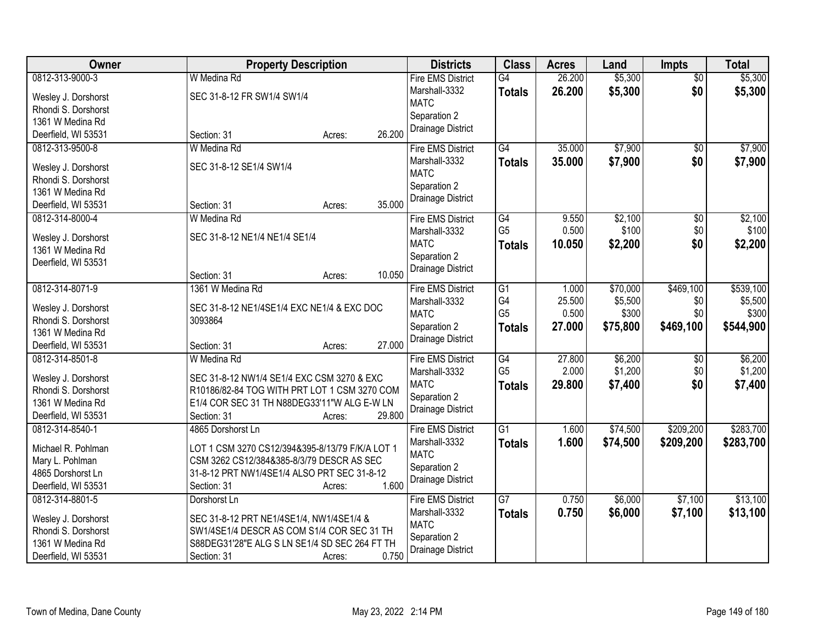| Owner                                   | <b>Property Description</b>                                                                 | <b>Districts</b>         | <b>Class</b>    | <b>Acres</b> | Land     | <b>Impts</b>    | <b>Total</b> |
|-----------------------------------------|---------------------------------------------------------------------------------------------|--------------------------|-----------------|--------------|----------|-----------------|--------------|
| 0812-313-9000-3                         | W Medina Rd                                                                                 | <b>Fire EMS District</b> | $\overline{G4}$ | 26.200       | \$5,300  | $\overline{50}$ | \$5,300      |
| Wesley J. Dorshorst                     | SEC 31-8-12 FR SW1/4 SW1/4                                                                  | Marshall-3332            | <b>Totals</b>   | 26.200       | \$5,300  | \$0             | \$5,300      |
| Rhondi S. Dorshorst                     |                                                                                             | <b>MATC</b>              |                 |              |          |                 |              |
| 1361 W Medina Rd                        |                                                                                             | Separation 2             |                 |              |          |                 |              |
| Deerfield, WI 53531                     | 26.200<br>Section: 31<br>Acres:                                                             | Drainage District        |                 |              |          |                 |              |
| 0812-313-9500-8                         | W Medina Rd                                                                                 | <b>Fire EMS District</b> | G4              | 35.000       | \$7,900  | \$0             | \$7,900      |
| Wesley J. Dorshorst                     | SEC 31-8-12 SE1/4 SW1/4                                                                     | Marshall-3332            | <b>Totals</b>   | 35.000       | \$7,900  | \$0             | \$7,900      |
| Rhondi S. Dorshorst                     |                                                                                             | <b>MATC</b>              |                 |              |          |                 |              |
| 1361 W Medina Rd                        |                                                                                             | Separation 2             |                 |              |          |                 |              |
| Deerfield, WI 53531                     | 35.000<br>Section: 31<br>Acres:                                                             | Drainage District        |                 |              |          |                 |              |
| 0812-314-8000-4                         | W Medina Rd                                                                                 | <b>Fire EMS District</b> | G4              | 9.550        | \$2,100  | $\overline{50}$ | \$2,100      |
|                                         |                                                                                             | Marshall-3332            | G <sub>5</sub>  | 0.500        | \$100    | \$0             | \$100        |
| Wesley J. Dorshorst                     | SEC 31-8-12 NE1/4 NE1/4 SE1/4                                                               | <b>MATC</b>              | <b>Totals</b>   | 10.050       | \$2,200  | \$0             | \$2,200      |
| 1361 W Medina Rd                        |                                                                                             | Separation 2             |                 |              |          |                 |              |
| Deerfield, WI 53531                     | 10.050<br>Section: 31<br>Acres:                                                             | Drainage District        |                 |              |          |                 |              |
| 0812-314-8071-9                         | 1361 W Medina Rd                                                                            | <b>Fire EMS District</b> | $\overline{G1}$ | 1.000        | \$70,000 | \$469,100       | \$539,100    |
|                                         |                                                                                             | Marshall-3332            | G4              | 25.500       | \$5,500  | \$0             | \$5,500      |
| Wesley J. Dorshorst                     | SEC 31-8-12 NE1/4SE1/4 EXC NE1/4 & EXC DOC                                                  | <b>MATC</b>              | G <sub>5</sub>  | 0.500        | \$300    | \$0             | \$300        |
| Rhondi S. Dorshorst                     | 3093864                                                                                     | Separation 2             | <b>Totals</b>   | 27.000       | \$75,800 | \$469,100       | \$544,900    |
| 1361 W Medina Rd                        |                                                                                             | Drainage District        |                 |              |          |                 |              |
| Deerfield, WI 53531                     | 27.000<br>Section: 31<br>Acres:                                                             |                          |                 |              |          |                 |              |
| 0812-314-8501-8                         | W Medina Rd                                                                                 | <b>Fire EMS District</b> | G4              | 27.800       | \$6,200  | \$0             | \$6,200      |
| Wesley J. Dorshorst                     | SEC 31-8-12 NW1/4 SE1/4 EXC CSM 3270 & EXC                                                  | Marshall-3332            | G <sub>5</sub>  | 2.000        | \$1,200  | \$0             | \$1,200      |
| Rhondi S. Dorshorst                     | R10186/82-84 TOG WITH PRT LOT 1 CSM 3270 COM                                                | <b>MATC</b>              | <b>Totals</b>   | 29.800       | \$7,400  | \$0             | \$7,400      |
| 1361 W Medina Rd                        | E1/4 COR SEC 31 TH N88DEG33'11"W ALG E-W LN                                                 | Separation 2             |                 |              |          |                 |              |
| Deerfield, WI 53531                     | 29.800<br>Section: 31<br>Acres:                                                             | Drainage District        |                 |              |          |                 |              |
| 0812-314-8540-1                         | 4865 Dorshorst Ln                                                                           | <b>Fire EMS District</b> | $\overline{G1}$ | 1.600        | \$74,500 | \$209,200       | \$283,700    |
| Michael R. Pohlman                      | LOT 1 CSM 3270 CS12/394&395-8/13/79 F/K/A LOT 1                                             | Marshall-3332            | <b>Totals</b>   | 1.600        | \$74,500 | \$209,200       | \$283,700    |
| Mary L. Pohlman                         | CSM 3262 CS12/384&385-8/3/79 DESCR AS SEC                                                   | <b>MATC</b>              |                 |              |          |                 |              |
| 4865 Dorshorst Ln                       | 31-8-12 PRT NW1/4SE1/4 ALSO PRT SEC 31-8-12                                                 | Separation 2             |                 |              |          |                 |              |
| Deerfield, WI 53531                     | 1.600<br>Section: 31<br>Acres:                                                              | Drainage District        |                 |              |          |                 |              |
| 0812-314-8801-5                         | Dorshorst Ln                                                                                | <b>Fire EMS District</b> | $\overline{G7}$ | 0.750        | \$6,000  | \$7,100         | \$13,100     |
|                                         |                                                                                             | Marshall-3332            | <b>Totals</b>   | 0.750        | \$6,000  | \$7,100         | \$13,100     |
| Wesley J. Dorshorst                     | SEC 31-8-12 PRT NE1/4SE1/4, NW1/4SE1/4 &                                                    | <b>MATC</b>              |                 |              |          |                 |              |
| Rhondi S. Dorshorst<br>1361 W Medina Rd | SW1/4SE1/4 DESCR AS COM S1/4 COR SEC 31 TH<br>S88DEG31'28"E ALG S LN SE1/4 SD SEC 264 FT TH | Separation 2             |                 |              |          |                 |              |
| Deerfield, WI 53531                     | 0.750                                                                                       | Drainage District        |                 |              |          |                 |              |
|                                         | Section: 31<br>Acres:                                                                       |                          |                 |              |          |                 |              |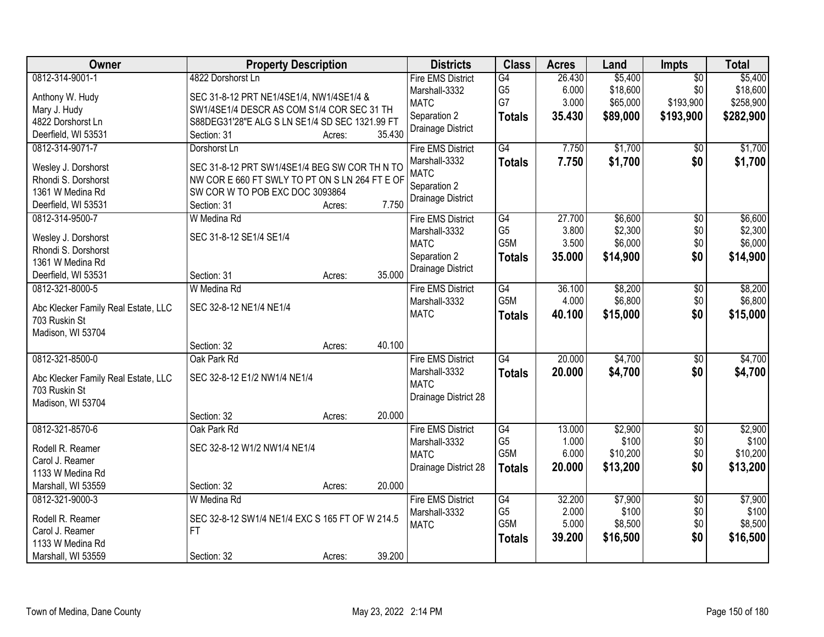| Owner                               | <b>Property Description</b>                                   |        |        | <b>Districts</b>                          | <b>Class</b>         | <b>Acres</b>    | Land                | Impts                  | <b>Total</b>        |
|-------------------------------------|---------------------------------------------------------------|--------|--------|-------------------------------------------|----------------------|-----------------|---------------------|------------------------|---------------------|
| 0812-314-9001-1<br>Anthony W. Hudy  | 4822 Dorshorst Ln<br>SEC 31-8-12 PRT NE1/4SE1/4, NW1/4SE1/4 & |        |        | <b>Fire EMS District</b><br>Marshall-3332 | G4<br>G <sub>5</sub> | 26.430<br>6.000 | \$5,400<br>\$18,600 | $\overline{50}$<br>\$0 | \$5,400<br>\$18,600 |
| Mary J. Hudy                        | SW1/4SE1/4 DESCR AS COM S1/4 COR SEC 31 TH                    |        |        | <b>MATC</b>                               | G7                   | 3.000           | \$65,000            | \$193,900              | \$258,900           |
| 4822 Dorshorst Ln                   | S88DEG31'28"E ALG S LN SE1/4 SD SEC 1321.99 FT                |        |        | Separation 2                              | <b>Totals</b>        | 35.430          | \$89,000            | \$193,900              | \$282,900           |
| Deerfield, WI 53531                 | Section: 31                                                   | Acres: | 35.430 | Drainage District                         |                      |                 |                     |                        |                     |
| 0812-314-9071-7                     | Dorshorst Ln                                                  |        |        | <b>Fire EMS District</b>                  | $\overline{G4}$      | 7.750           | \$1,700             | \$0                    | \$1,700             |
|                                     |                                                               |        |        | Marshall-3332                             | <b>Totals</b>        | 7.750           | \$1,700             | \$0                    | \$1,700             |
| Wesley J. Dorshorst                 | SEC 31-8-12 PRT SW1/4SE1/4 BEG SW COR TH N TO                 |        |        | <b>MATC</b>                               |                      |                 |                     |                        |                     |
| Rhondi S. Dorshorst                 | NW COR E 660 FT SWLY TO PT ON S LN 264 FT E OF                |        |        | Separation 2                              |                      |                 |                     |                        |                     |
| 1361 W Medina Rd                    | SW COR W TO POB EXC DOC 3093864                               |        |        | Drainage District                         |                      |                 |                     |                        |                     |
| Deerfield, WI 53531                 | Section: 31                                                   | Acres: | 7.750  |                                           |                      |                 |                     |                        |                     |
| 0812-314-9500-7                     | W Medina Rd                                                   |        |        | <b>Fire EMS District</b>                  | G4                   | 27.700          | \$6,600             | $\overline{50}$        | \$6,600             |
| Wesley J. Dorshorst                 | SEC 31-8-12 SE1/4 SE1/4                                       |        |        | Marshall-3332                             | G <sub>5</sub>       | 3.800           | \$2,300             | \$0                    | \$2,300             |
| Rhondi S. Dorshorst                 |                                                               |        |        | <b>MATC</b>                               | G <sub>5</sub> M     | 3.500           | \$6,000             | \$0                    | \$6,000             |
| 1361 W Medina Rd                    |                                                               |        |        | Separation 2                              | <b>Totals</b>        | 35.000          | \$14,900            | \$0                    | \$14,900            |
| Deerfield, WI 53531                 | Section: 31                                                   | Acres: | 35.000 | Drainage District                         |                      |                 |                     |                        |                     |
| 0812-321-8000-5                     | W Medina Rd                                                   |        |        | <b>Fire EMS District</b>                  | G4                   | 36.100          | \$8,200             | \$0                    | \$8,200             |
|                                     |                                                               |        |        | Marshall-3332                             | G5M                  | 4.000           | \$6,800             | \$0                    | \$6,800             |
| Abc Klecker Family Real Estate, LLC | SEC 32-8-12 NE1/4 NE1/4                                       |        |        | <b>MATC</b>                               | <b>Totals</b>        | 40.100          | \$15,000            | \$0                    | \$15,000            |
| 703 Ruskin St                       |                                                               |        |        |                                           |                      |                 |                     |                        |                     |
| Madison, WI 53704                   |                                                               |        |        |                                           |                      |                 |                     |                        |                     |
|                                     | Section: 32                                                   | Acres: | 40.100 |                                           |                      |                 |                     |                        |                     |
| 0812-321-8500-0                     | Oak Park Rd                                                   |        |        | <b>Fire EMS District</b>                  | G4                   | 20.000          | \$4,700             | $\overline{50}$        | \$4,700             |
| Abc Klecker Family Real Estate, LLC | SEC 32-8-12 E1/2 NW1/4 NE1/4                                  |        |        | Marshall-3332                             | <b>Totals</b>        | 20.000          | \$4,700             | \$0                    | \$4,700             |
| 703 Ruskin St                       |                                                               |        |        | <b>MATC</b>                               |                      |                 |                     |                        |                     |
| Madison, WI 53704                   |                                                               |        |        | Drainage District 28                      |                      |                 |                     |                        |                     |
|                                     | Section: 32                                                   | Acres: | 20.000 |                                           |                      |                 |                     |                        |                     |
| 0812-321-8570-6                     | Oak Park Rd                                                   |        |        | <b>Fire EMS District</b>                  | G4                   | 13.000          | \$2,900             | $\overline{50}$        | \$2,900             |
| Rodell R. Reamer                    | SEC 32-8-12 W1/2 NW1/4 NE1/4                                  |        |        | Marshall-3332                             | G <sub>5</sub>       | 1.000           | \$100               | \$0                    | \$100               |
| Carol J. Reamer                     |                                                               |        |        | <b>MATC</b>                               | G5M                  | 6.000           | \$10,200            | \$0                    | \$10,200            |
| 1133 W Medina Rd                    |                                                               |        |        | Drainage District 28                      | <b>Totals</b>        | 20.000          | \$13,200            | \$0                    | \$13,200            |
| Marshall, WI 53559                  | Section: 32                                                   | Acres: | 20.000 |                                           |                      |                 |                     |                        |                     |
| 0812-321-9000-3                     | W Medina Rd                                                   |        |        | <b>Fire EMS District</b>                  | $\overline{G4}$      | 32.200          | \$7,900             | $\overline{50}$        | \$7,900             |
|                                     |                                                               |        |        | Marshall-3332                             | G <sub>5</sub>       | 2.000           | \$100               | \$0                    | \$100               |
| Rodell R. Reamer                    | SEC 32-8-12 SW1/4 NE1/4 EXC S 165 FT OF W 214.5               |        |        | <b>MATC</b>                               | G5M                  | 5.000           | \$8,500             | \$0                    | \$8,500             |
| Carol J. Reamer                     | <b>FT</b>                                                     |        |        |                                           | <b>Totals</b>        | 39.200          | \$16,500            | \$0                    | \$16,500            |
| 1133 W Medina Rd                    |                                                               |        |        |                                           |                      |                 |                     |                        |                     |
| Marshall, WI 53559                  | Section: 32                                                   | Acres: | 39.200 |                                           |                      |                 |                     |                        |                     |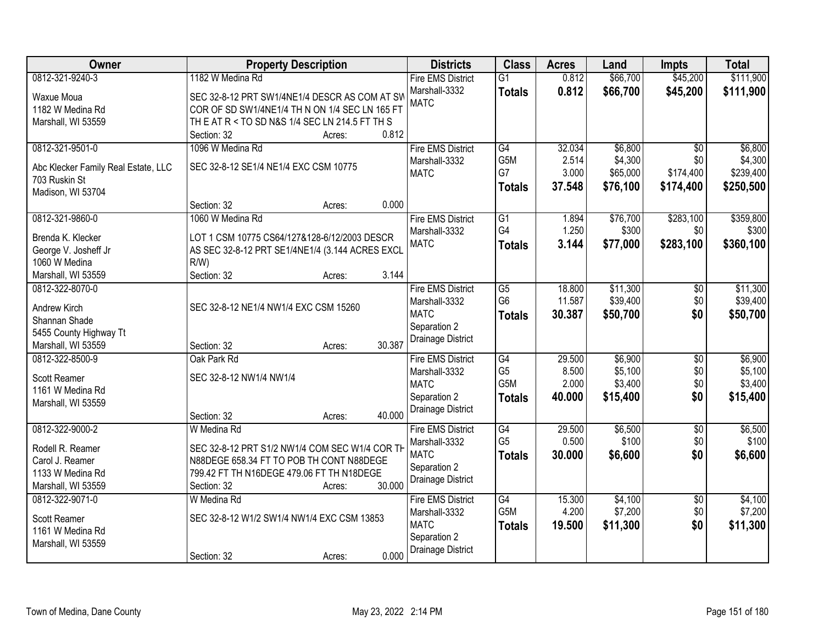| Owner                               | <b>Property Description</b>                     | <b>Districts</b>         | <b>Class</b>    | <b>Acres</b> | Land     | Impts                  | <b>Total</b> |
|-------------------------------------|-------------------------------------------------|--------------------------|-----------------|--------------|----------|------------------------|--------------|
| 0812-321-9240-3                     | 1182 W Medina Rd                                | <b>Fire EMS District</b> | $\overline{G1}$ | 0.812        | \$66,700 | \$45,200               | \$111,900    |
| Waxue Moua                          | SEC 32-8-12 PRT SW1/4NE1/4 DESCR AS COM AT SW   | Marshall-3332            | <b>Totals</b>   | 0.812        | \$66,700 | \$45,200               | \$111,900    |
| 1182 W Medina Rd                    | COR OF SD SW1/4NE1/4 TH N ON 1/4 SEC LN 165 FT  | <b>MATC</b>              |                 |              |          |                        |              |
| Marshall, WI 53559                  | TH E AT R < TO SD N&S 1/4 SEC LN 214.5 FT TH S  |                          |                 |              |          |                        |              |
|                                     | 0.812<br>Section: 32<br>Acres:                  |                          |                 |              |          |                        |              |
| 0812-321-9501-0                     | 1096 W Medina Rd                                | <b>Fire EMS District</b> | G4              | 32.034       | \$6,800  | $\overline{30}$        | \$6,800      |
|                                     |                                                 | Marshall-3332            | G5M             | 2.514        | \$4,300  | \$0                    | \$4,300      |
| Abc Klecker Family Real Estate, LLC | SEC 32-8-12 SE1/4 NE1/4 EXC CSM 10775           | <b>MATC</b>              | G7              | 3.000        | \$65,000 | \$174,400              | \$239,400    |
| 703 Ruskin St                       |                                                 |                          | <b>Totals</b>   | 37.548       | \$76,100 | \$174,400              | \$250,500    |
| Madison, WI 53704                   |                                                 |                          |                 |              |          |                        |              |
|                                     | 0.000<br>Section: 32<br>Acres:                  |                          |                 |              |          |                        |              |
| 0812-321-9860-0                     | 1060 W Medina Rd                                | <b>Fire EMS District</b> | $\overline{G1}$ | 1.894        | \$76,700 | \$283,100              | \$359,800    |
| Brenda K. Klecker                   | LOT 1 CSM 10775 CS64/127&128-6/12/2003 DESCR    | Marshall-3332            | G4              | 1.250        | \$300    | \$0                    | \$300        |
| George V. Josheff Jr                | AS SEC 32-8-12 PRT SE1/4NE1/4 (3.144 ACRES EXCL | <b>MATC</b>              | <b>Totals</b>   | 3.144        | \$77,000 | \$283,100              | \$360,100    |
| 1060 W Medina                       | R/W                                             |                          |                 |              |          |                        |              |
| Marshall, WI 53559                  | Section: 32<br>3.144<br>Acres:                  |                          |                 |              |          |                        |              |
| 0812-322-8070-0                     |                                                 | <b>Fire EMS District</b> | $\overline{G5}$ | 18.800       | \$11,300 | \$0                    | \$11,300     |
|                                     |                                                 | Marshall-3332            | G <sub>6</sub>  | 11.587       | \$39,400 | \$0                    | \$39,400     |
| Andrew Kirch                        | SEC 32-8-12 NE1/4 NW1/4 EXC CSM 15260           | <b>MATC</b>              | <b>Totals</b>   | 30.387       | \$50,700 | \$0                    | \$50,700     |
| Shannan Shade                       |                                                 | Separation 2             |                 |              |          |                        |              |
| 5455 County Highway Tt              |                                                 | Drainage District        |                 |              |          |                        |              |
| Marshall, WI 53559                  | 30.387<br>Section: 32<br>Acres:                 |                          |                 |              |          |                        |              |
| 0812-322-8500-9                     | Oak Park Rd                                     | <b>Fire EMS District</b> | G4              | 29.500       | \$6,900  | $\overline{30}$        | \$6,900      |
| Scott Reamer                        | SEC 32-8-12 NW1/4 NW1/4                         | Marshall-3332            | G <sub>5</sub>  | 8.500        | \$5,100  | \$0                    | \$5,100      |
| 1161 W Medina Rd                    |                                                 | <b>MATC</b>              | G5M             | 2.000        | \$3,400  | \$0                    | \$3,400      |
| Marshall, WI 53559                  |                                                 | Separation 2             | <b>Totals</b>   | 40.000       | \$15,400 | \$0                    | \$15,400     |
|                                     | 40.000<br>Section: 32<br>Acres:                 | Drainage District        |                 |              |          |                        |              |
| 0812-322-9000-2                     | W Medina Rd                                     | <b>Fire EMS District</b> | G4              | 29.500       | \$6,500  | $\overline{50}$        | \$6,500      |
| Rodell R. Reamer                    | SEC 32-8-12 PRT S1/2 NW1/4 COM SEC W1/4 COR TH  | Marshall-3332            | G <sub>5</sub>  | 0.500        | \$100    | \$0                    | \$100        |
| Carol J. Reamer                     | N88DEGE 658.34 FT TO POB TH CONT N88DEGE        | <b>MATC</b>              | <b>Totals</b>   | 30.000       | \$6,600  | \$0                    | \$6,600      |
| 1133 W Medina Rd                    | 799.42 FT TH N16DEGE 479.06 FT TH N18DEGE       | Separation 2             |                 |              |          |                        |              |
| Marshall, WI 53559                  | 30.000<br>Section: 32<br>Acres:                 | Drainage District        |                 |              |          |                        |              |
| 0812-322-9071-0                     | W Medina Rd                                     | <b>Fire EMS District</b> | G4              | 15.300       | \$4,100  |                        | \$4,100      |
|                                     |                                                 | Marshall-3332            | G5M             | 4.200        | \$7,200  | $\overline{50}$<br>\$0 | \$7,200      |
| Scott Reamer                        | SEC 32-8-12 W1/2 SW1/4 NW1/4 EXC CSM 13853      | <b>MATC</b>              |                 |              |          | \$0                    |              |
| 1161 W Medina Rd                    |                                                 | Separation 2             | <b>Totals</b>   | 19.500       | \$11,300 |                        | \$11,300     |
| Marshall, WI 53559                  |                                                 | <b>Drainage District</b> |                 |              |          |                        |              |
|                                     | 0.000<br>Section: 32<br>Acres:                  |                          |                 |              |          |                        |              |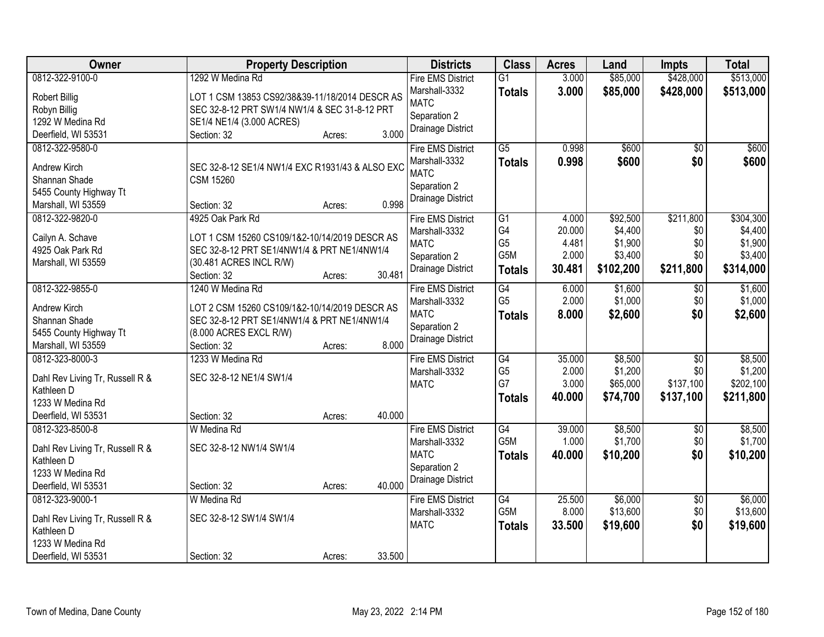| Owner                                        | <b>Property Description</b>                     | <b>Districts</b>             | <b>Class</b>                      | <b>Acres</b>    | Land      | <b>Impts</b>           | <b>Total</b>       |
|----------------------------------------------|-------------------------------------------------|------------------------------|-----------------------------------|-----------------|-----------|------------------------|--------------------|
| 0812-322-9100-0                              | 1292 W Medina Rd                                | <b>Fire EMS District</b>     | $\overline{G1}$                   | 3.000           | \$85,000  | \$428,000              | \$513,000          |
| <b>Robert Billig</b>                         | LOT 1 CSM 13853 CS92/38&39-11/18/2014 DESCR AS  | Marshall-3332                | <b>Totals</b>                     | 3.000           | \$85,000  | \$428,000              | \$513,000          |
| Robyn Billig                                 | SEC 32-8-12 PRT SW1/4 NW1/4 & SEC 31-8-12 PRT   | <b>MATC</b>                  |                                   |                 |           |                        |                    |
| 1292 W Medina Rd                             | SE1/4 NE1/4 (3.000 ACRES)                       | Separation 2                 |                                   |                 |           |                        |                    |
| Deerfield, WI 53531                          | 3.000<br>Section: 32<br>Acres:                  | Drainage District            |                                   |                 |           |                        |                    |
| 0812-322-9580-0                              |                                                 | <b>Fire EMS District</b>     | $\overline{G5}$                   | 0.998           | \$600     | $\overline{50}$        | \$600              |
|                                              |                                                 | Marshall-3332                | <b>Totals</b>                     | 0.998           | \$600     | \$0                    | \$600              |
| Andrew Kirch                                 | SEC 32-8-12 SE1/4 NW1/4 EXC R1931/43 & ALSO EXC | <b>MATC</b>                  |                                   |                 |           |                        |                    |
| Shannan Shade                                | <b>CSM 15260</b>                                | Separation 2                 |                                   |                 |           |                        |                    |
| 5455 County Highway Tt                       |                                                 | Drainage District            |                                   |                 |           |                        |                    |
| Marshall, WI 53559                           | 0.998<br>Section: 32<br>Acres:                  |                              |                                   |                 |           |                        |                    |
| 0812-322-9820-0                              | 4925 Oak Park Rd                                | <b>Fire EMS District</b>     | $\overline{G1}$                   | 4.000           | \$92,500  | \$211,800              | \$304,300          |
| Cailyn A. Schave                             | LOT 1 CSM 15260 CS109/1&2-10/14/2019 DESCR AS   | Marshall-3332                | G4<br>G <sub>5</sub>              | 20.000          | \$4,400   | \$0<br>\$0             | \$4,400            |
| 4925 Oak Park Rd                             | SEC 32-8-12 PRT SE1/4NW1/4 & PRT NE1/4NW1/4     | <b>MATC</b>                  | G5M                               | 4.481<br>2.000  | \$1,900   | \$0                    | \$1,900            |
| Marshall, WI 53559                           | (30.481 ACRES INCL R/W)                         | Separation 2                 |                                   |                 | \$3,400   |                        | \$3,400            |
|                                              | 30.481<br>Section: 32<br>Acres:                 | Drainage District            | <b>Totals</b>                     | 30.481          | \$102,200 | \$211,800              | \$314,000          |
| 0812-322-9855-0                              | 1240 W Medina Rd                                | <b>Fire EMS District</b>     | G4                                | 6.000           | \$1,600   | \$0                    | \$1,600            |
|                                              |                                                 | Marshall-3332                | G <sub>5</sub>                    | 2.000           | \$1,000   | \$0                    | \$1,000            |
| Andrew Kirch                                 | LOT 2 CSM 15260 CS109/1&2-10/14/2019 DESCR AS   | <b>MATC</b>                  | <b>Totals</b>                     | 8.000           | \$2,600   | \$0                    | \$2,600            |
| Shannan Shade                                | SEC 32-8-12 PRT SE1/4NW1/4 & PRT NE1/4NW1/4     | Separation 2                 |                                   |                 |           |                        |                    |
| 5455 County Highway Tt<br>Marshall, WI 53559 | (8.000 ACRES EXCL R/W)<br>8.000                 | Drainage District            |                                   |                 |           |                        |                    |
|                                              | Section: 32<br>Acres:<br>1233 W Medina Rd       |                              |                                   |                 | \$8,500   |                        |                    |
| 0812-323-8000-3                              |                                                 | <b>Fire EMS District</b>     | $\overline{G4}$<br>G <sub>5</sub> | 35.000<br>2.000 | \$1,200   | $\overline{50}$<br>\$0 | \$8,500<br>\$1,200 |
| Dahl Rev Living Tr, Russell R &              | SEC 32-8-12 NE1/4 SW1/4                         | Marshall-3332<br><b>MATC</b> | G7                                | 3.000           | \$65,000  | \$137,100              | \$202,100          |
| Kathleen D                                   |                                                 |                              |                                   | 40.000          | \$74,700  | \$137,100              |                    |
| 1233 W Medina Rd                             |                                                 |                              | <b>Totals</b>                     |                 |           |                        | \$211,800          |
| Deerfield, WI 53531                          | 40.000<br>Section: 32<br>Acres:                 |                              |                                   |                 |           |                        |                    |
| 0812-323-8500-8                              | W Medina Rd                                     | <b>Fire EMS District</b>     | G4                                | 39.000          | \$8,500   | $\sqrt{6}$             | \$8,500            |
| Dahl Rev Living Tr, Russell R &              | SEC 32-8-12 NW1/4 SW1/4                         | Marshall-3332                | G5M                               | 1.000           | \$1,700   | \$0                    | \$1,700            |
| Kathleen D                                   |                                                 | <b>MATC</b>                  | <b>Totals</b>                     | 40.000          | \$10,200  | \$0                    | \$10,200           |
| 1233 W Medina Rd                             |                                                 | Separation 2                 |                                   |                 |           |                        |                    |
| Deerfield, WI 53531                          | 40.000<br>Section: 32<br>Acres:                 | Drainage District            |                                   |                 |           |                        |                    |
| 0812-323-9000-1                              | W Medina Rd                                     | <b>Fire EMS District</b>     | G4                                | 25.500          | \$6,000   | $\overline{50}$        | \$6,000            |
|                                              |                                                 | Marshall-3332                | G5M                               | 8.000           | \$13,600  | \$0                    | \$13,600           |
| Dahl Rev Living Tr, Russell R &              | SEC 32-8-12 SW1/4 SW1/4                         | <b>MATC</b>                  |                                   | 33.500          | \$19,600  | \$0                    | \$19,600           |
| Kathleen D                                   |                                                 |                              | <b>Totals</b>                     |                 |           |                        |                    |
| 1233 W Medina Rd                             |                                                 |                              |                                   |                 |           |                        |                    |
| Deerfield, WI 53531                          | 33.500<br>Section: 32<br>Acres:                 |                              |                                   |                 |           |                        |                    |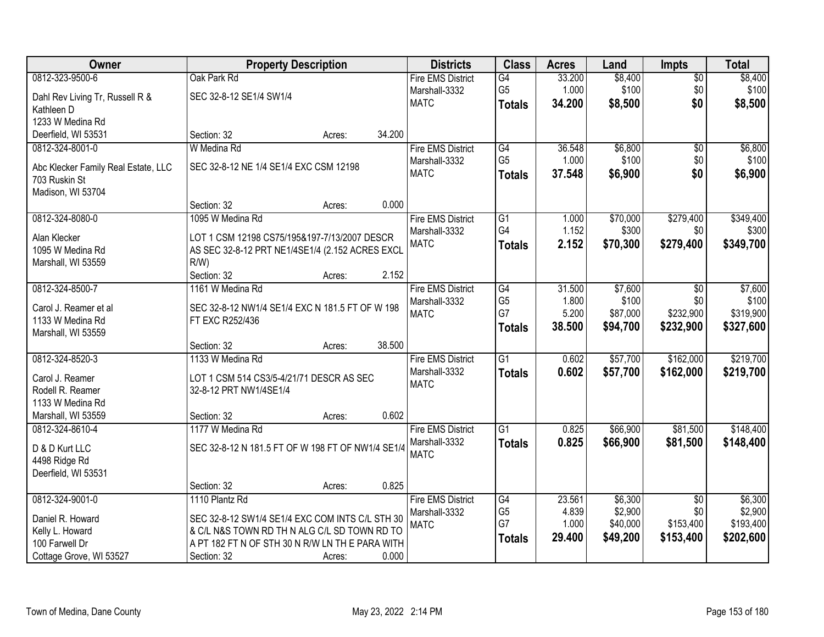| Owner                                                | <b>Property Description</b>                                |        |        | <b>Districts</b>             | <b>Class</b>         | <b>Acres</b>   | Land                | Impts            | <b>Total</b>         |
|------------------------------------------------------|------------------------------------------------------------|--------|--------|------------------------------|----------------------|----------------|---------------------|------------------|----------------------|
| 0812-323-9500-6                                      | Oak Park Rd                                                |        |        | <b>Fire EMS District</b>     | $\overline{G4}$      | 33.200         | \$8,400             | $\overline{50}$  | \$8,400              |
| Dahl Rev Living Tr, Russell R &                      | SEC 32-8-12 SE1/4 SW1/4                                    |        |        | Marshall-3332                | G <sub>5</sub>       | 1.000          | \$100               | \$0              | \$100                |
| Kathleen D                                           |                                                            |        |        | <b>MATC</b>                  | <b>Totals</b>        | 34.200         | \$8,500             | \$0              | \$8,500              |
| 1233 W Medina Rd                                     |                                                            |        |        |                              |                      |                |                     |                  |                      |
| Deerfield, WI 53531                                  | Section: 32                                                | Acres: | 34.200 |                              |                      |                |                     |                  |                      |
| 0812-324-8001-0                                      | W Medina Rd                                                |        |        | <b>Fire EMS District</b>     | G4                   | 36.548         | \$6,800             | $\overline{50}$  | \$6,800              |
|                                                      | SEC 32-8-12 NE 1/4 SE1/4 EXC CSM 12198                     |        |        | Marshall-3332                | G <sub>5</sub>       | 1.000          | \$100               | \$0              | \$100                |
| Abc Klecker Family Real Estate, LLC<br>703 Ruskin St |                                                            |        |        | <b>MATC</b>                  | <b>Totals</b>        | 37.548         | \$6,900             | \$0              | \$6,900              |
| Madison, WI 53704                                    |                                                            |        |        |                              |                      |                |                     |                  |                      |
|                                                      | Section: 32                                                | Acres: | 0.000  |                              |                      |                |                     |                  |                      |
| 0812-324-8080-0                                      | 1095 W Medina Rd                                           |        |        | <b>Fire EMS District</b>     | $\overline{G1}$      | 1.000          | \$70,000            | \$279,400        | \$349,400            |
|                                                      |                                                            |        |        | Marshall-3332                | G4                   | 1.152          | \$300               | \$0              | \$300                |
| Alan Klecker<br>1095 W Medina Rd                     | LOT 1 CSM 12198 CS75/195&197-7/13/2007 DESCR               |        |        | <b>MATC</b>                  | <b>Totals</b>        | 2.152          | \$70,300            | \$279,400        | \$349,700            |
| Marshall, WI 53559                                   | AS SEC 32-8-12 PRT NE1/4SE1/4 (2.152 ACRES EXCL<br>$R/W$ ) |        |        |                              |                      |                |                     |                  |                      |
|                                                      | Section: 32                                                | Acres: | 2.152  |                              |                      |                |                     |                  |                      |
| 0812-324-8500-7                                      | 1161 W Medina Rd                                           |        |        | <b>Fire EMS District</b>     | G4                   | 31.500         | \$7,600             | \$0              | \$7,600              |
|                                                      |                                                            |        |        | Marshall-3332                | G <sub>5</sub>       | 1.800          | \$100               | \$0              | \$100                |
| Carol J. Reamer et al                                | SEC 32-8-12 NW1/4 SE1/4 EXC N 181.5 FT OF W 198            |        |        | <b>MATC</b>                  | G7                   | 5.200          | \$87,000            | \$232,900        | \$319,900            |
| 1133 W Medina Rd                                     | FT EXC R252/436                                            |        |        |                              | <b>Totals</b>        | 38.500         | \$94,700            | \$232,900        | \$327,600            |
| Marshall, WI 53559                                   | Section: 32                                                | Acres: | 38.500 |                              |                      |                |                     |                  |                      |
| 0812-324-8520-3                                      | 1133 W Medina Rd                                           |        |        | <b>Fire EMS District</b>     | $\overline{G1}$      | 0.602          | \$57,700            | \$162,000        | \$219,700            |
|                                                      |                                                            |        |        | Marshall-3332                | <b>Totals</b>        | 0.602          | \$57,700            | \$162,000        | \$219,700            |
| Carol J. Reamer                                      | LOT 1 CSM 514 CS3/5-4/21/71 DESCR AS SEC                   |        |        | <b>MATC</b>                  |                      |                |                     |                  |                      |
| Rodell R. Reamer                                     | 32-8-12 PRT NW1/4SE1/4                                     |        |        |                              |                      |                |                     |                  |                      |
| 1133 W Medina Rd                                     |                                                            |        |        |                              |                      |                |                     |                  |                      |
| Marshall, WI 53559                                   | Section: 32                                                | Acres: | 0.602  |                              |                      |                |                     |                  |                      |
| 0812-324-8610-4                                      | 1177 W Medina Rd                                           |        |        | <b>Fire EMS District</b>     | $\overline{G1}$      | 0.825          | \$66,900            | \$81,500         | \$148,400            |
| D & D Kurt LLC                                       | SEC 32-8-12 N 181.5 FT OF W 198 FT OF NW1/4 SE1/4          |        |        | Marshall-3332<br><b>MATC</b> | <b>Totals</b>        | 0.825          | \$66,900            | \$81,500         | \$148,400            |
| 4498 Ridge Rd                                        |                                                            |        |        |                              |                      |                |                     |                  |                      |
| Deerfield, WI 53531                                  |                                                            |        |        |                              |                      |                |                     |                  |                      |
|                                                      | Section: 32                                                | Acres: | 0.825  |                              |                      |                |                     |                  |                      |
| 0812-324-9001-0                                      | 1110 Plantz Rd                                             |        |        | <b>Fire EMS District</b>     | G4                   | 23.561         | \$6,300             | $\overline{30}$  | \$6,300              |
| Daniel R. Howard                                     | SEC 32-8-12 SW1/4 SE1/4 EXC COM INTS C/L STH 30            |        |        | Marshall-3332                | G <sub>5</sub><br>G7 | 4.839<br>1.000 | \$2,900<br>\$40,000 | \$0<br>\$153,400 | \$2,900<br>\$193,400 |
| Kelly L. Howard                                      | & C/L N&S TOWN RD TH N ALG C/L SD TOWN RD TO               |        |        | <b>MATC</b>                  |                      | 29.400         |                     | \$153,400        |                      |
| 100 Farwell Dr                                       | A PT 182 FT N OF STH 30 N R/W LN TH E PARA WITH            |        |        |                              | <b>Totals</b>        |                | \$49,200            |                  | \$202,600            |
| Cottage Grove, WI 53527                              | Section: 32                                                | Acres: | 0.000  |                              |                      |                |                     |                  |                      |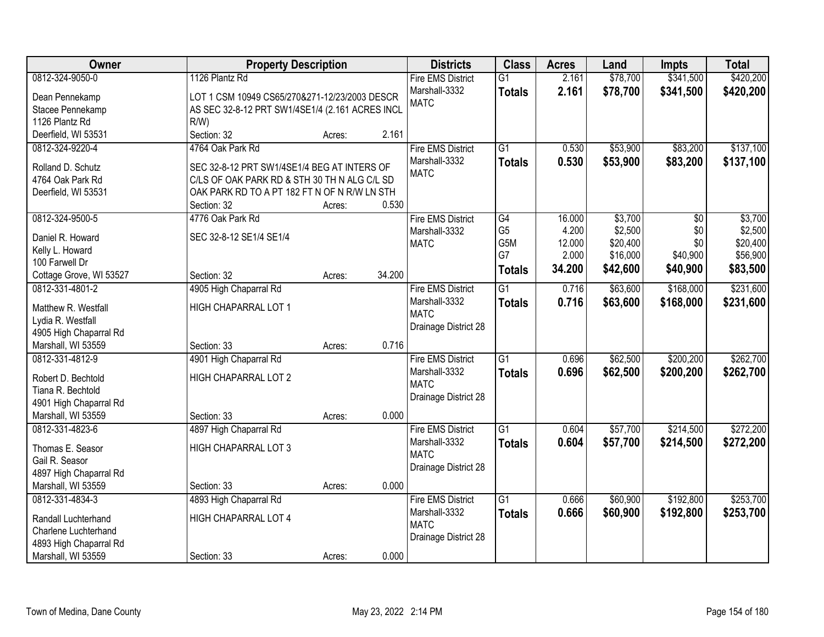| Owner                   | <b>Property Description</b>                     |        |        | <b>Districts</b>         | <b>Class</b>     | <b>Acres</b> | Land     | <b>Impts</b> | <b>Total</b> |
|-------------------------|-------------------------------------------------|--------|--------|--------------------------|------------------|--------------|----------|--------------|--------------|
| 0812-324-9050-0         | 1126 Plantz Rd                                  |        |        | <b>Fire EMS District</b> | $\overline{G1}$  | 2.161        | \$78,700 | \$341,500    | \$420,200    |
| Dean Pennekamp          | LOT 1 CSM 10949 CS65/270&271-12/23/2003 DESCR   |        |        | Marshall-3332            | <b>Totals</b>    | 2.161        | \$78,700 | \$341,500    | \$420,200    |
| Stacee Pennekamp        | AS SEC 32-8-12 PRT SW1/4SE1/4 (2.161 ACRES INCL |        |        | <b>MATC</b>              |                  |              |          |              |              |
| 1126 Plantz Rd          | $R/W$ )                                         |        |        |                          |                  |              |          |              |              |
| Deerfield, WI 53531     | Section: 32                                     | Acres: | 2.161  |                          |                  |              |          |              |              |
| 0812-324-9220-4         | 4764 Oak Park Rd                                |        |        | <b>Fire EMS District</b> | $\overline{G1}$  | 0.530        | \$53,900 | \$83,200     | \$137,100    |
|                         |                                                 |        |        | Marshall-3332            | <b>Totals</b>    | 0.530        | \$53,900 | \$83,200     | \$137,100    |
| Rolland D. Schutz       | SEC 32-8-12 PRT SW1/4SE1/4 BEG AT INTERS OF     |        |        | <b>MATC</b>              |                  |              |          |              |              |
| 4764 Oak Park Rd        | C/LS OF OAK PARK RD & STH 30 TH N ALG C/L SD    |        |        |                          |                  |              |          |              |              |
| Deerfield, WI 53531     | OAK PARK RD TO A PT 182 FT N OF N R/W LN STH    |        |        |                          |                  |              |          |              |              |
|                         | Section: 32                                     | Acres: | 0.530  |                          |                  |              |          |              |              |
| 0812-324-9500-5         | 4776 Oak Park Rd                                |        |        | <b>Fire EMS District</b> | G4               | 16.000       | \$3,700  | \$0          | \$3,700      |
| Daniel R. Howard        | SEC 32-8-12 SE1/4 SE1/4                         |        |        | Marshall-3332            | G <sub>5</sub>   | 4.200        | \$2,500  | \$0          | \$2,500      |
| Kelly L. Howard         |                                                 |        |        | <b>MATC</b>              | G <sub>5</sub> M | 12.000       | \$20,400 | \$0          | \$20,400     |
| 100 Farwell Dr          |                                                 |        |        |                          | G7               | 2.000        | \$16,000 | \$40,900     | \$56,900     |
| Cottage Grove, WI 53527 | Section: 32                                     | Acres: | 34.200 |                          | <b>Totals</b>    | 34.200       | \$42,600 | \$40,900     | \$83,500     |
| 0812-331-4801-2         | 4905 High Chaparral Rd                          |        |        | <b>Fire EMS District</b> | $\overline{G1}$  | 0.716        | \$63,600 | \$168,000    | \$231,600    |
|                         |                                                 |        |        | Marshall-3332            | <b>Totals</b>    | 0.716        | \$63,600 | \$168,000    | \$231,600    |
| Matthew R. Westfall     | HIGH CHAPARRAL LOT 1                            |        |        | <b>MATC</b>              |                  |              |          |              |              |
| Lydia R. Westfall       |                                                 |        |        | Drainage District 28     |                  |              |          |              |              |
| 4905 High Chaparral Rd  |                                                 |        |        |                          |                  |              |          |              |              |
| Marshall, WI 53559      | Section: 33                                     | Acres: | 0.716  |                          |                  |              |          |              |              |
| 0812-331-4812-9         | 4901 High Chaparral Rd                          |        |        | <b>Fire EMS District</b> | $\overline{G1}$  | 0.696        | \$62,500 | \$200,200    | \$262,700    |
| Robert D. Bechtold      | HIGH CHAPARRAL LOT 2                            |        |        | Marshall-3332            | <b>Totals</b>    | 0.696        | \$62,500 | \$200,200    | \$262,700    |
| Tiana R. Bechtold       |                                                 |        |        | <b>MATC</b>              |                  |              |          |              |              |
| 4901 High Chaparral Rd  |                                                 |        |        | Drainage District 28     |                  |              |          |              |              |
| Marshall, WI 53559      | Section: 33                                     | Acres: | 0.000  |                          |                  |              |          |              |              |
| 0812-331-4823-6         | 4897 High Chaparral Rd                          |        |        | <b>Fire EMS District</b> | $\overline{G1}$  | 0.604        | \$57,700 | \$214,500    | \$272,200    |
|                         |                                                 |        |        | Marshall-3332            | <b>Totals</b>    | 0.604        | \$57,700 | \$214,500    | \$272,200    |
| Thomas E. Seasor        | HIGH CHAPARRAL LOT 3                            |        |        | <b>MATC</b>              |                  |              |          |              |              |
| Gail R. Seasor          |                                                 |        |        | Drainage District 28     |                  |              |          |              |              |
| 4897 High Chaparral Rd  |                                                 |        |        |                          |                  |              |          |              |              |
| Marshall, WI 53559      | Section: 33                                     | Acres: | 0.000  |                          |                  |              |          |              |              |
| 0812-331-4834-3         | 4893 High Chaparral Rd                          |        |        | <b>Fire EMS District</b> | $\overline{G1}$  | 0.666        | \$60,900 | \$192,800    | \$253,700    |
| Randall Luchterhand     | HIGH CHAPARRAL LOT 4                            |        |        | Marshall-3332            | <b>Totals</b>    | 0.666        | \$60,900 | \$192,800    | \$253,700    |
| Charlene Luchterhand    |                                                 |        |        | <b>MATC</b>              |                  |              |          |              |              |
| 4893 High Chaparral Rd  |                                                 |        |        | Drainage District 28     |                  |              |          |              |              |
| Marshall, WI 53559      | Section: 33                                     | Acres: | 0.000  |                          |                  |              |          |              |              |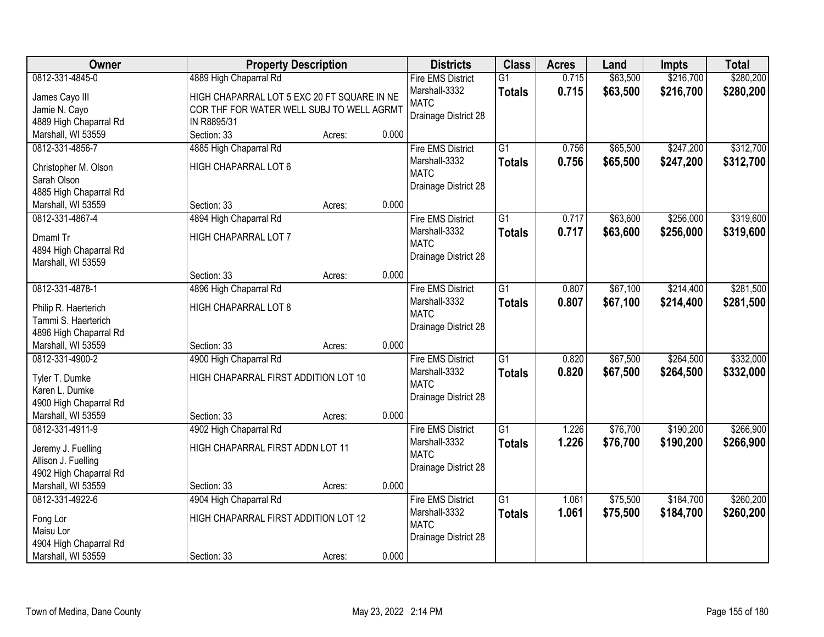| Owner                                        | <b>Property Description</b>                 |        |       | <b>Districts</b>             | <b>Class</b>    | <b>Acres</b> | Land     | <b>Impts</b> | <b>Total</b> |
|----------------------------------------------|---------------------------------------------|--------|-------|------------------------------|-----------------|--------------|----------|--------------|--------------|
| 0812-331-4845-0                              | 4889 High Chaparral Rd                      |        |       | <b>Fire EMS District</b>     | $\overline{G1}$ | 0.715        | \$63,500 | \$216,700    | \$280,200    |
| James Cayo III                               | HIGH CHAPARRAL LOT 5 EXC 20 FT SQUARE IN NE |        |       | Marshall-3332                | <b>Totals</b>   | 0.715        | \$63,500 | \$216,700    | \$280,200    |
| Jamie N. Cayo                                | COR THF FOR WATER WELL SUBJ TO WELL AGRMT   |        |       | <b>MATC</b>                  |                 |              |          |              |              |
| 4889 High Chaparral Rd                       | IN R8895/31                                 |        |       | Drainage District 28         |                 |              |          |              |              |
| Marshall, WI 53559                           | Section: 33                                 | Acres: | 0.000 |                              |                 |              |          |              |              |
| 0812-331-4856-7                              | 4885 High Chaparral Rd                      |        |       | <b>Fire EMS District</b>     | G1              | 0.756        | \$65,500 | \$247,200    | \$312,700    |
|                                              |                                             |        |       | Marshall-3332                | <b>Totals</b>   | 0.756        | \$65,500 | \$247,200    | \$312,700    |
| Christopher M. Olson                         | HIGH CHAPARRAL LOT 6                        |        |       | <b>MATC</b>                  |                 |              |          |              |              |
| Sarah Olson                                  |                                             |        |       | Drainage District 28         |                 |              |          |              |              |
| 4885 High Chaparral Rd                       |                                             |        |       |                              |                 |              |          |              |              |
| Marshall, WI 53559                           | Section: 33                                 | Acres: | 0.000 |                              |                 |              |          |              |              |
| 0812-331-4867-4                              | 4894 High Chaparral Rd                      |        |       | <b>Fire EMS District</b>     | G1              | 0.717        | \$63,600 | \$256,000    | \$319,600    |
| Dmaml Tr                                     | HIGH CHAPARRAL LOT 7                        |        |       | Marshall-3332                | <b>Totals</b>   | 0.717        | \$63,600 | \$256,000    | \$319,600    |
| 4894 High Chaparral Rd                       |                                             |        |       | <b>MATC</b>                  |                 |              |          |              |              |
| Marshall, WI 53559                           |                                             |        |       | Drainage District 28         |                 |              |          |              |              |
|                                              | Section: 33                                 | Acres: | 0.000 |                              |                 |              |          |              |              |
| 0812-331-4878-1                              | 4896 High Chaparral Rd                      |        |       | <b>Fire EMS District</b>     | G1              | 0.807        | \$67,100 | \$214,400    | \$281,500    |
|                                              |                                             |        |       | Marshall-3332                | <b>Totals</b>   | 0.807        | \$67,100 | \$214,400    | \$281,500    |
| Philip R. Haerterich                         | HIGH CHAPARRAL LOT 8                        |        |       | <b>MATC</b>                  |                 |              |          |              |              |
| Tammi S. Haerterich                          |                                             |        |       | Drainage District 28         |                 |              |          |              |              |
| 4896 High Chaparral Rd<br>Marshall, WI 53559 |                                             |        | 0.000 |                              |                 |              |          |              |              |
|                                              | Section: 33                                 | Acres: |       |                              | $\overline{G1}$ |              |          |              |              |
| 0812-331-4900-2                              | 4900 High Chaparral Rd                      |        |       | <b>Fire EMS District</b>     |                 | 0.820        | \$67,500 | \$264,500    | \$332,000    |
| Tyler T. Dumke                               | HIGH CHAPARRAL FIRST ADDITION LOT 10        |        |       | Marshall-3332<br><b>MATC</b> | <b>Totals</b>   | 0.820        | \$67,500 | \$264,500    | \$332,000    |
| Karen L. Dumke                               |                                             |        |       |                              |                 |              |          |              |              |
| 4900 High Chaparral Rd                       |                                             |        |       | Drainage District 28         |                 |              |          |              |              |
| Marshall, WI 53559                           | Section: 33                                 | Acres: | 0.000 |                              |                 |              |          |              |              |
| 0812-331-4911-9                              | 4902 High Chaparral Rd                      |        |       | <b>Fire EMS District</b>     | $\overline{G1}$ | 1.226        | \$76,700 | \$190,200    | \$266,900    |
| Jeremy J. Fuelling                           | HIGH CHAPARRAL FIRST ADDN LOT 11            |        |       | Marshall-3332                | <b>Totals</b>   | 1.226        | \$76,700 | \$190,200    | \$266,900    |
| Allison J. Fuelling                          |                                             |        |       | <b>MATC</b>                  |                 |              |          |              |              |
| 4902 High Chaparral Rd                       |                                             |        |       | Drainage District 28         |                 |              |          |              |              |
| Marshall, WI 53559                           | Section: 33                                 | Acres: | 0.000 |                              |                 |              |          |              |              |
| 0812-331-4922-6                              | 4904 High Chaparral Rd                      |        |       | <b>Fire EMS District</b>     | $\overline{G1}$ | 1.061        | \$75,500 | \$184,700    | \$260,200    |
|                                              |                                             |        |       | Marshall-3332                |                 |              |          |              |              |
| Fong Lor                                     | HIGH CHAPARRAL FIRST ADDITION LOT 12        |        |       | <b>MATC</b>                  | <b>Totals</b>   | 1.061        | \$75,500 | \$184,700    | \$260,200    |
| Maisu Lor                                    |                                             |        |       | Drainage District 28         |                 |              |          |              |              |
| 4904 High Chaparral Rd                       |                                             |        |       |                              |                 |              |          |              |              |
| Marshall, WI 53559                           | Section: 33                                 | Acres: | 0.000 |                              |                 |              |          |              |              |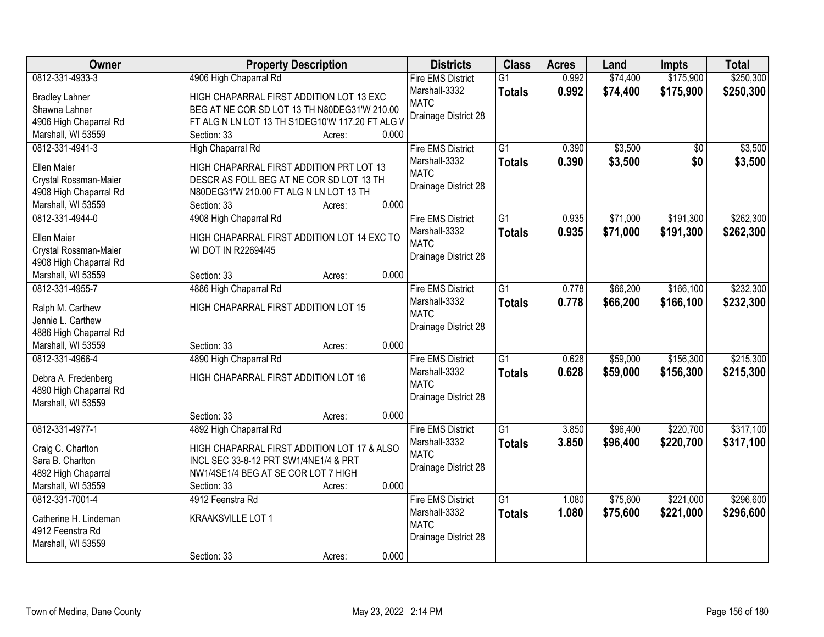| Owner                  | <b>Property Description</b>                     | <b>Districts</b>         | <b>Class</b>    | <b>Acres</b> | Land     | <b>Impts</b> | <b>Total</b> |
|------------------------|-------------------------------------------------|--------------------------|-----------------|--------------|----------|--------------|--------------|
| 0812-331-4933-3        | 4906 High Chaparral Rd                          | <b>Fire EMS District</b> | $\overline{G1}$ | 0.992        | \$74,400 | \$175,900    | \$250,300    |
| <b>Bradley Lahner</b>  | HIGH CHAPARRAL FIRST ADDITION LOT 13 EXC        | Marshall-3332            | <b>Totals</b>   | 0.992        | \$74,400 | \$175,900    | \$250,300    |
| Shawna Lahner          | BEG AT NE COR SD LOT 13 TH N80DEG31'W 210.00    | <b>MATC</b>              |                 |              |          |              |              |
| 4906 High Chaparral Rd | FT ALG N LN LOT 13 TH S1DEG10'W 117.20 FT ALG V | Drainage District 28     |                 |              |          |              |              |
| Marshall, WI 53559     | 0.000<br>Section: 33<br>Acres:                  |                          |                 |              |          |              |              |
| 0812-331-4941-3        | High Chaparral Rd                               | <b>Fire EMS District</b> | $\overline{G1}$ | 0.390        | \$3,500  | \$0          | \$3,500      |
|                        |                                                 | Marshall-3332            | <b>Totals</b>   | 0.390        | \$3,500  | \$0          | \$3,500      |
| Ellen Maier            | HIGH CHAPARRAL FIRST ADDITION PRT LOT 13        | <b>MATC</b>              |                 |              |          |              |              |
| Crystal Rossman-Maier  | DESCR AS FOLL BEG AT NE COR SD LOT 13 TH        | Drainage District 28     |                 |              |          |              |              |
| 4908 High Chaparral Rd | N80DEG31'W 210.00 FT ALG N LN LOT 13 TH         |                          |                 |              |          |              |              |
| Marshall, WI 53559     | 0.000<br>Section: 33<br>Acres:                  |                          |                 |              |          |              |              |
| 0812-331-4944-0        | 4908 High Chaparral Rd                          | <b>Fire EMS District</b> | G1              | 0.935        | \$71,000 | \$191,300    | \$262,300    |
| <b>Ellen Maier</b>     | HIGH CHAPARRAL FIRST ADDITION LOT 14 EXC TO     | Marshall-3332            | <b>Totals</b>   | 0.935        | \$71,000 | \$191,300    | \$262,300    |
| Crystal Rossman-Maier  | WI DOT IN R22694/45                             | <b>MATC</b>              |                 |              |          |              |              |
| 4908 High Chaparral Rd |                                                 | Drainage District 28     |                 |              |          |              |              |
| Marshall, WI 53559     | 0.000<br>Section: 33<br>Acres:                  |                          |                 |              |          |              |              |
| 0812-331-4955-7        | 4886 High Chaparral Rd                          | <b>Fire EMS District</b> | $\overline{G1}$ | 0.778        | \$66,200 | \$166,100    | \$232,300    |
|                        |                                                 | Marshall-3332            | <b>Totals</b>   | 0.778        | \$66,200 | \$166,100    | \$232,300    |
| Ralph M. Carthew       | HIGH CHAPARRAL FIRST ADDITION LOT 15            | <b>MATC</b>              |                 |              |          |              |              |
| Jennie L. Carthew      |                                                 | Drainage District 28     |                 |              |          |              |              |
| 4886 High Chaparral Rd |                                                 |                          |                 |              |          |              |              |
| Marshall, WI 53559     | 0.000<br>Section: 33<br>Acres:                  |                          |                 |              |          |              |              |
| 0812-331-4966-4        | 4890 High Chaparral Rd                          | <b>Fire EMS District</b> | $\overline{G1}$ | 0.628        | \$59,000 | \$156,300    | \$215,300    |
| Debra A. Fredenberg    | HIGH CHAPARRAL FIRST ADDITION LOT 16            | Marshall-3332            | <b>Totals</b>   | 0.628        | \$59,000 | \$156,300    | \$215,300    |
| 4890 High Chaparral Rd |                                                 | <b>MATC</b>              |                 |              |          |              |              |
| Marshall, WI 53559     |                                                 | Drainage District 28     |                 |              |          |              |              |
|                        | 0.000<br>Section: 33<br>Acres:                  |                          |                 |              |          |              |              |
| 0812-331-4977-1        | 4892 High Chaparral Rd                          | <b>Fire EMS District</b> | $\overline{G1}$ | 3.850        | \$96,400 | \$220,700    | \$317,100    |
|                        |                                                 | Marshall-3332            | <b>Totals</b>   | 3.850        | \$96,400 | \$220,700    | \$317,100    |
| Craig C. Charlton      | HIGH CHAPARRAL FIRST ADDITION LOT 17 & ALSO     | <b>MATC</b>              |                 |              |          |              |              |
| Sara B. Charlton       | INCL SEC 33-8-12 PRT SW1/4NE1/4 & PRT           | Drainage District 28     |                 |              |          |              |              |
| 4892 High Chaparral    | NW1/4SE1/4 BEG AT SE COR LOT 7 HIGH             |                          |                 |              |          |              |              |
| Marshall, WI 53559     | 0.000<br>Section: 33<br>Acres:                  |                          |                 |              |          |              |              |
| 0812-331-7001-4        | 4912 Feenstra Rd                                | <b>Fire EMS District</b> | $\overline{G1}$ | 1.080        | \$75,600 | \$221,000    | \$296,600    |
| Catherine H. Lindeman  | KRAAKSVILLE LOT 1                               | Marshall-3332            | <b>Totals</b>   | 1.080        | \$75,600 | \$221,000    | \$296,600    |
| 4912 Feenstra Rd       |                                                 | <b>MATC</b>              |                 |              |          |              |              |
| Marshall, WI 53559     |                                                 | Drainage District 28     |                 |              |          |              |              |
|                        | 0.000<br>Section: 33<br>Acres:                  |                          |                 |              |          |              |              |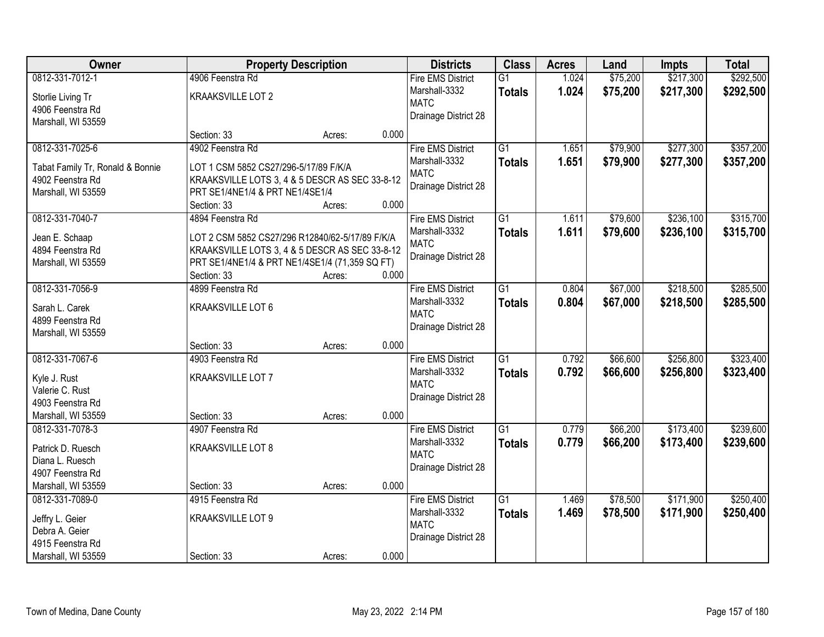| Owner                            |                                                 | <b>Property Description</b> |       | <b>Districts</b>         | <b>Class</b>    | <b>Acres</b> | Land     | <b>Impts</b> | <b>Total</b> |
|----------------------------------|-------------------------------------------------|-----------------------------|-------|--------------------------|-----------------|--------------|----------|--------------|--------------|
| 0812-331-7012-1                  | 4906 Feenstra Rd                                |                             |       | <b>Fire EMS District</b> | $\overline{G1}$ | 1.024        | \$75,200 | \$217,300    | \$292,500    |
| Storlie Living Tr                | KRAAKSVILLE LOT 2                               |                             |       | Marshall-3332            | <b>Totals</b>   | 1.024        | \$75,200 | \$217,300    | \$292,500    |
| 4906 Feenstra Rd                 |                                                 |                             |       | <b>MATC</b>              |                 |              |          |              |              |
| Marshall, WI 53559               |                                                 |                             |       | Drainage District 28     |                 |              |          |              |              |
|                                  | Section: 33                                     | Acres:                      | 0.000 |                          |                 |              |          |              |              |
| 0812-331-7025-6                  | 4902 Feenstra Rd                                |                             |       | <b>Fire EMS District</b> | $\overline{G1}$ | 1.651        | \$79,900 | \$277,300    | \$357,200    |
| Tabat Family Tr, Ronald & Bonnie | LOT 1 CSM 5852 CS27/296-5/17/89 F/K/A           |                             |       | Marshall-3332            | <b>Totals</b>   | 1.651        | \$79,900 | \$277,300    | \$357,200    |
| 4902 Feenstra Rd                 | KRAAKSVILLE LOTS 3, 4 & 5 DESCR AS SEC 33-8-12  |                             |       | <b>MATC</b>              |                 |              |          |              |              |
| Marshall, WI 53559               | PRT SE1/4NE1/4 & PRT NE1/4SE1/4                 |                             |       | Drainage District 28     |                 |              |          |              |              |
|                                  | Section: 33                                     | Acres:                      | 0.000 |                          |                 |              |          |              |              |
| 0812-331-7040-7                  | 4894 Feenstra Rd                                |                             |       | <b>Fire EMS District</b> | G1              | 1.611        | \$79,600 | \$236,100    | \$315,700    |
| Jean E. Schaap                   | LOT 2 CSM 5852 CS27/296 R12840/62-5/17/89 F/K/A |                             |       | Marshall-3332            | <b>Totals</b>   | 1.611        | \$79,600 | \$236,100    | \$315,700    |
| 4894 Feenstra Rd                 | KRAAKSVILLE LOTS 3, 4 & 5 DESCR AS SEC 33-8-12  |                             |       | <b>MATC</b>              |                 |              |          |              |              |
| Marshall, WI 53559               | PRT SE1/4NE1/4 & PRT NE1/4SE1/4 (71,359 SQ FT)  |                             |       | Drainage District 28     |                 |              |          |              |              |
|                                  | Section: 33                                     | Acres:                      | 0.000 |                          |                 |              |          |              |              |
| 0812-331-7056-9                  | 4899 Feenstra Rd                                |                             |       | <b>Fire EMS District</b> | $\overline{G1}$ | 0.804        | \$67,000 | \$218,500    | \$285,500    |
|                                  |                                                 |                             |       | Marshall-3332            | <b>Totals</b>   | 0.804        | \$67,000 | \$218,500    | \$285,500    |
| Sarah L. Carek                   | KRAAKSVILLE LOT 6                               |                             |       | <b>MATC</b>              |                 |              |          |              |              |
| 4899 Feenstra Rd                 |                                                 |                             |       | Drainage District 28     |                 |              |          |              |              |
| Marshall, WI 53559               | Section: 33                                     | Acres:                      | 0.000 |                          |                 |              |          |              |              |
| 0812-331-7067-6                  | 4903 Feenstra Rd                                |                             |       | <b>Fire EMS District</b> | $\overline{G1}$ | 0.792        | \$66,600 | \$256,800    | \$323,400    |
|                                  |                                                 |                             |       | Marshall-3332            | <b>Totals</b>   | 0.792        | \$66,600 | \$256,800    | \$323,400    |
| Kyle J. Rust                     | KRAAKSVILLE LOT 7                               |                             |       | <b>MATC</b>              |                 |              |          |              |              |
| Valerie C. Rust                  |                                                 |                             |       | Drainage District 28     |                 |              |          |              |              |
| 4903 Feenstra Rd                 |                                                 |                             |       |                          |                 |              |          |              |              |
| Marshall, WI 53559               | Section: 33                                     | Acres:                      | 0.000 |                          |                 |              |          |              |              |
| 0812-331-7078-3                  | 4907 Feenstra Rd                                |                             |       | <b>Fire EMS District</b> | G1              | 0.779        | \$66,200 | \$173,400    | \$239,600    |
| Patrick D. Ruesch                | KRAAKSVILLE LOT 8                               |                             |       | Marshall-3332            | <b>Totals</b>   | 0.779        | \$66,200 | \$173,400    | \$239,600    |
| Diana L. Ruesch                  |                                                 |                             |       | <b>MATC</b>              |                 |              |          |              |              |
| 4907 Feenstra Rd                 |                                                 |                             |       | Drainage District 28     |                 |              |          |              |              |
| Marshall, WI 53559               | Section: 33                                     | Acres:                      | 0.000 |                          |                 |              |          |              |              |
| 0812-331-7089-0                  | 4915 Feenstra Rd                                |                             |       | <b>Fire EMS District</b> | $\overline{G1}$ | 1.469        | \$78,500 | \$171,900    | \$250,400    |
| Jeffry L. Geier                  | KRAAKSVILLE LOT 9                               |                             |       | Marshall-3332            | <b>Totals</b>   | 1.469        | \$78,500 | \$171,900    | \$250,400    |
| Debra A. Geier                   |                                                 |                             |       | <b>MATC</b>              |                 |              |          |              |              |
| 4915 Feenstra Rd                 |                                                 |                             |       | Drainage District 28     |                 |              |          |              |              |
| Marshall, WI 53559               | Section: 33                                     | Acres:                      | 0.000 |                          |                 |              |          |              |              |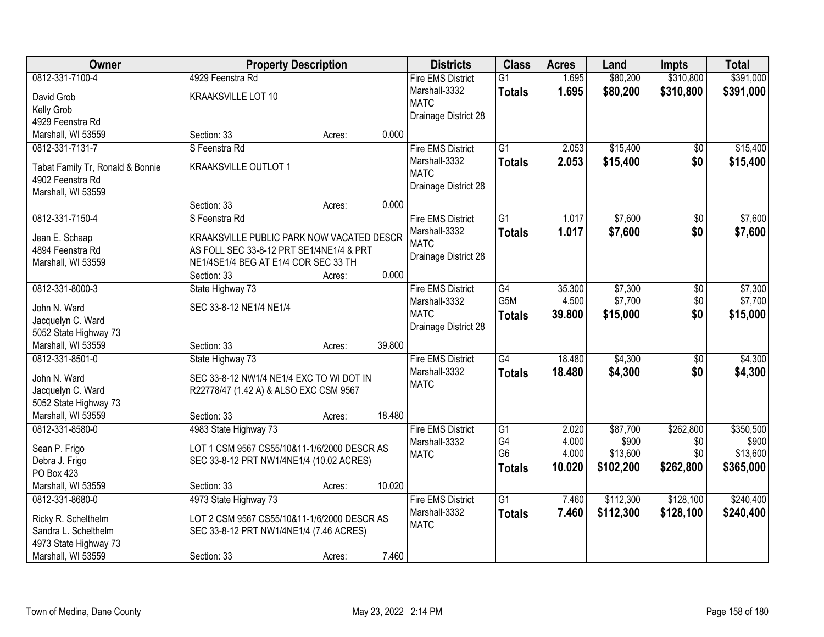| Owner                                      | <b>Property Description</b>                 |        |        | <b>Districts</b>         | <b>Class</b>     | <b>Acres</b> | Land      | <b>Impts</b>    | <b>Total</b> |
|--------------------------------------------|---------------------------------------------|--------|--------|--------------------------|------------------|--------------|-----------|-----------------|--------------|
| 0812-331-7100-4                            | 4929 Feenstra Rd                            |        |        | <b>Fire EMS District</b> | $\overline{G1}$  | 1.695        | \$80,200  | \$310,800       | \$391,000    |
| David Grob                                 | KRAAKSVILLE LOT 10                          |        |        | Marshall-3332            | <b>Totals</b>    | 1.695        | \$80,200  | \$310,800       | \$391,000    |
| Kelly Grob                                 |                                             |        |        | <b>MATC</b>              |                  |              |           |                 |              |
| 4929 Feenstra Rd                           |                                             |        |        | Drainage District 28     |                  |              |           |                 |              |
| Marshall, WI 53559                         | Section: 33                                 | Acres: | 0.000  |                          |                  |              |           |                 |              |
| 0812-331-7131-7                            | S Feenstra Rd                               |        |        | Fire EMS District        | $\overline{G1}$  | 2.053        | \$15,400  | $\overline{50}$ | \$15,400     |
|                                            |                                             |        |        | Marshall-3332            | <b>Totals</b>    | 2.053        | \$15,400  | \$0             | \$15,400     |
| Tabat Family Tr, Ronald & Bonnie           | KRAAKSVILLE OUTLOT 1                        |        |        | <b>MATC</b>              |                  |              |           |                 |              |
| 4902 Feenstra Rd                           |                                             |        |        | Drainage District 28     |                  |              |           |                 |              |
| Marshall, WI 53559                         |                                             |        |        |                          |                  |              |           |                 |              |
|                                            | Section: 33                                 | Acres: | 0.000  |                          |                  |              |           |                 |              |
| 0812-331-7150-4                            | S Feenstra Rd                               |        |        | <b>Fire EMS District</b> | G1               | 1.017        | \$7,600   | \$0             | \$7,600      |
| Jean E. Schaap                             | KRAAKSVILLE PUBLIC PARK NOW VACATED DESCR   |        |        | Marshall-3332            | <b>Totals</b>    | 1.017        | \$7,600   | \$0             | \$7,600      |
| 4894 Feenstra Rd                           | AS FOLL SEC 33-8-12 PRT SE1/4NE1/4 & PRT    |        |        | <b>MATC</b>              |                  |              |           |                 |              |
| Marshall, WI 53559                         | NE1/4SE1/4 BEG AT E1/4 COR SEC 33 TH        |        |        | Drainage District 28     |                  |              |           |                 |              |
|                                            | Section: 33                                 | Acres: | 0.000  |                          |                  |              |           |                 |              |
| 0812-331-8000-3                            | State Highway 73                            |        |        | <b>Fire EMS District</b> | G4               | 35.300       | \$7,300   | \$0             | \$7,300      |
|                                            |                                             |        |        | Marshall-3332            | G <sub>5</sub> M | 4.500        | \$7,700   | \$0             | \$7,700      |
| John N. Ward                               | SEC 33-8-12 NE1/4 NE1/4                     |        |        | <b>MATC</b>              | <b>Totals</b>    | 39.800       | \$15,000  | \$0             | \$15,000     |
| Jacquelyn C. Ward<br>5052 State Highway 73 |                                             |        |        | Drainage District 28     |                  |              |           |                 |              |
| Marshall, WI 53559                         | Section: 33                                 | Acres: | 39.800 |                          |                  |              |           |                 |              |
| 0812-331-8501-0                            | State Highway 73                            |        |        | <b>Fire EMS District</b> | $\overline{G4}$  | 18.480       | \$4,300   | $\overline{30}$ | \$4,300      |
|                                            |                                             |        |        | Marshall-3332            |                  | 18.480       | \$4,300   | \$0             |              |
| John N. Ward                               | SEC 33-8-12 NW1/4 NE1/4 EXC TO WI DOT IN    |        |        | <b>MATC</b>              | Totals           |              |           |                 | \$4,300      |
| Jacquelyn C. Ward                          | R22778/47 (1.42 A) & ALSO EXC CSM 9567      |        |        |                          |                  |              |           |                 |              |
| 5052 State Highway 73                      |                                             |        |        |                          |                  |              |           |                 |              |
| Marshall, WI 53559                         | Section: 33                                 | Acres: | 18.480 |                          |                  |              |           |                 |              |
| 0812-331-8580-0                            | 4983 State Highway 73                       |        |        | <b>Fire EMS District</b> | $\overline{G1}$  | 2.020        | \$87,700  | \$262,800       | \$350,500    |
| Sean P. Frigo                              | LOT 1 CSM 9567 CS55/10&11-1/6/2000 DESCR AS |        |        | Marshall-3332            | G4               | 4.000        | \$900     | \$0             | \$900        |
| Debra J. Frigo                             | SEC 33-8-12 PRT NW1/4NE1/4 (10.02 ACRES)    |        |        | <b>MATC</b>              | G <sub>6</sub>   | 4.000        | \$13,600  | \$0             | \$13,600     |
| PO Box 423                                 |                                             |        |        |                          | <b>Totals</b>    | 10.020       | \$102,200 | \$262,800       | \$365,000    |
| Marshall, WI 53559                         | Section: 33                                 | Acres: | 10.020 |                          |                  |              |           |                 |              |
| 0812-331-8680-0                            | 4973 State Highway 73                       |        |        | <b>Fire EMS District</b> | $\overline{G1}$  | 7.460        | \$112,300 | \$128,100       | \$240,400    |
|                                            |                                             |        |        | Marshall-3332            | <b>Totals</b>    | 7.460        | \$112,300 | \$128,100       | \$240,400    |
| Ricky R. Schelthelm                        | LOT 2 CSM 9567 CS55/10&11-1/6/2000 DESCR AS |        |        | <b>MATC</b>              |                  |              |           |                 |              |
| Sandra L. Schelthelm                       | SEC 33-8-12 PRT NW1/4NE1/4 (7.46 ACRES)     |        |        |                          |                  |              |           |                 |              |
| 4973 State Highway 73                      |                                             |        |        |                          |                  |              |           |                 |              |
| Marshall, WI 53559                         | Section: 33                                 | Acres: | 7.460  |                          |                  |              |           |                 |              |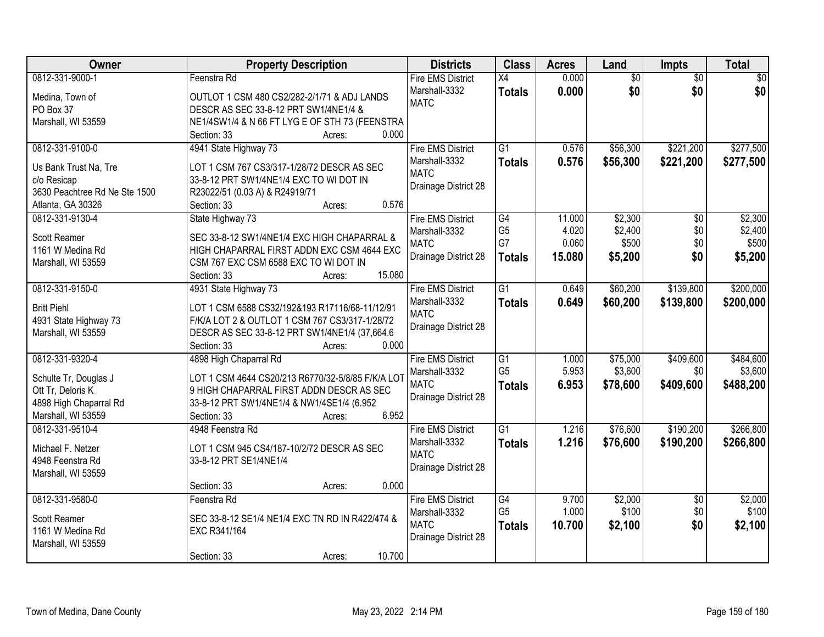| <b>Owner</b>                                | <b>Property Description</b>                       | <b>Districts</b>             | <b>Class</b>    | <b>Acres</b> | Land            | Impts                  | <b>Total</b> |
|---------------------------------------------|---------------------------------------------------|------------------------------|-----------------|--------------|-----------------|------------------------|--------------|
| 0812-331-9000-1                             | Feenstra Rd                                       | <b>Fire EMS District</b>     | X4              | 0.000        | $\overline{60}$ | $\overline{30}$        | \$0          |
| Medina, Town of                             | OUTLOT 1 CSM 480 CS2/282-2/1/71 & ADJ LANDS       | Marshall-3332                | <b>Totals</b>   | 0.000        | \$0             | \$0                    | \$0          |
| PO Box 37                                   | DESCR AS SEC 33-8-12 PRT SW1/4NE1/4 &             | <b>MATC</b>                  |                 |              |                 |                        |              |
| Marshall, WI 53559                          | NE1/4SW1/4 & N 66 FT LYG E OF STH 73 (FEENSTRA    |                              |                 |              |                 |                        |              |
|                                             | 0.000<br>Section: 33<br>Acres:                    |                              |                 |              |                 |                        |              |
| 0812-331-9100-0                             | 4941 State Highway 73                             | <b>Fire EMS District</b>     | $\overline{G1}$ | 0.576        | \$56,300        | \$221,200              | \$277,500    |
|                                             |                                                   | Marshall-3332                | <b>Totals</b>   | 0.576        | \$56,300        | \$221,200              | \$277,500    |
| Us Bank Trust Na, Tre                       | LOT 1 CSM 767 CS3/317-1/28/72 DESCR AS SEC        | <b>MATC</b>                  |                 |              |                 |                        |              |
| c/o Resicap                                 | 33-8-12 PRT SW1/4NE1/4 EXC TO WI DOT IN           | Drainage District 28         |                 |              |                 |                        |              |
| 3630 Peachtree Rd Ne Ste 1500               | R23022/51 (0.03 A) & R24919/71<br>0.576           |                              |                 |              |                 |                        |              |
| Atlanta, GA 30326<br>0812-331-9130-4        | Section: 33<br>Acres:                             | <b>Fire EMS District</b>     | $\overline{G4}$ | 11.000       | \$2,300         |                        | \$2,300      |
|                                             | State Highway 73                                  |                              | G <sub>5</sub>  | 4.020        | \$2,400         | $\overline{50}$<br>\$0 | \$2,400      |
| <b>Scott Reamer</b>                         | SEC 33-8-12 SW1/4NE1/4 EXC HIGH CHAPARRAL &       | Marshall-3332<br><b>MATC</b> | G7              | 0.060        | \$500           | \$0                    | \$500        |
| 1161 W Medina Rd                            | HIGH CHAPARRAL FIRST ADDN EXC CSM 4644 EXC        | Drainage District 28         |                 |              |                 |                        |              |
| Marshall, WI 53559                          | CSM 767 EXC CSM 6588 EXC TO WI DOT IN             |                              | <b>Totals</b>   | 15.080       | \$5,200         | \$0                    | \$5,200      |
|                                             | 15.080<br>Section: 33<br>Acres:                   |                              |                 |              |                 |                        |              |
| 0812-331-9150-0                             | 4931 State Highway 73                             | <b>Fire EMS District</b>     | $\overline{G1}$ | 0.649        | \$60,200        | \$139,800              | \$200,000    |
| <b>Britt Piehl</b>                          | LOT 1 CSM 6588 CS32/192&193 R17116/68-11/12/91    | Marshall-3332                | <b>Totals</b>   | 0.649        | \$60,200        | \$139,800              | \$200,000    |
|                                             | F/K/A LOT 2 & OUTLOT 1 CSM 767 CS3/317-1/28/72    | <b>MATC</b>                  |                 |              |                 |                        |              |
| 4931 State Highway 73<br>Marshall, WI 53559 | DESCR AS SEC 33-8-12 PRT SW1/4NE1/4 (37,664.6)    | Drainage District 28         |                 |              |                 |                        |              |
|                                             | Section: 33<br>0.000                              |                              |                 |              |                 |                        |              |
| 0812-331-9320-4                             | Acres:<br>4898 High Chaparral Rd                  | <b>Fire EMS District</b>     | $\overline{G1}$ | 1.000        | \$75,000        | \$409,600              | \$484,600    |
|                                             |                                                   |                              | G <sub>5</sub>  | 5.953        | \$3,600         | \$0                    | \$3,600      |
| Schulte Tr, Douglas J                       | LOT 1 CSM 4644 CS20/213 R6770/32-5/8/85 F/K/A LOT | Marshall-3332<br><b>MATC</b> |                 | 6.953        |                 | \$409,600              |              |
| Ott Tr, Deloris K                           | 9 HIGH CHAPARRAL FIRST ADDN DESCR AS SEC          |                              | <b>Totals</b>   |              | \$78,600        |                        | \$488,200    |
| 4898 High Chaparral Rd                      | 33-8-12 PRT SW1/4NE1/4 & NW1/4SE1/4 (6.952        | Drainage District 28         |                 |              |                 |                        |              |
| Marshall, WI 53559                          | 6.952<br>Section: 33<br>Acres:                    |                              |                 |              |                 |                        |              |
| 0812-331-9510-4                             | 4948 Feenstra Rd                                  | <b>Fire EMS District</b>     | $\overline{G1}$ | 1.216        | \$76,600        | \$190,200              | \$266,800    |
| Michael F. Netzer                           | LOT 1 CSM 945 CS4/187-10/2/72 DESCR AS SEC        | Marshall-3332                | <b>Totals</b>   | 1.216        | \$76,600        | \$190,200              | \$266,800    |
| 4948 Feenstra Rd                            | 33-8-12 PRT SE1/4NE1/4                            | <b>MATC</b>                  |                 |              |                 |                        |              |
|                                             |                                                   | Drainage District 28         |                 |              |                 |                        |              |
| Marshall, WI 53559                          | 0.000<br>Section: 33<br>Acres:                    |                              |                 |              |                 |                        |              |
| 0812-331-9580-0                             | Feenstra Rd                                       | <b>Fire EMS District</b>     | G4              | 9.700        | \$2,000         | $\overline{50}$        | \$2,000      |
|                                             |                                                   | Marshall-3332                | G <sub>5</sub>  | 1.000        | \$100           | \$0                    | \$100        |
| Scott Reamer                                | SEC 33-8-12 SE1/4 NE1/4 EXC TN RD IN R422/474 &   | <b>MATC</b>                  |                 |              |                 | \$0                    |              |
| 1161 W Medina Rd                            | EXC R341/164                                      |                              | <b>Totals</b>   | 10.700       | \$2,100         |                        | \$2,100      |
| Marshall, WI 53559                          |                                                   | Drainage District 28         |                 |              |                 |                        |              |
|                                             | 10.700<br>Section: 33<br>Acres:                   |                              |                 |              |                 |                        |              |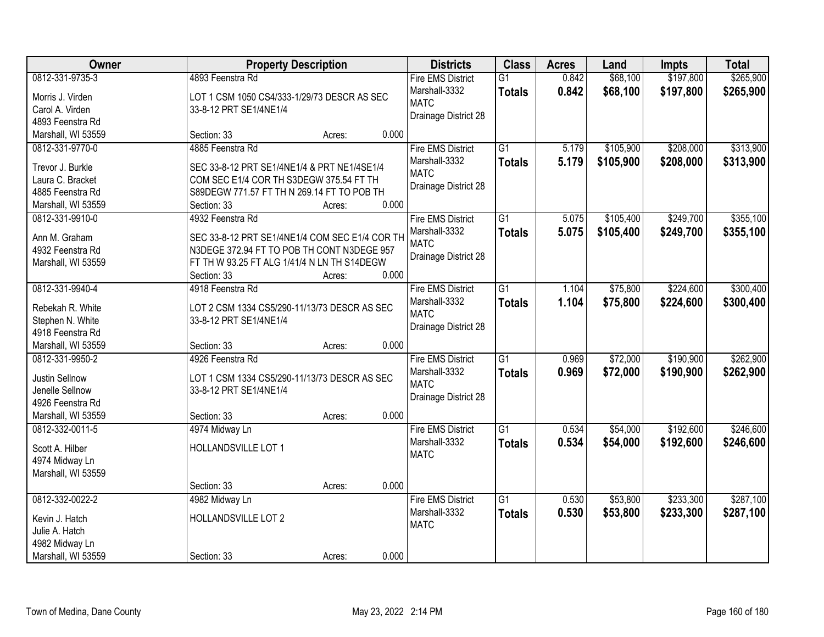| Owner              | <b>Property Description</b>                    | <b>Districts</b>         | <b>Class</b>    | <b>Acres</b> | Land      | <b>Impts</b> | <b>Total</b> |
|--------------------|------------------------------------------------|--------------------------|-----------------|--------------|-----------|--------------|--------------|
| 0812-331-9735-3    | 4893 Feenstra Rd                               | <b>Fire EMS District</b> | $\overline{G1}$ | 0.842        | \$68,100  | \$197,800    | \$265,900    |
| Morris J. Virden   | LOT 1 CSM 1050 CS4/333-1/29/73 DESCR AS SEC    | Marshall-3332            | <b>Totals</b>   | 0.842        | \$68,100  | \$197,800    | \$265,900    |
| Carol A. Virden    | 33-8-12 PRT SE1/4NE1/4                         | <b>MATC</b>              |                 |              |           |              |              |
| 4893 Feenstra Rd   |                                                | Drainage District 28     |                 |              |           |              |              |
| Marshall, WI 53559 | 0.000<br>Section: 33<br>Acres:                 |                          |                 |              |           |              |              |
| 0812-331-9770-0    | 4885 Feenstra Rd                               | <b>Fire EMS District</b> | $\overline{G1}$ | 5.179        | \$105,900 | \$208,000    | \$313,900    |
|                    |                                                | Marshall-3332            | <b>Totals</b>   | 5.179        | \$105,900 | \$208,000    | \$313,900    |
| Trevor J. Burkle   | SEC 33-8-12 PRT SE1/4NE1/4 & PRT NE1/4SE1/4    | <b>MATC</b>              |                 |              |           |              |              |
| Laura C. Bracket   | COM SEC E1/4 COR TH S3DEGW 375.54 FT TH        | Drainage District 28     |                 |              |           |              |              |
| 4885 Feenstra Rd   | S89DEGW 771.57 FT TH N 269.14 FT TO POB TH     |                          |                 |              |           |              |              |
| Marshall, WI 53559 | 0.000<br>Section: 33<br>Acres:                 |                          |                 |              |           |              |              |
| 0812-331-9910-0    | 4932 Feenstra Rd                               | <b>Fire EMS District</b> | G1              | 5.075        | \$105,400 | \$249,700    | \$355,100    |
| Ann M. Graham      | SEC 33-8-12 PRT SE1/4NE1/4 COM SEC E1/4 COR TH | Marshall-3332            | <b>Totals</b>   | 5.075        | \$105,400 | \$249,700    | \$355,100    |
| 4932 Feenstra Rd   | N3DEGE 372.94 FT TO POB TH CONT N3DEGE 957     | <b>MATC</b>              |                 |              |           |              |              |
| Marshall, WI 53559 | FT TH W 93.25 FT ALG 1/41/4 N LN TH S14DEGW    | Drainage District 28     |                 |              |           |              |              |
|                    | 0.000<br>Section: 33<br>Acres:                 |                          |                 |              |           |              |              |
| 0812-331-9940-4    | 4918 Feenstra Rd                               | <b>Fire EMS District</b> | G1              | 1.104        | \$75,800  | \$224,600    | \$300,400    |
|                    |                                                | Marshall-3332            |                 | 1.104        |           | \$224,600    |              |
| Rebekah R. White   | LOT 2 CSM 1334 CS5/290-11/13/73 DESCR AS SEC   | <b>MATC</b>              | <b>Totals</b>   |              | \$75,800  |              | \$300,400    |
| Stephen N. White   | 33-8-12 PRT SE1/4NE1/4                         | Drainage District 28     |                 |              |           |              |              |
| 4918 Feenstra Rd   |                                                |                          |                 |              |           |              |              |
| Marshall, WI 53559 | 0.000<br>Section: 33<br>Acres:                 |                          |                 |              |           |              |              |
| 0812-331-9950-2    | 4926 Feenstra Rd                               | <b>Fire EMS District</b> | $\overline{G1}$ | 0.969        | \$72,000  | \$190,900    | \$262,900    |
|                    |                                                | Marshall-3332            | <b>Totals</b>   | 0.969        | \$72,000  | \$190,900    | \$262,900    |
| Justin Sellnow     | LOT 1 CSM 1334 CS5/290-11/13/73 DESCR AS SEC   | <b>MATC</b>              |                 |              |           |              |              |
| Jenelle Sellnow    | 33-8-12 PRT SE1/4NE1/4                         | Drainage District 28     |                 |              |           |              |              |
| 4926 Feenstra Rd   |                                                |                          |                 |              |           |              |              |
| Marshall, WI 53559 | 0.000<br>Section: 33<br>Acres:                 |                          |                 |              |           |              |              |
| 0812-332-0011-5    | 4974 Midway Ln                                 | <b>Fire EMS District</b> | $\overline{G1}$ | 0.534        | \$54,000  | \$192,600    | \$246,600    |
| Scott A. Hilber    | HOLLANDSVILLE LOT 1                            | Marshall-3332            | <b>Totals</b>   | 0.534        | \$54,000  | \$192,600    | \$246,600    |
| 4974 Midway Ln     |                                                | <b>MATC</b>              |                 |              |           |              |              |
| Marshall, WI 53559 |                                                |                          |                 |              |           |              |              |
|                    | 0.000<br>Section: 33<br>Acres:                 |                          |                 |              |           |              |              |
| 0812-332-0022-2    | 4982 Midway Ln                                 | <b>Fire EMS District</b> | $\overline{G1}$ | 0.530        | \$53,800  | \$233,300    | \$287,100    |
|                    |                                                | Marshall-3332            | <b>Totals</b>   | 0.530        | \$53,800  | \$233,300    | \$287,100    |
| Kevin J. Hatch     | HOLLANDSVILLE LOT 2                            | <b>MATC</b>              |                 |              |           |              |              |
| Julie A. Hatch     |                                                |                          |                 |              |           |              |              |
| 4982 Midway Ln     |                                                |                          |                 |              |           |              |              |
| Marshall, WI 53559 | 0.000<br>Section: 33<br>Acres:                 |                          |                 |              |           |              |              |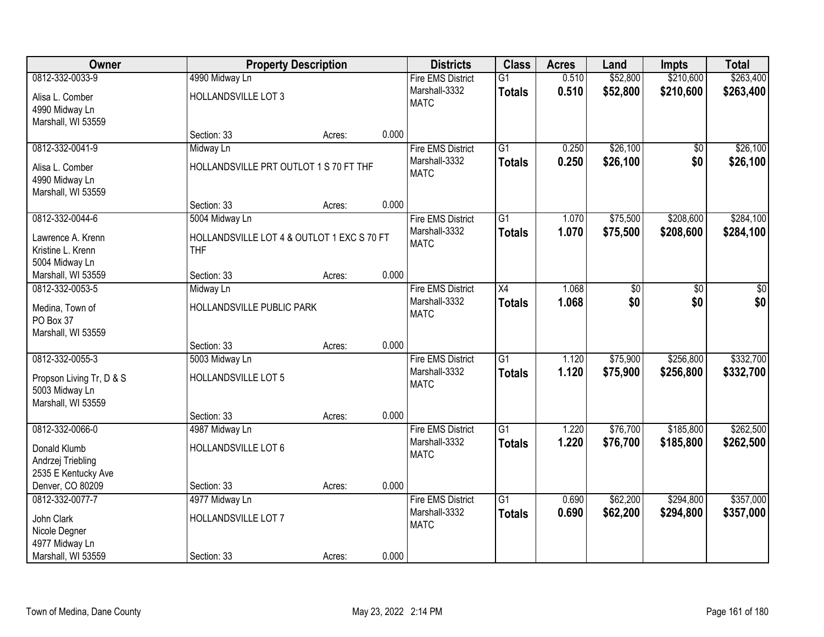| Owner                                      |                                            | <b>Property Description</b> |       | <b>Districts</b>         | <b>Class</b>    | <b>Acres</b> | Land            | <b>Impts</b>    | <b>Total</b>    |
|--------------------------------------------|--------------------------------------------|-----------------------------|-------|--------------------------|-----------------|--------------|-----------------|-----------------|-----------------|
| 0812-332-0033-9                            | 4990 Midway Ln                             |                             |       | <b>Fire EMS District</b> | $\overline{G1}$ | 0.510        | \$52,800        | \$210,600       | \$263,400       |
| Alisa L. Comber                            | HOLLANDSVILLE LOT 3                        |                             |       | Marshall-3332            | <b>Totals</b>   | 0.510        | \$52,800        | \$210,600       | \$263,400       |
| 4990 Midway Ln                             |                                            |                             |       | <b>MATC</b>              |                 |              |                 |                 |                 |
| Marshall, WI 53559                         |                                            |                             |       |                          |                 |              |                 |                 |                 |
|                                            | Section: 33                                | Acres:                      | 0.000 |                          |                 |              |                 |                 |                 |
| 0812-332-0041-9                            | Midway Ln                                  |                             |       | <b>Fire EMS District</b> | $\overline{G1}$ | 0.250        | \$26,100        | \$0             | \$26,100        |
| Alisa L. Comber                            | HOLLANDSVILLE PRT OUTLOT 1 S 70 FT THF     |                             |       | Marshall-3332            | <b>Totals</b>   | 0.250        | \$26,100        | \$0             | \$26,100        |
| 4990 Midway Ln                             |                                            |                             |       | <b>MATC</b>              |                 |              |                 |                 |                 |
| Marshall, WI 53559                         |                                            |                             |       |                          |                 |              |                 |                 |                 |
|                                            | Section: 33                                | Acres:                      | 0.000 |                          |                 |              |                 |                 |                 |
| 0812-332-0044-6                            | 5004 Midway Ln                             |                             |       | <b>Fire EMS District</b> | $\overline{G1}$ | 1.070        | \$75,500        | \$208,600       | \$284,100       |
| Lawrence A. Krenn                          | HOLLANDSVILLE LOT 4 & OUTLOT 1 EXC S 70 FT |                             |       | Marshall-3332            | <b>Totals</b>   | 1.070        | \$75,500        | \$208,600       | \$284,100       |
| Kristine L. Krenn                          | <b>THF</b>                                 |                             |       | <b>MATC</b>              |                 |              |                 |                 |                 |
| 5004 Midway Ln                             |                                            |                             |       |                          |                 |              |                 |                 |                 |
| Marshall, WI 53559                         | Section: 33                                | Acres:                      | 0.000 |                          |                 |              |                 |                 |                 |
| 0812-332-0053-5                            | Midway Ln                                  |                             |       | <b>Fire EMS District</b> | $\overline{X4}$ | 1.068        | $\overline{50}$ | $\overline{50}$ | $\overline{50}$ |
| Medina, Town of                            | HOLLANDSVILLE PUBLIC PARK                  |                             |       | Marshall-3332            | <b>Totals</b>   | 1.068        | \$0             | \$0             | \$0             |
| PO Box 37                                  |                                            |                             |       | <b>MATC</b>              |                 |              |                 |                 |                 |
| Marshall, WI 53559                         |                                            |                             |       |                          |                 |              |                 |                 |                 |
|                                            | Section: 33                                | Acres:                      | 0.000 |                          |                 |              |                 |                 |                 |
| 0812-332-0055-3                            | 5003 Midway Ln                             |                             |       | <b>Fire EMS District</b> | $\overline{G1}$ | 1.120        | \$75,900        | \$256,800       | \$332,700       |
|                                            | HOLLANDSVILLE LOT 5                        |                             |       | Marshall-3332            | <b>Totals</b>   | 1.120        | \$75,900        | \$256,800       | \$332,700       |
| Propson Living Tr, D & S<br>5003 Midway Ln |                                            |                             |       | <b>MATC</b>              |                 |              |                 |                 |                 |
| Marshall, WI 53559                         |                                            |                             |       |                          |                 |              |                 |                 |                 |
|                                            | Section: 33                                | Acres:                      | 0.000 |                          |                 |              |                 |                 |                 |
| 0812-332-0066-0                            | 4987 Midway Ln                             |                             |       | <b>Fire EMS District</b> | $\overline{G1}$ | 1.220        | \$76,700        | \$185,800       | \$262,500       |
| Donald Klumb                               | HOLLANDSVILLE LOT 6                        |                             |       | Marshall-3332            | <b>Totals</b>   | 1.220        | \$76,700        | \$185,800       | \$262,500       |
| Andrzej Triebling                          |                                            |                             |       | <b>MATC</b>              |                 |              |                 |                 |                 |
| 2535 E Kentucky Ave                        |                                            |                             |       |                          |                 |              |                 |                 |                 |
| Denver, CO 80209                           | Section: 33                                | Acres:                      | 0.000 |                          |                 |              |                 |                 |                 |
| 0812-332-0077-7                            | 4977 Midway Ln                             |                             |       | <b>Fire EMS District</b> | $\overline{G1}$ | 0.690        | \$62,200        | \$294,800       | \$357,000       |
|                                            |                                            |                             |       | Marshall-3332            | <b>Totals</b>   | 0.690        | \$62,200        | \$294,800       | \$357,000       |
| John Clark<br>Nicole Degner                | HOLLANDSVILLE LOT 7                        |                             |       | <b>MATC</b>              |                 |              |                 |                 |                 |
| 4977 Midway Ln                             |                                            |                             |       |                          |                 |              |                 |                 |                 |
| Marshall, WI 53559                         | Section: 33                                | Acres:                      | 0.000 |                          |                 |              |                 |                 |                 |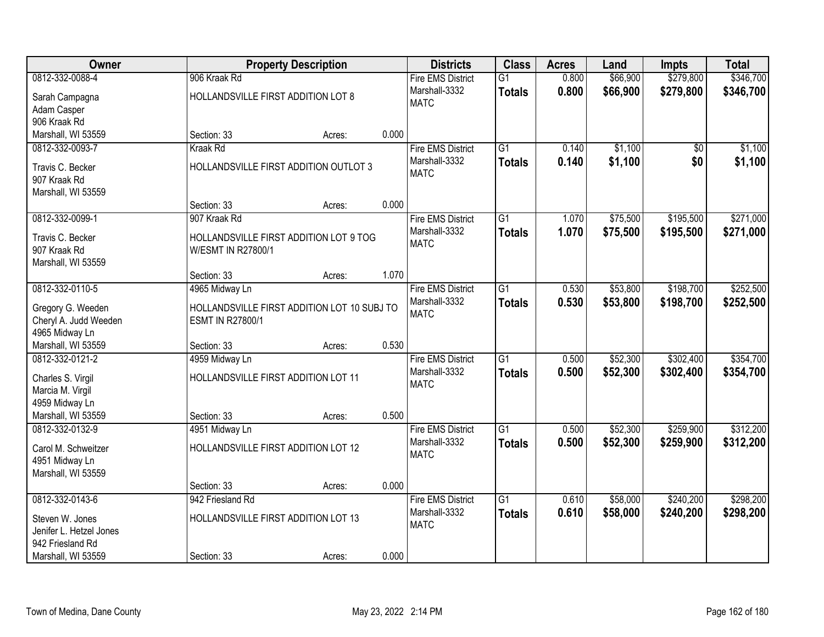| Owner                              |                                                              | <b>Property Description</b> |       | <b>Districts</b>                          | <b>Class</b>    | <b>Acres</b> | Land     | <b>Impts</b> | <b>Total</b> |
|------------------------------------|--------------------------------------------------------------|-----------------------------|-------|-------------------------------------------|-----------------|--------------|----------|--------------|--------------|
| 0812-332-0088-4                    | 906 Kraak Rd                                                 |                             |       | <b>Fire EMS District</b>                  | $\overline{G1}$ | 0.800        | \$66,900 | \$279,800    | \$346,700    |
| Sarah Campagna                     | HOLLANDSVILLE FIRST ADDITION LOT 8                           |                             |       | Marshall-3332                             | <b>Totals</b>   | 0.800        | \$66,900 | \$279,800    | \$346,700    |
| Adam Casper                        |                                                              |                             |       | <b>MATC</b>                               |                 |              |          |              |              |
| 906 Kraak Rd                       |                                                              |                             |       |                                           |                 |              |          |              |              |
| Marshall, WI 53559                 | Section: 33                                                  | Acres:                      | 0.000 |                                           |                 |              |          |              |              |
| 0812-332-0093-7                    | Kraak Rd                                                     |                             |       | <b>Fire EMS District</b>                  | $\overline{G1}$ | 0.140        | \$1,100  | \$0          | \$1,100      |
| Travis C. Becker                   | HOLLANDSVILLE FIRST ADDITION OUTLOT 3                        |                             |       | Marshall-3332                             | <b>Totals</b>   | 0.140        | \$1,100  | \$0          | \$1,100      |
| 907 Kraak Rd                       |                                                              |                             |       | <b>MATC</b>                               |                 |              |          |              |              |
| Marshall, WI 53559                 |                                                              |                             |       |                                           |                 |              |          |              |              |
|                                    | Section: 33                                                  | Acres:                      | 0.000 |                                           |                 |              |          |              |              |
| 0812-332-0099-1                    | 907 Kraak Rd                                                 |                             |       | <b>Fire EMS District</b>                  | $\overline{G1}$ | 1.070        | \$75,500 | \$195,500    | \$271,000    |
|                                    |                                                              |                             |       | Marshall-3332                             | <b>Totals</b>   | 1.070        | \$75,500 | \$195,500    | \$271,000    |
| Travis C. Becker                   | HOLLANDSVILLE FIRST ADDITION LOT 9 TOG<br>W/ESMT IN R27800/1 |                             |       | <b>MATC</b>                               |                 |              |          |              |              |
| 907 Kraak Rd<br>Marshall, WI 53559 |                                                              |                             |       |                                           |                 |              |          |              |              |
|                                    | Section: 33                                                  | Acres:                      | 1.070 |                                           |                 |              |          |              |              |
| 0812-332-0110-5                    | 4965 Midway Ln                                               |                             |       | <b>Fire EMS District</b>                  | $\overline{G1}$ | 0.530        | \$53,800 | \$198,700    | \$252,500    |
|                                    |                                                              |                             |       | Marshall-3332                             | <b>Totals</b>   | 0.530        | \$53,800 | \$198,700    | \$252,500    |
| Gregory G. Weeden                  | HOLLANDSVILLE FIRST ADDITION LOT 10 SUBJ TO                  |                             |       | <b>MATC</b>                               |                 |              |          |              |              |
| Cheryl A. Judd Weeden              | <b>ESMT IN R27800/1</b>                                      |                             |       |                                           |                 |              |          |              |              |
| 4965 Midway Ln                     |                                                              |                             | 0.530 |                                           |                 |              |          |              |              |
| Marshall, WI 53559                 | Section: 33                                                  | Acres:                      |       |                                           | $\overline{G1}$ | 0.500        |          |              | \$354,700    |
| 0812-332-0121-2                    | 4959 Midway Ln                                               |                             |       | <b>Fire EMS District</b><br>Marshall-3332 |                 |              | \$52,300 | \$302,400    |              |
| Charles S. Virgil                  | HOLLANDSVILLE FIRST ADDITION LOT 11                          |                             |       | <b>MATC</b>                               | <b>Totals</b>   | 0.500        | \$52,300 | \$302,400    | \$354,700    |
| Marcia M. Virgil                   |                                                              |                             |       |                                           |                 |              |          |              |              |
| 4959 Midway Ln                     |                                                              |                             |       |                                           |                 |              |          |              |              |
| Marshall, WI 53559                 | Section: 33                                                  | Acres:                      | 0.500 |                                           |                 |              |          |              |              |
| 0812-332-0132-9                    | 4951 Midway Ln                                               |                             |       | <b>Fire EMS District</b>                  | $\overline{G1}$ | 0.500        | \$52,300 | \$259,900    | \$312,200    |
| Carol M. Schweitzer                | HOLLANDSVILLE FIRST ADDITION LOT 12                          |                             |       | Marshall-3332                             | <b>Totals</b>   | 0.500        | \$52,300 | \$259,900    | \$312,200    |
| 4951 Midway Ln                     |                                                              |                             |       | <b>MATC</b>                               |                 |              |          |              |              |
| Marshall, WI 53559                 |                                                              |                             |       |                                           |                 |              |          |              |              |
|                                    | Section: 33                                                  | Acres:                      | 0.000 |                                           |                 |              |          |              |              |
| 0812-332-0143-6                    | 942 Friesland Rd                                             |                             |       | <b>Fire EMS District</b>                  | $\overline{G1}$ | 0.610        | \$58,000 | \$240,200    | \$298,200    |
| Steven W. Jones                    | HOLLANDSVILLE FIRST ADDITION LOT 13                          |                             |       | Marshall-3332                             | <b>Totals</b>   | 0.610        | \$58,000 | \$240,200    | \$298,200    |
| Jenifer L. Hetzel Jones            |                                                              |                             |       | <b>MATC</b>                               |                 |              |          |              |              |
| 942 Friesland Rd                   |                                                              |                             |       |                                           |                 |              |          |              |              |
| Marshall, WI 53559                 | Section: 33                                                  | Acres:                      | 0.000 |                                           |                 |              |          |              |              |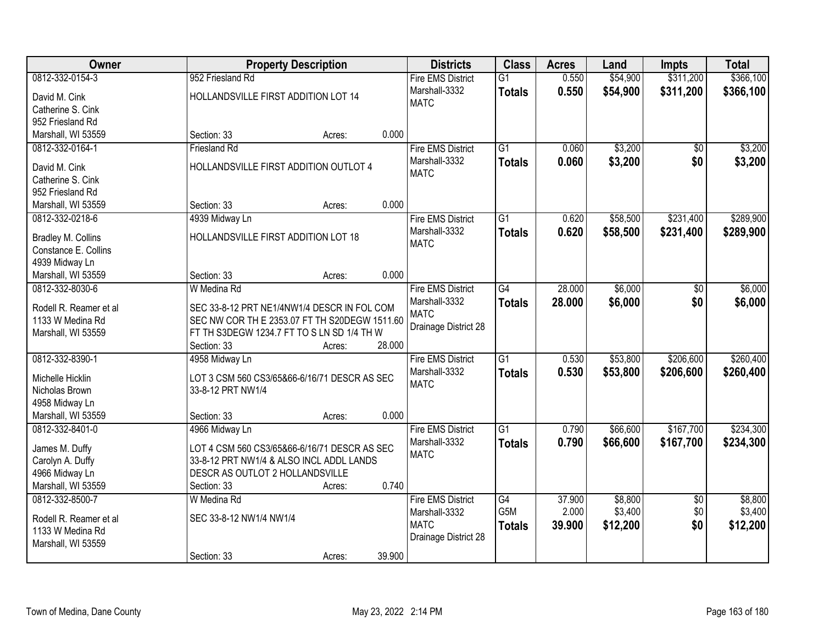| Owner                  | <b>Property Description</b>                   |                  | <b>Districts</b>         | <b>Class</b>     | <b>Acres</b> | Land     | <b>Impts</b>    | <b>Total</b> |
|------------------------|-----------------------------------------------|------------------|--------------------------|------------------|--------------|----------|-----------------|--------------|
| 0812-332-0154-3        | 952 Friesland Rd                              |                  | <b>Fire EMS District</b> | $\overline{G1}$  | 0.550        | \$54,900 | \$311,200       | \$366,100    |
| David M. Cink          | HOLLANDSVILLE FIRST ADDITION LOT 14           |                  | Marshall-3332            | <b>Totals</b>    | 0.550        | \$54,900 | \$311,200       | \$366,100    |
| Catherine S. Cink      |                                               |                  | <b>MATC</b>              |                  |              |          |                 |              |
| 952 Friesland Rd       |                                               |                  |                          |                  |              |          |                 |              |
| Marshall, WI 53559     | Section: 33                                   | 0.000<br>Acres:  |                          |                  |              |          |                 |              |
| 0812-332-0164-1        | <b>Friesland Rd</b>                           |                  | <b>Fire EMS District</b> | $\overline{G1}$  | 0.060        | \$3,200  | \$0             | \$3,200      |
|                        |                                               |                  | Marshall-3332            | <b>Totals</b>    | 0.060        | \$3,200  | \$0             | \$3,200      |
| David M. Cink          | HOLLANDSVILLE FIRST ADDITION OUTLOT 4         |                  | <b>MATC</b>              |                  |              |          |                 |              |
| Catherine S. Cink      |                                               |                  |                          |                  |              |          |                 |              |
| 952 Friesland Rd       |                                               |                  |                          |                  |              |          |                 |              |
| Marshall, WI 53559     | Section: 33                                   | 0.000<br>Acres:  |                          |                  |              |          |                 |              |
| 0812-332-0218-6        | 4939 Midway Ln                                |                  | <b>Fire EMS District</b> | G1               | 0.620        | \$58,500 | \$231,400       | \$289,900    |
| Bradley M. Collins     | HOLLANDSVILLE FIRST ADDITION LOT 18           |                  | Marshall-3332            | <b>Totals</b>    | 0.620        | \$58,500 | \$231,400       | \$289,900    |
| Constance E. Collins   |                                               |                  | <b>MATC</b>              |                  |              |          |                 |              |
| 4939 Midway Ln         |                                               |                  |                          |                  |              |          |                 |              |
| Marshall, WI 53559     | Section: 33                                   | 0.000<br>Acres:  |                          |                  |              |          |                 |              |
| 0812-332-8030-6        | W Medina Rd                                   |                  | <b>Fire EMS District</b> | G4               | 28.000       | \$6,000  | \$0             | \$6,000      |
|                        |                                               |                  | Marshall-3332            | <b>Totals</b>    | 28,000       | \$6,000  | \$0             | \$6,000      |
| Rodell R. Reamer et al | SEC 33-8-12 PRT NE1/4NW1/4 DESCR IN FOL COM   |                  | <b>MATC</b>              |                  |              |          |                 |              |
| 1133 W Medina Rd       | SEC NW COR TH E 2353.07 FT TH S20DEGW 1511.60 |                  | Drainage District 28     |                  |              |          |                 |              |
| Marshall, WI 53559     | FT TH S3DEGW 1234.7 FT TO S LN SD 1/4 TH W    |                  |                          |                  |              |          |                 |              |
|                        | Section: 33                                   | 28.000<br>Acres: |                          |                  |              |          |                 |              |
| 0812-332-8390-1        | 4958 Midway Ln                                |                  | <b>Fire EMS District</b> | $\overline{G1}$  | 0.530        | \$53,800 | \$206,600       | \$260,400    |
| Michelle Hicklin       | LOT 3 CSM 560 CS3/65&66-6/16/71 DESCR AS SEC  |                  | Marshall-3332            | <b>Totals</b>    | 0.530        | \$53,800 | \$206,600       | \$260,400    |
| Nicholas Brown         | 33-8-12 PRT NW1/4                             |                  | <b>MATC</b>              |                  |              |          |                 |              |
| 4958 Midway Ln         |                                               |                  |                          |                  |              |          |                 |              |
| Marshall, WI 53559     | Section: 33                                   | 0.000<br>Acres:  |                          |                  |              |          |                 |              |
| 0812-332-8401-0        | 4966 Midway Ln                                |                  | <b>Fire EMS District</b> | $\overline{G1}$  | 0.790        | \$66,600 | \$167,700       | \$234,300    |
| James M. Duffy         | LOT 4 CSM 560 CS3/65&66-6/16/71 DESCR AS SEC  |                  | Marshall-3332            | <b>Totals</b>    | 0.790        | \$66,600 | \$167,700       | \$234,300    |
| Carolyn A. Duffy       | 33-8-12 PRT NW1/4 & ALSO INCL ADDL LANDS      |                  | <b>MATC</b>              |                  |              |          |                 |              |
| 4966 Midway Ln         | DESCR AS OUTLOT 2 HOLLANDSVILLE               |                  |                          |                  |              |          |                 |              |
| Marshall, WI 53559     | Section: 33                                   | 0.740<br>Acres:  |                          |                  |              |          |                 |              |
| 0812-332-8500-7        | W Medina Rd                                   |                  | <b>Fire EMS District</b> | $\overline{G4}$  | 37.900       | \$8,800  | $\overline{50}$ | \$8,800      |
|                        |                                               |                  | Marshall-3332            | G <sub>5</sub> M | 2.000        | \$3,400  | \$0             | \$3,400      |
| Rodell R. Reamer et al | SEC 33-8-12 NW1/4 NW1/4                       |                  | <b>MATC</b>              | <b>Totals</b>    | 39.900       | \$12,200 | \$0             | \$12,200     |
| 1133 W Medina Rd       |                                               |                  | Drainage District 28     |                  |              |          |                 |              |
| Marshall, WI 53559     |                                               |                  |                          |                  |              |          |                 |              |
|                        | Section: 33                                   | 39.900<br>Acres: |                          |                  |              |          |                 |              |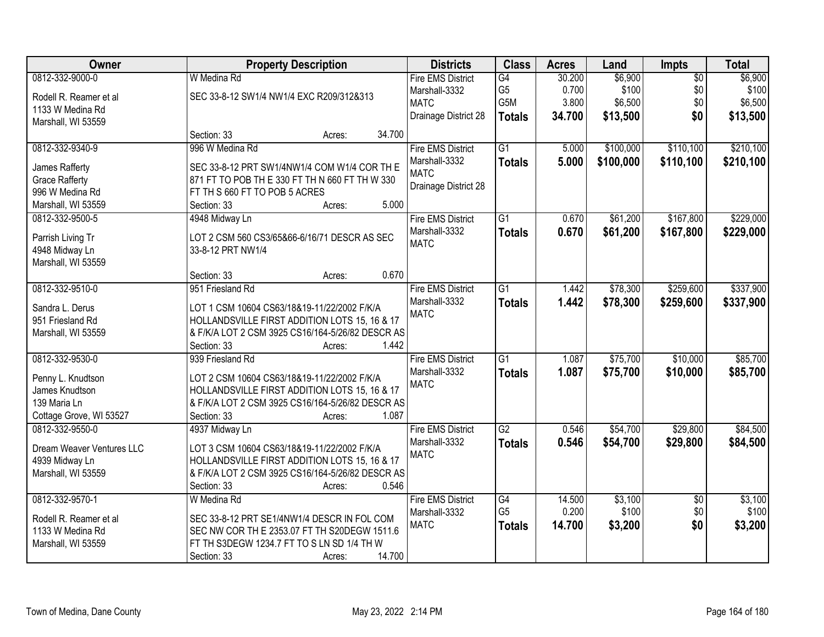| Owner                     | <b>Property Description</b>                      | <b>Districts</b>         | <b>Class</b>    | <b>Acres</b> | Land      | Impts           | <b>Total</b> |
|---------------------------|--------------------------------------------------|--------------------------|-----------------|--------------|-----------|-----------------|--------------|
| 0812-332-9000-0           | W Medina Rd                                      | <b>Fire EMS District</b> | G4              | 30.200       | \$6,900   | $\overline{50}$ | \$6,900      |
| Rodell R. Reamer et al    | SEC 33-8-12 SW1/4 NW1/4 EXC R209/312&313         | Marshall-3332            | G <sub>5</sub>  | 0.700        | \$100     | \$0             | \$100        |
| 1133 W Medina Rd          |                                                  | <b>MATC</b>              | G5M             | 3.800        | \$6,500   | \$0             | \$6,500      |
| Marshall, WI 53559        |                                                  | Drainage District 28     | <b>Totals</b>   | 34.700       | \$13,500  | \$0             | \$13,500     |
|                           | 34.700<br>Section: 33<br>Acres:                  |                          |                 |              |           |                 |              |
| 0812-332-9340-9           | 996 W Medina Rd                                  | <b>Fire EMS District</b> | $\overline{G1}$ | 5.000        | \$100,000 | \$110,100       | \$210,100    |
|                           |                                                  | Marshall-3332            | <b>Totals</b>   | 5.000        | \$100,000 | \$110,100       | \$210,100    |
| James Rafferty            | SEC 33-8-12 PRT SW1/4NW1/4 COM W1/4 COR TH E     | <b>MATC</b>              |                 |              |           |                 |              |
| <b>Grace Rafferty</b>     | 871 FT TO POB TH E 330 FT TH N 660 FT TH W 330   | Drainage District 28     |                 |              |           |                 |              |
| 996 W Medina Rd           | FT TH S 660 FT TO POB 5 ACRES                    |                          |                 |              |           |                 |              |
| Marshall, WI 53559        | 5.000<br>Section: 33<br>Acres:                   |                          |                 |              |           |                 |              |
| 0812-332-9500-5           | 4948 Midway Ln                                   | <b>Fire EMS District</b> | $\overline{G1}$ | 0.670        | \$61,200  | \$167,800       | \$229,000    |
| Parrish Living Tr         | LOT 2 CSM 560 CS3/65&66-6/16/71 DESCR AS SEC     | Marshall-3332            | <b>Totals</b>   | 0.670        | \$61,200  | \$167,800       | \$229,000    |
| 4948 Midway Ln            | 33-8-12 PRT NW1/4                                | <b>MATC</b>              |                 |              |           |                 |              |
| Marshall, WI 53559        |                                                  |                          |                 |              |           |                 |              |
|                           | 0.670<br>Section: 33<br>Acres:                   |                          |                 |              |           |                 |              |
| 0812-332-9510-0           | 951 Friesland Rd                                 | <b>Fire EMS District</b> | $\overline{G1}$ | 1.442        | \$78,300  | \$259,600       | \$337,900    |
|                           |                                                  | Marshall-3332            | <b>Totals</b>   | 1.442        | \$78,300  | \$259,600       | \$337,900    |
| Sandra L. Derus           | LOT 1 CSM 10604 CS63/18&19-11/22/2002 F/K/A      | <b>MATC</b>              |                 |              |           |                 |              |
| 951 Friesland Rd          | HOLLANDSVILLE FIRST ADDITION LOTS 15, 16 & 17    |                          |                 |              |           |                 |              |
| Marshall, WI 53559        | & F/K/A LOT 2 CSM 3925 CS16/164-5/26/82 DESCR AS |                          |                 |              |           |                 |              |
|                           | 1.442<br>Section: 33<br>Acres:                   |                          |                 |              |           |                 |              |
| 0812-332-9530-0           | 939 Friesland Rd                                 | <b>Fire EMS District</b> | $\overline{G1}$ | 1.087        | \$75,700  | \$10,000        | \$85,700     |
| Penny L. Knudtson         | LOT 2 CSM 10604 CS63/18&19-11/22/2002 F/K/A      | Marshall-3332            | <b>Totals</b>   | 1.087        | \$75,700  | \$10,000        | \$85,700     |
| James Knudtson            | HOLLANDSVILLE FIRST ADDITION LOTS 15, 16 & 17    | <b>MATC</b>              |                 |              |           |                 |              |
| 139 Maria Ln              | & F/K/A LOT 2 CSM 3925 CS16/164-5/26/82 DESCR AS |                          |                 |              |           |                 |              |
| Cottage Grove, WI 53527   | 1.087<br>Section: 33<br>Acres:                   |                          |                 |              |           |                 |              |
| 0812-332-9550-0           | 4937 Midway Ln                                   | <b>Fire EMS District</b> | G2              | 0.546        | \$54,700  | \$29,800        | \$84,500     |
|                           |                                                  | Marshall-3332            |                 | 0.546        | \$54,700  | \$29,800        | \$84,500     |
| Dream Weaver Ventures LLC | LOT 3 CSM 10604 CS63/18&19-11/22/2002 F/K/A      | <b>MATC</b>              | <b>Totals</b>   |              |           |                 |              |
| 4939 Midway Ln            | HOLLANDSVILLE FIRST ADDITION LOTS 15, 16 & 17    |                          |                 |              |           |                 |              |
| Marshall, WI 53559        | & F/K/A LOT 2 CSM 3925 CS16/164-5/26/82 DESCR AS |                          |                 |              |           |                 |              |
|                           | 0.546<br>Section: 33<br>Acres:                   |                          |                 |              |           |                 |              |
| 0812-332-9570-1           | W Medina Rd                                      | <b>Fire EMS District</b> | G4              | 14.500       | \$3,100   | $\overline{30}$ | \$3,100      |
| Rodell R. Reamer et al    | SEC 33-8-12 PRT SE1/4NW1/4 DESCR IN FOL COM      | Marshall-3332            | G <sub>5</sub>  | 0.200        | \$100     | \$0             | \$100        |
| 1133 W Medina Rd          | SEC NW COR TH E 2353.07 FT TH S20DEGW 1511.6     | <b>MATC</b>              | <b>Totals</b>   | 14.700       | \$3,200   | \$0             | \$3,200      |
|                           | FT TH S3DEGW 1234.7 FT TO S LN SD 1/4 TH W       |                          |                 |              |           |                 |              |
| Marshall, WI 53559        |                                                  |                          |                 |              |           |                 |              |
|                           | 14.700<br>Section: 33<br>Acres:                  |                          |                 |              |           |                 |              |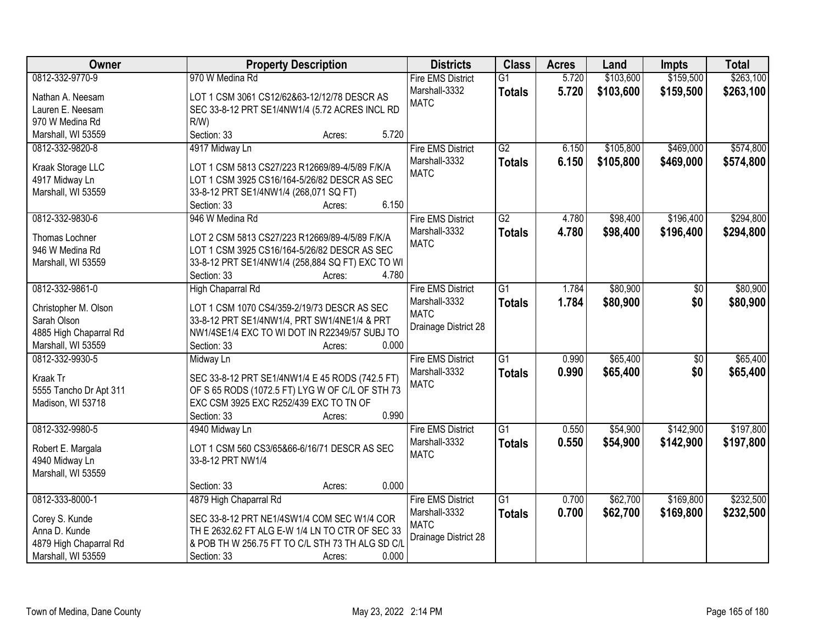| Owner                                        | <b>Property Description</b>                                           | <b>Districts</b>             | <b>Class</b>    | <b>Acres</b> | Land      | <b>Impts</b>    | <b>Total</b> |
|----------------------------------------------|-----------------------------------------------------------------------|------------------------------|-----------------|--------------|-----------|-----------------|--------------|
| 0812-332-9770-9                              | 970 W Medina Rd                                                       | <b>Fire EMS District</b>     | $\overline{G1}$ | 5.720        | \$103,600 | \$159,500       | \$263,100    |
| Nathan A. Neesam                             | LOT 1 CSM 3061 CS12/62&63-12/12/78 DESCR AS                           | Marshall-3332                | <b>Totals</b>   | 5.720        | \$103,600 | \$159,500       | \$263,100    |
| Lauren E. Neesam                             | SEC 33-8-12 PRT SE1/4NW1/4 (5.72 ACRES INCL RD                        | <b>MATC</b>                  |                 |              |           |                 |              |
| 970 W Medina Rd                              | $R/W$ )                                                               |                              |                 |              |           |                 |              |
| Marshall, WI 53559                           | 5.720<br>Section: 33<br>Acres:                                        |                              |                 |              |           |                 |              |
| 0812-332-9820-8                              | 4917 Midway Ln                                                        | <b>Fire EMS District</b>     | $\overline{G2}$ | 6.150        | \$105,800 | \$469,000       | \$574,800    |
|                                              |                                                                       | Marshall-3332                | <b>Totals</b>   | 6.150        | \$105,800 | \$469,000       | \$574,800    |
| Kraak Storage LLC                            | LOT 1 CSM 5813 CS27/223 R12669/89-4/5/89 F/K/A                        | <b>MATC</b>                  |                 |              |           |                 |              |
| 4917 Midway Ln                               | LOT 1 CSM 3925 CS16/164-5/26/82 DESCR AS SEC                          |                              |                 |              |           |                 |              |
| Marshall, WI 53559                           | 33-8-12 PRT SE1/4NW1/4 (268,071 SQ FT)                                |                              |                 |              |           |                 |              |
|                                              | 6.150<br>Section: 33<br>Acres:                                        |                              |                 |              |           |                 |              |
| 0812-332-9830-6                              | 946 W Medina Rd                                                       | <b>Fire EMS District</b>     | $\overline{G2}$ | 4.780        | \$98,400  | \$196,400       | \$294,800    |
| Thomas Lochner                               | LOT 2 CSM 5813 CS27/223 R12669/89-4/5/89 F/K/A                        | Marshall-3332                | <b>Totals</b>   | 4.780        | \$98,400  | \$196,400       | \$294,800    |
| 946 W Medina Rd                              | LOT 1 CSM 3925 CS16/164-5/26/82 DESCR AS SEC                          | <b>MATC</b>                  |                 |              |           |                 |              |
| Marshall, WI 53559                           | 33-8-12 PRT SE1/4NW1/4 (258,884 SQ FT) EXC TO WI                      |                              |                 |              |           |                 |              |
|                                              | Section: 33<br>4.780<br>Acres:                                        |                              |                 |              |           |                 |              |
| 0812-332-9861-0                              | High Chaparral Rd                                                     | <b>Fire EMS District</b>     | $\overline{G1}$ | 1.784        | \$80,900  | $\sqrt[6]{}$    | \$80,900     |
|                                              |                                                                       | Marshall-3332                | <b>Totals</b>   | 1.784        | \$80,900  | \$0             | \$80,900     |
| Christopher M. Olson<br>Sarah Olson          | LOT 1 CSM 1070 CS4/359-2/19/73 DESCR AS SEC                           | <b>MATC</b>                  |                 |              |           |                 |              |
|                                              | 33-8-12 PRT SE1/4NW1/4, PRT SW1/4NE1/4 & PRT                          | Drainage District 28         |                 |              |           |                 |              |
| 4885 High Chaparral Rd<br>Marshall, WI 53559 | NW1/4SE1/4 EXC TO WI DOT IN R22349/57 SUBJ TO<br>0.000<br>Section: 33 |                              |                 |              |           |                 |              |
| 0812-332-9930-5                              | Acres:<br>Midway Ln                                                   | <b>Fire EMS District</b>     | $\overline{G1}$ | 0.990        | \$65,400  | $\overline{50}$ | \$65,400     |
|                                              |                                                                       |                              |                 |              |           |                 |              |
| Kraak Tr                                     | SEC 33-8-12 PRT SE1/4NW1/4 E 45 RODS (742.5 FT)                       | Marshall-3332<br><b>MATC</b> | <b>Totals</b>   | 0.990        | \$65,400  | \$0             | \$65,400     |
| 5555 Tancho Dr Apt 311                       | OF S 65 RODS (1072.5 FT) LYG W OF C/L OF STH 73                       |                              |                 |              |           |                 |              |
| Madison, WI 53718                            | EXC CSM 3925 EXC R252/439 EXC TO TN OF                                |                              |                 |              |           |                 |              |
|                                              | 0.990<br>Section: 33<br>Acres:                                        |                              |                 |              |           |                 |              |
| 0812-332-9980-5                              | 4940 Midway Ln                                                        | <b>Fire EMS District</b>     | $\overline{G1}$ | 0.550        | \$54,900  | \$142,900       | \$197,800    |
| Robert E. Margala                            | LOT 1 CSM 560 CS3/65&66-6/16/71 DESCR AS SEC                          | Marshall-3332                | <b>Totals</b>   | 0.550        | \$54,900  | \$142,900       | \$197,800    |
| 4940 Midway Ln                               | 33-8-12 PRT NW1/4                                                     | <b>MATC</b>                  |                 |              |           |                 |              |
| Marshall, WI 53559                           |                                                                       |                              |                 |              |           |                 |              |
|                                              | 0.000<br>Section: 33<br>Acres:                                        |                              |                 |              |           |                 |              |
| 0812-333-8000-1                              | 4879 High Chaparral Rd                                                | <b>Fire EMS District</b>     | $\overline{G1}$ | 0.700        | \$62,700  | \$169,800       | \$232,500    |
|                                              |                                                                       | Marshall-3332                | <b>Totals</b>   | 0.700        | \$62,700  | \$169,800       | \$232,500    |
| Corey S. Kunde                               | SEC 33-8-12 PRT NE1/4SW1/4 COM SEC W1/4 COR                           | <b>MATC</b>                  |                 |              |           |                 |              |
| Anna D. Kunde                                | TH E 2632.62 FT ALG E-W 1/4 LN TO CTR OF SEC 33                       | Drainage District 28         |                 |              |           |                 |              |
| 4879 High Chaparral Rd                       | & POB TH W 256.75 FT TO C/L STH 73 TH ALG SD C/L                      |                              |                 |              |           |                 |              |
| Marshall, WI 53559                           | 0.000<br>Section: 33<br>Acres:                                        |                              |                 |              |           |                 |              |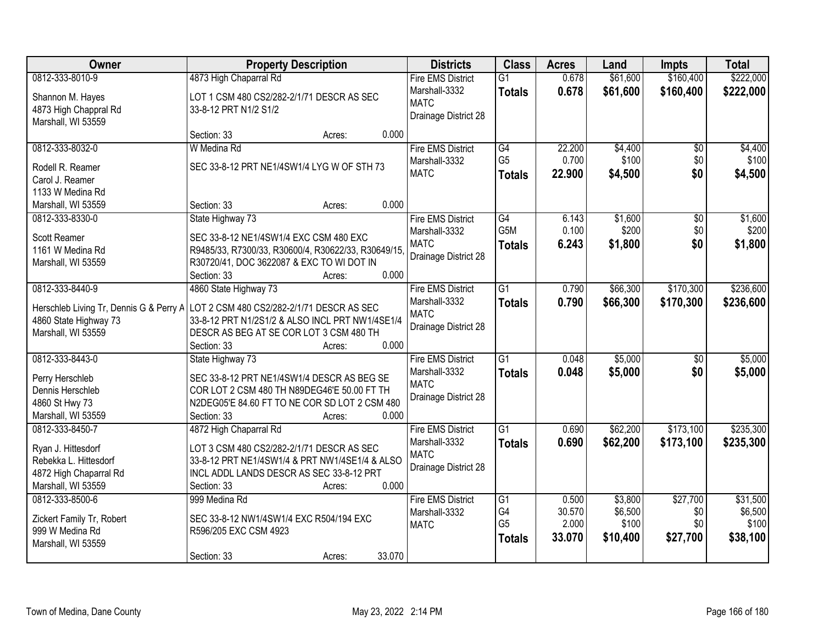| Owner                                   | <b>Property Description</b>                         | <b>Districts</b>         | <b>Class</b>     | <b>Acres</b> | Land     | <b>Impts</b>    | <b>Total</b> |
|-----------------------------------------|-----------------------------------------------------|--------------------------|------------------|--------------|----------|-----------------|--------------|
| 0812-333-8010-9                         | 4873 High Chaparral Rd                              | <b>Fire EMS District</b> | $\overline{G1}$  | 0.678        | \$61,600 | \$160,400       | \$222,000    |
| Shannon M. Hayes                        | LOT 1 CSM 480 CS2/282-2/1/71 DESCR AS SEC           | Marshall-3332            | <b>Totals</b>    | 0.678        | \$61,600 | \$160,400       | \$222,000    |
| 4873 High Chappral Rd                   | 33-8-12 PRT N1/2 S1/2                               | <b>MATC</b>              |                  |              |          |                 |              |
| Marshall, WI 53559                      |                                                     | Drainage District 28     |                  |              |          |                 |              |
|                                         | 0.000<br>Section: 33<br>Acres:                      |                          |                  |              |          |                 |              |
| 0812-333-8032-0                         | W Medina Rd                                         | <b>Fire EMS District</b> | G4               | 22.200       | \$4,400  | $\overline{30}$ | \$4,400      |
| Rodell R. Reamer                        | SEC 33-8-12 PRT NE1/4SW1/4 LYG W OF STH 73          | Marshall-3332            | G <sub>5</sub>   | 0.700        | \$100    | \$0             | \$100        |
| Carol J. Reamer                         |                                                     | <b>MATC</b>              | <b>Totals</b>    | 22.900       | \$4,500  | \$0             | \$4,500      |
| 1133 W Medina Rd                        |                                                     |                          |                  |              |          |                 |              |
| Marshall, WI 53559                      | 0.000<br>Section: 33<br>Acres:                      |                          |                  |              |          |                 |              |
| 0812-333-8330-0                         | State Highway 73                                    | <b>Fire EMS District</b> | G4               | 6.143        | \$1,600  | \$0             | \$1,600      |
|                                         |                                                     | Marshall-3332            | G <sub>5</sub> M | 0.100        | \$200    | \$0             | \$200        |
| Scott Reamer                            | SEC 33-8-12 NE1/4SW1/4 EXC CSM 480 EXC              | <b>MATC</b>              | <b>Totals</b>    | 6.243        | \$1,800  | \$0             | \$1,800      |
| 1161 W Medina Rd                        | R9485/33, R7300/33, R30600/4, R30622/33, R30649/15, | Drainage District 28     |                  |              |          |                 |              |
| Marshall, WI 53559                      | R30720/41, DOC 3622087 & EXC TO WI DOT IN<br>0.000  |                          |                  |              |          |                 |              |
| 0812-333-8440-9                         | Section: 33<br>Acres:                               | <b>Fire EMS District</b> | $\overline{G1}$  | 0.790        | \$66,300 | \$170,300       | \$236,600    |
|                                         | 4860 State Highway 73                               | Marshall-3332            |                  |              |          |                 |              |
| Herschleb Living Tr, Dennis G & Perry A | LOT 2 CSM 480 CS2/282-2/1/71 DESCR AS SEC           | <b>MATC</b>              | <b>Totals</b>    | 0.790        | \$66,300 | \$170,300       | \$236,600    |
| 4860 State Highway 73                   | 33-8-12 PRT N1/2S1/2 & ALSO INCL PRT NW1/4SE1/4     | Drainage District 28     |                  |              |          |                 |              |
| Marshall, WI 53559                      | DESCR AS BEG AT SE COR LOT 3 CSM 480 TH             |                          |                  |              |          |                 |              |
|                                         | 0.000<br>Section: 33<br>Acres:                      |                          |                  |              |          |                 |              |
| 0812-333-8443-0                         | State Highway 73                                    | <b>Fire EMS District</b> | $\overline{G1}$  | 0.048        | \$5,000  | $\overline{50}$ | \$5,000      |
| Perry Herschleb                         | SEC 33-8-12 PRT NE1/4SW1/4 DESCR AS BEG SE          | Marshall-3332            | <b>Totals</b>    | 0.048        | \$5,000  | \$0             | \$5,000      |
| Dennis Herschleb                        | COR LOT 2 CSM 480 TH N89DEG46'E 50.00 FT TH         | <b>MATC</b>              |                  |              |          |                 |              |
| 4860 St Hwy 73                          | N2DEG05'E 84.60 FT TO NE COR SD LOT 2 CSM 480       | Drainage District 28     |                  |              |          |                 |              |
| Marshall, WI 53559                      | 0.000<br>Section: 33<br>Acres:                      |                          |                  |              |          |                 |              |
| 0812-333-8450-7                         | 4872 High Chaparral Rd                              | <b>Fire EMS District</b> | $\overline{G1}$  | 0.690        | \$62,200 | \$173,100       | \$235,300    |
| Ryan J. Hittesdorf                      | LOT 3 CSM 480 CS2/282-2/1/71 DESCR AS SEC           | Marshall-3332            | <b>Totals</b>    | 0.690        | \$62,200 | \$173,100       | \$235,300    |
| Rebekka L. Hittesdorf                   | 33-8-12 PRT NE1/4SW1/4 & PRT NW1/4SE1/4 & ALSO      | <b>MATC</b>              |                  |              |          |                 |              |
| 4872 High Chaparral Rd                  | INCL ADDL LANDS DESCR AS SEC 33-8-12 PRT            | Drainage District 28     |                  |              |          |                 |              |
| Marshall, WI 53559                      | 0.000<br>Section: 33<br>Acres:                      |                          |                  |              |          |                 |              |
| 0812-333-8500-6                         | 999 Medina Rd                                       | <b>Fire EMS District</b> | G1               | 0.500        | \$3,800  | \$27,700        | \$31,500     |
| Zickert Family Tr, Robert               | SEC 33-8-12 NW1/4SW1/4 EXC R504/194 EXC             | Marshall-3332            | G4               | 30.570       | \$6,500  | \$0             | \$6,500      |
| 999 W Medina Rd                         | R596/205 EXC CSM 4923                               | <b>MATC</b>              | G <sub>5</sub>   | 2.000        | \$100    | \$0             | \$100        |
| Marshall, WI 53559                      |                                                     |                          | <b>Totals</b>    | 33.070       | \$10,400 | \$27,700        | \$38,100     |
|                                         | 33.070<br>Section: 33<br>Acres:                     |                          |                  |              |          |                 |              |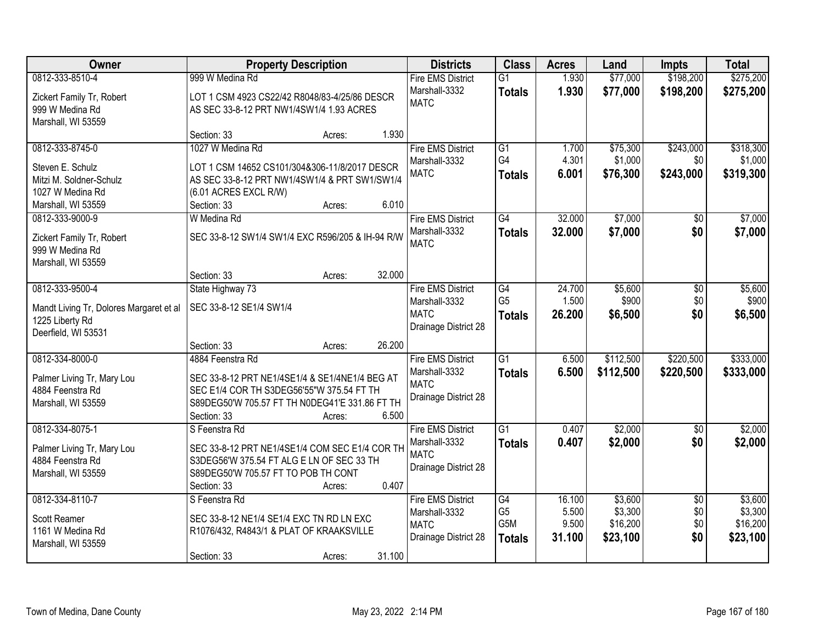| Owner                                   | <b>Property Description</b>                      | <b>Districts</b>                    | <b>Class</b>    | <b>Acres</b>    | Land      | <b>Impts</b>    | <b>Total</b> |
|-----------------------------------------|--------------------------------------------------|-------------------------------------|-----------------|-----------------|-----------|-----------------|--------------|
| 0812-333-8510-4                         | 999 W Medina Rd                                  | <b>Fire EMS District</b>            | $\overline{G1}$ | 1.930           | \$77,000  | \$198,200       | \$275,200    |
| Zickert Family Tr, Robert               | LOT 1 CSM 4923 CS22/42 R8048/83-4/25/86 DESCR    | Marshall-3332                       | <b>Totals</b>   | 1.930           | \$77,000  | \$198,200       | \$275,200    |
| 999 W Medina Rd                         | AS SEC 33-8-12 PRT NW1/4SW1/4 1.93 ACRES         | <b>MATC</b>                         |                 |                 |           |                 |              |
| Marshall, WI 53559                      |                                                  |                                     |                 |                 |           |                 |              |
|                                         | 1.930<br>Section: 33<br>Acres:                   |                                     |                 |                 |           |                 |              |
| 0812-333-8745-0                         | 1027 W Medina Rd                                 | <b>Fire EMS District</b>            | $\overline{G1}$ | 1.700           | \$75,300  | \$243,000       | \$318,300    |
| Steven E. Schulz                        | LOT 1 CSM 14652 CS101/304&306-11/8/2017 DESCR    | Marshall-3332                       | G <sub>4</sub>  | 4.301           | \$1,000   | \$0             | \$1,000      |
| Mitzi M. Soldner-Schulz                 | AS SEC 33-8-12 PRT NW1/4SW1/4 & PRT SW1/SW1/4    | <b>MATC</b>                         | <b>Totals</b>   | 6.001           | \$76,300  | \$243,000       | \$319,300    |
| 1027 W Medina Rd                        | (6.01 ACRES EXCL R/W)                            |                                     |                 |                 |           |                 |              |
| Marshall, WI 53559                      | 6.010<br>Section: 33<br>Acres:                   |                                     |                 |                 |           |                 |              |
| 0812-333-9000-9                         | W Medina Rd                                      | <b>Fire EMS District</b>            | G4              | 32.000          | \$7,000   | \$0             | \$7,000      |
| Zickert Family Tr, Robert               | SEC 33-8-12 SW1/4 SW1/4 EXC R596/205 & IH-94 R/W | Marshall-3332                       | <b>Totals</b>   | 32.000          | \$7,000   | \$0             | \$7,000      |
| 999 W Medina Rd                         |                                                  | <b>MATC</b>                         |                 |                 |           |                 |              |
| Marshall, WI 53559                      |                                                  |                                     |                 |                 |           |                 |              |
|                                         | 32.000<br>Section: 33<br>Acres:                  |                                     |                 |                 |           |                 |              |
| 0812-333-9500-4                         | State Highway 73                                 | <b>Fire EMS District</b>            | G4              | 24.700          | \$5,600   | \$0             | \$5,600      |
| Mandt Living Tr, Dolores Margaret et al | SEC 33-8-12 SE1/4 SW1/4                          | Marshall-3332                       | G <sub>5</sub>  | 1.500           | \$900     | \$0             | \$900        |
| 1225 Liberty Rd                         |                                                  | <b>MATC</b>                         | <b>Totals</b>   | 26.200          | \$6,500   | \$0             | \$6,500      |
| Deerfield, WI 53531                     |                                                  | Drainage District 28                |                 |                 |           |                 |              |
|                                         | 26.200<br>Section: 33<br>Acres:                  |                                     |                 |                 |           |                 |              |
| 0812-334-8000-0                         | 4884 Feenstra Rd                                 | <b>Fire EMS District</b>            | $\overline{G1}$ | 6.500           | \$112,500 | \$220,500       | \$333,000    |
| Palmer Living Tr, Mary Lou              | SEC 33-8-12 PRT NE1/4SE1/4 & SE1/4NE1/4 BEG AT   | Marshall-3332                       | <b>Totals</b>   | 6.500           | \$112,500 | \$220,500       | \$333,000    |
| 4884 Feenstra Rd                        | SEC E1/4 COR TH S3DEG56'55"W 375.54 FT TH        | <b>MATC</b><br>Drainage District 28 |                 |                 |           |                 |              |
| Marshall, WI 53559                      | S89DEG50'W 705.57 FT TH N0DEG41'E 331.86 FT TH   |                                     |                 |                 |           |                 |              |
|                                         | Section: 33<br>6.500<br>Acres:                   |                                     |                 |                 |           |                 |              |
| 0812-334-8075-1                         | S Feenstra Rd                                    | <b>Fire EMS District</b>            | $\overline{G1}$ | 0.407           | \$2,000   | $\overline{50}$ | \$2,000      |
| Palmer Living Tr, Mary Lou              | SEC 33-8-12 PRT NE1/4SE1/4 COM SEC E1/4 COR TH   | Marshall-3332                       | <b>Totals</b>   | 0.407           | \$2,000   | \$0             | \$2,000      |
| 4884 Feenstra Rd                        | S3DEG56'W 375.54 FT ALG E LN OF SEC 33 TH        | <b>MATC</b>                         |                 |                 |           |                 |              |
| Marshall, WI 53559                      | S89DEG50'W 705.57 FT TO POB TH CONT              | Drainage District 28                |                 |                 |           |                 |              |
|                                         | 0.407<br>Section: 33<br>Acres:                   |                                     |                 |                 |           |                 |              |
| 0812-334-8110-7                         | S Feenstra Rd                                    | <b>Fire EMS District</b>            | G4              | 16.100          | \$3,600   | $\overline{50}$ | \$3,600      |
| Scott Reamer                            | SEC 33-8-12 NE1/4 SE1/4 EXC TN RD LN EXC         | Marshall-3332                       | G <sub>5</sub>  | 5.500           | \$3,300   | \$0             | \$3,300      |
| 1161 W Medina Rd                        | R1076/432, R4843/1 & PLAT OF KRAAKSVILLE         | <b>MATC</b>                         | G5M             | 9.500<br>31.100 | \$16,200  | \$0<br>\$0      | \$16,200     |
| Marshall, WI 53559                      |                                                  | Drainage District 28                | <b>Totals</b>   |                 | \$23,100  |                 | \$23,100     |
|                                         | 31.100<br>Section: 33<br>Acres:                  |                                     |                 |                 |           |                 |              |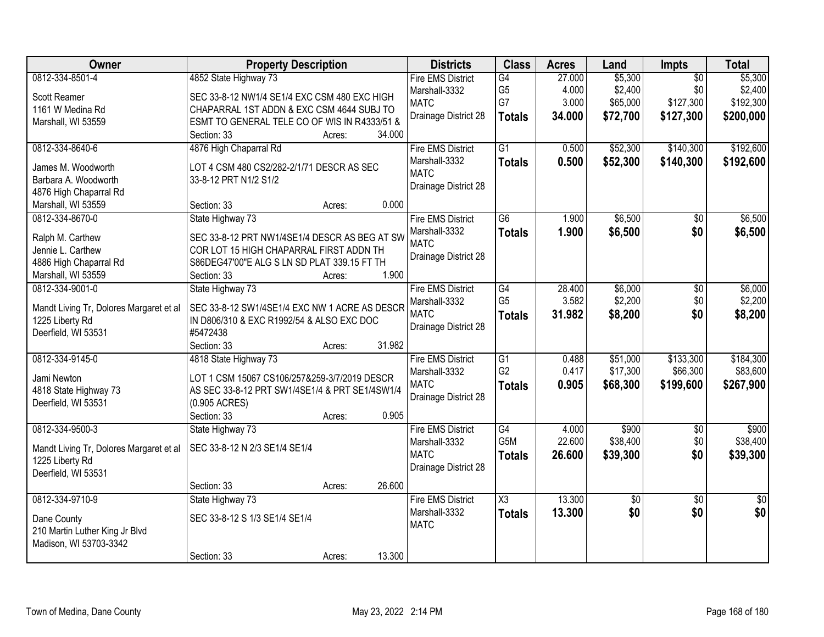| Owner                                   | <b>Property Description</b>                    |        |        | <b>Districts</b>                          | <b>Class</b>         | <b>Acres</b>    | Land               | Impts                  | <b>Total</b>       |
|-----------------------------------------|------------------------------------------------|--------|--------|-------------------------------------------|----------------------|-----------------|--------------------|------------------------|--------------------|
| 0812-334-8501-4                         | 4852 State Highway 73                          |        |        | <b>Fire EMS District</b><br>Marshall-3332 | G4<br>G <sub>5</sub> | 27.000<br>4.000 | \$5,300<br>\$2,400 | $\overline{50}$<br>\$0 | \$5,300<br>\$2,400 |
| Scott Reamer                            | SEC 33-8-12 NW1/4 SE1/4 EXC CSM 480 EXC HIGH   |        |        | <b>MATC</b>                               | G7                   | 3.000           | \$65,000           | \$127,300              | \$192,300          |
| 1161 W Medina Rd                        | CHAPARRAL 1ST ADDN & EXC CSM 4644 SUBJ TO      |        |        | Drainage District 28                      | <b>Totals</b>        | 34.000          | \$72,700           | \$127,300              | \$200,000          |
| Marshall, WI 53559                      | ESMT TO GENERAL TELE CO OF WIS IN R4333/51 &   |        |        |                                           |                      |                 |                    |                        |                    |
|                                         | Section: 33                                    | Acres: | 34.000 |                                           |                      |                 |                    |                        |                    |
| 0812-334-8640-6                         | 4876 High Chaparral Rd                         |        |        | <b>Fire EMS District</b>                  | $\overline{G1}$      | 0.500           | \$52,300           | \$140,300              | \$192,600          |
| James M. Woodworth                      | LOT 4 CSM 480 CS2/282-2/1/71 DESCR AS SEC      |        |        | Marshall-3332                             | <b>Totals</b>        | 0.500           | \$52,300           | \$140,300              | \$192,600          |
| Barbara A. Woodworth                    | 33-8-12 PRT N1/2 S1/2                          |        |        | <b>MATC</b>                               |                      |                 |                    |                        |                    |
| 4876 High Chaparral Rd                  |                                                |        |        | Drainage District 28                      |                      |                 |                    |                        |                    |
| Marshall, WI 53559                      | Section: 33                                    | Acres: | 0.000  |                                           |                      |                 |                    |                        |                    |
| 0812-334-8670-0                         | State Highway 73                               |        |        | <b>Fire EMS District</b>                  | G6                   | 1.900           | \$6,500            | $\sqrt[6]{30}$         | \$6,500            |
| Ralph M. Carthew                        | SEC 33-8-12 PRT NW1/4SE1/4 DESCR AS BEG AT SW  |        |        | Marshall-3332                             | <b>Totals</b>        | 1.900           | \$6,500            | \$0                    | \$6,500            |
| Jennie L. Carthew                       | COR LOT 15 HIGH CHAPARRAL FIRST ADDN TH        |        |        | <b>MATC</b>                               |                      |                 |                    |                        |                    |
| 4886 High Chaparral Rd                  | S86DEG47'00"E ALG S LN SD PLAT 339.15 FT TH    |        |        | Drainage District 28                      |                      |                 |                    |                        |                    |
| Marshall, WI 53559                      | Section: 33                                    | Acres: | 1.900  |                                           |                      |                 |                    |                        |                    |
| 0812-334-9001-0                         | State Highway 73                               |        |        | <b>Fire EMS District</b>                  | G4                   | 28.400          | \$6,000            | \$0                    | \$6,000            |
|                                         |                                                |        |        | Marshall-3332                             | G <sub>5</sub>       | 3.582           | \$2,200            | \$0                    | \$2,200            |
| Mandt Living Tr, Dolores Margaret et al | SEC 33-8-12 SW1/4SE1/4 EXC NW 1 ACRE AS DESCR  |        |        | <b>MATC</b>                               |                      | 31.982          |                    | \$0                    |                    |
| 1225 Liberty Rd                         | IN D806/310 & EXC R1992/54 & ALSO EXC DOC      |        |        | Drainage District 28                      | <b>Totals</b>        |                 | \$8,200            |                        | \$8,200            |
| Deerfield, WI 53531                     | #5472438                                       |        |        |                                           |                      |                 |                    |                        |                    |
|                                         | Section: 33                                    | Acres: | 31.982 |                                           |                      |                 |                    |                        |                    |
| 0812-334-9145-0                         | 4818 State Highway 73                          |        |        | <b>Fire EMS District</b>                  | $\overline{G1}$      | 0.488           | \$51,000           | \$133,300              | \$184,300          |
| Jami Newton                             | LOT 1 CSM 15067 CS106/257&259-3/7/2019 DESCR   |        |        | Marshall-3332                             | G <sub>2</sub>       | 0.417           | \$17,300           | \$66,300               | \$83,600           |
| 4818 State Highway 73                   | AS SEC 33-8-12 PRT SW1/4SE1/4 & PRT SE1/4SW1/4 |        |        | <b>MATC</b>                               | <b>Totals</b>        | 0.905           | \$68,300           | \$199,600              | \$267,900          |
| Deerfield, WI 53531                     | (0.905 ACRES)                                  |        |        | Drainage District 28                      |                      |                 |                    |                        |                    |
|                                         | Section: 33                                    | Acres: | 0.905  |                                           |                      |                 |                    |                        |                    |
| 0812-334-9500-3                         | State Highway 73                               |        |        | <b>Fire EMS District</b>                  | $\overline{G4}$      | 4.000           | \$900              | $\overline{50}$        | \$900              |
|                                         |                                                |        |        | Marshall-3332                             | G5M                  | 22.600          | \$38,400           | \$0                    | \$38,400           |
| Mandt Living Tr, Dolores Margaret et al | SEC 33-8-12 N 2/3 SE1/4 SE1/4                  |        |        | <b>MATC</b>                               | <b>Totals</b>        | 26.600          | \$39,300           | \$0                    | \$39,300           |
| 1225 Liberty Rd                         |                                                |        |        | Drainage District 28                      |                      |                 |                    |                        |                    |
| Deerfield, WI 53531                     |                                                |        |        |                                           |                      |                 |                    |                        |                    |
|                                         | Section: 33                                    | Acres: | 26.600 |                                           |                      |                 |                    |                        |                    |
| 0812-334-9710-9                         | State Highway 73                               |        |        | <b>Fire EMS District</b>                  | $\overline{\chi_3}$  | 13.300          | $\overline{50}$    | $\overline{50}$        | $\frac{1}{2}$      |
| Dane County                             | SEC 33-8-12 S 1/3 SE1/4 SE1/4                  |        |        | Marshall-3332                             | <b>Totals</b>        | 13.300          | \$0                | \$0                    | \$0                |
| 210 Martin Luther King Jr Blvd          |                                                |        |        | <b>MATC</b>                               |                      |                 |                    |                        |                    |
| Madison, WI 53703-3342                  |                                                |        |        |                                           |                      |                 |                    |                        |                    |
|                                         | Section: 33                                    | Acres: | 13.300 |                                           |                      |                 |                    |                        |                    |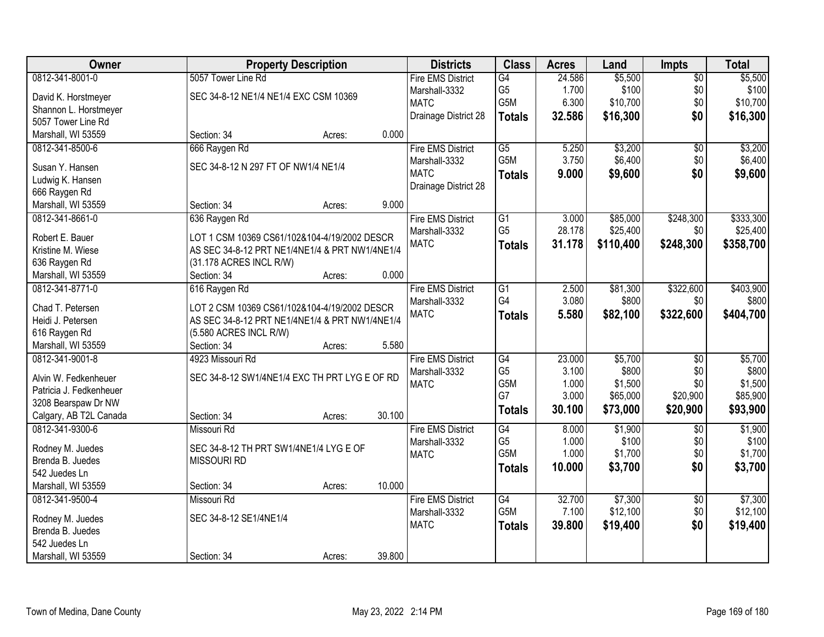| <b>Owner</b>            | <b>Property Description</b>                    |        | <b>Districts</b>         | <b>Class</b>     | <b>Acres</b> | Land      | Impts           | <b>Total</b> |
|-------------------------|------------------------------------------------|--------|--------------------------|------------------|--------------|-----------|-----------------|--------------|
| 0812-341-8001-0         | 5057 Tower Line Rd                             |        | <b>Fire EMS District</b> | G4               | 24.586       | \$5,500   | $\overline{50}$ | \$5,500      |
| David K. Horstmeyer     | SEC 34-8-12 NE1/4 NE1/4 EXC CSM 10369          |        | Marshall-3332            | G <sub>5</sub>   | 1.700        | \$100     | \$0             | \$100        |
| Shannon L. Horstmeyer   |                                                |        | <b>MATC</b>              | G5M              | 6.300        | \$10,700  | \$0             | \$10,700     |
| 5057 Tower Line Rd      |                                                |        | Drainage District 28     | <b>Totals</b>    | 32.586       | \$16,300  | \$0             | \$16,300     |
| Marshall, WI 53559      | Section: 34<br>Acres:                          | 0.000  |                          |                  |              |           |                 |              |
| 0812-341-8500-6         | 666 Raygen Rd                                  |        | <b>Fire EMS District</b> | $\overline{G5}$  | 5.250        | \$3,200   | $\overline{30}$ | \$3,200      |
|                         |                                                |        |                          | G5M              | 3.750        |           |                 |              |
| Susan Y. Hansen         | SEC 34-8-12 N 297 FT OF NW1/4 NE1/4            |        | Marshall-3332            |                  |              | \$6,400   | \$0             | \$6,400      |
| Ludwig K. Hansen        |                                                |        | <b>MATC</b>              | <b>Totals</b>    | 9.000        | \$9,600   | \$0             | \$9,600      |
| 666 Raygen Rd           |                                                |        | Drainage District 28     |                  |              |           |                 |              |
| Marshall, WI 53559      | Section: 34<br>Acres:                          | 9.000  |                          |                  |              |           |                 |              |
| 0812-341-8661-0         | 636 Raygen Rd                                  |        | <b>Fire EMS District</b> | G1               | 3.000        | \$85,000  | \$248,300       | \$333,300    |
|                         |                                                |        | Marshall-3332            | G <sub>5</sub>   | 28.178       | \$25,400  | \$0             | \$25,400     |
| Robert E. Bauer         | LOT 1 CSM 10369 CS61/102&104-4/19/2002 DESCR   |        | <b>MATC</b>              | <b>Totals</b>    | 31.178       | \$110,400 | \$248,300       | \$358,700    |
| Kristine M. Wiese       | AS SEC 34-8-12 PRT NE1/4NE1/4 & PRT NW1/4NE1/4 |        |                          |                  |              |           |                 |              |
| 636 Raygen Rd           | (31.178 ACRES INCL R/W)                        |        |                          |                  |              |           |                 |              |
| Marshall, WI 53559      | Section: 34<br>Acres:                          | 0.000  |                          |                  |              |           |                 |              |
| 0812-341-8771-0         | 616 Raygen Rd                                  |        | <b>Fire EMS District</b> | $\overline{G1}$  | 2.500        | \$81,300  | \$322,600       | \$403,900    |
| Chad T. Petersen        | LOT 2 CSM 10369 CS61/102&104-4/19/2002 DESCR   |        | Marshall-3332            | G4               | 3.080        | \$800     | \$0             | \$800        |
| Heidi J. Petersen       | AS SEC 34-8-12 PRT NE1/4NE1/4 & PRT NW1/4NE1/4 |        | <b>MATC</b>              | <b>Totals</b>    | 5.580        | \$82,100  | \$322,600       | \$404,700    |
| 616 Raygen Rd           | (5.580 ACRES INCL R/W)                         |        |                          |                  |              |           |                 |              |
| Marshall, WI 53559      | Section: 34<br>Acres:                          | 5.580  |                          |                  |              |           |                 |              |
| 0812-341-9001-8         | 4923 Missouri Rd                               |        | <b>Fire EMS District</b> | G4               | 23.000       | \$5,700   | $\overline{60}$ | \$5,700      |
|                         |                                                |        | Marshall-3332            | G <sub>5</sub>   | 3.100        | \$800     | \$0             | \$800        |
| Alvin W. Fedkenheuer    | SEC 34-8-12 SW1/4NE1/4 EXC TH PRT LYG E OF RD  |        | <b>MATC</b>              | G <sub>5</sub> M | 1.000        | \$1,500   | \$0             | \$1,500      |
| Patricia J. Fedkenheuer |                                                |        |                          | G7               | 3.000        | \$65,000  | \$20,900        | \$85,900     |
| 3208 Bearspaw Dr NW     |                                                |        |                          | <b>Totals</b>    | 30.100       | \$73,000  | \$20,900        | \$93,900     |
| Calgary, AB T2L Canada  | Section: 34<br>Acres:                          | 30.100 |                          |                  |              |           |                 |              |
| 0812-341-9300-6         | Missouri Rd                                    |        | <b>Fire EMS District</b> | G4               | 8.000        | \$1,900   | $\sqrt{6}$      | \$1,900      |
| Rodney M. Juedes        | SEC 34-8-12 TH PRT SW1/4NE1/4 LYG E OF         |        | Marshall-3332            | G <sub>5</sub>   | 1.000        | \$100     | \$0             | \$100        |
| Brenda B. Juedes        | <b>MISSOURI RD</b>                             |        | <b>MATC</b>              | G5M              | 1.000        | \$1,700   | \$0             | \$1,700      |
| 542 Juedes Ln           |                                                |        |                          | <b>Totals</b>    | 10.000       | \$3,700   | \$0             | \$3,700      |
| Marshall, WI 53559      |                                                | 10.000 |                          |                  |              |           |                 |              |
|                         | Section: 34<br>Acres:                          |        |                          |                  |              |           |                 |              |
| 0812-341-9500-4         | Missouri Rd                                    |        | <b>Fire EMS District</b> | G4               | 32.700       | \$7,300   | $\overline{50}$ | \$7,300      |
| Rodney M. Juedes        | SEC 34-8-12 SE1/4NE1/4                         |        | Marshall-3332            | G5M              | 7.100        | \$12,100  | \$0             | \$12,100     |
| Brenda B. Juedes        |                                                |        | <b>MATC</b>              | <b>Totals</b>    | 39.800       | \$19,400  | \$0             | \$19,400     |
| 542 Juedes Ln           |                                                |        |                          |                  |              |           |                 |              |
| Marshall, WI 53559      | Section: 34<br>Acres:                          | 39.800 |                          |                  |              |           |                 |              |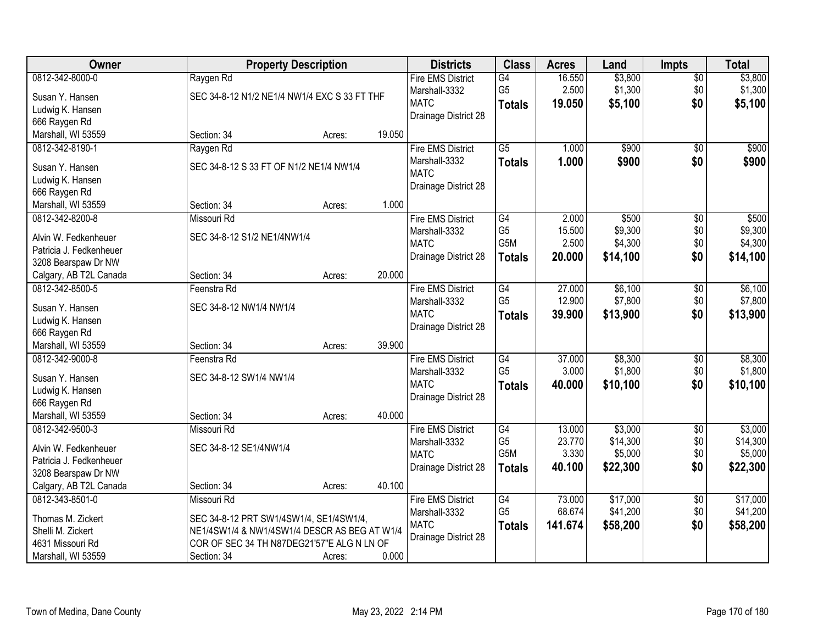| Owner                               | <b>Property Description</b>                  |        |        | <b>Districts</b>         | <b>Class</b>     | <b>Acres</b> | Land     | <b>Impts</b>    | <b>Total</b> |
|-------------------------------------|----------------------------------------------|--------|--------|--------------------------|------------------|--------------|----------|-----------------|--------------|
| 0812-342-8000-0                     | Raygen Rd                                    |        |        | <b>Fire EMS District</b> | G4               | 16.550       | \$3,800  | $\overline{$0}$ | \$3,800      |
| Susan Y. Hansen                     | SEC 34-8-12 N1/2 NE1/4 NW1/4 EXC S 33 FT THF |        |        | Marshall-3332            | G <sub>5</sub>   | 2.500        | \$1,300  | \$0             | \$1,300      |
| Ludwig K. Hansen                    |                                              |        |        | <b>MATC</b>              | <b>Totals</b>    | 19.050       | \$5,100  | \$0             | \$5,100      |
| 666 Raygen Rd                       |                                              |        |        | Drainage District 28     |                  |              |          |                 |              |
| Marshall, WI 53559                  | Section: 34                                  | Acres: | 19.050 |                          |                  |              |          |                 |              |
| 0812-342-8190-1                     | Raygen Rd                                    |        |        | <b>Fire EMS District</b> | $\overline{G5}$  | 1.000        | \$900    | $\overline{50}$ | \$900        |
|                                     | SEC 34-8-12 S 33 FT OF N1/2 NE1/4 NW1/4      |        |        | Marshall-3332            | <b>Totals</b>    | 1.000        | \$900    | \$0             | \$900        |
| Susan Y. Hansen                     |                                              |        |        | <b>MATC</b>              |                  |              |          |                 |              |
| Ludwig K. Hansen                    |                                              |        |        | Drainage District 28     |                  |              |          |                 |              |
| 666 Raygen Rd<br>Marshall, WI 53559 | Section: 34                                  | Acres: | 1.000  |                          |                  |              |          |                 |              |
| 0812-342-8200-8                     | Missouri Rd                                  |        |        | <b>Fire EMS District</b> | G4               | 2.000        | \$500    | \$0             | \$500        |
|                                     |                                              |        |        | Marshall-3332            | G <sub>5</sub>   | 15.500       | \$9,300  | \$0             | \$9,300      |
| Alvin W. Fedkenheuer                | SEC 34-8-12 S1/2 NE1/4NW1/4                  |        |        | <b>MATC</b>              | G <sub>5</sub> M | 2.500        | \$4,300  | \$0             | \$4,300      |
| Patricia J. Fedkenheuer             |                                              |        |        | Drainage District 28     | <b>Totals</b>    | 20.000       | \$14,100 | \$0             | \$14,100     |
| 3208 Bearspaw Dr NW                 |                                              |        |        |                          |                  |              |          |                 |              |
| Calgary, AB T2L Canada              | Section: 34                                  | Acres: | 20.000 |                          |                  |              |          |                 |              |
| 0812-342-8500-5                     | Feenstra Rd                                  |        |        | <b>Fire EMS District</b> | G4               | 27.000       | \$6,100  | \$0             | \$6,100      |
| Susan Y. Hansen                     | SEC 34-8-12 NW1/4 NW1/4                      |        |        | Marshall-3332            | G <sub>5</sub>   | 12.900       | \$7,800  | \$0             | \$7,800      |
| Ludwig K. Hansen                    |                                              |        |        | <b>MATC</b>              | <b>Totals</b>    | 39.900       | \$13,900 | \$0             | \$13,900     |
| 666 Raygen Rd                       |                                              |        |        | Drainage District 28     |                  |              |          |                 |              |
| Marshall, WI 53559                  | Section: 34                                  | Acres: | 39.900 |                          |                  |              |          |                 |              |
| 0812-342-9000-8                     | Feenstra Rd                                  |        |        | <b>Fire EMS District</b> | G4               | 37.000       | \$8,300  | \$0             | \$8,300      |
|                                     |                                              |        |        | Marshall-3332            | G <sub>5</sub>   | 3.000        | \$1,800  | \$0             | \$1,800      |
| Susan Y. Hansen                     | SEC 34-8-12 SW1/4 NW1/4                      |        |        | <b>MATC</b>              | <b>Totals</b>    | 40.000       | \$10,100 | \$0             | \$10,100     |
| Ludwig K. Hansen                    |                                              |        |        | Drainage District 28     |                  |              |          |                 |              |
| 666 Raygen Rd                       |                                              |        |        |                          |                  |              |          |                 |              |
| Marshall, WI 53559                  | Section: 34                                  | Acres: | 40.000 |                          |                  |              |          |                 |              |
| 0812-342-9500-3                     | Missouri Rd                                  |        |        | <b>Fire EMS District</b> | G4               | 13.000       | \$3,000  | $\sqrt{6}$      | \$3,000      |
| Alvin W. Fedkenheuer                | SEC 34-8-12 SE1/4NW1/4                       |        |        | Marshall-3332            | G <sub>5</sub>   | 23.770       | \$14,300 | \$0             | \$14,300     |
| Patricia J. Fedkenheuer             |                                              |        |        | <b>MATC</b>              | G <sub>5</sub> M | 3.330        | \$5,000  | \$0             | \$5,000      |
| 3208 Bearspaw Dr NW                 |                                              |        |        | Drainage District 28     | <b>Totals</b>    | 40.100       | \$22,300 | \$0             | \$22,300     |
| Calgary, AB T2L Canada              | Section: 34                                  | Acres: | 40.100 |                          |                  |              |          |                 |              |
| 0812-343-8501-0                     | Missouri Rd                                  |        |        | <b>Fire EMS District</b> | G4               | 73.000       | \$17,000 | $\overline{50}$ | \$17,000     |
|                                     |                                              |        |        | Marshall-3332            | G <sub>5</sub>   | 68.674       | \$41,200 | \$0             | \$41,200     |
| Thomas M. Zickert                   | SEC 34-8-12 PRT SW1/4SW1/4, SE1/4SW1/4,      |        |        | <b>MATC</b>              | <b>Totals</b>    | 141.674      | \$58,200 | \$0             | \$58,200     |
| Shelli M. Zickert                   | NE1/4SW1/4 & NW1/4SW1/4 DESCR AS BEG AT W1/4 |        |        | Drainage District 28     |                  |              |          |                 |              |
| 4631 Missouri Rd                    | COR OF SEC 34 TH N87DEG21'57"E ALG N LN OF   |        |        |                          |                  |              |          |                 |              |
| Marshall, WI 53559                  | Section: 34                                  | Acres: | 0.000  |                          |                  |              |          |                 |              |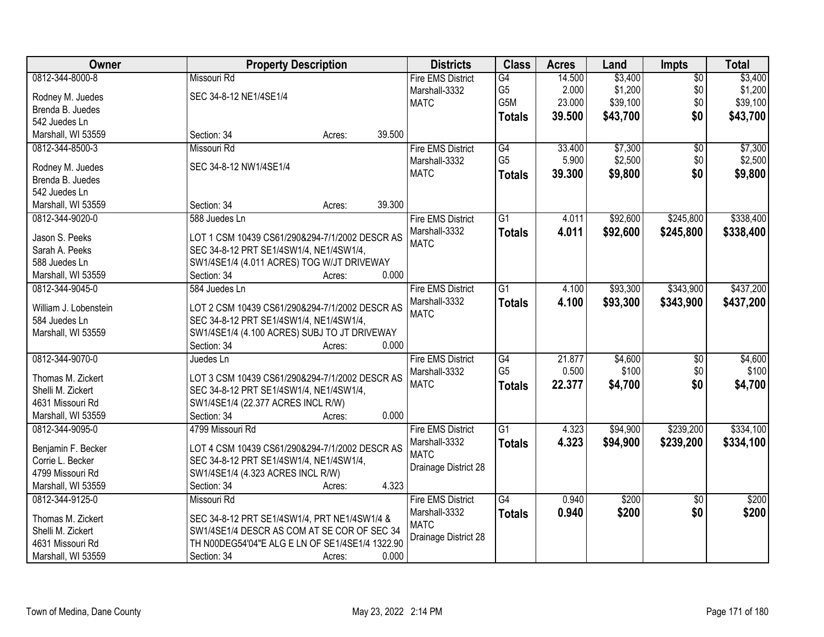| <b>Owner</b>          | <b>Property Description</b>                     | <b>Districts</b>         | <b>Class</b>    | <b>Acres</b> | Land     | <b>Impts</b>    | <b>Total</b> |
|-----------------------|-------------------------------------------------|--------------------------|-----------------|--------------|----------|-----------------|--------------|
| 0812-344-8000-8       | Missouri Rd                                     | <b>Fire EMS District</b> | G4              | 14.500       | \$3,400  | $\overline{50}$ | \$3,400      |
| Rodney M. Juedes      | SEC 34-8-12 NE1/4SE1/4                          | Marshall-3332            | G5              | 2.000        | \$1,200  | \$0             | \$1,200      |
| Brenda B. Juedes      |                                                 | <b>MATC</b>              | G5M             | 23.000       | \$39,100 | \$0             | \$39,100     |
| 542 Juedes Ln         |                                                 |                          | <b>Totals</b>   | 39.500       | \$43,700 | \$0             | \$43,700     |
| Marshall, WI 53559    | 39.500<br>Section: 34<br>Acres:                 |                          |                 |              |          |                 |              |
| 0812-344-8500-3       | Missouri Rd                                     | <b>Fire EMS District</b> | G4              | 33.400       | \$7,300  | $\overline{30}$ | \$7,300      |
|                       |                                                 |                          | G <sub>5</sub>  | 5.900        | \$2,500  |                 |              |
| Rodney M. Juedes      | SEC 34-8-12 NW1/4SE1/4                          | Marshall-3332            |                 |              |          | \$0             | \$2,500      |
| Brenda B. Juedes      |                                                 | <b>MATC</b>              | <b>Totals</b>   | 39.300       | \$9,800  | \$0             | \$9,800      |
| 542 Juedes Ln         |                                                 |                          |                 |              |          |                 |              |
| Marshall, WI 53559    | 39.300<br>Section: 34<br>Acres:                 |                          |                 |              |          |                 |              |
| 0812-344-9020-0       | 588 Juedes Ln                                   | <b>Fire EMS District</b> | $\overline{G1}$ | 4.011        | \$92,600 | \$245,800       | \$338,400    |
|                       |                                                 | Marshall-3332            | <b>Totals</b>   | 4.011        | \$92,600 | \$245,800       | \$338,400    |
| Jason S. Peeks        | LOT 1 CSM 10439 CS61/290&294-7/1/2002 DESCR AS  | <b>MATC</b>              |                 |              |          |                 |              |
| Sarah A. Peeks        | SEC 34-8-12 PRT SE1/4SW1/4, NE1/4SW1/4,         |                          |                 |              |          |                 |              |
| 588 Juedes Ln         | SW1/4SE1/4 (4.011 ACRES) TOG W/JT DRIVEWAY      |                          |                 |              |          |                 |              |
| Marshall, WI 53559    | 0.000<br>Section: 34<br>Acres:                  |                          |                 |              |          |                 |              |
| 0812-344-9045-0       | 584 Juedes Ln                                   | <b>Fire EMS District</b> | $\overline{G1}$ | 4.100        | \$93,300 | \$343,900       | \$437,200    |
| William J. Lobenstein | LOT 2 CSM 10439 CS61/290&294-7/1/2002 DESCR AS  | Marshall-3332            | <b>Totals</b>   | 4.100        | \$93,300 | \$343,900       | \$437,200    |
| 584 Juedes Ln         | SEC 34-8-12 PRT SE1/4SW1/4, NE1/4SW1/4,         | <b>MATC</b>              |                 |              |          |                 |              |
| Marshall, WI 53559    | SW1/4SE1/4 (4.100 ACRES) SUBJ TO JT DRIVEWAY    |                          |                 |              |          |                 |              |
|                       | 0.000<br>Section: 34<br>Acres:                  |                          |                 |              |          |                 |              |
| 0812-344-9070-0       | Juedes Ln                                       | <b>Fire EMS District</b> | G4              | 21.877       | \$4,600  | $\overline{50}$ | \$4,600      |
|                       |                                                 | Marshall-3332            | G <sub>5</sub>  | 0.500        | \$100    | \$0             | \$100        |
| Thomas M. Zickert     | LOT 3 CSM 10439 CS61/290&294-7/1/2002 DESCR AS  | <b>MATC</b>              | <b>Totals</b>   | 22.377       | \$4,700  | \$0             | \$4,700      |
| Shelli M. Zickert     | SEC 34-8-12 PRT SE1/4SW1/4, NE1/4SW1/4,         |                          |                 |              |          |                 |              |
| 4631 Missouri Rd      | SW1/4SE1/4 (22.377 ACRES INCL R/W)              |                          |                 |              |          |                 |              |
| Marshall, WI 53559    | 0.000<br>Section: 34<br>Acres:                  |                          |                 |              |          |                 |              |
| 0812-344-9095-0       | 4799 Missouri Rd                                | <b>Fire EMS District</b> | $\overline{G1}$ | 4.323        | \$94,900 | \$239,200       | \$334,100    |
| Benjamin F. Becker    | LOT 4 CSM 10439 CS61/290&294-7/1/2002 DESCR AS  | Marshall-3332            | <b>Totals</b>   | 4.323        | \$94,900 | \$239,200       | \$334,100    |
| Corrie L. Becker      | SEC 34-8-12 PRT SE1/4SW1/4, NE1/4SW1/4,         | <b>MATC</b>              |                 |              |          |                 |              |
| 4799 Missouri Rd      | SW1/4SE1/4 (4.323 ACRES INCL R/W)               | Drainage District 28     |                 |              |          |                 |              |
| Marshall, WI 53559    | 4.323<br>Section: 34<br>Acres:                  |                          |                 |              |          |                 |              |
| 0812-344-9125-0       | Missouri Rd                                     | <b>Fire EMS District</b> | G4              | 0.940        | \$200    | $\overline{50}$ | \$200        |
|                       |                                                 | Marshall-3332            |                 | 0.940        | \$200    | \$0             | \$200        |
| Thomas M. Zickert     | SEC 34-8-12 PRT SE1/4SW1/4, PRT NE1/4SW1/4 &    | <b>MATC</b>              | <b>Totals</b>   |              |          |                 |              |
| Shelli M. Zickert     | SW1/4SE1/4 DESCR AS COM AT SE COR OF SEC 34     |                          |                 |              |          |                 |              |
| 4631 Missouri Rd      | TH N00DEG54'04"E ALG E LN OF SE1/4SE1/4 1322.90 | Drainage District 28     |                 |              |          |                 |              |
| Marshall, WI 53559    | 0.000<br>Section: 34<br>Acres:                  |                          |                 |              |          |                 |              |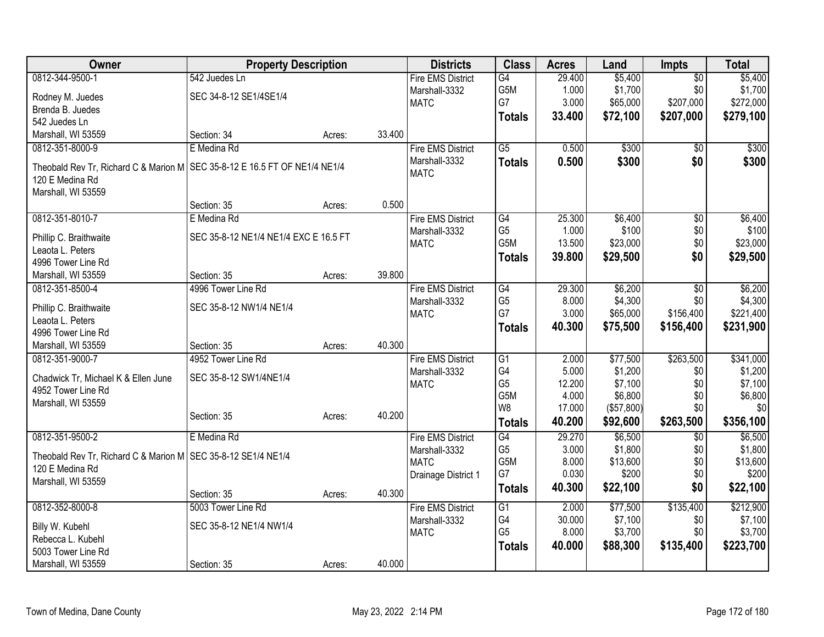| Owner                                                                                           | <b>Property Description</b>           |        |        | <b>Districts</b>         | <b>Class</b>    | <b>Acres</b> | Land       | <b>Impts</b>    | <b>Total</b> |
|-------------------------------------------------------------------------------------------------|---------------------------------------|--------|--------|--------------------------|-----------------|--------------|------------|-----------------|--------------|
| 0812-344-9500-1                                                                                 | 542 Juedes Ln                         |        |        | <b>Fire EMS District</b> | G4              | 29.400       | \$5,400    | \$0             | \$5,400      |
| Rodney M. Juedes                                                                                | SEC 34-8-12 SE1/4SE1/4                |        |        | Marshall-3332            | G5M             | 1.000        | \$1,700    | \$0             | \$1,700      |
| Brenda B. Juedes                                                                                |                                       |        |        | <b>MATC</b>              | G7              | 3.000        | \$65,000   | \$207,000       | \$272,000    |
| 542 Juedes Ln                                                                                   |                                       |        |        |                          | <b>Totals</b>   | 33.400       | \$72,100   | \$207,000       | \$279,100    |
| Marshall, WI 53559                                                                              | Section: 34                           | Acres: | 33.400 |                          |                 |              |            |                 |              |
| 0812-351-8000-9                                                                                 | E Medina Rd                           |        |        | <b>Fire EMS District</b> | $\overline{G5}$ | 0.500        | \$300      | $\overline{50}$ | \$300        |
|                                                                                                 |                                       |        |        | Marshall-3332            | <b>Totals</b>   | 0.500        | \$300      | \$0             | \$300        |
| Theobald Rev Tr, Richard C & Marion M   SEC 35-8-12 E 16.5 FT OF NE1/4 NE1/4<br>120 E Medina Rd |                                       |        |        | <b>MATC</b>              |                 |              |            |                 |              |
| Marshall, WI 53559                                                                              |                                       |        |        |                          |                 |              |            |                 |              |
|                                                                                                 | Section: 35                           | Acres: | 0.500  |                          |                 |              |            |                 |              |
| 0812-351-8010-7                                                                                 | E Medina Rd                           |        |        | <b>Fire EMS District</b> | $\overline{G4}$ | 25.300       | \$6,400    | $\overline{60}$ | \$6,400      |
|                                                                                                 |                                       |        |        | Marshall-3332            | G <sub>5</sub>  | 1.000        | \$100      | \$0             | \$100        |
| Phillip C. Braithwaite                                                                          | SEC 35-8-12 NE1/4 NE1/4 EXC E 16.5 FT |        |        | <b>MATC</b>              | G5M             | 13.500       | \$23,000   | \$0             | \$23,000     |
| Leaota L. Peters                                                                                |                                       |        |        |                          | <b>Totals</b>   | 39.800       | \$29,500   | \$0             | \$29,500     |
| 4996 Tower Line Rd                                                                              |                                       |        |        |                          |                 |              |            |                 |              |
| Marshall, WI 53559                                                                              | Section: 35                           | Acres: | 39.800 |                          |                 |              |            |                 |              |
| 0812-351-8500-4                                                                                 | 4996 Tower Line Rd                    |        |        | <b>Fire EMS District</b> | G4              | 29.300       | \$6,200    | $\overline{50}$ | \$6,200      |
| Phillip C. Braithwaite                                                                          | SEC 35-8-12 NW1/4 NE1/4               |        |        | Marshall-3332            | G <sub>5</sub>  | 8.000        | \$4,300    | \$0             | \$4,300      |
| Leaota L. Peters                                                                                |                                       |        |        | <b>MATC</b>              | G7              | 3.000        | \$65,000   | \$156,400       | \$221,400    |
| 4996 Tower Line Rd                                                                              |                                       |        |        |                          | <b>Totals</b>   | 40.300       | \$75,500   | \$156,400       | \$231,900    |
| Marshall, WI 53559                                                                              | Section: 35                           | Acres: | 40.300 |                          |                 |              |            |                 |              |
| 0812-351-9000-7                                                                                 | 4952 Tower Line Rd                    |        |        | <b>Fire EMS District</b> | G1              | 2.000        | \$77,500   | \$263,500       | \$341,000    |
|                                                                                                 | SEC 35-8-12 SW1/4NE1/4                |        |        | Marshall-3332            | G4              | 5.000        | \$1,200    | \$0             | \$1,200      |
| Chadwick Tr, Michael K & Ellen June<br>4952 Tower Line Rd                                       |                                       |        |        | <b>MATC</b>              | G <sub>5</sub>  | 12.200       | \$7,100    | \$0             | \$7,100      |
| Marshall, WI 53559                                                                              |                                       |        |        |                          | G5M             | 4.000        | \$6,800    | \$0             | \$6,800      |
|                                                                                                 | Section: 35                           | Acres: | 40.200 |                          | W8              | 17.000       | (\$57,800) | \$0             | \$0          |
|                                                                                                 |                                       |        |        |                          | <b>Totals</b>   | 40.200       | \$92,600   | \$263,500       | \$356,100    |
| 0812-351-9500-2                                                                                 | E Medina Rd                           |        |        | <b>Fire EMS District</b> | G4              | 29.270       | \$6,500    | \$0             | \$6,500      |
| Theobald Rev Tr, Richard C & Marion M   SEC 35-8-12 SE1/4 NE1/4                                 |                                       |        |        | Marshall-3332            | G <sub>5</sub>  | 3.000        | \$1,800    | \$0             | \$1,800      |
| 120 E Medina Rd                                                                                 |                                       |        |        | <b>MATC</b>              | G5M             | 8.000        | \$13,600   | \$0             | \$13,600     |
| Marshall, WI 53559                                                                              |                                       |        |        | Drainage District 1      | G7              | 0.030        | \$200      | \$0             | \$200        |
|                                                                                                 | Section: 35                           | Acres: | 40.300 |                          | <b>Totals</b>   | 40.300       | \$22,100   | \$0             | \$22,100     |
| 0812-352-8000-8                                                                                 | 5003 Tower Line Rd                    |        |        | <b>Fire EMS District</b> | G1              | 2.000        | \$77,500   | \$135,400       | \$212,900    |
|                                                                                                 |                                       |        |        | Marshall-3332            | G4              | 30.000       | \$7,100    | \$0             | \$7,100      |
| Billy W. Kubehl                                                                                 | SEC 35-8-12 NE1/4 NW1/4               |        |        | <b>MATC</b>              | G <sub>5</sub>  | 8.000        | \$3,700    | \$0             | \$3,700      |
| Rebecca L. Kubehl                                                                               |                                       |        |        |                          | <b>Totals</b>   | 40.000       | \$88,300   | \$135,400       | \$223,700    |
| 5003 Tower Line Rd                                                                              |                                       |        |        |                          |                 |              |            |                 |              |
| Marshall, WI 53559                                                                              | Section: 35                           | Acres: | 40.000 |                          |                 |              |            |                 |              |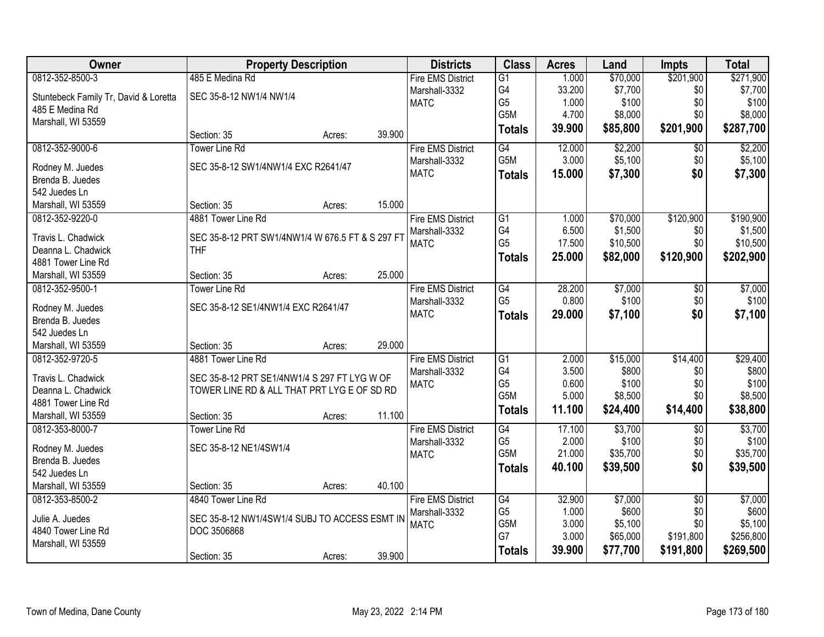| \$201,900<br>0812-352-8500-3<br>485 E Medina Rd<br>1.000<br>\$70,000<br>\$271,900<br><b>Fire EMS District</b><br>G1<br>G4<br>\$7,700<br>33.200<br>\$0<br>\$7,700<br>Marshall-3332<br>SEC 35-8-12 NW1/4 NW1/4<br>Stuntebeck Family Tr, David & Loretta<br>G <sub>5</sub><br>\$100<br>\$0<br>\$100<br>1.000<br><b>MATC</b><br>485 E Medina Rd<br>G5M<br>\$8,000<br>\$0<br>\$8,000<br>4.700<br>Marshall, WI 53559<br>\$201,900<br>\$287,700<br>39.900<br>\$85,800<br><b>Totals</b><br>39.900<br>Section: 35<br>Acres:<br>\$2,200<br>\$2,200<br>0812-352-9000-6<br><b>Tower Line Rd</b><br><b>Fire EMS District</b><br>G4<br>12.000<br>$\overline{30}$<br>G <sub>5</sub> M<br>3.000<br>\$5,100<br>\$5,100<br>\$0<br>Marshall-3332<br>SEC 35-8-12 SW1/4NW1/4 EXC R2641/47<br>Rodney M. Juedes<br><b>MATC</b><br>\$0<br>15.000<br>\$7,300<br>\$7,300<br><b>Totals</b><br>Brenda B. Juedes<br>542 Juedes Ln<br>15.000<br>Marshall, WI 53559<br>Section: 35<br>Acres:<br>\$190,900<br>0812-352-9220-0<br>4881 Tower Line Rd<br>$\overline{G1}$<br>\$70,000<br>\$120,900<br><b>Fire EMS District</b><br>1.000<br>G4<br>\$1,500<br>6.500<br>\$0<br>\$1,500<br>Marshall-3332<br>Travis L. Chadwick<br>SEC 35-8-12 PRT SW1/4NW1/4 W 676.5 FT & S 297 FT<br>G <sub>5</sub><br>\$10,500<br>\$0<br>\$10,500<br>17.500<br><b>MATC</b> |
|-----------------------------------------------------------------------------------------------------------------------------------------------------------------------------------------------------------------------------------------------------------------------------------------------------------------------------------------------------------------------------------------------------------------------------------------------------------------------------------------------------------------------------------------------------------------------------------------------------------------------------------------------------------------------------------------------------------------------------------------------------------------------------------------------------------------------------------------------------------------------------------------------------------------------------------------------------------------------------------------------------------------------------------------------------------------------------------------------------------------------------------------------------------------------------------------------------------------------------------------------------------------------------------------------------------------------|
|                                                                                                                                                                                                                                                                                                                                                                                                                                                                                                                                                                                                                                                                                                                                                                                                                                                                                                                                                                                                                                                                                                                                                                                                                                                                                                                       |
|                                                                                                                                                                                                                                                                                                                                                                                                                                                                                                                                                                                                                                                                                                                                                                                                                                                                                                                                                                                                                                                                                                                                                                                                                                                                                                                       |
|                                                                                                                                                                                                                                                                                                                                                                                                                                                                                                                                                                                                                                                                                                                                                                                                                                                                                                                                                                                                                                                                                                                                                                                                                                                                                                                       |
|                                                                                                                                                                                                                                                                                                                                                                                                                                                                                                                                                                                                                                                                                                                                                                                                                                                                                                                                                                                                                                                                                                                                                                                                                                                                                                                       |
|                                                                                                                                                                                                                                                                                                                                                                                                                                                                                                                                                                                                                                                                                                                                                                                                                                                                                                                                                                                                                                                                                                                                                                                                                                                                                                                       |
|                                                                                                                                                                                                                                                                                                                                                                                                                                                                                                                                                                                                                                                                                                                                                                                                                                                                                                                                                                                                                                                                                                                                                                                                                                                                                                                       |
|                                                                                                                                                                                                                                                                                                                                                                                                                                                                                                                                                                                                                                                                                                                                                                                                                                                                                                                                                                                                                                                                                                                                                                                                                                                                                                                       |
|                                                                                                                                                                                                                                                                                                                                                                                                                                                                                                                                                                                                                                                                                                                                                                                                                                                                                                                                                                                                                                                                                                                                                                                                                                                                                                                       |
|                                                                                                                                                                                                                                                                                                                                                                                                                                                                                                                                                                                                                                                                                                                                                                                                                                                                                                                                                                                                                                                                                                                                                                                                                                                                                                                       |
|                                                                                                                                                                                                                                                                                                                                                                                                                                                                                                                                                                                                                                                                                                                                                                                                                                                                                                                                                                                                                                                                                                                                                                                                                                                                                                                       |
|                                                                                                                                                                                                                                                                                                                                                                                                                                                                                                                                                                                                                                                                                                                                                                                                                                                                                                                                                                                                                                                                                                                                                                                                                                                                                                                       |
|                                                                                                                                                                                                                                                                                                                                                                                                                                                                                                                                                                                                                                                                                                                                                                                                                                                                                                                                                                                                                                                                                                                                                                                                                                                                                                                       |
|                                                                                                                                                                                                                                                                                                                                                                                                                                                                                                                                                                                                                                                                                                                                                                                                                                                                                                                                                                                                                                                                                                                                                                                                                                                                                                                       |
| <b>THF</b><br>Deanna L. Chadwick<br>25.000<br>\$82,000<br>\$120,900<br>\$202,900<br><b>Totals</b>                                                                                                                                                                                                                                                                                                                                                                                                                                                                                                                                                                                                                                                                                                                                                                                                                                                                                                                                                                                                                                                                                                                                                                                                                     |
| 4881 Tower Line Rd                                                                                                                                                                                                                                                                                                                                                                                                                                                                                                                                                                                                                                                                                                                                                                                                                                                                                                                                                                                                                                                                                                                                                                                                                                                                                                    |
| 25.000<br>Section: 35<br>Marshall, WI 53559<br>Acres:                                                                                                                                                                                                                                                                                                                                                                                                                                                                                                                                                                                                                                                                                                                                                                                                                                                                                                                                                                                                                                                                                                                                                                                                                                                                 |
| 0812-352-9500-1<br><b>Tower Line Rd</b><br><b>Fire EMS District</b><br>28.200<br>\$7,000<br>\$7,000<br>G4<br>\$0                                                                                                                                                                                                                                                                                                                                                                                                                                                                                                                                                                                                                                                                                                                                                                                                                                                                                                                                                                                                                                                                                                                                                                                                      |
| \$100<br>\$100<br>G <sub>5</sub><br>0.800<br>\$0<br>Marshall-3332<br>Rodney M. Juedes<br>SEC 35-8-12 SE1/4NW1/4 EXC R2641/47<br><b>MATC</b><br>\$0                                                                                                                                                                                                                                                                                                                                                                                                                                                                                                                                                                                                                                                                                                                                                                                                                                                                                                                                                                                                                                                                                                                                                                    |
| 29.000<br>\$7,100<br>\$7,100<br><b>Totals</b><br>Brenda B. Juedes                                                                                                                                                                                                                                                                                                                                                                                                                                                                                                                                                                                                                                                                                                                                                                                                                                                                                                                                                                                                                                                                                                                                                                                                                                                     |
| 542 Juedes Ln                                                                                                                                                                                                                                                                                                                                                                                                                                                                                                                                                                                                                                                                                                                                                                                                                                                                                                                                                                                                                                                                                                                                                                                                                                                                                                         |
| 29.000<br>Marshall, WI 53559<br>Section: 35<br>Acres:                                                                                                                                                                                                                                                                                                                                                                                                                                                                                                                                                                                                                                                                                                                                                                                                                                                                                                                                                                                                                                                                                                                                                                                                                                                                 |
| $\overline{G1}$<br>2.000<br>\$15,000<br>\$14,400<br>\$29,400<br>0812-352-9720-5<br>4881 Tower Line Rd<br><b>Fire EMS District</b>                                                                                                                                                                                                                                                                                                                                                                                                                                                                                                                                                                                                                                                                                                                                                                                                                                                                                                                                                                                                                                                                                                                                                                                     |
| G4<br>3.500<br>\$800<br>\$800<br>\$0<br>Marshall-3332<br>Travis L. Chadwick<br>SEC 35-8-12 PRT SE1/4NW1/4 S 297 FT LYG W OF                                                                                                                                                                                                                                                                                                                                                                                                                                                                                                                                                                                                                                                                                                                                                                                                                                                                                                                                                                                                                                                                                                                                                                                           |
| G <sub>5</sub><br>0.600<br>\$100<br>\$0<br>\$100<br><b>MATC</b><br>Deanna L. Chadwick<br>TOWER LINE RD & ALL THAT PRT LYG E OF SD RD                                                                                                                                                                                                                                                                                                                                                                                                                                                                                                                                                                                                                                                                                                                                                                                                                                                                                                                                                                                                                                                                                                                                                                                  |
| \$0<br>G5M<br>5.000<br>\$8,500<br>\$8,500<br>4881 Tower Line Rd                                                                                                                                                                                                                                                                                                                                                                                                                                                                                                                                                                                                                                                                                                                                                                                                                                                                                                                                                                                                                                                                                                                                                                                                                                                       |
| \$14,400<br>11.100<br>\$24,400<br>\$38,800<br><b>Totals</b><br>11.100<br>Marshall, WI 53559<br>Section: 35<br>Acres:                                                                                                                                                                                                                                                                                                                                                                                                                                                                                                                                                                                                                                                                                                                                                                                                                                                                                                                                                                                                                                                                                                                                                                                                  |
| \$3,700<br>\$3,700<br>0812-353-8000-7<br><b>Tower Line Rd</b><br><b>Fire EMS District</b><br>G4<br>17.100<br>$\overline{50}$                                                                                                                                                                                                                                                                                                                                                                                                                                                                                                                                                                                                                                                                                                                                                                                                                                                                                                                                                                                                                                                                                                                                                                                          |
| G <sub>5</sub><br>\$100<br>2.000<br>\$0<br>\$100<br>Marshall-3332<br>SEC 35-8-12 NE1/4SW1/4<br>Rodney M. Juedes                                                                                                                                                                                                                                                                                                                                                                                                                                                                                                                                                                                                                                                                                                                                                                                                                                                                                                                                                                                                                                                                                                                                                                                                       |
| G5M<br>\$35,700<br>21.000<br>\$0<br>\$35,700<br><b>MATC</b><br>Brenda B. Juedes                                                                                                                                                                                                                                                                                                                                                                                                                                                                                                                                                                                                                                                                                                                                                                                                                                                                                                                                                                                                                                                                                                                                                                                                                                       |
| \$0<br>\$39,500<br>40.100<br>\$39,500<br><b>Totals</b><br>542 Juedes Ln                                                                                                                                                                                                                                                                                                                                                                                                                                                                                                                                                                                                                                                                                                                                                                                                                                                                                                                                                                                                                                                                                                                                                                                                                                               |
| Marshall, WI 53559<br>Section: 35<br>40.100<br>Acres:                                                                                                                                                                                                                                                                                                                                                                                                                                                                                                                                                                                                                                                                                                                                                                                                                                                                                                                                                                                                                                                                                                                                                                                                                                                                 |
| \$7,000<br>0812-353-8500-2<br>4840 Tower Line Rd<br><b>Fire EMS District</b><br>$\overline{G4}$<br>32.900<br>\$7,000<br>$\overline{30}$                                                                                                                                                                                                                                                                                                                                                                                                                                                                                                                                                                                                                                                                                                                                                                                                                                                                                                                                                                                                                                                                                                                                                                               |
| G <sub>5</sub><br>\$600<br>\$600<br>1.000<br>\$0<br>Marshall-3332                                                                                                                                                                                                                                                                                                                                                                                                                                                                                                                                                                                                                                                                                                                                                                                                                                                                                                                                                                                                                                                                                                                                                                                                                                                     |
| SEC 35-8-12 NW1/4SW1/4 SUBJ TO ACCESS ESMT IN<br>Julie A. Juedes<br>G5M<br>3.000<br>\$5,100<br>\$0<br>\$5,100<br><b>MATC</b><br>4840 Tower Line Rd<br>DOC 3506868                                                                                                                                                                                                                                                                                                                                                                                                                                                                                                                                                                                                                                                                                                                                                                                                                                                                                                                                                                                                                                                                                                                                                     |
| G7<br>3.000<br>\$65,000<br>\$191,800<br>\$256,800<br>Marshall, WI 53559                                                                                                                                                                                                                                                                                                                                                                                                                                                                                                                                                                                                                                                                                                                                                                                                                                                                                                                                                                                                                                                                                                                                                                                                                                               |
| 39.900<br>\$77,700<br>\$191,800<br>\$269,500<br><b>Totals</b><br>39.900<br>Section: 35<br>Acres:                                                                                                                                                                                                                                                                                                                                                                                                                                                                                                                                                                                                                                                                                                                                                                                                                                                                                                                                                                                                                                                                                                                                                                                                                      |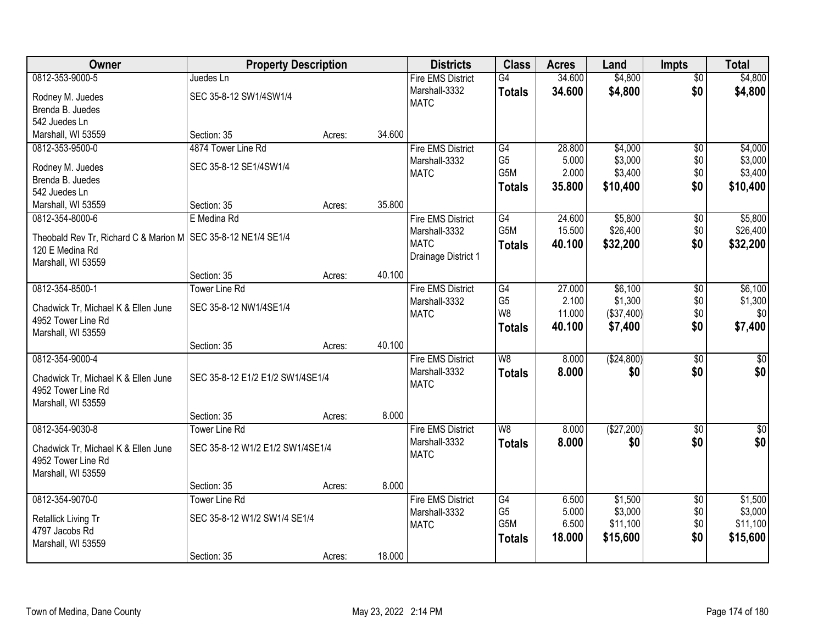| Owner                                                           | <b>Property Description</b>      |        |        | <b>Districts</b>         | <b>Class</b>   | <b>Acres</b> | Land       | <b>Impts</b>    | <b>Total</b> |
|-----------------------------------------------------------------|----------------------------------|--------|--------|--------------------------|----------------|--------------|------------|-----------------|--------------|
| 0812-353-9000-5                                                 | Juedes Ln                        |        |        | <b>Fire EMS District</b> | G4             | 34.600       | \$4,800    | $\overline{50}$ | \$4,800      |
| Rodney M. Juedes                                                | SEC 35-8-12 SW1/4SW1/4           |        |        | Marshall-3332            | <b>Totals</b>  | 34.600       | \$4,800    | \$0             | \$4,800      |
| Brenda B. Juedes                                                |                                  |        |        | <b>MATC</b>              |                |              |            |                 |              |
| 542 Juedes Ln                                                   |                                  |        |        |                          |                |              |            |                 |              |
| Marshall, WI 53559                                              | Section: 35                      | Acres: | 34.600 |                          |                |              |            |                 |              |
| 0812-353-9500-0                                                 | 4874 Tower Line Rd               |        |        | <b>Fire EMS District</b> | G4             | 28.800       | \$4,000    | $\overline{50}$ | \$4,000      |
| Rodney M. Juedes                                                | SEC 35-8-12 SE1/4SW1/4           |        |        | Marshall-3332            | G <sub>5</sub> | 5.000        | \$3,000    | \$0             | \$3,000      |
| Brenda B. Juedes                                                |                                  |        |        | <b>MATC</b>              | G5M            | 2.000        | \$3,400    | \$0             | \$3,400      |
| 542 Juedes Ln                                                   |                                  |        |        |                          | <b>Totals</b>  | 35.800       | \$10,400   | \$0             | \$10,400     |
| Marshall, WI 53559                                              | Section: 35                      | Acres: | 35.800 |                          |                |              |            |                 |              |
| 0812-354-8000-6                                                 | E Medina Rd                      |        |        | <b>Fire EMS District</b> | G4             | 24.600       | \$5,800    | \$0             | \$5,800      |
| Theobald Rev Tr, Richard C & Marion M   SEC 35-8-12 NE1/4 SE1/4 |                                  |        |        | Marshall-3332            | G5M            | 15.500       | \$26,400   | \$0             | \$26,400     |
| 120 E Medina Rd                                                 |                                  |        |        | <b>MATC</b>              | <b>Totals</b>  | 40.100       | \$32,200   | \$0             | \$32,200     |
| Marshall, WI 53559                                              |                                  |        |        | Drainage District 1      |                |              |            |                 |              |
|                                                                 | Section: 35                      | Acres: | 40.100 |                          |                |              |            |                 |              |
| 0812-354-8500-1                                                 | <b>Tower Line Rd</b>             |        |        | <b>Fire EMS District</b> | G4             | 27.000       | \$6,100    | \$0             | \$6,100      |
|                                                                 |                                  |        |        | Marshall-3332            | G <sub>5</sub> | 2.100        | \$1,300    | \$0             | \$1,300      |
| Chadwick Tr, Michael K & Ellen June<br>4952 Tower Line Rd       | SEC 35-8-12 NW1/4SE1/4           |        |        | <b>MATC</b>              | W <sub>8</sub> | 11.000       | (\$37,400) | \$0             | \$0          |
| Marshall, WI 53559                                              |                                  |        |        |                          | <b>Totals</b>  | 40.100       | \$7,400    | \$0             | \$7,400      |
|                                                                 | Section: 35                      | Acres: | 40.100 |                          |                |              |            |                 |              |
| 0812-354-9000-4                                                 |                                  |        |        | <b>Fire EMS District</b> | W8             | 8.000        | (\$24,800) | $\overline{50}$ | \$0          |
|                                                                 |                                  |        |        | Marshall-3332            | <b>Totals</b>  | 8.000        | \$0        | \$0             | \$0          |
| Chadwick Tr, Michael K & Ellen June                             | SEC 35-8-12 E1/2 E1/2 SW1/4SE1/4 |        |        | <b>MATC</b>              |                |              |            |                 |              |
| 4952 Tower Line Rd<br>Marshall, WI 53559                        |                                  |        |        |                          |                |              |            |                 |              |
|                                                                 | Section: 35                      | Acres: | 8.000  |                          |                |              |            |                 |              |
| 0812-354-9030-8                                                 | <b>Tower Line Rd</b>             |        |        | <b>Fire EMS District</b> | W <sub>8</sub> | 8.000        | (\$27,200) | $\overline{50}$ | $\sqrt{50}$  |
|                                                                 |                                  |        |        | Marshall-3332            | <b>Totals</b>  | 8.000        | \$0        | \$0             | \$0          |
| Chadwick Tr, Michael K & Ellen June                             | SEC 35-8-12 W1/2 E1/2 SW1/4SE1/4 |        |        | <b>MATC</b>              |                |              |            |                 |              |
| 4952 Tower Line Rd                                              |                                  |        |        |                          |                |              |            |                 |              |
| Marshall, WI 53559                                              | Section: 35                      | Acres: | 8.000  |                          |                |              |            |                 |              |
| 0812-354-9070-0                                                 | <b>Tower Line Rd</b>             |        |        | <b>Fire EMS District</b> | G4             | 6.500        | \$1,500    | $\overline{50}$ | \$1,500      |
|                                                                 |                                  |        |        | Marshall-3332            | G <sub>5</sub> | 5.000        | \$3,000    | \$0             | \$3,000      |
| Retallick Living Tr                                             | SEC 35-8-12 W1/2 SW1/4 SE1/4     |        |        | <b>MATC</b>              | G5M            | 6.500        | \$11,100   | \$0             | \$11,100     |
| 4797 Jacobs Rd                                                  |                                  |        |        |                          | <b>Totals</b>  | 18.000       | \$15,600   | \$0             | \$15,600     |
| Marshall, WI 53559                                              |                                  |        |        |                          |                |              |            |                 |              |
|                                                                 | Section: 35                      | Acres: | 18.000 |                          |                |              |            |                 |              |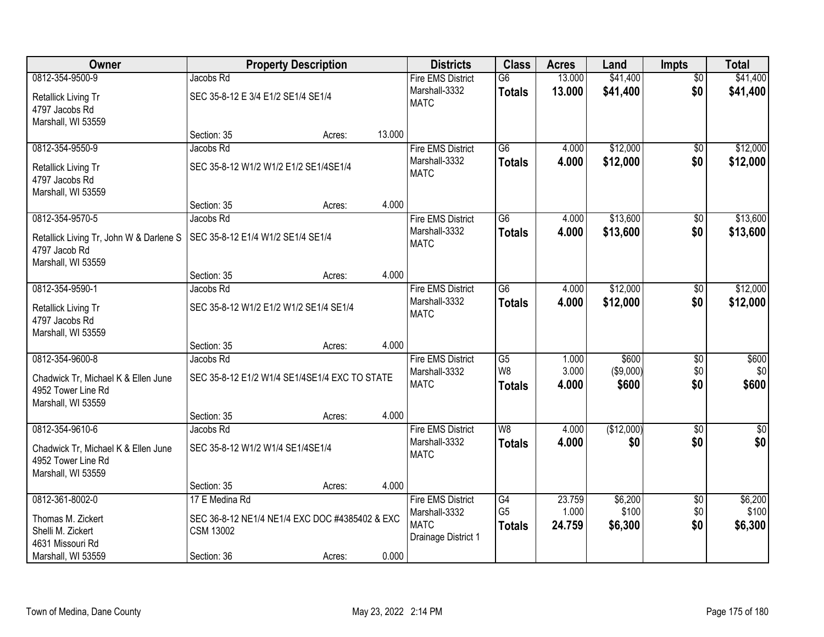| Owner                                   |                                        | <b>Property Description</b>                    |        | <b>Districts</b>         | <b>Class</b>    | <b>Acres</b> | Land       | <b>Impts</b>    | <b>Total</b>     |
|-----------------------------------------|----------------------------------------|------------------------------------------------|--------|--------------------------|-----------------|--------------|------------|-----------------|------------------|
| 0812-354-9500-9                         | Jacobs Rd                              |                                                |        | <b>Fire EMS District</b> | $\overline{G6}$ | 13.000       | \$41,400   | $\overline{50}$ | \$41,400         |
| Retallick Living Tr                     | SEC 35-8-12 E 3/4 E1/2 SE1/4 SE1/4     |                                                |        | Marshall-3332            | <b>Totals</b>   | 13.000       | \$41,400   | \$0             | \$41,400         |
| 4797 Jacobs Rd                          |                                        |                                                |        | <b>MATC</b>              |                 |              |            |                 |                  |
| Marshall, WI 53559                      |                                        |                                                |        |                          |                 |              |            |                 |                  |
|                                         | Section: 35                            | Acres:                                         | 13.000 |                          |                 |              |            |                 |                  |
| 0812-354-9550-9                         | Jacobs Rd                              |                                                |        | <b>Fire EMS District</b> | $\overline{G6}$ | 4.000        | \$12,000   | \$0             | \$12,000         |
| Retallick Living Tr                     | SEC 35-8-12 W1/2 W1/2 E1/2 SE1/4SE1/4  |                                                |        | Marshall-3332            | <b>Totals</b>   | 4.000        | \$12,000   | \$0             | \$12,000         |
| 4797 Jacobs Rd                          |                                        |                                                |        | <b>MATC</b>              |                 |              |            |                 |                  |
| Marshall, WI 53559                      |                                        |                                                |        |                          |                 |              |            |                 |                  |
|                                         | Section: 35                            | Acres:                                         | 4.000  |                          |                 |              |            |                 |                  |
| 0812-354-9570-5                         | Jacobs Rd                              |                                                |        | <b>Fire EMS District</b> | $\overline{G6}$ | 4.000        | \$13,600   | $\overline{50}$ | \$13,600         |
| Retallick Living Tr, John W & Darlene S | SEC 35-8-12 E1/4 W1/2 SE1/4 SE1/4      |                                                |        | Marshall-3332            | <b>Totals</b>   | 4.000        | \$13,600   | \$0             | \$13,600         |
| 4797 Jacob Rd                           |                                        |                                                |        | <b>MATC</b>              |                 |              |            |                 |                  |
| Marshall, WI 53559                      |                                        |                                                |        |                          |                 |              |            |                 |                  |
|                                         | Section: 35                            | Acres:                                         | 4.000  |                          |                 |              |            |                 |                  |
| 0812-354-9590-1                         | Jacobs Rd                              |                                                |        | <b>Fire EMS District</b> | $\overline{G6}$ | 4.000        | \$12,000   | \$0             | \$12,000         |
| Retallick Living Tr                     | SEC 35-8-12 W1/2 E1/2 W1/2 SE1/4 SE1/4 |                                                |        | Marshall-3332            | <b>Totals</b>   | 4.000        | \$12,000   | \$0             | \$12,000         |
| 4797 Jacobs Rd                          |                                        |                                                |        | <b>MATC</b>              |                 |              |            |                 |                  |
| Marshall, WI 53559                      |                                        |                                                |        |                          |                 |              |            |                 |                  |
|                                         | Section: 35                            | Acres:                                         | 4.000  |                          |                 |              |            |                 |                  |
| 0812-354-9600-8                         | Jacobs Rd                              |                                                |        | <b>Fire EMS District</b> | $\overline{G5}$ | 1.000        | \$600      | $\overline{30}$ | \$600            |
| Chadwick Tr, Michael K & Ellen June     |                                        | SEC 35-8-12 E1/2 W1/4 SE1/4SE1/4 EXC TO STATE  |        | Marshall-3332            | W <sub>8</sub>  | 3.000        | (\$9,000)  | \$0             | \$0              |
| 4952 Tower Line Rd                      |                                        |                                                |        | <b>MATC</b>              | <b>Totals</b>   | 4.000        | \$600      | \$0             | \$600            |
| Marshall, WI 53559                      |                                        |                                                |        |                          |                 |              |            |                 |                  |
|                                         | Section: 35                            | Acres:                                         | 4.000  |                          |                 |              |            |                 |                  |
| 0812-354-9610-6                         | Jacobs Rd                              |                                                |        | <b>Fire EMS District</b> | W <sub>8</sub>  | 4.000        | (\$12,000) | $\overline{60}$ | $\overline{\$0}$ |
| Chadwick Tr, Michael K & Ellen June     | SEC 35-8-12 W1/2 W1/4 SE1/4SE1/4       |                                                |        | Marshall-3332            | <b>Totals</b>   | 4.000        | \$0        | \$0             | \$0              |
| 4952 Tower Line Rd                      |                                        |                                                |        | <b>MATC</b>              |                 |              |            |                 |                  |
| Marshall, WI 53559                      |                                        |                                                |        |                          |                 |              |            |                 |                  |
|                                         | Section: 35                            | Acres:                                         | 4.000  |                          |                 |              |            |                 |                  |
| 0812-361-8002-0                         | 17 E Medina Rd                         |                                                |        | <b>Fire EMS District</b> | G4              | 23.759       | \$6,200    | $\overline{50}$ | \$6,200          |
| Thomas M. Zickert                       |                                        | SEC 36-8-12 NE1/4 NE1/4 EXC DOC #4385402 & EXC |        | Marshall-3332            | G <sub>5</sub>  | 1.000        | \$100      | \$0             | \$100            |
| Shelli M. Zickert                       | <b>CSM 13002</b>                       |                                                |        | <b>MATC</b>              | <b>Totals</b>   | 24.759       | \$6,300    | \$0             | \$6,300          |
| 4631 Missouri Rd                        |                                        |                                                |        | Drainage District 1      |                 |              |            |                 |                  |
| Marshall, WI 53559                      | Section: 36                            | Acres:                                         | 0.000  |                          |                 |              |            |                 |                  |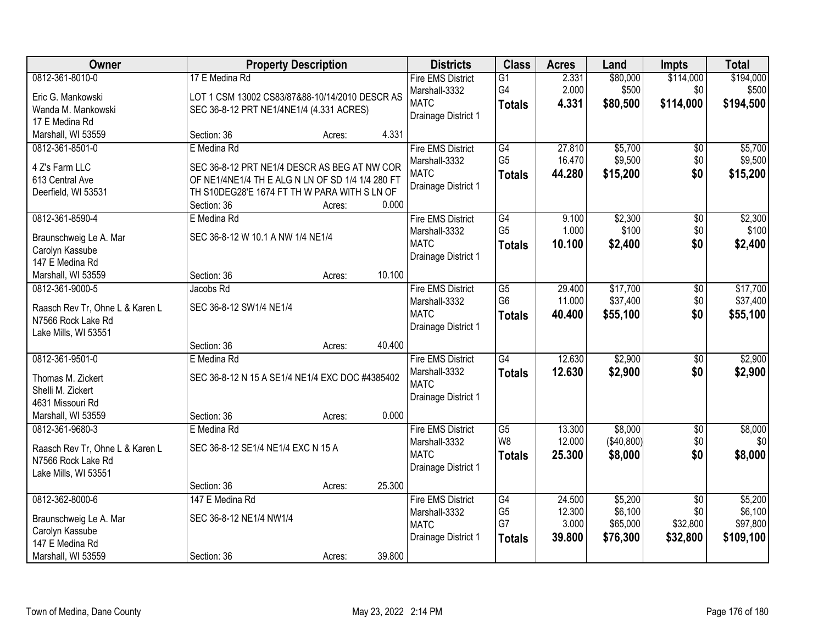| Owner                                  |                                                             | <b>Property Description</b> |        | <b>Districts</b>         | <b>Class</b>    | <b>Acres</b> | Land       | <b>Impts</b>    | <b>Total</b> |
|----------------------------------------|-------------------------------------------------------------|-----------------------------|--------|--------------------------|-----------------|--------------|------------|-----------------|--------------|
| 0812-361-8010-0                        | 17 E Medina Rd                                              |                             |        | <b>Fire EMS District</b> | $\overline{G1}$ | 2.331        | \$80,000   | \$114,000       | \$194,000    |
| Eric G. Mankowski                      | LOT 1 CSM 13002 CS83/87&88-10/14/2010 DESCR AS              |                             |        | Marshall-3332            | G4              | 2.000        | \$500      | \$0             | \$500        |
| Wanda M. Mankowski                     | SEC 36-8-12 PRT NE1/4NE1/4 (4.331 ACRES)                    |                             |        | <b>MATC</b>              | <b>Totals</b>   | 4.331        | \$80,500   | \$114,000       | \$194,500    |
| 17 E Medina Rd                         |                                                             |                             |        | Drainage District 1      |                 |              |            |                 |              |
| Marshall, WI 53559                     | Section: 36                                                 | Acres:                      | 4.331  |                          |                 |              |            |                 |              |
| 0812-361-8501-0                        | E Medina Rd                                                 |                             |        | <b>Fire EMS District</b> | G4              | 27.810       | \$5,700    | $\overline{50}$ | \$5,700      |
|                                        |                                                             |                             |        | Marshall-3332            | G <sub>5</sub>  | 16.470       | \$9,500    | \$0             | \$9,500      |
| 4 Z's Farm LLC                         | SEC 36-8-12 PRT NE1/4 DESCR AS BEG AT NW COR                |                             |        | <b>MATC</b>              | <b>Totals</b>   | 44.280       | \$15,200   | \$0             | \$15,200     |
| 613 Central Ave                        | OF NE1/4NE1/4 TH E ALG N LN OF SD 1/4 1/4 280 FT            |                             |        | Drainage District 1      |                 |              |            |                 |              |
| Deerfield, WI 53531                    | TH S10DEG28'E 1674 FT TH W PARA WITH S LN OF<br>Section: 36 | Acres:                      | 0.000  |                          |                 |              |            |                 |              |
| 0812-361-8590-4                        | E Medina Rd                                                 |                             |        | <b>Fire EMS District</b> | G4              | 9.100        | \$2,300    | \$0             | \$2,300      |
|                                        |                                                             |                             |        | Marshall-3332            | G <sub>5</sub>  | 1.000        | \$100      | \$0             | \$100        |
| Braunschweig Le A. Mar                 | SEC 36-8-12 W 10.1 A NW 1/4 NE1/4                           |                             |        | <b>MATC</b>              | <b>Totals</b>   | 10.100       | \$2,400    | \$0             | \$2,400      |
| Carolyn Kassube                        |                                                             |                             |        | Drainage District 1      |                 |              |            |                 |              |
| 147 E Medina Rd                        |                                                             |                             |        |                          |                 |              |            |                 |              |
| Marshall, WI 53559                     | Section: 36                                                 | Acres:                      | 10.100 |                          |                 |              |            |                 |              |
| 0812-361-9000-5                        | Jacobs Rd                                                   |                             |        | <b>Fire EMS District</b> | $\overline{G5}$ | 29.400       | \$17,700   | \$0             | \$17,700     |
| Raasch Rev Tr, Ohne L & Karen L        | SEC 36-8-12 SW1/4 NE1/4                                     |                             |        | Marshall-3332            | G <sub>6</sub>  | 11.000       | \$37,400   | \$0             | \$37,400     |
| N7566 Rock Lake Rd                     |                                                             |                             |        | <b>MATC</b>              | <b>Totals</b>   | 40.400       | \$55,100   | \$0             | \$55,100     |
| Lake Mills, WI 53551                   |                                                             |                             |        | Drainage District 1      |                 |              |            |                 |              |
|                                        | Section: 36                                                 | Acres:                      | 40.400 |                          |                 |              |            |                 |              |
| 0812-361-9501-0                        | E Medina Rd                                                 |                             |        | <b>Fire EMS District</b> | $\overline{G4}$ | 12.630       | \$2,900    | $\overline{50}$ | \$2,900      |
|                                        |                                                             |                             |        | Marshall-3332            | <b>Totals</b>   | 12.630       | \$2,900    | \$0             | \$2,900      |
| Thomas M. Zickert<br>Shelli M. Zickert | SEC 36-8-12 N 15 A SE1/4 NE1/4 EXC DOC #4385402             |                             |        | <b>MATC</b>              |                 |              |            |                 |              |
| 4631 Missouri Rd                       |                                                             |                             |        | Drainage District 1      |                 |              |            |                 |              |
| Marshall, WI 53559                     | Section: 36                                                 | Acres:                      | 0.000  |                          |                 |              |            |                 |              |
| 0812-361-9680-3                        | E Medina Rd                                                 |                             |        | <b>Fire EMS District</b> | G5              | 13.300       | \$8,000    | $\overline{60}$ | \$8,000      |
|                                        |                                                             |                             |        | Marshall-3332            | W <sub>8</sub>  | 12.000       | (\$40,800) | \$0             | \$0          |
| Raasch Rev Tr, Ohne L & Karen L        | SEC 36-8-12 SE1/4 NE1/4 EXC N 15 A                          |                             |        | <b>MATC</b>              | <b>Totals</b>   | 25.300       | \$8,000    | \$0             | \$8,000      |
| N7566 Rock Lake Rd                     |                                                             |                             |        | Drainage District 1      |                 |              |            |                 |              |
| Lake Mills, WI 53551                   |                                                             |                             |        |                          |                 |              |            |                 |              |
|                                        | Section: 36                                                 | Acres:                      | 25.300 |                          |                 |              |            |                 |              |
| 0812-362-8000-6                        | 147 E Medina Rd                                             |                             |        | <b>Fire EMS District</b> | G4              | 24.500       | \$5,200    | $\overline{50}$ | \$5,200      |
| Braunschweig Le A. Mar                 | SEC 36-8-12 NE1/4 NW1/4                                     |                             |        | Marshall-3332            | G <sub>5</sub>  | 12.300       | \$6,100    | \$0             | \$6,100      |
| Carolyn Kassube                        |                                                             |                             |        | <b>MATC</b>              | G7              | 3.000        | \$65,000   | \$32,800        | \$97,800     |
| 147 E Medina Rd                        |                                                             |                             |        | Drainage District 1      | <b>Totals</b>   | 39.800       | \$76,300   | \$32,800        | \$109,100    |
| Marshall, WI 53559                     | Section: 36                                                 | Acres:                      | 39.800 |                          |                 |              |            |                 |              |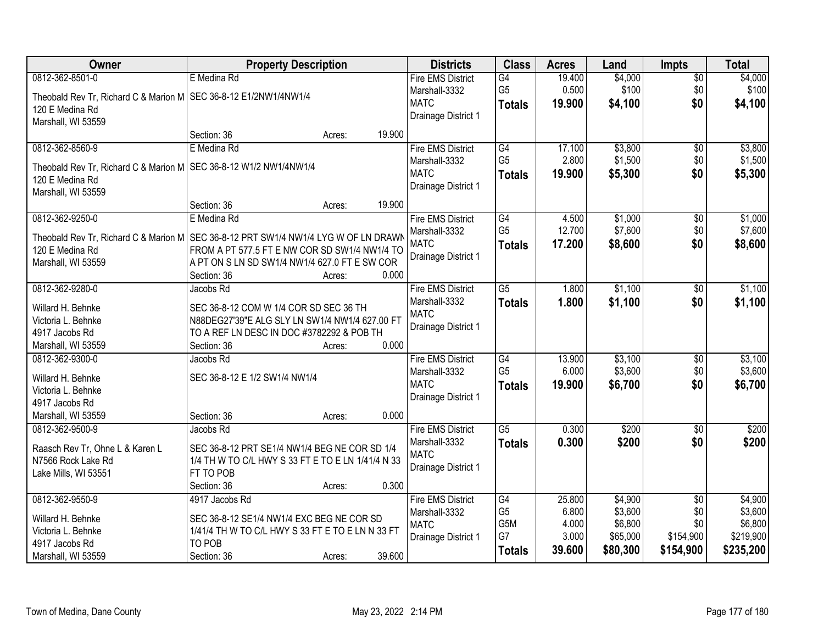| Owner                                                                                 | <b>Property Description</b>                       |        |        | <b>Districts</b>                          | <b>Class</b>    | <b>Acres</b> | Land     | <b>Impts</b>    | <b>Total</b> |
|---------------------------------------------------------------------------------------|---------------------------------------------------|--------|--------|-------------------------------------------|-----------------|--------------|----------|-----------------|--------------|
| 0812-362-8501-0                                                                       | E Medina Rd                                       |        |        | <b>Fire EMS District</b>                  | G4              | 19.400       | \$4,000  | $\overline{50}$ | \$4,000      |
| Theobald Rev Tr, Richard C & Marion M   SEC 36-8-12 E1/2NW1/4NW1/4                    |                                                   |        |        | Marshall-3332                             | G <sub>5</sub>  | 0.500        | \$100    | \$0             | \$100        |
| 120 E Medina Rd                                                                       |                                                   |        |        | <b>MATC</b>                               | <b>Totals</b>   | 19.900       | \$4,100  | \$0             | \$4,100      |
| Marshall, WI 53559                                                                    |                                                   |        |        | Drainage District 1                       |                 |              |          |                 |              |
|                                                                                       | Section: 36                                       | Acres: | 19.900 |                                           |                 |              |          |                 |              |
| 0812-362-8560-9                                                                       | E Medina Rd                                       |        |        | <b>Fire EMS District</b>                  | G4              | 17.100       | \$3,800  | $\overline{50}$ | \$3,800      |
| Theobald Rev Tr, Richard C & Marion M   SEC 36-8-12 W1/2 NW1/4NW1/4                   |                                                   |        |        | Marshall-3332                             | G <sub>5</sub>  | 2.800        | \$1,500  | \$0             | \$1,500      |
| 120 E Medina Rd                                                                       |                                                   |        |        | <b>MATC</b>                               | <b>Totals</b>   | 19.900       | \$5,300  | \$0             | \$5,300      |
| Marshall, WI 53559                                                                    |                                                   |        |        | Drainage District 1                       |                 |              |          |                 |              |
|                                                                                       | Section: 36                                       | Acres: | 19.900 |                                           |                 |              |          |                 |              |
| 0812-362-9250-0                                                                       | E Medina Rd                                       |        |        | <b>Fire EMS District</b>                  | G4              | 4.500        | \$1,000  | $\overline{50}$ | \$1,000      |
| Theobald Rev Tr, Richard C & Marion M   SEC 36-8-12 PRT SW1/4 NW1/4 LYG W OF LN DRAWN |                                                   |        |        | Marshall-3332                             | G <sub>5</sub>  | 12.700       | \$7,600  | \$0             | \$7,600      |
| 120 E Medina Rd                                                                       | FROM A PT 577.5 FT E NW COR SD SW1/4 NW1/4 TO     |        |        | <b>MATC</b>                               | <b>Totals</b>   | 17.200       | \$8,600  | \$0             | \$8,600      |
| Marshall, WI 53559                                                                    | A PT ON S LN SD SW1/4 NW1/4 627.0 FT E SW COR     |        |        | Drainage District 1                       |                 |              |          |                 |              |
|                                                                                       | Section: 36                                       | Acres: | 0.000  |                                           |                 |              |          |                 |              |
| 0812-362-9280-0                                                                       | Jacobs Rd                                         |        |        | <b>Fire EMS District</b>                  | $\overline{G5}$ | 1.800        | \$1,100  | \$0             | \$1,100      |
|                                                                                       |                                                   |        |        | Marshall-3332                             | <b>Totals</b>   | 1.800        | \$1,100  | \$0             | \$1,100      |
| Willard H. Behnke                                                                     | SEC 36-8-12 COM W 1/4 COR SD SEC 36 TH            |        |        | <b>MATC</b>                               |                 |              |          |                 |              |
| Victoria L. Behnke                                                                    | N88DEG27'39"E ALG SLY LN SW1/4 NW1/4 627.00 FT    |        |        | Drainage District 1                       |                 |              |          |                 |              |
| 4917 Jacobs Rd                                                                        | TO A REF LN DESC IN DOC #3782292 & POB TH         |        | 0.000  |                                           |                 |              |          |                 |              |
| Marshall, WI 53559<br>0812-362-9300-0                                                 | Section: 36<br>Jacobs Rd                          | Acres: |        |                                           | G4              | 13.900       | \$3,100  |                 | \$3,100      |
|                                                                                       |                                                   |        |        | <b>Fire EMS District</b><br>Marshall-3332 | G <sub>5</sub>  | 6.000        | \$3,600  | \$0<br>\$0      | \$3,600      |
| Willard H. Behnke                                                                     | SEC 36-8-12 E 1/2 SW1/4 NW1/4                     |        |        | <b>MATC</b>                               |                 | 19.900       | \$6,700  | \$0             | \$6,700      |
| Victoria L. Behnke                                                                    |                                                   |        |        | Drainage District 1                       | Totals          |              |          |                 |              |
| 4917 Jacobs Rd                                                                        |                                                   |        |        |                                           |                 |              |          |                 |              |
| Marshall, WI 53559                                                                    | Section: 36                                       | Acres: | 0.000  |                                           |                 |              |          |                 |              |
| 0812-362-9500-9                                                                       | Jacobs Rd                                         |        |        | <b>Fire EMS District</b>                  | $\overline{G5}$ | 0.300        | \$200    | $\overline{60}$ | \$200        |
| Raasch Rev Tr, Ohne L & Karen L                                                       | SEC 36-8-12 PRT SE1/4 NW1/4 BEG NE COR SD 1/4     |        |        | Marshall-3332                             | <b>Totals</b>   | 0.300        | \$200    | \$0             | \$200        |
| N7566 Rock Lake Rd                                                                    | 1/4 TH W TO C/L HWY S 33 FT E TO E LN 1/41/4 N 33 |        |        | <b>MATC</b>                               |                 |              |          |                 |              |
| Lake Mills, WI 53551                                                                  | FT TO POB                                         |        |        | Drainage District 1                       |                 |              |          |                 |              |
|                                                                                       | Section: 36                                       | Acres: | 0.300  |                                           |                 |              |          |                 |              |
| 0812-362-9550-9                                                                       | 4917 Jacobs Rd                                    |        |        | <b>Fire EMS District</b>                  | G4              | 25.800       | \$4,900  | $\overline{50}$ | \$4,900      |
| Willard H. Behnke                                                                     | SEC 36-8-12 SE1/4 NW1/4 EXC BEG NE COR SD         |        |        | Marshall-3332                             | G <sub>5</sub>  | 6.800        | \$3,600  | \$0             | \$3,600      |
| Victoria L. Behnke                                                                    | 1/41/4 TH W TO C/L HWY S 33 FT E TO E LN N 33 FT  |        |        | <b>MATC</b>                               | G5M             | 4.000        | \$6,800  | \$0             | \$6,800      |
| 4917 Jacobs Rd                                                                        | TO POB                                            |        |        | Drainage District 1                       | G7              | 3.000        | \$65,000 | \$154,900       | \$219,900    |
| Marshall, WI 53559                                                                    | Section: 36                                       | Acres: | 39.600 |                                           | <b>Totals</b>   | 39.600       | \$80,300 | \$154,900       | \$235,200    |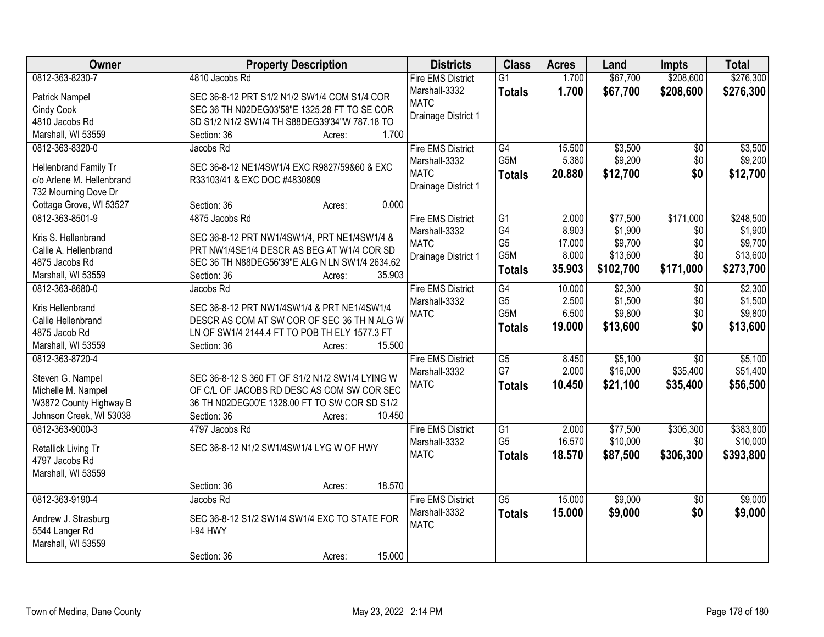| Owner                     | <b>Property Description</b>                     | <b>Districts</b>             | <b>Class</b>          | <b>Acres</b>    | Land               | <b>Impts</b>    | <b>Total</b>       |
|---------------------------|-------------------------------------------------|------------------------------|-----------------------|-----------------|--------------------|-----------------|--------------------|
| 0812-363-8230-7           | 4810 Jacobs Rd                                  | <b>Fire EMS District</b>     | $\overline{G1}$       | 1.700           | \$67,700           | \$208,600       | \$276,300          |
| Patrick Nampel            | SEC 36-8-12 PRT S1/2 N1/2 SW1/4 COM S1/4 COR    | Marshall-3332                | <b>Totals</b>         | 1.700           | \$67,700           | \$208,600       | \$276,300          |
| Cindy Cook                | SEC 36 TH N02DEG03'58"E 1325.28 FT TO SE COR    | <b>MATC</b>                  |                       |                 |                    |                 |                    |
| 4810 Jacobs Rd            | SD S1/2 N1/2 SW1/4 TH S88DEG39'34"W 787.18 TO   | Drainage District 1          |                       |                 |                    |                 |                    |
| Marshall, WI 53559        | 1.700<br>Section: 36<br>Acres:                  |                              |                       |                 |                    |                 |                    |
| 0812-363-8320-0           | Jacobs Rd                                       | <b>Fire EMS District</b>     | G4                    | 15.500          | \$3,500            | \$0             | \$3,500            |
|                           |                                                 | Marshall-3332                | G <sub>5</sub> M      | 5.380           | \$9,200            | \$0             | \$9,200            |
| Hellenbrand Family Tr     | SEC 36-8-12 NE1/4SW1/4 EXC R9827/59&60 & EXC    | <b>MATC</b>                  | <b>Totals</b>         | 20.880          | \$12,700           | \$0             | \$12,700           |
| c/o Arlene M. Hellenbrand | R33103/41 & EXC DOC #4830809                    | Drainage District 1          |                       |                 |                    |                 |                    |
| 732 Mourning Dove Dr      | 0.000                                           |                              |                       |                 |                    |                 |                    |
| Cottage Grove, WI 53527   | Section: 36<br>Acres:                           |                              |                       |                 |                    |                 |                    |
| 0812-363-8501-9           | 4875 Jacobs Rd                                  | <b>Fire EMS District</b>     | $\overline{G1}$<br>G4 | 2.000           | \$77,500           | \$171,000       | \$248,500          |
| Kris S. Hellenbrand       | SEC 36-8-12 PRT NW1/4SW1/4, PRT NE1/4SW1/4 &    | Marshall-3332<br><b>MATC</b> | G <sub>5</sub>        | 8.903<br>17.000 | \$1,900<br>\$9,700 | \$0<br>\$0      | \$1,900<br>\$9,700 |
| Callie A. Hellenbrand     | PRT NW1/4SE1/4 DESCR AS BEG AT W1/4 COR SD      |                              | G5M                   | 8.000           | \$13,600           | \$0             | \$13,600           |
| 4875 Jacobs Rd            | SEC 36 TH N88DEG56'39"E ALG N LN SW1/4 2634.62  | Drainage District 1          |                       |                 |                    |                 |                    |
| Marshall, WI 53559        | Section: 36<br>35.903<br>Acres:                 |                              | <b>Totals</b>         | 35.903          | \$102,700          | \$171,000       | \$273,700          |
| 0812-363-8680-0           | Jacobs Rd                                       | <b>Fire EMS District</b>     | G4                    | 10.000          | \$2,300            | \$0             | \$2,300            |
|                           |                                                 | Marshall-3332                | G <sub>5</sub>        | 2.500           | \$1,500            | \$0             | \$1,500            |
| Kris Hellenbrand          | SEC 36-8-12 PRT NW1/4SW1/4 & PRT NE1/4SW1/4     | <b>MATC</b>                  | G5M                   | 6.500           | \$9,800            | \$0             | \$9,800            |
| Callie Hellenbrand        | DESCR AS COM AT SW COR OF SEC 36 TH N ALG W     |                              | <b>Totals</b>         | 19.000          | \$13,600           | \$0             | \$13,600           |
| 4875 Jacob Rd             | LN OF SW1/4 2144.4 FT TO POB TH ELY 1577.3 FT   |                              |                       |                 |                    |                 |                    |
| Marshall, WI 53559        | 15.500<br>Section: 36<br>Acres:                 |                              |                       |                 |                    |                 |                    |
| 0812-363-8720-4           |                                                 | <b>Fire EMS District</b>     | $\overline{G5}$<br>G7 | 8.450           | \$5,100            | $\overline{30}$ | \$5,100            |
| Steven G. Nampel          | SEC 36-8-12 S 360 FT OF S1/2 N1/2 SW1/4 LYING W | Marshall-3332                |                       | 2.000           | \$16,000           | \$35,400        | \$51,400           |
| Michelle M. Nampel        | OF C/L OF JACOBS RD DESC AS COM SW COR SEC      | <b>MATC</b>                  | <b>Totals</b>         | 10.450          | \$21,100           | \$35,400        | \$56,500           |
| W3872 County Highway B    | 36 TH N02DEG00'E 1328.00 FT TO SW COR SD S1/2   |                              |                       |                 |                    |                 |                    |
| Johnson Creek, WI 53038   | 10.450<br>Section: 36<br>Acres:                 |                              |                       |                 |                    |                 |                    |
| 0812-363-9000-3           | 4797 Jacobs Rd                                  | <b>Fire EMS District</b>     | $\overline{G1}$       | 2.000           | \$77,500           | \$306,300       | \$383,800          |
|                           | SEC 36-8-12 N1/2 SW1/4SW1/4 LYG W OF HWY        | Marshall-3332                | G <sub>5</sub>        | 16.570          | \$10,000           | \$0             | \$10,000           |
| Retallick Living Tr       |                                                 | <b>MATC</b>                  | <b>Totals</b>         | 18.570          | \$87,500           | \$306,300       | \$393,800          |
| 4797 Jacobs Rd            |                                                 |                              |                       |                 |                    |                 |                    |
| Marshall, WI 53559        |                                                 |                              |                       |                 |                    |                 |                    |
| 0812-363-9190-4           | 18.570<br>Section: 36<br>Acres:                 | <b>Fire EMS District</b>     |                       | 15.000          | \$9,000            |                 |                    |
|                           | Jacobs Rd                                       |                              | $\overline{G5}$       |                 |                    | $\overline{30}$ | \$9,000            |
| Andrew J. Strasburg       | SEC 36-8-12 S1/2 SW1/4 SW1/4 EXC TO STATE FOR   | Marshall-3332<br><b>MATC</b> | <b>Totals</b>         | 15.000          | \$9,000            | \$0             | \$9,000            |
| 5544 Langer Rd            | I-94 HWY                                        |                              |                       |                 |                    |                 |                    |
| Marshall, WI 53559        |                                                 |                              |                       |                 |                    |                 |                    |
|                           | 15.000<br>Section: 36<br>Acres:                 |                              |                       |                 |                    |                 |                    |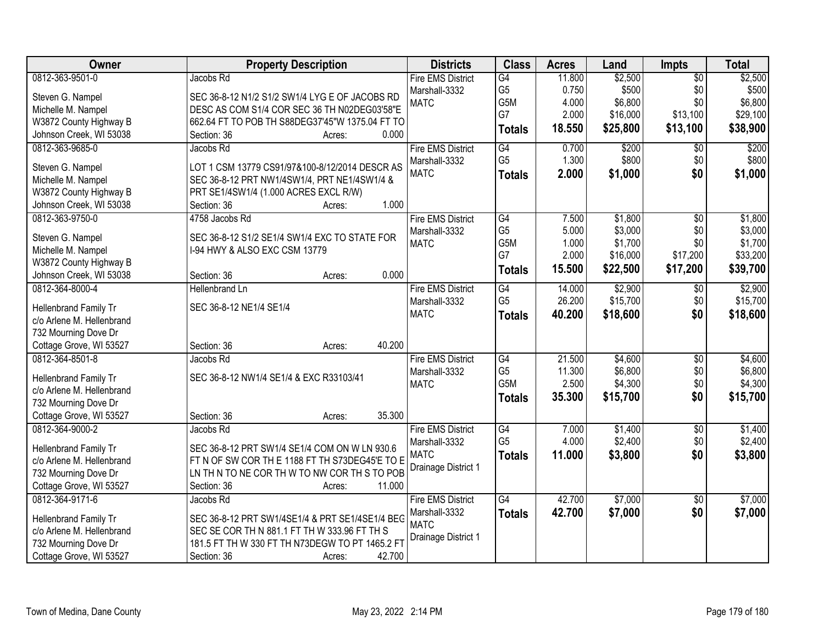| Owner                                             | <b>Property Description</b>                     | <b>Districts</b>             | <b>Class</b>    | <b>Acres</b> | Land     | Impts           | <b>Total</b> |
|---------------------------------------------------|-------------------------------------------------|------------------------------|-----------------|--------------|----------|-----------------|--------------|
| 0812-363-9501-0                                   | Jacobs Rd                                       | <b>Fire EMS District</b>     | G4              | 11.800       | \$2,500  | $\overline{50}$ | \$2,500      |
| Steven G. Nampel                                  | SEC 36-8-12 N1/2 S1/2 SW1/4 LYG E OF JACOBS RD  | Marshall-3332                | G <sub>5</sub>  | 0.750        | \$500    | \$0             | \$500        |
| Michelle M. Nampel                                | DESC AS COM S1/4 COR SEC 36 TH N02DEG03'58"E    | <b>MATC</b>                  | G5M             | 4.000        | \$6,800  | \$0             | \$6,800      |
| W3872 County Highway B                            | 662.64 FT TO POB TH S88DEG37'45"W 1375.04 FT TO |                              | G7              | 2.000        | \$16,000 | \$13,100        | \$29,100     |
| Johnson Creek, WI 53038                           | 0.000<br>Section: 36<br>Acres:                  |                              | <b>Totals</b>   | 18.550       | \$25,800 | \$13,100        | \$38,900     |
| 0812-363-9685-0                                   | Jacobs Rd                                       | <b>Fire EMS District</b>     | G4              | 0.700        | \$200    | $\overline{50}$ | \$200        |
|                                                   |                                                 | Marshall-3332                | G <sub>5</sub>  | 1.300        | \$800    | \$0             | \$800        |
| Steven G. Nampel                                  | LOT 1 CSM 13779 CS91/97&100-8/12/2014 DESCR AS  | <b>MATC</b>                  | <b>Totals</b>   | 2.000        | \$1,000  | \$0             | \$1,000      |
| Michelle M. Nampel                                | SEC 36-8-12 PRT NW1/4SW1/4, PRT NE1/4SW1/4 &    |                              |                 |              |          |                 |              |
| W3872 County Highway B                            | PRT SE1/4SW1/4 (1.000 ACRES EXCL R/W)           |                              |                 |              |          |                 |              |
| Johnson Creek, WI 53038                           | 1.000<br>Section: 36<br>Acres:                  |                              |                 |              |          |                 |              |
| 0812-363-9750-0                                   | 4758 Jacobs Rd                                  | <b>Fire EMS District</b>     | $\overline{G4}$ | 7.500        | \$1,800  | $\overline{50}$ | \$1,800      |
| Steven G. Nampel                                  | SEC 36-8-12 S1/2 SE1/4 SW1/4 EXC TO STATE FOR   | Marshall-3332                | G <sub>5</sub>  | 5.000        | \$3,000  | \$0             | \$3,000      |
|                                                   | I-94 HWY & ALSO EXC CSM 13779                   | <b>MATC</b>                  | G5M             | 1.000        | \$1,700  | \$0             | \$1,700      |
| Michelle M. Nampel                                |                                                 |                              | G7              | 2.000        | \$16,000 | \$17,200        | \$33,200     |
| W3872 County Highway B<br>Johnson Creek, WI 53038 | 0.000<br>Section: 36                            |                              | <b>Totals</b>   | 15.500       | \$22,500 | \$17,200        | \$39,700     |
| 0812-364-8000-4                                   | Acres:<br><b>Hellenbrand Ln</b>                 |                              | $\overline{G4}$ |              |          |                 |              |
|                                                   |                                                 | <b>Fire EMS District</b>     |                 | 14.000       | \$2,900  | \$0             | \$2,900      |
| <b>Hellenbrand Family Tr</b>                      | SEC 36-8-12 NE1/4 SE1/4                         | Marshall-3332<br><b>MATC</b> | G <sub>5</sub>  | 26.200       | \$15,700 | \$0             | \$15,700     |
| c/o Arlene M. Hellenbrand                         |                                                 |                              | <b>Totals</b>   | 40.200       | \$18,600 | \$0             | \$18,600     |
| 732 Mourning Dove Dr                              |                                                 |                              |                 |              |          |                 |              |
| Cottage Grove, WI 53527                           | 40.200<br>Section: 36<br>Acres:                 |                              |                 |              |          |                 |              |
| 0812-364-8501-8                                   | Jacobs Rd                                       | <b>Fire EMS District</b>     | $\overline{G4}$ | 21.500       | \$4,600  | $\overline{50}$ | \$4,600      |
|                                                   |                                                 | Marshall-3332                | G <sub>5</sub>  | 11.300       | \$6,800  | \$0             | \$6,800      |
| Hellenbrand Family Tr                             | SEC 36-8-12 NW1/4 SE1/4 & EXC R33103/41         | <b>MATC</b>                  | G5M             | 2.500        | \$4,300  | \$0             | \$4,300      |
| c/o Arlene M. Hellenbrand                         |                                                 |                              | <b>Totals</b>   | 35.300       | \$15,700 | \$0             | \$15,700     |
| 732 Mourning Dove Dr                              |                                                 |                              |                 |              |          |                 |              |
| Cottage Grove, WI 53527                           | 35.300<br>Section: 36<br>Acres:                 |                              |                 |              |          |                 |              |
| 0812-364-9000-2                                   | Jacobs Rd                                       | <b>Fire EMS District</b>     | G4              | 7.000        | \$1,400  | $\overline{50}$ | \$1,400      |
| <b>Hellenbrand Family Tr</b>                      | SEC 36-8-12 PRT SW1/4 SE1/4 COM ON W LN 930.6   | Marshall-3332                | G <sub>5</sub>  | 4.000        | \$2,400  | \$0             | \$2,400      |
| c/o Arlene M. Hellenbrand                         | FT N OF SW COR TH E 1188 FT TH S73DEG45'E TO E  | <b>MATC</b>                  | <b>Totals</b>   | 11.000       | \$3,800  | \$0             | \$3,800      |
| 732 Mourning Dove Dr                              | LN TH N TO NE COR TH W TO NW COR TH S TO POB    | Drainage District 1          |                 |              |          |                 |              |
| Cottage Grove, WI 53527                           | Section: 36<br>11.000<br>Acres:                 |                              |                 |              |          |                 |              |
| 0812-364-9171-6                                   | Jacobs Rd                                       | <b>Fire EMS District</b>     | $\overline{G4}$ | 42.700       | \$7,000  | $\overline{50}$ | \$7,000      |
|                                                   |                                                 | Marshall-3332                | <b>Totals</b>   | 42.700       | \$7,000  | \$0             | \$7,000      |
| <b>Hellenbrand Family Tr</b>                      | SEC 36-8-12 PRT SW1/4SE1/4 & PRT SE1/4SE1/4 BEG | <b>MATC</b>                  |                 |              |          |                 |              |
| c/o Arlene M. Hellenbrand                         | SEC SE COR TH N 881.1 FT TH W 333.96 FT TH S    | Drainage District 1          |                 |              |          |                 |              |
| 732 Mourning Dove Dr                              | 181.5 FT TH W 330 FT TH N73DEGW TO PT 1465.2 FT |                              |                 |              |          |                 |              |
| Cottage Grove, WI 53527                           | 42.700<br>Section: 36<br>Acres:                 |                              |                 |              |          |                 |              |